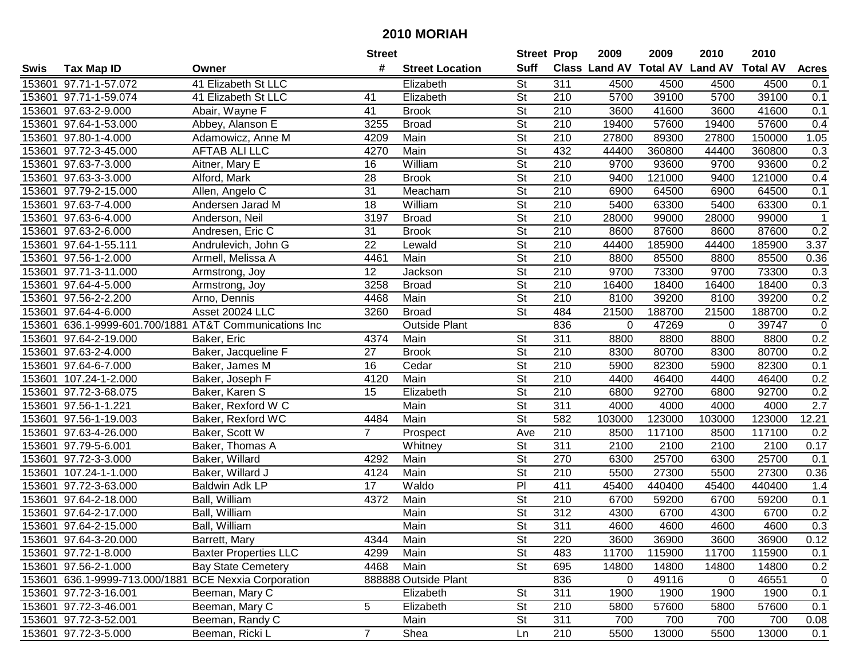|      |                                                       |                                                        | <b>Street</b>   |                        | <b>Street Prop</b>       |                  | 2009        | 2009   | 2010                                    | 2010   |                  |
|------|-------------------------------------------------------|--------------------------------------------------------|-----------------|------------------------|--------------------------|------------------|-------------|--------|-----------------------------------------|--------|------------------|
| Swis | <b>Tax Map ID</b>                                     | Owner                                                  | #               | <b>Street Location</b> | <b>Suff</b>              |                  |             |        | Class Land AV Total AV Land AV Total AV |        | <b>Acres</b>     |
|      | 153601 97.71-1-57.072                                 | 41 Elizabeth St LLC                                    |                 | Elizabeth              | $\overline{\mathsf{St}}$ | $\overline{311}$ | 4500        | 4500   | 4500                                    | 4500   | 0.1              |
|      | 153601 97.71-1-59.074                                 | 41 Elizabeth St LLC                                    | 41              | Elizabeth              | $\overline{\mathsf{St}}$ | 210              | 5700        | 39100  | 5700                                    | 39100  | 0.1              |
|      | 153601 97.63-2-9.000                                  | Abair, Wayne F                                         | 41              | <b>Brook</b>           | St                       | 210              | 3600        | 41600  | 3600                                    | 41600  | 0.1              |
|      | 153601 97.64-1-53.000                                 | Abbey, Alanson E                                       | 3255            | <b>Broad</b>           | St                       | 210              | 19400       | 57600  | 19400                                   | 57600  | 0.4              |
|      | 153601 97.80-1-4.000                                  | Adamowicz, Anne M                                      | 4209            | Main                   | $\overline{\mathsf{St}}$ | 210              | 27800       | 89300  | 27800                                   | 150000 | 1.05             |
|      | 153601 97.72-3-45.000                                 | <b>AFTAB ALI LLC</b>                                   | 4270            | Main                   | St                       | 432              | 44400       | 360800 | 44400                                   | 360800 | 0.3              |
|      | 153601 97.63-7-3.000                                  | Aitner, Mary E                                         | 16              | William                | St                       | 210              | 9700        | 93600  | 9700                                    | 93600  | 0.2              |
|      | 153601 97.63-3-3.000                                  | Alford, Mark                                           | 28              | <b>Brook</b>           | St                       | 210              | 9400        | 121000 | 9400                                    | 121000 | 0.4              |
|      | 153601 97.79-2-15.000                                 | Allen, Angelo C                                        | 31              | Meacham                | $\overline{\mathsf{St}}$ | $\overline{210}$ | 6900        | 64500  | 6900                                    | 64500  | 0.1              |
|      | 153601 97.63-7-4.000                                  | Andersen Jarad M                                       | 18              | William                | $\overline{\mathsf{St}}$ | 210              | 5400        | 63300  | 5400                                    | 63300  | 0.1              |
|      | 153601 97.63-6-4.000                                  | Anderson, Neil                                         | 3197            | <b>Broad</b>           | $\overline{\mathsf{St}}$ | 210              | 28000       | 99000  | 28000                                   | 99000  | $\mathbf 1$      |
|      | 153601 97.63-2-6.000                                  | Andresen, Eric C                                       | 31              | <b>Brook</b>           | St                       | 210              | 8600        | 87600  | 8600                                    | 87600  | 0.2              |
|      | 153601 97.64-1-55.111                                 | Andrulevich, John G                                    | $\overline{22}$ | Lewald                 | $\overline{\mathsf{St}}$ | 210              | 44400       | 185900 | 44400                                   | 185900 | 3.37             |
|      | 153601 97.56-1-2.000                                  | Armell, Melissa A                                      | 4461            | Main                   | $\overline{\mathsf{St}}$ | $\overline{210}$ | 8800        | 85500  | 8800                                    | 85500  | 0.36             |
|      | 153601 97.71-3-11.000                                 | Armstrong, Joy                                         | $\overline{12}$ | Jackson                | $\overline{\mathsf{St}}$ | 210              | 9700        | 73300  | 9700                                    | 73300  | $\overline{0.3}$ |
|      | 153601 97.64-4-5.000                                  | Armstrong, Joy                                         | 3258            | <b>Broad</b>           | $\overline{\mathsf{St}}$ | $\overline{210}$ | 16400       | 18400  | 16400                                   | 18400  | 0.3              |
|      | 153601 97.56-2-2.200                                  | Arno, Dennis                                           | 4468            | Main                   | $\overline{\mathsf{St}}$ | 210              | 8100        | 39200  | 8100                                    | 39200  | 0.2              |
|      | 153601 97.64-4-6.000                                  | Asset 20024 LLC                                        | 3260            | <b>Broad</b>           | $\overline{\mathsf{St}}$ | 484              | 21500       | 188700 | 21500                                   | 188700 | 0.2              |
|      |                                                       | 153601 636.1-9999-601.700/1881 AT&T Communications Inc |                 | <b>Outside Plant</b>   |                          | 836              | 0           | 47269  | 0                                       | 39747  | $\pmb{0}$        |
|      | 153601 97.64-2-19.000                                 | Baker, Eric                                            | 4374            | Main                   | St                       | 311              | 8800        | 8800   | 8800                                    | 8800   | 0.2              |
|      | 153601 97.63-2-4.000                                  | Baker, Jacqueline F                                    | 27              | <b>Brook</b>           | St                       | 210              | 8300        | 80700  | 8300                                    | 80700  | 0.2              |
|      | 153601 97.64-6-7.000                                  | Baker, James M                                         | 16              | Cedar                  | St                       | 210              | 5900        | 82300  | 5900                                    | 82300  | 0.1              |
|      | 153601 107.24-1-2.000                                 | Baker, Joseph F                                        | 4120            | Main                   | St                       | 210              | 4400        | 46400  | 4400                                    | 46400  | 0.2              |
|      | 153601 97.72-3-68.075                                 | Baker, Karen S                                         | 15              | Elizabeth              | St                       | 210              | 6800        | 92700  | 6800                                    | 92700  | 0.2              |
|      | 153601 97.56-1-1.221                                  | Baker, Rexford W C                                     |                 | Main                   | St                       | 311              | 4000        | 4000   | 4000                                    | 4000   | 2.7              |
|      | 153601 97.56-1-19.003                                 | Baker, Rexford WC                                      | 4484            | Main                   | $\overline{\mathsf{St}}$ | 582              | 103000      | 123000 | 103000                                  | 123000 | 12.21            |
|      | 153601 97.63-4-26.000                                 | Baker, Scott W                                         | $\overline{7}$  | Prospect               | Ave                      | 210              | 8500        | 117100 | 8500                                    | 117100 | 0.2              |
|      | 153601 97.79-5-6.001                                  | Baker, Thomas A                                        |                 | Whitney                | $\overline{\mathsf{St}}$ | $\overline{311}$ | 2100        | 2100   | 2100                                    | 2100   | 0.17             |
|      | 153601 97.72-3-3.000                                  | Baker, Willard                                         | 4292            | Main                   | St                       | 270              | 6300        | 25700  | 6300                                    | 25700  | 0.1              |
|      | 153601 107.24-1-1.000                                 | Baker, Willard J                                       | 4124            | Main                   | $\overline{\mathsf{St}}$ | 210              | 5500        | 27300  | 5500                                    | 27300  | 0.36             |
|      | 153601 97.72-3-63.000                                 | Baldwin Adk LP                                         | 17              | Waldo                  | PI                       | 411              | 45400       | 440400 | 45400                                   | 440400 | 1.4              |
|      | 153601 97.64-2-18.000                                 | Ball, William                                          | 4372            | Main                   | $\overline{\mathsf{St}}$ | 210              | 6700        | 59200  | 6700                                    | 59200  | 0.1              |
|      | 153601 97.64-2-17.000                                 | Ball, William                                          |                 | Main                   | St                       | 312              | 4300        | 6700   | 4300                                    | 6700   | 0.2              |
|      | 153601 97.64-2-15.000                                 | Ball, William                                          |                 | Main                   | $\overline{St}$          | $\overline{311}$ | 4600        | 4600   | 4600                                    | 4600   | 0.3              |
|      | 153601 97.64-3-20.000                                 | Barrett, Mary                                          | 4344            | Main                   | St                       | 220              | 3600        | 36900  | 3600                                    | 36900  | 0.12             |
|      | 153601 97.72-1-8.000                                  | <b>Baxter Properties LLC</b>                           | 4299            | Main                   | <b>St</b>                | 483              | 11700       | 115900 | 11700                                   | 115900 | 0.1              |
|      | 153601 97.56-2-1.000                                  | <b>Bay State Cemetery</b>                              | 4468            | Main                   | <b>St</b>                | 695              | 14800       | 14800  | 14800                                   | 14800  | 0.2              |
|      | 153601 636.1-9999-713.000/1881 BCE Nexxia Corporation |                                                        |                 | 888888 Outside Plant   |                          | 836              | $\mathbf 0$ | 49116  | 0                                       | 46551  | $\pmb{0}$        |
|      | 153601 97.72-3-16.001                                 | Beeman, Mary C                                         |                 | Elizabeth              | <b>St</b>                | 311              | 1900        | 1900   | 1900                                    | 1900   | 0.1              |
|      | 153601 97.72-3-46.001                                 | Beeman, Mary C                                         | 5               | Elizabeth              | <b>St</b>                | 210              | 5800        | 57600  | 5800                                    | 57600  | 0.1              |
|      | 153601 97.72-3-52.001                                 | Beeman, Randy C                                        |                 | Main                   | <b>St</b>                | 311              | 700         | 700    | 700                                     | 700    | 0.08             |
|      | 153601 97.72-3-5.000                                  | Beeman, Ricki L                                        | $\overline{7}$  | Shea                   | Ln                       | $\overline{210}$ | 5500        | 13000  | 5500                                    | 13000  | 0.1              |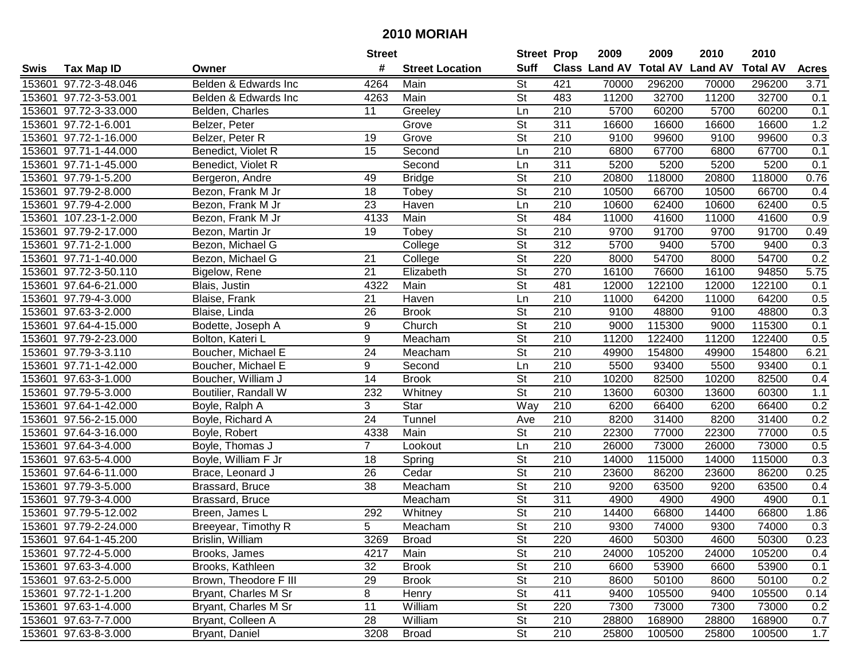|        |                       |                       | <b>Street</b>   |                        | <b>Street Prop</b>       |                  | 2009          | 2009            | 2010           | 2010            |              |
|--------|-----------------------|-----------------------|-----------------|------------------------|--------------------------|------------------|---------------|-----------------|----------------|-----------------|--------------|
| Swis   | <b>Tax Map ID</b>     | Owner                 | #               | <b>Street Location</b> | <b>Suff</b>              |                  | Class Land AV | <b>Total AV</b> | <b>Land AV</b> | <b>Total AV</b> | <b>Acres</b> |
|        | 153601 97.72-3-48.046 | Belden & Edwards Inc  | 4264            | Main                   | <b>St</b>                | 421              | 70000         | 296200          | 70000          | 296200          | 3.71         |
|        | 153601 97.72-3-53.001 | Belden & Edwards Inc  | 4263            | Main                   | <b>St</b>                | 483              | 11200         | 32700           | 11200          | 32700           | 0.1          |
|        | 153601 97.72-3-33.000 | Belden, Charles       | 11              | Greeley                | Ln                       | 210              | 5700          | 60200           | 5700           | 60200           | 0.1          |
|        | 153601 97.72-1-6.001  | Belzer, Peter         |                 | Grove                  | $\overline{\mathsf{St}}$ | 311              | 16600         | 16600           | 16600          | 16600           | 1.2          |
|        | 153601 97.72-1-16.000 | Belzer, Peter R       | 19              | Grove                  | <b>St</b>                | 210              | 9100          | 99600           | 9100           | 99600           | 0.3          |
|        | 153601 97.71-1-44.000 | Benedict, Violet R    | 15              | Second                 | Ln                       | 210              | 6800          | 67700           | 6800           | 67700           | 0.1          |
|        | 153601 97.71-1-45.000 | Benedict, Violet R    |                 | Second                 | Ln                       | 311              | 5200          | 5200            | 5200           | 5200            | 0.1          |
|        | 153601 97.79-1-5.200  | Bergeron, Andre       | 49              | <b>Bridge</b>          | $\overline{\mathsf{St}}$ | 210              | 20800         | 118000          | 20800          | 118000          | 0.76         |
|        | 153601 97.79-2-8.000  | Bezon, Frank M Jr     | 18              | Tobey                  | $\overline{\mathsf{St}}$ | $\overline{210}$ | 10500         | 66700           | 10500          | 66700           | 0.4          |
|        | 153601 97.79-4-2.000  | Bezon, Frank M Jr     | 23              | Haven                  | Ln                       | 210              | 10600         | 62400           | 10600          | 62400           | 0.5          |
|        | 153601 107.23-1-2.000 | Bezon, Frank M Jr     | 4133            | Main                   | $\overline{\mathsf{St}}$ | 484              | 11000         | 41600           | 11000          | 41600           | 0.9          |
|        | 153601 97.79-2-17.000 | Bezon, Martin Jr      | 19              | Tobey                  | <b>St</b>                | 210              | 9700          | 91700           | 9700           | 91700           | 0.49         |
|        | 153601 97.71-2-1.000  | Bezon, Michael G      |                 | College                | $\overline{\mathsf{St}}$ | $\overline{312}$ | 5700          | 9400            | 5700           | 9400            | 0.3          |
|        | 153601 97.71-1-40.000 | Bezon, Michael G      | 21              | College                | $\overline{\mathsf{St}}$ | 220              | 8000          | 54700           | 8000           | 54700           | 0.2          |
|        | 153601 97.72-3-50.110 | Bigelow, Rene         | 21              | Elizabeth              | $\overline{\mathsf{St}}$ | 270              | 16100         | 76600           | 16100          | 94850           | 5.75         |
|        | 153601 97.64-6-21.000 | Blais, Justin         | 4322            | Main                   | $\overline{\mathsf{St}}$ | 481              | 12000         | 122100          | 12000          | 122100          | 0.1          |
|        | 153601 97.79-4-3.000  | Blaise, Frank         | 21              | Haven                  | Ln                       | $\overline{210}$ | 11000         | 64200           | 11000          | 64200           | 0.5          |
|        | 153601 97.63-3-2.000  | Blaise, Linda         | 26              | <b>Brook</b>           | $\overline{\mathsf{St}}$ | 210              | 9100          | 48800           | 9100           | 48800           | 0.3          |
|        | 153601 97.64-4-15.000 | Bodette, Joseph A     | 9               | Church                 | St                       | 210              | 9000          | 115300          | 9000           | 115300          | 0.1          |
|        | 153601 97.79-2-23.000 | Bolton, Kateri L      | 9               | Meacham                | <b>St</b>                | 210              | 11200         | 122400          | 11200          | 122400          | 0.5          |
|        | 153601 97.79-3-3.110  | Boucher, Michael E    | $\overline{24}$ | Meacham                | St                       | 210              | 49900         | 154800          | 49900          | 154800          | 6.21         |
| 153601 | 97.71-1-42.000        | Boucher, Michael E    | 9               | Second                 | Ln                       | 210              | 5500          | 93400           | 5500           | 93400           | 0.1          |
| 153601 | 97.63-3-1.000         | Boucher, William J    | 14              | <b>Brook</b>           | St                       | 210              | 10200         | 82500           | 10200          | 82500           | 0.4          |
| 153601 | 97.79-5-3.000         | Boutilier, Randall W  | 232             | Whitney                | <b>St</b>                | 210              | 13600         | 60300           | 13600          | 60300           | 1.1          |
|        | 153601 97.64-1-42.000 | Boyle, Ralph A        | 3               | Star                   | Way                      | 210              | 6200          | 66400           | 6200           | 66400           | 0.2          |
|        | 153601 97.56-2-15.000 | Boyle, Richard A      | 24              | Tunnel                 | Ave                      | 210              | 8200          | 31400           | 8200           | 31400           | 0.2          |
|        | 153601 97.64-3-16.000 | Boyle, Robert         | 4338            | Main                   | $\overline{\mathsf{St}}$ | 210              | 22300         | 77000           | 22300          | 77000           | 0.5          |
|        | 153601 97.64-3-4.000  | Boyle, Thomas J       | $\overline{7}$  | Lookout                | Ln                       | 210              | 26000         | 73000           | 26000          | 73000           | 0.5          |
|        | 153601 97.63-5-4.000  | Boyle, William F Jr   | 18              | Spring                 | $\overline{\mathsf{St}}$ | 210              | 14000         | 115000          | 14000          | 115000          | 0.3          |
|        | 153601 97.64-6-11.000 | Brace, Leonard J      | $\overline{26}$ | Cedar                  | $\overline{St}$          | $\overline{210}$ | 23600         | 86200           | 23600          | 86200           | 0.25         |
|        | 153601 97.79-3-5.000  | Brassard, Bruce       | $\overline{38}$ | Meacham                | $\overline{St}$          | $\overline{210}$ | 9200          | 63500           | 9200           | 63500           | 0.4          |
|        | 153601 97.79-3-4.000  | Brassard, Bruce       |                 | Meacham                | $\overline{\mathsf{St}}$ | 311              | 4900          | 4900            | 4900           | 4900            | 0.1          |
|        | 153601 97.79-5-12.002 | Breen, James L        | 292             | Whitney                | $\overline{\mathsf{St}}$ | $\overline{210}$ | 14400         | 66800           | 14400          | 66800           | 1.86         |
|        | 153601 97.79-2-24.000 | Breeyear, Timothy R   | 5               | Meacham                | $\overline{\mathsf{St}}$ | $\overline{210}$ | 9300          | 74000           | 9300           | 74000           | 0.3          |
|        | 153601 97.64-1-45.200 | Brislin, William      | 3269            | <b>Broad</b>           | <b>St</b>                | 220              | 4600          | 50300           | 4600           | 50300           | 0.23         |
|        | 153601 97.72-4-5.000  | Brooks, James         | 4217            | Main                   | <b>St</b>                | 210              | 24000         | 105200          | 24000          | 105200          | 0.4          |
|        | 153601 97.63-3-4.000  | Brooks, Kathleen      | 32              | <b>Brook</b>           | <b>St</b>                | 210              | 6600          | 53900           | 6600           | 53900           | 0.1          |
|        | 153601 97.63-2-5.000  | Brown, Theodore F III | 29              | <b>Brook</b>           | <b>St</b>                | 210              | 8600          | 50100           | 8600           | 50100           | 0.2          |
|        | 153601 97.72-1-1.200  | Bryant, Charles M Sr  | 8               | Henry                  | <b>St</b>                | 411              | 9400          | 105500          | 9400           | 105500          | 0.14         |
|        | 153601 97.63-1-4.000  | Bryant, Charles M Sr  | 11              | William                | <b>St</b>                | 220              | 7300          | 73000           | 7300           | 73000           | 0.2          |
|        | 153601 97.63-7-7.000  | Bryant, Colleen A     | 28              | William                | <b>St</b>                | 210              | 28800         | 168900          | 28800          | 168900          | 0.7          |
|        | 153601 97.63-8-3.000  | Bryant, Daniel        | 3208            | <b>Broad</b>           | $\overline{\mathsf{St}}$ | 210              | 25800         | 100500          | 25800          | 100500          | 1.7          |
|        |                       |                       |                 |                        |                          |                  |               |                 |                |                 |              |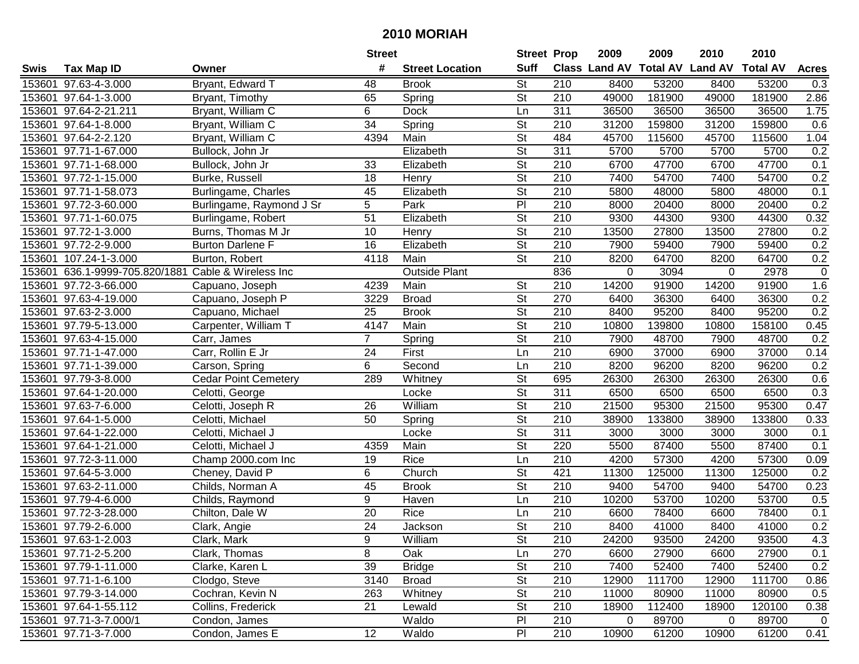|        |                                |                             | <b>Street</b>   |                        | <b>Street Prop</b>       |                  | 2009                          | 2009   | 2010           | 2010            |              |
|--------|--------------------------------|-----------------------------|-----------------|------------------------|--------------------------|------------------|-------------------------------|--------|----------------|-----------------|--------------|
| Swis   | <b>Tax Map ID</b>              | Owner                       | #               | <b>Street Location</b> | <b>Suff</b>              |                  | <b>Class Land AV Total AV</b> |        | <b>Land AV</b> | <b>Total AV</b> | <b>Acres</b> |
|        | 153601 97.63-4-3.000           | Bryant, Edward T            | 48              | <b>Brook</b>           | <b>St</b>                | 210              | 8400                          | 53200  | 8400           | 53200           | 0.3          |
|        | 153601 97.64-1-3.000           | Bryant, Timothy             | 65              | Spring                 | <b>St</b>                | 210              | 49000                         | 181900 | 49000          | 181900          | 2.86         |
|        | 153601 97.64-2-21.211          | Bryant, William C           | 6               | <b>Dock</b>            | Ln                       | 311              | 36500                         | 36500  | 36500          | 36500           | 1.75         |
|        | 153601 97.64-1-8.000           | Bryant, William C           | $\overline{34}$ | Spring                 | $\overline{\mathsf{St}}$ | 210              | 31200                         | 159800 | 31200          | 159800          | 0.6          |
|        | 153601 97.64-2-2.120           | Bryant, William C           | 4394            | Main                   | <b>St</b>                | 484              | 45700                         | 115600 | 45700          | 115600          | 1.04         |
|        | 153601 97.71-1-67.000          | Bullock, John Jr            |                 | Elizabeth              | $\overline{\mathsf{St}}$ | 311              | 5700                          | 5700   | 5700           | 5700            | 0.2          |
|        | 153601 97.71-1-68.000          | Bullock, John Jr            | 33              | Elizabeth              | <b>St</b>                | 210              | 6700                          | 47700  | 6700           | 47700           | 0.1          |
|        | 153601 97.72-1-15.000          | Burke, Russell              | $\overline{18}$ | Henry                  | $\overline{St}$          | 210              | 7400                          | 54700  | 7400           | 54700           | 0.2          |
|        | 153601 97.71-1-58.073          | Burlingame, Charles         | 45              | Elizabeth              | $\overline{\mathsf{St}}$ | $\overline{210}$ | 5800                          | 48000  | 5800           | 48000           | 0.1          |
|        | 153601 97.72-3-60.000          | Burlingame, Raymond J Sr    | 5               | Park                   | $\overline{P}$           | 210              | 8000                          | 20400  | 8000           | 20400           | 0.2          |
|        | 153601 97.71-1-60.075          | Burlingame, Robert          | 51              | Elizabeth              | $\overline{\mathsf{St}}$ | 210              | 9300                          | 44300  | 9300           | 44300           | 0.32         |
|        | 153601 97.72-1-3.000           | Burns, Thomas M Jr          | 10              | Henry                  | St                       | 210              | 13500                         | 27800  | 13500          | 27800           | 0.2          |
|        | 153601 97.72-2-9.000           | <b>Burton Darlene F</b>     | $\overline{16}$ | Elizabeth              | $\overline{\mathsf{St}}$ | $\overline{210}$ | 7900                          | 59400  | 7900           | 59400           | 0.2          |
| 153601 | 107.24-1-3.000                 | Burton, Robert              | 4118            | Main                   | $\overline{\mathsf{St}}$ | 210              | 8200                          | 64700  | 8200           | 64700           | 0.2          |
|        | 153601 636.1-9999-705.820/1881 | Cable & Wireless Inc        |                 | <b>Outside Plant</b>   |                          | 836              | 0                             | 3094   | 0              | 2978            | $\mathbf 0$  |
|        | 153601 97.72-3-66.000          | Capuano, Joseph             | 4239            | Main                   | <b>St</b>                | 210              | 14200                         | 91900  | 14200          | 91900           | 1.6          |
|        | 153601 97.63-4-19.000          | Capuano, Joseph P           | 3229            | <b>Broad</b>           | $\overline{St}$          | 270              | 6400                          | 36300  | 6400           | 36300           | 0.2          |
|        | 153601 97.63-2-3.000           | Capuano, Michael            | 25              | <b>Brook</b>           | $\overline{\mathsf{St}}$ | 210              | 8400                          | 95200  | 8400           | 95200           | 0.2          |
|        | 153601 97.79-5-13.000          | Carpenter, William T        | 4147            | Main                   | St                       | 210              | 10800                         | 139800 | 10800          | 158100          | 0.45         |
|        | 153601 97.63-4-15.000          | Carr, James                 | $\overline{7}$  | Spring                 | St                       | 210              | 7900                          | 48700  | 7900           | 48700           | 0.2          |
|        | 153601 97.71-1-47.000          | Carr, Rollin E Jr           | 24              | First                  | Ln                       | 210              | 6900                          | 37000  | 6900           | 37000           | 0.14         |
| 153601 | 97.71-1-39.000                 | Carson, Spring              | 6               | Second                 | Ln                       | 210              | 8200                          | 96200  | 8200           | 96200           | 0.2          |
| 153601 | 97.79-3-8.000                  | <b>Cedar Point Cemetery</b> | 289             | Whitney                | St                       | 695              | 26300                         | 26300  | 26300          | 26300           | 0.6          |
| 153601 | 97.64-1-20.000                 | Celotti, George             |                 | Locke                  | St                       | 311              | 6500                          | 6500   | 6500           | 6500            | 0.3          |
|        | 153601 97.63-7-6.000           | Celotti, Joseph R           | 26              | William                | $\overline{\mathsf{St}}$ | 210              | 21500                         | 95300  | 21500          | 95300           | 0.47         |
|        | 153601 97.64-1-5.000           | Celotti, Michael            | 50              | Spring                 | $\overline{\mathsf{St}}$ | 210              | 38900                         | 133800 | 38900          | 133800          | 0.33         |
|        | 153601 97.64-1-22.000          | Celotti, Michael J          |                 | Locke                  | $\overline{\mathsf{St}}$ | $\overline{311}$ | 3000                          | 3000   | 3000           | 3000            | 0.1          |
|        | 153601 97.64-1-21.000          | Celotti, Michael J          | 4359            | Main                   | St                       | 220              | 5500                          | 87400  | 5500           | 87400           | 0.1          |
|        | 153601 97.72-3-11.000          | Champ 2000.com Inc          | 19              | Rice                   | Ln                       | $\overline{210}$ | 4200                          | 57300  | 4200           | 57300           | 0.09         |
|        | 153601 97.64-5-3.000           | Cheney, David P             | 6               | Church                 | $\overline{\mathsf{St}}$ | 421              | 11300                         | 125000 | 11300          | 125000          | 0.2          |
|        | 153601 97.63-2-11.000          | Childs, Norman A            | 45              | <b>Brook</b>           | $\overline{St}$          | 210              | 9400                          | 54700  | 9400           | 54700           | 0.23         |
|        | 153601 97.79-4-6.000           | Childs, Raymond             | 9               | Haven                  | Ln                       | 210              | 10200                         | 53700  | 10200          | 53700           | 0.5          |
|        | 153601 97.72-3-28.000          | Chilton, Dale W             | 20              | <b>Rice</b>            | Ln                       | 210              | 6600                          | 78400  | 6600           | 78400           | 0.1          |
|        | 153601 97.79-2-6.000           | Clark, Angie                | $\overline{24}$ | Jackson                | $\overline{\mathsf{St}}$ | $\overline{210}$ | 8400                          | 41000  | 8400           | 41000           | 0.2          |
|        | 153601 97.63-1-2.003           | Clark, Mark                 | 9               | William                | <b>St</b>                | 210              | 24200                         | 93500  | 24200          | 93500           | 4.3          |
|        | 153601 97.71-2-5.200           | Clark, Thomas               | 8               | Oak                    | Ln                       | 270              | 6600                          | 27900  | 6600           | 27900           | 0.1          |
|        | 153601 97.79-1-11.000          | Clarke, Karen L             | 39              | <b>Bridge</b>          | <b>St</b>                | 210              | 7400                          | 52400  | 7400           | 52400           | 0.2          |
|        | 153601 97.71-1-6.100           | Clodgo, Steve               | 3140            | <b>Broad</b>           | <b>St</b>                | 210              | 12900                         | 111700 | 12900          | 111700          | 0.86         |
|        | 153601 97.79-3-14.000          | Cochran, Kevin N            | 263             | Whitney                | <b>St</b>                | 210              | 11000                         | 80900  | 11000          | 80900           | 0.5          |
|        | 153601 97.64-1-55.112          | Collins, Frederick          | 21              | Lewald                 | <b>St</b>                | 210              | 18900                         | 112400 | 18900          | 120100          | 0.38         |
|        | 153601 97.71-3-7.000/1         | Condon, James               |                 | Waldo                  | PI                       | 210              | 0                             | 89700  | 0              | 89700           | 0            |
|        | 153601 97.71-3-7.000           | Condon, James E             | 12              | Waldo                  | P <sub>1</sub>           | 210              | 10900                         | 61200  | 10900          | 61200           | 0.41         |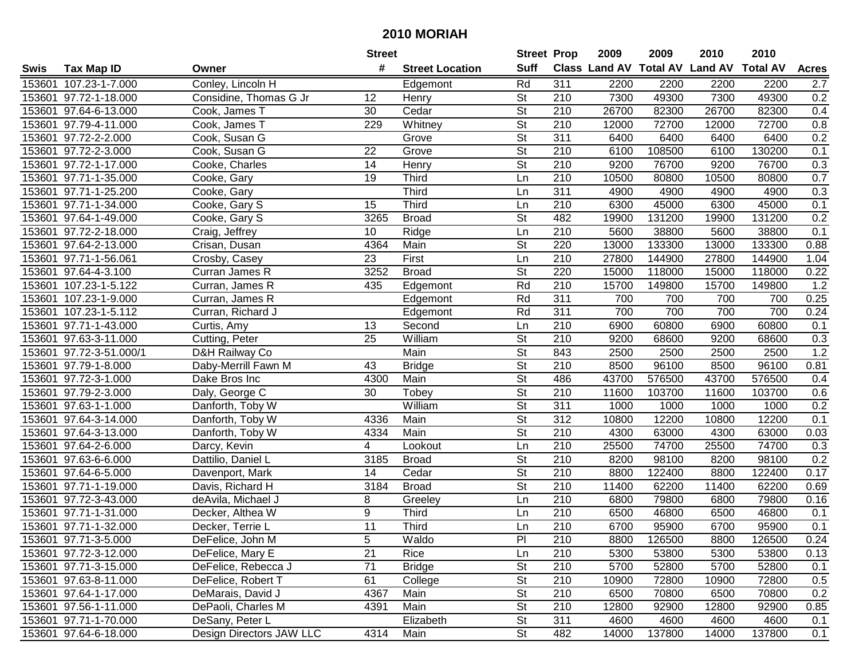|        |                         |                          | <b>Street</b>   |                        | <b>Street Prop</b>       |                  | 2009                          | 2009   | 2010           | 2010            |              |
|--------|-------------------------|--------------------------|-----------------|------------------------|--------------------------|------------------|-------------------------------|--------|----------------|-----------------|--------------|
| Swis   | <b>Tax Map ID</b>       | Owner                    | #               | <b>Street Location</b> | <b>Suff</b>              |                  | <b>Class Land AV Total AV</b> |        | <b>Land AV</b> | <b>Total AV</b> | <b>Acres</b> |
|        | 153601 107.23-1-7.000   | Conley, Lincoln H        |                 | Edgemont               | Rd                       | 311              | 2200                          | 2200   | 2200           | 2200            | 2.7          |
|        | 153601 97.72-1-18.000   | Considine, Thomas G Jr   | 12              | Henry                  | <b>St</b>                | 210              | 7300                          | 49300  | 7300           | 49300           | 0.2          |
|        | 153601 97.64-6-13.000   | Cook, James T            | 30              | Cedar                  | St                       | 210              | 26700                         | 82300  | 26700          | 82300           | 0.4          |
|        | 153601 97.79-4-11.000   | Cook, James T            | 229             | Whitney                | $\overline{\mathsf{St}}$ | 210              | 12000                         | 72700  | 12000          | 72700           | 0.8          |
|        | 153601 97.72-2-2.000    | Cook, Susan G            |                 | Grove                  | <b>St</b>                | $\overline{311}$ | 6400                          | 6400   | 6400           | 6400            | 0.2          |
|        | 153601 97.72-2-3.000    | Cook, Susan G            | $\overline{22}$ | Grove                  | $\overline{\mathsf{St}}$ | 210              | 6100                          | 108500 | 6100           | 130200          | 0.1          |
|        | 153601 97.72-1-17.000   | Cooke, Charles           | 14              | Henry                  | <b>St</b>                | 210              | 9200                          | 76700  | 9200           | 76700           | 0.3          |
|        | 153601 97.71-1-35.000   | Cooke, Gary              | $\overline{19}$ | Third                  | Ln                       | 210              | 10500                         | 80800  | 10500          | 80800           | 0.7          |
|        | 153601 97.71-1-25.200   | Cooke, Gary              |                 | Third                  | Ln                       | 311              | 4900                          | 4900   | 4900           | 4900            | 0.3          |
|        | 153601 97.71-1-34.000   | Cooke, Gary S            | 15              | <b>Third</b>           | Ln                       | 210              | 6300                          | 45000  | 6300           | 45000           | 0.1          |
|        | 153601 97.64-1-49.000   | Cooke, Gary S            | 3265            | <b>Broad</b>           | $\overline{\mathsf{St}}$ | 482              | 19900                         | 131200 | 19900          | 131200          | 0.2          |
|        | 153601 97.72-2-18.000   | Craig, Jeffrey           | 10              | Ridge                  | Ln                       | 210              | 5600                          | 38800  | 5600           | 38800           | 0.1          |
|        | 153601 97.64-2-13.000   | Crisan, Dusan            | 4364            | Main                   | $\overline{\mathsf{St}}$ | 220              | 13000                         | 133300 | 13000          | 133300          | 0.88         |
|        | 153601 97.71-1-56.061   | Crosby, Casey            | 23              | First                  | Ln                       | 210              | 27800                         | 144900 | 27800          | 144900          | 1.04         |
|        | 153601 97.64-4-3.100    | Curran James R           | 3252            | <b>Broad</b>           | $\overline{\mathsf{St}}$ | 220              | 15000                         | 118000 | 15000          | 118000          | 0.22         |
|        | 153601 107.23-1-5.122   | Curran, James R          | 435             | Edgemont               | Rd                       | 210              | 15700                         | 149800 | 15700          | 149800          | 1.2          |
|        | 153601 107.23-1-9.000   | Curran, James R          |                 | Edgemont               | Rd                       | 311              | 700                           | 700    | 700            | 700             | 0.25         |
|        | 153601 107.23-1-5.112   | Curran, Richard J        |                 | Edgemont               | Rd                       | 311              | 700                           | 700    | 700            | 700             | 0.24         |
|        | 153601 97.71-1-43.000   | Curtis, Amy              | 13              | Second                 | Ln                       | 210              | 6900                          | 60800  | 6900           | 60800           | 0.1          |
|        | 153601 97.63-3-11.000   | Cutting, Peter           | 25              | William                | St                       | 210              | 9200                          | 68600  | 9200           | 68600           | 0.3          |
|        | 153601 97.72-3-51.000/1 | D&H Railway Co           |                 | Main                   | $\overline{\mathsf{St}}$ | 843              | 2500                          | 2500   | 2500           | 2500            | 1.2          |
| 153601 | 97.79-1-8.000           | Daby-Merrill Fawn M      | 43              | <b>Bridge</b>          | <b>St</b>                | 210              | 8500                          | 96100  | 8500           | 96100           | 0.81         |
| 153601 | 97.72-3-1.000           | Dake Bros Inc            | 4300            | Main                   | St                       | 486              | 43700                         | 576500 | 43700          | 576500          | 0.4          |
| 153601 | 97.79-2-3.000           | Daly, George C           | 30              | Tobey                  | St                       | 210              | 11600                         | 103700 | 11600          | 103700          | 0.6          |
|        | 153601 97.63-1-1.000    | Danforth, Toby W         |                 | William                | $\overline{\mathsf{St}}$ | 311              | 1000                          | 1000   | 1000           | 1000            | 0.2          |
|        | 153601 97.64-3-14.000   | Danforth, Toby W         | 4336            | Main                   | $\overline{\mathsf{St}}$ | 312              | 10800                         | 12200  | 10800          | 12200           | 0.1          |
|        | 153601 97.64-3-13.000   | Danforth, Toby W         | 4334            | Main                   | $\overline{\mathsf{St}}$ | 210              | 4300                          | 63000  | 4300           | 63000           | 0.03         |
|        | 153601 97.64-2-6.000    | Darcy, Kevin             | 4               | Lookout                | Ln                       | 210              | 25500                         | 74700  | 25500          | 74700           | 0.3          |
|        | 153601 97.63-6-6.000    | Dattilio, Daniel L       | 3185            | <b>Broad</b>           | $\overline{\mathsf{St}}$ | 210              | 8200                          | 98100  | 8200           | 98100           | 0.2          |
|        | 153601 97.64-6-5.000    | Davenport, Mark          | 14              | Cedar                  | $\overline{St}$          | $\overline{210}$ | 8800                          | 122400 | 8800           | 122400          | 0.17         |
|        | 153601 97.71-1-19.000   | Davis, Richard H         | 3184            | <b>Broad</b>           | $\overline{\mathsf{St}}$ | 210              | 11400                         | 62200  | 11400          | 62200           | 0.69         |
|        | 153601 97.72-3-43.000   | deAvila, Michael J       | 8               | Greeley                | Ln                       | 210              | 6800                          | 79800  | 6800           | 79800           | 0.16         |
|        | 153601 97.71-1-31.000   | Decker, Althea W         | $\overline{9}$  | <b>Third</b>           | Ln                       | 210              | 6500                          | 46800  | 6500           | 46800           | 0.1          |
|        | 153601 97.71-1-32.000   | Decker, Terrie L         | 11              | <b>Third</b>           | Ln                       | $\overline{210}$ | 6700                          | 95900  | 6700           | 95900           | 0.1          |
|        | 153601 97.71-3-5.000    | DeFelice, John M         | 5               | Waldo                  | PI                       | 210              | 8800                          | 126500 | 8800           | 126500          | 0.24         |
|        | 153601 97.72-3-12.000   | DeFelice, Mary E         | 21              | Rice                   | Ln                       | 210              | 5300                          | 53800  | 5300           | 53800           | 0.13         |
|        | 153601 97.71-3-15.000   | DeFelice, Rebecca J      | 71              | <b>Bridge</b>          | <b>St</b>                | 210              | 5700                          | 52800  | 5700           | 52800           | 0.1          |
|        | 153601 97.63-8-11.000   | DeFelice, Robert T       | 61              | College                | <b>St</b>                | 210              | 10900                         | 72800  | 10900          | 72800           | 0.5          |
|        | 153601 97.64-1-17.000   | DeMarais, David J        | 4367            | Main                   | <b>St</b>                | 210              | 6500                          | 70800  | 6500           | 70800           | 0.2          |
|        | 153601 97.56-1-11.000   | DePaoli, Charles M       | 4391            | Main                   | <b>St</b>                | 210              | 12800                         | 92900  | 12800          | 92900           | 0.85         |
|        | 153601 97.71-1-70.000   | DeSany, Peter L          |                 | Elizabeth              | <b>St</b>                | 311              | 4600                          | 4600   | 4600           | 4600            | 0.1          |
|        | 153601 97.64-6-18.000   | Design Directors JAW LLC | 4314            | Main                   | $\overline{\mathsf{St}}$ | 482              | 14000                         | 137800 | 14000          | 137800          | 0.1          |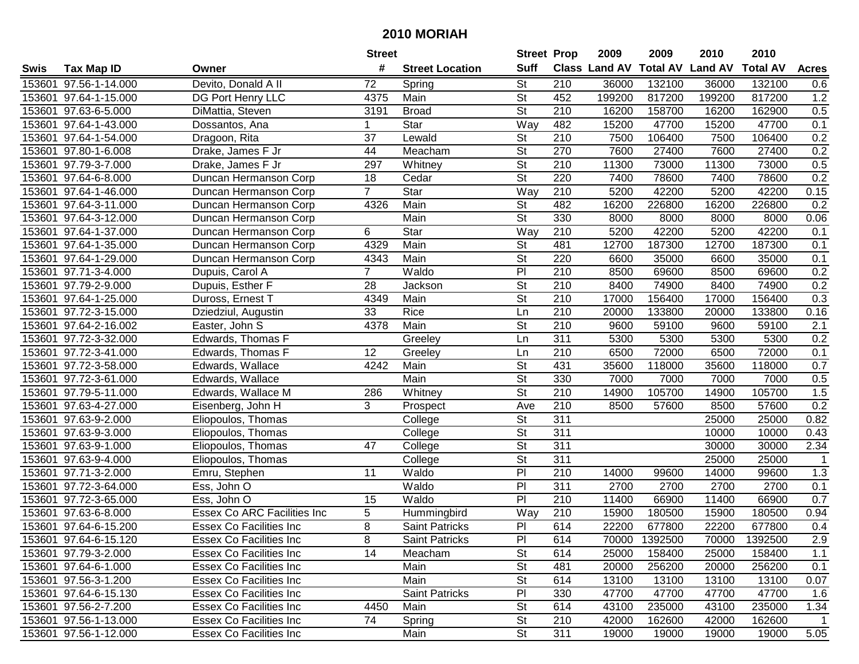| #<br><b>Suff</b><br>Class Land AV<br><b>Total AV</b><br><b>Land AV</b><br><b>Total AV</b><br><b>Tax Map ID</b><br><b>Street Location</b><br><b>Acres</b><br>Swis<br>Owner<br>Devito, Donald A II<br>St<br>153601 97.56-1-14.000<br>72<br>210<br>36000<br>132100<br>36000<br>132100<br>Spring<br>0.6<br>$\overline{\mathsf{St}}$<br>452<br>817200<br>1.2<br>153601 97.64-1-15.000<br>DG Port Henry LLC<br>4375<br>Main<br>199200<br>199200<br>817200<br><b>St</b><br>0.5<br>153601 97.63-6-5.000<br>DiMattia, Steven<br>3191<br><b>Broad</b><br>210<br>16200<br>158700<br>16200<br>162900<br>Star<br>Way<br>482<br>15200<br>47700<br>15200<br>47700<br>0.1<br>153601 97.64-1-43.000<br>Dossantos, Ana<br>1<br>$\overline{37}$<br>0.2<br>153601 97.64-1-54.000<br>Dragoon, Rita<br>Lewald<br><b>St</b><br>210<br>7500<br>106400<br>7500<br>106400<br>$\overline{\mathsf{St}}$<br>270<br>7600<br>0.2<br>153601 97.80-1-6.008<br>Drake, James F Jr<br>44<br>Meacham<br>27400<br>7600<br>27400<br>0.5<br>153601 97.79-3-7.000<br>297<br><b>St</b><br>210<br>11300<br>73000<br>11300<br>73000<br>Drake, James F Jr<br>Whitney<br>$\overline{\mathsf{St}}$<br>220<br>0.2<br>153601 97.64-6-8.000<br>$\overline{18}$<br>Cedar<br>7400<br>78600<br>7400<br>78600<br>Duncan Hermanson Corp<br>$\overline{7}$<br>Star<br>$\overline{210}$<br>5200<br>42200<br>0.15<br>153601 97.64-1-46.000<br>Way<br>42200<br>5200<br>Duncan Hermanson Corp<br>$\overline{\mathsf{St}}$<br>482<br>Main<br>16200<br>226800<br>0.2<br>153601 97.64-3-11.000<br>4326<br>16200<br>226800<br>Duncan Hermanson Corp<br>$\overline{\mathsf{St}}$<br>330<br>153601 97.64-3-12.000<br>Main<br>8000<br>8000<br>8000<br>8000<br>0.06<br>Duncan Hermanson Corp<br>Star<br>42200<br>153601 97.64-1-37.000<br>6<br>Way<br>210<br>5200<br>42200<br>5200<br>0.1<br>Duncan Hermanson Corp<br>Main<br>$\overline{\mathsf{St}}$<br>481<br>0.1<br>153601 97.64-1-35.000<br>4329<br>12700<br>187300<br>12700<br>187300<br>Duncan Hermanson Corp<br>Main<br><b>St</b><br>220<br>153601 97.64-1-29.000<br>4343<br>6600<br>35000<br>35000<br>0.1<br>Duncan Hermanson Corp<br>6600<br>PI<br>$\overline{7}$<br>Waldo<br>210<br>0.2<br>153601 97.71-3-4.000<br>Dupuis, Carol A<br>8500<br>69600<br>8500<br>69600<br>28<br><b>St</b><br>210<br>0.2<br>153601 97.79-2-9.000<br>Dupuis, Esther F<br>8400<br>74900<br>8400<br>74900<br>Jackson<br>$\overline{St}$<br>$\overline{210}$<br>0.3<br>Main<br>153601 97.64-1-25.000<br>Duross, Ernest T<br>4349<br>17000<br>156400<br>17000<br>156400<br>33<br>Rice<br>210<br>0.16<br>153601 97.72-3-15.000<br>Ln<br>20000<br>133800<br>133800<br>Dziedziul, Augustin<br>20000<br>Main<br><b>St</b><br>210<br>2.1<br>153601 97.64-2-16.002<br>Easter, John S<br>4378<br>9600<br>59100<br>9600<br>59100<br>311<br>5300<br>0.2<br>153601 97.72-3-32.000<br>Edwards, Thomas F<br>5300<br>5300<br>5300<br>Greeley<br>Ln<br>153601 97.72-3-41.000<br>12<br>210<br>6500<br>6500<br>72000<br>0.1<br>Edwards, Thomas F<br>Greeley<br>Ln<br>72000<br>4242<br><b>St</b><br>431<br>0.7<br>153601 97.72-3-58.000<br>Edwards, Wallace<br>Main<br>35600<br>118000<br>35600<br>118000<br><b>St</b><br>330<br>0.5<br>97.72-3-61.000<br>Edwards, Wallace<br>Main<br>7000<br>7000<br>7000<br>7000<br>153601<br><b>St</b><br>105700<br>105700<br>1.5<br>97.79-5-11.000<br>286<br>Whitney<br>210<br>14900<br>14900<br>153601<br>Edwards, Wallace M<br>3<br>$\overline{210}$<br>0.2<br>153601 97.63-4-27.000<br>Ave<br>8500<br>57600<br>Eisenberg, John H<br>57600<br>8500<br>Prospect<br>$\overline{\mathsf{St}}$<br>153601 97.63-9-2.000<br>311<br>0.82<br>Eliopoulos, Thomas<br>College<br>25000<br>25000<br>$\overline{\mathsf{St}}$<br>311<br>Eliopoulos, Thomas<br>153601 97.63-9-3.000<br>College<br>10000<br>10000<br>0.43<br>$\overline{\mathsf{St}}$<br>311<br>153601 97.63-9-1.000<br>Eliopoulos, Thomas<br>47<br>30000<br>30000<br>2.34<br>College<br>311<br>$\overline{\mathsf{St}}$<br>153601 97.63-9-4.000<br>25000<br>25000<br>Eliopoulos, Thomas<br>College<br>$\overline{P}$<br>210<br>99600<br>1.3<br>153601 97.71-3-2.000<br>11<br>Waldo<br>14000<br>99600<br>14000<br>Emru, Stephen<br>$\overline{P}$<br>311<br>153601 97.72-3-64.000<br>Waldo<br>2700<br>2700<br>2700<br>2700<br>0.1<br>Ess, John O<br>PI<br>$\overline{210}$<br>0.7<br>153601 97.72-3-65.000<br>Waldo<br>66900<br>11400<br>66900<br>Ess, John O<br>15<br>11400<br>5<br>Way<br>$\overline{210}$<br>0.94<br>153601 97.63-6-8.000<br><b>Essex Co ARC Facilities Inc</b><br>15900<br>180500<br>15900<br>180500<br>Hummingbird<br>8<br>PI<br>614<br>153601 97.64-6-15.200<br><b>Essex Co Facilities Inc</b><br>Saint Patricks<br>22200<br>677800<br>22200<br>677800<br>0.4<br>153601 97.64-6-15.120<br>Essex Co Facilities Inc<br>8<br><b>Saint Patricks</b><br>PI<br>614<br>70000 1392500<br>1392500<br>2.9<br>70000<br><b>St</b><br>153601 97.79-3-2.000<br>14<br>614<br>158400<br>1.1<br>Essex Co Facilities Inc<br>Meacham<br>25000<br>25000<br>158400<br><b>St</b><br>153601 97.64-6-1.000<br><b>Essex Co Facilities Inc.</b><br>Main<br>481<br>20000<br>256200<br>20000<br>256200<br>0.1<br><b>St</b><br>614<br>13100<br>13100<br>153601 97.56-3-1.200<br><b>Essex Co Facilities Inc.</b><br>Main<br>13100<br>13100<br>0.07<br>Saint Patricks<br>PI<br>153601 97.64-6-15.130<br><b>Essex Co Facilities Inc.</b><br>330<br>47700<br>47700<br>47700<br>47700<br>1.6<br><b>St</b><br>153601 97.56-2-7.200<br><b>Essex Co Facilities Inc.</b><br>4450<br>Main<br>614<br>43100<br>235000<br>43100<br>235000<br>1.34<br>153601 97.56-1-13.000<br>74<br><b>St</b><br>42000<br>162600<br>162600<br>Essex Co Facilities Inc<br>210<br>42000<br>Spring<br>-1<br>153601 97.56-1-12.000 |  |                         | <b>Street</b> |      | <b>Street Prop</b> |     | 2009  | 2009  | 2010  | 2010  |      |
|---------------------------------------------------------------------------------------------------------------------------------------------------------------------------------------------------------------------------------------------------------------------------------------------------------------------------------------------------------------------------------------------------------------------------------------------------------------------------------------------------------------------------------------------------------------------------------------------------------------------------------------------------------------------------------------------------------------------------------------------------------------------------------------------------------------------------------------------------------------------------------------------------------------------------------------------------------------------------------------------------------------------------------------------------------------------------------------------------------------------------------------------------------------------------------------------------------------------------------------------------------------------------------------------------------------------------------------------------------------------------------------------------------------------------------------------------------------------------------------------------------------------------------------------------------------------------------------------------------------------------------------------------------------------------------------------------------------------------------------------------------------------------------------------------------------------------------------------------------------------------------------------------------------------------------------------------------------------------------------------------------------------------------------------------------------------------------------------------------------------------------------------------------------------------------------------------------------------------------------------------------------------------------------------------------------------------------------------------------------------------------------------------------------------------------------------------------------------------------------------------------------------------------------------------------------------------------------------------------------------------------------------------------------------------------------------------------------------------------------------------------------------------------------------------------------------------------------------------------------------------------------------------------------------------------------------------------------------------------------------------------------------------------------------------------------------------------------------------------------------------------------------------------------------------------------------------------------------------------------------------------------------------------------------------------------------------------------------------------------------------------------------------------------------------------------------------------------------------------------------------------------------------------------------------------------------------------------------------------------------------------------------------------------------------------------------------------------------------------------------------------------------------------------------------------------------------------------------------------------------------------------------------------------------------------------------------------------------------------------------------------------------------------------------------------------------------------------------------------------------------------------------------------------------------------------------------------------------------------------------------------------------------------------------------------------------------------------------------------------------------------------------------------------------------------------------------------------------------------------------------------------------------------------------------------------------------------------------------------------------------------------------------------------------------------------------------------------------------------------------------------------------------------------------------------------------------------------------------------------------------------------------------------------------------------------------------------------------------------------------------------------------------------------------------------------------------------------------------------------------------------------------------------------------------------------------------------------------------------------------------------------------------------------------------------------------------------------------------------------------------------------------------------------------------------------------------------------------------------------------------------------------------------------------------------------------------------------------------------------------------------------------------------------------------------------------------------------------------------|--|-------------------------|---------------|------|--------------------|-----|-------|-------|-------|-------|------|
|                                                                                                                                                                                                                                                                                                                                                                                                                                                                                                                                                                                                                                                                                                                                                                                                                                                                                                                                                                                                                                                                                                                                                                                                                                                                                                                                                                                                                                                                                                                                                                                                                                                                                                                                                                                                                                                                                                                                                                                                                                                                                                                                                                                                                                                                                                                                                                                                                                                                                                                                                                                                                                                                                                                                                                                                                                                                                                                                                                                                                                                                                                                                                                                                                                                                                                                                                                                                                                                                                                                                                                                                                                                                                                                                                                                                                                                                                                                                                                                                                                                                                                                                                                                                                                                                                                                                                                                                                                                                                                                                                                                                                                                                                                                                                                                                                                                                                                                                                                                                                                                                                                                                                                                                                                                                                                                                                                                                                                                                                                                                                                                                                                                                                                                                 |  |                         |               |      |                    |     |       |       |       |       |      |
|                                                                                                                                                                                                                                                                                                                                                                                                                                                                                                                                                                                                                                                                                                                                                                                                                                                                                                                                                                                                                                                                                                                                                                                                                                                                                                                                                                                                                                                                                                                                                                                                                                                                                                                                                                                                                                                                                                                                                                                                                                                                                                                                                                                                                                                                                                                                                                                                                                                                                                                                                                                                                                                                                                                                                                                                                                                                                                                                                                                                                                                                                                                                                                                                                                                                                                                                                                                                                                                                                                                                                                                                                                                                                                                                                                                                                                                                                                                                                                                                                                                                                                                                                                                                                                                                                                                                                                                                                                                                                                                                                                                                                                                                                                                                                                                                                                                                                                                                                                                                                                                                                                                                                                                                                                                                                                                                                                                                                                                                                                                                                                                                                                                                                                                                 |  |                         |               |      |                    |     |       |       |       |       |      |
|                                                                                                                                                                                                                                                                                                                                                                                                                                                                                                                                                                                                                                                                                                                                                                                                                                                                                                                                                                                                                                                                                                                                                                                                                                                                                                                                                                                                                                                                                                                                                                                                                                                                                                                                                                                                                                                                                                                                                                                                                                                                                                                                                                                                                                                                                                                                                                                                                                                                                                                                                                                                                                                                                                                                                                                                                                                                                                                                                                                                                                                                                                                                                                                                                                                                                                                                                                                                                                                                                                                                                                                                                                                                                                                                                                                                                                                                                                                                                                                                                                                                                                                                                                                                                                                                                                                                                                                                                                                                                                                                                                                                                                                                                                                                                                                                                                                                                                                                                                                                                                                                                                                                                                                                                                                                                                                                                                                                                                                                                                                                                                                                                                                                                                                                 |  |                         |               |      |                    |     |       |       |       |       |      |
|                                                                                                                                                                                                                                                                                                                                                                                                                                                                                                                                                                                                                                                                                                                                                                                                                                                                                                                                                                                                                                                                                                                                                                                                                                                                                                                                                                                                                                                                                                                                                                                                                                                                                                                                                                                                                                                                                                                                                                                                                                                                                                                                                                                                                                                                                                                                                                                                                                                                                                                                                                                                                                                                                                                                                                                                                                                                                                                                                                                                                                                                                                                                                                                                                                                                                                                                                                                                                                                                                                                                                                                                                                                                                                                                                                                                                                                                                                                                                                                                                                                                                                                                                                                                                                                                                                                                                                                                                                                                                                                                                                                                                                                                                                                                                                                                                                                                                                                                                                                                                                                                                                                                                                                                                                                                                                                                                                                                                                                                                                                                                                                                                                                                                                                                 |  |                         |               |      |                    |     |       |       |       |       |      |
|                                                                                                                                                                                                                                                                                                                                                                                                                                                                                                                                                                                                                                                                                                                                                                                                                                                                                                                                                                                                                                                                                                                                                                                                                                                                                                                                                                                                                                                                                                                                                                                                                                                                                                                                                                                                                                                                                                                                                                                                                                                                                                                                                                                                                                                                                                                                                                                                                                                                                                                                                                                                                                                                                                                                                                                                                                                                                                                                                                                                                                                                                                                                                                                                                                                                                                                                                                                                                                                                                                                                                                                                                                                                                                                                                                                                                                                                                                                                                                                                                                                                                                                                                                                                                                                                                                                                                                                                                                                                                                                                                                                                                                                                                                                                                                                                                                                                                                                                                                                                                                                                                                                                                                                                                                                                                                                                                                                                                                                                                                                                                                                                                                                                                                                                 |  |                         |               |      |                    |     |       |       |       |       |      |
|                                                                                                                                                                                                                                                                                                                                                                                                                                                                                                                                                                                                                                                                                                                                                                                                                                                                                                                                                                                                                                                                                                                                                                                                                                                                                                                                                                                                                                                                                                                                                                                                                                                                                                                                                                                                                                                                                                                                                                                                                                                                                                                                                                                                                                                                                                                                                                                                                                                                                                                                                                                                                                                                                                                                                                                                                                                                                                                                                                                                                                                                                                                                                                                                                                                                                                                                                                                                                                                                                                                                                                                                                                                                                                                                                                                                                                                                                                                                                                                                                                                                                                                                                                                                                                                                                                                                                                                                                                                                                                                                                                                                                                                                                                                                                                                                                                                                                                                                                                                                                                                                                                                                                                                                                                                                                                                                                                                                                                                                                                                                                                                                                                                                                                                                 |  |                         |               |      |                    |     |       |       |       |       |      |
|                                                                                                                                                                                                                                                                                                                                                                                                                                                                                                                                                                                                                                                                                                                                                                                                                                                                                                                                                                                                                                                                                                                                                                                                                                                                                                                                                                                                                                                                                                                                                                                                                                                                                                                                                                                                                                                                                                                                                                                                                                                                                                                                                                                                                                                                                                                                                                                                                                                                                                                                                                                                                                                                                                                                                                                                                                                                                                                                                                                                                                                                                                                                                                                                                                                                                                                                                                                                                                                                                                                                                                                                                                                                                                                                                                                                                                                                                                                                                                                                                                                                                                                                                                                                                                                                                                                                                                                                                                                                                                                                                                                                                                                                                                                                                                                                                                                                                                                                                                                                                                                                                                                                                                                                                                                                                                                                                                                                                                                                                                                                                                                                                                                                                                                                 |  |                         |               |      |                    |     |       |       |       |       |      |
|                                                                                                                                                                                                                                                                                                                                                                                                                                                                                                                                                                                                                                                                                                                                                                                                                                                                                                                                                                                                                                                                                                                                                                                                                                                                                                                                                                                                                                                                                                                                                                                                                                                                                                                                                                                                                                                                                                                                                                                                                                                                                                                                                                                                                                                                                                                                                                                                                                                                                                                                                                                                                                                                                                                                                                                                                                                                                                                                                                                                                                                                                                                                                                                                                                                                                                                                                                                                                                                                                                                                                                                                                                                                                                                                                                                                                                                                                                                                                                                                                                                                                                                                                                                                                                                                                                                                                                                                                                                                                                                                                                                                                                                                                                                                                                                                                                                                                                                                                                                                                                                                                                                                                                                                                                                                                                                                                                                                                                                                                                                                                                                                                                                                                                                                 |  |                         |               |      |                    |     |       |       |       |       |      |
|                                                                                                                                                                                                                                                                                                                                                                                                                                                                                                                                                                                                                                                                                                                                                                                                                                                                                                                                                                                                                                                                                                                                                                                                                                                                                                                                                                                                                                                                                                                                                                                                                                                                                                                                                                                                                                                                                                                                                                                                                                                                                                                                                                                                                                                                                                                                                                                                                                                                                                                                                                                                                                                                                                                                                                                                                                                                                                                                                                                                                                                                                                                                                                                                                                                                                                                                                                                                                                                                                                                                                                                                                                                                                                                                                                                                                                                                                                                                                                                                                                                                                                                                                                                                                                                                                                                                                                                                                                                                                                                                                                                                                                                                                                                                                                                                                                                                                                                                                                                                                                                                                                                                                                                                                                                                                                                                                                                                                                                                                                                                                                                                                                                                                                                                 |  |                         |               |      |                    |     |       |       |       |       |      |
|                                                                                                                                                                                                                                                                                                                                                                                                                                                                                                                                                                                                                                                                                                                                                                                                                                                                                                                                                                                                                                                                                                                                                                                                                                                                                                                                                                                                                                                                                                                                                                                                                                                                                                                                                                                                                                                                                                                                                                                                                                                                                                                                                                                                                                                                                                                                                                                                                                                                                                                                                                                                                                                                                                                                                                                                                                                                                                                                                                                                                                                                                                                                                                                                                                                                                                                                                                                                                                                                                                                                                                                                                                                                                                                                                                                                                                                                                                                                                                                                                                                                                                                                                                                                                                                                                                                                                                                                                                                                                                                                                                                                                                                                                                                                                                                                                                                                                                                                                                                                                                                                                                                                                                                                                                                                                                                                                                                                                                                                                                                                                                                                                                                                                                                                 |  |                         |               |      |                    |     |       |       |       |       |      |
|                                                                                                                                                                                                                                                                                                                                                                                                                                                                                                                                                                                                                                                                                                                                                                                                                                                                                                                                                                                                                                                                                                                                                                                                                                                                                                                                                                                                                                                                                                                                                                                                                                                                                                                                                                                                                                                                                                                                                                                                                                                                                                                                                                                                                                                                                                                                                                                                                                                                                                                                                                                                                                                                                                                                                                                                                                                                                                                                                                                                                                                                                                                                                                                                                                                                                                                                                                                                                                                                                                                                                                                                                                                                                                                                                                                                                                                                                                                                                                                                                                                                                                                                                                                                                                                                                                                                                                                                                                                                                                                                                                                                                                                                                                                                                                                                                                                                                                                                                                                                                                                                                                                                                                                                                                                                                                                                                                                                                                                                                                                                                                                                                                                                                                                                 |  |                         |               |      |                    |     |       |       |       |       |      |
|                                                                                                                                                                                                                                                                                                                                                                                                                                                                                                                                                                                                                                                                                                                                                                                                                                                                                                                                                                                                                                                                                                                                                                                                                                                                                                                                                                                                                                                                                                                                                                                                                                                                                                                                                                                                                                                                                                                                                                                                                                                                                                                                                                                                                                                                                                                                                                                                                                                                                                                                                                                                                                                                                                                                                                                                                                                                                                                                                                                                                                                                                                                                                                                                                                                                                                                                                                                                                                                                                                                                                                                                                                                                                                                                                                                                                                                                                                                                                                                                                                                                                                                                                                                                                                                                                                                                                                                                                                                                                                                                                                                                                                                                                                                                                                                                                                                                                                                                                                                                                                                                                                                                                                                                                                                                                                                                                                                                                                                                                                                                                                                                                                                                                                                                 |  |                         |               |      |                    |     |       |       |       |       |      |
|                                                                                                                                                                                                                                                                                                                                                                                                                                                                                                                                                                                                                                                                                                                                                                                                                                                                                                                                                                                                                                                                                                                                                                                                                                                                                                                                                                                                                                                                                                                                                                                                                                                                                                                                                                                                                                                                                                                                                                                                                                                                                                                                                                                                                                                                                                                                                                                                                                                                                                                                                                                                                                                                                                                                                                                                                                                                                                                                                                                                                                                                                                                                                                                                                                                                                                                                                                                                                                                                                                                                                                                                                                                                                                                                                                                                                                                                                                                                                                                                                                                                                                                                                                                                                                                                                                                                                                                                                                                                                                                                                                                                                                                                                                                                                                                                                                                                                                                                                                                                                                                                                                                                                                                                                                                                                                                                                                                                                                                                                                                                                                                                                                                                                                                                 |  |                         |               |      |                    |     |       |       |       |       |      |
|                                                                                                                                                                                                                                                                                                                                                                                                                                                                                                                                                                                                                                                                                                                                                                                                                                                                                                                                                                                                                                                                                                                                                                                                                                                                                                                                                                                                                                                                                                                                                                                                                                                                                                                                                                                                                                                                                                                                                                                                                                                                                                                                                                                                                                                                                                                                                                                                                                                                                                                                                                                                                                                                                                                                                                                                                                                                                                                                                                                                                                                                                                                                                                                                                                                                                                                                                                                                                                                                                                                                                                                                                                                                                                                                                                                                                                                                                                                                                                                                                                                                                                                                                                                                                                                                                                                                                                                                                                                                                                                                                                                                                                                                                                                                                                                                                                                                                                                                                                                                                                                                                                                                                                                                                                                                                                                                                                                                                                                                                                                                                                                                                                                                                                                                 |  |                         |               |      |                    |     |       |       |       |       |      |
|                                                                                                                                                                                                                                                                                                                                                                                                                                                                                                                                                                                                                                                                                                                                                                                                                                                                                                                                                                                                                                                                                                                                                                                                                                                                                                                                                                                                                                                                                                                                                                                                                                                                                                                                                                                                                                                                                                                                                                                                                                                                                                                                                                                                                                                                                                                                                                                                                                                                                                                                                                                                                                                                                                                                                                                                                                                                                                                                                                                                                                                                                                                                                                                                                                                                                                                                                                                                                                                                                                                                                                                                                                                                                                                                                                                                                                                                                                                                                                                                                                                                                                                                                                                                                                                                                                                                                                                                                                                                                                                                                                                                                                                                                                                                                                                                                                                                                                                                                                                                                                                                                                                                                                                                                                                                                                                                                                                                                                                                                                                                                                                                                                                                                                                                 |  |                         |               |      |                    |     |       |       |       |       |      |
|                                                                                                                                                                                                                                                                                                                                                                                                                                                                                                                                                                                                                                                                                                                                                                                                                                                                                                                                                                                                                                                                                                                                                                                                                                                                                                                                                                                                                                                                                                                                                                                                                                                                                                                                                                                                                                                                                                                                                                                                                                                                                                                                                                                                                                                                                                                                                                                                                                                                                                                                                                                                                                                                                                                                                                                                                                                                                                                                                                                                                                                                                                                                                                                                                                                                                                                                                                                                                                                                                                                                                                                                                                                                                                                                                                                                                                                                                                                                                                                                                                                                                                                                                                                                                                                                                                                                                                                                                                                                                                                                                                                                                                                                                                                                                                                                                                                                                                                                                                                                                                                                                                                                                                                                                                                                                                                                                                                                                                                                                                                                                                                                                                                                                                                                 |  |                         |               |      |                    |     |       |       |       |       |      |
|                                                                                                                                                                                                                                                                                                                                                                                                                                                                                                                                                                                                                                                                                                                                                                                                                                                                                                                                                                                                                                                                                                                                                                                                                                                                                                                                                                                                                                                                                                                                                                                                                                                                                                                                                                                                                                                                                                                                                                                                                                                                                                                                                                                                                                                                                                                                                                                                                                                                                                                                                                                                                                                                                                                                                                                                                                                                                                                                                                                                                                                                                                                                                                                                                                                                                                                                                                                                                                                                                                                                                                                                                                                                                                                                                                                                                                                                                                                                                                                                                                                                                                                                                                                                                                                                                                                                                                                                                                                                                                                                                                                                                                                                                                                                                                                                                                                                                                                                                                                                                                                                                                                                                                                                                                                                                                                                                                                                                                                                                                                                                                                                                                                                                                                                 |  |                         |               |      |                    |     |       |       |       |       |      |
|                                                                                                                                                                                                                                                                                                                                                                                                                                                                                                                                                                                                                                                                                                                                                                                                                                                                                                                                                                                                                                                                                                                                                                                                                                                                                                                                                                                                                                                                                                                                                                                                                                                                                                                                                                                                                                                                                                                                                                                                                                                                                                                                                                                                                                                                                                                                                                                                                                                                                                                                                                                                                                                                                                                                                                                                                                                                                                                                                                                                                                                                                                                                                                                                                                                                                                                                                                                                                                                                                                                                                                                                                                                                                                                                                                                                                                                                                                                                                                                                                                                                                                                                                                                                                                                                                                                                                                                                                                                                                                                                                                                                                                                                                                                                                                                                                                                                                                                                                                                                                                                                                                                                                                                                                                                                                                                                                                                                                                                                                                                                                                                                                                                                                                                                 |  |                         |               |      |                    |     |       |       |       |       |      |
|                                                                                                                                                                                                                                                                                                                                                                                                                                                                                                                                                                                                                                                                                                                                                                                                                                                                                                                                                                                                                                                                                                                                                                                                                                                                                                                                                                                                                                                                                                                                                                                                                                                                                                                                                                                                                                                                                                                                                                                                                                                                                                                                                                                                                                                                                                                                                                                                                                                                                                                                                                                                                                                                                                                                                                                                                                                                                                                                                                                                                                                                                                                                                                                                                                                                                                                                                                                                                                                                                                                                                                                                                                                                                                                                                                                                                                                                                                                                                                                                                                                                                                                                                                                                                                                                                                                                                                                                                                                                                                                                                                                                                                                                                                                                                                                                                                                                                                                                                                                                                                                                                                                                                                                                                                                                                                                                                                                                                                                                                                                                                                                                                                                                                                                                 |  |                         |               |      |                    |     |       |       |       |       |      |
|                                                                                                                                                                                                                                                                                                                                                                                                                                                                                                                                                                                                                                                                                                                                                                                                                                                                                                                                                                                                                                                                                                                                                                                                                                                                                                                                                                                                                                                                                                                                                                                                                                                                                                                                                                                                                                                                                                                                                                                                                                                                                                                                                                                                                                                                                                                                                                                                                                                                                                                                                                                                                                                                                                                                                                                                                                                                                                                                                                                                                                                                                                                                                                                                                                                                                                                                                                                                                                                                                                                                                                                                                                                                                                                                                                                                                                                                                                                                                                                                                                                                                                                                                                                                                                                                                                                                                                                                                                                                                                                                                                                                                                                                                                                                                                                                                                                                                                                                                                                                                                                                                                                                                                                                                                                                                                                                                                                                                                                                                                                                                                                                                                                                                                                                 |  |                         |               |      |                    |     |       |       |       |       |      |
|                                                                                                                                                                                                                                                                                                                                                                                                                                                                                                                                                                                                                                                                                                                                                                                                                                                                                                                                                                                                                                                                                                                                                                                                                                                                                                                                                                                                                                                                                                                                                                                                                                                                                                                                                                                                                                                                                                                                                                                                                                                                                                                                                                                                                                                                                                                                                                                                                                                                                                                                                                                                                                                                                                                                                                                                                                                                                                                                                                                                                                                                                                                                                                                                                                                                                                                                                                                                                                                                                                                                                                                                                                                                                                                                                                                                                                                                                                                                                                                                                                                                                                                                                                                                                                                                                                                                                                                                                                                                                                                                                                                                                                                                                                                                                                                                                                                                                                                                                                                                                                                                                                                                                                                                                                                                                                                                                                                                                                                                                                                                                                                                                                                                                                                                 |  |                         |               |      |                    |     |       |       |       |       |      |
|                                                                                                                                                                                                                                                                                                                                                                                                                                                                                                                                                                                                                                                                                                                                                                                                                                                                                                                                                                                                                                                                                                                                                                                                                                                                                                                                                                                                                                                                                                                                                                                                                                                                                                                                                                                                                                                                                                                                                                                                                                                                                                                                                                                                                                                                                                                                                                                                                                                                                                                                                                                                                                                                                                                                                                                                                                                                                                                                                                                                                                                                                                                                                                                                                                                                                                                                                                                                                                                                                                                                                                                                                                                                                                                                                                                                                                                                                                                                                                                                                                                                                                                                                                                                                                                                                                                                                                                                                                                                                                                                                                                                                                                                                                                                                                                                                                                                                                                                                                                                                                                                                                                                                                                                                                                                                                                                                                                                                                                                                                                                                                                                                                                                                                                                 |  |                         |               |      |                    |     |       |       |       |       |      |
|                                                                                                                                                                                                                                                                                                                                                                                                                                                                                                                                                                                                                                                                                                                                                                                                                                                                                                                                                                                                                                                                                                                                                                                                                                                                                                                                                                                                                                                                                                                                                                                                                                                                                                                                                                                                                                                                                                                                                                                                                                                                                                                                                                                                                                                                                                                                                                                                                                                                                                                                                                                                                                                                                                                                                                                                                                                                                                                                                                                                                                                                                                                                                                                                                                                                                                                                                                                                                                                                                                                                                                                                                                                                                                                                                                                                                                                                                                                                                                                                                                                                                                                                                                                                                                                                                                                                                                                                                                                                                                                                                                                                                                                                                                                                                                                                                                                                                                                                                                                                                                                                                                                                                                                                                                                                                                                                                                                                                                                                                                                                                                                                                                                                                                                                 |  |                         |               |      |                    |     |       |       |       |       |      |
|                                                                                                                                                                                                                                                                                                                                                                                                                                                                                                                                                                                                                                                                                                                                                                                                                                                                                                                                                                                                                                                                                                                                                                                                                                                                                                                                                                                                                                                                                                                                                                                                                                                                                                                                                                                                                                                                                                                                                                                                                                                                                                                                                                                                                                                                                                                                                                                                                                                                                                                                                                                                                                                                                                                                                                                                                                                                                                                                                                                                                                                                                                                                                                                                                                                                                                                                                                                                                                                                                                                                                                                                                                                                                                                                                                                                                                                                                                                                                                                                                                                                                                                                                                                                                                                                                                                                                                                                                                                                                                                                                                                                                                                                                                                                                                                                                                                                                                                                                                                                                                                                                                                                                                                                                                                                                                                                                                                                                                                                                                                                                                                                                                                                                                                                 |  |                         |               |      |                    |     |       |       |       |       |      |
|                                                                                                                                                                                                                                                                                                                                                                                                                                                                                                                                                                                                                                                                                                                                                                                                                                                                                                                                                                                                                                                                                                                                                                                                                                                                                                                                                                                                                                                                                                                                                                                                                                                                                                                                                                                                                                                                                                                                                                                                                                                                                                                                                                                                                                                                                                                                                                                                                                                                                                                                                                                                                                                                                                                                                                                                                                                                                                                                                                                                                                                                                                                                                                                                                                                                                                                                                                                                                                                                                                                                                                                                                                                                                                                                                                                                                                                                                                                                                                                                                                                                                                                                                                                                                                                                                                                                                                                                                                                                                                                                                                                                                                                                                                                                                                                                                                                                                                                                                                                                                                                                                                                                                                                                                                                                                                                                                                                                                                                                                                                                                                                                                                                                                                                                 |  |                         |               |      |                    |     |       |       |       |       |      |
|                                                                                                                                                                                                                                                                                                                                                                                                                                                                                                                                                                                                                                                                                                                                                                                                                                                                                                                                                                                                                                                                                                                                                                                                                                                                                                                                                                                                                                                                                                                                                                                                                                                                                                                                                                                                                                                                                                                                                                                                                                                                                                                                                                                                                                                                                                                                                                                                                                                                                                                                                                                                                                                                                                                                                                                                                                                                                                                                                                                                                                                                                                                                                                                                                                                                                                                                                                                                                                                                                                                                                                                                                                                                                                                                                                                                                                                                                                                                                                                                                                                                                                                                                                                                                                                                                                                                                                                                                                                                                                                                                                                                                                                                                                                                                                                                                                                                                                                                                                                                                                                                                                                                                                                                                                                                                                                                                                                                                                                                                                                                                                                                                                                                                                                                 |  |                         |               |      |                    |     |       |       |       |       |      |
|                                                                                                                                                                                                                                                                                                                                                                                                                                                                                                                                                                                                                                                                                                                                                                                                                                                                                                                                                                                                                                                                                                                                                                                                                                                                                                                                                                                                                                                                                                                                                                                                                                                                                                                                                                                                                                                                                                                                                                                                                                                                                                                                                                                                                                                                                                                                                                                                                                                                                                                                                                                                                                                                                                                                                                                                                                                                                                                                                                                                                                                                                                                                                                                                                                                                                                                                                                                                                                                                                                                                                                                                                                                                                                                                                                                                                                                                                                                                                                                                                                                                                                                                                                                                                                                                                                                                                                                                                                                                                                                                                                                                                                                                                                                                                                                                                                                                                                                                                                                                                                                                                                                                                                                                                                                                                                                                                                                                                                                                                                                                                                                                                                                                                                                                 |  |                         |               |      |                    |     |       |       |       |       |      |
|                                                                                                                                                                                                                                                                                                                                                                                                                                                                                                                                                                                                                                                                                                                                                                                                                                                                                                                                                                                                                                                                                                                                                                                                                                                                                                                                                                                                                                                                                                                                                                                                                                                                                                                                                                                                                                                                                                                                                                                                                                                                                                                                                                                                                                                                                                                                                                                                                                                                                                                                                                                                                                                                                                                                                                                                                                                                                                                                                                                                                                                                                                                                                                                                                                                                                                                                                                                                                                                                                                                                                                                                                                                                                                                                                                                                                                                                                                                                                                                                                                                                                                                                                                                                                                                                                                                                                                                                                                                                                                                                                                                                                                                                                                                                                                                                                                                                                                                                                                                                                                                                                                                                                                                                                                                                                                                                                                                                                                                                                                                                                                                                                                                                                                                                 |  |                         |               |      |                    |     |       |       |       |       |      |
|                                                                                                                                                                                                                                                                                                                                                                                                                                                                                                                                                                                                                                                                                                                                                                                                                                                                                                                                                                                                                                                                                                                                                                                                                                                                                                                                                                                                                                                                                                                                                                                                                                                                                                                                                                                                                                                                                                                                                                                                                                                                                                                                                                                                                                                                                                                                                                                                                                                                                                                                                                                                                                                                                                                                                                                                                                                                                                                                                                                                                                                                                                                                                                                                                                                                                                                                                                                                                                                                                                                                                                                                                                                                                                                                                                                                                                                                                                                                                                                                                                                                                                                                                                                                                                                                                                                                                                                                                                                                                                                                                                                                                                                                                                                                                                                                                                                                                                                                                                                                                                                                                                                                                                                                                                                                                                                                                                                                                                                                                                                                                                                                                                                                                                                                 |  |                         |               |      |                    |     |       |       |       |       |      |
|                                                                                                                                                                                                                                                                                                                                                                                                                                                                                                                                                                                                                                                                                                                                                                                                                                                                                                                                                                                                                                                                                                                                                                                                                                                                                                                                                                                                                                                                                                                                                                                                                                                                                                                                                                                                                                                                                                                                                                                                                                                                                                                                                                                                                                                                                                                                                                                                                                                                                                                                                                                                                                                                                                                                                                                                                                                                                                                                                                                                                                                                                                                                                                                                                                                                                                                                                                                                                                                                                                                                                                                                                                                                                                                                                                                                                                                                                                                                                                                                                                                                                                                                                                                                                                                                                                                                                                                                                                                                                                                                                                                                                                                                                                                                                                                                                                                                                                                                                                                                                                                                                                                                                                                                                                                                                                                                                                                                                                                                                                                                                                                                                                                                                                                                 |  |                         |               |      |                    |     |       |       |       |       |      |
|                                                                                                                                                                                                                                                                                                                                                                                                                                                                                                                                                                                                                                                                                                                                                                                                                                                                                                                                                                                                                                                                                                                                                                                                                                                                                                                                                                                                                                                                                                                                                                                                                                                                                                                                                                                                                                                                                                                                                                                                                                                                                                                                                                                                                                                                                                                                                                                                                                                                                                                                                                                                                                                                                                                                                                                                                                                                                                                                                                                                                                                                                                                                                                                                                                                                                                                                                                                                                                                                                                                                                                                                                                                                                                                                                                                                                                                                                                                                                                                                                                                                                                                                                                                                                                                                                                                                                                                                                                                                                                                                                                                                                                                                                                                                                                                                                                                                                                                                                                                                                                                                                                                                                                                                                                                                                                                                                                                                                                                                                                                                                                                                                                                                                                                                 |  |                         |               |      |                    |     |       |       |       |       |      |
|                                                                                                                                                                                                                                                                                                                                                                                                                                                                                                                                                                                                                                                                                                                                                                                                                                                                                                                                                                                                                                                                                                                                                                                                                                                                                                                                                                                                                                                                                                                                                                                                                                                                                                                                                                                                                                                                                                                                                                                                                                                                                                                                                                                                                                                                                                                                                                                                                                                                                                                                                                                                                                                                                                                                                                                                                                                                                                                                                                                                                                                                                                                                                                                                                                                                                                                                                                                                                                                                                                                                                                                                                                                                                                                                                                                                                                                                                                                                                                                                                                                                                                                                                                                                                                                                                                                                                                                                                                                                                                                                                                                                                                                                                                                                                                                                                                                                                                                                                                                                                                                                                                                                                                                                                                                                                                                                                                                                                                                                                                                                                                                                                                                                                                                                 |  |                         |               |      |                    |     |       |       |       |       |      |
|                                                                                                                                                                                                                                                                                                                                                                                                                                                                                                                                                                                                                                                                                                                                                                                                                                                                                                                                                                                                                                                                                                                                                                                                                                                                                                                                                                                                                                                                                                                                                                                                                                                                                                                                                                                                                                                                                                                                                                                                                                                                                                                                                                                                                                                                                                                                                                                                                                                                                                                                                                                                                                                                                                                                                                                                                                                                                                                                                                                                                                                                                                                                                                                                                                                                                                                                                                                                                                                                                                                                                                                                                                                                                                                                                                                                                                                                                                                                                                                                                                                                                                                                                                                                                                                                                                                                                                                                                                                                                                                                                                                                                                                                                                                                                                                                                                                                                                                                                                                                                                                                                                                                                                                                                                                                                                                                                                                                                                                                                                                                                                                                                                                                                                                                 |  |                         |               |      |                    |     |       |       |       |       |      |
|                                                                                                                                                                                                                                                                                                                                                                                                                                                                                                                                                                                                                                                                                                                                                                                                                                                                                                                                                                                                                                                                                                                                                                                                                                                                                                                                                                                                                                                                                                                                                                                                                                                                                                                                                                                                                                                                                                                                                                                                                                                                                                                                                                                                                                                                                                                                                                                                                                                                                                                                                                                                                                                                                                                                                                                                                                                                                                                                                                                                                                                                                                                                                                                                                                                                                                                                                                                                                                                                                                                                                                                                                                                                                                                                                                                                                                                                                                                                                                                                                                                                                                                                                                                                                                                                                                                                                                                                                                                                                                                                                                                                                                                                                                                                                                                                                                                                                                                                                                                                                                                                                                                                                                                                                                                                                                                                                                                                                                                                                                                                                                                                                                                                                                                                 |  |                         |               |      |                    |     |       |       |       |       |      |
|                                                                                                                                                                                                                                                                                                                                                                                                                                                                                                                                                                                                                                                                                                                                                                                                                                                                                                                                                                                                                                                                                                                                                                                                                                                                                                                                                                                                                                                                                                                                                                                                                                                                                                                                                                                                                                                                                                                                                                                                                                                                                                                                                                                                                                                                                                                                                                                                                                                                                                                                                                                                                                                                                                                                                                                                                                                                                                                                                                                                                                                                                                                                                                                                                                                                                                                                                                                                                                                                                                                                                                                                                                                                                                                                                                                                                                                                                                                                                                                                                                                                                                                                                                                                                                                                                                                                                                                                                                                                                                                                                                                                                                                                                                                                                                                                                                                                                                                                                                                                                                                                                                                                                                                                                                                                                                                                                                                                                                                                                                                                                                                                                                                                                                                                 |  |                         |               |      |                    |     |       |       |       |       |      |
|                                                                                                                                                                                                                                                                                                                                                                                                                                                                                                                                                                                                                                                                                                                                                                                                                                                                                                                                                                                                                                                                                                                                                                                                                                                                                                                                                                                                                                                                                                                                                                                                                                                                                                                                                                                                                                                                                                                                                                                                                                                                                                                                                                                                                                                                                                                                                                                                                                                                                                                                                                                                                                                                                                                                                                                                                                                                                                                                                                                                                                                                                                                                                                                                                                                                                                                                                                                                                                                                                                                                                                                                                                                                                                                                                                                                                                                                                                                                                                                                                                                                                                                                                                                                                                                                                                                                                                                                                                                                                                                                                                                                                                                                                                                                                                                                                                                                                                                                                                                                                                                                                                                                                                                                                                                                                                                                                                                                                                                                                                                                                                                                                                                                                                                                 |  |                         |               |      |                    |     |       |       |       |       |      |
|                                                                                                                                                                                                                                                                                                                                                                                                                                                                                                                                                                                                                                                                                                                                                                                                                                                                                                                                                                                                                                                                                                                                                                                                                                                                                                                                                                                                                                                                                                                                                                                                                                                                                                                                                                                                                                                                                                                                                                                                                                                                                                                                                                                                                                                                                                                                                                                                                                                                                                                                                                                                                                                                                                                                                                                                                                                                                                                                                                                                                                                                                                                                                                                                                                                                                                                                                                                                                                                                                                                                                                                                                                                                                                                                                                                                                                                                                                                                                                                                                                                                                                                                                                                                                                                                                                                                                                                                                                                                                                                                                                                                                                                                                                                                                                                                                                                                                                                                                                                                                                                                                                                                                                                                                                                                                                                                                                                                                                                                                                                                                                                                                                                                                                                                 |  |                         |               |      |                    |     |       |       |       |       |      |
|                                                                                                                                                                                                                                                                                                                                                                                                                                                                                                                                                                                                                                                                                                                                                                                                                                                                                                                                                                                                                                                                                                                                                                                                                                                                                                                                                                                                                                                                                                                                                                                                                                                                                                                                                                                                                                                                                                                                                                                                                                                                                                                                                                                                                                                                                                                                                                                                                                                                                                                                                                                                                                                                                                                                                                                                                                                                                                                                                                                                                                                                                                                                                                                                                                                                                                                                                                                                                                                                                                                                                                                                                                                                                                                                                                                                                                                                                                                                                                                                                                                                                                                                                                                                                                                                                                                                                                                                                                                                                                                                                                                                                                                                                                                                                                                                                                                                                                                                                                                                                                                                                                                                                                                                                                                                                                                                                                                                                                                                                                                                                                                                                                                                                                                                 |  |                         |               |      |                    |     |       |       |       |       |      |
|                                                                                                                                                                                                                                                                                                                                                                                                                                                                                                                                                                                                                                                                                                                                                                                                                                                                                                                                                                                                                                                                                                                                                                                                                                                                                                                                                                                                                                                                                                                                                                                                                                                                                                                                                                                                                                                                                                                                                                                                                                                                                                                                                                                                                                                                                                                                                                                                                                                                                                                                                                                                                                                                                                                                                                                                                                                                                                                                                                                                                                                                                                                                                                                                                                                                                                                                                                                                                                                                                                                                                                                                                                                                                                                                                                                                                                                                                                                                                                                                                                                                                                                                                                                                                                                                                                                                                                                                                                                                                                                                                                                                                                                                                                                                                                                                                                                                                                                                                                                                                                                                                                                                                                                                                                                                                                                                                                                                                                                                                                                                                                                                                                                                                                                                 |  |                         |               |      |                    |     |       |       |       |       |      |
|                                                                                                                                                                                                                                                                                                                                                                                                                                                                                                                                                                                                                                                                                                                                                                                                                                                                                                                                                                                                                                                                                                                                                                                                                                                                                                                                                                                                                                                                                                                                                                                                                                                                                                                                                                                                                                                                                                                                                                                                                                                                                                                                                                                                                                                                                                                                                                                                                                                                                                                                                                                                                                                                                                                                                                                                                                                                                                                                                                                                                                                                                                                                                                                                                                                                                                                                                                                                                                                                                                                                                                                                                                                                                                                                                                                                                                                                                                                                                                                                                                                                                                                                                                                                                                                                                                                                                                                                                                                                                                                                                                                                                                                                                                                                                                                                                                                                                                                                                                                                                                                                                                                                                                                                                                                                                                                                                                                                                                                                                                                                                                                                                                                                                                                                 |  |                         |               |      |                    |     |       |       |       |       |      |
|                                                                                                                                                                                                                                                                                                                                                                                                                                                                                                                                                                                                                                                                                                                                                                                                                                                                                                                                                                                                                                                                                                                                                                                                                                                                                                                                                                                                                                                                                                                                                                                                                                                                                                                                                                                                                                                                                                                                                                                                                                                                                                                                                                                                                                                                                                                                                                                                                                                                                                                                                                                                                                                                                                                                                                                                                                                                                                                                                                                                                                                                                                                                                                                                                                                                                                                                                                                                                                                                                                                                                                                                                                                                                                                                                                                                                                                                                                                                                                                                                                                                                                                                                                                                                                                                                                                                                                                                                                                                                                                                                                                                                                                                                                                                                                                                                                                                                                                                                                                                                                                                                                                                                                                                                                                                                                                                                                                                                                                                                                                                                                                                                                                                                                                                 |  |                         |               |      |                    |     |       |       |       |       |      |
|                                                                                                                                                                                                                                                                                                                                                                                                                                                                                                                                                                                                                                                                                                                                                                                                                                                                                                                                                                                                                                                                                                                                                                                                                                                                                                                                                                                                                                                                                                                                                                                                                                                                                                                                                                                                                                                                                                                                                                                                                                                                                                                                                                                                                                                                                                                                                                                                                                                                                                                                                                                                                                                                                                                                                                                                                                                                                                                                                                                                                                                                                                                                                                                                                                                                                                                                                                                                                                                                                                                                                                                                                                                                                                                                                                                                                                                                                                                                                                                                                                                                                                                                                                                                                                                                                                                                                                                                                                                                                                                                                                                                                                                                                                                                                                                                                                                                                                                                                                                                                                                                                                                                                                                                                                                                                                                                                                                                                                                                                                                                                                                                                                                                                                                                 |  |                         |               |      |                    |     |       |       |       |       |      |
|                                                                                                                                                                                                                                                                                                                                                                                                                                                                                                                                                                                                                                                                                                                                                                                                                                                                                                                                                                                                                                                                                                                                                                                                                                                                                                                                                                                                                                                                                                                                                                                                                                                                                                                                                                                                                                                                                                                                                                                                                                                                                                                                                                                                                                                                                                                                                                                                                                                                                                                                                                                                                                                                                                                                                                                                                                                                                                                                                                                                                                                                                                                                                                                                                                                                                                                                                                                                                                                                                                                                                                                                                                                                                                                                                                                                                                                                                                                                                                                                                                                                                                                                                                                                                                                                                                                                                                                                                                                                                                                                                                                                                                                                                                                                                                                                                                                                                                                                                                                                                                                                                                                                                                                                                                                                                                                                                                                                                                                                                                                                                                                                                                                                                                                                 |  | Essex Co Facilities Inc |               | Main | St                 | 311 | 19000 | 19000 | 19000 | 19000 | 5.05 |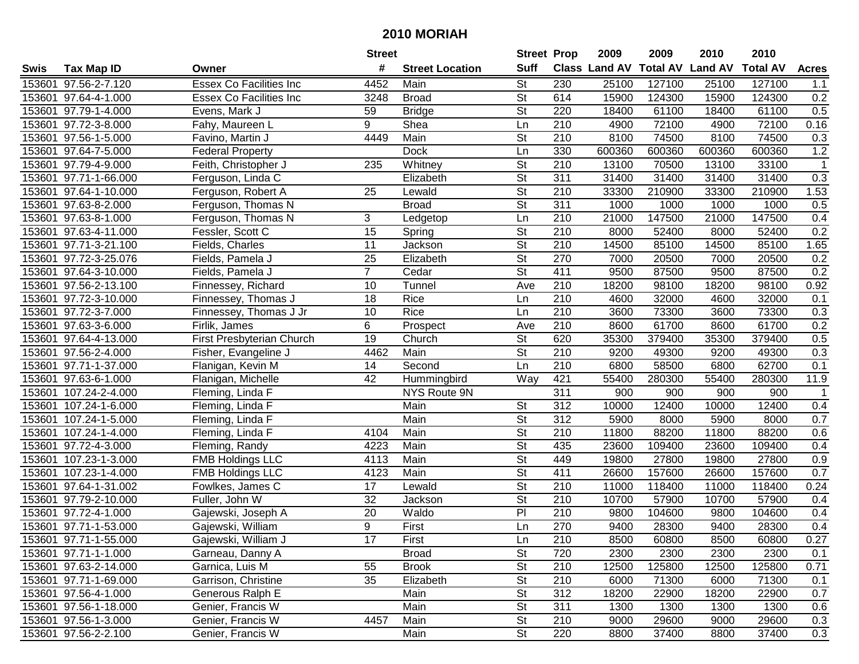|        |                              |                                | <b>Street</b>   |                        |                          | <b>Street Prop</b> | 2009          | 2009            | 2010           | 2010            |              |
|--------|------------------------------|--------------------------------|-----------------|------------------------|--------------------------|--------------------|---------------|-----------------|----------------|-----------------|--------------|
| Swis   | <b>Tax Map ID</b>            | Owner                          | #               | <b>Street Location</b> | <b>Suff</b>              |                    | Class Land AV | <b>Total AV</b> | <b>Land AV</b> | <b>Total AV</b> | <b>Acres</b> |
|        | 153601 97.56-2-7.120         | <b>Essex Co Facilities Inc</b> | 4452            | Main                   | <b>St</b>                | 230                | 25100         | 127100          | 25100          | 127100          | 1.1          |
|        | 153601 97.64-4-1.000         | Essex Co Facilities Inc        | 3248            | <b>Broad</b>           | St                       | 614                | 15900         | 124300          | 15900          | 124300          | 0.2          |
|        | 153601 97.79-1-4.000         | Evens, Mark J                  | 59              | <b>Bridge</b>          | St                       | 220                | 18400         | 61100           | 18400          | 61100           | 0.5          |
|        | 153601 97.72-3-8.000         | Fahy, Maureen L                | 9               | Shea                   | Ln                       | 210                | 4900          | 72100           | 4900           | 72100           | 0.16         |
|        | 153601 97.56-1-5.000         | Favino, Martin J               | 4449            | Main                   | St                       | 210                | 8100          | 74500           | 8100           | 74500           | 0.3          |
| 153601 | 97.64-7-5.000                | <b>Federal Property</b>        |                 | Dock                   | Ln                       | 330                | 600360        | 600360          | 600360         | 600360          | 1.2          |
|        | 153601 97.79-4-9.000         | Feith, Christopher J           | 235             | Whitney                | St                       | 210                | 13100         | 70500           | 13100          | 33100           | $\mathbf{1}$ |
|        | 153601 97.71-1-66.000        | Ferguson, Linda C              |                 | Elizabeth              | $\overline{\mathsf{St}}$ | 311                | 31400         | 31400           | 31400          | 31400           | 0.3          |
|        | 153601 97.64-1-10.000        | Ferguson, Robert A             | $\overline{25}$ | Lewald                 | $\overline{\mathsf{St}}$ | $\overline{210}$   | 33300         | 210900          | 33300          | 210900          | 1.53         |
|        | 153601 97.63-8-2.000         | Ferguson, Thomas N             |                 | <b>Broad</b>           | $\overline{\mathsf{St}}$ | 311                | 1000          | 1000            | 1000           | 1000            | 0.5          |
|        | 153601 97.63-8-1.000         | Ferguson, Thomas N             | 3               | Ledgetop               | Ln                       | 210                | 21000         | 147500          | 21000          | 147500          | 0.4          |
|        | 153601 97.63-4-11.000        | Fessler, Scott C               | 15              | Spring                 | <b>St</b>                | 210                | 8000          | 52400           | 8000           | 52400           | 0.2          |
|        | 153601 97.71-3-21.100        | Fields, Charles                | 11              | Jackson                | $\overline{\mathsf{St}}$ | 210                | 14500         | 85100           | 14500          | 85100           | 1.65         |
|        | 153601 97.72-3-25.076        | Fields, Pamela J               | 25              | Elizabeth              | $\overline{\mathsf{St}}$ | 270                | 7000          | 20500           | 7000           | 20500           | 0.2          |
|        | 153601 97.64-3-10.000        | Fields, Pamela J               | $\overline{7}$  | Cedar                  | $\overline{\mathsf{St}}$ | 411                | 9500          | 87500           | 9500           | 87500           | 0.2          |
|        | 153601 97.56-2-13.100        | Finnessey, Richard             | 10              | Tunnel                 | Ave                      | 210                | 18200         | 98100           | 18200          | 98100           | 0.92         |
|        | 153601 97.72-3-10.000        | Finnessey, Thomas J            | 18              | Rice                   | Ln                       | $\overline{210}$   | 4600          | 32000           | 4600           | 32000           | 0.1          |
|        | 153601 97.72-3-7.000         | Finnessey, Thomas J Jr         | 10              | Rice                   | Ln                       | 210                | 3600          | 73300           | 3600           | 73300           | 0.3          |
|        | 153601 97.63-3-6.000         | Firlik, James                  | 6               | Prospect               | Ave                      | 210                | 8600          | 61700           | 8600           | 61700           | 0.2          |
|        | 153601 97.64-4-13.000        | First Presbyterian Church      | 19              | Church                 | <b>St</b>                | 620                | 35300         | 379400          | 35300          | 379400          | 0.5          |
|        | 153601 97.56-2-4.000         | Fisher, Evangeline J           | 4462            | Main                   | $\overline{\mathsf{St}}$ | 210                | 9200          | 49300           | 9200           | 49300           | 0.3          |
| 153601 | 97.71-1-37.000               | Flanigan, Kevin M              | 14              | Second                 | Ln                       | 210                | 6800          | 58500           | 6800           | 62700           | 0.1          |
| 153601 | 97.63-6-1.000                | Flanigan, Michelle             | 42              | Hummingbird            | Way                      | 421                | 55400         | 280300          | 55400          | 280300          | 11.9         |
| 153601 | 107.24-2-4.000               | Fleming, Linda F               |                 | NYS Route 9N           |                          | 311                | 900           | 900             | 900            | 900             | -1           |
| 153601 | $\overline{107.24}$ -1-6.000 | Fleming, Linda F               |                 | Main                   | St                       | 312                | 10000         | 12400           | 10000          | 12400           | 0.4          |
|        | 153601 107.24-1-5.000        | Fleming, Linda F               |                 | Main                   | $\overline{\mathsf{St}}$ | $\overline{312}$   | 5900          | 8000            | 5900           | 8000            | 0.7          |
|        | 153601 107.24-1-4.000        | Fleming, Linda F               | 4104            | Main                   | $\overline{\mathsf{St}}$ | 210                | 11800         | 88200           | 11800          | 88200           | 0.6          |
|        | 153601 97.72-4-3.000         | Fleming, Randy                 | 4223            | Main                   | <b>St</b>                | 435                | 23600         | 109400          | 23600          | 109400          | 0.4          |
| 153601 | 107.23-1-3.000               | <b>FMB Holdings LLC</b>        | 4113            | Main                   | $\overline{\mathsf{St}}$ | 449                | 19800         | 27800           | 19800          | 27800           | 0.9          |
| 153601 | 107.23-1-4.000               | <b>FMB Holdings LLC</b>        | 4123            | Main                   | $\overline{St}$          | 411                | 26600         | 157600          | 26600          | 157600          | 0.7          |
|        | 153601 97.64-1-31.002        | Fowlkes, James C               | $\overline{17}$ | Lewald                 | $\overline{\mathsf{St}}$ | $\overline{210}$   | 11000         | 118400          | 11000          | 118400          | 0.24         |
|        | 153601 97.79-2-10.000        | Fuller, John W                 | 32              | Jackson                | $\overline{\mathsf{St}}$ | 210                | 10700         | 57900           | 10700          | 57900           | 0.4          |
|        | 153601 97.72-4-1.000         | Gajewski, Joseph A             | 20              | Waldo                  | $\overline{P}$           | $\overline{210}$   | 9800          | 104600          | 9800           | 104600          | 0.4          |
|        | 153601 97.71-1-53.000        | Gajewski, William              | 9               | First                  | Ln                       | 270                | 9400          | 28300           | 9400           | 28300           | 0.4          |
|        | 153601 97.71-1-55.000        | Gajewski, William J            | 17              | First                  | Ln                       | 210                | 8500          | 60800           | 8500           | 60800           | 0.27         |
|        | 153601 97.71-1-1.000         | Garneau, Danny A               |                 | <b>Broad</b>           | <b>St</b>                | 720                | 2300          | 2300            | 2300           | 2300            | 0.1          |
|        | 153601 97.63-2-14.000        | Garnica, Luis M                | 55              | <b>Brook</b>           | <b>St</b>                | 210                | 12500         | 125800          | 12500          | 125800          | 0.71         |
|        | 153601 97.71-1-69.000        | Garrison, Christine            | 35              | Elizabeth              | <b>St</b>                | 210                | 6000          | 71300           | 6000           | 71300           | 0.1          |
|        | 153601 97.56-4-1.000         | Generous Ralph E               |                 | Main                   | <b>St</b>                | 312                | 18200         | 22900           | 18200          | 22900           | 0.7          |
|        | 153601 97.56-1-18.000        | Genier, Francis W              |                 | Main                   | St                       | 311                | 1300          | 1300            | 1300           | 1300            | 0.6          |
|        | 153601 97.56-1-3.000         | Genier, Francis W              | 4457            | Main                   | <b>St</b>                | 210                | 9000          | 29600           | 9000           | 29600           | 0.3          |
|        | 153601 97.56-2-2.100         | Genier, Francis W              |                 | Main                   | $\overline{St}$          | 220                | 8800          | 37400           | 8800           | 37400           | 0.3          |
|        |                              |                                |                 |                        |                          |                    |               |                 |                |                 |              |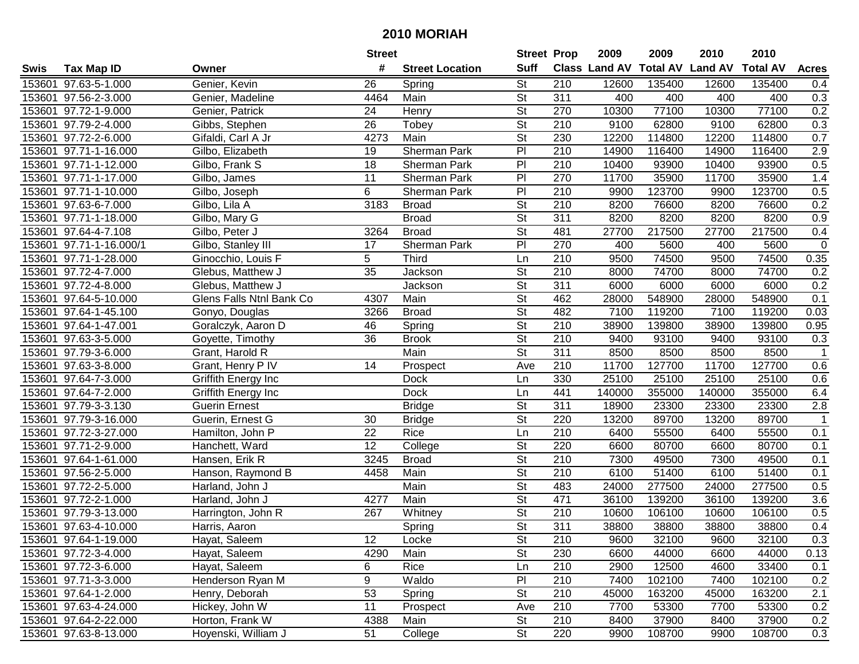|      |                         |                          | <b>Street</b>   |                        | <b>Street Prop</b>       |                  | 2009                          | 2009   | 2010           | 2010            |                  |
|------|-------------------------|--------------------------|-----------------|------------------------|--------------------------|------------------|-------------------------------|--------|----------------|-----------------|------------------|
| Swis | <b>Tax Map ID</b>       | Owner                    | #               | <b>Street Location</b> | <b>Suff</b>              |                  | <b>Class Land AV Total AV</b> |        | <b>Land AV</b> | <b>Total AV</b> | <b>Acres</b>     |
|      | 153601 97.63-5-1.000    | Genier, Kevin            | 26              | Spring                 | <b>St</b>                | 210              | 12600                         | 135400 | 12600          | 135400          | 0.4              |
|      | 153601 97.56-2-3.000    | Genier, Madeline         | 4464            | Main                   | $\overline{\mathsf{St}}$ | 311              | 400                           | 400    | 400            | 400             | 0.3              |
|      | 153601 97.72-1-9.000    | Genier, Patrick          | 24              | Henry                  | <b>St</b>                | 270              | 10300                         | 77100  | 10300          | 77100           | 0.2              |
|      | 153601 97.79-2-4.000    | Gibbs, Stephen           | 26              | Tobey                  | $\overline{\mathsf{St}}$ | 210              | 9100                          | 62800  | 9100           | 62800           | 0.3              |
|      | 153601 97.72-2-6.000    | Gifaldi, Carl A Jr       | 4273            | Main                   | <b>St</b>                | 230              | 12200                         | 114800 | 12200          | 114800          | 0.7              |
|      | 153601 97.71-1-16.000   | Gilbo, Elizabeth         | 19              | <b>Sherman Park</b>    | PI                       | $\overline{210}$ | 14900                         | 116400 | 14900          | 116400          | $\overline{2.9}$ |
|      | 153601 97.71-1-12.000   | Gilbo, Frank S           | 18              | <b>Sherman Park</b>    | PI                       | 210              | 10400                         | 93900  | 10400          | 93900           | 0.5              |
|      | 153601 97.71-1-17.000   | Gilbo, James             | $\overline{11}$ | Sherman Park           | $\overline{P}$           | 270              | 11700                         | 35900  | 11700          | 35900           | 1.4              |
|      | 153601 97.71-1-10.000   | Gilbo, Joseph            | 6               | Sherman Park           | PI                       | $\overline{210}$ | 9900                          | 123700 | 9900           | 123700          | 0.5              |
|      | 153601 97.63-6-7.000    | Gilbo, Lila A            | 3183            | <b>Broad</b>           | <b>St</b>                | 210              | 8200                          | 76600  | 8200           | 76600           | 0.2              |
|      | 153601 97.71-1-18.000   | Gilbo, Mary G            |                 | <b>Broad</b>           | $\overline{\mathsf{St}}$ | 311              | 8200                          | 8200   | 8200           | 8200            | 0.9              |
|      | 153601 97.64-4-7.108    | Gilbo, Peter J           | 3264            | <b>Broad</b>           | <b>St</b>                | 481              | 27700                         | 217500 | 27700          | 217500          | 0.4              |
|      | 153601 97.71-1-16.000/1 | Gilbo, Stanley III       | 17              | Sherman Park           | PI                       | 270              | 400                           | 5600   | 400            | 5600            | $\mathbf 0$      |
|      | 153601 97.71-1-28.000   | Ginocchio, Louis F       | 5               | <b>Third</b>           | Ln                       | 210              | 9500                          | 74500  | 9500           | 74500           | 0.35             |
|      | 153601 97.72-4-7.000    | Glebus, Matthew J        | 35              | Jackson                | <b>St</b>                | 210              | 8000                          | 74700  | 8000           | 74700           | 0.2              |
|      | 153601 97.72-4-8.000    | Glebus, Matthew J        |                 | Jackson                | $\overline{\mathsf{St}}$ | 311              | 6000                          | 6000   | 6000           | 6000            | 0.2              |
|      | 153601 97.64-5-10.000   | Glens Falls Ntnl Bank Co | 4307            | Main                   | $\overline{St}$          | 462              | 28000                         | 548900 | 28000          | 548900          | 0.1              |
|      | 153601 97.64-1-45.100   | Gonyo, Douglas           | 3266            | <b>Broad</b>           | $\overline{\mathsf{St}}$ | 482              | 7100                          | 119200 | 7100           | 119200          | 0.03             |
|      | 153601 97.64-1-47.001   | Goralczyk, Aaron D       | 46              | Spring                 | $\overline{\mathsf{St}}$ | 210              | 38900                         | 139800 | 38900          | 139800          | 0.95             |
|      | 153601 97.63-3-5.000    | Goyette, Timothy         | 36              | <b>Brook</b>           | <b>St</b>                | 210              | 9400                          | 93100  | 9400           | 93100           | 0.3              |
|      | 153601 97.79-3-6.000    | Grant, Harold R          |                 | Main                   | $\overline{\mathsf{St}}$ | 311              | 8500                          | 8500   | 8500           | 8500            | $\mathbf{1}$     |
|      | 153601 97.63-3-8.000    | Grant, Henry P IV        | 14              | Prospect               | Ave                      | 210              | 11700                         | 127700 | 11700          | 127700          | 0.6              |
|      | 153601 97.64-7-3.000    | Griffith Energy Inc      |                 | Dock                   | Ln                       | 330              | 25100                         | 25100  | 25100          | 25100           | 0.6              |
|      | 153601 97.64-7-2.000    | Griffith Energy Inc      |                 | <b>Dock</b>            | Ln                       | 441              | 140000                        | 355000 | 140000         | 355000          | 6.4              |
|      | 153601 97.79-3-3.130    | Guerin Ernest            |                 | <b>Bridge</b>          | $\overline{\mathsf{St}}$ | 311              | 18900                         | 23300  | 23300          | 23300           | 2.8              |
|      | 153601 97.79-3-16.000   | Guerin, Ernest G         | 30              | <b>Bridge</b>          | $\overline{\mathsf{St}}$ | 220              | 13200                         | 89700  | 13200          | 89700           | $\mathbf 1$      |
|      | 153601 97.72-3-27.000   | Hamilton, John P         | 22              | Rice                   | Ln                       | 210              | 6400                          | 55500  | 6400           | 55500           | 0.1              |
|      | 153601 97.71-2-9.000    | Hanchett, Ward           | 12              | College                | <b>St</b>                | 220              | 6600                          | 80700  | 6600           | 80700           | 0.1              |
|      | 153601 97.64-1-61.000   | Hansen, Erik R           | 3245            | <b>Broad</b>           | $\overline{\mathsf{St}}$ | $\overline{210}$ | 7300                          | 49500  | 7300           | 49500           | 0.1              |
|      | 153601 97.56-2-5.000    | Hanson, Raymond B        | 4458            | Main                   | $\overline{\mathsf{St}}$ | 210              | 6100                          | 51400  | 6100           | 51400           | 0.1              |
|      | 153601 97.72-2-5.000    | Harland, John J          |                 | Main                   | $\overline{\mathsf{St}}$ | 483              | 24000                         | 277500 | 24000          | 277500          | 0.5              |
|      | 153601 97.72-2-1.000    | Harland, John J          | 4277            | Main                   | $\overline{\mathsf{St}}$ | 471              | 36100                         | 139200 | 36100          | 139200          | $\overline{3.6}$ |
|      | 153601 97.79-3-13.000   | Harrington, John R       | 267             | Whitney                | $\overline{\mathsf{St}}$ | $\overline{210}$ | 10600                         | 106100 | 10600          | 106100          | 0.5              |
|      | 153601 97.63-4-10.000   | Harris, Aaron            |                 | Spring                 | $\overline{\mathsf{St}}$ | 311              | 38800                         | 38800  | 38800          | 38800           | 0.4              |
|      | 153601 97.64-1-19.000   | Hayat, Saleem            | 12              | Locke                  | <b>St</b>                | 210              | 9600                          | 32100  | 9600           | 32100           | 0.3              |
|      | 153601 97.72-3-4.000    | Hayat, Saleem            | 4290            | Main                   | <b>St</b>                | 230              | 6600                          | 44000  | 6600           | 44000           | 0.13             |
|      | 153601 97.72-3-6.000    | Hayat, Saleem            | 6               | Rice                   | Ln                       | 210              | 2900                          | 12500  | 4600           | 33400           | 0.1              |
|      | 153601 97.71-3-3.000    | Henderson Ryan M         | 9               | Waldo                  | PI                       | 210              | 7400                          | 102100 | 7400           | 102100          | 0.2              |
|      | 153601 97.64-1-2.000    | Henry, Deborah           | 53              | Spring                 | <b>St</b>                | 210              | 45000                         | 163200 | 45000          | 163200          | 2.1              |
|      | 153601 97.63-4-24.000   | Hickey, John W           | 11              | Prospect               | Ave                      | 210              | 7700                          | 53300  | 7700           | 53300           | 0.2              |
|      | 153601 97.64-2-22.000   | Horton, Frank W          | 4388            | Main                   | <b>St</b>                | 210              | 8400                          | 37900  | 8400           | 37900           | 0.2              |
|      | 153601 97.63-8-13.000   | Hoyenski, William J      | 51              | College                | $\overline{\mathsf{St}}$ | 220              | 9900                          | 108700 | 9900           | 108700          | 0.3              |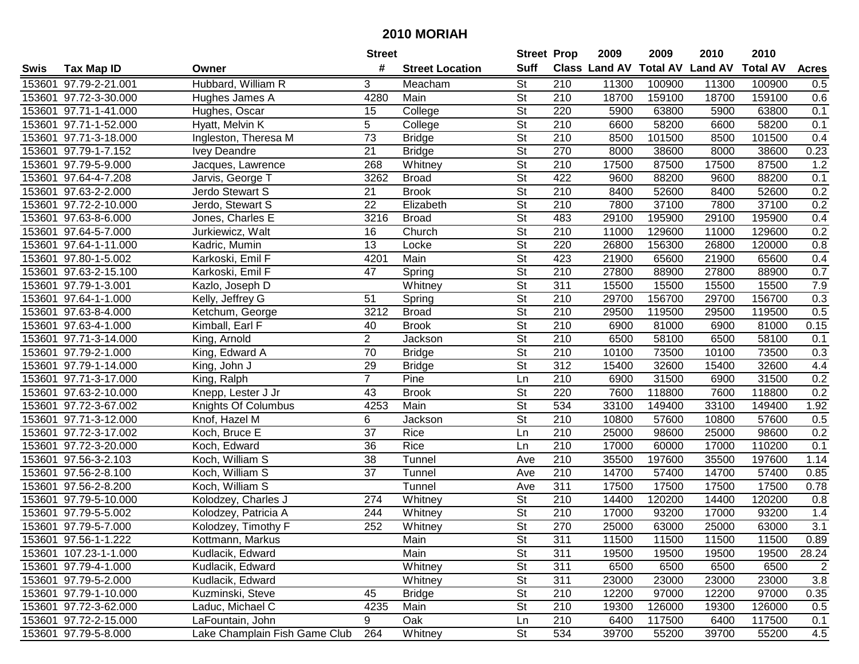|        |                       |                               | <b>Street</b>   |                        | <b>Street Prop</b>       |                  | 2009          | 2009            | 2010           | 2010            |                  |
|--------|-----------------------|-------------------------------|-----------------|------------------------|--------------------------|------------------|---------------|-----------------|----------------|-----------------|------------------|
| Swis   | <b>Tax Map ID</b>     | Owner                         | #               | <b>Street Location</b> | <b>Suff</b>              |                  | Class Land AV | <b>Total AV</b> | <b>Land AV</b> | <b>Total AV</b> | <b>Acres</b>     |
|        | 153601 97.79-2-21.001 | Hubbard, William R            | 3               | Meacham                | <b>St</b>                | 210              | 11300         | 100900          | 11300          | 100900          | 0.5              |
|        | 153601 97.72-3-30.000 | Hughes James A                | 4280            | Main                   | St                       | 210              | 18700         | 159100          | 18700          | 159100          | 0.6              |
|        | 153601 97.71-1-41.000 | Hughes, Oscar                 | 15              | College                | St                       | 220              | 5900          | 63800           | 5900           | 63800           | 0.1              |
|        | 153601 97.71-1-52.000 | Hyatt, Melvin K               | 5               | College                | $\overline{\mathsf{St}}$ | 210              | 6600          | 58200           | 6600           | 58200           | 0.1              |
|        | 153601 97.71-3-18.000 | Ingleston, Theresa M          | 73              | <b>Bridge</b>          | St                       | 210              | 8500          | 101500          | 8500           | 101500          | 0.4              |
| 153601 | 97.79-1-7.152         | <b>Ivey Deandre</b>           | 21              | <b>Bridge</b>          | $\overline{\mathsf{St}}$ | 270              | 8000          | 38600           | 8000           | 38600           | 0.23             |
|        | 153601 97.79-5-9.000  | Jacques, Lawrence             | 268             | Whitney                | St                       | 210              | 17500         | 87500           | 17500          | 87500           | 1.2              |
|        | 153601 97.64-4-7.208  | Jarvis, George T              | 3262            | <b>Broad</b>           | $\overline{\mathsf{St}}$ | 422              | 9600          | 88200           | 9600           | 88200           | 0.1              |
|        | 153601 97.63-2-2.000  | Jerdo Stewart S               | $\overline{21}$ | <b>Brook</b>           | $\overline{\mathsf{St}}$ | $\overline{210}$ | 8400          | 52600           | 8400           | 52600           | 0.2              |
|        | 153601 97.72-2-10.000 | Jerdo, Stewart S              | 22              | Elizabeth              | $\overline{\mathsf{St}}$ | 210              | 7800          | 37100           | 7800           | 37100           | 0.2              |
|        | 153601 97.63-8-6.000  | Jones, Charles E              | 3216            | <b>Broad</b>           | $\overline{\mathsf{St}}$ | 483              | 29100         | 195900          | 29100          | 195900          | 0.4              |
|        | 153601 97.64-5-7.000  | Jurkiewicz, Walt              | 16              | Church                 | St                       | 210              | 11000         | 129600          | 11000          | 129600          | 0.2              |
|        | 153601 97.64-1-11.000 | Kadric, Mumin                 | 13              | Locke                  | $\overline{\mathsf{St}}$ | 220              | 26800         | 156300          | 26800          | 120000          | 0.8              |
|        | 153601 97.80-1-5.002  | Karkoski, Emil F              | 4201            | Main                   | $\overline{\mathsf{St}}$ | 423              | 21900         | 65600           | 21900          | 65600           | 0.4              |
|        | 153601 97.63-2-15.100 | Karkoski, Emil F              | 47              | Spring                 | $\overline{\mathsf{St}}$ | 210              | 27800         | 88900           | 27800          | 88900           | 0.7              |
|        | 153601 97.79-1-3.001  | Kazlo, Joseph D               |                 | Whitney                | $\overline{\mathsf{St}}$ | 311              | 15500         | 15500           | 15500          | 15500           | 7.9              |
|        | 153601 97.64-1-1.000  | Kelly, Jeffrey G              | 51              | Spring                 | $\overline{St}$          | 210              | 29700         | 156700          | 29700          | 156700          | 0.3              |
|        | 153601 97.63-8-4.000  | Ketchum, George               | 3212            | <b>Broad</b>           | $\overline{St}$          | 210              | 29500         | 119500          | 29500          | 119500          | 0.5              |
|        | 153601 97.63-4-1.000  | Kimball, Earl F               | 40              | <b>Brook</b>           | $\overline{\mathsf{St}}$ | 210              | 6900          | 81000           | 6900           | 81000           | 0.15             |
|        | 153601 97.71-3-14.000 | King, Arnold                  | $\overline{2}$  | Jackson                | <b>St</b>                | 210              | 6500          | 58100           | 6500           | 58100           | 0.1              |
|        | 153601 97.79-2-1.000  | King, Edward A                | 70              | <b>Bridge</b>          | $\overline{\mathsf{St}}$ | 210              | 10100         | 73500           | 10100          | 73500           | 0.3              |
| 153601 | 97.79-1-14.000        | King, John J                  | 29              | <b>Bridge</b>          | <b>St</b>                | 312              | 15400         | 32600           | 15400          | 32600           | 4.4              |
| 153601 | 97.71-3-17.000        | King, Ralph                   | $\overline{7}$  | Pine                   | Ln                       | 210              | 6900          | 31500           | 6900           | 31500           | 0.2              |
| 153601 | 97.63-2-10.000        | Knepp, Lester J Jr            | 43              | <b>Brook</b>           | St                       | 220              | 7600          | 118800          | 7600           | 118800          | 0.2              |
| 153601 | 97.72-3-67.002        | Knights Of Columbus           | 4253            | Main                   | $\overline{\mathsf{St}}$ | 534              | 33100         | 149400          | 33100          | 149400          | 1.92             |
|        | 153601 97.71-3-12.000 | Knof, Hazel M                 | 6               | Jackson                | $\overline{\mathsf{St}}$ | 210              | 10800         | 57600           | 10800          | 57600           | 0.5              |
|        | 153601 97.72-3-17.002 | Koch, Bruce E                 | 37              | Rice                   | Ln                       | 210              | 25000         | 98600           | 25000          | 98600           | 0.2              |
|        | 153601 97.72-3-20.000 | Koch, Edward                  | 36              | Rice                   | Ln                       | 210              | 17000         | 60000           | 17000          | 110200          | 0.1              |
|        | 153601 97.56-3-2.103  | Koch, William S               | $\overline{38}$ | Tunnel                 | Ave                      | 210              | 35500         | 197600          | 35500          | 197600          | 1.14             |
|        | 153601 97.56-2-8.100  | Koch, William S               | $\overline{37}$ | Tunnel                 | Ave                      | $\overline{210}$ | 14700         | 57400           | 14700          | 57400           | 0.85             |
|        | 153601 97.56-2-8.200  | Koch, William S               |                 | Tunnel                 | Ave                      | 311              | 17500         | 17500           | 17500          | 17500           | 0.78             |
|        | 153601 97.79-5-10.000 | Kolodzey, Charles J           | 274             | Whitney                | $\overline{\mathsf{St}}$ | 210              | 14400         | 120200          | 14400          | 120200          | 0.8              |
|        | 153601 97.79-5-5.002  | Kolodzey, Patricia A          | 244             | Whitney                | $\overline{\mathsf{St}}$ | $\overline{210}$ | 17000         | 93200           | 17000          | 93200           | 1.4              |
|        | 153601 97.79-5-7.000  | Kolodzey, Timothy F           | 252             | Whitney                | $\overline{\mathsf{St}}$ | 270              | 25000         | 63000           | 25000          | 63000           | $\overline{3.1}$ |
|        | 153601 97.56-1-1.222  | Kottmann, Markus              |                 | Main                   | <b>St</b>                | 311              | 11500         | 11500           | 11500          | 11500           | 0.89             |
|        | 153601 107.23-1-1.000 | Kudlacik, Edward              |                 | Main                   | <b>St</b>                | 311              | 19500         | 19500           | 19500          | 19500           | 28.24            |
|        | 153601 97.79-4-1.000  | Kudlacik, Edward              |                 | Whitney                | <b>St</b>                | 311              | 6500          | 6500            | 6500           | 6500            | $\overline{2}$   |
|        | 153601 97.79-5-2.000  | Kudlacik, Edward              |                 | Whitney                | <b>St</b>                | 311              | 23000         | 23000           | 23000          | 23000           | 3.8              |
|        | 153601 97.79-1-10.000 | Kuzminski, Steve              | 45              | <b>Bridge</b>          | <b>St</b>                | 210              | 12200         | 97000           | 12200          | 97000           | 0.35             |
|        | 153601 97.72-3-62.000 | Laduc, Michael C              | 4235            | Main                   | St                       | 210              | 19300         | 126000          | 19300          | 126000          | 0.5              |
|        | 153601 97.72-2-15.000 | LaFountain, John              | 9               | Oak                    | Ln                       | 210              | 6400          | 117500          | 6400           | 117500          | 0.1              |
|        | 153601 97.79-5-8.000  | Lake Champlain Fish Game Club | 264             | Whitney                | St                       | 534              | 39700         | 55200           | 39700          | 55200           | 4.5              |
|        |                       |                               |                 |                        |                          |                  |               |                 |                |                 |                  |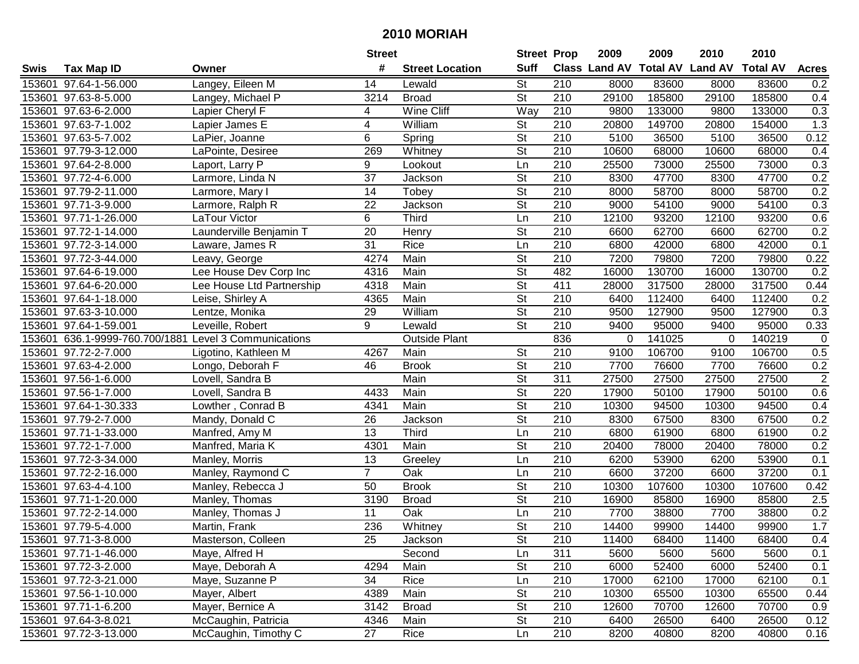|      |                                                       |                           | <b>Street</b>   |                        | <b>Street Prop</b>       |                  | 2009                          | 2009   | 2010           | 2010            |                |
|------|-------------------------------------------------------|---------------------------|-----------------|------------------------|--------------------------|------------------|-------------------------------|--------|----------------|-----------------|----------------|
| Swis | <b>Tax Map ID</b>                                     | Owner                     | #               | <b>Street Location</b> | <b>Suff</b>              |                  | <b>Class Land AV Total AV</b> |        | <b>Land AV</b> | <b>Total AV</b> | <b>Acres</b>   |
|      | 153601 97.64-1-56.000                                 | Langey, Eileen M          | 14              | Lewald                 | St                       | 210              | 8000                          | 83600  | 8000           | 83600           | 0.2            |
|      | 153601 97.63-8-5.000                                  | Langey, Michael P         | 3214            | <b>Broad</b>           | <b>St</b>                | 210              | 29100                         | 185800 | 29100          | 185800          | 0.4            |
|      | 153601 97.63-6-2.000                                  | Lapier Cheryl F           | 4               | Wine Cliff             | Way                      | 210              | 9800                          | 133000 | 9800           | 133000          | 0.3            |
|      | 153601 97.63-7-1.002                                  | Lapier James E            | 4               | William                | <b>St</b>                | 210              | 20800                         | 149700 | 20800          | 154000          | 1.3            |
|      | 153601 97.63-5-7.002                                  | LaPier, Joanne            | 6               | Spring                 | <b>St</b>                | 210              | 5100                          | 36500  | 5100           | 36500           | 0.12           |
|      | 153601 97.79-3-12.000                                 | LaPointe, Desiree         | 269             | Whitney                | $\overline{\mathsf{St}}$ | 210              | 10600                         | 68000  | 10600          | 68000           | 0.4            |
|      | 153601 97.64-2-8.000                                  | Laport, Larry P           | 9               | Lookout                | Ln                       | 210              | 25500                         | 73000  | 25500          | 73000           | 0.3            |
|      | 153601 97.72-4-6.000                                  | Larmore, Linda N          | $\overline{37}$ | <b>Jackson</b>         | $\overline{\mathsf{St}}$ | 210              | 8300                          | 47700  | 8300           | 47700           | 0.2            |
|      | 153601 97.79-2-11.000                                 | Larmore, Mary I           | 14              | Tobey                  | $\overline{\mathsf{St}}$ | $\overline{210}$ | 8000                          | 58700  | 8000           | 58700           | 0.2            |
|      | 153601 97.71-3-9.000                                  | Larmore, Ralph R          | 22              | Jackson                | $\overline{\mathsf{St}}$ | 210              | 9000                          | 54100  | 9000           | 54100           | 0.3            |
|      | 153601 97.71-1-26.000                                 | LaTour Victor             | 6               | <b>Third</b>           | Ln                       | 210              | 12100                         | 93200  | 12100          | 93200           | 0.6            |
|      | 153601 97.72-1-14.000                                 | Launderville Benjamin T   | 20              | Henry                  | <b>St</b>                | 210              | 6600                          | 62700  | 6600           | 62700           | 0.2            |
|      | 153601 97.72-3-14.000                                 | Laware, James R           | $\overline{31}$ | Rice                   | Ln                       | 210              | 6800                          | 42000  | 6800           | 42000           | 0.1            |
|      | 153601 97.72-3-44.000                                 | Leavy, George             | 4274            | Main                   | <b>St</b>                | 210              | 7200                          | 79800  | 7200           | 79800           | 0.22           |
|      | 153601 97.64-6-19.000                                 | Lee House Dev Corp Inc    | 4316            | Main                   | $\overline{\mathsf{St}}$ | 482              | 16000                         | 130700 | 16000          | 130700          | 0.2            |
|      | 153601 97.64-6-20.000                                 | Lee House Ltd Partnership | 4318            | Main                   | $\overline{\mathsf{St}}$ | 411              | 28000                         | 317500 | 28000          | 317500          | 0.44           |
|      | 153601 97.64-1-18.000                                 | Leise, Shirley A          | 4365            | Main                   | $\overline{St}$          | $\overline{210}$ | 6400                          | 112400 | 6400           | 112400          | 0.2            |
|      | 153601 97.63-3-10.000                                 | Lentze, Monika            | 29              | William                | $\overline{\mathsf{St}}$ | 210              | 9500                          | 127900 | 9500           | 127900          | 0.3            |
|      | 153601 97.64-1-59.001                                 | Leveille, Robert          | 9               | Lewald                 | <b>St</b>                | 210              | 9400                          | 95000  | 9400           | 95000           | 0.33           |
|      | 153601 636.1-9999-760.700/1881 Level 3 Communications |                           |                 | <b>Outside Plant</b>   |                          | 836              | $\Omega$                      | 141025 | $\Omega$       | 140219          | $\mathbf 0$    |
|      | 153601 97.72-2-7.000                                  | Ligotino, Kathleen M      | 4267            | Main                   | <b>St</b>                | 210              | 9100                          | 106700 | 9100           | 106700          | 0.5            |
|      | 153601 97.63-4-2.000                                  | Longo, Deborah F          | 46              | <b>Brook</b>           | <b>St</b>                | 210              | 7700                          | 76600  | 7700           | 76600           | 0.2            |
|      | 153601 97.56-1-6.000                                  | Lovell, Sandra B          |                 | Main                   | <b>St</b>                | 311              | 27500                         | 27500  | 27500          | 27500           | $\overline{2}$ |
|      | 153601 97.56-1-7.000                                  | Lovell, Sandra B          | 4433            | Main                   | <b>St</b>                | 220              | 17900                         | 50100  | 17900          | 50100           | 0.6            |
|      | 153601 97.64-1-30.333                                 | Lowther, Conrad B         | 4341            | Main                   | $\overline{\mathsf{St}}$ | 210              | 10300                         | 94500  | 10300          | 94500           | 0.4            |
|      | 153601 97.79-2-7.000                                  | Mandy, Donald C           | 26              | Jackson                | $\overline{\mathsf{St}}$ | 210              | 8300                          | 67500  | 8300           | 67500           | 0.2            |
|      | 153601 97.71-1-33.000                                 | Manfred, Amy M            | 13              | Third                  | Ln                       | 210              | 6800                          | 61900  | 6800           | 61900           | 0.2            |
|      | 153601 97.72-1-7.000                                  | Manfred, Maria K          | 4301            | Main                   | <b>St</b>                | 210              | 20400                         | 78000  | 20400          | 78000           | 0.2            |
|      | 153601 97.72-3-34.000                                 | Manley, Morris            | 13              | Greeley                | Ln                       | $\overline{210}$ | 6200                          | 53900  | 6200           | 53900           | 0.1            |
|      | 153601 97.72-2-16.000                                 | Manley, Raymond C         | $\overline{7}$  | Oak                    | Ln                       | 210              | 6600                          | 37200  | 6600           | 37200           | 0.1            |
|      | 153601 97.63-4-4.100                                  | Manley, Rebecca J         | 50              | <b>Brook</b>           | $\overline{\mathsf{St}}$ | 210              | 10300                         | 107600 | 10300          | 107600          | 0.42           |
|      | 153601 97.71-1-20.000                                 | Manley, Thomas            | 3190            | <b>Broad</b>           | $\overline{\mathsf{St}}$ | 210              | 16900                         | 85800  | 16900          | 85800           | 2.5            |
|      | 153601 97.72-2-14.000                                 | Manley, Thomas J          | $\overline{11}$ | Oak                    | Ln                       | $\overline{210}$ | 7700                          | 38800  | 7700           | 38800           | 0.2            |
|      | 153601 97.79-5-4.000                                  | Martin, Frank             | 236             | Whitney                | $\overline{\mathsf{St}}$ | $\overline{210}$ | 14400                         | 99900  | 14400          | 99900           | 1.7            |
|      | 153601 97.71-3-8.000                                  | Masterson, Colleen        | 25              | Jackson                | St                       | 210              | 11400                         | 68400  | 11400          | 68400           | 0.4            |
|      | 153601 97.71-1-46.000                                 | Maye, Alfred H            |                 | Second                 | Ln                       | 311              | 5600                          | 5600   | 5600           | 5600            | 0.1            |
|      | 153601 97.72-3-2.000                                  | Maye, Deborah A           | 4294            | Main                   | <b>St</b>                | 210              | 6000                          | 52400  | 6000           | 52400           | 0.1            |
|      | 153601 97.72-3-21.000                                 | Maye, Suzanne P           | 34              | Rice                   | Ln                       | 210              | 17000                         | 62100  | 17000          | 62100           | 0.1            |
|      | 153601 97.56-1-10.000                                 | Mayer, Albert             | 4389            | Main                   | <b>St</b>                | 210              | 10300                         | 65500  | 10300          | 65500           | 0.44           |
|      | 153601 97.71-1-6.200                                  | Mayer, Bernice A          | 3142            | <b>Broad</b>           | <b>St</b>                | 210              | 12600                         | 70700  | 12600          | 70700           | 0.9            |
|      | 153601 97.64-3-8.021                                  | McCaughin, Patricia       | 4346            | Main                   | <b>St</b>                | 210              | 6400                          | 26500  | 6400           | 26500           | 0.12           |
|      | 153601 97.72-3-13.000                                 | McCaughin, Timothy C      | 27              | Rice                   | Ln                       | 210              | 8200                          | 40800  | 8200           | 40800           | 0.16           |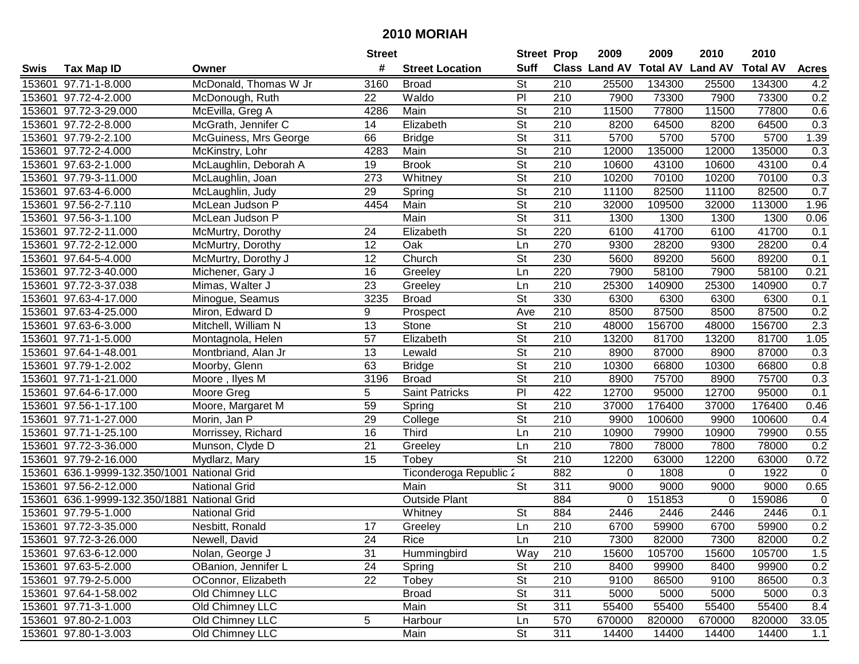|      |                                              |                       | <b>Street</b>    |                        |                          | <b>Street Prop</b> | 2009                          | 2009   | 2010           | 2010            |                  |
|------|----------------------------------------------|-----------------------|------------------|------------------------|--------------------------|--------------------|-------------------------------|--------|----------------|-----------------|------------------|
| Swis | <b>Tax Map ID</b>                            | Owner                 | #                | <b>Street Location</b> | <b>Suff</b>              |                    | <b>Class Land AV Total AV</b> |        | <b>Land AV</b> | <b>Total AV</b> | <b>Acres</b>     |
|      | 153601 97.71-1-8.000                         | McDonald, Thomas W Jr | 3160             | <b>Broad</b>           | St                       | 210                | 25500                         | 134300 | 25500          | 134300          | 4.2              |
|      | 153601 97.72-4-2.000                         | McDonough, Ruth       | 22               | Waldo                  | PI                       | 210                | 7900                          | 73300  | 7900           | 73300           | 0.2              |
|      | 153601 97.72-3-29.000                        | McEvilla, Greg A      | 4286             | Main                   | <b>St</b>                | 210                | 11500                         | 77800  | 11500          | 77800           | 0.6              |
|      | 153601 97.72-2-8.000                         | McGrath, Jennifer C   | 14               | Elizabeth              | <b>St</b>                | 210                | 8200                          | 64500  | 8200           | 64500           | 0.3              |
|      | 153601 97.79-2-2.100                         | McGuiness, Mrs George | 66               | <b>Bridge</b>          | <b>St</b>                | 311                | 5700                          | 5700   | 5700           | 5700            | 1.39             |
|      | 153601 97.72-2-4.000                         | McKinstry, Lohr       | 4283             | Main                   | $\overline{\mathsf{St}}$ | $\overline{210}$   | 12000                         | 135000 | 12000          | 135000          | $\overline{0.3}$ |
|      | 153601 97.63-2-1.000                         | McLaughlin, Deborah A | 19               | <b>Brook</b>           | <b>St</b>                | 210                | 10600                         | 43100  | 10600          | 43100           | 0.4              |
|      | 153601 97.79-3-11.000                        | McLaughlin, Joan      | $\overline{273}$ | Whitney                | $\overline{\mathsf{St}}$ | 210                | 10200                         | 70100  | 10200          | 70100           | 0.3              |
|      | 153601 97.63-4-6.000                         | McLaughlin, Judy      | $\overline{29}$  | Spring                 | $\overline{\mathsf{St}}$ | $\overline{210}$   | 11100                         | 82500  | 11100          | 82500           | 0.7              |
|      | 153601 97.56-2-7.110                         | McLean Judson P       | 4454             | Main                   | $\overline{\mathsf{St}}$ | 210                | 32000                         | 109500 | 32000          | 113000          | 1.96             |
|      | 153601 97.56-3-1.100                         | McLean Judson P       |                  | Main                   | $\overline{\mathsf{St}}$ | 311                | 1300                          | 1300   | 1300           | 1300            | 0.06             |
|      | 153601 97.72-2-11.000                        | McMurtry, Dorothy     | 24               | Elizabeth              | <b>St</b>                | 220                | 6100                          | 41700  | 6100           | 41700           | 0.1              |
|      | 153601 97.72-2-12.000                        | McMurtry, Dorothy     | $\overline{12}$  | Oak                    | Ln                       | 270                | 9300                          | 28200  | 9300           | 28200           | 0.4              |
|      | 153601 97.64-5-4.000                         | McMurtry, Dorothy J   | 12               | Church                 | <b>St</b>                | 230                | 5600                          | 89200  | 5600           | 89200           | 0.1              |
|      | 153601 97.72-3-40.000                        | Michener, Gary J      | 16               | Greeley                | Ln                       | 220                | 7900                          | 58100  | 7900           | 58100           | 0.21             |
|      | 153601 97.72-3-37.038                        | Mimas, Walter J       | 23               | Greeley                | Ln                       | 210                | 25300                         | 140900 | 25300          | 140900          | 0.7              |
|      | 153601 97.63-4-17.000                        | Minogue, Seamus       | 3235             | <b>Broad</b>           | $\overline{St}$          | 330                | 6300                          | 6300   | 6300           | 6300            | 0.1              |
|      | 153601 97.63-4-25.000                        | Miron, Edward D       | 9                | Prospect               | Ave                      | 210                | 8500                          | 87500  | 8500           | 87500           | 0.2              |
|      | 153601 97.63-6-3.000                         | Mitchell, William N   | 13               | Stone                  | <b>St</b>                | 210                | 48000                         | 156700 | 48000          | 156700          | 2.3              |
|      | 153601 97.71-1-5.000                         | Montagnola, Helen     | 57               | Elizabeth              | <b>St</b>                | 210                | 13200                         | 81700  | 13200          | 81700           | 1.05             |
|      | 153601 97.64-1-48.001                        | Montbriand, Alan Jr   | 13               | Lewald                 | <b>St</b>                | 210                | 8900                          | 87000  | 8900           | 87000           | 0.3              |
|      | 153601 97.79-1-2.002                         | Moorby, Glenn         | 63               | <b>Bridge</b>          | <b>St</b>                | 210                | 10300                         | 66800  | 10300          | 66800           | 0.8              |
|      | 153601 97.71-1-21.000                        | Moore, Ilyes M        | 3196             | <b>Broad</b>           | <b>St</b>                | 210                | 8900                          | 75700  | 8900           | 75700           | 0.3              |
|      | 153601 97.64-6-17.000                        | Moore Greg            | 5                | Saint Patricks         | PI                       | 422                | 12700                         | 95000  | 12700          | 95000           | 0.1              |
|      | 153601 97.56-1-17.100                        | Moore, Margaret M     | 59               | Spring                 | $\overline{\mathsf{St}}$ | $\overline{210}$   | 37000                         | 176400 | 37000          | 176400          | 0.46             |
|      | 153601 97.71-1-27.000                        | Morin, Jan P          | 29               | College                | $\overline{\mathsf{St}}$ | 210                | 9900                          | 100600 | 9900           | 100600          | 0.4              |
|      | 153601 97.71-1-25.100                        | Morrissey, Richard    | 16               | <b>Third</b>           | Ln                       | 210                | 10900                         | 79900  | 10900          | 79900           | 0.55             |
|      | 153601 97.72-3-36.000                        | Munson, Clyde D       | 21               | Greeley                | Ln                       | 210                | 7800                          | 78000  | 7800           | 78000           | 0.2              |
|      | 153601 97.79-2-16.000                        | Mydlarz, Mary         | $\overline{15}$  | Tobey                  | $\overline{\mathsf{St}}$ | 210                | 12200                         | 63000  | 12200          | 63000           | 0.72             |
|      | 153601 636.1-9999-132.350/1001 National Grid |                       |                  | Ticonderoga Republic 2 |                          | 882                | 0                             | 1808   | 0              | 1922            | $\mathbf{0}$     |
|      | 153601 97.56-2-12.000                        | <b>National Grid</b>  |                  | Main                   | $\overline{\mathsf{St}}$ | 311                | 9000                          | 9000   | 9000           | 9000            | 0.65             |
|      | 153601 636.1-9999-132.350/1881 National Grid |                       |                  | <b>Outside Plant</b>   |                          | 884                | $\mathbf{0}$                  | 151853 | 0              | 159086          | $\mathbf 0$      |
|      | 153601 97.79-5-1.000                         | <b>National Grid</b>  |                  | Whitney                | $\overline{\mathsf{St}}$ | 884                | 2446                          | 2446   | 2446           | 2446            | 0.1              |
|      | 153601 97.72-3-35.000                        | Nesbitt, Ronald       | 17               | Greeley                | Ln                       | $\overline{210}$   | 6700                          | 59900  | 6700           | 59900           | 0.2              |
|      | 153601 97.72-3-26.000                        | Newell, David         | 24               | Rice                   | Ln                       | 210                | 7300                          | 82000  | 7300           | 82000           | 0.2              |
|      | 153601 97.63-6-12.000                        | Nolan, George J       | 31               | Hummingbird            | Way                      | 210                | 15600                         | 105700 | 15600          | 105700          | 1.5              |
|      | 153601 97.63-5-2.000                         | OBanion, Jennifer L   | 24               | Spring                 | <b>St</b>                | 210                | 8400                          | 99900  | 8400           | 99900           | 0.2              |
|      | 153601 97.79-2-5.000                         | OConnor, Elizabeth    | 22               | Tobey                  | <b>St</b>                | 210                | 9100                          | 86500  | 9100           | 86500           | 0.3              |
|      | 153601 97.64-1-58.002                        | Old Chimney LLC       |                  | <b>Broad</b>           | <b>St</b>                | 311                | 5000                          | 5000   | 5000           | 5000            | 0.3              |
|      | 153601 97.71-3-1.000                         | Old Chimney LLC       |                  | Main                   | <b>St</b>                | 311                | 55400                         | 55400  | 55400          | 55400           | 8.4              |
|      | 153601 97.80-2-1.003                         | Old Chimney LLC       | 5                | Harbour                | Ln                       | 570                | 670000                        | 820000 | 670000         | 820000          | 33.05            |
|      | 153601 97.80-1-3.003                         | Old Chimney LLC       |                  | Main                   | $\overline{\mathsf{St}}$ | 311                | 14400                         | 14400  | 14400          | 14400           | 1.1              |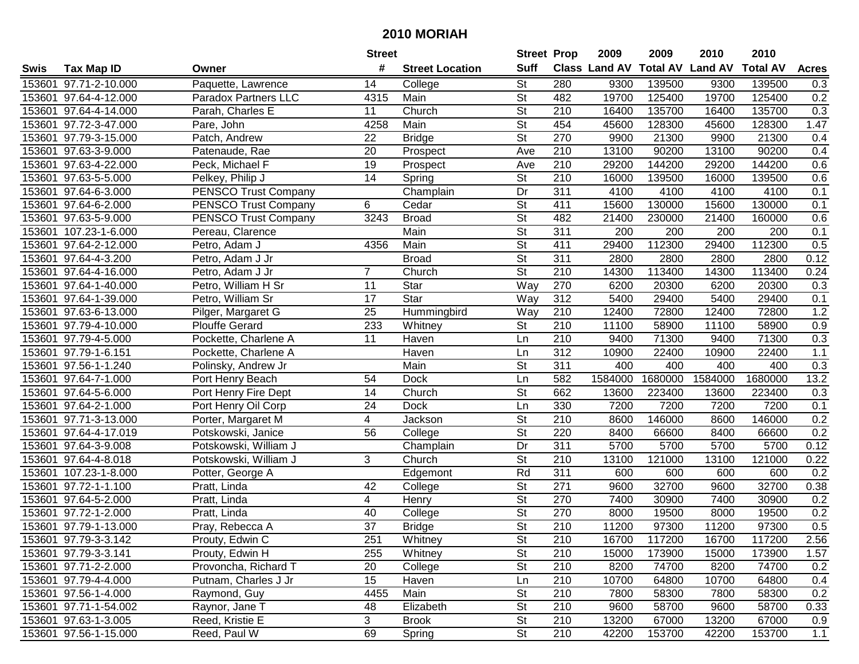|        |                       |                             | <b>Street</b>   |                        | <b>Street Prop</b>       |                  | 2009          | 2009            | 2010           | 2010            |              |
|--------|-----------------------|-----------------------------|-----------------|------------------------|--------------------------|------------------|---------------|-----------------|----------------|-----------------|--------------|
| Swis   | <b>Tax Map ID</b>     | Owner                       | #               | <b>Street Location</b> | <b>Suff</b>              |                  | Class Land AV | <b>Total AV</b> | <b>Land AV</b> | <b>Total AV</b> | <b>Acres</b> |
|        | 153601 97.71-2-10.000 | Paquette, Lawrence          | 14              | College                | <b>St</b>                | 280              | 9300          | 139500          | 9300           | 139500          | 0.3          |
|        | 153601 97.64-4-12.000 | <b>Paradox Partners LLC</b> | 4315            | Main                   | St                       | 482              | 19700         | 125400          | 19700          | 125400          | 0.2          |
|        | 153601 97.64-4-14.000 | Parah, Charles E            | 11              | Church                 | St                       | 210              | 16400         | 135700          | 16400          | 135700          | 0.3          |
|        | 153601 97.72-3-47.000 | Pare, John                  | 4258            | Main                   | $\overline{\mathsf{St}}$ | 454              | 45600         | 128300          | 45600          | 128300          | 1.47         |
|        | 153601 97.79-3-15.000 | Patch, Andrew               | 22              | <b>Bridge</b>          | <b>St</b>                | 270              | 9900          | 21300           | 9900           | 21300           | 0.4          |
|        | 153601 97.63-3-9.000  | Patenaude, Rae              | 20              | Prospect               | Ave                      | 210              | 13100         | 90200           | 13100          | 90200           | 0.4          |
|        | 153601 97.63-4-22.000 | Peck, Michael F             | 19              | Prospect               | Ave                      | 210              | 29200         | 144200          | 29200          | 144200          | 0.6          |
|        | 153601 97.63-5-5.000  | Pelkey, Philip J            | $\overline{14}$ | Spring                 | $\overline{\mathsf{St}}$ | 210              | 16000         | 139500          | 16000          | 139500          | 0.6          |
|        | 153601 97.64-6-3.000  | <b>PENSCO Trust Company</b> |                 | Champlain              | Dr                       | 311              | 4100          | 4100            | 4100           | 4100            | 0.1          |
|        | 153601 97.64-6-2.000  | PENSCO Trust Company        | 6               | Cedar                  | $\overline{\mathsf{St}}$ | 411              | 15600         | 130000          | 15600          | 130000          | 0.1          |
|        | 153601 97.63-5-9.000  | PENSCO Trust Company        | 3243            | <b>Broad</b>           | $\overline{\mathsf{St}}$ | 482              | 21400         | 230000          | 21400          | 160000          | 0.6          |
|        | 153601 107.23-1-6.000 | Pereau, Clarence            |                 | Main                   | St                       | 311              | 200           | 200             | 200            | 200             | 0.1          |
|        | 153601 97.64-2-12.000 | Petro, Adam J               | 4356            | Main                   | $\overline{\mathsf{St}}$ | 411              | 29400         | 112300          | 29400          | 112300          | 0.5          |
|        | 153601 97.64-4-3.200  | Petro, Adam J Jr            |                 | <b>Broad</b>           | $\overline{\mathsf{St}}$ | 311              | 2800          | 2800            | 2800           | 2800            | 0.12         |
|        | 153601 97.64-4-16.000 | Petro, Adam J Jr            | $\overline{7}$  | Church                 | $\overline{\mathsf{St}}$ | 210              | 14300         | 113400          | 14300          | 113400          | 0.24         |
|        | 153601 97.64-1-40.000 | Petro, William H Sr         | 11              | Star                   | Way                      | 270              | 6200          | 20300           | 6200           | 20300           | 0.3          |
|        | 153601 97.64-1-39.000 | Petro, William Sr           | 17              | Star                   | Way                      | 312              | 5400          | 29400           | 5400           | 29400           | 0.1          |
|        | 153601 97.63-6-13.000 | Pilger, Margaret G          | 25              | Hummingbird            | Way                      | 210              | 12400         | 72800           | 12400          | 72800           | 1.2          |
|        | 153601 97.79-4-10.000 | <b>Plouffe Gerard</b>       | 233             | Whitney                | <b>St</b>                | 210              | 11100         | 58900           | 11100          | 58900           | 0.9          |
|        | 153601 97.79-4-5.000  | Pockette, Charlene A        | 11              | Haven                  | Ln                       | 210              | 9400          | 71300           | 9400           | 71300           | 0.3          |
|        | 153601 97.79-1-6.151  | Pockette, Charlene A        |                 | Haven                  | Ln                       | 312              | 10900         | 22400           | 10900          | 22400           | 1.1          |
| 153601 | 97.56-1-1.240         | Polinsky, Andrew Jr         |                 | Main                   | St                       | 311              | 400           | 400             | 400            | 400             | 0.3          |
| 153601 | 97.64-7-1.000         | Port Henry Beach            | 54              | <b>Dock</b>            | Ln                       | 582              | 1584000       | 1680000         | 1584000        | 1680000         | 13.2         |
| 153601 | 97.64-5-6.000         | Port Henry Fire Dept        | 14              | Church                 | <b>St</b>                | 662              | 13600         | 223400          | 13600          | 223400          | 0.3          |
| 153601 | $97.64 - 2 - 1.000$   | Port Henry Oil Corp         | 24              | <b>Dock</b>            | Ln                       | 330              | 7200          | 7200            | 7200           | 7200            | 0.1          |
|        | 153601 97.71-3-13.000 | Porter, Margaret M          | 4               | Jackson                | $\overline{\mathsf{St}}$ | 210              | 8600          | 146000          | 8600           | 146000          | 0.2          |
|        | 153601 97.64-4-17.019 | Potskowski, Janice          | 56              | College                | $\overline{\mathsf{St}}$ | 220              | 8400          | 66600           | 8400           | 66600           | 0.2          |
|        | 153601 97.64-3-9.008  | Potskowski, William J       |                 | Champlain              | Dr                       | 311              | 5700          | 5700            | 5700           | 5700            | 0.12         |
|        | 153601 97.64-4-8.018  | Potskowski, William J       | 3               | Church                 | $\overline{\mathsf{St}}$ | $\overline{210}$ | 13100         | 121000          | 13100          | 121000          | 0.22         |
| 153601 | 107.23-1-8.000        | Potter, George A            |                 | Edgemont               | Rd                       | 311              | 600           | 600             | 600            | 600             | 0.2          |
|        | 153601 97.72-1-1.100  | Pratt, Linda                | 42              | College                | $\overline{St}$          | 271              | 9600          | 32700           | 9600           | 32700           | 0.38         |
|        | 153601 97.64-5-2.000  | Pratt, Linda                | 4               | Henry                  | $\overline{\mathsf{St}}$ | 270              | 7400          | 30900           | 7400           | 30900           | 0.2          |
|        | 153601 97.72-1-2.000  | Pratt, Linda                | 40              | College                | $\overline{\mathsf{St}}$ | 270              | 8000          | 19500           | 8000           | 19500           | 0.2          |
|        | 153601 97.79-1-13.000 | Pray, Rebecca A             | $\overline{37}$ | <b>Bridge</b>          | $\overline{\mathsf{St}}$ | $\overline{210}$ | 11200         | 97300           | 11200          | 97300           | 0.5          |
|        | 153601 97.79-3-3.142  | Prouty, Edwin C             | 251             | Whitney                | <b>St</b>                | 210              | 16700         | 117200          | 16700          | 117200          | 2.56         |
|        | 153601 97.79-3-3.141  | Prouty, Edwin H             | 255             | Whitney                | <b>St</b>                | 210              | 15000         | 173900          | 15000          | 173900          | 1.57         |
|        | 153601 97.71-2-2.000  | Provoncha, Richard T        | 20              | College                | <b>St</b>                | 210              | 8200          | 74700           | 8200           | 74700           | 0.2          |
|        | 153601 97.79-4-4.000  | Putnam, Charles J Jr        | 15              | Haven                  | Ln                       | 210              | 10700         | 64800           | 10700          | 64800           | 0.4          |
|        | 153601 97.56-1-4.000  | Raymond, Guy                | 4455            | Main                   | <b>St</b>                | 210              | 7800          | 58300           | 7800           | 58300           | 0.2          |
|        | 153601 97.71-1-54.002 | Raynor, Jane T              | 48              | Elizabeth              | <b>St</b>                | 210              | 9600          | 58700           | 9600           | 58700           | 0.33         |
|        | 153601 97.63-1-3.005  | Reed, Kristie E             | 3               | <b>Brook</b>           | <b>St</b>                | 210              | 13200         | 67000           | 13200          | 67000           | 0.9          |
|        | 153601 97.56-1-15.000 | Reed, Paul W                | 69              | Spring                 | $\overline{\mathsf{St}}$ | 210              | 42200         | 153700          | 42200          | 153700          | 1.1          |
|        |                       |                             |                 |                        |                          |                  |               |                 |                |                 |              |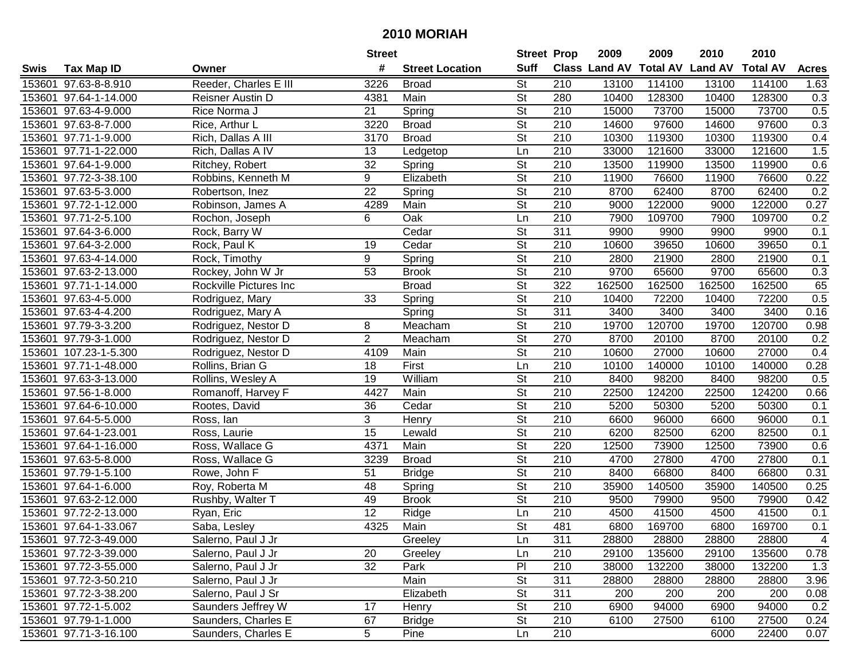|        |                       |                        | <b>Street</b>   |                        | <b>Street Prop</b>       |                  | 2009          | 2009            | 2010           | 2010            |              |
|--------|-----------------------|------------------------|-----------------|------------------------|--------------------------|------------------|---------------|-----------------|----------------|-----------------|--------------|
| Swis   | <b>Tax Map ID</b>     | Owner                  | #               | <b>Street Location</b> | <b>Suff</b>              |                  | Class Land AV | <b>Total AV</b> | <b>Land AV</b> | <b>Total AV</b> | <b>Acres</b> |
|        | 153601 97.63-8-8.910  | Reeder, Charles E III  | 3226            | <b>Broad</b>           | <b>St</b>                | 210              | 13100         | 114100          | 13100          | 114100          | 1.63         |
|        | 153601 97.64-1-14.000 | Reisner Austin D       | 4381            | Main                   | <b>St</b>                | 280              | 10400         | 128300          | 10400          | 128300          | 0.3          |
|        | 153601 97.63-4-9.000  | Rice Norma J           | 21              | Spring                 | <b>St</b>                | 210              | 15000         | 73700           | 15000          | 73700           | 0.5          |
|        | 153601 97.63-8-7.000  | Rice, Arthur L         | 3220            | <b>Broad</b>           | $\overline{\mathsf{St}}$ | 210              | 14600         | 97600           | 14600          | 97600           | 0.3          |
|        | 153601 97.71-1-9.000  | Rich, Dallas A III     | 3170            | <b>Broad</b>           | <b>St</b>                | 210              | 10300         | 119300          | 10300          | 119300          | 0.4          |
|        | 153601 97.71-1-22.000 | Rich, Dallas A IV      | 13              | Ledgetop               | Ln                       | 210              | 33000         | 121600          | 33000          | 121600          | 1.5          |
|        | 153601 97.64-1-9.000  | Ritchey, Robert        | 32              | Spring                 | $\overline{\mathsf{St}}$ | 210              | 13500         | 119900          | 13500          | 119900          | 0.6          |
|        | 153601 97.72-3-38.100 | Robbins, Kenneth M     | $\overline{9}$  | Elizabeth              | $\overline{\mathsf{St}}$ | 210              | 11900         | 76600           | 11900          | 76600           | 0.22         |
|        | 153601 97.63-5-3.000  | Robertson, Inez        | $\overline{22}$ | Spring                 | $\overline{\mathsf{St}}$ | $\overline{210}$ | 8700          | 62400           | 8700           | 62400           | 0.2          |
|        | 153601 97.72-1-12.000 | Robinson, James A      | 4289            | Main                   | $\overline{\mathsf{St}}$ | 210              | 9000          | 122000          | 9000           | 122000          | 0.27         |
|        | 153601 97.71-2-5.100  | Rochon, Joseph         | 6               | Oak                    | Ln                       | 210              | 7900          | 109700          | 7900           | 109700          | 0.2          |
|        | 153601 97.64-3-6.000  | Rock, Barry W          |                 | Cedar                  | <b>St</b>                | 311              | 9900          | 9900            | 9900           | 9900            | 0.1          |
|        | 153601 97.64-3-2.000  | Rock, Paul K           | 19              | Cedar                  | $\overline{\mathsf{St}}$ | 210              | 10600         | 39650           | 10600          | 39650           | 0.1          |
|        | 153601 97.63-4-14.000 | Rock, Timothy          | 9               | Spring                 | $\overline{\mathsf{St}}$ | 210              | 2800          | 21900           | 2800           | 21900           | 0.1          |
|        | 153601 97.63-2-13.000 | Rockey, John W Jr      | 53              | <b>Brook</b>           | $\overline{\mathsf{St}}$ | 210              | 9700          | 65600           | 9700           | 65600           | 0.3          |
|        | 153601 97.71-1-14.000 | Rockville Pictures Inc |                 | <b>Broad</b>           | $\overline{\mathsf{St}}$ | 322              | 162500        | 162500          | 162500         | 162500          | 65           |
|        | 153601 97.63-4-5.000  | Rodriguez, Mary        | 33              | Spring                 | $\overline{\mathsf{St}}$ | 210              | 10400         | 72200           | 10400          | 72200           | 0.5          |
|        | 153601 97.63-4-4.200  | Rodriguez, Mary A      |                 | Spring                 | $\overline{\mathsf{St}}$ | 311              | 3400          | 3400            | 3400           | 3400            | 0.16         |
|        | 153601 97.79-3-3.200  | Rodriguez, Nestor D    | 8               | Meacham                | <b>St</b>                | 210              | 19700         | 120700          | 19700          | 120700          | 0.98         |
|        | 153601 97.79-3-1.000  | Rodriguez, Nestor D    | $\overline{2}$  | Meacham                | <b>St</b>                | 270              | 8700          | 20100           | 8700           | 20100           | 0.2          |
|        | 153601 107.23-1-5.300 | Rodriguez, Nestor D    | 4109            | Main                   | $\overline{\mathsf{St}}$ | 210              | 10600         | 27000           | 10600          | 27000           | 0.4          |
|        | 153601 97.71-1-48.000 | Rollins, Brian G       | 18              | First                  | Ln                       | 210              | 10100         | 140000          | 10100          | 140000          | 0.28         |
| 153601 | 97.63-3-13.000        | Rollins, Wesley A      | 19              | William                | <b>St</b>                | 210              | 8400          | 98200           | 8400           | 98200           | 0.5          |
| 153601 | 97.56-1-8.000         | Romanoff, Harvey F     | 4427            | Main                   | <b>St</b>                | 210              | 22500         | 124200          | 22500          | 124200          | 0.66         |
|        | 153601 97.64-6-10.000 | Rootes, David          | 36              | Cedar                  | $\overline{\mathsf{St}}$ | $\overline{210}$ | 5200          | 50300           | 5200           | 50300           | 0.1          |
|        | 153601 97.64-5-5.000  | Ross, lan              | 3               | Henry                  | $\overline{\mathsf{St}}$ | 210              | 6600          | 96000           | 6600           | 96000           | 0.1          |
|        | 153601 97.64-1-23.001 | Ross, Laurie           | 15              | Lewald                 | $\overline{\mathsf{St}}$ | 210              | 6200          | 82500           | 6200           | 82500           | 0.1          |
|        | 153601 97.64-1-16.000 | Ross, Wallace G        | 4371            | Main                   | St                       | 220              | 12500         | 73900           | 12500          | 73900           | 0.6          |
|        | 153601 97.63-5-8.000  | Ross, Wallace G        | 3239            | <b>Broad</b>           | $\overline{\mathsf{St}}$ | $\overline{210}$ | 4700          | 27800           | 4700           | 27800           | 0.1          |
|        | 153601 97.79-1-5.100  | Rowe, John F           | 51              | <b>Bridge</b>          | $\overline{\mathsf{St}}$ | $\overline{210}$ | 8400          | 66800           | 8400           | 66800           | 0.31         |
|        | 153601 97.64-1-6.000  | Roy, Roberta M         | 48              | Spring                 | $\overline{\mathsf{St}}$ | 210              | 35900         | 140500          | 35900          | 140500          | 0.25         |
|        | 153601 97.63-2-12.000 | Rushby, Walter T       | 49              | <b>Brook</b>           | $\overline{\mathsf{St}}$ | $\overline{210}$ | 9500          | 79900           | 9500           | 79900           | 0.42         |
|        | 153601 97.72-2-13.000 | Ryan, Eric             | $\overline{12}$ | Ridge                  | Ln                       | $\overline{210}$ | 4500          | 41500           | 4500           | 41500           | 0.1          |
|        | 153601 97.64-1-33.067 | Saba, Lesley           | 4325            | Main                   | $\overline{\mathsf{St}}$ | 481              | 6800          | 169700          | 6800           | 169700          | 0.1          |
|        | 153601 97.72-3-49.000 | Salerno, Paul J Jr     |                 | Greeley                | Ln                       | 311              | 28800         | 28800           | 28800          | 28800           | 4            |
|        | 153601 97.72-3-39.000 | Salerno, Paul J Jr     | 20              | Greeley                | Ln                       | 210              | 29100         | 135600          | 29100          | 135600          | 0.78         |
|        | 153601 97.72-3-55.000 | Salerno, Paul J Jr     | 32              | Park                   | P <sub>1</sub>           | 210              | 38000         | 132200          | 38000          | 132200          | 1.3          |
|        | 153601 97.72-3-50.210 | Salerno, Paul J Jr     |                 | Main                   | <b>St</b>                | 311              | 28800         | 28800           | 28800          | 28800           | 3.96         |
|        | 153601 97.72-3-38.200 | Salerno, Paul J Sr     |                 | Elizabeth              | <b>St</b>                | 311              | 200           | 200             | 200            | 200             | 0.08         |
|        | 153601 97.72-1-5.002  | Saunders Jeffrey W     | 17              | Henry                  | <b>St</b>                | 210              | 6900          | 94000           | 6900           | 94000           | 0.2          |
|        | 153601 97.79-1-1.000  | Saunders, Charles E    | 67              | <b>Bridge</b>          | <b>St</b>                | 210              | 6100          | 27500           | 6100           | 27500           | 0.24         |
|        | 153601 97.71-3-16.100 | Saunders, Charles E    | 5               | Pine                   | Ln                       | 210              |               |                 | 6000           | 22400           | 0.07         |
|        |                       |                        |                 |                        |                          |                  |               |                 |                |                 |              |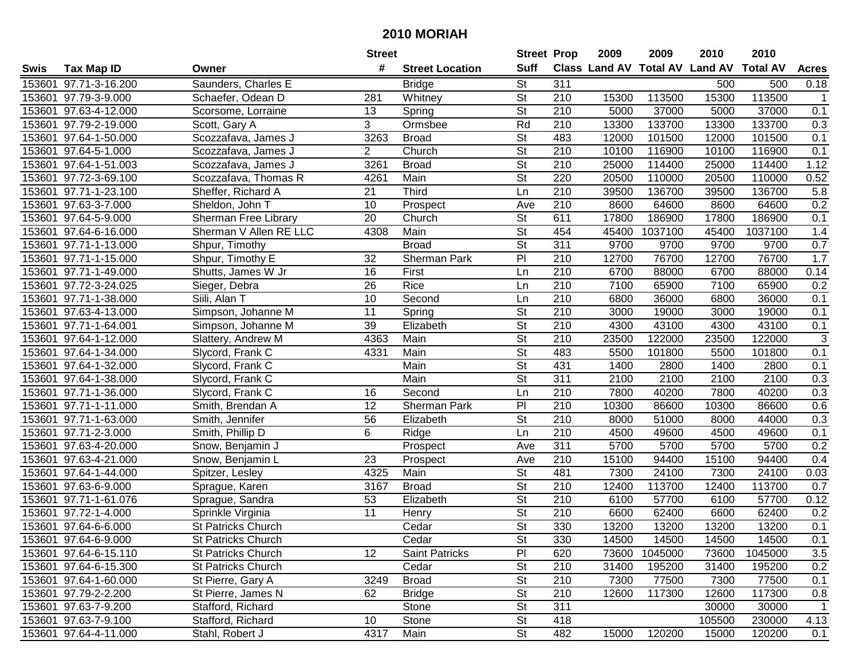|      |                       |                           | <b>Street</b>   |                        | <b>Street Prop</b>       |                  | 2009  | 2009    | 2010                           | 2010            |                  |
|------|-----------------------|---------------------------|-----------------|------------------------|--------------------------|------------------|-------|---------|--------------------------------|-----------------|------------------|
| Swis | <b>Tax Map ID</b>     | Owner                     | #               | <b>Street Location</b> | <b>Suff</b>              |                  |       |         | Class Land AV Total AV Land AV | <b>Total AV</b> | <b>Acres</b>     |
|      | 153601 97.71-3-16.200 | Saunders, Charles E       |                 | <b>Bridge</b>          | <b>St</b>                | 311              |       |         | 500                            | 500             | 0.18             |
|      | 153601 97.79-3-9.000  | Schaefer, Odean D         | 281             | Whitney                | <b>St</b>                | 210              | 15300 | 113500  | 15300                          | 113500          | $\mathbf{1}$     |
|      | 153601 97.63-4-12.000 | Scorsome, Lorraine        | 13              | Spring                 | <b>St</b>                | 210              | 5000  | 37000   | 5000                           | 37000           | 0.1              |
|      | 153601 97.79-2-19.000 | Scott, Gary A             | 3               | Ormsbee                | Rd                       | 210              | 13300 | 133700  | 13300                          | 133700          | 0.3              |
|      | 153601 97.64-1-50.000 | Scozzafava, James J       | 3263            | <b>Broad</b>           | <b>St</b>                | 483              | 12000 | 101500  | 12000                          | 101500          | 0.1              |
|      | 153601 97.64-5-1.000  | Scozzafava, James J       | $\overline{2}$  | Church                 | $\overline{\mathsf{St}}$ | 210              | 10100 | 116900  | 10100                          | 116900          | 0.1              |
|      | 153601 97.64-1-51.003 | Scozzafava, James J       | 3261            | <b>Broad</b>           | <b>St</b>                | 210              | 25000 | 114400  | 25000                          | 114400          | 1.12             |
|      | 153601 97.72-3-69.100 | Scozzafava, Thomas R      | 4261            | Main                   | $\overline{St}$          | 220              | 20500 | 110000  | 20500                          | 110000          | 0.52             |
|      | 153601 97.71-1-23.100 | Sheffer, Richard A        | $\overline{21}$ | Third                  | Ln                       | $\overline{210}$ | 39500 | 136700  | 39500                          | 136700          | 5.8              |
|      | 153601 97.63-3-7.000  | Sheldon, John T           | 10              | Prospect               | Ave                      | 210              | 8600  | 64600   | 8600                           | 64600           | 0.2              |
|      | 153601 97.64-5-9.000  | Sherman Free Library      | 20              | Church                 | $\overline{\mathsf{St}}$ | 611              | 17800 | 186900  | 17800                          | 186900          | 0.1              |
|      | 153601 97.64-6-16.000 | Sherman V Allen RE LLC    | 4308            | Main                   | St                       | 454              | 45400 | 1037100 | 45400                          | 1037100         | 1.4              |
|      | 153601 97.71-1-13.000 | Shpur, Timothy            |                 | <b>Broad</b>           | $\overline{\mathsf{St}}$ | $\overline{311}$ | 9700  | 9700    | 9700                           | 9700            | 0.7              |
|      | 153601 97.71-1-15.000 | Shpur, Timothy E          | 32              | Sherman Park           | $\overline{P}$           | 210              | 12700 | 76700   | 12700                          | 76700           | 1.7              |
|      | 153601 97.71-1-49.000 | Shutts, James W Jr        | 16              | First                  | Ln                       | 210              | 6700  | 88000   | 6700                           | 88000           | 0.14             |
|      | 153601 97.72-3-24.025 | Sieger, Debra             | 26              | Rice                   | Ln                       | 210              | 7100  | 65900   | 7100                           | 65900           | 0.2              |
|      | 153601 97.71-1-38.000 | Siili, Alan T             | $\overline{10}$ | Second                 | Ln                       | $\overline{210}$ | 6800  | 36000   | 6800                           | 36000           | 0.1              |
|      | 153601 97.63-4-13.000 | Simpson, Johanne M        | 11              | Spring                 | $\overline{\mathsf{St}}$ | 210              | 3000  | 19000   | 3000                           | 19000           | 0.1              |
|      | 153601 97.71-1-64.001 | Simpson, Johanne M        | 39              | Elizabeth              | St                       | 210              | 4300  | 43100   | 4300                           | 43100           | 0.1              |
|      | 153601 97.64-1-12.000 | Slattery, Andrew M        | 4363            | Main                   | St                       | 210              | 23500 | 122000  | 23500                          | 122000          | 3                |
|      | 153601 97.64-1-34.000 | Slycord, Frank C          | 4331            | Main                   | $\overline{\mathsf{St}}$ | 483              | 5500  | 101800  | 5500                           | 101800          | 0.1              |
|      | 153601 97.64-1-32.000 | Slycord, Frank C          |                 | Main                   | St                       | 431              | 1400  | 2800    | 1400                           | 2800            | 0.1              |
|      | 153601 97.64-1-38.000 | Slycord, Frank C          |                 | Main                   | St                       | 311              | 2100  | 2100    | 2100                           | 2100            | 0.3              |
|      | 153601 97.71-1-36.000 | Slycord, Frank C          | 16              | Second                 | Ln                       | 210              | 7800  | 40200   | 7800                           | 40200           | 0.3              |
|      | 153601 97.71-1-11.000 | Smith, Brendan A          | $\overline{12}$ | Sherman Park           | $\overline{P}$           | $\overline{210}$ | 10300 | 86600   | 10300                          | 86600           | 0.6              |
|      | 153601 97.71-1-63.000 | Smith, Jennifer           | 56              | Elizabeth              | $\overline{\mathsf{St}}$ | 210              | 8000  | 51000   | 8000                           | 44000           | 0.3              |
|      | 153601 97.71-2-3.000  | Smith, Phillip D          | 6               | Ridge                  | Ln                       | 210              | 4500  | 49600   | 4500                           | 49600           | 0.1              |
|      | 153601 97.63-4-20.000 | Snow, Benjamin J          |                 | Prospect               | Ave                      | 311              | 5700  | 5700    | 5700                           | 5700            | 0.2              |
|      | 153601 97.63-4-21.000 | Snow, Benjamin L          | 23              | Prospect               | Ave                      | 210              | 15100 | 94400   | 15100                          | 94400           | 0.4              |
|      | 153601 97.64-1-44.000 | Spitzer, Lesley           | 4325            | Main                   | $\overline{\mathsf{St}}$ | 481              | 7300  | 24100   | 7300                           | 24100           | 0.03             |
|      | 153601 97.63-6-9.000  | Sprague, Karen            | 3167            | <b>Broad</b>           | $\overline{St}$          | 210              | 12400 | 113700  | 12400                          | 113700          | $\overline{0.7}$ |
|      | 153601 97.71-1-61.076 | Sprague, Sandra           | 53              | Elizabeth              | $\overline{\mathsf{St}}$ | $\overline{210}$ | 6100  | 57700   | 6100                           | 57700           | 0.12             |
|      | 153601 97.72-1-4.000  | Sprinkle Virginia         | $\overline{11}$ | Henry                  | $\overline{\mathsf{St}}$ | 210              | 6600  | 62400   | 6600                           | 62400           | 0.2              |
|      | 153601 97.64-6-6.000  | <b>St Patricks Church</b> |                 | Cedar                  | $\overline{\mathsf{St}}$ | 330              | 13200 | 13200   | 13200                          | 13200           | 0.1              |
|      | 153601 97.64-6-9.000  | <b>St Patricks Church</b> |                 | Cedar                  | <b>St</b>                | 330              | 14500 | 14500   | 14500                          | 14500           | 0.1              |
|      | 153601 97.64-6-15.110 | <b>St Patricks Church</b> | 12              | Saint Patricks         | P <sub>1</sub>           | 620              | 73600 | 1045000 | 73600                          | 1045000         | 3.5              |
|      | 153601 97.64-6-15.300 | <b>St Patricks Church</b> |                 | Cedar                  | <b>St</b>                | 210              | 31400 | 195200  | 31400                          | 195200          | 0.2              |
|      | 153601 97.64-1-60.000 | St Pierre, Gary A         | 3249            | <b>Broad</b>           | <b>St</b>                | 210              | 7300  | 77500   | 7300                           | 77500           | 0.1              |
|      | 153601 97.79-2-2.200  | St Pierre, James N        | 62              | <b>Bridge</b>          | <b>St</b>                | 210              | 12600 | 117300  | 12600                          | 117300          | 0.8              |
|      | 153601 97.63-7-9.200  | Stafford, Richard         |                 | Stone                  | <b>St</b>                | 311              |       |         | 30000                          | 30000           | $\mathbf{1}$     |
|      | 153601 97.63-7-9.100  | Stafford, Richard         | 10              | Stone                  | <b>St</b>                | 418              |       |         | 105500                         | 230000          | 4.13             |
|      | 153601 97.64-4-11.000 | Stahl, Robert J           | 4317            | Main                   | $\overline{\mathsf{St}}$ | 482              | 15000 | 120200  | 15000                          | 120200          | 0.1              |
|      |                       |                           |                 |                        |                          |                  |       |         |                                |                 |                  |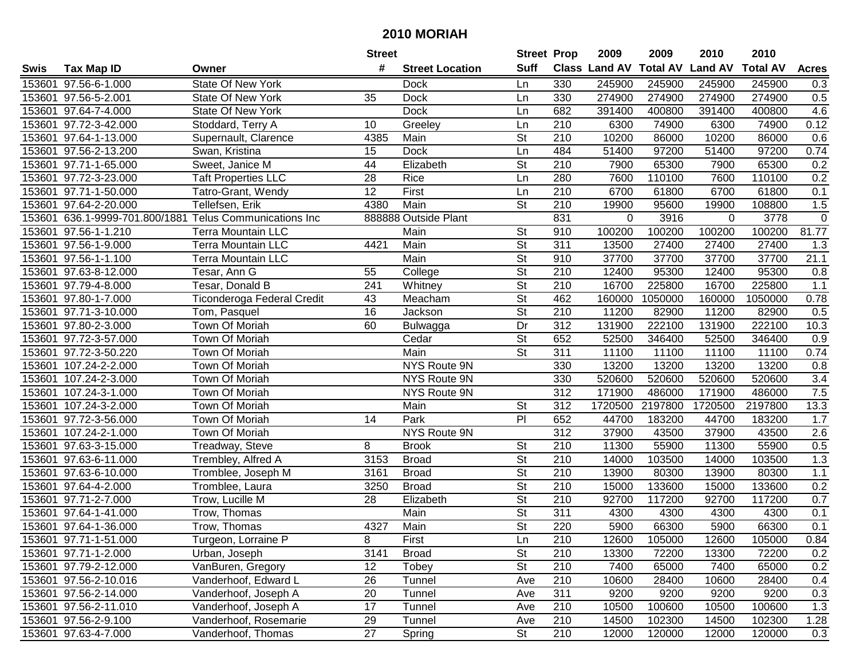| #<br><b>Suff</b><br><b>Total AV</b><br>Class Land AV<br><b>Land AV</b><br><b>Total AV</b><br><b>Tax Map ID</b><br><b>Street Location</b><br><b>Acres</b><br>Swis<br>Owner<br>153601 97.56-6-1.000<br><b>State Of New York</b><br>330<br>245900<br>245900<br>245900<br>245900<br>0.3<br>Dock<br>Ln<br>153601 97.56-5-2.001<br>35<br><b>Dock</b><br>330<br>274900<br>274900<br>274900<br>274900<br>0.5<br><b>State Of New York</b><br>Ln<br>153601 97.64-7-4.000<br>State Of New York<br><b>Dock</b><br>682<br>391400<br>400800<br>391400<br>400800<br>4.6<br>Ln<br>0.12<br>153601 97.72-3-42.000<br>210<br>74900<br>74900<br>Stoddard, Terry A<br>10<br>Ln<br>6300<br>6300<br>Greeley<br>153601 97.64-1-13.000<br>4385<br>St<br>210<br>10200<br>86000<br>10200<br>86000<br>0.6<br>Supernault, Clarence<br>Main<br>97200<br>0.74<br>153601 97.56-2-13.200<br><b>Dock</b><br>484<br>51400<br>97200<br>51400<br>Swan, Kristina<br>15<br>Ln<br>153601 97.71-1-65.000<br>Sweet, Janice M<br>44<br>Elizabeth<br>St<br>210<br>65300<br>65300<br>0.2<br>7900<br>7900<br>280<br>0.2<br>153601 97.72-3-23.000<br><b>Taft Properties LLC</b><br>$\overline{28}$<br><b>Rice</b><br>7600<br>110100<br>7600<br>110100<br>Ln<br>$\overline{12}$<br>First<br>$\overline{210}$<br>6700<br>153601 97.71-1-50.000<br>Tatro-Grant, Wendy<br>61800<br>6700<br>61800<br>0.1<br>Ln<br>153601 97.64-2-20.000<br>Tellefsen, Erik<br>St<br>210<br>1.5<br>4380<br>Main<br>19900<br>95600<br>19900<br>108800<br>153601 636.1-9999-701.800/1881 Telus Communications Inc<br>888888 Outside Plant<br>831<br>3916<br>0<br>0<br>3778<br>$\mathbf 0$<br>100200<br>153601 97.56-1-1.210<br>Main<br>St<br>910<br>100200<br>100200<br>100200<br>81.77<br><b>Terra Mountain LLC</b><br>$\overline{\mathsf{St}}$<br>$\overline{311}$<br>153601 97.56-1-9.000<br>4421<br>Main<br>13500<br>27400<br>27400<br><b>Terra Mountain LLC</b><br>27400<br>1.3<br>$\overline{\mathsf{St}}$<br>Main<br>21.1<br>153601 97.56-1-1.100<br><b>Terra Mountain LLC</b><br>910<br>37700<br>37700<br>37700<br>37700<br>$\overline{\mathsf{St}}$<br>210<br>95300<br>153601 97.63-8-12.000<br>55<br>12400<br>95300<br>12400<br>0.8<br>Tesar, Ann G<br>College<br>$\overline{\mathsf{St}}$<br>210<br>153601 97.79-4-8.000<br>241<br>16700<br>225800<br>16700<br>225800<br>1.1<br>Tesar, Donald B<br>Whitney<br>$\overline{St}$<br>43<br>462<br>0.78<br>153601 97.80-1-7.000<br>160000<br>1050000<br>1050000<br>Ticonderoga Federal Credit<br>Meacham<br>160000<br>$\overline{\mathsf{St}}$<br>16<br>210<br>153601 97.71-3-10.000<br>Jackson<br>11200<br>82900<br>11200<br>0.5<br>Tom, Pasquel<br>82900<br>60<br>Dr<br>312<br>153601 97.80-2-3.000<br>Town Of Moriah<br>131900<br>222100<br>131900<br>222100<br>10.3<br>Bulwagga<br>St<br>153601 97.72-3-57.000<br>Town Of Moriah<br>Cedar<br>652<br>52500<br>346400<br>52500<br>346400<br>0.9<br>$\overline{\mathsf{St}}$<br>153601 97.72-3-50.220<br>Main<br>311<br>11100<br>11100<br>0.74<br>Town Of Moriah<br>11100<br>11100<br>107.24-2-2.000<br>Town Of Moriah<br>NYS Route 9N<br>330<br>13200<br>13200<br>13200<br>13200<br>0.8<br>153601<br>107.24-2-3.000<br>330<br>520600<br>3.4<br>153601<br>Town Of Moriah<br><b>NYS Route 9N</b><br>520600<br>520600<br>520600<br>7.5<br>153601<br>107.24-3-1.000<br>Town Of Moriah<br>NYS Route 9N<br>312<br>171900<br>486000<br>171900<br>486000<br>$\overline{312}$<br>107.24-3-2.000<br>Main<br>St<br>1720500<br>2197800<br>1720500<br>2197800<br>13.3<br>153601<br>Town Of Moriah<br>$\overline{P}$<br>153601 97.72-3-56.000<br>652<br>44700<br>183200<br>Town Of Moriah<br>14<br>Park<br>44700<br>183200<br>1.7<br>$\overline{312}$<br>153601 107.24-2-1.000<br>37900<br>43500<br>2.6<br>Town Of Moriah<br>NYS Route 9N<br>43500<br>37900<br>55900<br>153601 97.63-3-15.000<br>Treadway, Steve<br>8<br>St<br>210<br>11300<br>55900<br>11300<br>0.5<br><b>Brook</b><br>$\overline{\mathsf{St}}$<br>1.3<br>153601 97.63-6-11.000<br>3153<br>210<br>14000<br>103500<br>14000<br>103500<br>Trembley, Alfred A<br><b>Broad</b><br>$\overline{St}$<br>$\overline{210}$<br>153601 97.63-6-10.000<br>Tromblee, Joseph M<br>3161<br><b>Broad</b><br>13900<br>80300<br>13900<br>80300<br>1.1<br>$\overline{\mathsf{St}}$<br>153601 97.64-4-2.000<br>$\overline{210}$<br>133600<br>0.2<br>Tromblee, Laura<br>3250<br><b>Broad</b><br>15000<br>15000<br>133600<br>$\overline{\mathsf{St}}$<br>153601 97.71-2-7.000<br>0.7<br>Trow, Lucille M<br>28<br>Elizabeth<br>210<br>92700<br>117200<br>92700<br>117200<br>$\overline{\mathsf{St}}$<br>Main<br>311<br>4300<br>4300<br>0.1<br>153601 97.64-1-41.000<br>Trow, Thomas<br>4300<br>4300<br>$\overline{\mathsf{St}}$<br>220<br>0.1<br>153601 97.64-1-36.000<br>4327<br>Main<br>5900<br>66300<br>5900<br>66300<br>Trow, Thomas<br>153601 97.71-1-51.000<br>Turgeon, Lorraine P<br>8<br>First<br>Ln<br>210<br>12600<br>105000<br>12600<br>105000<br>0.84<br><b>St</b><br>0.2<br>153601 97.71-1-2.000<br>Urban, Joseph<br>3141<br><b>Broad</b><br>210<br>13300<br>72200<br>13300<br>72200<br><b>St</b><br>210<br>65000<br>153601 97.79-2-12.000<br>VanBuren, Gregory<br>12<br>Tobey<br>7400<br>65000<br>7400<br>0.2<br>153601 97.56-2-10.016<br>26<br>210<br>10600<br>28400<br>10600<br>28400<br>0.4<br>Vanderhoof, Edward L<br>Tunnel<br>Ave<br>153601 97.56-2-14.000<br>20<br>311<br>0.3<br>Vanderhoof, Joseph A<br>Tunnel<br>9200<br>9200<br>9200<br>9200<br>Ave<br>17<br>210<br>1.3<br>153601 97.56-2-11.010<br>Vanderhoof, Joseph A<br>Tunnel<br>10500<br>100600<br>10500<br>100600<br>Ave<br>102300<br>153601 97.56-2-9.100<br>Vanderhoof, Rosemarie<br>29<br>210<br>14500<br>14500<br>102300<br>1.28<br>Tunnel<br>Ave<br>153601 97.63-4-7.000<br>27<br>St<br>Vanderhoof, Thomas<br>210<br>12000<br>120000<br>12000<br>Spring<br>120000<br>0.3 |  | <b>Street</b> | <b>Street Prop</b> | 2009 | 2009 | 2010 | 2010 |  |
|---------------------------------------------------------------------------------------------------------------------------------------------------------------------------------------------------------------------------------------------------------------------------------------------------------------------------------------------------------------------------------------------------------------------------------------------------------------------------------------------------------------------------------------------------------------------------------------------------------------------------------------------------------------------------------------------------------------------------------------------------------------------------------------------------------------------------------------------------------------------------------------------------------------------------------------------------------------------------------------------------------------------------------------------------------------------------------------------------------------------------------------------------------------------------------------------------------------------------------------------------------------------------------------------------------------------------------------------------------------------------------------------------------------------------------------------------------------------------------------------------------------------------------------------------------------------------------------------------------------------------------------------------------------------------------------------------------------------------------------------------------------------------------------------------------------------------------------------------------------------------------------------------------------------------------------------------------------------------------------------------------------------------------------------------------------------------------------------------------------------------------------------------------------------------------------------------------------------------------------------------------------------------------------------------------------------------------------------------------------------------------------------------------------------------------------------------------------------------------------------------------------------------------------------------------------------------------------------------------------------------------------------------------------------------------------------------------------------------------------------------------------------------------------------------------------------------------------------------------------------------------------------------------------------------------------------------------------------------------------------------------------------------------------------------------------------------------------------------------------------------------------------------------------------------------------------------------------------------------------------------------------------------------------------------------------------------------------------------------------------------------------------------------------------------------------------------------------------------------------------------------------------------------------------------------------------------------------------------------------------------------------------------------------------------------------------------------------------------------------------------------------------------------------------------------------------------------------------------------------------------------------------------------------------------------------------------------------------------------------------------------------------------------------------------------------------------------------------------------------------------------------------------------------------------------------------------------------------------------------------------------------------------------------------------------------------------------------------------------------------------------------------------------------------------------------------------------------------------------------------------------------------------------------------------------------------------------------------------------------------------------------------------------------------------------------------------------------------------------------------------------------------------------------------------------------------------------------------------------------------------------------------------------------------------------------------------------------------------------------------------------------------------------------------------------------------------------------------------------------------------------------------------------------------------------------------------------------------------------------------------------------------------------------------------------------------------------------------------------------------------------------------------------------------------------------------------------------------------------------------------------------------------------------------------------------------------------------------------------------------------------------------------------------------------------------------------------------------------------------------------------------------------------------------------------------------------|--|---------------|--------------------|------|------|------|------|--|
|                                                                                                                                                                                                                                                                                                                                                                                                                                                                                                                                                                                                                                                                                                                                                                                                                                                                                                                                                                                                                                                                                                                                                                                                                                                                                                                                                                                                                                                                                                                                                                                                                                                                                                                                                                                                                                                                                                                                                                                                                                                                                                                                                                                                                                                                                                                                                                                                                                                                                                                                                                                                                                                                                                                                                                                                                                                                                                                                                                                                                                                                                                                                                                                                                                                                                                                                                                                                                                                                                                                                                                                                                                                                                                                                                                                                                                                                                                                                                                                                                                                                                                                                                                                                                                                                                                                                                                                                                                                                                                                                                                                                                                                                                                                                                                                                                                                                                                                                                                                                                                                                                                                                                                                                                                                                                                                                                                                                                                                                                                                                                                                                                                                                                                                                                                                                                           |  |               |                    |      |      |      |      |  |
|                                                                                                                                                                                                                                                                                                                                                                                                                                                                                                                                                                                                                                                                                                                                                                                                                                                                                                                                                                                                                                                                                                                                                                                                                                                                                                                                                                                                                                                                                                                                                                                                                                                                                                                                                                                                                                                                                                                                                                                                                                                                                                                                                                                                                                                                                                                                                                                                                                                                                                                                                                                                                                                                                                                                                                                                                                                                                                                                                                                                                                                                                                                                                                                                                                                                                                                                                                                                                                                                                                                                                                                                                                                                                                                                                                                                                                                                                                                                                                                                                                                                                                                                                                                                                                                                                                                                                                                                                                                                                                                                                                                                                                                                                                                                                                                                                                                                                                                                                                                                                                                                                                                                                                                                                                                                                                                                                                                                                                                                                                                                                                                                                                                                                                                                                                                                                           |  |               |                    |      |      |      |      |  |
|                                                                                                                                                                                                                                                                                                                                                                                                                                                                                                                                                                                                                                                                                                                                                                                                                                                                                                                                                                                                                                                                                                                                                                                                                                                                                                                                                                                                                                                                                                                                                                                                                                                                                                                                                                                                                                                                                                                                                                                                                                                                                                                                                                                                                                                                                                                                                                                                                                                                                                                                                                                                                                                                                                                                                                                                                                                                                                                                                                                                                                                                                                                                                                                                                                                                                                                                                                                                                                                                                                                                                                                                                                                                                                                                                                                                                                                                                                                                                                                                                                                                                                                                                                                                                                                                                                                                                                                                                                                                                                                                                                                                                                                                                                                                                                                                                                                                                                                                                                                                                                                                                                                                                                                                                                                                                                                                                                                                                                                                                                                                                                                                                                                                                                                                                                                                                           |  |               |                    |      |      |      |      |  |
|                                                                                                                                                                                                                                                                                                                                                                                                                                                                                                                                                                                                                                                                                                                                                                                                                                                                                                                                                                                                                                                                                                                                                                                                                                                                                                                                                                                                                                                                                                                                                                                                                                                                                                                                                                                                                                                                                                                                                                                                                                                                                                                                                                                                                                                                                                                                                                                                                                                                                                                                                                                                                                                                                                                                                                                                                                                                                                                                                                                                                                                                                                                                                                                                                                                                                                                                                                                                                                                                                                                                                                                                                                                                                                                                                                                                                                                                                                                                                                                                                                                                                                                                                                                                                                                                                                                                                                                                                                                                                                                                                                                                                                                                                                                                                                                                                                                                                                                                                                                                                                                                                                                                                                                                                                                                                                                                                                                                                                                                                                                                                                                                                                                                                                                                                                                                                           |  |               |                    |      |      |      |      |  |
|                                                                                                                                                                                                                                                                                                                                                                                                                                                                                                                                                                                                                                                                                                                                                                                                                                                                                                                                                                                                                                                                                                                                                                                                                                                                                                                                                                                                                                                                                                                                                                                                                                                                                                                                                                                                                                                                                                                                                                                                                                                                                                                                                                                                                                                                                                                                                                                                                                                                                                                                                                                                                                                                                                                                                                                                                                                                                                                                                                                                                                                                                                                                                                                                                                                                                                                                                                                                                                                                                                                                                                                                                                                                                                                                                                                                                                                                                                                                                                                                                                                                                                                                                                                                                                                                                                                                                                                                                                                                                                                                                                                                                                                                                                                                                                                                                                                                                                                                                                                                                                                                                                                                                                                                                                                                                                                                                                                                                                                                                                                                                                                                                                                                                                                                                                                                                           |  |               |                    |      |      |      |      |  |
|                                                                                                                                                                                                                                                                                                                                                                                                                                                                                                                                                                                                                                                                                                                                                                                                                                                                                                                                                                                                                                                                                                                                                                                                                                                                                                                                                                                                                                                                                                                                                                                                                                                                                                                                                                                                                                                                                                                                                                                                                                                                                                                                                                                                                                                                                                                                                                                                                                                                                                                                                                                                                                                                                                                                                                                                                                                                                                                                                                                                                                                                                                                                                                                                                                                                                                                                                                                                                                                                                                                                                                                                                                                                                                                                                                                                                                                                                                                                                                                                                                                                                                                                                                                                                                                                                                                                                                                                                                                                                                                                                                                                                                                                                                                                                                                                                                                                                                                                                                                                                                                                                                                                                                                                                                                                                                                                                                                                                                                                                                                                                                                                                                                                                                                                                                                                                           |  |               |                    |      |      |      |      |  |
|                                                                                                                                                                                                                                                                                                                                                                                                                                                                                                                                                                                                                                                                                                                                                                                                                                                                                                                                                                                                                                                                                                                                                                                                                                                                                                                                                                                                                                                                                                                                                                                                                                                                                                                                                                                                                                                                                                                                                                                                                                                                                                                                                                                                                                                                                                                                                                                                                                                                                                                                                                                                                                                                                                                                                                                                                                                                                                                                                                                                                                                                                                                                                                                                                                                                                                                                                                                                                                                                                                                                                                                                                                                                                                                                                                                                                                                                                                                                                                                                                                                                                                                                                                                                                                                                                                                                                                                                                                                                                                                                                                                                                                                                                                                                                                                                                                                                                                                                                                                                                                                                                                                                                                                                                                                                                                                                                                                                                                                                                                                                                                                                                                                                                                                                                                                                                           |  |               |                    |      |      |      |      |  |
|                                                                                                                                                                                                                                                                                                                                                                                                                                                                                                                                                                                                                                                                                                                                                                                                                                                                                                                                                                                                                                                                                                                                                                                                                                                                                                                                                                                                                                                                                                                                                                                                                                                                                                                                                                                                                                                                                                                                                                                                                                                                                                                                                                                                                                                                                                                                                                                                                                                                                                                                                                                                                                                                                                                                                                                                                                                                                                                                                                                                                                                                                                                                                                                                                                                                                                                                                                                                                                                                                                                                                                                                                                                                                                                                                                                                                                                                                                                                                                                                                                                                                                                                                                                                                                                                                                                                                                                                                                                                                                                                                                                                                                                                                                                                                                                                                                                                                                                                                                                                                                                                                                                                                                                                                                                                                                                                                                                                                                                                                                                                                                                                                                                                                                                                                                                                                           |  |               |                    |      |      |      |      |  |
|                                                                                                                                                                                                                                                                                                                                                                                                                                                                                                                                                                                                                                                                                                                                                                                                                                                                                                                                                                                                                                                                                                                                                                                                                                                                                                                                                                                                                                                                                                                                                                                                                                                                                                                                                                                                                                                                                                                                                                                                                                                                                                                                                                                                                                                                                                                                                                                                                                                                                                                                                                                                                                                                                                                                                                                                                                                                                                                                                                                                                                                                                                                                                                                                                                                                                                                                                                                                                                                                                                                                                                                                                                                                                                                                                                                                                                                                                                                                                                                                                                                                                                                                                                                                                                                                                                                                                                                                                                                                                                                                                                                                                                                                                                                                                                                                                                                                                                                                                                                                                                                                                                                                                                                                                                                                                                                                                                                                                                                                                                                                                                                                                                                                                                                                                                                                                           |  |               |                    |      |      |      |      |  |
|                                                                                                                                                                                                                                                                                                                                                                                                                                                                                                                                                                                                                                                                                                                                                                                                                                                                                                                                                                                                                                                                                                                                                                                                                                                                                                                                                                                                                                                                                                                                                                                                                                                                                                                                                                                                                                                                                                                                                                                                                                                                                                                                                                                                                                                                                                                                                                                                                                                                                                                                                                                                                                                                                                                                                                                                                                                                                                                                                                                                                                                                                                                                                                                                                                                                                                                                                                                                                                                                                                                                                                                                                                                                                                                                                                                                                                                                                                                                                                                                                                                                                                                                                                                                                                                                                                                                                                                                                                                                                                                                                                                                                                                                                                                                                                                                                                                                                                                                                                                                                                                                                                                                                                                                                                                                                                                                                                                                                                                                                                                                                                                                                                                                                                                                                                                                                           |  |               |                    |      |      |      |      |  |
|                                                                                                                                                                                                                                                                                                                                                                                                                                                                                                                                                                                                                                                                                                                                                                                                                                                                                                                                                                                                                                                                                                                                                                                                                                                                                                                                                                                                                                                                                                                                                                                                                                                                                                                                                                                                                                                                                                                                                                                                                                                                                                                                                                                                                                                                                                                                                                                                                                                                                                                                                                                                                                                                                                                                                                                                                                                                                                                                                                                                                                                                                                                                                                                                                                                                                                                                                                                                                                                                                                                                                                                                                                                                                                                                                                                                                                                                                                                                                                                                                                                                                                                                                                                                                                                                                                                                                                                                                                                                                                                                                                                                                                                                                                                                                                                                                                                                                                                                                                                                                                                                                                                                                                                                                                                                                                                                                                                                                                                                                                                                                                                                                                                                                                                                                                                                                           |  |               |                    |      |      |      |      |  |
|                                                                                                                                                                                                                                                                                                                                                                                                                                                                                                                                                                                                                                                                                                                                                                                                                                                                                                                                                                                                                                                                                                                                                                                                                                                                                                                                                                                                                                                                                                                                                                                                                                                                                                                                                                                                                                                                                                                                                                                                                                                                                                                                                                                                                                                                                                                                                                                                                                                                                                                                                                                                                                                                                                                                                                                                                                                                                                                                                                                                                                                                                                                                                                                                                                                                                                                                                                                                                                                                                                                                                                                                                                                                                                                                                                                                                                                                                                                                                                                                                                                                                                                                                                                                                                                                                                                                                                                                                                                                                                                                                                                                                                                                                                                                                                                                                                                                                                                                                                                                                                                                                                                                                                                                                                                                                                                                                                                                                                                                                                                                                                                                                                                                                                                                                                                                                           |  |               |                    |      |      |      |      |  |
|                                                                                                                                                                                                                                                                                                                                                                                                                                                                                                                                                                                                                                                                                                                                                                                                                                                                                                                                                                                                                                                                                                                                                                                                                                                                                                                                                                                                                                                                                                                                                                                                                                                                                                                                                                                                                                                                                                                                                                                                                                                                                                                                                                                                                                                                                                                                                                                                                                                                                                                                                                                                                                                                                                                                                                                                                                                                                                                                                                                                                                                                                                                                                                                                                                                                                                                                                                                                                                                                                                                                                                                                                                                                                                                                                                                                                                                                                                                                                                                                                                                                                                                                                                                                                                                                                                                                                                                                                                                                                                                                                                                                                                                                                                                                                                                                                                                                                                                                                                                                                                                                                                                                                                                                                                                                                                                                                                                                                                                                                                                                                                                                                                                                                                                                                                                                                           |  |               |                    |      |      |      |      |  |
|                                                                                                                                                                                                                                                                                                                                                                                                                                                                                                                                                                                                                                                                                                                                                                                                                                                                                                                                                                                                                                                                                                                                                                                                                                                                                                                                                                                                                                                                                                                                                                                                                                                                                                                                                                                                                                                                                                                                                                                                                                                                                                                                                                                                                                                                                                                                                                                                                                                                                                                                                                                                                                                                                                                                                                                                                                                                                                                                                                                                                                                                                                                                                                                                                                                                                                                                                                                                                                                                                                                                                                                                                                                                                                                                                                                                                                                                                                                                                                                                                                                                                                                                                                                                                                                                                                                                                                                                                                                                                                                                                                                                                                                                                                                                                                                                                                                                                                                                                                                                                                                                                                                                                                                                                                                                                                                                                                                                                                                                                                                                                                                                                                                                                                                                                                                                                           |  |               |                    |      |      |      |      |  |
|                                                                                                                                                                                                                                                                                                                                                                                                                                                                                                                                                                                                                                                                                                                                                                                                                                                                                                                                                                                                                                                                                                                                                                                                                                                                                                                                                                                                                                                                                                                                                                                                                                                                                                                                                                                                                                                                                                                                                                                                                                                                                                                                                                                                                                                                                                                                                                                                                                                                                                                                                                                                                                                                                                                                                                                                                                                                                                                                                                                                                                                                                                                                                                                                                                                                                                                                                                                                                                                                                                                                                                                                                                                                                                                                                                                                                                                                                                                                                                                                                                                                                                                                                                                                                                                                                                                                                                                                                                                                                                                                                                                                                                                                                                                                                                                                                                                                                                                                                                                                                                                                                                                                                                                                                                                                                                                                                                                                                                                                                                                                                                                                                                                                                                                                                                                                                           |  |               |                    |      |      |      |      |  |
|                                                                                                                                                                                                                                                                                                                                                                                                                                                                                                                                                                                                                                                                                                                                                                                                                                                                                                                                                                                                                                                                                                                                                                                                                                                                                                                                                                                                                                                                                                                                                                                                                                                                                                                                                                                                                                                                                                                                                                                                                                                                                                                                                                                                                                                                                                                                                                                                                                                                                                                                                                                                                                                                                                                                                                                                                                                                                                                                                                                                                                                                                                                                                                                                                                                                                                                                                                                                                                                                                                                                                                                                                                                                                                                                                                                                                                                                                                                                                                                                                                                                                                                                                                                                                                                                                                                                                                                                                                                                                                                                                                                                                                                                                                                                                                                                                                                                                                                                                                                                                                                                                                                                                                                                                                                                                                                                                                                                                                                                                                                                                                                                                                                                                                                                                                                                                           |  |               |                    |      |      |      |      |  |
|                                                                                                                                                                                                                                                                                                                                                                                                                                                                                                                                                                                                                                                                                                                                                                                                                                                                                                                                                                                                                                                                                                                                                                                                                                                                                                                                                                                                                                                                                                                                                                                                                                                                                                                                                                                                                                                                                                                                                                                                                                                                                                                                                                                                                                                                                                                                                                                                                                                                                                                                                                                                                                                                                                                                                                                                                                                                                                                                                                                                                                                                                                                                                                                                                                                                                                                                                                                                                                                                                                                                                                                                                                                                                                                                                                                                                                                                                                                                                                                                                                                                                                                                                                                                                                                                                                                                                                                                                                                                                                                                                                                                                                                                                                                                                                                                                                                                                                                                                                                                                                                                                                                                                                                                                                                                                                                                                                                                                                                                                                                                                                                                                                                                                                                                                                                                                           |  |               |                    |      |      |      |      |  |
|                                                                                                                                                                                                                                                                                                                                                                                                                                                                                                                                                                                                                                                                                                                                                                                                                                                                                                                                                                                                                                                                                                                                                                                                                                                                                                                                                                                                                                                                                                                                                                                                                                                                                                                                                                                                                                                                                                                                                                                                                                                                                                                                                                                                                                                                                                                                                                                                                                                                                                                                                                                                                                                                                                                                                                                                                                                                                                                                                                                                                                                                                                                                                                                                                                                                                                                                                                                                                                                                                                                                                                                                                                                                                                                                                                                                                                                                                                                                                                                                                                                                                                                                                                                                                                                                                                                                                                                                                                                                                                                                                                                                                                                                                                                                                                                                                                                                                                                                                                                                                                                                                                                                                                                                                                                                                                                                                                                                                                                                                                                                                                                                                                                                                                                                                                                                                           |  |               |                    |      |      |      |      |  |
|                                                                                                                                                                                                                                                                                                                                                                                                                                                                                                                                                                                                                                                                                                                                                                                                                                                                                                                                                                                                                                                                                                                                                                                                                                                                                                                                                                                                                                                                                                                                                                                                                                                                                                                                                                                                                                                                                                                                                                                                                                                                                                                                                                                                                                                                                                                                                                                                                                                                                                                                                                                                                                                                                                                                                                                                                                                                                                                                                                                                                                                                                                                                                                                                                                                                                                                                                                                                                                                                                                                                                                                                                                                                                                                                                                                                                                                                                                                                                                                                                                                                                                                                                                                                                                                                                                                                                                                                                                                                                                                                                                                                                                                                                                                                                                                                                                                                                                                                                                                                                                                                                                                                                                                                                                                                                                                                                                                                                                                                                                                                                                                                                                                                                                                                                                                                                           |  |               |                    |      |      |      |      |  |
|                                                                                                                                                                                                                                                                                                                                                                                                                                                                                                                                                                                                                                                                                                                                                                                                                                                                                                                                                                                                                                                                                                                                                                                                                                                                                                                                                                                                                                                                                                                                                                                                                                                                                                                                                                                                                                                                                                                                                                                                                                                                                                                                                                                                                                                                                                                                                                                                                                                                                                                                                                                                                                                                                                                                                                                                                                                                                                                                                                                                                                                                                                                                                                                                                                                                                                                                                                                                                                                                                                                                                                                                                                                                                                                                                                                                                                                                                                                                                                                                                                                                                                                                                                                                                                                                                                                                                                                                                                                                                                                                                                                                                                                                                                                                                                                                                                                                                                                                                                                                                                                                                                                                                                                                                                                                                                                                                                                                                                                                                                                                                                                                                                                                                                                                                                                                                           |  |               |                    |      |      |      |      |  |
|                                                                                                                                                                                                                                                                                                                                                                                                                                                                                                                                                                                                                                                                                                                                                                                                                                                                                                                                                                                                                                                                                                                                                                                                                                                                                                                                                                                                                                                                                                                                                                                                                                                                                                                                                                                                                                                                                                                                                                                                                                                                                                                                                                                                                                                                                                                                                                                                                                                                                                                                                                                                                                                                                                                                                                                                                                                                                                                                                                                                                                                                                                                                                                                                                                                                                                                                                                                                                                                                                                                                                                                                                                                                                                                                                                                                                                                                                                                                                                                                                                                                                                                                                                                                                                                                                                                                                                                                                                                                                                                                                                                                                                                                                                                                                                                                                                                                                                                                                                                                                                                                                                                                                                                                                                                                                                                                                                                                                                                                                                                                                                                                                                                                                                                                                                                                                           |  |               |                    |      |      |      |      |  |
|                                                                                                                                                                                                                                                                                                                                                                                                                                                                                                                                                                                                                                                                                                                                                                                                                                                                                                                                                                                                                                                                                                                                                                                                                                                                                                                                                                                                                                                                                                                                                                                                                                                                                                                                                                                                                                                                                                                                                                                                                                                                                                                                                                                                                                                                                                                                                                                                                                                                                                                                                                                                                                                                                                                                                                                                                                                                                                                                                                                                                                                                                                                                                                                                                                                                                                                                                                                                                                                                                                                                                                                                                                                                                                                                                                                                                                                                                                                                                                                                                                                                                                                                                                                                                                                                                                                                                                                                                                                                                                                                                                                                                                                                                                                                                                                                                                                                                                                                                                                                                                                                                                                                                                                                                                                                                                                                                                                                                                                                                                                                                                                                                                                                                                                                                                                                                           |  |               |                    |      |      |      |      |  |
|                                                                                                                                                                                                                                                                                                                                                                                                                                                                                                                                                                                                                                                                                                                                                                                                                                                                                                                                                                                                                                                                                                                                                                                                                                                                                                                                                                                                                                                                                                                                                                                                                                                                                                                                                                                                                                                                                                                                                                                                                                                                                                                                                                                                                                                                                                                                                                                                                                                                                                                                                                                                                                                                                                                                                                                                                                                                                                                                                                                                                                                                                                                                                                                                                                                                                                                                                                                                                                                                                                                                                                                                                                                                                                                                                                                                                                                                                                                                                                                                                                                                                                                                                                                                                                                                                                                                                                                                                                                                                                                                                                                                                                                                                                                                                                                                                                                                                                                                                                                                                                                                                                                                                                                                                                                                                                                                                                                                                                                                                                                                                                                                                                                                                                                                                                                                                           |  |               |                    |      |      |      |      |  |
|                                                                                                                                                                                                                                                                                                                                                                                                                                                                                                                                                                                                                                                                                                                                                                                                                                                                                                                                                                                                                                                                                                                                                                                                                                                                                                                                                                                                                                                                                                                                                                                                                                                                                                                                                                                                                                                                                                                                                                                                                                                                                                                                                                                                                                                                                                                                                                                                                                                                                                                                                                                                                                                                                                                                                                                                                                                                                                                                                                                                                                                                                                                                                                                                                                                                                                                                                                                                                                                                                                                                                                                                                                                                                                                                                                                                                                                                                                                                                                                                                                                                                                                                                                                                                                                                                                                                                                                                                                                                                                                                                                                                                                                                                                                                                                                                                                                                                                                                                                                                                                                                                                                                                                                                                                                                                                                                                                                                                                                                                                                                                                                                                                                                                                                                                                                                                           |  |               |                    |      |      |      |      |  |
|                                                                                                                                                                                                                                                                                                                                                                                                                                                                                                                                                                                                                                                                                                                                                                                                                                                                                                                                                                                                                                                                                                                                                                                                                                                                                                                                                                                                                                                                                                                                                                                                                                                                                                                                                                                                                                                                                                                                                                                                                                                                                                                                                                                                                                                                                                                                                                                                                                                                                                                                                                                                                                                                                                                                                                                                                                                                                                                                                                                                                                                                                                                                                                                                                                                                                                                                                                                                                                                                                                                                                                                                                                                                                                                                                                                                                                                                                                                                                                                                                                                                                                                                                                                                                                                                                                                                                                                                                                                                                                                                                                                                                                                                                                                                                                                                                                                                                                                                                                                                                                                                                                                                                                                                                                                                                                                                                                                                                                                                                                                                                                                                                                                                                                                                                                                                                           |  |               |                    |      |      |      |      |  |
|                                                                                                                                                                                                                                                                                                                                                                                                                                                                                                                                                                                                                                                                                                                                                                                                                                                                                                                                                                                                                                                                                                                                                                                                                                                                                                                                                                                                                                                                                                                                                                                                                                                                                                                                                                                                                                                                                                                                                                                                                                                                                                                                                                                                                                                                                                                                                                                                                                                                                                                                                                                                                                                                                                                                                                                                                                                                                                                                                                                                                                                                                                                                                                                                                                                                                                                                                                                                                                                                                                                                                                                                                                                                                                                                                                                                                                                                                                                                                                                                                                                                                                                                                                                                                                                                                                                                                                                                                                                                                                                                                                                                                                                                                                                                                                                                                                                                                                                                                                                                                                                                                                                                                                                                                                                                                                                                                                                                                                                                                                                                                                                                                                                                                                                                                                                                                           |  |               |                    |      |      |      |      |  |
|                                                                                                                                                                                                                                                                                                                                                                                                                                                                                                                                                                                                                                                                                                                                                                                                                                                                                                                                                                                                                                                                                                                                                                                                                                                                                                                                                                                                                                                                                                                                                                                                                                                                                                                                                                                                                                                                                                                                                                                                                                                                                                                                                                                                                                                                                                                                                                                                                                                                                                                                                                                                                                                                                                                                                                                                                                                                                                                                                                                                                                                                                                                                                                                                                                                                                                                                                                                                                                                                                                                                                                                                                                                                                                                                                                                                                                                                                                                                                                                                                                                                                                                                                                                                                                                                                                                                                                                                                                                                                                                                                                                                                                                                                                                                                                                                                                                                                                                                                                                                                                                                                                                                                                                                                                                                                                                                                                                                                                                                                                                                                                                                                                                                                                                                                                                                                           |  |               |                    |      |      |      |      |  |
|                                                                                                                                                                                                                                                                                                                                                                                                                                                                                                                                                                                                                                                                                                                                                                                                                                                                                                                                                                                                                                                                                                                                                                                                                                                                                                                                                                                                                                                                                                                                                                                                                                                                                                                                                                                                                                                                                                                                                                                                                                                                                                                                                                                                                                                                                                                                                                                                                                                                                                                                                                                                                                                                                                                                                                                                                                                                                                                                                                                                                                                                                                                                                                                                                                                                                                                                                                                                                                                                                                                                                                                                                                                                                                                                                                                                                                                                                                                                                                                                                                                                                                                                                                                                                                                                                                                                                                                                                                                                                                                                                                                                                                                                                                                                                                                                                                                                                                                                                                                                                                                                                                                                                                                                                                                                                                                                                                                                                                                                                                                                                                                                                                                                                                                                                                                                                           |  |               |                    |      |      |      |      |  |
|                                                                                                                                                                                                                                                                                                                                                                                                                                                                                                                                                                                                                                                                                                                                                                                                                                                                                                                                                                                                                                                                                                                                                                                                                                                                                                                                                                                                                                                                                                                                                                                                                                                                                                                                                                                                                                                                                                                                                                                                                                                                                                                                                                                                                                                                                                                                                                                                                                                                                                                                                                                                                                                                                                                                                                                                                                                                                                                                                                                                                                                                                                                                                                                                                                                                                                                                                                                                                                                                                                                                                                                                                                                                                                                                                                                                                                                                                                                                                                                                                                                                                                                                                                                                                                                                                                                                                                                                                                                                                                                                                                                                                                                                                                                                                                                                                                                                                                                                                                                                                                                                                                                                                                                                                                                                                                                                                                                                                                                                                                                                                                                                                                                                                                                                                                                                                           |  |               |                    |      |      |      |      |  |
|                                                                                                                                                                                                                                                                                                                                                                                                                                                                                                                                                                                                                                                                                                                                                                                                                                                                                                                                                                                                                                                                                                                                                                                                                                                                                                                                                                                                                                                                                                                                                                                                                                                                                                                                                                                                                                                                                                                                                                                                                                                                                                                                                                                                                                                                                                                                                                                                                                                                                                                                                                                                                                                                                                                                                                                                                                                                                                                                                                                                                                                                                                                                                                                                                                                                                                                                                                                                                                                                                                                                                                                                                                                                                                                                                                                                                                                                                                                                                                                                                                                                                                                                                                                                                                                                                                                                                                                                                                                                                                                                                                                                                                                                                                                                                                                                                                                                                                                                                                                                                                                                                                                                                                                                                                                                                                                                                                                                                                                                                                                                                                                                                                                                                                                                                                                                                           |  |               |                    |      |      |      |      |  |
|                                                                                                                                                                                                                                                                                                                                                                                                                                                                                                                                                                                                                                                                                                                                                                                                                                                                                                                                                                                                                                                                                                                                                                                                                                                                                                                                                                                                                                                                                                                                                                                                                                                                                                                                                                                                                                                                                                                                                                                                                                                                                                                                                                                                                                                                                                                                                                                                                                                                                                                                                                                                                                                                                                                                                                                                                                                                                                                                                                                                                                                                                                                                                                                                                                                                                                                                                                                                                                                                                                                                                                                                                                                                                                                                                                                                                                                                                                                                                                                                                                                                                                                                                                                                                                                                                                                                                                                                                                                                                                                                                                                                                                                                                                                                                                                                                                                                                                                                                                                                                                                                                                                                                                                                                                                                                                                                                                                                                                                                                                                                                                                                                                                                                                                                                                                                                           |  |               |                    |      |      |      |      |  |
|                                                                                                                                                                                                                                                                                                                                                                                                                                                                                                                                                                                                                                                                                                                                                                                                                                                                                                                                                                                                                                                                                                                                                                                                                                                                                                                                                                                                                                                                                                                                                                                                                                                                                                                                                                                                                                                                                                                                                                                                                                                                                                                                                                                                                                                                                                                                                                                                                                                                                                                                                                                                                                                                                                                                                                                                                                                                                                                                                                                                                                                                                                                                                                                                                                                                                                                                                                                                                                                                                                                                                                                                                                                                                                                                                                                                                                                                                                                                                                                                                                                                                                                                                                                                                                                                                                                                                                                                                                                                                                                                                                                                                                                                                                                                                                                                                                                                                                                                                                                                                                                                                                                                                                                                                                                                                                                                                                                                                                                                                                                                                                                                                                                                                                                                                                                                                           |  |               |                    |      |      |      |      |  |
|                                                                                                                                                                                                                                                                                                                                                                                                                                                                                                                                                                                                                                                                                                                                                                                                                                                                                                                                                                                                                                                                                                                                                                                                                                                                                                                                                                                                                                                                                                                                                                                                                                                                                                                                                                                                                                                                                                                                                                                                                                                                                                                                                                                                                                                                                                                                                                                                                                                                                                                                                                                                                                                                                                                                                                                                                                                                                                                                                                                                                                                                                                                                                                                                                                                                                                                                                                                                                                                                                                                                                                                                                                                                                                                                                                                                                                                                                                                                                                                                                                                                                                                                                                                                                                                                                                                                                                                                                                                                                                                                                                                                                                                                                                                                                                                                                                                                                                                                                                                                                                                                                                                                                                                                                                                                                                                                                                                                                                                                                                                                                                                                                                                                                                                                                                                                                           |  |               |                    |      |      |      |      |  |
|                                                                                                                                                                                                                                                                                                                                                                                                                                                                                                                                                                                                                                                                                                                                                                                                                                                                                                                                                                                                                                                                                                                                                                                                                                                                                                                                                                                                                                                                                                                                                                                                                                                                                                                                                                                                                                                                                                                                                                                                                                                                                                                                                                                                                                                                                                                                                                                                                                                                                                                                                                                                                                                                                                                                                                                                                                                                                                                                                                                                                                                                                                                                                                                                                                                                                                                                                                                                                                                                                                                                                                                                                                                                                                                                                                                                                                                                                                                                                                                                                                                                                                                                                                                                                                                                                                                                                                                                                                                                                                                                                                                                                                                                                                                                                                                                                                                                                                                                                                                                                                                                                                                                                                                                                                                                                                                                                                                                                                                                                                                                                                                                                                                                                                                                                                                                                           |  |               |                    |      |      |      |      |  |
|                                                                                                                                                                                                                                                                                                                                                                                                                                                                                                                                                                                                                                                                                                                                                                                                                                                                                                                                                                                                                                                                                                                                                                                                                                                                                                                                                                                                                                                                                                                                                                                                                                                                                                                                                                                                                                                                                                                                                                                                                                                                                                                                                                                                                                                                                                                                                                                                                                                                                                                                                                                                                                                                                                                                                                                                                                                                                                                                                                                                                                                                                                                                                                                                                                                                                                                                                                                                                                                                                                                                                                                                                                                                                                                                                                                                                                                                                                                                                                                                                                                                                                                                                                                                                                                                                                                                                                                                                                                                                                                                                                                                                                                                                                                                                                                                                                                                                                                                                                                                                                                                                                                                                                                                                                                                                                                                                                                                                                                                                                                                                                                                                                                                                                                                                                                                                           |  |               |                    |      |      |      |      |  |
|                                                                                                                                                                                                                                                                                                                                                                                                                                                                                                                                                                                                                                                                                                                                                                                                                                                                                                                                                                                                                                                                                                                                                                                                                                                                                                                                                                                                                                                                                                                                                                                                                                                                                                                                                                                                                                                                                                                                                                                                                                                                                                                                                                                                                                                                                                                                                                                                                                                                                                                                                                                                                                                                                                                                                                                                                                                                                                                                                                                                                                                                                                                                                                                                                                                                                                                                                                                                                                                                                                                                                                                                                                                                                                                                                                                                                                                                                                                                                                                                                                                                                                                                                                                                                                                                                                                                                                                                                                                                                                                                                                                                                                                                                                                                                                                                                                                                                                                                                                                                                                                                                                                                                                                                                                                                                                                                                                                                                                                                                                                                                                                                                                                                                                                                                                                                                           |  |               |                    |      |      |      |      |  |
|                                                                                                                                                                                                                                                                                                                                                                                                                                                                                                                                                                                                                                                                                                                                                                                                                                                                                                                                                                                                                                                                                                                                                                                                                                                                                                                                                                                                                                                                                                                                                                                                                                                                                                                                                                                                                                                                                                                                                                                                                                                                                                                                                                                                                                                                                                                                                                                                                                                                                                                                                                                                                                                                                                                                                                                                                                                                                                                                                                                                                                                                                                                                                                                                                                                                                                                                                                                                                                                                                                                                                                                                                                                                                                                                                                                                                                                                                                                                                                                                                                                                                                                                                                                                                                                                                                                                                                                                                                                                                                                                                                                                                                                                                                                                                                                                                                                                                                                                                                                                                                                                                                                                                                                                                                                                                                                                                                                                                                                                                                                                                                                                                                                                                                                                                                                                                           |  |               |                    |      |      |      |      |  |
|                                                                                                                                                                                                                                                                                                                                                                                                                                                                                                                                                                                                                                                                                                                                                                                                                                                                                                                                                                                                                                                                                                                                                                                                                                                                                                                                                                                                                                                                                                                                                                                                                                                                                                                                                                                                                                                                                                                                                                                                                                                                                                                                                                                                                                                                                                                                                                                                                                                                                                                                                                                                                                                                                                                                                                                                                                                                                                                                                                                                                                                                                                                                                                                                                                                                                                                                                                                                                                                                                                                                                                                                                                                                                                                                                                                                                                                                                                                                                                                                                                                                                                                                                                                                                                                                                                                                                                                                                                                                                                                                                                                                                                                                                                                                                                                                                                                                                                                                                                                                                                                                                                                                                                                                                                                                                                                                                                                                                                                                                                                                                                                                                                                                                                                                                                                                                           |  |               |                    |      |      |      |      |  |
|                                                                                                                                                                                                                                                                                                                                                                                                                                                                                                                                                                                                                                                                                                                                                                                                                                                                                                                                                                                                                                                                                                                                                                                                                                                                                                                                                                                                                                                                                                                                                                                                                                                                                                                                                                                                                                                                                                                                                                                                                                                                                                                                                                                                                                                                                                                                                                                                                                                                                                                                                                                                                                                                                                                                                                                                                                                                                                                                                                                                                                                                                                                                                                                                                                                                                                                                                                                                                                                                                                                                                                                                                                                                                                                                                                                                                                                                                                                                                                                                                                                                                                                                                                                                                                                                                                                                                                                                                                                                                                                                                                                                                                                                                                                                                                                                                                                                                                                                                                                                                                                                                                                                                                                                                                                                                                                                                                                                                                                                                                                                                                                                                                                                                                                                                                                                                           |  |               |                    |      |      |      |      |  |
|                                                                                                                                                                                                                                                                                                                                                                                                                                                                                                                                                                                                                                                                                                                                                                                                                                                                                                                                                                                                                                                                                                                                                                                                                                                                                                                                                                                                                                                                                                                                                                                                                                                                                                                                                                                                                                                                                                                                                                                                                                                                                                                                                                                                                                                                                                                                                                                                                                                                                                                                                                                                                                                                                                                                                                                                                                                                                                                                                                                                                                                                                                                                                                                                                                                                                                                                                                                                                                                                                                                                                                                                                                                                                                                                                                                                                                                                                                                                                                                                                                                                                                                                                                                                                                                                                                                                                                                                                                                                                                                                                                                                                                                                                                                                                                                                                                                                                                                                                                                                                                                                                                                                                                                                                                                                                                                                                                                                                                                                                                                                                                                                                                                                                                                                                                                                                           |  |               |                    |      |      |      |      |  |
|                                                                                                                                                                                                                                                                                                                                                                                                                                                                                                                                                                                                                                                                                                                                                                                                                                                                                                                                                                                                                                                                                                                                                                                                                                                                                                                                                                                                                                                                                                                                                                                                                                                                                                                                                                                                                                                                                                                                                                                                                                                                                                                                                                                                                                                                                                                                                                                                                                                                                                                                                                                                                                                                                                                                                                                                                                                                                                                                                                                                                                                                                                                                                                                                                                                                                                                                                                                                                                                                                                                                                                                                                                                                                                                                                                                                                                                                                                                                                                                                                                                                                                                                                                                                                                                                                                                                                                                                                                                                                                                                                                                                                                                                                                                                                                                                                                                                                                                                                                                                                                                                                                                                                                                                                                                                                                                                                                                                                                                                                                                                                                                                                                                                                                                                                                                                                           |  |               |                    |      |      |      |      |  |
|                                                                                                                                                                                                                                                                                                                                                                                                                                                                                                                                                                                                                                                                                                                                                                                                                                                                                                                                                                                                                                                                                                                                                                                                                                                                                                                                                                                                                                                                                                                                                                                                                                                                                                                                                                                                                                                                                                                                                                                                                                                                                                                                                                                                                                                                                                                                                                                                                                                                                                                                                                                                                                                                                                                                                                                                                                                                                                                                                                                                                                                                                                                                                                                                                                                                                                                                                                                                                                                                                                                                                                                                                                                                                                                                                                                                                                                                                                                                                                                                                                                                                                                                                                                                                                                                                                                                                                                                                                                                                                                                                                                                                                                                                                                                                                                                                                                                                                                                                                                                                                                                                                                                                                                                                                                                                                                                                                                                                                                                                                                                                                                                                                                                                                                                                                                                                           |  |               |                    |      |      |      |      |  |
|                                                                                                                                                                                                                                                                                                                                                                                                                                                                                                                                                                                                                                                                                                                                                                                                                                                                                                                                                                                                                                                                                                                                                                                                                                                                                                                                                                                                                                                                                                                                                                                                                                                                                                                                                                                                                                                                                                                                                                                                                                                                                                                                                                                                                                                                                                                                                                                                                                                                                                                                                                                                                                                                                                                                                                                                                                                                                                                                                                                                                                                                                                                                                                                                                                                                                                                                                                                                                                                                                                                                                                                                                                                                                                                                                                                                                                                                                                                                                                                                                                                                                                                                                                                                                                                                                                                                                                                                                                                                                                                                                                                                                                                                                                                                                                                                                                                                                                                                                                                                                                                                                                                                                                                                                                                                                                                                                                                                                                                                                                                                                                                                                                                                                                                                                                                                                           |  |               |                    |      |      |      |      |  |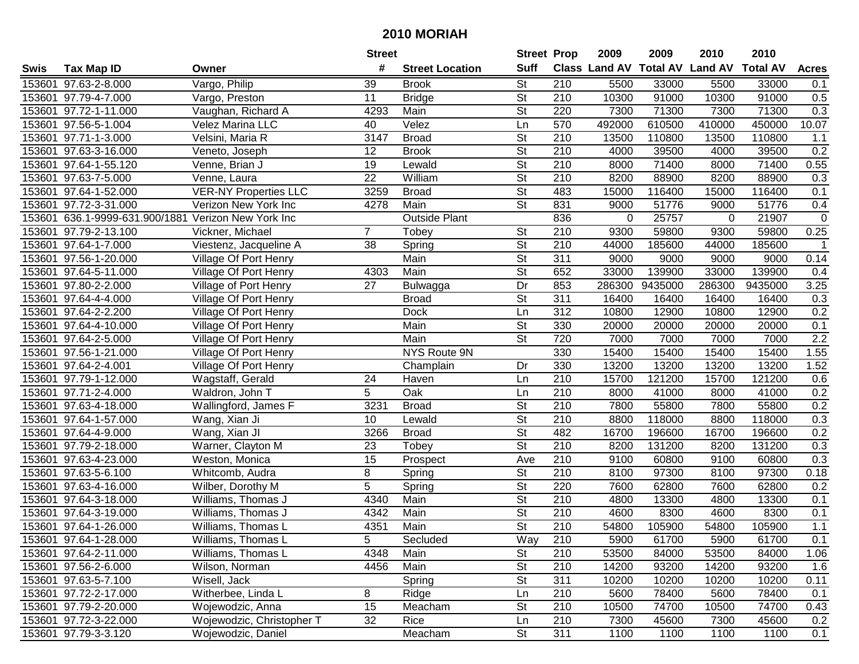|        |                                              |                              | <b>Street</b>   |                        | <b>Street Prop</b>       |                  | 2009   | 2009    | 2010                           | 2010            |                  |
|--------|----------------------------------------------|------------------------------|-----------------|------------------------|--------------------------|------------------|--------|---------|--------------------------------|-----------------|------------------|
| Swis   | <b>Tax Map ID</b>                            | Owner                        | #               | <b>Street Location</b> | <b>Suff</b>              |                  |        |         | Class Land AV Total AV Land AV | <b>Total AV</b> | <b>Acres</b>     |
| 153601 | 97.63-2-8.000                                | Vargo, Philip                | 39              | <b>Brook</b>           | $\overline{\mathsf{St}}$ | 210              | 5500   | 33000   | 5500                           | 33000           | 0.1              |
| 153601 | 97.79-4-7.000                                | Vargo, Preston               | 11              | <b>Bridge</b>          | <b>St</b>                | 210              | 10300  | 91000   | 10300                          | 91000           | 0.5              |
|        | 153601 97.72-1-11.000                        | Vaughan, Richard A           | 4293            | Main                   | St                       | 220              | 7300   | 71300   | 7300                           | 71300           | 0.3              |
|        | 153601 97.56-5-1.004                         | Velez Marina LLC             | 40              | Velez                  | Ln                       | 570              | 492000 | 610500  | 410000                         | 450000          | 10.07            |
|        | 153601 97.71-1-3.000                         | Velsini, Maria R             | 3147            | <b>Broad</b>           | $\overline{\mathsf{St}}$ | 210              | 13500  | 110800  | 13500                          | 110800          | 1.1              |
|        | 153601 97.63-3-16.000                        | Veneto, Joseph               | $\overline{12}$ | <b>Brook</b>           | $\overline{\mathsf{St}}$ | 210              | 4000   | 39500   | 4000                           | 39500           | 0.2              |
|        | 153601 97.64-1-55.120                        | Venne, Brian J               | 19              | Lewald                 | $\overline{\mathsf{St}}$ | $\overline{210}$ | 8000   | 71400   | 8000                           | 71400           | 0.55             |
|        | 153601 97.63-7-5.000                         | Venne, Laura                 | $\overline{22}$ | William                | $\overline{\mathsf{St}}$ | 210              | 8200   | 88900   | 8200                           | 88900           | 0.3              |
|        | 153601 97.64-1-52.000                        | <b>VER-NY Properties LLC</b> | 3259            | <b>Broad</b>           | $\overline{\mathsf{St}}$ | 483              | 15000  | 116400  | 15000                          | 116400          | 0.1              |
|        | 153601 97.72-3-31.000                        | Verizon New York Inc         | 4278            | Main                   | $\overline{\mathsf{St}}$ | 831              | 9000   | 51776   | 9000                           | 51776           | 0.4              |
| 153601 | 636.1-9999-631.900/1881 Verizon New York Inc |                              |                 | <b>Outside Plant</b>   |                          | 836              | 0      | 25757   | 0                              | 21907           | $\mathbf 0$      |
|        | 153601 97.79-2-13.100                        | Vickner, Michael             | $\overline{7}$  | Tobey                  | <b>St</b>                | 210              | 9300   | 59800   | 9300                           | 59800           | 0.25             |
|        | 153601 97.64-1-7.000                         | Viestenz, Jacqueline A       | 38              | Spring                 | <b>St</b>                | 210              | 44000  | 185600  | 44000                          | 185600          | $\mathbf{1}$     |
| 153601 | 97.56-1-20.000                               | Village Of Port Henry        |                 | Main                   | $\overline{\mathsf{St}}$ | $\overline{311}$ | 9000   | 9000    | 9000                           | 9000            | 0.14             |
| 153601 | 97.64-5-11.000                               | Village Of Port Henry        | 4303            | Main                   | <b>St</b>                | 652              | 33000  | 139900  | 33000                          | 139900          | 0.4              |
| 153601 | 97.80-2-2.000                                | Village of Port Henry        | 27              | Bulwagga               | Dr                       | 853              | 286300 | 9435000 | 286300                         | 9435000         | 3.25             |
| 153601 | 97.64-4-4.000                                | Village Of Port Henry        |                 | <b>Broad</b>           | St                       | 311              | 16400  | 16400   | 16400                          | 16400           | 0.3              |
| 153601 | 97.64-2-2.200                                | Village Of Port Henry        |                 | <b>Dock</b>            | Ln                       | 312              | 10800  | 12900   | 10800                          | 12900           | 0.2              |
| 153601 | 97.64-4-10.000                               | Village Of Port Henry        |                 | Main                   | $\overline{\mathsf{St}}$ | 330              | 20000  | 20000   | 20000                          | 20000           | 0.1              |
|        | 153601 97.64-2-5.000                         | Village Of Port Henry        |                 | Main                   | <b>St</b>                | 720              | 7000   | 7000    | 7000                           | 7000            | $\overline{2.2}$ |
|        | 153601 97.56-1-21.000                        | Village Of Port Henry        |                 | NYS Route 9N           |                          | 330              | 15400  | 15400   | 15400                          | 15400           | 1.55             |
|        | 153601 97.64-2-4.001                         | Village Of Port Henry        |                 | Champlain              | Dr                       | 330              | 13200  | 13200   | 13200                          | 13200           | 1.52             |
|        | 153601 97.79-1-12.000                        | Wagstaff, Gerald             | 24              | Haven                  | Ln                       | 210              | 15700  | 121200  | 15700                          | 121200          | 0.6              |
|        | 153601 97.71-2-4.000                         | Waldron, John T              | 5               | Oak                    | Ln                       | 210              | 8000   | 41000   | 8000                           | 41000           | 0.2              |
|        | 153601 97.63-4-18.000                        | Wallingford, James F         | 3231            | <b>Broad</b>           | <b>St</b>                | 210              | 7800   | 55800   | 7800                           | 55800           | 0.2              |
|        | 153601 97.64-1-57.000                        | Wang, Xian Ji                | 10              | Lewald                 | $\overline{St}$          | 210              | 8800   | 118000  | 8800                           | 118000          | 0.3              |
|        | 153601 97.64-4-9.000                         | Wang, Xian JI                | 3266            | <b>Broad</b>           | $\overline{\mathsf{St}}$ | 482              | 16700  | 196600  | 16700                          | 196600          | 0.2              |
|        | 153601 97.79-2-18.000                        | Warner, Clayton M            | 23              | Tobey                  | $\overline{\mathsf{St}}$ | 210              | 8200   | 131200  | 8200                           | 131200          | 0.3              |
|        | 153601 97.63-4-23.000                        | Weston, Monica               | 15              | Prospect               | Ave                      | 210              | 9100   | 60800   | 9100                           | 60800           | 0.3              |
|        | 153601 97.63-5-6.100                         | Whitcomb, Audra              | 8               | Spring                 | $\overline{\mathsf{St}}$ | $\overline{210}$ | 8100   | 97300   | 8100                           | 97300           | 0.18             |
|        | 153601 97.63-4-16.000                        | Wilber, Dorothy M            | 5               | Spring                 | <b>St</b>                | 220              | 7600   | 62800   | 7600                           | 62800           | 0.2              |
|        | 153601 97.64-3-18.000                        | Williams, Thomas J           | 4340            | Main                   | $\overline{\mathsf{St}}$ | 210              | 4800   | 13300   | 4800                           | 13300           | 0.1              |
| 153601 | 97.64-3-19.000                               | Williams, Thomas J           | 4342            | Main                   | <b>St</b>                | 210              | 4600   | 8300    | 4600                           | 8300            | 0.1              |
|        | 153601 97.64-1-26.000                        | Williams, Thomas L           | 4351            | Main                   | $\overline{\mathsf{St}}$ | $\overline{210}$ | 54800  | 105900  | 54800                          | 105900          | 1.1              |
|        | 153601 97.64-1-28.000                        | Williams, Thomas L           | 5               | Secluded               | Way                      | 210              | 5900   | 61700   | 5900                           | 61700           | 0.1              |
|        | 153601 97.64-2-11.000                        | Williams, Thomas L           | 4348            | Main                   | $\overline{\mathsf{St}}$ | 210              | 53500  | 84000   | 53500                          | 84000           | 1.06             |
|        | 153601 97.56-2-6.000                         | Wilson, Norman               | 4456            | Main                   | <b>St</b>                | 210              | 14200  | 93200   | 14200                          | 93200           | 1.6              |
|        | 153601 97.63-5-7.100                         | Wisell, Jack                 |                 | Spring                 | <b>St</b>                | 311              | 10200  | 10200   | 10200                          | 10200           | 0.11             |
|        | 153601 97.72-2-17.000                        | Witherbee, Linda L           | 8               | Ridge                  | Ln                       | 210              | 5600   | 78400   | 5600                           | 78400           | 0.1              |
|        | 153601 97.79-2-20.000                        | Wojewodzic, Anna             | 15              | Meacham                | <b>St</b>                | 210              | 10500  | 74700   | 10500                          | 74700           | 0.43             |
|        | 153601 97.72-3-22.000                        | Wojewodzic, Christopher T    | 32              | Rice                   | Ln                       | 210              | 7300   | 45600   | 7300                           | 45600           | 0.2              |
|        | 153601 97.79-3-3.120                         | Wojewodzic, Daniel           |                 | Meacham                | <b>St</b>                | 311              | 1100   | 1100    | 1100                           | 1100            | 0.1              |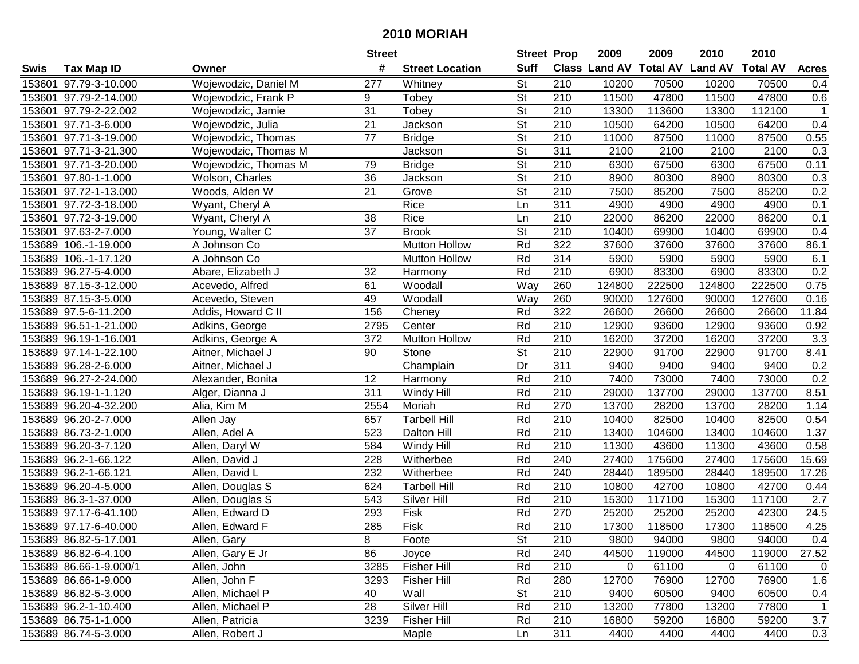|      |                        |                      | <b>Street</b>   |                        | <b>Street Prop</b>       |                  | 2009                          | 2009   | 2010           | 2010            |              |
|------|------------------------|----------------------|-----------------|------------------------|--------------------------|------------------|-------------------------------|--------|----------------|-----------------|--------------|
| Swis | <b>Tax Map ID</b>      | Owner                | #               | <b>Street Location</b> | <b>Suff</b>              |                  | <b>Class Land AV Total AV</b> |        | <b>Land AV</b> | <b>Total AV</b> | <b>Acres</b> |
|      | 153601 97.79-3-10.000  | Wojewodzic, Daniel M | 277             | Whitney                | <b>St</b>                | 210              | 10200                         | 70500  | 10200          | 70500           | 0.4          |
|      | 153601 97.79-2-14.000  | Wojewodzic, Frank P  | 9               | Tobey                  | <b>St</b>                | 210              | 11500                         | 47800  | 11500          | 47800           | 0.6          |
|      | 153601 97.79-2-22.002  | Wojewodzic, Jamie    | 31              | Tobey                  | St                       | 210              | 13300                         | 113600 | 13300          | 112100          | $\mathbf{1}$ |
|      | 153601 97.71-3-6.000   | Wojewodzic, Julia    | 21              | Jackson                | $\overline{\mathsf{St}}$ | 210              | 10500                         | 64200  | 10500          | 64200           | 0.4          |
|      | 153601 97.71-3-19.000  | Wojewodzic, Thomas   | 77              | <b>Bridge</b>          | <b>St</b>                | 210              | 11000                         | 87500  | 11000          | 87500           | 0.55         |
|      | 153601 97.71-3-21.300  | Wojewodzic, Thomas M |                 | Jackson                | $\overline{\mathsf{St}}$ | 311              | 2100                          | 2100   | 2100           | 2100            | 0.3          |
|      | 153601 97.71-3-20.000  | Wojewodzic, Thomas M | 79              | <b>Bridge</b>          | <b>St</b>                | 210              | 6300                          | 67500  | 6300           | 67500           | 0.11         |
|      | 153601 97.80-1-1.000   | Wolson, Charles      | 36              | Jackson                | $\overline{\mathsf{St}}$ | 210              | 8900                          | 80300  | 8900           | 80300           | 0.3          |
|      | 153601 97.72-1-13.000  | Woods, Alden W       | $\overline{21}$ | Grove                  | $\overline{\mathsf{St}}$ | $\overline{210}$ | 7500                          | 85200  | 7500           | 85200           | 0.2          |
|      | 153601 97.72-3-18.000  | Wyant, Cheryl A      |                 | Rice                   | Ln                       | 311              | 4900                          | 4900   | 4900           | 4900            | 0.1          |
|      | 153601 97.72-3-19.000  | Wyant, Cheryl A      | 38              | Rice                   | Ln                       | 210              | 22000                         | 86200  | 22000          | 86200           | 0.1          |
|      | 153601 97.63-2-7.000   | Young, Walter C      | 37              | <b>Brook</b>           | <b>St</b>                | 210              | 10400                         | 69900  | 10400          | 69900           | 0.4          |
|      | 153689 106.-1-19.000   | A Johnson Co         |                 | Mutton Hollow          | Rd                       | 322              | 37600                         | 37600  | 37600          | 37600           | 86.1         |
|      | 153689 106.-1-17.120   | A Johnson Co         |                 | <b>Mutton Hollow</b>   | Rd                       | 314              | 5900                          | 5900   | 5900           | 5900            | 6.1          |
|      | 153689 96.27-5-4.000   | Abare, Elizabeth J   | 32              | Harmony                | Rd                       | 210              | 6900                          | 83300  | 6900           | 83300           | 0.2          |
|      | 153689 87.15-3-12.000  | Acevedo, Alfred      | 61              | Woodall                | Way                      | 260              | 124800                        | 222500 | 124800         | 222500          | 0.75         |
|      | 153689 87.15-3-5.000   | Acevedo, Steven      | 49              | Woodall                | Way                      | 260              | 90000                         | 127600 | 90000          | 127600          | 0.16         |
|      | 153689 97.5-6-11.200   | Addis, Howard C II   | 156             | Cheney                 | Rd                       | 322              | 26600                         | 26600  | 26600          | 26600           | 11.84        |
|      | 153689 96.51-1-21.000  | Adkins, George       | 2795            | Center                 | Rd                       | 210              | 12900                         | 93600  | 12900          | 93600           | 0.92         |
|      | 153689 96.19-1-16.001  | Adkins, George A     | 372             | <b>Mutton Hollow</b>   | Rd                       | 210              | 16200                         | 37200  | 16200          | 37200           | 3.3          |
|      | 153689 97.14-1-22.100  | Aitner, Michael J    | 90              | Stone                  | <b>St</b>                | 210              | 22900                         | 91700  | 22900          | 91700           | 8.41         |
|      | 153689 96.28-2-6.000   | Aitner, Michael J    |                 | Champlain              | Dr                       | 311              | 9400                          | 9400   | 9400           | 9400            | 0.2          |
|      | 153689 96.27-2-24.000  | Alexander, Bonita    | 12              | Harmony                | Rd                       | 210              | 7400                          | 73000  | 7400           | 73000           | 0.2          |
|      | 153689 96.19-1-1.120   | Alger, Dianna J      | 311             | Windy Hill             | Rd                       | 210              | 29000                         | 137700 | 29000          | 137700          | 8.51         |
|      | 153689 96.20-4-32.200  | Alia, Kim M          | 2554            | Moriah                 | Rd                       | 270              | 13700                         | 28200  | 13700          | 28200           | 1.14         |
|      | 153689 96.20-2-7.000   | Allen Jay            | 657             | <b>Tarbell Hill</b>    | Rd                       | 210              | 10400                         | 82500  | 10400          | 82500           | 0.54         |
|      | 153689 86.73-2-1.000   | Allen, Adel A        | 523             | <b>Dalton Hill</b>     | Rd                       | 210              | 13400                         | 104600 | 13400          | 104600          | 1.37         |
|      | 153689 96.20-3-7.120   | Allen, Daryl W       | 584             | Windy Hill             | Rd                       | 210              | 11300                         | 43600  | 11300          | 43600           | 0.58         |
|      | 153689 96.2-1-66.122   | Allen, David J       | 228             | Witherbee              | Rd                       | 240              | 27400                         | 175600 | 27400          | 175600          | 15.69        |
|      | 153689 96.2-1-66.121   | Allen, David L       | 232             | Witherbee              | Rd                       | 240              | 28440                         | 189500 | 28440          | 189500          | 17.26        |
|      | 153689 96.20-4-5.000   | Allen, Douglas S     | 624             | <b>Tarbell Hill</b>    | Rd                       | $\overline{210}$ | 10800                         | 42700  | 10800          | 42700           | 0.44         |
|      | 153689 86.3-1-37.000   | Allen, Douglas S     | 543             | Silver Hill            | Rd                       | 210              | 15300                         | 117100 | 15300          | 117100          | 2.7          |
|      | 153689 97.17-6-41.100  | Allen, Edward D      | 293             | Fisk                   | Rd                       | 270              | 25200                         | 25200  | 25200          | 42300           | 24.5         |
|      | 153689 97.17-6-40.000  | Allen, Edward F      | 285             | Fisk                   | Rd                       | $\overline{210}$ | 17300                         | 118500 | 17300          | 118500          | 4.25         |
|      | 153689 86.82-5-17.001  | Allen, Gary          | 8               | Foote                  | <b>St</b>                | 210              | 9800                          | 94000  | 9800           | 94000           | 0.4          |
|      | 153689 86.82-6-4.100   | Allen, Gary E Jr     | 86              | Joyce                  | Rd                       | 240              | 44500                         | 119000 | 44500          | 119000          | 27.52        |
|      | 153689 86.66-1-9.000/1 | Allen, John          | 3285            | <b>Fisher Hill</b>     | Rd                       | 210              | 0                             | 61100  | 0              | 61100           | 0            |
|      | 153689 86.66-1-9.000   | Allen, John F        | 3293            | <b>Fisher Hill</b>     | Rd                       | 280              | 12700                         | 76900  | 12700          | 76900           | 1.6          |
|      | 153689 86.82-5-3.000   | Allen, Michael P     | 40              | Wall                   | <b>St</b>                | 210              | 9400                          | 60500  | 9400           | 60500           | 0.4          |
|      | 153689 96.2-1-10.400   | Allen, Michael P     | 28              | Silver Hill            | Rd                       | 210              | 13200                         | 77800  | 13200          | 77800           | 1            |
|      | 153689 86.75-1-1.000   | Allen, Patricia      | 3239            | <b>Fisher Hill</b>     | Rd                       | 210              | 16800                         | 59200  | 16800          | 59200           | 3.7          |
|      | 153689 86.74-5-3.000   | Allen, Robert J      |                 | Maple                  | Ln                       | 311              | 4400                          | 4400   | 4400           | 4400            | 0.3          |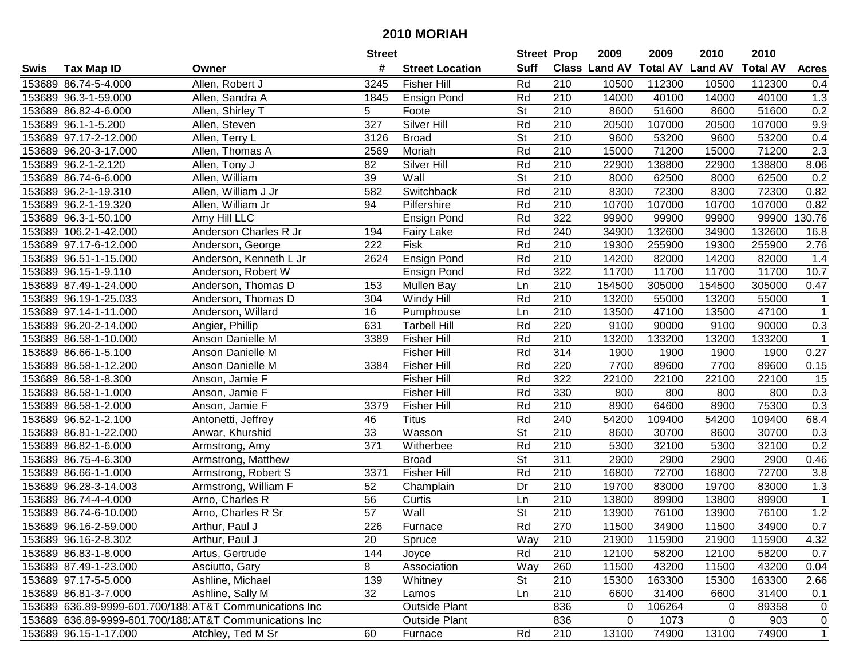|      |                       |                                                         | <b>Street</b>    |                        | <b>Street Prop</b>       |                  | 2009                          | 2009   | 2010           | 2010            |                  |
|------|-----------------------|---------------------------------------------------------|------------------|------------------------|--------------------------|------------------|-------------------------------|--------|----------------|-----------------|------------------|
| Swis | <b>Tax Map ID</b>     | Owner                                                   | #                | <b>Street Location</b> | <b>Suff</b>              |                  | <b>Class Land AV Total AV</b> |        | <b>Land AV</b> | <b>Total AV</b> | <b>Acres</b>     |
|      | 153689 86.74-5-4.000  | Allen, Robert J                                         | 3245             | <b>Fisher Hill</b>     | Rd                       | 210              | 10500                         | 112300 | 10500          | 112300          | 0.4              |
|      | 153689 96.3-1-59.000  | Allen, Sandra A                                         | 1845             | <b>Ensign Pond</b>     | Rd                       | 210              | 14000                         | 40100  | 14000          | 40100           | 1.3              |
|      | 153689 86.82-4-6.000  | Allen, Shirley T                                        | 5                | Foote                  | <b>St</b>                | 210              | 8600                          | 51600  | 8600           | 51600           | 0.2              |
|      | 153689 96.1-1-5.200   | Allen, Steven                                           | $\overline{327}$ | Silver Hill            | Rd                       | 210              | 20500                         | 107000 | 20500          | 107000          | 9.9              |
|      | 153689 97.17-2-12.000 | Allen, Terry L                                          | 3126             | <b>Broad</b>           | <b>St</b>                | 210              | 9600                          | 53200  | 9600           | 53200           | 0.4              |
|      | 153689 96.20-3-17.000 | Allen, Thomas A                                         | 2569             | Moriah                 | Rd                       | 210              | 15000                         | 71200  | 15000          | 71200           | $\overline{2.3}$ |
|      | 153689 96.2-1-2.120   | Allen, Tony J                                           | 82               | Silver Hill            | Rd                       | 210              | 22900                         | 138800 | 22900          | 138800          | 8.06             |
|      | 153689 86.74-6-6.000  | Allen, William                                          | $\overline{39}$  | Wall                   | $\overline{\mathsf{St}}$ | $\overline{210}$ | 8000                          | 62500  | 8000           | 62500           | 0.2              |
|      | 153689 96.2-1-19.310  | Allen, William J Jr                                     | 582              | Switchback             | Rd                       | 210              | 8300                          | 72300  | 8300           | 72300           | 0.82             |
|      | 153689 96.2-1-19.320  | Allen, William Jr                                       | 94               | Pilfershire            | Rd                       | 210              | 10700                         | 107000 | 10700          | 107000          | 0.82             |
|      | 153689 96.3-1-50.100  | Amy Hill LLC                                            |                  | Ensign Pond            | Rd                       | 322              | 99900                         | 99900  | 99900          | 99900           | 130.76           |
|      | 153689 106.2-1-42.000 | Anderson Charles R Jr                                   | 194              | <b>Fairy Lake</b>      | Rd                       | 240              | 34900                         | 132600 | 34900          | 132600          | 16.8             |
|      | 153689 97.17-6-12.000 | Anderson, George                                        | 222              | Fisk                   | Rd                       | 210              | 19300                         | 255900 | 19300          | 255900          | 2.76             |
|      | 153689 96.51-1-15.000 | Anderson, Kenneth L Jr                                  | 2624             | Ensign Pond            | Rd                       | 210              | 14200                         | 82000  | 14200          | 82000           | 1.4              |
|      | 153689 96.15-1-9.110  | Anderson, Robert W                                      |                  | <b>Ensign Pond</b>     | Rd                       | 322              | 11700                         | 11700  | 11700          | 11700           | 10.7             |
|      | 153689 87.49-1-24.000 | Anderson, Thomas D                                      | 153              | Mullen Bay             | Ln                       | 210              | 154500                        | 305000 | 154500         | 305000          | 0.47             |
|      | 153689 96.19-1-25.033 | Anderson, Thomas D                                      | 304              | Windy Hill             | Rd                       | 210              | 13200                         | 55000  | 13200          | 55000           | -1               |
|      | 153689 97.14-1-11.000 | Anderson, Willard                                       | 16               | Pumphouse              | Ln                       | 210              | 13500                         | 47100  | 13500          | 47100           | $\mathbf 1$      |
|      | 153689 96.20-2-14.000 | Angier, Phillip                                         | 631              | Tarbell Hill           | Rd                       | 220              | 9100                          | 90000  | 9100           | 90000           | 0.3              |
|      | 153689 86.58-1-10.000 | Anson Danielle M                                        | 3389             | <b>Fisher Hill</b>     | Rd                       | 210              | 13200                         | 133200 | 13200          | 133200          | $\mathbf{1}$     |
|      | 153689 86.66-1-5.100  | Anson Danielle M                                        |                  | <b>Fisher Hill</b>     | Rd                       | 314              | 1900                          | 1900   | 1900           | 1900            | 0.27             |
|      | 153689 86.58-1-12.200 | Anson Danielle M                                        | 3384             | <b>Fisher Hill</b>     | Rd                       | 220              | 7700                          | 89600  | 7700           | 89600           | 0.15             |
|      | 153689 86.58-1-8.300  | Anson, Jamie F                                          |                  | <b>Fisher Hill</b>     | Rd                       | 322              | 22100                         | 22100  | 22100          | 22100           | 15               |
|      | 153689 86.58-1-1.000  | Anson, Jamie F                                          |                  | <b>Fisher Hill</b>     | Rd                       | 330              | 800                           | 800    | 800            | 800             | 0.3              |
|      | 153689 86.58-1-2.000  | Anson, Jamie F                                          | 3379             | <b>Fisher Hill</b>     | Rd                       | 210              | 8900                          | 64600  | 8900           | 75300           | 0.3              |
|      | 153689 96.52-1-2.100  | Antonetti, Jeffrey                                      | 46               | <b>Titus</b>           | Rd                       | 240              | 54200                         | 109400 | 54200          | 109400          | 68.4             |
|      | 153689 86.81-1-22.000 | Anwar, Khurshid                                         | 33               | Wasson                 | $\overline{\mathsf{St}}$ | 210              | 8600                          | 30700  | 8600           | 30700           | 0.3              |
|      | 153689 86.82-1-6.000  | Armstrong, Amy                                          | 371              | Witherbee              | Rd                       | 210              | 5300                          | 32100  | 5300           | 32100           | 0.2              |
|      | 153689 86.75-4-6.300  | Armstrong, Matthew                                      |                  | <b>Broad</b>           | $\overline{\mathsf{St}}$ | 311              | 2900                          | 2900   | 2900           | 2900            | 0.46             |
|      | 153689 86.66-1-1.000  | Armstrong, Robert S                                     | 3371             | <b>Fisher Hill</b>     | Rd                       | $\overline{210}$ | 16800                         | 72700  | 16800          | 72700           | 3.8              |
|      | 153689 96.28-3-14.003 | Armstrong, William F                                    | 52               | Champlain              | Dr                       | $\overline{210}$ | 19700                         | 83000  | 19700          | 83000           | 1.3              |
|      | 153689 86.74-4-4.000  | Arno, Charles R                                         | 56               | Curtis                 | Ln                       | 210              | 13800                         | 89900  | 13800          | 89900           | $\mathbf{1}$     |
|      | 153689 86.74-6-10.000 | Arno, Charles R Sr                                      | $\overline{57}$  | Wall                   | $\overline{\mathsf{St}}$ | $\overline{210}$ | 13900                         | 76100  | 13900          | 76100           | 1.2              |
|      | 153689 96.16-2-59.000 | Arthur, Paul J                                          | 226              | Furnace                | Rd                       | 270              | 11500                         | 34900  | 11500          | 34900           | 0.7              |
|      | 153689 96.16-2-8.302  | Arthur, Paul J                                          | 20               | Spruce                 | Way                      | 210              | 21900                         | 115900 | 21900          | 115900          | 4.32             |
|      | 153689 86.83-1-8.000  | Artus, Gertrude                                         | 144              | Joyce                  | Rd                       | 210              | 12100                         | 58200  | 12100          | 58200           | 0.7              |
|      | 153689 87.49-1-23.000 | Asciutto, Gary                                          | 8                | Association            | Way                      | 260              | 11500                         | 43200  | 11500          | 43200           | 0.04             |
|      | 153689 97.17-5-5.000  | Ashline, Michael                                        | 139              | Whitney                | <b>St</b>                | 210              | 15300                         | 163300 | 15300          | 163300          | 2.66             |
|      | 153689 86.81-3-7.000  | Ashline, Sally M                                        | 32               | Lamos                  | Ln                       | 210              | 6600                          | 31400  | 6600           | 31400           | 0.1              |
|      |                       | 153689 636.89-9999-601.700/188 AT&T Communications Inc  |                  | <b>Outside Plant</b>   |                          | 836              | 0                             | 106264 | 0              | 89358           | 0                |
|      |                       | 153689 636.89-9999-601.700/188. AT&T Communications Inc |                  | <b>Outside Plant</b>   |                          | 836              | 0                             | 1073   | 0              | 903             | $\overline{0}$   |
|      | 153689 96.15-1-17.000 | Atchley, Ted M Sr                                       | 60               | Furnace                | Rd                       | 210              | 13100                         | 74900  | 13100          | 74900           | $\mathbf{1}$     |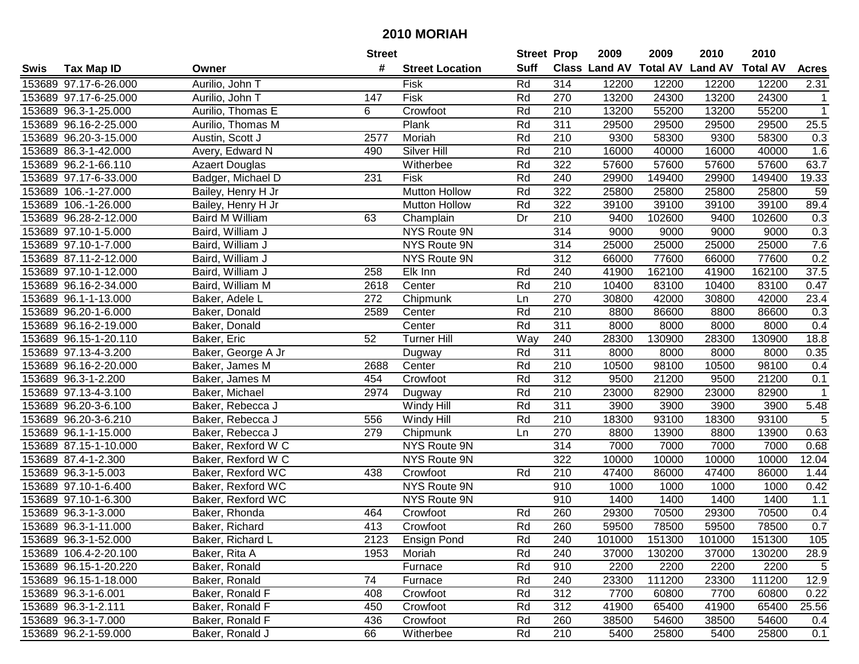|      |                       |                       | <b>Street</b> |                        | <b>Street Prop</b> |                  | 2009                 | 2009   | 2010                    | 2010            |                   |
|------|-----------------------|-----------------------|---------------|------------------------|--------------------|------------------|----------------------|--------|-------------------------|-----------------|-------------------|
| Swis | <b>Tax Map ID</b>     | Owner                 | #             | <b>Street Location</b> | <b>Suff</b>        |                  | <b>Class Land AV</b> |        | <b>Total AV Land AV</b> | <b>Total AV</b> | <b>Acres</b>      |
|      | 153689 97.17-6-26.000 | Aurilio, John T       |               | Fisk                   | Rd                 | 314              | 12200                | 12200  | 12200                   | 12200           | 2.31              |
|      | 153689 97.17-6-25.000 | Aurilio, John T       | 147           | Fisk                   | Rd                 | 270              | 13200                | 24300  | 13200                   | 24300           | $\mathbf{1}$      |
|      | 153689 96.3-1-25.000  | Aurilio, Thomas E     | 6             | Crowfoot               | Rd                 | 210              | 13200                | 55200  | 13200                   | 55200           | $\mathbf{1}$      |
|      | 153689 96.16-2-25.000 | Aurilio, Thomas M     |               | Plank                  | Rd                 | 311              | 29500                | 29500  | 29500                   | 29500           | 25.5              |
|      | 153689 96.20-3-15.000 | Austin, Scott J       | 2577          | Moriah                 | Rd                 | 210              | 9300                 | 58300  | 9300                    | 58300           | 0.3               |
|      | 153689 86.3-1-42.000  | Avery, Edward N       | 490           | Silver Hill            | Rd                 | 210              | 16000                | 40000  | 16000                   | 40000           | 1.6               |
|      | 153689 96.2-1-66.110  | <b>Azaert Douglas</b> |               | Witherbee              | Rd                 | 322              | 57600                | 57600  | 57600                   | 57600           | 63.7              |
|      | 153689 97.17-6-33.000 | Badger, Michael D     | 231           | Fisk                   | Rd                 | 240              | 29900                | 149400 | 29900                   | 149400          | 19.33             |
|      | 153689 106.-1-27.000  | Bailey, Henry H Jr    |               | <b>Mutton Hollow</b>   | Rd                 | 322              | 25800                | 25800  | 25800                   | 25800           | 59                |
|      | 153689 106.-1-26.000  | Bailey, Henry H Jr    |               | <b>Mutton Hollow</b>   | Rd                 | 322              | 39100                | 39100  | 39100                   | 39100           | 89.4              |
|      | 153689 96.28-2-12.000 | Baird M William       | 63            | Champlain              | Dr                 | 210              | 9400                 | 102600 | 9400                    | 102600          | 0.3               |
|      | 153689 97.10-1-5.000  | Baird, William J      |               | NYS Route 9N           |                    | 314              | 9000                 | 9000   | 9000                    | 9000            | 0.3               |
|      | 153689 97.10-1-7.000  | Baird, William J      |               | NYS Route 9N           |                    | 314              | 25000                | 25000  | 25000                   | 25000           | 7.6               |
|      | 153689 87.11-2-12.000 | Baird, William J      |               | NYS Route 9N           |                    | 312              | 66000                | 77600  | 66000                   | 77600           | 0.2               |
|      | 153689 97.10-1-12.000 | Baird, William J      | 258           | Elk Inn                | Rd                 | 240              | 41900                | 162100 | 41900                   | 162100          | 37.5              |
|      | 153689 96.16-2-34.000 | Baird, William M      | 2618          | Center                 | Rd                 | 210              | 10400                | 83100  | 10400                   | 83100           | 0.47              |
|      | 153689 96.1-1-13.000  | Baker, Adele L        | 272           | Chipmunk               | Ln                 | 270              | 30800                | 42000  | 30800                   | 42000           | 23.4              |
|      | 153689 96.20-1-6.000  | Baker, Donald         | 2589          | Center                 | Rd                 | 210              | 8800                 | 86600  | 8800                    | 86600           | 0.3               |
|      | 153689 96.16-2-19.000 | Baker, Donald         |               | Center                 | Rd                 | 311              | 8000                 | 8000   | 8000                    | 8000            | 0.4               |
|      | 153689 96.15-1-20.110 | Baker, Eric           | 52            | Turner Hill            | Way                | 240              | 28300                | 130900 | 28300                   | 130900          | 18.8              |
|      | 153689 97.13-4-3.200  | Baker, George A Jr    |               | Dugway                 | Rd                 | 311              | 8000                 | 8000   | 8000                    | 8000            | 0.35              |
|      | 153689 96.16-2-20.000 | Baker, James M        | 2688          | Center                 | Rd                 | 210              | 10500                | 98100  | 10500                   | 98100           | 0.4               |
|      | 153689 96.3-1-2.200   | Baker, James M        | 454           | Crowfoot               | Rd                 | 312              | 9500                 | 21200  | 9500                    | 21200           | 0.1               |
|      | 153689 97.13-4-3.100  | Baker, Michael        | 2974          | Dugway                 | Rd                 | 210              | 23000                | 82900  | 23000                   | 82900           | $\overline{1}$    |
|      | 153689 96.20-3-6.100  | Baker, Rebecca J      |               | Windy Hill             | Rd                 | $\overline{311}$ | 3900                 | 3900   | 3900                    | 3900            | $\overline{5.48}$ |
|      | 153689 96.20-3-6.210  | Baker, Rebecca J      | 556           | Windy Hill             | Rd                 | 210              | 18300                | 93100  | 18300                   | 93100           | $\overline{5}$    |
|      | 153689 96.1-1-15.000  | Baker, Rebecca J      | 279           | Chipmunk               | Ln                 | 270              | 8800                 | 13900  | 8800                    | 13900           | 0.63              |
|      | 153689 87.15-1-10.000 | Baker, Rexford W C    |               | NYS Route 9N           |                    | 314              | 7000                 | 7000   | 7000                    | 7000            | 0.68              |
|      | 153689 87.4-1-2.300   | Baker, Rexford W C    |               | NYS Route 9N           |                    | 322              | 10000                | 10000  | 10000                   | 10000           | 12.04             |
|      | 153689 96.3-1-5.003   | Baker, Rexford WC     | 438           | Crowfoot               | Rd                 | 210              | 47400                | 86000  | 47400                   | 86000           | 1.44              |
|      | 153689 97.10-1-6.400  | Baker, Rexford WC     |               | NYS Route 9N           |                    | 910              | 1000                 | 1000   | 1000                    | 1000            | 0.42              |
|      | 153689 97.10-1-6.300  | Baker, Rexford WC     |               | NYS Route 9N           |                    | 910              | 1400                 | 1400   | 1400                    | 1400            | 1.1               |
|      | 153689 96.3-1-3.000   | Baker, Rhonda         | 464           | Crowfoot               | Rd                 | 260              | 29300                | 70500  | 29300                   | 70500           | 0.4               |
|      | 153689 96.3-1-11.000  | Baker, Richard        | 413           | Crowfoot               | Rd                 | 260              | 59500                | 78500  | 59500                   | 78500           | 0.7               |
|      | 153689 96.3-1-52.000  | Baker, Richard L      | 2123          | <b>Ensign Pond</b>     | Rd                 | 240              | 101000               | 151300 | 101000                  | 151300          | 105               |
|      | 153689 106.4-2-20.100 | Baker, Rita A         | 1953          | Moriah                 | Rd                 | 240              | 37000                | 130200 | 37000                   | 130200          | 28.9              |
|      | 153689 96.15-1-20.220 | Baker, Ronald         |               | Furnace                | Rd                 | 910              | 2200                 | 2200   | 2200                    | 2200            | 5                 |
|      | 153689 96.15-1-18.000 | Baker, Ronald         | 74            | Furnace                | Rd                 | 240              | 23300                | 111200 | 23300                   | 111200          | 12.9              |
|      | 153689 96.3-1-6.001   | Baker, Ronald F       | 408           | Crowfoot               | Rd                 | 312              | 7700                 | 60800  | 7700                    | 60800           | 0.22              |
|      | 153689 96.3-1-2.111   | Baker, Ronald F       | 450           | Crowfoot               | Rd                 | 312              | 41900                | 65400  | 41900                   | 65400           | 25.56             |
|      | 153689 96.3-1-7.000   | Baker, Ronald F       | 436           | Crowfoot               | Rd                 | 260              | 38500                | 54600  | 38500                   | 54600           | 0.4               |
|      | 153689 96.2-1-59.000  | Baker, Ronald J       | 66            | Witherbee              | Rd                 | 210              | 5400                 | 25800  | 5400                    | 25800           | 0.1               |
|      |                       |                       |               |                        |                    |                  |                      |        |                         |                 |                   |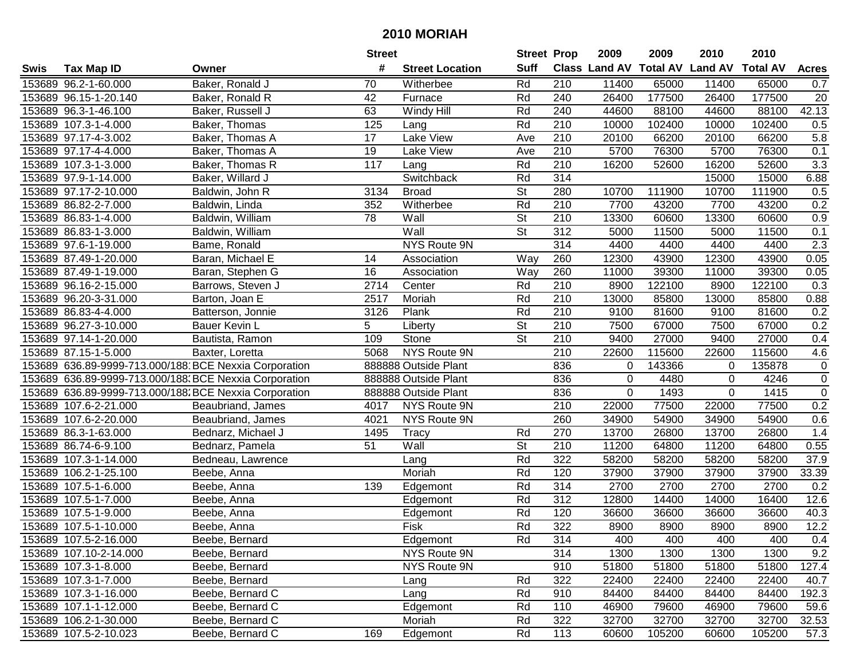|      |                        |                                                        | <b>Street</b> |                        | <b>Street Prop</b>       |     | 2009                          | 2009   | 2010           | 2010            |                  |
|------|------------------------|--------------------------------------------------------|---------------|------------------------|--------------------------|-----|-------------------------------|--------|----------------|-----------------|------------------|
| Swis | <b>Tax Map ID</b>      | Owner                                                  | #             | <b>Street Location</b> | <b>Suff</b>              |     | <b>Class Land AV Total AV</b> |        | <b>Land AV</b> | <b>Total AV</b> | <b>Acres</b>     |
|      | 153689 96.2-1-60.000   | Baker, Ronald J                                        | 70            | Witherbee              | Rd                       | 210 | 11400                         | 65000  | 11400          | 65000           | 0.7              |
|      | 153689 96.15-1-20.140  | Baker, Ronald R                                        | 42            | Furnace                | Rd                       | 240 | 26400                         | 177500 | 26400          | 177500          | 20               |
|      | 153689 96.3-1-46.100   | Baker, Russell J                                       | 63            | Windy Hill             | Rd                       | 240 | 44600                         | 88100  | 44600          | 88100           | 42.13            |
|      | 153689 107.3-1-4.000   | Baker, Thomas                                          | 125           | Lang                   | Rd                       | 210 | 10000                         | 102400 | 10000          | 102400          | 0.5              |
|      | 153689 97.17-4-3.002   | Baker, Thomas A                                        | 17            | Lake View              | Ave                      | 210 | 20100                         | 66200  | 20100          | 66200           | 5.8              |
|      | 153689 97.17-4-4.000   | Baker, Thomas A                                        | 19            | Lake View              | Ave                      | 210 | 5700                          | 76300  | 5700           | 76300           | 0.1              |
|      | 153689 107.3-1-3.000   | Baker, Thomas R                                        | 117           | Lang                   | Rd                       | 210 | 16200                         | 52600  | 16200          | 52600           | $\overline{3.3}$ |
|      | 153689 97.9-1-14.000   | Baker, Willard J                                       |               | Switchback             | Rd                       | 314 |                               |        | 15000          | 15000           | 6.88             |
|      | 153689 97.17-2-10.000  | Baldwin, John R                                        | 3134          | <b>Broad</b>           | $\overline{\mathsf{St}}$ | 280 | 10700                         | 111900 | 10700          | 111900          | 0.5              |
|      | 153689 86.82-2-7.000   | Baldwin, Linda                                         | 352           | Witherbee              | Rd                       | 210 | 7700                          | 43200  | 7700           | 43200           | 0.2              |
|      | 153689 86.83-1-4.000   | Baldwin, William                                       | 78            | Wall                   | St                       | 210 | 13300                         | 60600  | 13300          | 60600           | 0.9              |
|      | 153689 86.83-1-3.000   | Baldwin, William                                       |               | Wall                   | St                       | 312 | 5000                          | 11500  | 5000           | 11500           | 0.1              |
|      | 153689 97.6-1-19.000   | Bame, Ronald                                           |               | NYS Route 9N           |                          | 314 | 4400                          | 4400   | 4400           | 4400            | 2.3              |
|      | 153689 87.49-1-20.000  | Baran, Michael E                                       | 14            | Association            | Way                      | 260 | 12300                         | 43900  | 12300          | 43900           | 0.05             |
|      | 153689 87.49-1-19.000  | Baran, Stephen G                                       | 16            | Association            | Way                      | 260 | 11000                         | 39300  | 11000          | 39300           | 0.05             |
|      | 153689 96.16-2-15.000  | Barrows, Steven J                                      | 2714          | Center                 | Rd                       | 210 | 8900                          | 122100 | 8900           | 122100          | 0.3              |
|      | 153689 96.20-3-31.000  | Barton, Joan E                                         | 2517          | Moriah                 | Rd                       | 210 | 13000                         | 85800  | 13000          | 85800           | 0.88             |
|      | 153689 86.83-4-4.000   | Batterson, Jonnie                                      | 3126          | Plank                  | Rd                       | 210 | 9100                          | 81600  | 9100           | 81600           | 0.2              |
|      | 153689 96.27-3-10.000  | Bauer Kevin L                                          | 5             | Liberty                | $\overline{\mathsf{St}}$ | 210 | 7500                          | 67000  | 7500           | 67000           | 0.2              |
|      | 153689 97.14-1-20.000  | Bautista, Ramon                                        | 109           | Stone                  | St                       | 210 | 9400                          | 27000  | 9400           | 27000           | 0.4              |
|      | 153689 87.15-1-5.000   | Baxter, Loretta                                        | 5068          | NYS Route 9N           |                          | 210 | 22600                         | 115600 | 22600          | 115600          | 4.6              |
|      |                        | 153689 636.89-9999-713.000/188 BCE Nexxia Corporation  |               | 888888 Outside Plant   |                          | 836 | $\overline{0}$                | 143366 | 0              | 135878          | $\pmb{0}$        |
|      |                        | 153689 636.89-9999-713.000/188. BCE Nexxia Corporation |               | 888888 Outside Plant   |                          | 836 | 0                             | 4480   | 0              | 4246            | $\overline{0}$   |
|      |                        | 153689 636.89-9999-713.000/188 BCE Nexxia Corporation  |               | 888888 Outside Plant   |                          | 836 | 0                             | 1493   | $\Omega$       | 1415            | $\mathbf 0$      |
|      | 153689 107.6-2-21.000  | Beaubriand, James                                      | 4017          | NYS Route 9N           |                          | 210 | 22000                         | 77500  | 22000          | 77500           | 0.2              |
|      | 153689 107.6-2-20.000  | Beaubriand, James                                      | 4021          | NYS Route 9N           |                          | 260 | 34900                         | 54900  | 34900          | 54900           | 0.6              |
|      | 153689 86.3-1-63.000   | Bednarz, Michael J                                     | 1495          | Tracy                  | Rd                       | 270 | 13700                         | 26800  | 13700          | 26800           | 1.4              |
|      | 153689 86.74-6-9.100   | Bednarz, Pamela                                        | 51            | Wall                   | St                       | 210 | 11200                         | 64800  | 11200          | 64800           | 0.55             |
|      | 153689 107.3-1-14.000  | Bedneau, Lawrence                                      |               | Lang                   | Rd                       | 322 | 58200                         | 58200  | 58200          | 58200           | 37.9             |
|      | 153689 106.2-1-25.100  | Beebe, Anna                                            |               | Moriah                 | Rd                       | 120 | 37900                         | 37900  | 37900          | 37900           | 33.39            |
|      | 153689 107.5-1-6.000   | Beebe, Anna                                            | 139           | Edgemont               | Rd                       | 314 | 2700                          | 2700   | 2700           | 2700            | 0.2              |
|      | 153689 107.5-1-7.000   | Beebe, Anna                                            |               | Edgemont               | Rd                       | 312 | 12800                         | 14400  | 14000          | 16400           | 12.6             |
|      | 153689 107.5-1-9.000   | Beebe, Anna                                            |               | Edgemont               | Rd                       | 120 | 36600                         | 36600  | 36600          | 36600           | 40.3             |
|      | 153689 107.5-1-10.000  | Beebe, Anna                                            |               | Fisk                   | Rd                       | 322 | 8900                          | 8900   | 8900           | 8900            | 12.2             |
|      | 153689 107.5-2-16.000  | Beebe, Bernard                                         |               | Edgemont               | Rd                       | 314 | 400                           | 400    | 400            | 400             | 0.4              |
|      | 153689 107.10-2-14.000 | Beebe, Bernard                                         |               | NYS Route 9N           |                          | 314 | 1300                          | 1300   | 1300           | 1300            | 9.2              |
|      | 153689 107.3-1-8.000   | Beebe, Bernard                                         |               | NYS Route 9N           |                          | 910 | 51800                         | 51800  | 51800          | 51800           | 127.4            |
|      | 153689 107.3-1-7.000   | Beebe, Bernard                                         |               | Lang                   | Rd                       | 322 | 22400                         | 22400  | 22400          | 22400           | 40.7             |
|      | 153689 107.3-1-16.000  | Beebe, Bernard C                                       |               | Lang                   | Rd                       | 910 | 84400                         | 84400  | 84400          | 84400           | 192.3            |
|      | 153689 107.1-1-12.000  | Beebe, Bernard C                                       |               | Edgemont               | Rd                       | 110 | 46900                         | 79600  | 46900          | 79600           | 59.6             |
|      | 153689 106.2-1-30.000  | Beebe, Bernard C                                       |               | Moriah                 | Rd                       | 322 | 32700                         | 32700  | 32700          | 32700           | 32.53            |
|      | 153689 107.5-2-10.023  | Beebe, Bernard C                                       | 169           | Edgemont               | Rd                       | 113 | 60600                         | 105200 | 60600          | 105200          | 57.3             |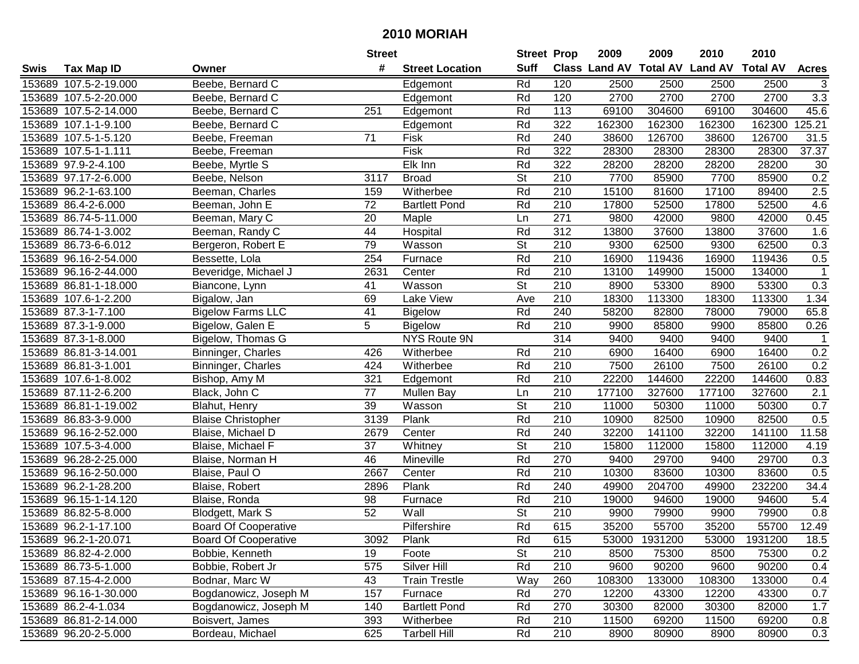| #<br><b>Suff</b><br><b>Class Land AV Total AV</b><br><b>Land AV</b><br><b>Total AV</b><br><b>Tax Map ID</b><br><b>Street Location</b><br><b>Acres</b><br>Swis<br>Owner<br>153689 107.5-2-19.000<br>Beebe, Bernard C<br>Rd<br>120<br>2500<br>2500<br>2500<br>2500<br>3<br>Edgemont<br>120<br>2700<br>3.3<br>153689 107.5-2-20.000<br>Rd<br>2700<br>2700<br>2700<br>Beebe, Bernard C<br>Edgemont<br>45.6<br>153689 107.5-2-14.000<br>Beebe, Bernard C<br>251<br>Rd<br>113<br>69100<br>304600<br>69100<br>304600<br>Edgemont<br>Rd<br>322<br>162300<br>162300<br>162300<br>125.21<br>153689 107.1-1-9.100<br>Beebe, Bernard C<br>Edgemont<br>162300<br>153689 107.5-1-5.120<br>71<br>Rd<br>240<br>38600<br>126700<br>38600<br>126700<br>31.5<br>Beebe, Freeman<br>Fisk<br>Fisk<br>322<br>37.37<br>153689 107.5-1-1.111<br>Rd<br>28300<br>28300<br>28300<br>28300<br>Beebe, Freeman<br>153689 97.9-2-4.100<br>Elk Inn<br>Rd<br>322<br>28200<br>28200<br>30<br>Beebe, Myrtle S<br>28200<br>28200<br>210<br>7700<br>0.2<br>153689 97.17-2-6.000<br>$\overline{\mathsf{St}}$<br>7700<br>85900<br>3117<br><b>Broad</b><br>85900<br>Beebe, Nelson<br>2.5<br>$\overline{210}$<br>17100<br>153689 96.2-1-63.100<br>Beeman, Charles<br>Witherbee<br>Rd<br>15100<br>81600<br>89400<br>159<br>72<br>210<br>52500<br>4.6<br>153689 86.4-2-6.000<br>Rd<br>17800<br>17800<br>52500<br>Beeman, John E<br><b>Bartlett Pond</b><br>271<br>0.45<br>153689 86.74-5-11.000<br>Beeman, Mary C<br>20<br>9800<br>42000<br>9800<br>42000<br>Maple<br>Ln<br>312<br>153689 86.74-1-3.002<br>Beeman, Randy C<br>44<br>Rd<br>13800<br>37600<br>13800<br>37600<br>Hospital<br>1.6<br>79<br>$\overline{\mathsf{St}}$<br>210<br>9300<br>62500<br>62500<br>0.3<br>153689 86.73-6-6.012<br>Bergeron, Robert E<br>Wasson<br>9300<br>Rd<br>210<br>153689 96.16-2-54.000<br>254<br>Furnace<br>16900<br>119436<br>16900<br>119436<br>0.5<br>Bessette, Lola<br>Rd<br>210<br>153689 96.16-2-44.000<br>2631<br>Center<br>13100<br>149900<br>15000<br>134000<br>Beveridge, Michael J<br>$\overline{1}$<br>$\overline{\mathsf{St}}$<br>41<br>210<br>8900<br>53300<br>53300<br>0.3<br>153689 86.81-1-18.000<br>Biancone, Lynn<br>Wasson<br>8900<br>$\overline{210}$<br>69<br>1.34<br>153689 107.6-1-2.200<br>Lake View<br>Ave<br>18300<br>113300<br>18300<br>113300<br>Bigalow, Jan<br>41<br>Rd<br>65.8<br>153689 87.3-1-7.100<br><b>Bigelow Farms LLC</b><br>240<br>58200<br>79000<br><b>Bigelow</b><br>82800<br>78000<br>5<br>153689 87.3-1-9.000<br>Rd<br>210<br>9900<br>9900<br>85800<br>0.26<br>Bigelow, Galen E<br><b>Bigelow</b><br>85800<br>314<br>153689 87.3-1-8.000<br>Bigelow, Thomas G<br>NYS Route 9N<br>9400<br>9400<br>9400<br>9400<br>$\mathbf{1}$<br>210<br>0.2<br>153689 86.81-3-14.001<br>Binninger, Charles<br>426<br>Witherbee<br>Rd<br>6900<br>16400<br>6900<br>16400<br>0.2<br>153689 86.81-3-1.001<br>424<br>Witherbee<br>Rd<br>210<br>7500<br>7500<br>26100<br>Binninger, Charles<br>26100<br>Rd<br>210<br>153689 107.6-1-8.002<br>321<br>22200<br>144600<br>22200<br>144600<br>0.83<br>Bishop, Amy M<br>Edgemont<br>77<br>2.1<br>153689 87.11-2-6.200<br>210<br>177100<br>327600<br>177100<br>327600<br>Black, John C<br><b>Mullen Bay</b><br>Ln<br>$\overline{\mathsf{St}}$<br>39<br>210<br>11000<br>50300<br>0.7<br>153689 86.81-1-19.002<br>Wasson<br>50300<br>11000<br>Blahut, Henry<br>Plank<br>Rd<br>210<br>82500<br>0.5<br>153689 86.83-3-9.000<br>3139<br>10900<br>82500<br>10900<br><b>Blaise Christopher</b><br>Rd<br>240<br>32200<br>141100<br>32200<br>11.58<br>153689 96.16-2-52.000<br>Blaise, Michael D<br>2679<br>Center<br>141100<br><b>St</b><br>153689 107.5-3-4.000<br>37<br>Whitney<br>210<br>15800<br>112000<br>15800<br>112000<br>4.19<br>Blaise, Michael F<br>Rd<br>153689 96.28-2-25.000<br>46<br>Mineville<br>270<br>9400<br>29700<br>29700<br>0.3<br>Blaise, Norman H<br>9400<br>Rd<br>210<br>0.5<br>153689 96.16-2-50.000<br>2667<br>Center<br>10300<br>83600<br>10300<br>83600<br>Blaise, Paul O<br>Plank<br>Rd<br>240<br>204700<br>232200<br>34.4<br>153689 96.2-1-28.200<br>2896<br>49900<br>49900<br>Blaise, Robert<br>5.4<br>Rd<br>210<br>94600<br>153689 96.15-1-14.120<br>98<br>Furnace<br>19000<br>94600<br>19000<br>Blaise, Ronda<br>$\overline{\mathsf{St}}$<br>52<br>Wall<br>$\overline{210}$<br>9900<br>79900<br>$\overline{0.8}$<br>153689 86.82-5-8.000<br>79900<br>9900<br>Blodgett, Mark S<br>Rd<br>615<br>12.49<br>153689 96.2-1-17.100<br>Pilfershire<br>35200<br>55700<br>35200<br>55700<br><b>Board Of Cooperative</b><br>153689 96.2-1-20.071<br><b>Board Of Cooperative</b><br>3092<br>Plank<br>Rd<br>615<br>53000 1931200<br>53000<br>1931200<br>18.5<br><b>St</b><br>210<br>153689 86.82-4-2.000<br>Bobbie, Kenneth<br>Foote<br>8500<br>75300<br>75300<br>0.2<br>19<br>8500<br>575<br>Silver Hill<br>Rd<br>9600<br>90200<br>153689 86.73-5-1.000<br>Bobbie, Robert Jr<br>210<br>90200<br>9600<br>0.4<br>153689 87.15-4-2.000<br>Bodnar, Marc W<br><b>Train Trestle</b><br>Way<br>260<br>108300<br>133000<br>108300<br>133000<br>0.4<br>43<br>270<br>0.7<br>153689 96.16-1-30.000<br>Bogdanowicz, Joseph M<br>Furnace<br>Rd<br>12200<br>43300<br>12200<br>43300<br>157<br>1.7<br>153689 86.2-4-1.034<br>Bogdanowicz, Joseph M<br>140<br><b>Bartlett Pond</b><br>Rd<br>270<br>30300<br>82000<br>30300<br>82000<br>153689 86.81-2-14.000<br>393<br>Rd<br>210<br>11500<br>69200<br>11500<br>69200<br>Boisvert, James<br>Witherbee<br>0.8<br>153689 96.20-2-5.000<br>Bordeau, Michael<br>625<br>Rd<br>210<br>8900<br>80900<br>8900<br>80900 |  | <b>Street</b> |                     | <b>Street Prop</b> | 2009 | 2009 | 2010 | 2010 |     |
|-------------------------------------------------------------------------------------------------------------------------------------------------------------------------------------------------------------------------------------------------------------------------------------------------------------------------------------------------------------------------------------------------------------------------------------------------------------------------------------------------------------------------------------------------------------------------------------------------------------------------------------------------------------------------------------------------------------------------------------------------------------------------------------------------------------------------------------------------------------------------------------------------------------------------------------------------------------------------------------------------------------------------------------------------------------------------------------------------------------------------------------------------------------------------------------------------------------------------------------------------------------------------------------------------------------------------------------------------------------------------------------------------------------------------------------------------------------------------------------------------------------------------------------------------------------------------------------------------------------------------------------------------------------------------------------------------------------------------------------------------------------------------------------------------------------------------------------------------------------------------------------------------------------------------------------------------------------------------------------------------------------------------------------------------------------------------------------------------------------------------------------------------------------------------------------------------------------------------------------------------------------------------------------------------------------------------------------------------------------------------------------------------------------------------------------------------------------------------------------------------------------------------------------------------------------------------------------------------------------------------------------------------------------------------------------------------------------------------------------------------------------------------------------------------------------------------------------------------------------------------------------------------------------------------------------------------------------------------------------------------------------------------------------------------------------------------------------------------------------------------------------------------------------------------------------------------------------------------------------------------------------------------------------------------------------------------------------------------------------------------------------------------------------------------------------------------------------------------------------------------------------------------------------------------------------------------------------------------------------------------------------------------------------------------------------------------------------------------------------------------------------------------------------------------------------------------------------------------------------------------------------------------------------------------------------------------------------------------------------------------------------------------------------------------------------------------------------------------------------------------------------------------------------------------------------------------------------------------------------------------------------------------------------------------------------------------------------------------------------------------------------------------------------------------------------------------------------------------------------------------------------------------------------------------------------------------------------------------------------------------------------------------------------------------------------------------------------------------------------------------------------------------------------------------------------------------------------------------------------------------------------------------------------------------------------------------------------------------------------------------------------------------------------------------------------------------------------------------------------------------------------------------------------------------------------------------------------------------------------------------------------------------------------------------------------------------------------------------------------------------------------------------------------------------------------------------------------------------------------------------------------------------------------------------------------------------|--|---------------|---------------------|--------------------|------|------|------|------|-----|
|                                                                                                                                                                                                                                                                                                                                                                                                                                                                                                                                                                                                                                                                                                                                                                                                                                                                                                                                                                                                                                                                                                                                                                                                                                                                                                                                                                                                                                                                                                                                                                                                                                                                                                                                                                                                                                                                                                                                                                                                                                                                                                                                                                                                                                                                                                                                                                                                                                                                                                                                                                                                                                                                                                                                                                                                                                                                                                                                                                                                                                                                                                                                                                                                                                                                                                                                                                                                                                                                                                                                                                                                                                                                                                                                                                                                                                                                                                                                                                                                                                                                                                                                                                                                                                                                                                                                                                                                                                                                                                                                                                                                                                                                                                                                                                                                                                                                                                                                                                                                                                                                                                                                                                                                                                                                                                                                                                                                                                                                                                                                                                         |  |               |                     |                    |      |      |      |      |     |
|                                                                                                                                                                                                                                                                                                                                                                                                                                                                                                                                                                                                                                                                                                                                                                                                                                                                                                                                                                                                                                                                                                                                                                                                                                                                                                                                                                                                                                                                                                                                                                                                                                                                                                                                                                                                                                                                                                                                                                                                                                                                                                                                                                                                                                                                                                                                                                                                                                                                                                                                                                                                                                                                                                                                                                                                                                                                                                                                                                                                                                                                                                                                                                                                                                                                                                                                                                                                                                                                                                                                                                                                                                                                                                                                                                                                                                                                                                                                                                                                                                                                                                                                                                                                                                                                                                                                                                                                                                                                                                                                                                                                                                                                                                                                                                                                                                                                                                                                                                                                                                                                                                                                                                                                                                                                                                                                                                                                                                                                                                                                                                         |  |               |                     |                    |      |      |      |      |     |
|                                                                                                                                                                                                                                                                                                                                                                                                                                                                                                                                                                                                                                                                                                                                                                                                                                                                                                                                                                                                                                                                                                                                                                                                                                                                                                                                                                                                                                                                                                                                                                                                                                                                                                                                                                                                                                                                                                                                                                                                                                                                                                                                                                                                                                                                                                                                                                                                                                                                                                                                                                                                                                                                                                                                                                                                                                                                                                                                                                                                                                                                                                                                                                                                                                                                                                                                                                                                                                                                                                                                                                                                                                                                                                                                                                                                                                                                                                                                                                                                                                                                                                                                                                                                                                                                                                                                                                                                                                                                                                                                                                                                                                                                                                                                                                                                                                                                                                                                                                                                                                                                                                                                                                                                                                                                                                                                                                                                                                                                                                                                                                         |  |               |                     |                    |      |      |      |      |     |
|                                                                                                                                                                                                                                                                                                                                                                                                                                                                                                                                                                                                                                                                                                                                                                                                                                                                                                                                                                                                                                                                                                                                                                                                                                                                                                                                                                                                                                                                                                                                                                                                                                                                                                                                                                                                                                                                                                                                                                                                                                                                                                                                                                                                                                                                                                                                                                                                                                                                                                                                                                                                                                                                                                                                                                                                                                                                                                                                                                                                                                                                                                                                                                                                                                                                                                                                                                                                                                                                                                                                                                                                                                                                                                                                                                                                                                                                                                                                                                                                                                                                                                                                                                                                                                                                                                                                                                                                                                                                                                                                                                                                                                                                                                                                                                                                                                                                                                                                                                                                                                                                                                                                                                                                                                                                                                                                                                                                                                                                                                                                                                         |  |               |                     |                    |      |      |      |      |     |
|                                                                                                                                                                                                                                                                                                                                                                                                                                                                                                                                                                                                                                                                                                                                                                                                                                                                                                                                                                                                                                                                                                                                                                                                                                                                                                                                                                                                                                                                                                                                                                                                                                                                                                                                                                                                                                                                                                                                                                                                                                                                                                                                                                                                                                                                                                                                                                                                                                                                                                                                                                                                                                                                                                                                                                                                                                                                                                                                                                                                                                                                                                                                                                                                                                                                                                                                                                                                                                                                                                                                                                                                                                                                                                                                                                                                                                                                                                                                                                                                                                                                                                                                                                                                                                                                                                                                                                                                                                                                                                                                                                                                                                                                                                                                                                                                                                                                                                                                                                                                                                                                                                                                                                                                                                                                                                                                                                                                                                                                                                                                                                         |  |               |                     |                    |      |      |      |      |     |
|                                                                                                                                                                                                                                                                                                                                                                                                                                                                                                                                                                                                                                                                                                                                                                                                                                                                                                                                                                                                                                                                                                                                                                                                                                                                                                                                                                                                                                                                                                                                                                                                                                                                                                                                                                                                                                                                                                                                                                                                                                                                                                                                                                                                                                                                                                                                                                                                                                                                                                                                                                                                                                                                                                                                                                                                                                                                                                                                                                                                                                                                                                                                                                                                                                                                                                                                                                                                                                                                                                                                                                                                                                                                                                                                                                                                                                                                                                                                                                                                                                                                                                                                                                                                                                                                                                                                                                                                                                                                                                                                                                                                                                                                                                                                                                                                                                                                                                                                                                                                                                                                                                                                                                                                                                                                                                                                                                                                                                                                                                                                                                         |  |               |                     |                    |      |      |      |      |     |
|                                                                                                                                                                                                                                                                                                                                                                                                                                                                                                                                                                                                                                                                                                                                                                                                                                                                                                                                                                                                                                                                                                                                                                                                                                                                                                                                                                                                                                                                                                                                                                                                                                                                                                                                                                                                                                                                                                                                                                                                                                                                                                                                                                                                                                                                                                                                                                                                                                                                                                                                                                                                                                                                                                                                                                                                                                                                                                                                                                                                                                                                                                                                                                                                                                                                                                                                                                                                                                                                                                                                                                                                                                                                                                                                                                                                                                                                                                                                                                                                                                                                                                                                                                                                                                                                                                                                                                                                                                                                                                                                                                                                                                                                                                                                                                                                                                                                                                                                                                                                                                                                                                                                                                                                                                                                                                                                                                                                                                                                                                                                                                         |  |               |                     |                    |      |      |      |      |     |
|                                                                                                                                                                                                                                                                                                                                                                                                                                                                                                                                                                                                                                                                                                                                                                                                                                                                                                                                                                                                                                                                                                                                                                                                                                                                                                                                                                                                                                                                                                                                                                                                                                                                                                                                                                                                                                                                                                                                                                                                                                                                                                                                                                                                                                                                                                                                                                                                                                                                                                                                                                                                                                                                                                                                                                                                                                                                                                                                                                                                                                                                                                                                                                                                                                                                                                                                                                                                                                                                                                                                                                                                                                                                                                                                                                                                                                                                                                                                                                                                                                                                                                                                                                                                                                                                                                                                                                                                                                                                                                                                                                                                                                                                                                                                                                                                                                                                                                                                                                                                                                                                                                                                                                                                                                                                                                                                                                                                                                                                                                                                                                         |  |               |                     |                    |      |      |      |      |     |
|                                                                                                                                                                                                                                                                                                                                                                                                                                                                                                                                                                                                                                                                                                                                                                                                                                                                                                                                                                                                                                                                                                                                                                                                                                                                                                                                                                                                                                                                                                                                                                                                                                                                                                                                                                                                                                                                                                                                                                                                                                                                                                                                                                                                                                                                                                                                                                                                                                                                                                                                                                                                                                                                                                                                                                                                                                                                                                                                                                                                                                                                                                                                                                                                                                                                                                                                                                                                                                                                                                                                                                                                                                                                                                                                                                                                                                                                                                                                                                                                                                                                                                                                                                                                                                                                                                                                                                                                                                                                                                                                                                                                                                                                                                                                                                                                                                                                                                                                                                                                                                                                                                                                                                                                                                                                                                                                                                                                                                                                                                                                                                         |  |               |                     |                    |      |      |      |      |     |
|                                                                                                                                                                                                                                                                                                                                                                                                                                                                                                                                                                                                                                                                                                                                                                                                                                                                                                                                                                                                                                                                                                                                                                                                                                                                                                                                                                                                                                                                                                                                                                                                                                                                                                                                                                                                                                                                                                                                                                                                                                                                                                                                                                                                                                                                                                                                                                                                                                                                                                                                                                                                                                                                                                                                                                                                                                                                                                                                                                                                                                                                                                                                                                                                                                                                                                                                                                                                                                                                                                                                                                                                                                                                                                                                                                                                                                                                                                                                                                                                                                                                                                                                                                                                                                                                                                                                                                                                                                                                                                                                                                                                                                                                                                                                                                                                                                                                                                                                                                                                                                                                                                                                                                                                                                                                                                                                                                                                                                                                                                                                                                         |  |               |                     |                    |      |      |      |      |     |
|                                                                                                                                                                                                                                                                                                                                                                                                                                                                                                                                                                                                                                                                                                                                                                                                                                                                                                                                                                                                                                                                                                                                                                                                                                                                                                                                                                                                                                                                                                                                                                                                                                                                                                                                                                                                                                                                                                                                                                                                                                                                                                                                                                                                                                                                                                                                                                                                                                                                                                                                                                                                                                                                                                                                                                                                                                                                                                                                                                                                                                                                                                                                                                                                                                                                                                                                                                                                                                                                                                                                                                                                                                                                                                                                                                                                                                                                                                                                                                                                                                                                                                                                                                                                                                                                                                                                                                                                                                                                                                                                                                                                                                                                                                                                                                                                                                                                                                                                                                                                                                                                                                                                                                                                                                                                                                                                                                                                                                                                                                                                                                         |  |               |                     |                    |      |      |      |      |     |
|                                                                                                                                                                                                                                                                                                                                                                                                                                                                                                                                                                                                                                                                                                                                                                                                                                                                                                                                                                                                                                                                                                                                                                                                                                                                                                                                                                                                                                                                                                                                                                                                                                                                                                                                                                                                                                                                                                                                                                                                                                                                                                                                                                                                                                                                                                                                                                                                                                                                                                                                                                                                                                                                                                                                                                                                                                                                                                                                                                                                                                                                                                                                                                                                                                                                                                                                                                                                                                                                                                                                                                                                                                                                                                                                                                                                                                                                                                                                                                                                                                                                                                                                                                                                                                                                                                                                                                                                                                                                                                                                                                                                                                                                                                                                                                                                                                                                                                                                                                                                                                                                                                                                                                                                                                                                                                                                                                                                                                                                                                                                                                         |  |               |                     |                    |      |      |      |      |     |
|                                                                                                                                                                                                                                                                                                                                                                                                                                                                                                                                                                                                                                                                                                                                                                                                                                                                                                                                                                                                                                                                                                                                                                                                                                                                                                                                                                                                                                                                                                                                                                                                                                                                                                                                                                                                                                                                                                                                                                                                                                                                                                                                                                                                                                                                                                                                                                                                                                                                                                                                                                                                                                                                                                                                                                                                                                                                                                                                                                                                                                                                                                                                                                                                                                                                                                                                                                                                                                                                                                                                                                                                                                                                                                                                                                                                                                                                                                                                                                                                                                                                                                                                                                                                                                                                                                                                                                                                                                                                                                                                                                                                                                                                                                                                                                                                                                                                                                                                                                                                                                                                                                                                                                                                                                                                                                                                                                                                                                                                                                                                                                         |  |               |                     |                    |      |      |      |      |     |
|                                                                                                                                                                                                                                                                                                                                                                                                                                                                                                                                                                                                                                                                                                                                                                                                                                                                                                                                                                                                                                                                                                                                                                                                                                                                                                                                                                                                                                                                                                                                                                                                                                                                                                                                                                                                                                                                                                                                                                                                                                                                                                                                                                                                                                                                                                                                                                                                                                                                                                                                                                                                                                                                                                                                                                                                                                                                                                                                                                                                                                                                                                                                                                                                                                                                                                                                                                                                                                                                                                                                                                                                                                                                                                                                                                                                                                                                                                                                                                                                                                                                                                                                                                                                                                                                                                                                                                                                                                                                                                                                                                                                                                                                                                                                                                                                                                                                                                                                                                                                                                                                                                                                                                                                                                                                                                                                                                                                                                                                                                                                                                         |  |               |                     |                    |      |      |      |      |     |
|                                                                                                                                                                                                                                                                                                                                                                                                                                                                                                                                                                                                                                                                                                                                                                                                                                                                                                                                                                                                                                                                                                                                                                                                                                                                                                                                                                                                                                                                                                                                                                                                                                                                                                                                                                                                                                                                                                                                                                                                                                                                                                                                                                                                                                                                                                                                                                                                                                                                                                                                                                                                                                                                                                                                                                                                                                                                                                                                                                                                                                                                                                                                                                                                                                                                                                                                                                                                                                                                                                                                                                                                                                                                                                                                                                                                                                                                                                                                                                                                                                                                                                                                                                                                                                                                                                                                                                                                                                                                                                                                                                                                                                                                                                                                                                                                                                                                                                                                                                                                                                                                                                                                                                                                                                                                                                                                                                                                                                                                                                                                                                         |  |               |                     |                    |      |      |      |      |     |
|                                                                                                                                                                                                                                                                                                                                                                                                                                                                                                                                                                                                                                                                                                                                                                                                                                                                                                                                                                                                                                                                                                                                                                                                                                                                                                                                                                                                                                                                                                                                                                                                                                                                                                                                                                                                                                                                                                                                                                                                                                                                                                                                                                                                                                                                                                                                                                                                                                                                                                                                                                                                                                                                                                                                                                                                                                                                                                                                                                                                                                                                                                                                                                                                                                                                                                                                                                                                                                                                                                                                                                                                                                                                                                                                                                                                                                                                                                                                                                                                                                                                                                                                                                                                                                                                                                                                                                                                                                                                                                                                                                                                                                                                                                                                                                                                                                                                                                                                                                                                                                                                                                                                                                                                                                                                                                                                                                                                                                                                                                                                                                         |  |               |                     |                    |      |      |      |      |     |
|                                                                                                                                                                                                                                                                                                                                                                                                                                                                                                                                                                                                                                                                                                                                                                                                                                                                                                                                                                                                                                                                                                                                                                                                                                                                                                                                                                                                                                                                                                                                                                                                                                                                                                                                                                                                                                                                                                                                                                                                                                                                                                                                                                                                                                                                                                                                                                                                                                                                                                                                                                                                                                                                                                                                                                                                                                                                                                                                                                                                                                                                                                                                                                                                                                                                                                                                                                                                                                                                                                                                                                                                                                                                                                                                                                                                                                                                                                                                                                                                                                                                                                                                                                                                                                                                                                                                                                                                                                                                                                                                                                                                                                                                                                                                                                                                                                                                                                                                                                                                                                                                                                                                                                                                                                                                                                                                                                                                                                                                                                                                                                         |  |               |                     |                    |      |      |      |      |     |
|                                                                                                                                                                                                                                                                                                                                                                                                                                                                                                                                                                                                                                                                                                                                                                                                                                                                                                                                                                                                                                                                                                                                                                                                                                                                                                                                                                                                                                                                                                                                                                                                                                                                                                                                                                                                                                                                                                                                                                                                                                                                                                                                                                                                                                                                                                                                                                                                                                                                                                                                                                                                                                                                                                                                                                                                                                                                                                                                                                                                                                                                                                                                                                                                                                                                                                                                                                                                                                                                                                                                                                                                                                                                                                                                                                                                                                                                                                                                                                                                                                                                                                                                                                                                                                                                                                                                                                                                                                                                                                                                                                                                                                                                                                                                                                                                                                                                                                                                                                                                                                                                                                                                                                                                                                                                                                                                                                                                                                                                                                                                                                         |  |               |                     |                    |      |      |      |      |     |
|                                                                                                                                                                                                                                                                                                                                                                                                                                                                                                                                                                                                                                                                                                                                                                                                                                                                                                                                                                                                                                                                                                                                                                                                                                                                                                                                                                                                                                                                                                                                                                                                                                                                                                                                                                                                                                                                                                                                                                                                                                                                                                                                                                                                                                                                                                                                                                                                                                                                                                                                                                                                                                                                                                                                                                                                                                                                                                                                                                                                                                                                                                                                                                                                                                                                                                                                                                                                                                                                                                                                                                                                                                                                                                                                                                                                                                                                                                                                                                                                                                                                                                                                                                                                                                                                                                                                                                                                                                                                                                                                                                                                                                                                                                                                                                                                                                                                                                                                                                                                                                                                                                                                                                                                                                                                                                                                                                                                                                                                                                                                                                         |  |               |                     |                    |      |      |      |      |     |
|                                                                                                                                                                                                                                                                                                                                                                                                                                                                                                                                                                                                                                                                                                                                                                                                                                                                                                                                                                                                                                                                                                                                                                                                                                                                                                                                                                                                                                                                                                                                                                                                                                                                                                                                                                                                                                                                                                                                                                                                                                                                                                                                                                                                                                                                                                                                                                                                                                                                                                                                                                                                                                                                                                                                                                                                                                                                                                                                                                                                                                                                                                                                                                                                                                                                                                                                                                                                                                                                                                                                                                                                                                                                                                                                                                                                                                                                                                                                                                                                                                                                                                                                                                                                                                                                                                                                                                                                                                                                                                                                                                                                                                                                                                                                                                                                                                                                                                                                                                                                                                                                                                                                                                                                                                                                                                                                                                                                                                                                                                                                                                         |  |               |                     |                    |      |      |      |      |     |
|                                                                                                                                                                                                                                                                                                                                                                                                                                                                                                                                                                                                                                                                                                                                                                                                                                                                                                                                                                                                                                                                                                                                                                                                                                                                                                                                                                                                                                                                                                                                                                                                                                                                                                                                                                                                                                                                                                                                                                                                                                                                                                                                                                                                                                                                                                                                                                                                                                                                                                                                                                                                                                                                                                                                                                                                                                                                                                                                                                                                                                                                                                                                                                                                                                                                                                                                                                                                                                                                                                                                                                                                                                                                                                                                                                                                                                                                                                                                                                                                                                                                                                                                                                                                                                                                                                                                                                                                                                                                                                                                                                                                                                                                                                                                                                                                                                                                                                                                                                                                                                                                                                                                                                                                                                                                                                                                                                                                                                                                                                                                                                         |  |               |                     |                    |      |      |      |      |     |
|                                                                                                                                                                                                                                                                                                                                                                                                                                                                                                                                                                                                                                                                                                                                                                                                                                                                                                                                                                                                                                                                                                                                                                                                                                                                                                                                                                                                                                                                                                                                                                                                                                                                                                                                                                                                                                                                                                                                                                                                                                                                                                                                                                                                                                                                                                                                                                                                                                                                                                                                                                                                                                                                                                                                                                                                                                                                                                                                                                                                                                                                                                                                                                                                                                                                                                                                                                                                                                                                                                                                                                                                                                                                                                                                                                                                                                                                                                                                                                                                                                                                                                                                                                                                                                                                                                                                                                                                                                                                                                                                                                                                                                                                                                                                                                                                                                                                                                                                                                                                                                                                                                                                                                                                                                                                                                                                                                                                                                                                                                                                                                         |  |               |                     |                    |      |      |      |      |     |
|                                                                                                                                                                                                                                                                                                                                                                                                                                                                                                                                                                                                                                                                                                                                                                                                                                                                                                                                                                                                                                                                                                                                                                                                                                                                                                                                                                                                                                                                                                                                                                                                                                                                                                                                                                                                                                                                                                                                                                                                                                                                                                                                                                                                                                                                                                                                                                                                                                                                                                                                                                                                                                                                                                                                                                                                                                                                                                                                                                                                                                                                                                                                                                                                                                                                                                                                                                                                                                                                                                                                                                                                                                                                                                                                                                                                                                                                                                                                                                                                                                                                                                                                                                                                                                                                                                                                                                                                                                                                                                                                                                                                                                                                                                                                                                                                                                                                                                                                                                                                                                                                                                                                                                                                                                                                                                                                                                                                                                                                                                                                                                         |  |               |                     |                    |      |      |      |      |     |
|                                                                                                                                                                                                                                                                                                                                                                                                                                                                                                                                                                                                                                                                                                                                                                                                                                                                                                                                                                                                                                                                                                                                                                                                                                                                                                                                                                                                                                                                                                                                                                                                                                                                                                                                                                                                                                                                                                                                                                                                                                                                                                                                                                                                                                                                                                                                                                                                                                                                                                                                                                                                                                                                                                                                                                                                                                                                                                                                                                                                                                                                                                                                                                                                                                                                                                                                                                                                                                                                                                                                                                                                                                                                                                                                                                                                                                                                                                                                                                                                                                                                                                                                                                                                                                                                                                                                                                                                                                                                                                                                                                                                                                                                                                                                                                                                                                                                                                                                                                                                                                                                                                                                                                                                                                                                                                                                                                                                                                                                                                                                                                         |  |               |                     |                    |      |      |      |      |     |
|                                                                                                                                                                                                                                                                                                                                                                                                                                                                                                                                                                                                                                                                                                                                                                                                                                                                                                                                                                                                                                                                                                                                                                                                                                                                                                                                                                                                                                                                                                                                                                                                                                                                                                                                                                                                                                                                                                                                                                                                                                                                                                                                                                                                                                                                                                                                                                                                                                                                                                                                                                                                                                                                                                                                                                                                                                                                                                                                                                                                                                                                                                                                                                                                                                                                                                                                                                                                                                                                                                                                                                                                                                                                                                                                                                                                                                                                                                                                                                                                                                                                                                                                                                                                                                                                                                                                                                                                                                                                                                                                                                                                                                                                                                                                                                                                                                                                                                                                                                                                                                                                                                                                                                                                                                                                                                                                                                                                                                                                                                                                                                         |  |               |                     |                    |      |      |      |      |     |
|                                                                                                                                                                                                                                                                                                                                                                                                                                                                                                                                                                                                                                                                                                                                                                                                                                                                                                                                                                                                                                                                                                                                                                                                                                                                                                                                                                                                                                                                                                                                                                                                                                                                                                                                                                                                                                                                                                                                                                                                                                                                                                                                                                                                                                                                                                                                                                                                                                                                                                                                                                                                                                                                                                                                                                                                                                                                                                                                                                                                                                                                                                                                                                                                                                                                                                                                                                                                                                                                                                                                                                                                                                                                                                                                                                                                                                                                                                                                                                                                                                                                                                                                                                                                                                                                                                                                                                                                                                                                                                                                                                                                                                                                                                                                                                                                                                                                                                                                                                                                                                                                                                                                                                                                                                                                                                                                                                                                                                                                                                                                                                         |  |               |                     |                    |      |      |      |      |     |
|                                                                                                                                                                                                                                                                                                                                                                                                                                                                                                                                                                                                                                                                                                                                                                                                                                                                                                                                                                                                                                                                                                                                                                                                                                                                                                                                                                                                                                                                                                                                                                                                                                                                                                                                                                                                                                                                                                                                                                                                                                                                                                                                                                                                                                                                                                                                                                                                                                                                                                                                                                                                                                                                                                                                                                                                                                                                                                                                                                                                                                                                                                                                                                                                                                                                                                                                                                                                                                                                                                                                                                                                                                                                                                                                                                                                                                                                                                                                                                                                                                                                                                                                                                                                                                                                                                                                                                                                                                                                                                                                                                                                                                                                                                                                                                                                                                                                                                                                                                                                                                                                                                                                                                                                                                                                                                                                                                                                                                                                                                                                                                         |  |               |                     |                    |      |      |      |      |     |
|                                                                                                                                                                                                                                                                                                                                                                                                                                                                                                                                                                                                                                                                                                                                                                                                                                                                                                                                                                                                                                                                                                                                                                                                                                                                                                                                                                                                                                                                                                                                                                                                                                                                                                                                                                                                                                                                                                                                                                                                                                                                                                                                                                                                                                                                                                                                                                                                                                                                                                                                                                                                                                                                                                                                                                                                                                                                                                                                                                                                                                                                                                                                                                                                                                                                                                                                                                                                                                                                                                                                                                                                                                                                                                                                                                                                                                                                                                                                                                                                                                                                                                                                                                                                                                                                                                                                                                                                                                                                                                                                                                                                                                                                                                                                                                                                                                                                                                                                                                                                                                                                                                                                                                                                                                                                                                                                                                                                                                                                                                                                                                         |  |               |                     |                    |      |      |      |      |     |
|                                                                                                                                                                                                                                                                                                                                                                                                                                                                                                                                                                                                                                                                                                                                                                                                                                                                                                                                                                                                                                                                                                                                                                                                                                                                                                                                                                                                                                                                                                                                                                                                                                                                                                                                                                                                                                                                                                                                                                                                                                                                                                                                                                                                                                                                                                                                                                                                                                                                                                                                                                                                                                                                                                                                                                                                                                                                                                                                                                                                                                                                                                                                                                                                                                                                                                                                                                                                                                                                                                                                                                                                                                                                                                                                                                                                                                                                                                                                                                                                                                                                                                                                                                                                                                                                                                                                                                                                                                                                                                                                                                                                                                                                                                                                                                                                                                                                                                                                                                                                                                                                                                                                                                                                                                                                                                                                                                                                                                                                                                                                                                         |  |               |                     |                    |      |      |      |      |     |
|                                                                                                                                                                                                                                                                                                                                                                                                                                                                                                                                                                                                                                                                                                                                                                                                                                                                                                                                                                                                                                                                                                                                                                                                                                                                                                                                                                                                                                                                                                                                                                                                                                                                                                                                                                                                                                                                                                                                                                                                                                                                                                                                                                                                                                                                                                                                                                                                                                                                                                                                                                                                                                                                                                                                                                                                                                                                                                                                                                                                                                                                                                                                                                                                                                                                                                                                                                                                                                                                                                                                                                                                                                                                                                                                                                                                                                                                                                                                                                                                                                                                                                                                                                                                                                                                                                                                                                                                                                                                                                                                                                                                                                                                                                                                                                                                                                                                                                                                                                                                                                                                                                                                                                                                                                                                                                                                                                                                                                                                                                                                                                         |  |               |                     |                    |      |      |      |      |     |
|                                                                                                                                                                                                                                                                                                                                                                                                                                                                                                                                                                                                                                                                                                                                                                                                                                                                                                                                                                                                                                                                                                                                                                                                                                                                                                                                                                                                                                                                                                                                                                                                                                                                                                                                                                                                                                                                                                                                                                                                                                                                                                                                                                                                                                                                                                                                                                                                                                                                                                                                                                                                                                                                                                                                                                                                                                                                                                                                                                                                                                                                                                                                                                                                                                                                                                                                                                                                                                                                                                                                                                                                                                                                                                                                                                                                                                                                                                                                                                                                                                                                                                                                                                                                                                                                                                                                                                                                                                                                                                                                                                                                                                                                                                                                                                                                                                                                                                                                                                                                                                                                                                                                                                                                                                                                                                                                                                                                                                                                                                                                                                         |  |               |                     |                    |      |      |      |      |     |
|                                                                                                                                                                                                                                                                                                                                                                                                                                                                                                                                                                                                                                                                                                                                                                                                                                                                                                                                                                                                                                                                                                                                                                                                                                                                                                                                                                                                                                                                                                                                                                                                                                                                                                                                                                                                                                                                                                                                                                                                                                                                                                                                                                                                                                                                                                                                                                                                                                                                                                                                                                                                                                                                                                                                                                                                                                                                                                                                                                                                                                                                                                                                                                                                                                                                                                                                                                                                                                                                                                                                                                                                                                                                                                                                                                                                                                                                                                                                                                                                                                                                                                                                                                                                                                                                                                                                                                                                                                                                                                                                                                                                                                                                                                                                                                                                                                                                                                                                                                                                                                                                                                                                                                                                                                                                                                                                                                                                                                                                                                                                                                         |  |               |                     |                    |      |      |      |      |     |
|                                                                                                                                                                                                                                                                                                                                                                                                                                                                                                                                                                                                                                                                                                                                                                                                                                                                                                                                                                                                                                                                                                                                                                                                                                                                                                                                                                                                                                                                                                                                                                                                                                                                                                                                                                                                                                                                                                                                                                                                                                                                                                                                                                                                                                                                                                                                                                                                                                                                                                                                                                                                                                                                                                                                                                                                                                                                                                                                                                                                                                                                                                                                                                                                                                                                                                                                                                                                                                                                                                                                                                                                                                                                                                                                                                                                                                                                                                                                                                                                                                                                                                                                                                                                                                                                                                                                                                                                                                                                                                                                                                                                                                                                                                                                                                                                                                                                                                                                                                                                                                                                                                                                                                                                                                                                                                                                                                                                                                                                                                                                                                         |  |               |                     |                    |      |      |      |      |     |
|                                                                                                                                                                                                                                                                                                                                                                                                                                                                                                                                                                                                                                                                                                                                                                                                                                                                                                                                                                                                                                                                                                                                                                                                                                                                                                                                                                                                                                                                                                                                                                                                                                                                                                                                                                                                                                                                                                                                                                                                                                                                                                                                                                                                                                                                                                                                                                                                                                                                                                                                                                                                                                                                                                                                                                                                                                                                                                                                                                                                                                                                                                                                                                                                                                                                                                                                                                                                                                                                                                                                                                                                                                                                                                                                                                                                                                                                                                                                                                                                                                                                                                                                                                                                                                                                                                                                                                                                                                                                                                                                                                                                                                                                                                                                                                                                                                                                                                                                                                                                                                                                                                                                                                                                                                                                                                                                                                                                                                                                                                                                                                         |  |               |                     |                    |      |      |      |      |     |
|                                                                                                                                                                                                                                                                                                                                                                                                                                                                                                                                                                                                                                                                                                                                                                                                                                                                                                                                                                                                                                                                                                                                                                                                                                                                                                                                                                                                                                                                                                                                                                                                                                                                                                                                                                                                                                                                                                                                                                                                                                                                                                                                                                                                                                                                                                                                                                                                                                                                                                                                                                                                                                                                                                                                                                                                                                                                                                                                                                                                                                                                                                                                                                                                                                                                                                                                                                                                                                                                                                                                                                                                                                                                                                                                                                                                                                                                                                                                                                                                                                                                                                                                                                                                                                                                                                                                                                                                                                                                                                                                                                                                                                                                                                                                                                                                                                                                                                                                                                                                                                                                                                                                                                                                                                                                                                                                                                                                                                                                                                                                                                         |  |               |                     |                    |      |      |      |      |     |
|                                                                                                                                                                                                                                                                                                                                                                                                                                                                                                                                                                                                                                                                                                                                                                                                                                                                                                                                                                                                                                                                                                                                                                                                                                                                                                                                                                                                                                                                                                                                                                                                                                                                                                                                                                                                                                                                                                                                                                                                                                                                                                                                                                                                                                                                                                                                                                                                                                                                                                                                                                                                                                                                                                                                                                                                                                                                                                                                                                                                                                                                                                                                                                                                                                                                                                                                                                                                                                                                                                                                                                                                                                                                                                                                                                                                                                                                                                                                                                                                                                                                                                                                                                                                                                                                                                                                                                                                                                                                                                                                                                                                                                                                                                                                                                                                                                                                                                                                                                                                                                                                                                                                                                                                                                                                                                                                                                                                                                                                                                                                                                         |  |               |                     |                    |      |      |      |      |     |
|                                                                                                                                                                                                                                                                                                                                                                                                                                                                                                                                                                                                                                                                                                                                                                                                                                                                                                                                                                                                                                                                                                                                                                                                                                                                                                                                                                                                                                                                                                                                                                                                                                                                                                                                                                                                                                                                                                                                                                                                                                                                                                                                                                                                                                                                                                                                                                                                                                                                                                                                                                                                                                                                                                                                                                                                                                                                                                                                                                                                                                                                                                                                                                                                                                                                                                                                                                                                                                                                                                                                                                                                                                                                                                                                                                                                                                                                                                                                                                                                                                                                                                                                                                                                                                                                                                                                                                                                                                                                                                                                                                                                                                                                                                                                                                                                                                                                                                                                                                                                                                                                                                                                                                                                                                                                                                                                                                                                                                                                                                                                                                         |  |               |                     |                    |      |      |      |      |     |
|                                                                                                                                                                                                                                                                                                                                                                                                                                                                                                                                                                                                                                                                                                                                                                                                                                                                                                                                                                                                                                                                                                                                                                                                                                                                                                                                                                                                                                                                                                                                                                                                                                                                                                                                                                                                                                                                                                                                                                                                                                                                                                                                                                                                                                                                                                                                                                                                                                                                                                                                                                                                                                                                                                                                                                                                                                                                                                                                                                                                                                                                                                                                                                                                                                                                                                                                                                                                                                                                                                                                                                                                                                                                                                                                                                                                                                                                                                                                                                                                                                                                                                                                                                                                                                                                                                                                                                                                                                                                                                                                                                                                                                                                                                                                                                                                                                                                                                                                                                                                                                                                                                                                                                                                                                                                                                                                                                                                                                                                                                                                                                         |  |               |                     |                    |      |      |      |      |     |
|                                                                                                                                                                                                                                                                                                                                                                                                                                                                                                                                                                                                                                                                                                                                                                                                                                                                                                                                                                                                                                                                                                                                                                                                                                                                                                                                                                                                                                                                                                                                                                                                                                                                                                                                                                                                                                                                                                                                                                                                                                                                                                                                                                                                                                                                                                                                                                                                                                                                                                                                                                                                                                                                                                                                                                                                                                                                                                                                                                                                                                                                                                                                                                                                                                                                                                                                                                                                                                                                                                                                                                                                                                                                                                                                                                                                                                                                                                                                                                                                                                                                                                                                                                                                                                                                                                                                                                                                                                                                                                                                                                                                                                                                                                                                                                                                                                                                                                                                                                                                                                                                                                                                                                                                                                                                                                                                                                                                                                                                                                                                                                         |  |               |                     |                    |      |      |      |      |     |
|                                                                                                                                                                                                                                                                                                                                                                                                                                                                                                                                                                                                                                                                                                                                                                                                                                                                                                                                                                                                                                                                                                                                                                                                                                                                                                                                                                                                                                                                                                                                                                                                                                                                                                                                                                                                                                                                                                                                                                                                                                                                                                                                                                                                                                                                                                                                                                                                                                                                                                                                                                                                                                                                                                                                                                                                                                                                                                                                                                                                                                                                                                                                                                                                                                                                                                                                                                                                                                                                                                                                                                                                                                                                                                                                                                                                                                                                                                                                                                                                                                                                                                                                                                                                                                                                                                                                                                                                                                                                                                                                                                                                                                                                                                                                                                                                                                                                                                                                                                                                                                                                                                                                                                                                                                                                                                                                                                                                                                                                                                                                                                         |  |               |                     |                    |      |      |      |      |     |
|                                                                                                                                                                                                                                                                                                                                                                                                                                                                                                                                                                                                                                                                                                                                                                                                                                                                                                                                                                                                                                                                                                                                                                                                                                                                                                                                                                                                                                                                                                                                                                                                                                                                                                                                                                                                                                                                                                                                                                                                                                                                                                                                                                                                                                                                                                                                                                                                                                                                                                                                                                                                                                                                                                                                                                                                                                                                                                                                                                                                                                                                                                                                                                                                                                                                                                                                                                                                                                                                                                                                                                                                                                                                                                                                                                                                                                                                                                                                                                                                                                                                                                                                                                                                                                                                                                                                                                                                                                                                                                                                                                                                                                                                                                                                                                                                                                                                                                                                                                                                                                                                                                                                                                                                                                                                                                                                                                                                                                                                                                                                                                         |  |               |                     |                    |      |      |      |      |     |
|                                                                                                                                                                                                                                                                                                                                                                                                                                                                                                                                                                                                                                                                                                                                                                                                                                                                                                                                                                                                                                                                                                                                                                                                                                                                                                                                                                                                                                                                                                                                                                                                                                                                                                                                                                                                                                                                                                                                                                                                                                                                                                                                                                                                                                                                                                                                                                                                                                                                                                                                                                                                                                                                                                                                                                                                                                                                                                                                                                                                                                                                                                                                                                                                                                                                                                                                                                                                                                                                                                                                                                                                                                                                                                                                                                                                                                                                                                                                                                                                                                                                                                                                                                                                                                                                                                                                                                                                                                                                                                                                                                                                                                                                                                                                                                                                                                                                                                                                                                                                                                                                                                                                                                                                                                                                                                                                                                                                                                                                                                                                                                         |  |               |                     |                    |      |      |      |      |     |
|                                                                                                                                                                                                                                                                                                                                                                                                                                                                                                                                                                                                                                                                                                                                                                                                                                                                                                                                                                                                                                                                                                                                                                                                                                                                                                                                                                                                                                                                                                                                                                                                                                                                                                                                                                                                                                                                                                                                                                                                                                                                                                                                                                                                                                                                                                                                                                                                                                                                                                                                                                                                                                                                                                                                                                                                                                                                                                                                                                                                                                                                                                                                                                                                                                                                                                                                                                                                                                                                                                                                                                                                                                                                                                                                                                                                                                                                                                                                                                                                                                                                                                                                                                                                                                                                                                                                                                                                                                                                                                                                                                                                                                                                                                                                                                                                                                                                                                                                                                                                                                                                                                                                                                                                                                                                                                                                                                                                                                                                                                                                                                         |  |               | <b>Tarbell Hill</b> |                    |      |      |      |      | 0.3 |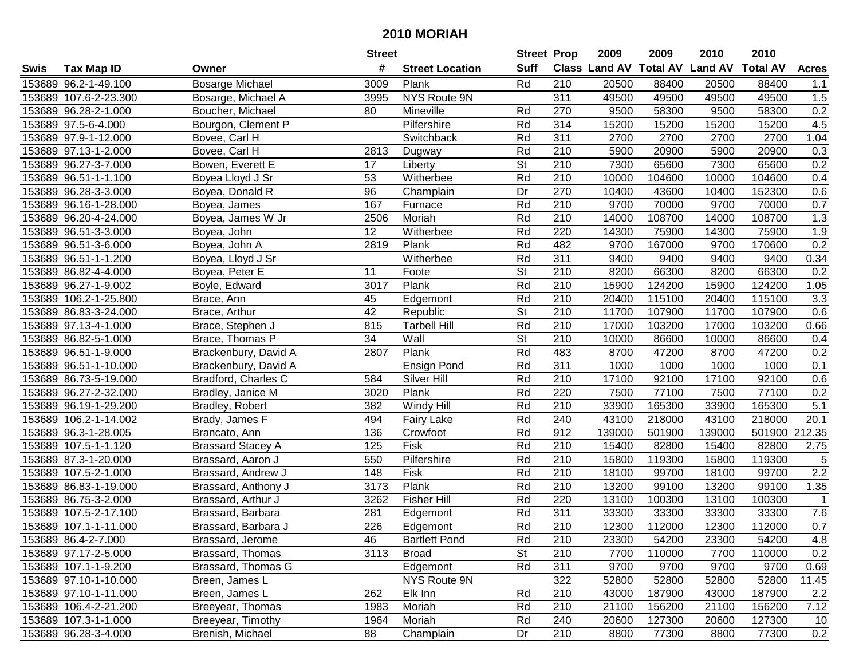|      |                       |                          | <b>Street</b> |                        | <b>Street Prop</b>       |                  | 2009                          | 2009   | 2010           | 2010            |                  |
|------|-----------------------|--------------------------|---------------|------------------------|--------------------------|------------------|-------------------------------|--------|----------------|-----------------|------------------|
| Swis | <b>Tax Map ID</b>     | Owner                    | #             | <b>Street Location</b> | <b>Suff</b>              |                  | <b>Class Land AV Total AV</b> |        | <b>Land AV</b> | <b>Total AV</b> | <b>Acres</b>     |
|      | 153689 96.2-1-49.100  | <b>Bosarge Michael</b>   | 3009          | Plank                  | Rd                       | 210              | 20500                         | 88400  | 20500          | 88400           | 1.1              |
|      | 153689 107.6-2-23.300 | Bosarge, Michael A       | 3995          | NYS Route 9N           |                          | 311              | 49500                         | 49500  | 49500          | 49500           | 1.5              |
|      | 153689 96.28-2-1.000  | Boucher, Michael         | 80            | Mineville              | Rd                       | 270              | 9500                          | 58300  | 9500           | 58300           | 0.2              |
|      | 153689 97.5-6-4.000   | Bourgon, Clement P       |               | Pilfershire            | Rd                       | 314              | 15200                         | 15200  | 15200          | 15200           | 4.5              |
|      | 153689 97.9-1-12.000  | Bovee, Carl H            |               | Switchback             | Rd                       | 311              | 2700                          | 2700   | 2700           | 2700            | 1.04             |
|      | 153689 97.13-1-2.000  | Bovee, Carl H            | 2813          | Dugway                 | Rd                       | 210              | 5900                          | 20900  | 5900           | 20900           | $\overline{0.3}$ |
|      | 153689 96.27-3-7.000  | Bowen, Everett E         | 17            | Liberty                | St                       | 210              | 7300                          | 65600  | 7300           | 65600           | 0.2              |
|      | 153689 96.51-1-1.100  | Boyea Lloyd J Sr         | 53            | Witherbee              | Rd                       | 210              | 10000                         | 104600 | 10000          | 104600          | 0.4              |
|      | 153689 96.28-3-3.000  | Boyea, Donald R          | 96            | Champlain              | Dr                       | 270              | 10400                         | 43600  | 10400          | 152300          | 0.6              |
|      | 153689 96.16-1-28.000 | Boyea, James             | 167           | Furnace                | Rd                       | 210              | 9700                          | 70000  | 9700           | 70000           | 0.7              |
|      | 153689 96.20-4-24.000 | Boyea, James W Jr        | 2506          | Moriah                 | Rd                       | 210              | 14000                         | 108700 | 14000          | 108700          | 1.3              |
|      | 153689 96.51-3-3.000  | Boyea, John              | 12            | Witherbee              | Rd                       | 220              | 14300                         | 75900  | 14300          | 75900           | 1.9              |
|      | 153689 96.51-3-6.000  | Boyea, John A            | 2819          | Plank                  | Rd                       | 482              | 9700                          | 167000 | 9700           | 170600          | 0.2              |
|      | 153689 96.51-1-1.200  | Boyea, Lloyd J Sr        |               | Witherbee              | Rd                       | 311              | 9400                          | 9400   | 9400           | 9400            | 0.34             |
|      | 153689 86.82-4-4.000  | Boyea, Peter E           | 11            | Foote                  | St                       | 210              | 8200                          | 66300  | 8200           | 66300           | 0.2              |
|      | 153689 96.27-1-9.002  | Boyle, Edward            | 3017          | Plank                  | Rd                       | 210              | 15900                         | 124200 | 15900          | 124200          | 1.05             |
|      | 153689 106.2-1-25.800 | Brace, Ann               | 45            | Edgemont               | Rd                       | 210              | 20400                         | 115100 | 20400          | 115100          | 3.3              |
|      | 153689 86.83-3-24.000 | Brace, Arthur            | 42            | Republic               | $\overline{\mathsf{St}}$ | 210              | 11700                         | 107900 | 11700          | 107900          | 0.6              |
|      | 153689 97.13-4-1.000  | Brace, Stephen J         | 815           | <b>Tarbell Hill</b>    | Rd                       | 210              | 17000                         | 103200 | 17000          | 103200          | 0.66             |
|      | 153689 86.82-5-1.000  | Brace, Thomas P          | 34            | Wall                   | St                       | 210              | 10000                         | 86600  | 10000          | 86600           | 0.4              |
|      | 153689 96.51-1-9.000  | Brackenbury, David A     | 2807          | Plank                  | Rd                       | 483              | 8700                          | 47200  | 8700           | 47200           | 0.2              |
|      | 153689 96.51-1-10.000 | Brackenbury, David A     |               | Ensign Pond            | Rd                       | 311              | 1000                          | 1000   | 1000           | 1000            | 0.1              |
|      | 153689 86.73-5-19.000 | Bradford, Charles C      | 584           | Silver Hill            | Rd                       | 210              | 17100                         | 92100  | 17100          | 92100           | 0.6              |
|      | 153689 96.27-2-32.000 | Bradley, Janice M        | 3020          | Plank                  | Rd                       | 220              | 7500                          | 77100  | 7500           | 77100           | 0.2              |
|      | 153689 96.19-1-29.200 | Bradley, Robert          | 382           | Windy Hill             | Rd                       | 210              | 33900                         | 165300 | 33900          | 165300          | $\overline{5.1}$ |
|      | 153689 106.2-1-14.002 | Brady, James F           | 494           | Fairy Lake             | Rd                       | 240              | 43100                         | 218000 | 43100          | 218000          | 20.1             |
|      | 153689 96.3-1-28.005  | Brancato, Ann            | 136           | Crowfoot               | Rd                       | 912              | 139000                        | 501900 | 139000         | 501900          | 212.35           |
|      | 153689 107.5-1-1.120  | <b>Brassard Stacey A</b> | 125           | Fisk                   | Rd                       | 210              | 15400                         | 82800  | 15400          | 82800           | 2.75             |
|      | 153689 87.3-1-20.000  | Brassard, Aaron J        | 550           | Pilfershire            | Rd                       | 210              | 15800                         | 119300 | 15800          | 119300          | 5                |
|      | 153689 107.5-2-1.000  | Brassard, Andrew J       | 148           | Fisk                   | Rd                       | $\overline{210}$ | 18100                         | 99700  | 18100          | 99700           | $\overline{2.2}$ |
|      | 153689 86.83-1-19.000 | Brassard, Anthony J      | 3173          | Plank                  | Rd                       | $\overline{210}$ | 13200                         | 99100  | 13200          | 99100           | 1.35             |
|      | 153689 86.75-3-2.000  | Brassard, Arthur J       | 3262          | <b>Fisher Hill</b>     | Rd                       | 220              | 13100                         | 100300 | 13100          | 100300          | $\overline{1}$   |
|      | 153689 107.5-2-17.100 | Brassard, Barbara        | 281           | Edgemont               | Rd                       | 311              | 33300                         | 33300  | 33300          | 33300           | 7.6              |
|      | 153689 107.1-1-11.000 | Brassard, Barbara J      | 226           | Edgemont               | Rd                       | $\overline{210}$ | 12300                         | 112000 | 12300          | 112000          | 0.7              |
|      | 153689 86.4-2-7.000   | Brassard, Jerome         | 46            | <b>Bartlett Pond</b>   | Rd                       | 210              | 23300                         | 54200  | 23300          | 54200           | 4.8              |
|      | 153689 97.17-2-5.000  | Brassard, Thomas         | 3113          | <b>Broad</b>           | <b>St</b>                | 210              | 7700                          | 110000 | 7700           | 110000          | 0.2              |
|      | 153689 107.1-1-9.200  | Brassard, Thomas G       |               | Edgemont               | Rd                       | 311              | 9700                          | 9700   | 9700           | 9700            | 0.69             |
|      | 153689 97.10-1-10.000 | Breen, James L           |               | NYS Route 9N           |                          | 322              | 52800                         | 52800  | 52800          | 52800           | 11.45            |
|      | 153689 97.10-1-11.000 | Breen, James L           | 262           | Elk Inn                | Rd                       | 210              | 43000                         | 187900 | 43000          | 187900          | 2.2              |
|      | 153689 106.4-2-21.200 | Breeyear, Thomas         | 1983          | Moriah                 | Rd                       | 210              | 21100                         | 156200 | 21100          | 156200          | 7.12             |
|      | 153689 107.3-1-1.000  | Breeyear, Timothy        | 1964          | Moriah                 | Rd                       | 240              | 20600                         | 127300 | 20600          | 127300          | 10               |
|      | 153689 96.28-3-4.000  | Brenish, Michael         | 88            | Champlain              | Dr                       | 210              | 8800                          | 77300  | 8800           | 77300           | 0.2              |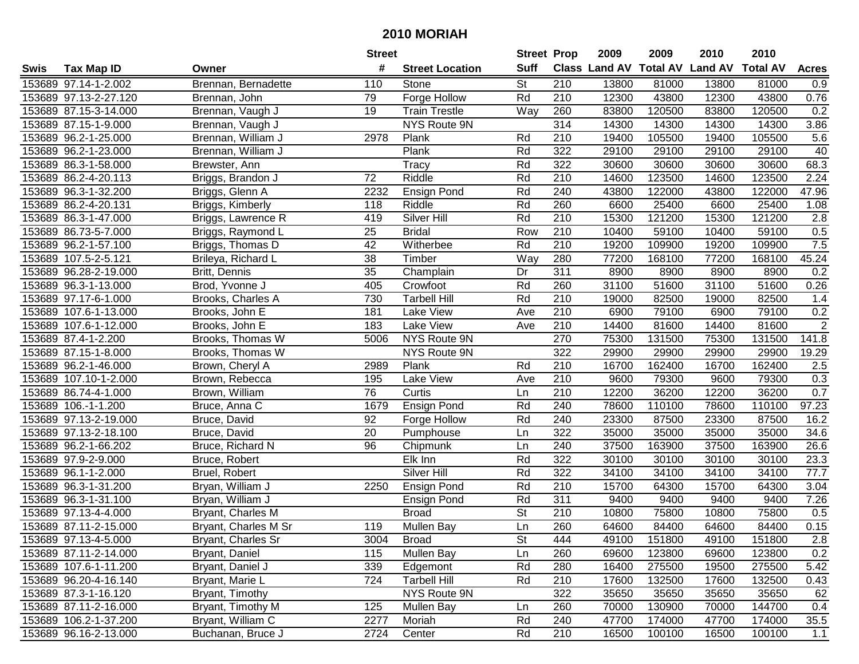|      |                       |                      | <b>Street</b> |                        | <b>Street Prop</b>       |                  | 2009  | 2009   | 2010                                    | 2010   |              |
|------|-----------------------|----------------------|---------------|------------------------|--------------------------|------------------|-------|--------|-----------------------------------------|--------|--------------|
| Swis | <b>Tax Map ID</b>     | Owner                | #             | <b>Street Location</b> | <b>Suff</b>              |                  |       |        | Class Land AV Total AV Land AV Total AV |        | <b>Acres</b> |
|      | 153689 97.14-1-2.002  | Brennan, Bernadette  | 110           | Stone                  | $\overline{\mathsf{St}}$ | 210              | 13800 | 81000  | 13800                                   | 81000  | 0.9          |
|      | 153689 97.13-2-27.120 | Brennan, John        | 79            | Forge Hollow           | Rd                       | 210              | 12300 | 43800  | 12300                                   | 43800  | 0.76         |
|      | 153689 87.15-3-14.000 | Brennan, Vaugh J     | 19            | <b>Train Trestle</b>   | Way                      | 260              | 83800 | 120500 | 83800                                   | 120500 | 0.2          |
|      | 153689 87.15-1-9.000  | Brennan, Vaugh J     |               | NYS Route 9N           |                          | 314              | 14300 | 14300  | 14300                                   | 14300  | 3.86         |
|      | 153689 96.2-1-25.000  | Brennan, William J   | 2978          | Plank                  | Rd                       | $\overline{210}$ | 19400 | 105500 | 19400                                   | 105500 | 5.6          |
|      | 153689 96.2-1-23.000  | Brennan, William J   |               | Plank                  | Rd                       | 322              | 29100 | 29100  | 29100                                   | 29100  | 40           |
|      | 153689 86.3-1-58.000  | Brewster, Ann        |               | $\overline{T}$ racy    | Rd                       | 322              | 30600 | 30600  | 30600                                   | 30600  | 68.3         |
|      | 153689 86.2-4-20.113  | Briggs, Brandon J    | 72            | Riddle                 | Rd                       | 210              | 14600 | 123500 | 14600                                   | 123500 | 2.24         |
|      | 153689 96.3-1-32.200  | Briggs, Glenn A      | 2232          | <b>Ensign Pond</b>     | Rd                       | 240              | 43800 | 122000 | 43800                                   | 122000 | 47.96        |
|      | 153689 86.2-4-20.131  | Briggs, Kimberly     | 118           | Riddle                 | Rd                       | 260              | 6600  | 25400  | 6600                                    | 25400  | 1.08         |
|      | 153689 86.3-1-47.000  | Briggs, Lawrence R   | 419           | Silver Hill            | Rd                       | 210              | 15300 | 121200 | 15300                                   | 121200 | 2.8          |
|      | 153689 86.73-5-7.000  | Briggs, Raymond L    | 25            | <b>Bridal</b>          | Row                      | 210              | 10400 | 59100  | 10400                                   | 59100  | 0.5          |
|      | 153689 96.2-1-57.100  | Briggs, Thomas D     | 42            | Witherbee              | Rd                       | 210              | 19200 | 109900 | 19200                                   | 109900 | 7.5          |
|      | 153689 107.5-2-5.121  | Brileya, Richard L   | 38            | Timber                 | Way                      | 280              | 77200 | 168100 | 77200                                   | 168100 | 45.24        |
|      | 153689 96.28-2-19.000 | Britt, Dennis        | 35            | Champlain              | Dr                       | 311              | 8900  | 8900   | 8900                                    | 8900   | 0.2          |
|      | 153689 96.3-1-13.000  | Brod, Yvonne J       | 405           | Crowfoot               | Rd                       | 260              | 31100 | 51600  | 31100                                   | 51600  | 0.26         |
|      | 153689 97.17-6-1.000  | Brooks, Charles A    | 730           | <b>Tarbell Hill</b>    | Rd                       | 210              | 19000 | 82500  | 19000                                   | 82500  | 1.4          |
|      | 153689 107.6-1-13.000 | Brooks, John E       | 181           | Lake View              | Ave                      | 210              | 6900  | 79100  | 6900                                    | 79100  | 0.2          |
|      | 153689 107.6-1-12.000 | Brooks, John E       | 183           | Lake View              | Ave                      | 210              | 14400 | 81600  | 14400                                   | 81600  | $\sqrt{2}$   |
|      | 153689 87.4-1-2.200   | Brooks, Thomas W     | 5006          | NYS Route 9N           |                          | 270              | 75300 | 131500 | 75300                                   | 131500 | 141.8        |
|      | 153689 87.15-1-8.000  | Brooks, Thomas W     |               | NYS Route 9N           |                          | 322              | 29900 | 29900  | 29900                                   | 29900  | 19.29        |
|      | 153689 96.2-1-46.000  | Brown, Cheryl A      | 2989          | Plank                  | Rd                       | 210              | 16700 | 162400 | 16700                                   | 162400 | 2.5          |
|      | 153689 107.10-1-2.000 | Brown, Rebecca       | 195           | Lake View              | Ave                      | 210              | 9600  | 79300  | 9600                                    | 79300  | 0.3          |
|      | 153689 86.74-4-1.000  | Brown, William       | 76            | Curtis                 | Ln                       | 210              | 12200 | 36200  | 12200                                   | 36200  | 0.7          |
|      | 153689 106.-1-1.200   | Bruce, Anna C        | 1679          | <b>Ensign Pond</b>     | Rd                       | 240              | 78600 | 110100 | 78600                                   | 110100 | 97.23        |
|      | 153689 97.13-2-19.000 | Bruce, David         | 92            | Forge Hollow           | Rd                       | 240              | 23300 | 87500  | 23300                                   | 87500  | 16.2         |
|      | 153689 97.13-2-18.100 | Bruce, David         | 20            | Pumphouse              | Ln                       | 322              | 35000 | 35000  | 35000                                   | 35000  | 34.6         |
|      | 153689 96.2-1-66.202  | Bruce, Richard N     | 96            | Chipmunk               | Ln                       | 240              | 37500 | 163900 | 37500                                   | 163900 | 26.6         |
|      | 153689 97.9-2-9.000   | Bruce, Robert        |               | Elk Inn                | Rd                       | 322              | 30100 | 30100  | 30100                                   | 30100  | 23.3         |
|      | 153689 96.1-1-2.000   | Bruel, Robert        |               | Silver Hill            | Rd                       | 322              | 34100 | 34100  | 34100                                   | 34100  | 77.7         |
|      | 153689 96.3-1-31.200  | Bryan, William J     | 2250          | Ensign Pond            | Rd                       | 210              | 15700 | 64300  | 15700                                   | 64300  | 3.04         |
|      | 153689 96.3-1-31.100  | Bryan, William J     |               | <b>Ensign Pond</b>     | Rd                       | 311              | 9400  | 9400   | 9400                                    | 9400   | 7.26         |
|      | 153689 97.13-4-4.000  | Bryant, Charles M    |               | <b>Broad</b>           | <b>St</b>                | 210              | 10800 | 75800  | 10800                                   | 75800  | 0.5          |
|      | 153689 87.11-2-15.000 | Bryant, Charles M Sr | 119           | <b>Mullen Bay</b>      | Ln                       | 260              | 64600 | 84400  | 64600                                   | 84400  | 0.15         |
|      | 153689 97.13-4-5.000  | Bryant, Charles Sr   | 3004          | <b>Broad</b>           | <b>St</b>                | 444              | 49100 | 151800 | 49100                                   | 151800 | 2.8          |
|      | 153689 87.11-2-14.000 | Bryant, Daniel       | 115           | <b>Mullen Bay</b>      | Ln                       | 260              | 69600 | 123800 | 69600                                   | 123800 | 0.2          |
|      | 153689 107.6-1-11.200 | Bryant, Daniel J     | 339           | Edgemont               | Rd                       | 280              | 16400 | 275500 | 19500                                   | 275500 | 5.42         |
|      | 153689 96.20-4-16.140 | Bryant, Marie L      | 724           | <b>Tarbell Hill</b>    | Rd                       | 210              | 17600 | 132500 | 17600                                   | 132500 | 0.43         |
|      | 153689 87.3-1-16.120  | Bryant, Timothy      |               | NYS Route 9N           |                          | 322              | 35650 | 35650  | 35650                                   | 35650  | 62           |
|      | 153689 87.11-2-16.000 | Bryant, Timothy M    | 125           | <b>Mullen Bay</b>      | Ln                       | 260              | 70000 | 130900 | 70000                                   | 144700 | 0.4          |
|      | 153689 106.2-1-37.200 | Bryant, William C    | 2277          | Moriah                 | Rd                       | 240              | 47700 | 174000 | 47700                                   | 174000 | 35.5         |
|      | 153689 96.16-2-13.000 | Buchanan, Bruce J    | 2724          | Center                 | Rd                       | 210              | 16500 | 100100 | 16500                                   | 100100 | 1.1          |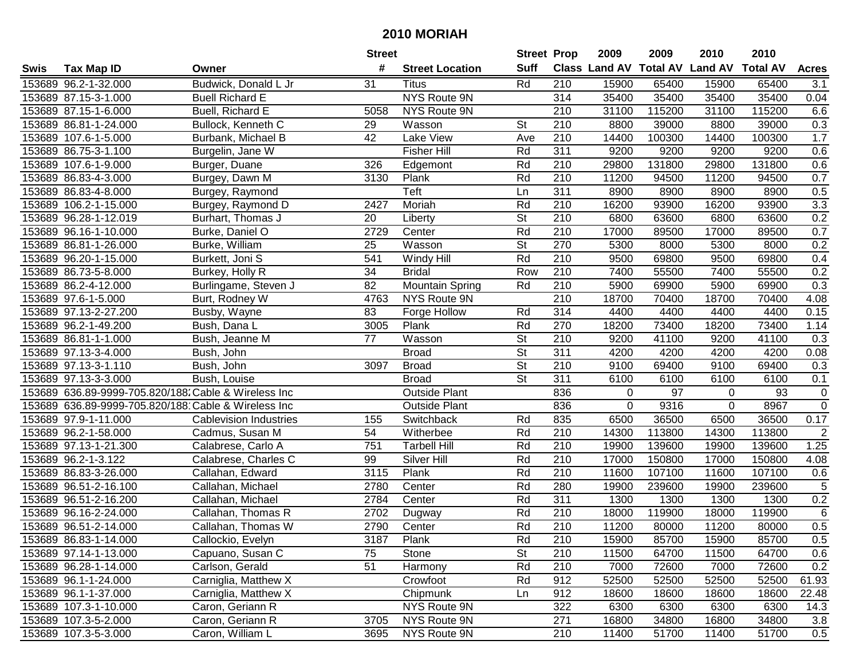|      |                       |                                                     | <b>Street</b> |                        | <b>Street Prop</b>       |                  | 2009        | 2009   | 2010                           | 2010            |                |
|------|-----------------------|-----------------------------------------------------|---------------|------------------------|--------------------------|------------------|-------------|--------|--------------------------------|-----------------|----------------|
| Swis | <b>Tax Map ID</b>     | Owner                                               | #             | <b>Street Location</b> | <b>Suff</b>              |                  |             |        | Class Land AV Total AV Land AV | <b>Total AV</b> | <b>Acres</b>   |
|      | 153689 96.2-1-32.000  | Budwick, Donald L Jr                                | 31            | <b>Titus</b>           | Rd                       | 210              | 15900       | 65400  | 15900                          | 65400           | 3.1            |
|      | 153689 87.15-3-1.000  | <b>Buell Richard E</b>                              |               | NYS Route 9N           |                          | 314              | 35400       | 35400  | 35400                          | 35400           | 0.04           |
|      | 153689 87.15-1-6.000  | Buell, Richard E                                    | 5058          | NYS Route 9N           |                          | 210              | 31100       | 115200 | 31100                          | 115200          | 6.6            |
|      | 153689 86.81-1-24.000 | Bullock, Kenneth C                                  | 29            | Wasson                 | <b>St</b>                | 210              | 8800        | 39000  | 8800                           | 39000           | 0.3            |
|      | 153689 107.6-1-5.000  | Burbank, Michael B                                  | 42            | Lake View              | Ave                      | 210              | 14400       | 100300 | 14400                          | 100300          | 1.7            |
|      | 153689 86.75-3-1.100  | Burgelin, Jane W                                    |               | <b>Fisher Hill</b>     | Rd                       | 311              | 9200        | 9200   | 9200                           | 9200            | 0.6            |
|      | 153689 107.6-1-9.000  | Burger, Duane                                       | 326           | Edgemont               | Rd                       | 210              | 29800       | 131800 | 29800                          | 131800          | 0.6            |
|      | 153689 86.83-4-3.000  | Burgey, Dawn M                                      | 3130          | Plank                  | Rd                       | 210              | 11200       | 94500  | 11200                          | 94500           | 0.7            |
|      | 153689 86.83-4-8.000  | Burgey, Raymond                                     |               | Teft                   | Ln                       | 311              | 8900        | 8900   | 8900                           | 8900            | 0.5            |
|      | 153689 106.2-1-15.000 | Burgey, Raymond D                                   | 2427          | Moriah                 | Rd                       | 210              | 16200       | 93900  | 16200                          | 93900           | 3.3            |
|      | 153689 96.28-1-12.019 | Burhart, Thomas J                                   | 20            | Liberty                | $\overline{\mathsf{St}}$ | 210              | 6800        | 63600  | 6800                           | 63600           | 0.2            |
|      | 153689 96.16-1-10.000 | Burke, Daniel O                                     | 2729          | Center                 | Rd                       | 210              | 17000       | 89500  | 17000                          | 89500           | 0.7            |
|      | 153689 86.81-1-26.000 | Burke, William                                      | 25            | Wasson                 | $\overline{\mathsf{St}}$ | 270              | 5300        | 8000   | 5300                           | 8000            | 0.2            |
|      | 153689 96.20-1-15.000 | Burkett, Joni S                                     | 541           | Windy Hill             | Rd                       | 210              | 9500        | 69800  | 9500                           | 69800           | 0.4            |
|      | 153689 86.73-5-8.000  | Burkey, Holly R                                     | 34            | <b>Bridal</b>          | Row                      | 210              | 7400        | 55500  | 7400                           | 55500           | 0.2            |
|      | 153689 86.2-4-12.000  | Burlingame, Steven J                                | 82            | <b>Mountain Spring</b> | Rd                       | 210              | 5900        | 69900  | 5900                           | 69900           | 0.3            |
|      | 153689 97.6-1-5.000   | Burt, Rodney W                                      | 4763          | NYS Route 9N           |                          | $\overline{210}$ | 18700       | 70400  | 18700                          | 70400           | 4.08           |
|      | 153689 97.13-2-27.200 | Busby, Wayne                                        | 83            | Forge Hollow           | Rd                       | 314              | 4400        | 4400   | 4400                           | 4400            | 0.15           |
|      | 153689 96.2-1-49.200  | Bush, Dana L                                        | 3005          | Plank                  | Rd                       | 270              | 18200       | 73400  | 18200                          | 73400           | 1.14           |
|      | 153689 86.81-1-1.000  | Bush, Jeanne M                                      | 77            | Wasson                 | <b>St</b>                | 210              | 9200        | 41100  | 9200                           | 41100           | 0.3            |
|      | 153689 97.13-3-4.000  | Bush, John                                          |               | <b>Broad</b>           | St                       | 311              | 4200        | 4200   | 4200                           | 4200            | 0.08           |
|      | 153689 97.13-3-1.110  | Bush, John                                          | 3097          | <b>Broad</b>           | <b>St</b>                | 210              | 9100        | 69400  | 9100                           | 69400           | 0.3            |
|      | 153689 97.13-3-3.000  | Bush, Louise                                        |               | <b>Broad</b>           | <b>St</b>                | 311              | 6100        | 6100   | 6100                           | 6100            | 0.1            |
|      |                       | 153689 636.89-9999-705.820/188 Cable & Wireless Inc |               | <b>Outside Plant</b>   |                          | 836              | 0           | 97     | 0                              | 93              | 0              |
|      |                       | 153689 636.89-9999-705.820/188 Cable & Wireless Inc |               | <b>Outside Plant</b>   |                          | 836              | $\mathbf 0$ | 9316   | $\mathbf 0$                    | 8967            | $\overline{0}$ |
|      | 153689 97.9-1-11.000  | <b>Cablevision Industries</b>                       | 155           | Switchback             | Rd                       | 835              | 6500        | 36500  | 6500                           | 36500           | 0.17           |
|      | 153689 96.2-1-58.000  | Cadmus, Susan M                                     | 54            | Witherbee              | Rd                       | 210              | 14300       | 113800 | 14300                          | 113800          | $\overline{c}$ |
|      | 153689 97.13-1-21.300 | Calabrese, Carlo A                                  | 751           | <b>Tarbell Hill</b>    | Rd                       | 210              | 19900       | 139600 | 19900                          | 139600          | 1.25           |
|      | 153689 96.2-1-3.122   | Calabrese, Charles C                                | 99            | Silver Hill            | Rd                       | $\overline{210}$ | 17000       | 150800 | 17000                          | 150800          | 4.08           |
|      | 153689 86.83-3-26.000 | Callahan, Edward                                    | 3115          | Plank                  | Rd                       | $\overline{210}$ | 11600       | 107100 | 11600                          | 107100          | 0.6            |
|      | 153689 96.51-2-16.100 | Callahan, Michael                                   | 2780          | Center                 | Rd                       | 280              | 19900       | 239600 | 19900                          | 239600          | $\overline{5}$ |
|      | 153689 96.51-2-16.200 | Callahan, Michael                                   | 2784          | Center                 | Rd                       | 311              | 1300        | 1300   | 1300                           | 1300            | 0.2            |
|      | 153689 96.16-2-24.000 | Callahan, Thomas R                                  | 2702          | Dugway                 | Rd                       | $\overline{210}$ | 18000       | 119900 | 18000                          | 119900          | $\overline{6}$ |
|      | 153689 96.51-2-14.000 | Callahan, Thomas W                                  | 2790          | Center                 | Rd                       | $\overline{210}$ | 11200       | 80000  | 11200                          | 80000           | 0.5            |
|      | 153689 86.83-1-14.000 | Callockio, Evelyn                                   | 3187          | Plank                  | Rd                       | 210              | 15900       | 85700  | 15900                          | 85700           | 0.5            |
|      | 153689 97.14-1-13.000 | Capuano, Susan C                                    | 75            | Stone                  | <b>St</b>                | 210              | 11500       | 64700  | 11500                          | 64700           | 0.6            |
|      | 153689 96.28-1-14.000 | Carlson, Gerald                                     | 51            | Harmony                | Rd                       | 210              | 7000        | 72600  | 7000                           | 72600           | 0.2            |
|      | 153689 96.1-1-24.000  | Carniglia, Matthew X                                |               | Crowfoot               | Rd                       | 912              | 52500       | 52500  | 52500                          | 52500           | 61.93          |
|      | 153689 96.1-1-37.000  | Carniglia, Matthew X                                |               | Chipmunk               | Ln                       | 912              | 18600       | 18600  | 18600                          | 18600           | 22.48          |
|      | 153689 107.3-1-10.000 | Caron, Geriann R                                    |               | NYS Route 9N           |                          | 322              | 6300        | 6300   | 6300                           | 6300            | 14.3           |
|      | 153689 107.3-5-2.000  | Caron, Geriann R                                    | 3705          | NYS Route 9N           |                          | 271              | 16800       | 34800  | 16800                          | 34800           | 3.8            |
|      | 153689 107.3-5-3.000  | Caron, William L                                    | 3695          | NYS Route 9N           |                          | 210              | 11400       | 51700  | 11400                          | 51700           | 0.5            |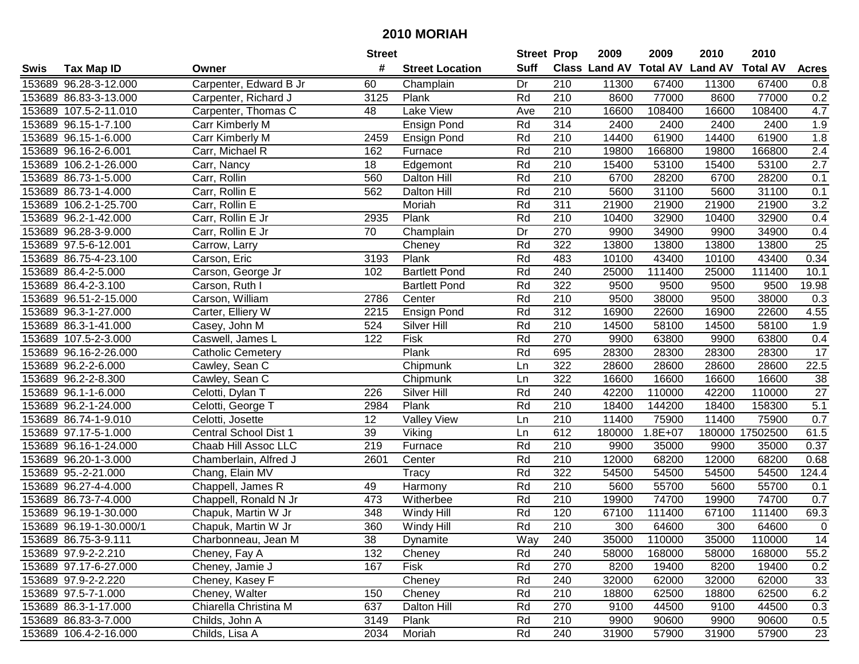| #<br><b>Suff</b><br>Class Land AV Total AV Land AV<br><b>Total AV</b><br><b>Tax Map ID</b><br><b>Street Location</b><br><b>Acres</b><br>Swis<br>Owner<br>67400<br>153689 96.28-3-12.000<br>Carpenter, Edward B Jr<br>60<br>Dr<br>210<br>11300<br>67400<br>Champlain<br>11300<br>0.8<br>Rd<br>0.2<br>153689 86.83-3-13.000<br>Carpenter, Richard J<br>3125<br>Plank<br>210<br>8600<br>77000<br>8600<br>77000<br>153689 107.5-2-11.010<br>Carpenter, Thomas C<br>Lake View<br>210<br>16600<br>108400<br>108400<br>4.7<br>48<br>Ave<br>16600<br>1.9<br>Rd<br>314<br>2400<br>2400<br>2400<br>153689 96.15-1-7.100<br>Ensign Pond<br>2400<br>Carr Kimberly M<br>1.8<br>153689 96.15-1-6.000<br>Rd<br>210<br>14400<br>61900<br>61900<br>Carr Kimberly M<br>2459<br>Ensign Pond<br>14400<br>Rd<br>$\overline{2.4}$<br>153689 96.16-2-6.001<br>210<br>19800<br>166800<br>Carr, Michael R<br>162<br>Furnace<br>166800<br>19800<br>Rd<br>210<br>15400<br>53100<br>2.7<br>153689 106.2-1-26.000<br>Carr, Nancy<br>18<br>Edgemont<br>53100<br>15400<br>210<br>Carr, Rollin<br>Rd<br>6700<br>28200<br>28200<br>0.1<br>153689 86.73-1-5.000<br>560<br><b>Dalton Hill</b><br>6700<br>Rd<br>$\overline{210}$<br>5600<br>153689 86.73-1-4.000<br>Carr, Rollin E<br>562<br>31100<br>5600<br>31100<br>0.1<br><b>Dalton Hill</b><br>Rd<br>311<br>3.2<br>153689 106.2-1-25.700<br>Carr, Rollin E<br>Moriah<br>21900<br>21900<br>21900<br>21900<br>Rd<br>153689 96.2-1-42.000<br>Carr, Rollin E Jr<br>2935<br>Plank<br>210<br>10400<br>32900<br>10400<br>32900<br>0.4<br>153689 96.28-3-9.000<br>Dr<br>270<br>9900<br>34900<br>34900<br>0.4<br>Carr, Rollin E Jr<br>70<br>Champlain<br>9900<br>Rd<br>322<br>$\overline{25}$<br>13800<br>13800<br>13800<br>13800<br>153689 97.5-6-12.001<br>Cheney<br>Carrow, Larry<br>Rd<br>153689 86.75-4-23.100<br>Plank<br>483<br>10100<br>43400<br>10100<br>43400<br>0.34<br>Carson, Eric<br>3193<br>Rd<br>240<br>153689 86.4-2-5.000<br><b>Bartlett Pond</b><br>25000<br>111400<br>111400<br>10.1<br>Carson, George Jr<br>102<br>25000<br>Rd<br>153689 86.4-2-3.100<br>322<br>9500<br>9500<br>9500<br>19.98<br>Carson, Ruth I<br><b>Bartlett Pond</b><br>9500<br>Rd<br>210<br>153689 96.51-2-15.000<br>Carson, William<br>2786<br>9500<br>38000<br>9500<br>38000<br>0.3<br>Center<br>Rd<br>312<br>4.55<br>2215<br>16900<br>153689 96.3-1-27.000<br>Carter, Elliery W<br><b>Ensign Pond</b><br>22600<br>16900<br>22600<br>1.9<br>153689 86.3-1-41.000<br>524<br>Silver Hill<br>Rd<br>210<br>14500<br>58100<br>58100<br>Casey, John M<br>14500<br>153689 107.5-2-3.000<br>122<br>Fisk<br>Rd<br>270<br>9900<br>63800<br>9900<br>63800<br>0.4<br>Caswell, James L<br>17<br>Plank<br>Rd<br>28300<br>153689 96.16-2-26.000<br>695<br>28300<br>28300<br>28300<br><b>Catholic Cemetery</b><br>322<br>22.5<br>153689 96.2-2-6.000<br>Chipmunk<br>28600<br>28600<br>28600<br>Cawley, Sean C<br>Ln<br>28600<br>322<br>38<br>153689 96.2-2-8.300<br>16600<br>16600<br>Cawley, Sean C<br>Chipmunk<br>Ln<br>16600<br>16600<br>27<br>153689 96.1-1-6.000<br>226<br>Silver Hill<br>Rd<br>240<br>42200<br>110000<br>42200<br>110000<br>Celotti, Dylan T<br>5.1<br>2984<br>Plank<br>Rd<br>210<br>18400<br>144200<br>153689 96.2-1-24.000<br>18400<br>158300<br>Celotti, George T<br>12<br>210<br>11400<br>0.7<br>153689 86.74-1-9.010<br>Celotti, Josette<br><b>Valley View</b><br>75900<br>11400<br>75900<br>Ln<br>612<br>$1.8E + 07$<br>180000 17502500<br>153689 97.17-5-1.000<br>Central School Dist 1<br>39<br>180000<br>61.5<br>Viking<br>Ln<br>210<br>153689 96.16-1-24.000<br>219<br>Rd<br>9900<br>9900<br>35000<br>0.37<br>Chaab Hill Assoc LLC<br>Furnace<br>35000<br>153689 96.20-1-3.000<br>2601<br>Rd<br>210<br>12000<br>12000<br>68200<br>Chamberlain, Alfred J<br>Center<br>68200<br>0.68<br>Rd<br>322<br>54500<br>153689 95.-2-21.000<br>Chang, Elain MV<br>Tracy<br>54500<br>54500<br>54500<br>124.4<br>Rd<br>$\overline{210}$<br>5600<br>55700<br>55700<br>153689 96.27-4-4.000<br>Chappell, James R<br>49<br>5600<br>0.1<br>Harmony<br>Rd<br>74700<br>153689 86.73-7-4.000<br>Chappell, Ronald N Jr<br>210<br>19900<br>74700<br>0.7<br>473<br>Witherbee<br>19900<br>Rd<br>120<br>69.3<br>153689 96.19-1-30.000<br>348<br>67100<br>111400<br>67100<br>111400<br>Chapuk, Martin W Jr<br>Windy Hill<br>360<br>Rd<br>$\overline{210}$<br>300<br>64600<br>300<br>64600<br>$\mathbf 0$<br>153689 96.19-1-30.000/1<br>Chapuk, Martin W Jr<br>Windy Hill<br>153689 86.75-3-9.111<br>Charbonneau, Jean M<br>38<br>Dynamite<br>Way<br>240<br>35000<br>110000<br>35000<br>110000<br>14<br>55.2<br>153689 97.9-2-2.210<br>132<br>Cheney<br>Rd<br>240<br>58000<br>168000<br>58000<br>168000<br>Cheney, Fay A<br>Fisk<br>Rd<br>270<br>8200<br>153689 97.17-6-27.000<br>Cheney, Jamie J<br>167<br>19400<br>8200<br>19400<br>0.2<br>153689 97.9-2-2.220<br>Cheney<br>Rd<br>240<br>32000<br>62000<br>33<br>Cheney, Kasey F<br>62000<br>32000<br>$6.2\,$<br>Rd<br>210<br>153689 97.5-7-1.000<br>Cheney, Walter<br>150<br>Cheney<br>18800<br>62500<br>18800<br>62500<br>Rd<br>270<br>153689 86.3-1-17.000<br>Chiarella Christina M<br>637<br>Dalton Hill<br>9100<br>44500<br>9100<br>44500<br>0.3<br>210<br>153689 86.83-3-7.000<br>Childs, John A<br>Plank<br>Rd<br>9900<br>90600<br>9900<br>90600<br>0.5<br>3149<br>Rd<br>240<br>153689 106.4-2-16.000<br>Childs, Lisa A<br>2034<br>31900<br>57900<br>31900<br>57900<br>23<br>Moriah |  | <b>Street</b> | <b>Street Prop</b> | 2009 | 2009 | 2010 | 2010 |  |
|-------------------------------------------------------------------------------------------------------------------------------------------------------------------------------------------------------------------------------------------------------------------------------------------------------------------------------------------------------------------------------------------------------------------------------------------------------------------------------------------------------------------------------------------------------------------------------------------------------------------------------------------------------------------------------------------------------------------------------------------------------------------------------------------------------------------------------------------------------------------------------------------------------------------------------------------------------------------------------------------------------------------------------------------------------------------------------------------------------------------------------------------------------------------------------------------------------------------------------------------------------------------------------------------------------------------------------------------------------------------------------------------------------------------------------------------------------------------------------------------------------------------------------------------------------------------------------------------------------------------------------------------------------------------------------------------------------------------------------------------------------------------------------------------------------------------------------------------------------------------------------------------------------------------------------------------------------------------------------------------------------------------------------------------------------------------------------------------------------------------------------------------------------------------------------------------------------------------------------------------------------------------------------------------------------------------------------------------------------------------------------------------------------------------------------------------------------------------------------------------------------------------------------------------------------------------------------------------------------------------------------------------------------------------------------------------------------------------------------------------------------------------------------------------------------------------------------------------------------------------------------------------------------------------------------------------------------------------------------------------------------------------------------------------------------------------------------------------------------------------------------------------------------------------------------------------------------------------------------------------------------------------------------------------------------------------------------------------------------------------------------------------------------------------------------------------------------------------------------------------------------------------------------------------------------------------------------------------------------------------------------------------------------------------------------------------------------------------------------------------------------------------------------------------------------------------------------------------------------------------------------------------------------------------------------------------------------------------------------------------------------------------------------------------------------------------------------------------------------------------------------------------------------------------------------------------------------------------------------------------------------------------------------------------------------------------------------------------------------------------------------------------------------------------------------------------------------------------------------------------------------------------------------------------------------------------------------------------------------------------------------------------------------------------------------------------------------------------------------------------------------------------------------------------------------------------------------------------------------------------------------------------------------------------------------------------------------------------------------------------------------------------------------------------------------------------------------------------------------------------------------------------------------------------------------------------------------------------------------------------------------------------------------------------------------------------------------------------------------------------------------------------------------------------------------------|--|---------------|--------------------|------|------|------|------|--|
|                                                                                                                                                                                                                                                                                                                                                                                                                                                                                                                                                                                                                                                                                                                                                                                                                                                                                                                                                                                                                                                                                                                                                                                                                                                                                                                                                                                                                                                                                                                                                                                                                                                                                                                                                                                                                                                                                                                                                                                                                                                                                                                                                                                                                                                                                                                                                                                                                                                                                                                                                                                                                                                                                                                                                                                                                                                                                                                                                                                                                                                                                                                                                                                                                                                                                                                                                                                                                                                                                                                                                                                                                                                                                                                                                                                                                                                                                                                                                                                                                                                                                                                                                                                                                                                                                                                                                                                                                                                                                                                                                                                                                                                                                                                                                                                                                                                                                                                                                                                                                                                                                                                                                                                                                                                                                                                                                                                                                                     |  |               |                    |      |      |      |      |  |
|                                                                                                                                                                                                                                                                                                                                                                                                                                                                                                                                                                                                                                                                                                                                                                                                                                                                                                                                                                                                                                                                                                                                                                                                                                                                                                                                                                                                                                                                                                                                                                                                                                                                                                                                                                                                                                                                                                                                                                                                                                                                                                                                                                                                                                                                                                                                                                                                                                                                                                                                                                                                                                                                                                                                                                                                                                                                                                                                                                                                                                                                                                                                                                                                                                                                                                                                                                                                                                                                                                                                                                                                                                                                                                                                                                                                                                                                                                                                                                                                                                                                                                                                                                                                                                                                                                                                                                                                                                                                                                                                                                                                                                                                                                                                                                                                                                                                                                                                                                                                                                                                                                                                                                                                                                                                                                                                                                                                                                     |  |               |                    |      |      |      |      |  |
|                                                                                                                                                                                                                                                                                                                                                                                                                                                                                                                                                                                                                                                                                                                                                                                                                                                                                                                                                                                                                                                                                                                                                                                                                                                                                                                                                                                                                                                                                                                                                                                                                                                                                                                                                                                                                                                                                                                                                                                                                                                                                                                                                                                                                                                                                                                                                                                                                                                                                                                                                                                                                                                                                                                                                                                                                                                                                                                                                                                                                                                                                                                                                                                                                                                                                                                                                                                                                                                                                                                                                                                                                                                                                                                                                                                                                                                                                                                                                                                                                                                                                                                                                                                                                                                                                                                                                                                                                                                                                                                                                                                                                                                                                                                                                                                                                                                                                                                                                                                                                                                                                                                                                                                                                                                                                                                                                                                                                                     |  |               |                    |      |      |      |      |  |
|                                                                                                                                                                                                                                                                                                                                                                                                                                                                                                                                                                                                                                                                                                                                                                                                                                                                                                                                                                                                                                                                                                                                                                                                                                                                                                                                                                                                                                                                                                                                                                                                                                                                                                                                                                                                                                                                                                                                                                                                                                                                                                                                                                                                                                                                                                                                                                                                                                                                                                                                                                                                                                                                                                                                                                                                                                                                                                                                                                                                                                                                                                                                                                                                                                                                                                                                                                                                                                                                                                                                                                                                                                                                                                                                                                                                                                                                                                                                                                                                                                                                                                                                                                                                                                                                                                                                                                                                                                                                                                                                                                                                                                                                                                                                                                                                                                                                                                                                                                                                                                                                                                                                                                                                                                                                                                                                                                                                                                     |  |               |                    |      |      |      |      |  |
|                                                                                                                                                                                                                                                                                                                                                                                                                                                                                                                                                                                                                                                                                                                                                                                                                                                                                                                                                                                                                                                                                                                                                                                                                                                                                                                                                                                                                                                                                                                                                                                                                                                                                                                                                                                                                                                                                                                                                                                                                                                                                                                                                                                                                                                                                                                                                                                                                                                                                                                                                                                                                                                                                                                                                                                                                                                                                                                                                                                                                                                                                                                                                                                                                                                                                                                                                                                                                                                                                                                                                                                                                                                                                                                                                                                                                                                                                                                                                                                                                                                                                                                                                                                                                                                                                                                                                                                                                                                                                                                                                                                                                                                                                                                                                                                                                                                                                                                                                                                                                                                                                                                                                                                                                                                                                                                                                                                                                                     |  |               |                    |      |      |      |      |  |
|                                                                                                                                                                                                                                                                                                                                                                                                                                                                                                                                                                                                                                                                                                                                                                                                                                                                                                                                                                                                                                                                                                                                                                                                                                                                                                                                                                                                                                                                                                                                                                                                                                                                                                                                                                                                                                                                                                                                                                                                                                                                                                                                                                                                                                                                                                                                                                                                                                                                                                                                                                                                                                                                                                                                                                                                                                                                                                                                                                                                                                                                                                                                                                                                                                                                                                                                                                                                                                                                                                                                                                                                                                                                                                                                                                                                                                                                                                                                                                                                                                                                                                                                                                                                                                                                                                                                                                                                                                                                                                                                                                                                                                                                                                                                                                                                                                                                                                                                                                                                                                                                                                                                                                                                                                                                                                                                                                                                                                     |  |               |                    |      |      |      |      |  |
|                                                                                                                                                                                                                                                                                                                                                                                                                                                                                                                                                                                                                                                                                                                                                                                                                                                                                                                                                                                                                                                                                                                                                                                                                                                                                                                                                                                                                                                                                                                                                                                                                                                                                                                                                                                                                                                                                                                                                                                                                                                                                                                                                                                                                                                                                                                                                                                                                                                                                                                                                                                                                                                                                                                                                                                                                                                                                                                                                                                                                                                                                                                                                                                                                                                                                                                                                                                                                                                                                                                                                                                                                                                                                                                                                                                                                                                                                                                                                                                                                                                                                                                                                                                                                                                                                                                                                                                                                                                                                                                                                                                                                                                                                                                                                                                                                                                                                                                                                                                                                                                                                                                                                                                                                                                                                                                                                                                                                                     |  |               |                    |      |      |      |      |  |
|                                                                                                                                                                                                                                                                                                                                                                                                                                                                                                                                                                                                                                                                                                                                                                                                                                                                                                                                                                                                                                                                                                                                                                                                                                                                                                                                                                                                                                                                                                                                                                                                                                                                                                                                                                                                                                                                                                                                                                                                                                                                                                                                                                                                                                                                                                                                                                                                                                                                                                                                                                                                                                                                                                                                                                                                                                                                                                                                                                                                                                                                                                                                                                                                                                                                                                                                                                                                                                                                                                                                                                                                                                                                                                                                                                                                                                                                                                                                                                                                                                                                                                                                                                                                                                                                                                                                                                                                                                                                                                                                                                                                                                                                                                                                                                                                                                                                                                                                                                                                                                                                                                                                                                                                                                                                                                                                                                                                                                     |  |               |                    |      |      |      |      |  |
|                                                                                                                                                                                                                                                                                                                                                                                                                                                                                                                                                                                                                                                                                                                                                                                                                                                                                                                                                                                                                                                                                                                                                                                                                                                                                                                                                                                                                                                                                                                                                                                                                                                                                                                                                                                                                                                                                                                                                                                                                                                                                                                                                                                                                                                                                                                                                                                                                                                                                                                                                                                                                                                                                                                                                                                                                                                                                                                                                                                                                                                                                                                                                                                                                                                                                                                                                                                                                                                                                                                                                                                                                                                                                                                                                                                                                                                                                                                                                                                                                                                                                                                                                                                                                                                                                                                                                                                                                                                                                                                                                                                                                                                                                                                                                                                                                                                                                                                                                                                                                                                                                                                                                                                                                                                                                                                                                                                                                                     |  |               |                    |      |      |      |      |  |
|                                                                                                                                                                                                                                                                                                                                                                                                                                                                                                                                                                                                                                                                                                                                                                                                                                                                                                                                                                                                                                                                                                                                                                                                                                                                                                                                                                                                                                                                                                                                                                                                                                                                                                                                                                                                                                                                                                                                                                                                                                                                                                                                                                                                                                                                                                                                                                                                                                                                                                                                                                                                                                                                                                                                                                                                                                                                                                                                                                                                                                                                                                                                                                                                                                                                                                                                                                                                                                                                                                                                                                                                                                                                                                                                                                                                                                                                                                                                                                                                                                                                                                                                                                                                                                                                                                                                                                                                                                                                                                                                                                                                                                                                                                                                                                                                                                                                                                                                                                                                                                                                                                                                                                                                                                                                                                                                                                                                                                     |  |               |                    |      |      |      |      |  |
|                                                                                                                                                                                                                                                                                                                                                                                                                                                                                                                                                                                                                                                                                                                                                                                                                                                                                                                                                                                                                                                                                                                                                                                                                                                                                                                                                                                                                                                                                                                                                                                                                                                                                                                                                                                                                                                                                                                                                                                                                                                                                                                                                                                                                                                                                                                                                                                                                                                                                                                                                                                                                                                                                                                                                                                                                                                                                                                                                                                                                                                                                                                                                                                                                                                                                                                                                                                                                                                                                                                                                                                                                                                                                                                                                                                                                                                                                                                                                                                                                                                                                                                                                                                                                                                                                                                                                                                                                                                                                                                                                                                                                                                                                                                                                                                                                                                                                                                                                                                                                                                                                                                                                                                                                                                                                                                                                                                                                                     |  |               |                    |      |      |      |      |  |
|                                                                                                                                                                                                                                                                                                                                                                                                                                                                                                                                                                                                                                                                                                                                                                                                                                                                                                                                                                                                                                                                                                                                                                                                                                                                                                                                                                                                                                                                                                                                                                                                                                                                                                                                                                                                                                                                                                                                                                                                                                                                                                                                                                                                                                                                                                                                                                                                                                                                                                                                                                                                                                                                                                                                                                                                                                                                                                                                                                                                                                                                                                                                                                                                                                                                                                                                                                                                                                                                                                                                                                                                                                                                                                                                                                                                                                                                                                                                                                                                                                                                                                                                                                                                                                                                                                                                                                                                                                                                                                                                                                                                                                                                                                                                                                                                                                                                                                                                                                                                                                                                                                                                                                                                                                                                                                                                                                                                                                     |  |               |                    |      |      |      |      |  |
|                                                                                                                                                                                                                                                                                                                                                                                                                                                                                                                                                                                                                                                                                                                                                                                                                                                                                                                                                                                                                                                                                                                                                                                                                                                                                                                                                                                                                                                                                                                                                                                                                                                                                                                                                                                                                                                                                                                                                                                                                                                                                                                                                                                                                                                                                                                                                                                                                                                                                                                                                                                                                                                                                                                                                                                                                                                                                                                                                                                                                                                                                                                                                                                                                                                                                                                                                                                                                                                                                                                                                                                                                                                                                                                                                                                                                                                                                                                                                                                                                                                                                                                                                                                                                                                                                                                                                                                                                                                                                                                                                                                                                                                                                                                                                                                                                                                                                                                                                                                                                                                                                                                                                                                                                                                                                                                                                                                                                                     |  |               |                    |      |      |      |      |  |
|                                                                                                                                                                                                                                                                                                                                                                                                                                                                                                                                                                                                                                                                                                                                                                                                                                                                                                                                                                                                                                                                                                                                                                                                                                                                                                                                                                                                                                                                                                                                                                                                                                                                                                                                                                                                                                                                                                                                                                                                                                                                                                                                                                                                                                                                                                                                                                                                                                                                                                                                                                                                                                                                                                                                                                                                                                                                                                                                                                                                                                                                                                                                                                                                                                                                                                                                                                                                                                                                                                                                                                                                                                                                                                                                                                                                                                                                                                                                                                                                                                                                                                                                                                                                                                                                                                                                                                                                                                                                                                                                                                                                                                                                                                                                                                                                                                                                                                                                                                                                                                                                                                                                                                                                                                                                                                                                                                                                                                     |  |               |                    |      |      |      |      |  |
|                                                                                                                                                                                                                                                                                                                                                                                                                                                                                                                                                                                                                                                                                                                                                                                                                                                                                                                                                                                                                                                                                                                                                                                                                                                                                                                                                                                                                                                                                                                                                                                                                                                                                                                                                                                                                                                                                                                                                                                                                                                                                                                                                                                                                                                                                                                                                                                                                                                                                                                                                                                                                                                                                                                                                                                                                                                                                                                                                                                                                                                                                                                                                                                                                                                                                                                                                                                                                                                                                                                                                                                                                                                                                                                                                                                                                                                                                                                                                                                                                                                                                                                                                                                                                                                                                                                                                                                                                                                                                                                                                                                                                                                                                                                                                                                                                                                                                                                                                                                                                                                                                                                                                                                                                                                                                                                                                                                                                                     |  |               |                    |      |      |      |      |  |
|                                                                                                                                                                                                                                                                                                                                                                                                                                                                                                                                                                                                                                                                                                                                                                                                                                                                                                                                                                                                                                                                                                                                                                                                                                                                                                                                                                                                                                                                                                                                                                                                                                                                                                                                                                                                                                                                                                                                                                                                                                                                                                                                                                                                                                                                                                                                                                                                                                                                                                                                                                                                                                                                                                                                                                                                                                                                                                                                                                                                                                                                                                                                                                                                                                                                                                                                                                                                                                                                                                                                                                                                                                                                                                                                                                                                                                                                                                                                                                                                                                                                                                                                                                                                                                                                                                                                                                                                                                                                                                                                                                                                                                                                                                                                                                                                                                                                                                                                                                                                                                                                                                                                                                                                                                                                                                                                                                                                                                     |  |               |                    |      |      |      |      |  |
|                                                                                                                                                                                                                                                                                                                                                                                                                                                                                                                                                                                                                                                                                                                                                                                                                                                                                                                                                                                                                                                                                                                                                                                                                                                                                                                                                                                                                                                                                                                                                                                                                                                                                                                                                                                                                                                                                                                                                                                                                                                                                                                                                                                                                                                                                                                                                                                                                                                                                                                                                                                                                                                                                                                                                                                                                                                                                                                                                                                                                                                                                                                                                                                                                                                                                                                                                                                                                                                                                                                                                                                                                                                                                                                                                                                                                                                                                                                                                                                                                                                                                                                                                                                                                                                                                                                                                                                                                                                                                                                                                                                                                                                                                                                                                                                                                                                                                                                                                                                                                                                                                                                                                                                                                                                                                                                                                                                                                                     |  |               |                    |      |      |      |      |  |
|                                                                                                                                                                                                                                                                                                                                                                                                                                                                                                                                                                                                                                                                                                                                                                                                                                                                                                                                                                                                                                                                                                                                                                                                                                                                                                                                                                                                                                                                                                                                                                                                                                                                                                                                                                                                                                                                                                                                                                                                                                                                                                                                                                                                                                                                                                                                                                                                                                                                                                                                                                                                                                                                                                                                                                                                                                                                                                                                                                                                                                                                                                                                                                                                                                                                                                                                                                                                                                                                                                                                                                                                                                                                                                                                                                                                                                                                                                                                                                                                                                                                                                                                                                                                                                                                                                                                                                                                                                                                                                                                                                                                                                                                                                                                                                                                                                                                                                                                                                                                                                                                                                                                                                                                                                                                                                                                                                                                                                     |  |               |                    |      |      |      |      |  |
|                                                                                                                                                                                                                                                                                                                                                                                                                                                                                                                                                                                                                                                                                                                                                                                                                                                                                                                                                                                                                                                                                                                                                                                                                                                                                                                                                                                                                                                                                                                                                                                                                                                                                                                                                                                                                                                                                                                                                                                                                                                                                                                                                                                                                                                                                                                                                                                                                                                                                                                                                                                                                                                                                                                                                                                                                                                                                                                                                                                                                                                                                                                                                                                                                                                                                                                                                                                                                                                                                                                                                                                                                                                                                                                                                                                                                                                                                                                                                                                                                                                                                                                                                                                                                                                                                                                                                                                                                                                                                                                                                                                                                                                                                                                                                                                                                                                                                                                                                                                                                                                                                                                                                                                                                                                                                                                                                                                                                                     |  |               |                    |      |      |      |      |  |
|                                                                                                                                                                                                                                                                                                                                                                                                                                                                                                                                                                                                                                                                                                                                                                                                                                                                                                                                                                                                                                                                                                                                                                                                                                                                                                                                                                                                                                                                                                                                                                                                                                                                                                                                                                                                                                                                                                                                                                                                                                                                                                                                                                                                                                                                                                                                                                                                                                                                                                                                                                                                                                                                                                                                                                                                                                                                                                                                                                                                                                                                                                                                                                                                                                                                                                                                                                                                                                                                                                                                                                                                                                                                                                                                                                                                                                                                                                                                                                                                                                                                                                                                                                                                                                                                                                                                                                                                                                                                                                                                                                                                                                                                                                                                                                                                                                                                                                                                                                                                                                                                                                                                                                                                                                                                                                                                                                                                                                     |  |               |                    |      |      |      |      |  |
|                                                                                                                                                                                                                                                                                                                                                                                                                                                                                                                                                                                                                                                                                                                                                                                                                                                                                                                                                                                                                                                                                                                                                                                                                                                                                                                                                                                                                                                                                                                                                                                                                                                                                                                                                                                                                                                                                                                                                                                                                                                                                                                                                                                                                                                                                                                                                                                                                                                                                                                                                                                                                                                                                                                                                                                                                                                                                                                                                                                                                                                                                                                                                                                                                                                                                                                                                                                                                                                                                                                                                                                                                                                                                                                                                                                                                                                                                                                                                                                                                                                                                                                                                                                                                                                                                                                                                                                                                                                                                                                                                                                                                                                                                                                                                                                                                                                                                                                                                                                                                                                                                                                                                                                                                                                                                                                                                                                                                                     |  |               |                    |      |      |      |      |  |
|                                                                                                                                                                                                                                                                                                                                                                                                                                                                                                                                                                                                                                                                                                                                                                                                                                                                                                                                                                                                                                                                                                                                                                                                                                                                                                                                                                                                                                                                                                                                                                                                                                                                                                                                                                                                                                                                                                                                                                                                                                                                                                                                                                                                                                                                                                                                                                                                                                                                                                                                                                                                                                                                                                                                                                                                                                                                                                                                                                                                                                                                                                                                                                                                                                                                                                                                                                                                                                                                                                                                                                                                                                                                                                                                                                                                                                                                                                                                                                                                                                                                                                                                                                                                                                                                                                                                                                                                                                                                                                                                                                                                                                                                                                                                                                                                                                                                                                                                                                                                                                                                                                                                                                                                                                                                                                                                                                                                                                     |  |               |                    |      |      |      |      |  |
|                                                                                                                                                                                                                                                                                                                                                                                                                                                                                                                                                                                                                                                                                                                                                                                                                                                                                                                                                                                                                                                                                                                                                                                                                                                                                                                                                                                                                                                                                                                                                                                                                                                                                                                                                                                                                                                                                                                                                                                                                                                                                                                                                                                                                                                                                                                                                                                                                                                                                                                                                                                                                                                                                                                                                                                                                                                                                                                                                                                                                                                                                                                                                                                                                                                                                                                                                                                                                                                                                                                                                                                                                                                                                                                                                                                                                                                                                                                                                                                                                                                                                                                                                                                                                                                                                                                                                                                                                                                                                                                                                                                                                                                                                                                                                                                                                                                                                                                                                                                                                                                                                                                                                                                                                                                                                                                                                                                                                                     |  |               |                    |      |      |      |      |  |
|                                                                                                                                                                                                                                                                                                                                                                                                                                                                                                                                                                                                                                                                                                                                                                                                                                                                                                                                                                                                                                                                                                                                                                                                                                                                                                                                                                                                                                                                                                                                                                                                                                                                                                                                                                                                                                                                                                                                                                                                                                                                                                                                                                                                                                                                                                                                                                                                                                                                                                                                                                                                                                                                                                                                                                                                                                                                                                                                                                                                                                                                                                                                                                                                                                                                                                                                                                                                                                                                                                                                                                                                                                                                                                                                                                                                                                                                                                                                                                                                                                                                                                                                                                                                                                                                                                                                                                                                                                                                                                                                                                                                                                                                                                                                                                                                                                                                                                                                                                                                                                                                                                                                                                                                                                                                                                                                                                                                                                     |  |               |                    |      |      |      |      |  |
|                                                                                                                                                                                                                                                                                                                                                                                                                                                                                                                                                                                                                                                                                                                                                                                                                                                                                                                                                                                                                                                                                                                                                                                                                                                                                                                                                                                                                                                                                                                                                                                                                                                                                                                                                                                                                                                                                                                                                                                                                                                                                                                                                                                                                                                                                                                                                                                                                                                                                                                                                                                                                                                                                                                                                                                                                                                                                                                                                                                                                                                                                                                                                                                                                                                                                                                                                                                                                                                                                                                                                                                                                                                                                                                                                                                                                                                                                                                                                                                                                                                                                                                                                                                                                                                                                                                                                                                                                                                                                                                                                                                                                                                                                                                                                                                                                                                                                                                                                                                                                                                                                                                                                                                                                                                                                                                                                                                                                                     |  |               |                    |      |      |      |      |  |
|                                                                                                                                                                                                                                                                                                                                                                                                                                                                                                                                                                                                                                                                                                                                                                                                                                                                                                                                                                                                                                                                                                                                                                                                                                                                                                                                                                                                                                                                                                                                                                                                                                                                                                                                                                                                                                                                                                                                                                                                                                                                                                                                                                                                                                                                                                                                                                                                                                                                                                                                                                                                                                                                                                                                                                                                                                                                                                                                                                                                                                                                                                                                                                                                                                                                                                                                                                                                                                                                                                                                                                                                                                                                                                                                                                                                                                                                                                                                                                                                                                                                                                                                                                                                                                                                                                                                                                                                                                                                                                                                                                                                                                                                                                                                                                                                                                                                                                                                                                                                                                                                                                                                                                                                                                                                                                                                                                                                                                     |  |               |                    |      |      |      |      |  |
|                                                                                                                                                                                                                                                                                                                                                                                                                                                                                                                                                                                                                                                                                                                                                                                                                                                                                                                                                                                                                                                                                                                                                                                                                                                                                                                                                                                                                                                                                                                                                                                                                                                                                                                                                                                                                                                                                                                                                                                                                                                                                                                                                                                                                                                                                                                                                                                                                                                                                                                                                                                                                                                                                                                                                                                                                                                                                                                                                                                                                                                                                                                                                                                                                                                                                                                                                                                                                                                                                                                                                                                                                                                                                                                                                                                                                                                                                                                                                                                                                                                                                                                                                                                                                                                                                                                                                                                                                                                                                                                                                                                                                                                                                                                                                                                                                                                                                                                                                                                                                                                                                                                                                                                                                                                                                                                                                                                                                                     |  |               |                    |      |      |      |      |  |
|                                                                                                                                                                                                                                                                                                                                                                                                                                                                                                                                                                                                                                                                                                                                                                                                                                                                                                                                                                                                                                                                                                                                                                                                                                                                                                                                                                                                                                                                                                                                                                                                                                                                                                                                                                                                                                                                                                                                                                                                                                                                                                                                                                                                                                                                                                                                                                                                                                                                                                                                                                                                                                                                                                                                                                                                                                                                                                                                                                                                                                                                                                                                                                                                                                                                                                                                                                                                                                                                                                                                                                                                                                                                                                                                                                                                                                                                                                                                                                                                                                                                                                                                                                                                                                                                                                                                                                                                                                                                                                                                                                                                                                                                                                                                                                                                                                                                                                                                                                                                                                                                                                                                                                                                                                                                                                                                                                                                                                     |  |               |                    |      |      |      |      |  |
|                                                                                                                                                                                                                                                                                                                                                                                                                                                                                                                                                                                                                                                                                                                                                                                                                                                                                                                                                                                                                                                                                                                                                                                                                                                                                                                                                                                                                                                                                                                                                                                                                                                                                                                                                                                                                                                                                                                                                                                                                                                                                                                                                                                                                                                                                                                                                                                                                                                                                                                                                                                                                                                                                                                                                                                                                                                                                                                                                                                                                                                                                                                                                                                                                                                                                                                                                                                                                                                                                                                                                                                                                                                                                                                                                                                                                                                                                                                                                                                                                                                                                                                                                                                                                                                                                                                                                                                                                                                                                                                                                                                                                                                                                                                                                                                                                                                                                                                                                                                                                                                                                                                                                                                                                                                                                                                                                                                                                                     |  |               |                    |      |      |      |      |  |
|                                                                                                                                                                                                                                                                                                                                                                                                                                                                                                                                                                                                                                                                                                                                                                                                                                                                                                                                                                                                                                                                                                                                                                                                                                                                                                                                                                                                                                                                                                                                                                                                                                                                                                                                                                                                                                                                                                                                                                                                                                                                                                                                                                                                                                                                                                                                                                                                                                                                                                                                                                                                                                                                                                                                                                                                                                                                                                                                                                                                                                                                                                                                                                                                                                                                                                                                                                                                                                                                                                                                                                                                                                                                                                                                                                                                                                                                                                                                                                                                                                                                                                                                                                                                                                                                                                                                                                                                                                                                                                                                                                                                                                                                                                                                                                                                                                                                                                                                                                                                                                                                                                                                                                                                                                                                                                                                                                                                                                     |  |               |                    |      |      |      |      |  |
|                                                                                                                                                                                                                                                                                                                                                                                                                                                                                                                                                                                                                                                                                                                                                                                                                                                                                                                                                                                                                                                                                                                                                                                                                                                                                                                                                                                                                                                                                                                                                                                                                                                                                                                                                                                                                                                                                                                                                                                                                                                                                                                                                                                                                                                                                                                                                                                                                                                                                                                                                                                                                                                                                                                                                                                                                                                                                                                                                                                                                                                                                                                                                                                                                                                                                                                                                                                                                                                                                                                                                                                                                                                                                                                                                                                                                                                                                                                                                                                                                                                                                                                                                                                                                                                                                                                                                                                                                                                                                                                                                                                                                                                                                                                                                                                                                                                                                                                                                                                                                                                                                                                                                                                                                                                                                                                                                                                                                                     |  |               |                    |      |      |      |      |  |
|                                                                                                                                                                                                                                                                                                                                                                                                                                                                                                                                                                                                                                                                                                                                                                                                                                                                                                                                                                                                                                                                                                                                                                                                                                                                                                                                                                                                                                                                                                                                                                                                                                                                                                                                                                                                                                                                                                                                                                                                                                                                                                                                                                                                                                                                                                                                                                                                                                                                                                                                                                                                                                                                                                                                                                                                                                                                                                                                                                                                                                                                                                                                                                                                                                                                                                                                                                                                                                                                                                                                                                                                                                                                                                                                                                                                                                                                                                                                                                                                                                                                                                                                                                                                                                                                                                                                                                                                                                                                                                                                                                                                                                                                                                                                                                                                                                                                                                                                                                                                                                                                                                                                                                                                                                                                                                                                                                                                                                     |  |               |                    |      |      |      |      |  |
|                                                                                                                                                                                                                                                                                                                                                                                                                                                                                                                                                                                                                                                                                                                                                                                                                                                                                                                                                                                                                                                                                                                                                                                                                                                                                                                                                                                                                                                                                                                                                                                                                                                                                                                                                                                                                                                                                                                                                                                                                                                                                                                                                                                                                                                                                                                                                                                                                                                                                                                                                                                                                                                                                                                                                                                                                                                                                                                                                                                                                                                                                                                                                                                                                                                                                                                                                                                                                                                                                                                                                                                                                                                                                                                                                                                                                                                                                                                                                                                                                                                                                                                                                                                                                                                                                                                                                                                                                                                                                                                                                                                                                                                                                                                                                                                                                                                                                                                                                                                                                                                                                                                                                                                                                                                                                                                                                                                                                                     |  |               |                    |      |      |      |      |  |
|                                                                                                                                                                                                                                                                                                                                                                                                                                                                                                                                                                                                                                                                                                                                                                                                                                                                                                                                                                                                                                                                                                                                                                                                                                                                                                                                                                                                                                                                                                                                                                                                                                                                                                                                                                                                                                                                                                                                                                                                                                                                                                                                                                                                                                                                                                                                                                                                                                                                                                                                                                                                                                                                                                                                                                                                                                                                                                                                                                                                                                                                                                                                                                                                                                                                                                                                                                                                                                                                                                                                                                                                                                                                                                                                                                                                                                                                                                                                                                                                                                                                                                                                                                                                                                                                                                                                                                                                                                                                                                                                                                                                                                                                                                                                                                                                                                                                                                                                                                                                                                                                                                                                                                                                                                                                                                                                                                                                                                     |  |               |                    |      |      |      |      |  |
|                                                                                                                                                                                                                                                                                                                                                                                                                                                                                                                                                                                                                                                                                                                                                                                                                                                                                                                                                                                                                                                                                                                                                                                                                                                                                                                                                                                                                                                                                                                                                                                                                                                                                                                                                                                                                                                                                                                                                                                                                                                                                                                                                                                                                                                                                                                                                                                                                                                                                                                                                                                                                                                                                                                                                                                                                                                                                                                                                                                                                                                                                                                                                                                                                                                                                                                                                                                                                                                                                                                                                                                                                                                                                                                                                                                                                                                                                                                                                                                                                                                                                                                                                                                                                                                                                                                                                                                                                                                                                                                                                                                                                                                                                                                                                                                                                                                                                                                                                                                                                                                                                                                                                                                                                                                                                                                                                                                                                                     |  |               |                    |      |      |      |      |  |
|                                                                                                                                                                                                                                                                                                                                                                                                                                                                                                                                                                                                                                                                                                                                                                                                                                                                                                                                                                                                                                                                                                                                                                                                                                                                                                                                                                                                                                                                                                                                                                                                                                                                                                                                                                                                                                                                                                                                                                                                                                                                                                                                                                                                                                                                                                                                                                                                                                                                                                                                                                                                                                                                                                                                                                                                                                                                                                                                                                                                                                                                                                                                                                                                                                                                                                                                                                                                                                                                                                                                                                                                                                                                                                                                                                                                                                                                                                                                                                                                                                                                                                                                                                                                                                                                                                                                                                                                                                                                                                                                                                                                                                                                                                                                                                                                                                                                                                                                                                                                                                                                                                                                                                                                                                                                                                                                                                                                                                     |  |               |                    |      |      |      |      |  |
|                                                                                                                                                                                                                                                                                                                                                                                                                                                                                                                                                                                                                                                                                                                                                                                                                                                                                                                                                                                                                                                                                                                                                                                                                                                                                                                                                                                                                                                                                                                                                                                                                                                                                                                                                                                                                                                                                                                                                                                                                                                                                                                                                                                                                                                                                                                                                                                                                                                                                                                                                                                                                                                                                                                                                                                                                                                                                                                                                                                                                                                                                                                                                                                                                                                                                                                                                                                                                                                                                                                                                                                                                                                                                                                                                                                                                                                                                                                                                                                                                                                                                                                                                                                                                                                                                                                                                                                                                                                                                                                                                                                                                                                                                                                                                                                                                                                                                                                                                                                                                                                                                                                                                                                                                                                                                                                                                                                                                                     |  |               |                    |      |      |      |      |  |
|                                                                                                                                                                                                                                                                                                                                                                                                                                                                                                                                                                                                                                                                                                                                                                                                                                                                                                                                                                                                                                                                                                                                                                                                                                                                                                                                                                                                                                                                                                                                                                                                                                                                                                                                                                                                                                                                                                                                                                                                                                                                                                                                                                                                                                                                                                                                                                                                                                                                                                                                                                                                                                                                                                                                                                                                                                                                                                                                                                                                                                                                                                                                                                                                                                                                                                                                                                                                                                                                                                                                                                                                                                                                                                                                                                                                                                                                                                                                                                                                                                                                                                                                                                                                                                                                                                                                                                                                                                                                                                                                                                                                                                                                                                                                                                                                                                                                                                                                                                                                                                                                                                                                                                                                                                                                                                                                                                                                                                     |  |               |                    |      |      |      |      |  |
|                                                                                                                                                                                                                                                                                                                                                                                                                                                                                                                                                                                                                                                                                                                                                                                                                                                                                                                                                                                                                                                                                                                                                                                                                                                                                                                                                                                                                                                                                                                                                                                                                                                                                                                                                                                                                                                                                                                                                                                                                                                                                                                                                                                                                                                                                                                                                                                                                                                                                                                                                                                                                                                                                                                                                                                                                                                                                                                                                                                                                                                                                                                                                                                                                                                                                                                                                                                                                                                                                                                                                                                                                                                                                                                                                                                                                                                                                                                                                                                                                                                                                                                                                                                                                                                                                                                                                                                                                                                                                                                                                                                                                                                                                                                                                                                                                                                                                                                                                                                                                                                                                                                                                                                                                                                                                                                                                                                                                                     |  |               |                    |      |      |      |      |  |
|                                                                                                                                                                                                                                                                                                                                                                                                                                                                                                                                                                                                                                                                                                                                                                                                                                                                                                                                                                                                                                                                                                                                                                                                                                                                                                                                                                                                                                                                                                                                                                                                                                                                                                                                                                                                                                                                                                                                                                                                                                                                                                                                                                                                                                                                                                                                                                                                                                                                                                                                                                                                                                                                                                                                                                                                                                                                                                                                                                                                                                                                                                                                                                                                                                                                                                                                                                                                                                                                                                                                                                                                                                                                                                                                                                                                                                                                                                                                                                                                                                                                                                                                                                                                                                                                                                                                                                                                                                                                                                                                                                                                                                                                                                                                                                                                                                                                                                                                                                                                                                                                                                                                                                                                                                                                                                                                                                                                                                     |  |               |                    |      |      |      |      |  |
|                                                                                                                                                                                                                                                                                                                                                                                                                                                                                                                                                                                                                                                                                                                                                                                                                                                                                                                                                                                                                                                                                                                                                                                                                                                                                                                                                                                                                                                                                                                                                                                                                                                                                                                                                                                                                                                                                                                                                                                                                                                                                                                                                                                                                                                                                                                                                                                                                                                                                                                                                                                                                                                                                                                                                                                                                                                                                                                                                                                                                                                                                                                                                                                                                                                                                                                                                                                                                                                                                                                                                                                                                                                                                                                                                                                                                                                                                                                                                                                                                                                                                                                                                                                                                                                                                                                                                                                                                                                                                                                                                                                                                                                                                                                                                                                                                                                                                                                                                                                                                                                                                                                                                                                                                                                                                                                                                                                                                                     |  |               |                    |      |      |      |      |  |
|                                                                                                                                                                                                                                                                                                                                                                                                                                                                                                                                                                                                                                                                                                                                                                                                                                                                                                                                                                                                                                                                                                                                                                                                                                                                                                                                                                                                                                                                                                                                                                                                                                                                                                                                                                                                                                                                                                                                                                                                                                                                                                                                                                                                                                                                                                                                                                                                                                                                                                                                                                                                                                                                                                                                                                                                                                                                                                                                                                                                                                                                                                                                                                                                                                                                                                                                                                                                                                                                                                                                                                                                                                                                                                                                                                                                                                                                                                                                                                                                                                                                                                                                                                                                                                                                                                                                                                                                                                                                                                                                                                                                                                                                                                                                                                                                                                                                                                                                                                                                                                                                                                                                                                                                                                                                                                                                                                                                                                     |  |               |                    |      |      |      |      |  |
|                                                                                                                                                                                                                                                                                                                                                                                                                                                                                                                                                                                                                                                                                                                                                                                                                                                                                                                                                                                                                                                                                                                                                                                                                                                                                                                                                                                                                                                                                                                                                                                                                                                                                                                                                                                                                                                                                                                                                                                                                                                                                                                                                                                                                                                                                                                                                                                                                                                                                                                                                                                                                                                                                                                                                                                                                                                                                                                                                                                                                                                                                                                                                                                                                                                                                                                                                                                                                                                                                                                                                                                                                                                                                                                                                                                                                                                                                                                                                                                                                                                                                                                                                                                                                                                                                                                                                                                                                                                                                                                                                                                                                                                                                                                                                                                                                                                                                                                                                                                                                                                                                                                                                                                                                                                                                                                                                                                                                                     |  |               |                    |      |      |      |      |  |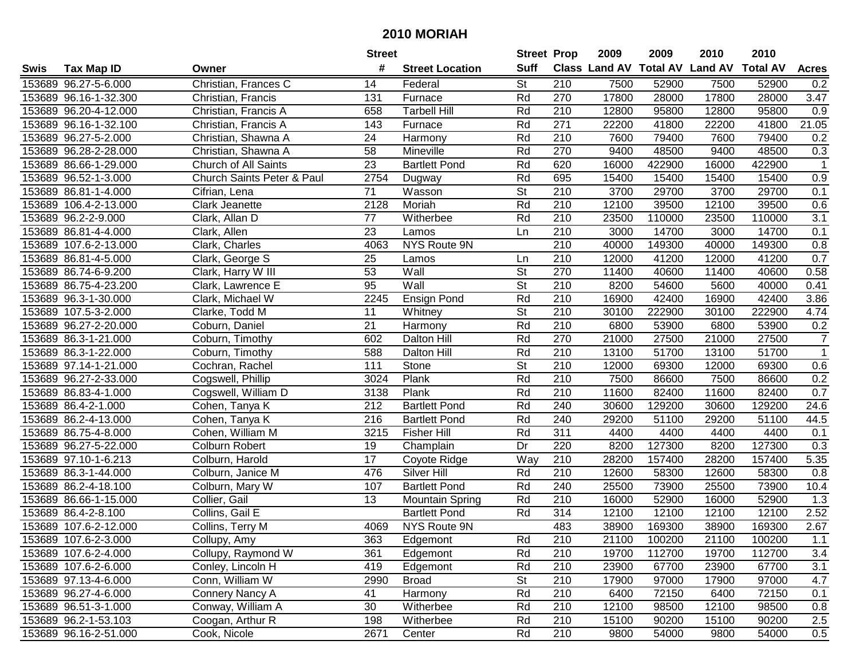| #<br><b>Suff</b><br><b>Class Land AV Total AV</b><br><b>Land AV</b><br><b>Total AV</b><br><b>Tax Map ID</b><br><b>Acres</b><br>Swis<br>Owner<br><b>Street Location</b><br><b>St</b><br>153689 96.27-5-6.000<br>Christian, Frances C<br>210<br>7500<br>52900<br>7500<br>52900<br>14<br>Federal<br>0.2<br>Rd<br>153689 96.16-1-32.300<br>270<br>17800<br>28000<br>17800<br>28000<br>3.47<br>Christian, Francis<br>131<br>Furnace<br>153689 96.20-4-12.000<br>Rd<br>12800<br>95800<br>12800<br>95800<br>0.9<br>Christian, Francis A<br>658<br>Tarbell Hill<br>210<br>Rd<br>41800<br>$\overline{2}1.05$<br>153689 96.16-1-32.100<br>Christian, Francis A<br>143<br>Furnace<br>271<br>22200<br>41800<br>22200<br>153689 96.27-5-2.000<br>24<br>Rd<br>210<br>7600<br>79400<br>79400<br>Christian, Shawna A<br>Harmony<br>7600<br>0.2<br>153689 96.28-2-28.000<br>58<br>Mineville<br>Rd<br>270<br>9400<br>9400<br>48500<br>0.3<br>Christian, Shawna A<br>48500<br>23<br>Rd<br>422900<br>153689 86.66-1-29.000<br>Church of All Saints<br><b>Bartlett Pond</b><br>620<br>16000<br>422900<br>16000<br>-1<br>153689 96.52-1-3.000<br>2754<br>Rd<br>695<br>15400<br>15400<br>$\overline{0.9}$<br>Church Saints Peter & Paul<br>15400<br>15400<br>Dugway<br>$\overline{71}$<br>$\overline{\mathsf{St}}$<br>$\overline{210}$<br>153689 86.81-1-4.000<br>Wasson<br>3700<br>29700<br>3700<br>29700<br>Cifrian, Lena<br>0.1<br>Rd<br>210<br>2128<br>Moriah<br>12100<br>12100<br>39500<br>0.6<br>153689 106.4-2-13.000<br>Clark Jeanette<br>39500<br>77<br>3.1<br>153689 96.2-2-9.000<br>Clark, Allan D<br>Witherbee<br>Rd<br>210<br>23500<br>110000<br>23500<br>110000<br>153689 86.81-4-4.000<br>23<br>210<br>3000<br>14700<br>14700<br>Clark, Allen<br>Ln<br>3000<br>0.1<br>Lamos<br>$\overline{210}$<br>NYS Route 9N<br>40000<br>40000<br>149300<br>0.8<br>153689 107.6-2-13.000<br>Clark, Charles<br>4063<br>149300<br>153689 86.81-4-5.000<br>25<br>210<br>12000<br>41200<br>12000<br>41200<br>0.7<br>Clark, George S<br>Lamos<br>Ln<br>St<br>270<br>153689 86.74-6-9.200<br>Clark, Harry W III<br>53<br>Wall<br>11400<br>40600<br>11400<br>40600<br>0.58<br>95<br>St<br>210<br>Wall<br>8200<br>54600<br>40000<br>153689 86.75-4-23.200<br>5600<br>0.41<br>Clark, Lawrence E<br>Rd<br>210<br>153689 96.3-1-30.000<br>2245<br>16900<br>42400<br>16900<br>42400<br>3.86<br>Ensign Pond<br>Clark, Michael W<br>$\overline{\mathsf{St}}$<br>11<br>210<br>30100<br>4.74<br>153689 107.5-3-2.000<br>Clarke, Todd M<br>Whitney<br>222900<br>30100<br>222900<br>153689 96.27-2-20.000<br>21<br>Rd<br>210<br>6800<br>53900<br>6800<br>53900<br>Coburn, Daniel<br>Harmony<br>0.2<br>153689 86.3-1-21.000<br>Rd<br>270<br>21000<br>27500<br>21000<br>27500<br>$\overline{7}$<br>Coburn, Timothy<br>602<br><b>Dalton Hill</b><br>Rd<br>210<br>51700<br>$\mathbf{1}$<br>153689 86.3-1-22.000<br>588<br>13100<br>51700<br>13100<br>Coburn, Timothy<br><b>Dalton Hill</b><br>153689 97.14-1-21.000<br>Cochran, Rachel<br>111<br>Stone<br><b>St</b><br>210<br>12000<br>69300<br>0.6<br>69300<br>12000<br>Rd<br>153689 96.27-2-33.000<br>3024<br>Plank<br>210<br>7500<br>7500<br>86600<br>0.2<br>Cogswell, Phillip<br>86600<br>153689 86.83-4-1.000<br>Plank<br>Rd<br>210<br>11600<br>82400<br>82400<br>0.7<br>Cogswell, William D<br>3138<br>11600<br>212<br>Rd<br>240<br>30600<br>129200<br>129200<br>24.6<br>153689 86.4-2-1.000<br><b>Bartlett Pond</b><br>30600<br>Cohen, Tanya K<br>216<br>Rd<br>153689 86.2-4-13.000<br>240<br>29200<br>51100<br>29200<br>51100<br>44.5<br>Cohen, Tanya K<br><b>Bartlett Pond</b><br>Rd<br>311<br>153689 86.75-4-8.000<br>Cohen, William M<br><b>Fisher Hill</b><br>4400<br>4400<br>4400<br>3215<br>4400<br>0.1<br>127300<br>127300<br>153689 96.27-5-22.000<br>19<br>Dr<br>220<br>8200<br>8200<br>0.3<br>Colburn Robert<br>Champlain<br>210<br>153689 97.10-1-6.213<br>17<br>28200<br>157400<br>28200<br>157400<br>5.35<br>Colburn, Harold<br>Way<br>Coyote Ridge<br>Rd<br>$\overline{210}$<br>153689 86.3-1-44.000<br>476<br>Silver Hill<br>12600<br>58300<br>12600<br>58300<br>0.8<br>Colburn, Janice M<br>107<br>Rd<br>240<br>25500<br>73900<br>25500<br>73900<br>153689 86.2-4-18.100<br>Colburn, Mary W<br><b>Bartlett Pond</b><br>10.4<br>153689 86.66-1-15.000<br>Rd<br>210<br>52900<br>52900<br>Collier, Gail<br>13<br>16000<br>16000<br>1.3<br><b>Mountain Spring</b><br>314<br>2.52<br>153689 86.4-2-8.100<br>Collins, Gail E<br>Rd<br>12100<br>12100<br>12100<br>12100<br><b>Bartlett Pond</b><br>2.67<br>153689 107.6-2-12.000<br>Collins, Terry M<br>NYS Route 9N<br>483<br>38900<br>4069<br>38900<br>169300<br>169300<br>153689 107.6-2-3.000<br>Collupy, Amy<br>363<br>Edgemont<br>Rd<br>210<br>21100<br>100200<br>21100<br>100200<br>1.1<br>3.4<br>153689 107.6-2-4.000<br>Collupy, Raymond W<br>361<br>Edgemont<br>Rd<br>210<br>19700<br>112700<br>19700<br>112700<br>Rd<br>23900<br>67700<br>153689 107.6-2-6.000<br>Conley, Lincoln H<br>419<br>210<br>67700<br>23900<br>3.1<br>Edgemont<br>153689 97.13-4-6.000<br>Conn, William W<br>2990<br><b>St</b><br>210<br>17900<br>17900<br>97000<br>4.7<br><b>Broad</b><br>97000<br>Connery Nancy A<br>Rd<br>210<br>6400<br>153689 96.27-4-6.000<br>41<br>Harmony<br>72150<br>6400<br>72150<br>0.1<br>Conway, William A<br>Rd<br>210<br>12100<br>153689 96.51-3-1.000<br>30<br>Witherbee<br>98500<br>12100<br>98500<br>0.8<br>210<br>153689 96.2-1-53.103<br>Coogan, Arthur R<br>198<br>Rd<br>15100<br>90200<br>15100<br>90200<br>2.5<br>Witherbee<br>Rd<br>210<br>153689 96.16-2-51.000<br>Cook, Nicole<br>2671<br>9800<br>54000<br>54000<br>0.5<br>Center<br>9800 |  | <b>Street</b> | <b>Street Prop</b> | 2009 | 2009 | 2010 | 2010 |  |
|----------------------------------------------------------------------------------------------------------------------------------------------------------------------------------------------------------------------------------------------------------------------------------------------------------------------------------------------------------------------------------------------------------------------------------------------------------------------------------------------------------------------------------------------------------------------------------------------------------------------------------------------------------------------------------------------------------------------------------------------------------------------------------------------------------------------------------------------------------------------------------------------------------------------------------------------------------------------------------------------------------------------------------------------------------------------------------------------------------------------------------------------------------------------------------------------------------------------------------------------------------------------------------------------------------------------------------------------------------------------------------------------------------------------------------------------------------------------------------------------------------------------------------------------------------------------------------------------------------------------------------------------------------------------------------------------------------------------------------------------------------------------------------------------------------------------------------------------------------------------------------------------------------------------------------------------------------------------------------------------------------------------------------------------------------------------------------------------------------------------------------------------------------------------------------------------------------------------------------------------------------------------------------------------------------------------------------------------------------------------------------------------------------------------------------------------------------------------------------------------------------------------------------------------------------------------------------------------------------------------------------------------------------------------------------------------------------------------------------------------------------------------------------------------------------------------------------------------------------------------------------------------------------------------------------------------------------------------------------------------------------------------------------------------------------------------------------------------------------------------------------------------------------------------------------------------------------------------------------------------------------------------------------------------------------------------------------------------------------------------------------------------------------------------------------------------------------------------------------------------------------------------------------------------------------------------------------------------------------------------------------------------------------------------------------------------------------------------------------------------------------------------------------------------------------------------------------------------------------------------------------------------------------------------------------------------------------------------------------------------------------------------------------------------------------------------------------------------------------------------------------------------------------------------------------------------------------------------------------------------------------------------------------------------------------------------------------------------------------------------------------------------------------------------------------------------------------------------------------------------------------------------------------------------------------------------------------------------------------------------------------------------------------------------------------------------------------------------------------------------------------------------------------------------------------------------------------------------------------------------------------------------------------------------------------------------------------------------------------------------------------------------------------------------------------------------------------------------------------------------------------------------------------------------------------------------------------------------------------------------------------------------------------------------------------------------------------------------------------------------------------------------------------------------------------------------------------------------------------------------------------------------------------------------------------------------------------------------------------------------------------------------|--|---------------|--------------------|------|------|------|------|--|
|                                                                                                                                                                                                                                                                                                                                                                                                                                                                                                                                                                                                                                                                                                                                                                                                                                                                                                                                                                                                                                                                                                                                                                                                                                                                                                                                                                                                                                                                                                                                                                                                                                                                                                                                                                                                                                                                                                                                                                                                                                                                                                                                                                                                                                                                                                                                                                                                                                                                                                                                                                                                                                                                                                                                                                                                                                                                                                                                                                                                                                                                                                                                                                                                                                                                                                                                                                                                                                                                                                                                                                                                                                                                                                                                                                                                                                                                                                                                                                                                                                                                                                                                                                                                                                                                                                                                                                                                                                                                                                                                                                                                                                                                                                                                                                                                                                                                                                                                                                                                                                                                                                                                                                                                                                                                                                                                                                                                                                                                                                                                                                                                                                              |  |               |                    |      |      |      |      |  |
|                                                                                                                                                                                                                                                                                                                                                                                                                                                                                                                                                                                                                                                                                                                                                                                                                                                                                                                                                                                                                                                                                                                                                                                                                                                                                                                                                                                                                                                                                                                                                                                                                                                                                                                                                                                                                                                                                                                                                                                                                                                                                                                                                                                                                                                                                                                                                                                                                                                                                                                                                                                                                                                                                                                                                                                                                                                                                                                                                                                                                                                                                                                                                                                                                                                                                                                                                                                                                                                                                                                                                                                                                                                                                                                                                                                                                                                                                                                                                                                                                                                                                                                                                                                                                                                                                                                                                                                                                                                                                                                                                                                                                                                                                                                                                                                                                                                                                                                                                                                                                                                                                                                                                                                                                                                                                                                                                                                                                                                                                                                                                                                                                                              |  |               |                    |      |      |      |      |  |
|                                                                                                                                                                                                                                                                                                                                                                                                                                                                                                                                                                                                                                                                                                                                                                                                                                                                                                                                                                                                                                                                                                                                                                                                                                                                                                                                                                                                                                                                                                                                                                                                                                                                                                                                                                                                                                                                                                                                                                                                                                                                                                                                                                                                                                                                                                                                                                                                                                                                                                                                                                                                                                                                                                                                                                                                                                                                                                                                                                                                                                                                                                                                                                                                                                                                                                                                                                                                                                                                                                                                                                                                                                                                                                                                                                                                                                                                                                                                                                                                                                                                                                                                                                                                                                                                                                                                                                                                                                                                                                                                                                                                                                                                                                                                                                                                                                                                                                                                                                                                                                                                                                                                                                                                                                                                                                                                                                                                                                                                                                                                                                                                                                              |  |               |                    |      |      |      |      |  |
|                                                                                                                                                                                                                                                                                                                                                                                                                                                                                                                                                                                                                                                                                                                                                                                                                                                                                                                                                                                                                                                                                                                                                                                                                                                                                                                                                                                                                                                                                                                                                                                                                                                                                                                                                                                                                                                                                                                                                                                                                                                                                                                                                                                                                                                                                                                                                                                                                                                                                                                                                                                                                                                                                                                                                                                                                                                                                                                                                                                                                                                                                                                                                                                                                                                                                                                                                                                                                                                                                                                                                                                                                                                                                                                                                                                                                                                                                                                                                                                                                                                                                                                                                                                                                                                                                                                                                                                                                                                                                                                                                                                                                                                                                                                                                                                                                                                                                                                                                                                                                                                                                                                                                                                                                                                                                                                                                                                                                                                                                                                                                                                                                                              |  |               |                    |      |      |      |      |  |
|                                                                                                                                                                                                                                                                                                                                                                                                                                                                                                                                                                                                                                                                                                                                                                                                                                                                                                                                                                                                                                                                                                                                                                                                                                                                                                                                                                                                                                                                                                                                                                                                                                                                                                                                                                                                                                                                                                                                                                                                                                                                                                                                                                                                                                                                                                                                                                                                                                                                                                                                                                                                                                                                                                                                                                                                                                                                                                                                                                                                                                                                                                                                                                                                                                                                                                                                                                                                                                                                                                                                                                                                                                                                                                                                                                                                                                                                                                                                                                                                                                                                                                                                                                                                                                                                                                                                                                                                                                                                                                                                                                                                                                                                                                                                                                                                                                                                                                                                                                                                                                                                                                                                                                                                                                                                                                                                                                                                                                                                                                                                                                                                                                              |  |               |                    |      |      |      |      |  |
|                                                                                                                                                                                                                                                                                                                                                                                                                                                                                                                                                                                                                                                                                                                                                                                                                                                                                                                                                                                                                                                                                                                                                                                                                                                                                                                                                                                                                                                                                                                                                                                                                                                                                                                                                                                                                                                                                                                                                                                                                                                                                                                                                                                                                                                                                                                                                                                                                                                                                                                                                                                                                                                                                                                                                                                                                                                                                                                                                                                                                                                                                                                                                                                                                                                                                                                                                                                                                                                                                                                                                                                                                                                                                                                                                                                                                                                                                                                                                                                                                                                                                                                                                                                                                                                                                                                                                                                                                                                                                                                                                                                                                                                                                                                                                                                                                                                                                                                                                                                                                                                                                                                                                                                                                                                                                                                                                                                                                                                                                                                                                                                                                                              |  |               |                    |      |      |      |      |  |
|                                                                                                                                                                                                                                                                                                                                                                                                                                                                                                                                                                                                                                                                                                                                                                                                                                                                                                                                                                                                                                                                                                                                                                                                                                                                                                                                                                                                                                                                                                                                                                                                                                                                                                                                                                                                                                                                                                                                                                                                                                                                                                                                                                                                                                                                                                                                                                                                                                                                                                                                                                                                                                                                                                                                                                                                                                                                                                                                                                                                                                                                                                                                                                                                                                                                                                                                                                                                                                                                                                                                                                                                                                                                                                                                                                                                                                                                                                                                                                                                                                                                                                                                                                                                                                                                                                                                                                                                                                                                                                                                                                                                                                                                                                                                                                                                                                                                                                                                                                                                                                                                                                                                                                                                                                                                                                                                                                                                                                                                                                                                                                                                                                              |  |               |                    |      |      |      |      |  |
|                                                                                                                                                                                                                                                                                                                                                                                                                                                                                                                                                                                                                                                                                                                                                                                                                                                                                                                                                                                                                                                                                                                                                                                                                                                                                                                                                                                                                                                                                                                                                                                                                                                                                                                                                                                                                                                                                                                                                                                                                                                                                                                                                                                                                                                                                                                                                                                                                                                                                                                                                                                                                                                                                                                                                                                                                                                                                                                                                                                                                                                                                                                                                                                                                                                                                                                                                                                                                                                                                                                                                                                                                                                                                                                                                                                                                                                                                                                                                                                                                                                                                                                                                                                                                                                                                                                                                                                                                                                                                                                                                                                                                                                                                                                                                                                                                                                                                                                                                                                                                                                                                                                                                                                                                                                                                                                                                                                                                                                                                                                                                                                                                                              |  |               |                    |      |      |      |      |  |
|                                                                                                                                                                                                                                                                                                                                                                                                                                                                                                                                                                                                                                                                                                                                                                                                                                                                                                                                                                                                                                                                                                                                                                                                                                                                                                                                                                                                                                                                                                                                                                                                                                                                                                                                                                                                                                                                                                                                                                                                                                                                                                                                                                                                                                                                                                                                                                                                                                                                                                                                                                                                                                                                                                                                                                                                                                                                                                                                                                                                                                                                                                                                                                                                                                                                                                                                                                                                                                                                                                                                                                                                                                                                                                                                                                                                                                                                                                                                                                                                                                                                                                                                                                                                                                                                                                                                                                                                                                                                                                                                                                                                                                                                                                                                                                                                                                                                                                                                                                                                                                                                                                                                                                                                                                                                                                                                                                                                                                                                                                                                                                                                                                              |  |               |                    |      |      |      |      |  |
|                                                                                                                                                                                                                                                                                                                                                                                                                                                                                                                                                                                                                                                                                                                                                                                                                                                                                                                                                                                                                                                                                                                                                                                                                                                                                                                                                                                                                                                                                                                                                                                                                                                                                                                                                                                                                                                                                                                                                                                                                                                                                                                                                                                                                                                                                                                                                                                                                                                                                                                                                                                                                                                                                                                                                                                                                                                                                                                                                                                                                                                                                                                                                                                                                                                                                                                                                                                                                                                                                                                                                                                                                                                                                                                                                                                                                                                                                                                                                                                                                                                                                                                                                                                                                                                                                                                                                                                                                                                                                                                                                                                                                                                                                                                                                                                                                                                                                                                                                                                                                                                                                                                                                                                                                                                                                                                                                                                                                                                                                                                                                                                                                                              |  |               |                    |      |      |      |      |  |
|                                                                                                                                                                                                                                                                                                                                                                                                                                                                                                                                                                                                                                                                                                                                                                                                                                                                                                                                                                                                                                                                                                                                                                                                                                                                                                                                                                                                                                                                                                                                                                                                                                                                                                                                                                                                                                                                                                                                                                                                                                                                                                                                                                                                                                                                                                                                                                                                                                                                                                                                                                                                                                                                                                                                                                                                                                                                                                                                                                                                                                                                                                                                                                                                                                                                                                                                                                                                                                                                                                                                                                                                                                                                                                                                                                                                                                                                                                                                                                                                                                                                                                                                                                                                                                                                                                                                                                                                                                                                                                                                                                                                                                                                                                                                                                                                                                                                                                                                                                                                                                                                                                                                                                                                                                                                                                                                                                                                                                                                                                                                                                                                                                              |  |               |                    |      |      |      |      |  |
|                                                                                                                                                                                                                                                                                                                                                                                                                                                                                                                                                                                                                                                                                                                                                                                                                                                                                                                                                                                                                                                                                                                                                                                                                                                                                                                                                                                                                                                                                                                                                                                                                                                                                                                                                                                                                                                                                                                                                                                                                                                                                                                                                                                                                                                                                                                                                                                                                                                                                                                                                                                                                                                                                                                                                                                                                                                                                                                                                                                                                                                                                                                                                                                                                                                                                                                                                                                                                                                                                                                                                                                                                                                                                                                                                                                                                                                                                                                                                                                                                                                                                                                                                                                                                                                                                                                                                                                                                                                                                                                                                                                                                                                                                                                                                                                                                                                                                                                                                                                                                                                                                                                                                                                                                                                                                                                                                                                                                                                                                                                                                                                                                                              |  |               |                    |      |      |      |      |  |
|                                                                                                                                                                                                                                                                                                                                                                                                                                                                                                                                                                                                                                                                                                                                                                                                                                                                                                                                                                                                                                                                                                                                                                                                                                                                                                                                                                                                                                                                                                                                                                                                                                                                                                                                                                                                                                                                                                                                                                                                                                                                                                                                                                                                                                                                                                                                                                                                                                                                                                                                                                                                                                                                                                                                                                                                                                                                                                                                                                                                                                                                                                                                                                                                                                                                                                                                                                                                                                                                                                                                                                                                                                                                                                                                                                                                                                                                                                                                                                                                                                                                                                                                                                                                                                                                                                                                                                                                                                                                                                                                                                                                                                                                                                                                                                                                                                                                                                                                                                                                                                                                                                                                                                                                                                                                                                                                                                                                                                                                                                                                                                                                                                              |  |               |                    |      |      |      |      |  |
|                                                                                                                                                                                                                                                                                                                                                                                                                                                                                                                                                                                                                                                                                                                                                                                                                                                                                                                                                                                                                                                                                                                                                                                                                                                                                                                                                                                                                                                                                                                                                                                                                                                                                                                                                                                                                                                                                                                                                                                                                                                                                                                                                                                                                                                                                                                                                                                                                                                                                                                                                                                                                                                                                                                                                                                                                                                                                                                                                                                                                                                                                                                                                                                                                                                                                                                                                                                                                                                                                                                                                                                                                                                                                                                                                                                                                                                                                                                                                                                                                                                                                                                                                                                                                                                                                                                                                                                                                                                                                                                                                                                                                                                                                                                                                                                                                                                                                                                                                                                                                                                                                                                                                                                                                                                                                                                                                                                                                                                                                                                                                                                                                                              |  |               |                    |      |      |      |      |  |
|                                                                                                                                                                                                                                                                                                                                                                                                                                                                                                                                                                                                                                                                                                                                                                                                                                                                                                                                                                                                                                                                                                                                                                                                                                                                                                                                                                                                                                                                                                                                                                                                                                                                                                                                                                                                                                                                                                                                                                                                                                                                                                                                                                                                                                                                                                                                                                                                                                                                                                                                                                                                                                                                                                                                                                                                                                                                                                                                                                                                                                                                                                                                                                                                                                                                                                                                                                                                                                                                                                                                                                                                                                                                                                                                                                                                                                                                                                                                                                                                                                                                                                                                                                                                                                                                                                                                                                                                                                                                                                                                                                                                                                                                                                                                                                                                                                                                                                                                                                                                                                                                                                                                                                                                                                                                                                                                                                                                                                                                                                                                                                                                                                              |  |               |                    |      |      |      |      |  |
|                                                                                                                                                                                                                                                                                                                                                                                                                                                                                                                                                                                                                                                                                                                                                                                                                                                                                                                                                                                                                                                                                                                                                                                                                                                                                                                                                                                                                                                                                                                                                                                                                                                                                                                                                                                                                                                                                                                                                                                                                                                                                                                                                                                                                                                                                                                                                                                                                                                                                                                                                                                                                                                                                                                                                                                                                                                                                                                                                                                                                                                                                                                                                                                                                                                                                                                                                                                                                                                                                                                                                                                                                                                                                                                                                                                                                                                                                                                                                                                                                                                                                                                                                                                                                                                                                                                                                                                                                                                                                                                                                                                                                                                                                                                                                                                                                                                                                                                                                                                                                                                                                                                                                                                                                                                                                                                                                                                                                                                                                                                                                                                                                                              |  |               |                    |      |      |      |      |  |
|                                                                                                                                                                                                                                                                                                                                                                                                                                                                                                                                                                                                                                                                                                                                                                                                                                                                                                                                                                                                                                                                                                                                                                                                                                                                                                                                                                                                                                                                                                                                                                                                                                                                                                                                                                                                                                                                                                                                                                                                                                                                                                                                                                                                                                                                                                                                                                                                                                                                                                                                                                                                                                                                                                                                                                                                                                                                                                                                                                                                                                                                                                                                                                                                                                                                                                                                                                                                                                                                                                                                                                                                                                                                                                                                                                                                                                                                                                                                                                                                                                                                                                                                                                                                                                                                                                                                                                                                                                                                                                                                                                                                                                                                                                                                                                                                                                                                                                                                                                                                                                                                                                                                                                                                                                                                                                                                                                                                                                                                                                                                                                                                                                              |  |               |                    |      |      |      |      |  |
|                                                                                                                                                                                                                                                                                                                                                                                                                                                                                                                                                                                                                                                                                                                                                                                                                                                                                                                                                                                                                                                                                                                                                                                                                                                                                                                                                                                                                                                                                                                                                                                                                                                                                                                                                                                                                                                                                                                                                                                                                                                                                                                                                                                                                                                                                                                                                                                                                                                                                                                                                                                                                                                                                                                                                                                                                                                                                                                                                                                                                                                                                                                                                                                                                                                                                                                                                                                                                                                                                                                                                                                                                                                                                                                                                                                                                                                                                                                                                                                                                                                                                                                                                                                                                                                                                                                                                                                                                                                                                                                                                                                                                                                                                                                                                                                                                                                                                                                                                                                                                                                                                                                                                                                                                                                                                                                                                                                                                                                                                                                                                                                                                                              |  |               |                    |      |      |      |      |  |
|                                                                                                                                                                                                                                                                                                                                                                                                                                                                                                                                                                                                                                                                                                                                                                                                                                                                                                                                                                                                                                                                                                                                                                                                                                                                                                                                                                                                                                                                                                                                                                                                                                                                                                                                                                                                                                                                                                                                                                                                                                                                                                                                                                                                                                                                                                                                                                                                                                                                                                                                                                                                                                                                                                                                                                                                                                                                                                                                                                                                                                                                                                                                                                                                                                                                                                                                                                                                                                                                                                                                                                                                                                                                                                                                                                                                                                                                                                                                                                                                                                                                                                                                                                                                                                                                                                                                                                                                                                                                                                                                                                                                                                                                                                                                                                                                                                                                                                                                                                                                                                                                                                                                                                                                                                                                                                                                                                                                                                                                                                                                                                                                                                              |  |               |                    |      |      |      |      |  |
|                                                                                                                                                                                                                                                                                                                                                                                                                                                                                                                                                                                                                                                                                                                                                                                                                                                                                                                                                                                                                                                                                                                                                                                                                                                                                                                                                                                                                                                                                                                                                                                                                                                                                                                                                                                                                                                                                                                                                                                                                                                                                                                                                                                                                                                                                                                                                                                                                                                                                                                                                                                                                                                                                                                                                                                                                                                                                                                                                                                                                                                                                                                                                                                                                                                                                                                                                                                                                                                                                                                                                                                                                                                                                                                                                                                                                                                                                                                                                                                                                                                                                                                                                                                                                                                                                                                                                                                                                                                                                                                                                                                                                                                                                                                                                                                                                                                                                                                                                                                                                                                                                                                                                                                                                                                                                                                                                                                                                                                                                                                                                                                                                                              |  |               |                    |      |      |      |      |  |
|                                                                                                                                                                                                                                                                                                                                                                                                                                                                                                                                                                                                                                                                                                                                                                                                                                                                                                                                                                                                                                                                                                                                                                                                                                                                                                                                                                                                                                                                                                                                                                                                                                                                                                                                                                                                                                                                                                                                                                                                                                                                                                                                                                                                                                                                                                                                                                                                                                                                                                                                                                                                                                                                                                                                                                                                                                                                                                                                                                                                                                                                                                                                                                                                                                                                                                                                                                                                                                                                                                                                                                                                                                                                                                                                                                                                                                                                                                                                                                                                                                                                                                                                                                                                                                                                                                                                                                                                                                                                                                                                                                                                                                                                                                                                                                                                                                                                                                                                                                                                                                                                                                                                                                                                                                                                                                                                                                                                                                                                                                                                                                                                                                              |  |               |                    |      |      |      |      |  |
|                                                                                                                                                                                                                                                                                                                                                                                                                                                                                                                                                                                                                                                                                                                                                                                                                                                                                                                                                                                                                                                                                                                                                                                                                                                                                                                                                                                                                                                                                                                                                                                                                                                                                                                                                                                                                                                                                                                                                                                                                                                                                                                                                                                                                                                                                                                                                                                                                                                                                                                                                                                                                                                                                                                                                                                                                                                                                                                                                                                                                                                                                                                                                                                                                                                                                                                                                                                                                                                                                                                                                                                                                                                                                                                                                                                                                                                                                                                                                                                                                                                                                                                                                                                                                                                                                                                                                                                                                                                                                                                                                                                                                                                                                                                                                                                                                                                                                                                                                                                                                                                                                                                                                                                                                                                                                                                                                                                                                                                                                                                                                                                                                                              |  |               |                    |      |      |      |      |  |
|                                                                                                                                                                                                                                                                                                                                                                                                                                                                                                                                                                                                                                                                                                                                                                                                                                                                                                                                                                                                                                                                                                                                                                                                                                                                                                                                                                                                                                                                                                                                                                                                                                                                                                                                                                                                                                                                                                                                                                                                                                                                                                                                                                                                                                                                                                                                                                                                                                                                                                                                                                                                                                                                                                                                                                                                                                                                                                                                                                                                                                                                                                                                                                                                                                                                                                                                                                                                                                                                                                                                                                                                                                                                                                                                                                                                                                                                                                                                                                                                                                                                                                                                                                                                                                                                                                                                                                                                                                                                                                                                                                                                                                                                                                                                                                                                                                                                                                                                                                                                                                                                                                                                                                                                                                                                                                                                                                                                                                                                                                                                                                                                                                              |  |               |                    |      |      |      |      |  |
|                                                                                                                                                                                                                                                                                                                                                                                                                                                                                                                                                                                                                                                                                                                                                                                                                                                                                                                                                                                                                                                                                                                                                                                                                                                                                                                                                                                                                                                                                                                                                                                                                                                                                                                                                                                                                                                                                                                                                                                                                                                                                                                                                                                                                                                                                                                                                                                                                                                                                                                                                                                                                                                                                                                                                                                                                                                                                                                                                                                                                                                                                                                                                                                                                                                                                                                                                                                                                                                                                                                                                                                                                                                                                                                                                                                                                                                                                                                                                                                                                                                                                                                                                                                                                                                                                                                                                                                                                                                                                                                                                                                                                                                                                                                                                                                                                                                                                                                                                                                                                                                                                                                                                                                                                                                                                                                                                                                                                                                                                                                                                                                                                                              |  |               |                    |      |      |      |      |  |
|                                                                                                                                                                                                                                                                                                                                                                                                                                                                                                                                                                                                                                                                                                                                                                                                                                                                                                                                                                                                                                                                                                                                                                                                                                                                                                                                                                                                                                                                                                                                                                                                                                                                                                                                                                                                                                                                                                                                                                                                                                                                                                                                                                                                                                                                                                                                                                                                                                                                                                                                                                                                                                                                                                                                                                                                                                                                                                                                                                                                                                                                                                                                                                                                                                                                                                                                                                                                                                                                                                                                                                                                                                                                                                                                                                                                                                                                                                                                                                                                                                                                                                                                                                                                                                                                                                                                                                                                                                                                                                                                                                                                                                                                                                                                                                                                                                                                                                                                                                                                                                                                                                                                                                                                                                                                                                                                                                                                                                                                                                                                                                                                                                              |  |               |                    |      |      |      |      |  |
|                                                                                                                                                                                                                                                                                                                                                                                                                                                                                                                                                                                                                                                                                                                                                                                                                                                                                                                                                                                                                                                                                                                                                                                                                                                                                                                                                                                                                                                                                                                                                                                                                                                                                                                                                                                                                                                                                                                                                                                                                                                                                                                                                                                                                                                                                                                                                                                                                                                                                                                                                                                                                                                                                                                                                                                                                                                                                                                                                                                                                                                                                                                                                                                                                                                                                                                                                                                                                                                                                                                                                                                                                                                                                                                                                                                                                                                                                                                                                                                                                                                                                                                                                                                                                                                                                                                                                                                                                                                                                                                                                                                                                                                                                                                                                                                                                                                                                                                                                                                                                                                                                                                                                                                                                                                                                                                                                                                                                                                                                                                                                                                                                                              |  |               |                    |      |      |      |      |  |
|                                                                                                                                                                                                                                                                                                                                                                                                                                                                                                                                                                                                                                                                                                                                                                                                                                                                                                                                                                                                                                                                                                                                                                                                                                                                                                                                                                                                                                                                                                                                                                                                                                                                                                                                                                                                                                                                                                                                                                                                                                                                                                                                                                                                                                                                                                                                                                                                                                                                                                                                                                                                                                                                                                                                                                                                                                                                                                                                                                                                                                                                                                                                                                                                                                                                                                                                                                                                                                                                                                                                                                                                                                                                                                                                                                                                                                                                                                                                                                                                                                                                                                                                                                                                                                                                                                                                                                                                                                                                                                                                                                                                                                                                                                                                                                                                                                                                                                                                                                                                                                                                                                                                                                                                                                                                                                                                                                                                                                                                                                                                                                                                                                              |  |               |                    |      |      |      |      |  |
|                                                                                                                                                                                                                                                                                                                                                                                                                                                                                                                                                                                                                                                                                                                                                                                                                                                                                                                                                                                                                                                                                                                                                                                                                                                                                                                                                                                                                                                                                                                                                                                                                                                                                                                                                                                                                                                                                                                                                                                                                                                                                                                                                                                                                                                                                                                                                                                                                                                                                                                                                                                                                                                                                                                                                                                                                                                                                                                                                                                                                                                                                                                                                                                                                                                                                                                                                                                                                                                                                                                                                                                                                                                                                                                                                                                                                                                                                                                                                                                                                                                                                                                                                                                                                                                                                                                                                                                                                                                                                                                                                                                                                                                                                                                                                                                                                                                                                                                                                                                                                                                                                                                                                                                                                                                                                                                                                                                                                                                                                                                                                                                                                                              |  |               |                    |      |      |      |      |  |
|                                                                                                                                                                                                                                                                                                                                                                                                                                                                                                                                                                                                                                                                                                                                                                                                                                                                                                                                                                                                                                                                                                                                                                                                                                                                                                                                                                                                                                                                                                                                                                                                                                                                                                                                                                                                                                                                                                                                                                                                                                                                                                                                                                                                                                                                                                                                                                                                                                                                                                                                                                                                                                                                                                                                                                                                                                                                                                                                                                                                                                                                                                                                                                                                                                                                                                                                                                                                                                                                                                                                                                                                                                                                                                                                                                                                                                                                                                                                                                                                                                                                                                                                                                                                                                                                                                                                                                                                                                                                                                                                                                                                                                                                                                                                                                                                                                                                                                                                                                                                                                                                                                                                                                                                                                                                                                                                                                                                                                                                                                                                                                                                                                              |  |               |                    |      |      |      |      |  |
|                                                                                                                                                                                                                                                                                                                                                                                                                                                                                                                                                                                                                                                                                                                                                                                                                                                                                                                                                                                                                                                                                                                                                                                                                                                                                                                                                                                                                                                                                                                                                                                                                                                                                                                                                                                                                                                                                                                                                                                                                                                                                                                                                                                                                                                                                                                                                                                                                                                                                                                                                                                                                                                                                                                                                                                                                                                                                                                                                                                                                                                                                                                                                                                                                                                                                                                                                                                                                                                                                                                                                                                                                                                                                                                                                                                                                                                                                                                                                                                                                                                                                                                                                                                                                                                                                                                                                                                                                                                                                                                                                                                                                                                                                                                                                                                                                                                                                                                                                                                                                                                                                                                                                                                                                                                                                                                                                                                                                                                                                                                                                                                                                                              |  |               |                    |      |      |      |      |  |
|                                                                                                                                                                                                                                                                                                                                                                                                                                                                                                                                                                                                                                                                                                                                                                                                                                                                                                                                                                                                                                                                                                                                                                                                                                                                                                                                                                                                                                                                                                                                                                                                                                                                                                                                                                                                                                                                                                                                                                                                                                                                                                                                                                                                                                                                                                                                                                                                                                                                                                                                                                                                                                                                                                                                                                                                                                                                                                                                                                                                                                                                                                                                                                                                                                                                                                                                                                                                                                                                                                                                                                                                                                                                                                                                                                                                                                                                                                                                                                                                                                                                                                                                                                                                                                                                                                                                                                                                                                                                                                                                                                                                                                                                                                                                                                                                                                                                                                                                                                                                                                                                                                                                                                                                                                                                                                                                                                                                                                                                                                                                                                                                                                              |  |               |                    |      |      |      |      |  |
|                                                                                                                                                                                                                                                                                                                                                                                                                                                                                                                                                                                                                                                                                                                                                                                                                                                                                                                                                                                                                                                                                                                                                                                                                                                                                                                                                                                                                                                                                                                                                                                                                                                                                                                                                                                                                                                                                                                                                                                                                                                                                                                                                                                                                                                                                                                                                                                                                                                                                                                                                                                                                                                                                                                                                                                                                                                                                                                                                                                                                                                                                                                                                                                                                                                                                                                                                                                                                                                                                                                                                                                                                                                                                                                                                                                                                                                                                                                                                                                                                                                                                                                                                                                                                                                                                                                                                                                                                                                                                                                                                                                                                                                                                                                                                                                                                                                                                                                                                                                                                                                                                                                                                                                                                                                                                                                                                                                                                                                                                                                                                                                                                                              |  |               |                    |      |      |      |      |  |
|                                                                                                                                                                                                                                                                                                                                                                                                                                                                                                                                                                                                                                                                                                                                                                                                                                                                                                                                                                                                                                                                                                                                                                                                                                                                                                                                                                                                                                                                                                                                                                                                                                                                                                                                                                                                                                                                                                                                                                                                                                                                                                                                                                                                                                                                                                                                                                                                                                                                                                                                                                                                                                                                                                                                                                                                                                                                                                                                                                                                                                                                                                                                                                                                                                                                                                                                                                                                                                                                                                                                                                                                                                                                                                                                                                                                                                                                                                                                                                                                                                                                                                                                                                                                                                                                                                                                                                                                                                                                                                                                                                                                                                                                                                                                                                                                                                                                                                                                                                                                                                                                                                                                                                                                                                                                                                                                                                                                                                                                                                                                                                                                                                              |  |               |                    |      |      |      |      |  |
|                                                                                                                                                                                                                                                                                                                                                                                                                                                                                                                                                                                                                                                                                                                                                                                                                                                                                                                                                                                                                                                                                                                                                                                                                                                                                                                                                                                                                                                                                                                                                                                                                                                                                                                                                                                                                                                                                                                                                                                                                                                                                                                                                                                                                                                                                                                                                                                                                                                                                                                                                                                                                                                                                                                                                                                                                                                                                                                                                                                                                                                                                                                                                                                                                                                                                                                                                                                                                                                                                                                                                                                                                                                                                                                                                                                                                                                                                                                                                                                                                                                                                                                                                                                                                                                                                                                                                                                                                                                                                                                                                                                                                                                                                                                                                                                                                                                                                                                                                                                                                                                                                                                                                                                                                                                                                                                                                                                                                                                                                                                                                                                                                                              |  |               |                    |      |      |      |      |  |
|                                                                                                                                                                                                                                                                                                                                                                                                                                                                                                                                                                                                                                                                                                                                                                                                                                                                                                                                                                                                                                                                                                                                                                                                                                                                                                                                                                                                                                                                                                                                                                                                                                                                                                                                                                                                                                                                                                                                                                                                                                                                                                                                                                                                                                                                                                                                                                                                                                                                                                                                                                                                                                                                                                                                                                                                                                                                                                                                                                                                                                                                                                                                                                                                                                                                                                                                                                                                                                                                                                                                                                                                                                                                                                                                                                                                                                                                                                                                                                                                                                                                                                                                                                                                                                                                                                                                                                                                                                                                                                                                                                                                                                                                                                                                                                                                                                                                                                                                                                                                                                                                                                                                                                                                                                                                                                                                                                                                                                                                                                                                                                                                                                              |  |               |                    |      |      |      |      |  |
|                                                                                                                                                                                                                                                                                                                                                                                                                                                                                                                                                                                                                                                                                                                                                                                                                                                                                                                                                                                                                                                                                                                                                                                                                                                                                                                                                                                                                                                                                                                                                                                                                                                                                                                                                                                                                                                                                                                                                                                                                                                                                                                                                                                                                                                                                                                                                                                                                                                                                                                                                                                                                                                                                                                                                                                                                                                                                                                                                                                                                                                                                                                                                                                                                                                                                                                                                                                                                                                                                                                                                                                                                                                                                                                                                                                                                                                                                                                                                                                                                                                                                                                                                                                                                                                                                                                                                                                                                                                                                                                                                                                                                                                                                                                                                                                                                                                                                                                                                                                                                                                                                                                                                                                                                                                                                                                                                                                                                                                                                                                                                                                                                                              |  |               |                    |      |      |      |      |  |
|                                                                                                                                                                                                                                                                                                                                                                                                                                                                                                                                                                                                                                                                                                                                                                                                                                                                                                                                                                                                                                                                                                                                                                                                                                                                                                                                                                                                                                                                                                                                                                                                                                                                                                                                                                                                                                                                                                                                                                                                                                                                                                                                                                                                                                                                                                                                                                                                                                                                                                                                                                                                                                                                                                                                                                                                                                                                                                                                                                                                                                                                                                                                                                                                                                                                                                                                                                                                                                                                                                                                                                                                                                                                                                                                                                                                                                                                                                                                                                                                                                                                                                                                                                                                                                                                                                                                                                                                                                                                                                                                                                                                                                                                                                                                                                                                                                                                                                                                                                                                                                                                                                                                                                                                                                                                                                                                                                                                                                                                                                                                                                                                                                              |  |               |                    |      |      |      |      |  |
|                                                                                                                                                                                                                                                                                                                                                                                                                                                                                                                                                                                                                                                                                                                                                                                                                                                                                                                                                                                                                                                                                                                                                                                                                                                                                                                                                                                                                                                                                                                                                                                                                                                                                                                                                                                                                                                                                                                                                                                                                                                                                                                                                                                                                                                                                                                                                                                                                                                                                                                                                                                                                                                                                                                                                                                                                                                                                                                                                                                                                                                                                                                                                                                                                                                                                                                                                                                                                                                                                                                                                                                                                                                                                                                                                                                                                                                                                                                                                                                                                                                                                                                                                                                                                                                                                                                                                                                                                                                                                                                                                                                                                                                                                                                                                                                                                                                                                                                                                                                                                                                                                                                                                                                                                                                                                                                                                                                                                                                                                                                                                                                                                                              |  |               |                    |      |      |      |      |  |
|                                                                                                                                                                                                                                                                                                                                                                                                                                                                                                                                                                                                                                                                                                                                                                                                                                                                                                                                                                                                                                                                                                                                                                                                                                                                                                                                                                                                                                                                                                                                                                                                                                                                                                                                                                                                                                                                                                                                                                                                                                                                                                                                                                                                                                                                                                                                                                                                                                                                                                                                                                                                                                                                                                                                                                                                                                                                                                                                                                                                                                                                                                                                                                                                                                                                                                                                                                                                                                                                                                                                                                                                                                                                                                                                                                                                                                                                                                                                                                                                                                                                                                                                                                                                                                                                                                                                                                                                                                                                                                                                                                                                                                                                                                                                                                                                                                                                                                                                                                                                                                                                                                                                                                                                                                                                                                                                                                                                                                                                                                                                                                                                                                              |  |               |                    |      |      |      |      |  |
|                                                                                                                                                                                                                                                                                                                                                                                                                                                                                                                                                                                                                                                                                                                                                                                                                                                                                                                                                                                                                                                                                                                                                                                                                                                                                                                                                                                                                                                                                                                                                                                                                                                                                                                                                                                                                                                                                                                                                                                                                                                                                                                                                                                                                                                                                                                                                                                                                                                                                                                                                                                                                                                                                                                                                                                                                                                                                                                                                                                                                                                                                                                                                                                                                                                                                                                                                                                                                                                                                                                                                                                                                                                                                                                                                                                                                                                                                                                                                                                                                                                                                                                                                                                                                                                                                                                                                                                                                                                                                                                                                                                                                                                                                                                                                                                                                                                                                                                                                                                                                                                                                                                                                                                                                                                                                                                                                                                                                                                                                                                                                                                                                                              |  |               |                    |      |      |      |      |  |
|                                                                                                                                                                                                                                                                                                                                                                                                                                                                                                                                                                                                                                                                                                                                                                                                                                                                                                                                                                                                                                                                                                                                                                                                                                                                                                                                                                                                                                                                                                                                                                                                                                                                                                                                                                                                                                                                                                                                                                                                                                                                                                                                                                                                                                                                                                                                                                                                                                                                                                                                                                                                                                                                                                                                                                                                                                                                                                                                                                                                                                                                                                                                                                                                                                                                                                                                                                                                                                                                                                                                                                                                                                                                                                                                                                                                                                                                                                                                                                                                                                                                                                                                                                                                                                                                                                                                                                                                                                                                                                                                                                                                                                                                                                                                                                                                                                                                                                                                                                                                                                                                                                                                                                                                                                                                                                                                                                                                                                                                                                                                                                                                                                              |  |               |                    |      |      |      |      |  |
|                                                                                                                                                                                                                                                                                                                                                                                                                                                                                                                                                                                                                                                                                                                                                                                                                                                                                                                                                                                                                                                                                                                                                                                                                                                                                                                                                                                                                                                                                                                                                                                                                                                                                                                                                                                                                                                                                                                                                                                                                                                                                                                                                                                                                                                                                                                                                                                                                                                                                                                                                                                                                                                                                                                                                                                                                                                                                                                                                                                                                                                                                                                                                                                                                                                                                                                                                                                                                                                                                                                                                                                                                                                                                                                                                                                                                                                                                                                                                                                                                                                                                                                                                                                                                                                                                                                                                                                                                                                                                                                                                                                                                                                                                                                                                                                                                                                                                                                                                                                                                                                                                                                                                                                                                                                                                                                                                                                                                                                                                                                                                                                                                                              |  |               |                    |      |      |      |      |  |
|                                                                                                                                                                                                                                                                                                                                                                                                                                                                                                                                                                                                                                                                                                                                                                                                                                                                                                                                                                                                                                                                                                                                                                                                                                                                                                                                                                                                                                                                                                                                                                                                                                                                                                                                                                                                                                                                                                                                                                                                                                                                                                                                                                                                                                                                                                                                                                                                                                                                                                                                                                                                                                                                                                                                                                                                                                                                                                                                                                                                                                                                                                                                                                                                                                                                                                                                                                                                                                                                                                                                                                                                                                                                                                                                                                                                                                                                                                                                                                                                                                                                                                                                                                                                                                                                                                                                                                                                                                                                                                                                                                                                                                                                                                                                                                                                                                                                                                                                                                                                                                                                                                                                                                                                                                                                                                                                                                                                                                                                                                                                                                                                                                              |  |               |                    |      |      |      |      |  |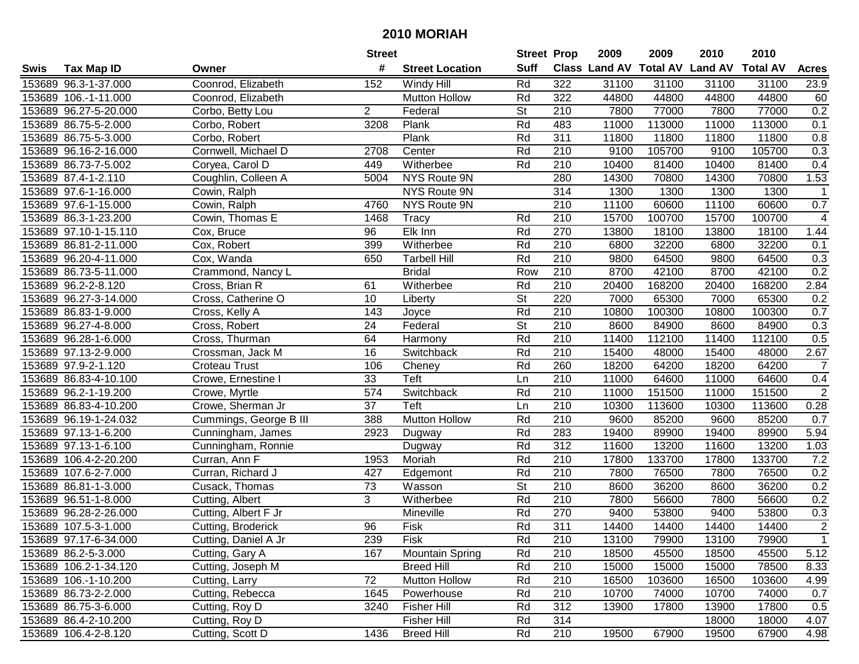|      |                       |                        | <b>Street</b>   |                        | <b>Street Prop</b>       |                  | 2009                          | 2009   | 2010           | 2010            |                  |
|------|-----------------------|------------------------|-----------------|------------------------|--------------------------|------------------|-------------------------------|--------|----------------|-----------------|------------------|
| Swis | <b>Tax Map ID</b>     | Owner                  | #               | <b>Street Location</b> | <b>Suff</b>              |                  | <b>Class Land AV Total AV</b> |        | <b>Land AV</b> | <b>Total AV</b> | <b>Acres</b>     |
|      | 153689 96.3-1-37.000  | Coonrod, Elizabeth     | 152             | Windy Hill             | Rd                       | 322              | 31100                         | 31100  | 31100          | 31100           | 23.9             |
|      | 153689 106.-1-11.000  | Coonrod, Elizabeth     |                 | <b>Mutton Hollow</b>   | Rd                       | 322              | 44800                         | 44800  | 44800          | 44800           | 60               |
|      | 153689 96.27-5-20.000 | Corbo, Betty Lou       | $\overline{2}$  | Federal                | <b>St</b>                | 210              | 7800                          | 77000  | 7800           | 77000           | 0.2              |
|      | 153689 86.75-5-2.000  | Corbo, Robert          | 3208            | Plank                  | Rd                       | 483              | 11000                         | 113000 | 11000          | 113000          | 0.1              |
|      | 153689 86.75-5-3.000  | Corbo, Robert          |                 | Plank                  | Rd                       | 311              | 11800                         | 11800  | 11800          | 11800           | 0.8              |
|      | 153689 96.16-2-16.000 | Cornwell, Michael D    | 2708            | Center                 | Rd                       | 210              | 9100                          | 105700 | 9100           | 105700          | $\overline{0.3}$ |
|      | 153689 86.73-7-5.002  | Coryea, Carol D        | 449             | Witherbee              | Rd                       | 210              | 10400                         | 81400  | 10400          | 81400           | 0.4              |
|      | 153689 87.4-1-2.110   | Coughlin, Colleen A    | 5004            | NYS Route 9N           |                          | 280              | 14300                         | 70800  | 14300          | 70800           | 1.53             |
|      | 153689 97.6-1-16.000  | Cowin, Ralph           |                 | <b>NYS Route 9N</b>    |                          | 314              | 1300                          | 1300   | 1300           | 1300            | $\mathbf 1$      |
|      | 153689 97.6-1-15.000  | Cowin, Ralph           | 4760            | NYS Route 9N           |                          | 210              | 11100                         | 60600  | 11100          | 60600           | 0.7              |
|      | 153689 86.3-1-23.200  | Cowin, Thomas E        | 1468            | <b>Tracy</b>           | Rd                       | 210              | 15700                         | 100700 | 15700          | 100700          | $\overline{4}$   |
|      | 153689 97.10-1-15.110 | Cox, Bruce             | 96              | Elk Inn                | Rd                       | 270              | 13800                         | 18100  | 13800          | 18100           | 1.44             |
|      | 153689 86.81-2-11.000 | Cox, Robert            | 399             | Witherbee              | Rd                       | 210              | 6800                          | 32200  | 6800           | 32200           | 0.1              |
|      | 153689 96.20-4-11.000 | Cox, Wanda             | 650             | <b>Tarbell Hill</b>    | Rd                       | 210              | 9800                          | 64500  | 9800           | 64500           | 0.3              |
|      | 153689 86.73-5-11.000 | Crammond, Nancy L      |                 | <b>Bridal</b>          | Row                      | 210              | 8700                          | 42100  | 8700           | 42100           | 0.2              |
|      | 153689 96.2-2-8.120   | Cross, Brian R         | 61              | Witherbee              | Rd                       | 210              | 20400                         | 168200 | 20400          | 168200          | 2.84             |
|      | 153689 96.27-3-14.000 | Cross, Catherine O     | 10              | Liberty                | $\overline{\mathsf{St}}$ | 220              | 7000                          | 65300  | 7000           | 65300           | 0.2              |
|      | 153689 86.83-1-9.000  | Cross, Kelly A         | 143             | Joyce                  | Rd                       | 210              | 10800                         | 100300 | 10800          | 100300          | 0.7              |
|      | 153689 96.27-4-8.000  | Cross, Robert          | 24              | Federal                | <b>St</b>                | 210              | 8600                          | 84900  | 8600           | 84900           | 0.3              |
|      | 153689 96.28-1-6.000  | Cross, Thurman         | 64              | Harmony                | Rd                       | 210              | 11400                         | 112100 | 11400          | 112100          | 0.5              |
|      | 153689 97.13-2-9.000  | Crossman, Jack M       | 16              | Switchback             | Rd                       | 210              | 15400                         | 48000  | 15400          | 48000           | 2.67             |
|      | 153689 97.9-2-1.120   | <b>Croteau Trust</b>   | 106             | Cheney                 | Rd                       | 260              | 18200                         | 64200  | 18200          | 64200           | $\overline{7}$   |
|      | 153689 86.83-4-10.100 | Crowe, Ernestine I     | 33              | Teft                   | Ln                       | 210              | 11000                         | 64600  | 11000          | 64600           | 0.4              |
|      | 153689 96.2-1-19.200  | Crowe, Myrtle          | 574             | Switchback             | Rd                       | 210              | 11000                         | 151500 | 11000          | 151500          | $\overline{2}$   |
|      | 153689 86.83-4-10.200 | Crowe, Sherman Jr      | $\overline{37}$ | Teft                   | Ln                       | 210              | 10300                         | 113600 | 10300          | 113600          | 0.28             |
|      | 153689 96.19-1-24.032 | Cummings, George B III | 388             | <b>Mutton Hollow</b>   | Rd                       | 210              | 9600                          | 85200  | 9600           | 85200           | 0.7              |
|      | 153689 97.13-1-6.200  | Cunningham, James      | 2923            | Dugway                 | Rd                       | 283              | 19400                         | 89900  | 19400          | 89900           | 5.94             |
|      | 153689 97.13-1-6.100  | Cunningham, Ronnie     |                 | Dugway                 | Rd                       | 312              | 11600                         | 13200  | 11600          | 13200           | 1.03             |
|      | 153689 106.4-2-20.200 | Curran, Ann F          | 1953            | Moriah                 | Rd                       | 210              | 17800                         | 133700 | 17800          | 133700          | 7.2              |
|      | 153689 107.6-2-7.000  | Curran, Richard J      | 427             | Edgemont               | Rd                       | $\overline{210}$ | 7800                          | 76500  | 7800           | 76500           | 0.2              |
|      | 153689 86.81-1-3.000  | Cusack, Thomas         | 73              | Wasson                 | $\overline{\mathsf{St}}$ | 210              | 8600                          | 36200  | 8600           | 36200           | 0.2              |
|      | 153689 96.51-1-8.000  | Cutting, Albert        | 3               | Witherbee              | Rd                       | $\overline{210}$ | 7800                          | 56600  | 7800           | 56600           | 0.2              |
|      | 153689 96.28-2-26.000 | Cutting, Albert F Jr   |                 | Mineville              | Rd                       | 270              | 9400                          | 53800  | 9400           | 53800           | 0.3              |
|      | 153689 107.5-3-1.000  | Cutting, Broderick     | 96              | Fisk                   | Rd                       | 311              | 14400                         | 14400  | 14400          | 14400           | $\overline{2}$   |
|      | 153689 97.17-6-34.000 | Cutting, Daniel A Jr   | 239             | <b>FISK</b>            | Rd                       | 210              | 13100                         | 79900  | 13100          | 79900           | $\mathbf{1}$     |
|      | 153689 86.2-5-3.000   | Cutting, Gary A        | 167             | <b>Mountain Spring</b> | Rd                       | 210              | 18500                         | 45500  | 18500          | 45500           | 5.12             |
|      | 153689 106.2-1-34.120 | Cutting, Joseph M      |                 | <b>Breed Hill</b>      | Rd                       | 210              | 15000                         | 15000  | 15000          | 78500           | 8.33             |
|      | 153689 106.-1-10.200  | Cutting, Larry         | 72              | Mutton Hollow          | Rd                       | 210              | 16500                         | 103600 | 16500          | 103600          | 4.99             |
|      | 153689 86.73-2-2.000  | Cutting, Rebecca       | 1645            | Powerhouse             | Rd                       | 210              | 10700                         | 74000  | 10700          | 74000           | 0.7              |
|      | 153689 86.75-3-6.000  | Cutting, Roy D         | 3240            | <b>Fisher Hill</b>     | Rd                       | 312              | 13900                         | 17800  | 13900          | 17800           | 0.5              |
|      | 153689 86.4-2-10.200  | Cutting, Roy D         |                 | <b>Fisher Hill</b>     | Rd                       | 314              |                               |        | 18000          | 18000           | 4.07             |
|      | 153689 106.4-2-8.120  | Cutting, Scott D       | 1436            | <b>Breed Hill</b>      | Rd                       | 210              | 19500                         | 67900  | 19500          | 67900           | 4.98             |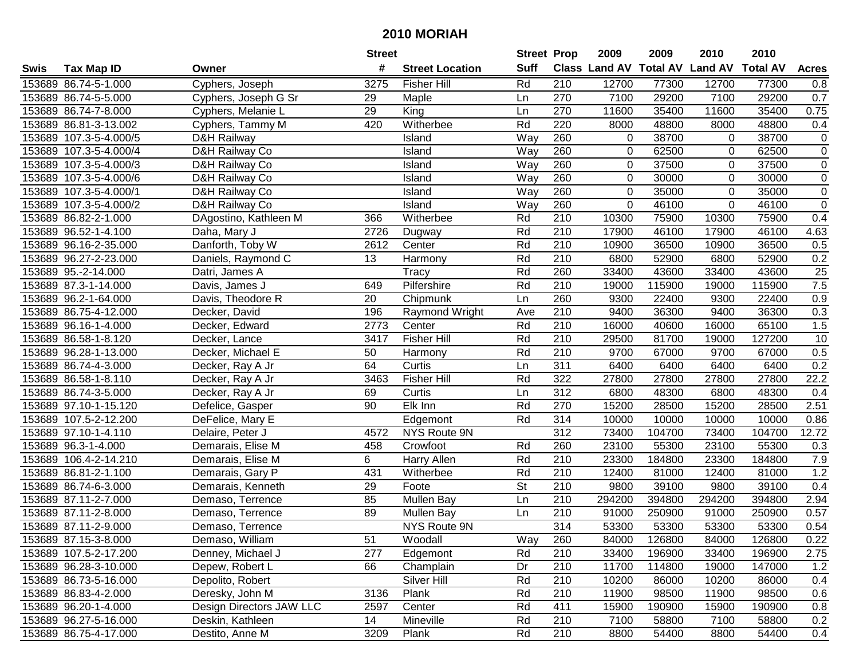|      |                        |                          | <b>Street</b>   |                        |                          | <b>Street Prop</b> | 2009                          | 2009   | 2010           | 2010            |                |
|------|------------------------|--------------------------|-----------------|------------------------|--------------------------|--------------------|-------------------------------|--------|----------------|-----------------|----------------|
| Swis | <b>Tax Map ID</b>      | Owner                    | #               | <b>Street Location</b> | <b>Suff</b>              |                    | <b>Class Land AV Total AV</b> |        | <b>Land AV</b> | <b>Total AV</b> | <b>Acres</b>   |
|      | 153689 86.74-5-1.000   | Cyphers, Joseph          | 3275            | <b>Fisher Hill</b>     | Rd                       | 210                | 12700                         | 77300  | 12700          | 77300           | 0.8            |
|      | 153689 86.74-5-5.000   | Cyphers, Joseph G Sr     | 29              | Maple                  | Ln                       | 270                | 7100                          | 29200  | 7100           | 29200           | 0.7            |
|      | 153689 86.74-7-8.000   | Cyphers, Melanie L       | 29              | King                   | Ln                       | 270                | 11600                         | 35400  | 11600          | 35400           | 0.75           |
|      | 153689 86.81-3-13.002  | Cyphers, Tammy M         | 420             | Witherbee              | Rd                       | 220                | 8000                          | 48800  | 8000           | 48800           | 0.4            |
|      | 153689 107.3-5-4.000/5 | D&H Railway              |                 | Island                 | Way                      | 260                | $\overline{0}$                | 38700  | 0              | 38700           | $\pmb{0}$      |
|      | 153689 107.3-5-4.000/4 | D&H Railway Co           |                 | Island                 | Way                      | 260                | 0                             | 62500  | 0              | 62500           | $\overline{0}$ |
|      | 153689 107.3-5-4.000/3 | D&H Railway Co           |                 | Island                 | Way                      | 260                | $\overline{0}$                | 37500  | 0              | 37500           | $\mathbf 0$    |
|      | 153689 107.3-5-4.000/6 | D&H Railway Co           |                 | Island                 | Way                      | 260                | 0                             | 30000  | $\Omega$       | 30000           | $\overline{0}$ |
|      | 153689 107.3-5-4.000/1 | D&H Railway Co           |                 | Island                 | Way                      | 260                | 0                             | 35000  | $\Omega$       | 35000           | $\pmb{0}$      |
|      | 153689 107.3-5-4.000/2 | D&H Railway Co           |                 | Island                 | Way                      | 260                | 0                             | 46100  | $\mathbf 0$    | 46100           | $\mathbf 0$    |
|      | 153689 86.82-2-1.000   | DAgostino, Kathleen M    | 366             | Witherbee              | Rd                       | 210                | 10300                         | 75900  | 10300          | 75900           | 0.4            |
|      | 153689 96.52-1-4.100   | Daha, Mary J             | 2726            | Dugway                 | Rd                       | 210                | 17900                         | 46100  | 17900          | 46100           | 4.63           |
|      | 153689 96.16-2-35.000  | Danforth, Toby W         | 2612            | Center                 | Rd                       | 210                | 10900                         | 36500  | 10900          | 36500           | 0.5            |
|      | 153689 96.27-2-23.000  | Daniels, Raymond C       | 13              | Harmony                | Rd                       | 210                | 6800                          | 52900  | 6800           | 52900           | 0.2            |
|      | 153689 95.-2-14.000    | Datri, James A           |                 | Tracy                  | Rd                       | 260                | 33400                         | 43600  | 33400          | 43600           | 25             |
|      | 153689 87.3-1-14.000   | Davis, James J           | 649             | Pilfershire            | Rd                       | 210                | 19000                         | 115900 | 19000          | 115900          | 7.5            |
|      | 153689 96.2-1-64.000   | Davis, Theodore R        | 20              | Chipmunk               | Ln                       | 260                | 9300                          | 22400  | 9300           | 22400           | 0.9            |
|      | 153689 86.75-4-12.000  | Decker, David            | 196             | Raymond Wright         | Ave                      | 210                | 9400                          | 36300  | 9400           | 36300           | 0.3            |
|      | 153689 96.16-1-4.000   | Decker, Edward           | 2773            | Center                 | Rd                       | 210                | 16000                         | 40600  | 16000          | 65100           | 1.5            |
|      | 153689 86.58-1-8.120   | Decker, Lance            | 3417            | <b>Fisher Hill</b>     | Rd                       | 210                | 29500                         | 81700  | 19000          | 127200          | 10             |
|      | 153689 96.28-1-13.000  | Decker, Michael E        | 50              | Harmony                | Rd                       | 210                | 9700                          | 67000  | 9700           | 67000           | 0.5            |
|      | 153689 86.74-4-3.000   | Decker, Ray A Jr         | 64              | Curtis                 | Ln                       | 311                | 6400                          | 6400   | 6400           | 6400            | 0.2            |
|      | 153689 86.58-1-8.110   | Decker, Ray A Jr         | 3463            | <b>Fisher Hill</b>     | Rd                       | 322                | 27800                         | 27800  | 27800          | 27800           | 22.2           |
|      | 153689 86.74-3-5.000   | Decker, Ray A Jr         | 69              | Curtis                 | Ln                       | 312                | 6800                          | 48300  | 6800           | 48300           | 0.4            |
|      | 153689 97.10-1-15.120  | Defelice, Gasper         | 90              | Elk Inn                | Rd                       | 270                | 15200                         | 28500  | 15200          | 28500           | 2.51           |
|      | 153689 107.5-2-12.200  | DeFelice, Mary E         |                 | Edgemont               | Rd                       | 314                | 10000                         | 10000  | 10000          | 10000           | 0.86           |
|      | 153689 97.10-1-4.110   | Delaire, Peter J         | 4572            | NYS Route 9N           |                          | $\overline{312}$   | 73400                         | 104700 | 73400          | 104700          | 12.72          |
|      | 153689 96.3-1-4.000    | Demarais, Elise M        | 458             | Crowfoot               | Rd                       | 260                | 23100                         | 55300  | 23100          | 55300           | 0.3            |
|      | 153689 106.4-2-14.210  | Demarais, Elise M        | 6               | Harry Allen            | Rd                       | 210                | 23300                         | 184800 | 23300          | 184800          | 7.9            |
|      | 153689 86.81-2-1.100   | Demarais, Gary P         | 431             | Witherbee              | Rd                       | $\overline{210}$   | 12400                         | 81000  | 12400          | 81000           | 1.2            |
|      | 153689 86.74-6-3.000   | Demarais, Kenneth        | $\overline{29}$ | Foote                  | $\overline{\mathsf{St}}$ | $\overline{210}$   | 9800                          | 39100  | 9800           | 39100           | 0.4            |
|      | 153689 87.11-2-7.000   | Demaso, Terrence         | 85              | Mullen Bay             | Ln                       | 210                | 294200                        | 394800 | 294200         | 394800          | 2.94           |
|      | 153689 87.11-2-8.000   | Demaso, Terrence         | 89              | Mullen Bay             | Ln                       | $\overline{210}$   | 91000                         | 250900 | 91000          | 250900          | 0.57           |
|      | 153689 87.11-2-9.000   | Demaso, Terrence         |                 | NYS Route 9N           |                          | 314                | 53300                         | 53300  | 53300          | 53300           | 0.54           |
|      | 153689 87.15-3-8.000   | Demaso, William          | 51              | Woodall                | Way                      | 260                | 84000                         | 126800 | 84000          | 126800          | 0.22           |
|      | 153689 107.5-2-17.200  | Denney, Michael J        | 277             | Edgemont               | Rd                       | 210                | 33400                         | 196900 | 33400          | 196900          | 2.75           |
|      | 153689 96.28-3-10.000  | Depew, Robert L          | 66              | Champlain              | Dr                       | 210                | 11700                         | 114800 | 19000          | 147000          | 1.2            |
|      | 153689 86.73-5-16.000  | Depolito, Robert         |                 | Silver Hill            | Rd                       | 210                | 10200                         | 86000  | 10200          | 86000           | 0.4            |
|      | 153689 86.83-4-2.000   | Deresky, John M          | 3136            | Plank                  | Rd                       | 210                | 11900                         | 98500  | 11900          | 98500           | 0.6            |
|      | 153689 96.20-1-4.000   | Design Directors JAW LLC | 2597            | Center                 | Rd                       | 411                | 15900                         | 190900 | 15900          | 190900          | 0.8            |
|      | 153689 96.27-5-16.000  | Deskin, Kathleen         | 14              | Mineville              | Rd                       | 210                | 7100                          | 58800  | 7100           | 58800           | 0.2            |
|      | 153689 86.75-4-17.000  | Destito, Anne M          | 3209            | Plank                  | Rd                       | 210                | 8800                          | 54400  | 8800           | 54400           | 0.4            |
|      |                        |                          |                 |                        |                          |                    |                               |        |                |                 |                |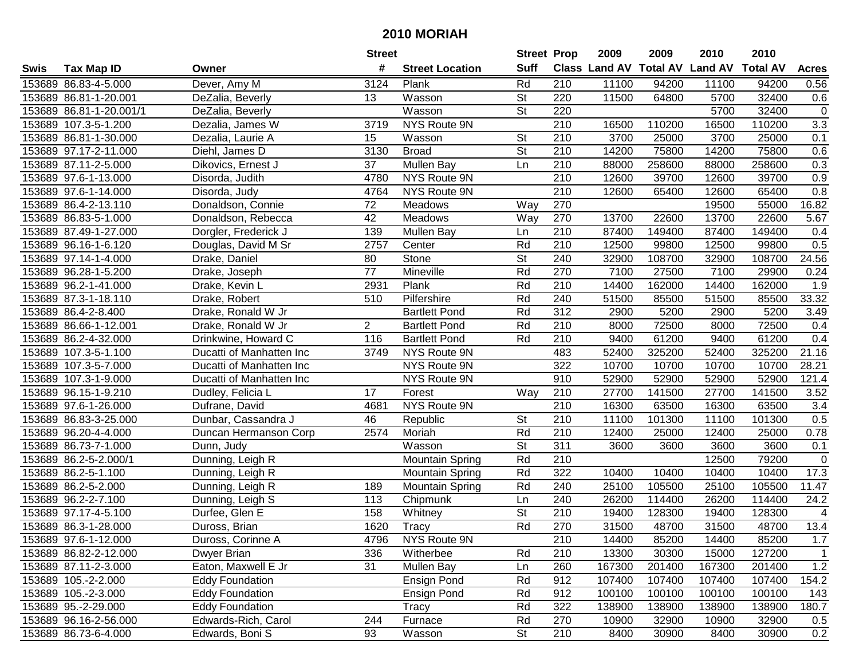|      |                         |                          | <b>Street</b>   |                        | <b>Street Prop</b>       |                  | 2009   | 2009   | 2010                                    | 2010   |                  |
|------|-------------------------|--------------------------|-----------------|------------------------|--------------------------|------------------|--------|--------|-----------------------------------------|--------|------------------|
| Swis | <b>Tax Map ID</b>       | Owner                    | #               | <b>Street Location</b> | <b>Suff</b>              |                  |        |        | Class Land AV Total AV Land AV Total AV |        | <b>Acres</b>     |
|      | 153689 86.83-4-5.000    | Dever, Amy M             | 3124            | Plank                  | Rd                       | 210              | 11100  | 94200  | 11100                                   | 94200  | 0.56             |
|      | 153689 86.81-1-20.001   | DeZalia, Beverly         | 13              | Wasson                 | <b>St</b>                | 220              | 11500  | 64800  | 5700                                    | 32400  | 0.6              |
|      | 153689 86.81-1-20.001/1 | DeZalia, Beverly         |                 | Wasson                 | <b>St</b>                | 220              |        |        | 5700                                    | 32400  | $\mathbf 0$      |
|      | 153689 107.3-5-1.200    | Dezalia, James W         | 3719            | NYS Route 9N           |                          | 210              | 16500  | 110200 | 16500                                   | 110200 | 3.3              |
|      | 153689 86.81-1-30.000   | Dezalia, Laurie A        | 15              | Wasson                 | $\overline{\mathsf{St}}$ | $\overline{210}$ | 3700   | 25000  | 3700                                    | 25000  | 0.1              |
|      | 153689 97.17-2-11.000   | Diehl, James D           | 3130            | <b>Broad</b>           | $\overline{\mathsf{St}}$ | 210              | 14200  | 75800  | 14200                                   | 75800  | 0.6              |
|      | 153689 87.11-2-5.000    | Dikovics, Ernest J       | $\overline{37}$ | <b>Mullen Bay</b>      | Ln                       | 210              | 88000  | 258600 | 88000                                   | 258600 | $\overline{0.3}$ |
|      | 153689 97.6-1-13.000    | Disorda, Judith          | 4780            | NYS Route 9N           |                          | 210              | 12600  | 39700  | 12600                                   | 39700  | 0.9              |
|      | 153689 97.6-1-14.000    | Disorda, Judy            | 4764            | <b>NYS Route 9N</b>    |                          | $\overline{210}$ | 12600  | 65400  | 12600                                   | 65400  | $\overline{0.8}$ |
|      | 153689 86.4-2-13.110    | Donaldson, Connie        | 72              | Meadows                | Way                      | 270              |        |        | 19500                                   | 55000  | 16.82            |
|      | 153689 86.83-5-1.000    | Donaldson, Rebecca       | 42              | Meadows                | Way                      | 270              | 13700  | 22600  | 13700                                   | 22600  | 5.67             |
|      | 153689 87.49-1-27.000   | Dorgler, Frederick J     | 139             | <b>Mullen Bay</b>      | Ln                       | 210              | 87400  | 149400 | 87400                                   | 149400 | 0.4              |
|      | 153689 96.16-1-6.120    | Douglas, David M Sr      | 2757            | Center                 | Rd                       | 210              | 12500  | 99800  | 12500                                   | 99800  | 0.5              |
|      | 153689 97.14-1-4.000    | Drake, Daniel            | 80              | Stone                  | <b>St</b>                | 240              | 32900  | 108700 | 32900                                   | 108700 | 24.56            |
|      | 153689 96.28-1-5.200    | Drake, Joseph            | 77              | Mineville              | Rd                       | 270              | 7100   | 27500  | 7100                                    | 29900  | 0.24             |
|      | 153689 96.2-1-41.000    | Drake, Kevin L           | 2931            | Plank                  | Rd                       | 210              | 14400  | 162000 | 14400                                   | 162000 | 1.9              |
|      | 153689 87.3-1-18.110    | Drake, Robert            | 510             | Pilfershire            | Rd                       | 240              | 51500  | 85500  | 51500                                   | 85500  | 33.32            |
|      | 153689 86.4-2-8.400     | Drake, Ronald W Jr       |                 | <b>Bartlett Pond</b>   | Rd                       | $\overline{312}$ | 2900   | 5200   | 2900                                    | 5200   | 3.49             |
|      | 153689 86.66-1-12.001   | Drake, Ronald W Jr       | $\overline{2}$  | <b>Bartlett Pond</b>   | Rd                       | 210              | 8000   | 72500  | 8000                                    | 72500  | 0.4              |
|      | 153689 86.2-4-32.000    | Drinkwine, Howard C      | 116             | <b>Bartlett Pond</b>   | Rd                       | 210              | 9400   | 61200  | 9400                                    | 61200  | 0.4              |
|      | 153689 107.3-5-1.100    | Ducatti of Manhatten Inc | 3749            | NYS Route 9N           |                          | 483              | 52400  | 325200 | 52400                                   | 325200 | 21.16            |
|      | 153689 107.3-5-7.000    | Ducatti of Manhatten Inc |                 | NYS Route 9N           |                          | 322              | 10700  | 10700  | 10700                                   | 10700  | 28.21            |
|      | 153689 107.3-1-9.000    | Ducatti of Manhatten Inc |                 | NYS Route 9N           |                          | 910              | 52900  | 52900  | 52900                                   | 52900  | 121.4            |
|      | 153689 96.15-1-9.210    | Dudley, Felicia L        | 17              | Forest                 | Way                      | 210              | 27700  | 141500 | 27700                                   | 141500 | 3.52             |
|      | 153689 97.6-1-26.000    | Dufrane, David           | 4681            | NYS Route 9N           |                          | 210              | 16300  | 63500  | 16300                                   | 63500  | 3.4              |
|      | 153689 86.83-3-25.000   | Dunbar, Cassandra J      | 46              | Republic               | <b>St</b>                | 210              | 11100  | 101300 | 11100                                   | 101300 | 0.5              |
|      | 153689 96.20-4-4.000    | Duncan Hermanson Corp    | 2574            | Moriah                 | Rd                       | 210              | 12400  | 25000  | 12400                                   | 25000  | 0.78             |
|      | 153689 86.73-7-1.000    | Dunn, Judy               |                 | Wasson                 | $\overline{\mathsf{St}}$ | 311              | 3600   | 3600   | 3600                                    | 3600   | 0.1              |
|      | 153689 86.2-5-2.000/1   | Dunning, Leigh R         |                 | <b>Mountain Spring</b> | Rd                       | 210              |        |        | 12500                                   | 79200  | $\mathbf 0$      |
|      | 153689 86.2-5-1.100     | Dunning, Leigh R         |                 | <b>Mountain Spring</b> | Rd                       | $\overline{322}$ | 10400  | 10400  | 10400                                   | 10400  | 17.3             |
|      | 153689 86.2-5-2.000     | Dunning, Leigh R         | 189             | <b>Mountain Spring</b> | Rd                       | 240              | 25100  | 105500 | 25100                                   | 105500 | 11.47            |
|      | 153689 96.2-2-7.100     | Dunning, Leigh S         | 113             | Chipmunk               | Ln                       | 240              | 26200  | 114400 | 26200                                   | 114400 | 24.2             |
|      | 153689 97.17-4-5.100    | Durfee, Glen E           | 158             | Whitney                | <b>St</b>                | 210              | 19400  | 128300 | 19400                                   | 128300 | 4                |
|      | 153689 86.3-1-28.000    | Duross, Brian            | 1620            | Tracy                  | Rd                       | 270              | 31500  | 48700  | 31500                                   | 48700  | 13.4             |
|      | 153689 97.6-1-12.000    | Duross, Corinne A        | 4796            | NYS Route 9N           |                          | 210              | 14400  | 85200  | 14400                                   | 85200  | 1.7              |
|      | 153689 86.82-2-12.000   | Dwyer Brian              | 336             | Witherbee              | Rd                       | 210              | 13300  | 30300  | 15000                                   | 127200 | $\overline{1}$   |
|      | 153689 87.11-2-3.000    | Eaton, Maxwell E Jr      | 31              | Mullen Bay             | Ln                       | 260              | 167300 | 201400 | 167300                                  | 201400 | 1.2              |
|      | 153689 105.-2-2.000     | <b>Eddy Foundation</b>   |                 | <b>Ensign Pond</b>     | Rd                       | 912              | 107400 | 107400 | 107400                                  | 107400 | 154.2            |
|      | 153689 105.-2-3.000     | <b>Eddy Foundation</b>   |                 | <b>Ensign Pond</b>     | Rd                       | 912              | 100100 | 100100 | 100100                                  | 100100 | 143              |
|      | 153689 95.-2-29.000     | <b>Eddy Foundation</b>   |                 | Tracy                  | Rd                       | 322              | 138900 | 138900 | 138900                                  | 138900 | 180.7            |
|      | 153689 96.16-2-56.000   | Edwards-Rich, Carol      | 244             | Furnace                | Rd                       | 270              | 10900  | 32900  | 10900                                   | 32900  | 0.5              |
|      | 153689 86.73-6-4.000    | Edwards, Boni S          | 93              | Wasson                 | <b>St</b>                | 210              | 8400   | 30900  | 8400                                    | 30900  | 0.2              |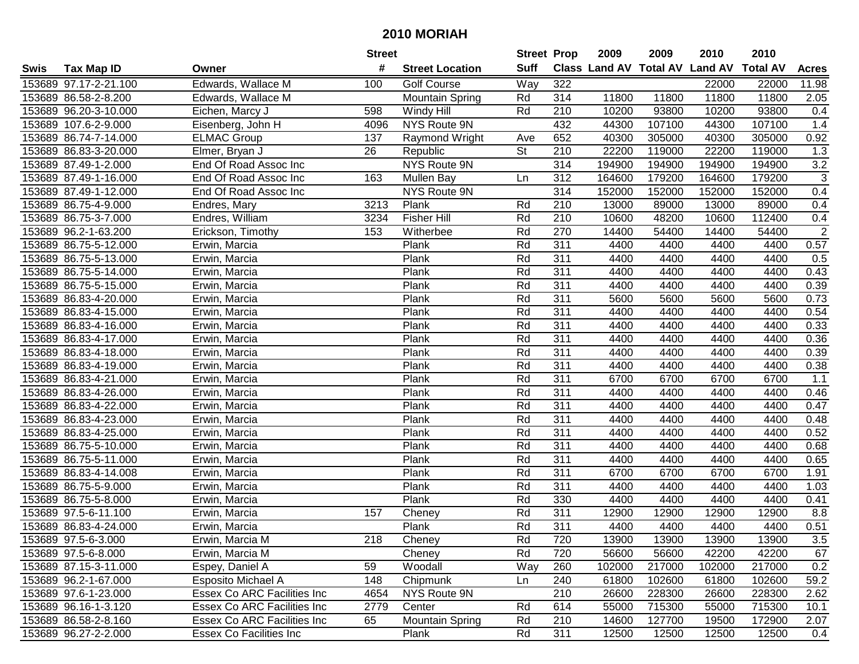|      |                       |                             | <b>Street</b> |                        | <b>Street Prop</b> |                  | 2009   | 2009   | 2010                           | 2010            |                |
|------|-----------------------|-----------------------------|---------------|------------------------|--------------------|------------------|--------|--------|--------------------------------|-----------------|----------------|
| Swis | <b>Tax Map ID</b>     | Owner                       | #             | <b>Street Location</b> | <b>Suff</b>        |                  |        |        | Class Land AV Total AV Land AV | <b>Total AV</b> | <b>Acres</b>   |
|      | 153689 97.17-2-21.100 | Edwards, Wallace M          | 100           | <b>Golf Course</b>     | Way                | 322              |        |        | 22000                          | 22000           | 11.98          |
|      | 153689 86.58-2-8.200  | Edwards, Wallace M          |               | <b>Mountain Spring</b> | Rd                 | 314              | 11800  | 11800  | 11800                          | 11800           | 2.05           |
|      | 153689 96.20-3-10.000 | Eichen, Marcy J             | 598           | Windy Hill             | Rd                 | 210              | 10200  | 93800  | 10200                          | 93800           | 0.4            |
|      | 153689 107.6-2-9.000  | Eisenberg, John H           | 4096          | NYS Route 9N           |                    | 432              | 44300  | 107100 | 44300                          | 107100          | 1.4            |
|      | 153689 86.74-7-14.000 | <b>ELMAC Group</b>          | 137           | Raymond Wright         | Ave                | 652              | 40300  | 305000 | 40300                          | 305000          | 0.92           |
|      | 153689 86.83-3-20.000 | Elmer, Bryan J              | 26            | Republic               | <b>St</b>          | 210              | 22200  | 119000 | 22200                          | 119000          | 1.3            |
|      | 153689 87.49-1-2.000  | End Of Road Assoc Inc       |               | <b>NYS Route 9N</b>    |                    | 314              | 194900 | 194900 | 194900                         | 194900          | 3.2            |
|      | 153689 87.49-1-16.000 | End Of Road Assoc Inc       | 163           | Mullen Bay             | Ln                 | $\overline{312}$ | 164600 | 179200 | 164600                         | 179200          | $\overline{3}$ |
|      | 153689 87.49-1-12.000 | End Of Road Assoc Inc       |               | <b>NYS Route 9N</b>    |                    | 314              | 152000 | 152000 | 152000                         | 152000          | 0.4            |
|      | 153689 86.75-4-9.000  | Endres, Mary                | 3213          | Plank                  | Rd                 | 210              | 13000  | 89000  | 13000                          | 89000           | 0.4            |
|      | 153689 86.75-3-7.000  | Endres, William             | 3234          | <b>Fisher Hill</b>     | Rd                 | 210              | 10600  | 48200  | 10600                          | 112400          | 0.4            |
|      | 153689 96.2-1-63.200  | Erickson, Timothy           | 153           | Witherbee              | Rd                 | 270              | 14400  | 54400  | 14400                          | 54400           | $\overline{2}$ |
|      | 153689 86.75-5-12.000 | Erwin, Marcia               |               | Plank                  | Rd                 | 311              | 4400   | 4400   | 4400                           | 4400            | 0.57           |
|      | 153689 86.75-5-13.000 | Erwin, Marcia               |               | Plank                  | Rd                 | 311              | 4400   | 4400   | 4400                           | 4400            | 0.5            |
|      | 153689 86.75-5-14.000 | Erwin, Marcia               |               | Plank                  | Rd                 | 311              | 4400   | 4400   | 4400                           | 4400            | 0.43           |
|      | 153689 86.75-5-15.000 | Erwin, Marcia               |               | Plank                  | Rd                 | 311              | 4400   | 4400   | 4400                           | 4400            | 0.39           |
|      | 153689 86.83-4-20.000 | Erwin, Marcia               |               | Plank                  | Rd                 | $\overline{311}$ | 5600   | 5600   | 5600                           | 5600            | 0.73           |
|      | 153689 86.83-4-15.000 | Erwin, Marcia               |               | Plank                  | Rd                 | 311              | 4400   | 4400   | 4400                           | 4400            | 0.54           |
|      | 153689 86.83-4-16.000 | Erwin, Marcia               |               | Plank                  | Rd                 | 311              | 4400   | 4400   | 4400                           | 4400            | 0.33           |
|      | 153689 86.83-4-17.000 | Erwin, Marcia               |               | Plank                  | Rd                 | 311              | 4400   | 4400   | 4400                           | 4400            | 0.36           |
|      | 153689 86.83-4-18.000 | Erwin, Marcia               |               | Plank                  | Rd                 | 311              | 4400   | 4400   | 4400                           | 4400            | 0.39           |
|      | 153689 86.83-4-19.000 | Erwin, Marcia               |               | Plank                  | Rd                 | 311              | 4400   | 4400   | 4400                           | 4400            | 0.38           |
|      | 153689 86.83-4-21.000 | Erwin, Marcia               |               | Plank                  | Rd                 | 311              | 6700   | 6700   | 6700                           | 6700            | 1.1            |
|      | 153689 86.83-4-26.000 | Erwin, Marcia               |               | Plank                  | Rd                 | 311              | 4400   | 4400   | 4400                           | 4400            | 0.46           |
|      | 153689 86.83-4-22.000 | Erwin, Marcia               |               | Plank                  | Rd                 | $\overline{311}$ | 4400   | 4400   | 4400                           | 4400            | 0.47           |
|      | 153689 86.83-4-23.000 | Erwin, Marcia               |               | Plank                  | Rd                 | 311              | 4400   | 4400   | 4400                           | 4400            | 0.48           |
|      | 153689 86.83-4-25.000 | Erwin, Marcia               |               | Plank                  | Rd                 | 311              | 4400   | 4400   | 4400                           | 4400            | 0.52           |
|      | 153689 86.75-5-10.000 | Erwin, Marcia               |               | Plank                  | Rd                 | 311              | 4400   | 4400   | 4400                           | 4400            | 0.68           |
|      | 153689 86.75-5-11.000 | Erwin, Marcia               |               | Plank                  | Rd                 | 311              | 4400   | 4400   | 4400                           | 4400            | 0.65           |
|      | 153689 86.83-4-14.008 | Erwin, Marcia               |               | Plank                  | Rd                 | $\overline{311}$ | 6700   | 6700   | 6700                           | 6700            | 1.91           |
|      | 153689 86.75-5-9.000  | Erwin, Marcia               |               | Plank                  | Rd                 | 311              | 4400   | 4400   | 4400                           | 4400            | 1.03           |
|      | 153689 86.75-5-8.000  | Erwin, Marcia               |               | Plank                  | Rd                 | 330              | 4400   | 4400   | 4400                           | 4400            | 0.41           |
|      | 153689 97.5-6-11.100  | Erwin, Marcia               | 157           | Cheney                 | Rd                 | 311              | 12900  | 12900  | 12900                          | 12900           | 8.8            |
|      | 153689 86.83-4-24.000 | Erwin, Marcia               |               | Plank                  | Rd                 | 311              | 4400   | 4400   | 4400                           | 4400            | 0.51           |
|      | 153689 97.5-6-3.000   | Erwin, Marcia M             | 218           | Cheney                 | Rd                 | 720              | 13900  | 13900  | 13900                          | 13900           | 3.5            |
|      | 153689 97.5-6-8.000   | Erwin, Marcia M             |               | Cheney                 | Rd                 | 720              | 56600  | 56600  | 42200                          | 42200           | 67             |
|      | 153689 87.15-3-11.000 | Espey, Daniel A             | 59            | Woodall                | Way                | 260              | 102000 | 217000 | 102000                         | 217000          | 0.2            |
|      | 153689 96.2-1-67.000  | Esposito Michael A          | 148           | Chipmunk               | Ln                 | 240              | 61800  | 102600 | 61800                          | 102600          | 59.2           |
|      | 153689 97.6-1-23.000  | Essex Co ARC Facilities Inc | 4654          | NYS Route 9N           |                    | 210              | 26600  | 228300 | 26600                          | 228300          | 2.62           |
|      | 153689 96.16-1-3.120  | Essex Co ARC Facilities Inc | 2779          | Center                 | Rd                 | 614              | 55000  | 715300 | 55000                          | 715300          | 10.1           |
|      | 153689 86.58-2-8.160  | Essex Co ARC Facilities Inc | 65            | <b>Mountain Spring</b> | Rd                 | 210              | 14600  | 127700 | 19500                          | 172900          | 2.07           |
|      | 153689 96.27-2-2.000  | Essex Co Facilities Inc     |               | Plank                  | Rd                 | 311              | 12500  | 12500  | 12500                          | 12500           | 0.4            |
|      |                       |                             |               |                        |                    |                  |        |        |                                |                 |                |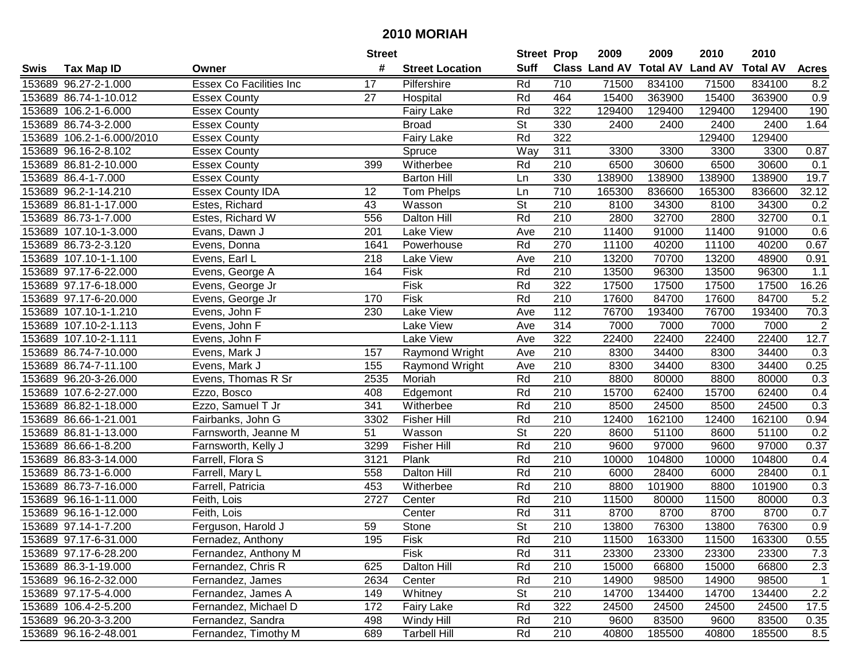|      |                           |                         | <b>Street</b> |                        | <b>Street Prop</b>       |                  | 2009                          | 2009   | 2010           | 2010            |                  |
|------|---------------------------|-------------------------|---------------|------------------------|--------------------------|------------------|-------------------------------|--------|----------------|-----------------|------------------|
| Swis | <b>Tax Map ID</b>         | Owner                   | #             | <b>Street Location</b> | <b>Suff</b>              |                  | <b>Class Land AV Total AV</b> |        | <b>Land AV</b> | <b>Total AV</b> | <b>Acres</b>     |
|      | 153689 96.27-2-1.000      | Essex Co Facilities Inc | 17            | Pilfershire            | Rd                       | 710              | 71500                         | 834100 | 71500          | 834100          | 8.2              |
|      | 153689 86.74-1-10.012     | <b>Essex County</b>     | 27            | Hospital               | Rd                       | 464              | 15400                         | 363900 | 15400          | 363900          | 0.9              |
|      | 153689 106.2-1-6.000      | <b>Essex County</b>     |               | <b>Fairy Lake</b>      | Rd                       | 322              | 129400                        | 129400 | 129400         | 129400          | 190              |
|      | 153689 86.74-3-2.000      | <b>Essex County</b>     |               | <b>Broad</b>           | <b>St</b>                | 330              | 2400                          | 2400   | 2400           | 2400            | 1.64             |
|      | 153689 106.2-1-6.000/2010 | <b>Essex County</b>     |               | Fairy Lake             | Rd                       | 322              |                               |        | 129400         | 129400          |                  |
|      | 153689 96.16-2-8.102      | <b>Essex County</b>     |               | Spruce                 | Way                      | 311              | 3300                          | 3300   | 3300           | 3300            | 0.87             |
|      | 153689 86.81-2-10.000     | <b>Essex County</b>     | 399           | Witherbee              | Rd                       | 210              | 6500                          | 30600  | 6500           | 30600           | 0.1              |
|      | 153689 86.4-1-7.000       | <b>Essex County</b>     |               | <b>Barton Hill</b>     | Ln                       | 330              | 138900                        | 138900 | 138900         | 138900          | 19.7             |
|      | 153689 96.2-1-14.210      | <b>Essex County IDA</b> | 12            | <b>Tom Phelps</b>      | Ln                       | $\overline{710}$ | 165300                        | 836600 | 165300         | 836600          | 32.12            |
|      | 153689 86.81-1-17.000     | Estes, Richard          | 43            | Wasson                 | $\overline{\mathsf{St}}$ | 210              | 8100                          | 34300  | 8100           | 34300           | 0.2              |
|      | 153689 86.73-1-7.000      | Estes, Richard W        | 556           | Dalton Hill            | Rd                       | 210              | 2800                          | 32700  | 2800           | 32700           | 0.1              |
|      | 153689 107.10-1-3.000     | Evans, Dawn J           | 201           | Lake View              | Ave                      | 210              | 11400                         | 91000  | 11400          | 91000           | 0.6              |
|      | 153689 86.73-2-3.120      | Evens, Donna            | 1641          | Powerhouse             | Rd                       | 270              | 11100                         | 40200  | 11100          | 40200           | 0.67             |
|      | 153689 107.10-1-1.100     | Evens, Earl L           | 218           | Lake View              | Ave                      | 210              | 13200                         | 70700  | 13200          | 48900           | 0.91             |
|      | 153689 97.17-6-22.000     | Evens, George A         | 164           | Fisk                   | Rd                       | 210              | 13500                         | 96300  | 13500          | 96300           | 1.1              |
|      | 153689 97.17-6-18.000     | Evens, George Jr        |               | Fisk                   | Rd                       | 322              | 17500                         | 17500  | 17500          | 17500           | 16.26            |
|      | 153689 97.17-6-20.000     | Evens, George Jr        | 170           | Fisk                   | Rd                       | $\overline{210}$ | 17600                         | 84700  | 17600          | 84700           | 5.2              |
|      | 153689 107.10-1-1.210     | Evens, John F           | 230           | <b>Lake View</b>       | Ave                      | 112              | 76700                         | 193400 | 76700          | 193400          | 70.3             |
|      | 153689 107.10-2-1.113     | Evens, John F           |               | Lake View              | Ave                      | 314              | 7000                          | 7000   | 7000           | 7000            | $\overline{c}$   |
|      | 153689 107.10-2-1.111     | Evens, John F           |               | Lake View              | Ave                      | 322              | 22400                         | 22400  | 22400          | 22400           | 12.7             |
|      | 153689 86.74-7-10.000     | Evens, Mark J           | 157           | Raymond Wright         | Ave                      | 210              | 8300                          | 34400  | 8300           | 34400           | 0.3              |
|      | 153689 86.74-7-11.100     | Evens, Mark J           | 155           | Raymond Wright         | Ave                      | 210              | 8300                          | 34400  | 8300           | 34400           | 0.25             |
|      | 153689 96.20-3-26.000     | Evens, Thomas R Sr      | 2535          | Moriah                 | Rd                       | 210              | 8800                          | 80000  | 8800           | 80000           | 0.3              |
|      | 153689 107.6-2-27.000     | Ezzo, Bosco             | 408           | Edgemont               | Rd                       | 210              | 15700                         | 62400  | 15700          | 62400           | 0.4              |
|      | 153689 86.82-1-18.000     | Ezzo, Samuel T Jr       | 341           | Witherbee              | Rd                       | 210              | 8500                          | 24500  | 8500           | 24500           | 0.3              |
|      | 153689 86.66-1-21.001     | Fairbanks, John G       | 3302          | Fisher Hill            | Rd                       | 210              | 12400                         | 162100 | 12400          | 162100          | 0.94             |
|      | 153689 86.81-1-13.000     | Farnsworth, Jeanne M    | 51            | Wasson                 | $\overline{\mathsf{St}}$ | 220              | 8600                          | 51100  | 8600           | 51100           | 0.2              |
|      | 153689 86.66-1-8.200      | Farnsworth, Kelly J     | 3299          | <b>Fisher Hill</b>     | Rd                       | 210              | 9600                          | 97000  | 9600           | 97000           | 0.37             |
|      | 153689 86.83-3-14.000     | Farrell, Flora S        | 3121          | Plank                  | Rd                       | 210              | 10000                         | 104800 | 10000          | 104800          | 0.4              |
|      | 153689 86.73-1-6.000      | Farrell, Mary L         | 558           | Dalton Hill            | Rd                       | 210              | 6000                          | 28400  | 6000           | 28400           | 0.1              |
|      | 153689 86.73-7-16.000     | Farrell, Patricia       | 453           | Witherbee              | Rd                       | $\overline{210}$ | 8800                          | 101900 | 8800           | 101900          | $\overline{0.3}$ |
|      | 153689 96.16-1-11.000     | Feith, Lois             | 2727          | Center                 | Rd                       | 210              | 11500                         | 80000  | 11500          | 80000           | 0.3              |
|      | 153689 96.16-1-12.000     | Feith, Lois             |               | Center                 | Rd                       | 311              | 8700                          | 8700   | 8700           | 8700            | 0.7              |
|      | 153689 97.14-1-7.200      | Ferguson, Harold J      | 59            | Stone                  | $\overline{\mathsf{St}}$ | $\overline{210}$ | 13800                         | 76300  | 13800          | 76300           | $\overline{0.9}$ |
|      | 153689 97.17-6-31.000     | Fernadez, Anthony       | 195           | Fisk                   | Rd                       | 210              | 11500                         | 163300 | 11500          | 163300          | 0.55             |
|      | 153689 97.17-6-28.200     | Fernandez, Anthony M    |               | Fisk                   | Rd                       | 311              | 23300                         | 23300  | 23300          | 23300           | 7.3              |
|      | 153689 86.3-1-19.000      | Fernandez, Chris R      | 625           | Dalton Hill            | Rd                       | 210              | 15000                         | 66800  | 15000          | 66800           | 2.3              |
|      | 153689 96.16-2-32.000     | Fernandez, James        | 2634          | Center                 | Rd                       | 210              | 14900                         | 98500  | 14900          | 98500           | $\mathbf{1}$     |
|      | 153689 97.17-5-4.000      | Fernandez, James A      | 149           | Whitney                | <b>St</b>                | 210              | 14700                         | 134400 | 14700          | 134400          | 2.2              |
|      | 153689 106.4-2-5.200      | Fernandez, Michael D    | 172           | <b>Fairy Lake</b>      | Rd                       | 322              | 24500                         | 24500  | 24500          | 24500           | 17.5             |
|      | 153689 96.20-3-3.200      | Fernandez, Sandra       | 498           | Windy Hill             | Rd                       | 210              | 9600                          | 83500  | 9600           | 83500           | 0.35             |
|      | 153689 96.16-2-48.001     | Fernandez, Timothy M    | 689           | <b>Tarbell Hill</b>    | Rd                       | 210              | 40800                         | 185500 | 40800          | 185500          | $\overline{8.5}$ |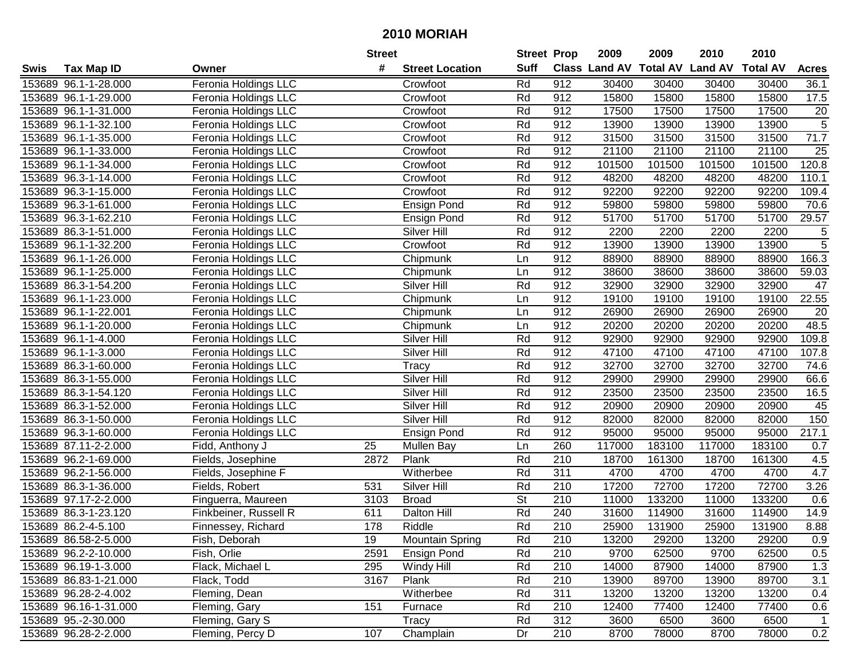| #<br><b>Suff</b><br><b>Total AV Land AV</b><br><b>Class Land AV</b><br><b>Total AV</b><br><b>Tax Map ID</b><br><b>Street Location</b><br><b>Acres</b><br>Swis<br>Owner<br>Rd<br>912<br>Feronia Holdings LLC<br>30400<br>30400<br>30400<br>30400<br>153689 96.1-1-28.000<br>Crowfoot<br>36.1<br>Crowfoot<br>Rd<br>912<br>15800<br>15800<br>15800<br>15800<br>17.5<br>153689 96.1-1-29.000<br>Feronia Holdings LLC<br>Rd<br>912<br>17500<br>17500<br>17500<br>17500<br>20<br>153689 96.1-1-31.000<br>Feronia Holdings LLC<br>Crowfoot<br>$\overline{5}$<br>Rd<br>912<br>13900<br>13900<br>153689 96.1-1-32.100<br>Feronia Holdings LLC<br>13900<br>13900<br>Crowfoot<br>71.7<br>Rd<br>912<br>31500<br>31500<br>31500<br>31500<br>153689 96.1-1-35.000<br>Feronia Holdings LLC<br>Crowfoot<br>21100<br>$\overline{25}$<br>Rd<br>912<br>21100<br>21100<br>21100<br>153689 96.1-1-33.000<br>Feronia Holdings LLC<br>Crowfoot<br>120.8<br>Rd<br>912<br>101500<br>101500<br>101500<br>153689 96.1-1-34.000<br>Feronia Holdings LLC<br>101500<br>Crowfoot<br>110.1<br>Rd<br>912<br>48200<br>48200<br>153689 96.3-1-14.000<br>Feronia Holdings LLC<br>48200<br>48200<br>Crowfoot<br>Rd<br>912<br>92200<br>92200<br>92200<br>92200<br>109.4<br>153689 96.3-1-15.000<br>Feronia Holdings LLC<br>Crowfoot<br>Rd<br>912<br>59800<br>59800<br>59800<br>70.6<br>153689 96.3-1-61.000<br>Feronia Holdings LLC<br><b>Ensign Pond</b><br>59800<br>Rd<br>912<br>51700<br>51700<br>153689 96.3-1-62.210<br>Feronia Holdings LLC<br>51700<br>51700<br>29.57<br>Ensign Pond<br>Rd<br>912<br>2200<br>2200<br>2200<br>2200<br>5<br>153689 86.3-1-51.000<br>Feronia Holdings LLC<br>Silver Hill<br>$\overline{5}$<br>912<br>Rd<br>13900<br>13900<br>13900<br>153689 96.1-1-32.200<br>13900<br>Feronia Holdings LLC<br>Crowfoot<br>912<br>88900<br>88900<br>88900<br>166.3<br>153689 96.1-1-26.000<br>Feronia Holdings LLC<br>Chipmunk<br>Ln<br>88900<br>912<br>38600<br>38600<br>38600<br>59.03<br>153689 96.1-1-25.000<br>Feronia Holdings LLC<br>Ln<br>38600<br>Chipmunk<br>Rd<br>912<br>32900<br>153689 86.3-1-54.200<br>Feronia Holdings LLC<br>Silver Hill<br>32900<br>32900<br>32900<br>47<br>912<br>22.55<br>153689 96.1-1-23.000<br>19100<br>19100<br>19100<br>19100<br>Feronia Holdings LLC<br>Ln<br>Chipmunk<br>912<br>26900<br>153689 96.1-1-22.001<br>Feronia Holdings LLC<br>Chipmunk<br>Ln<br>26900<br>26900<br>26900<br>20<br>48.5<br>912<br>20200<br>20200<br>153689 96.1-1-20.000<br>Feronia Holdings LLC<br>Chipmunk<br>Ln<br>20200<br>20200<br>153689 96.1-1-4.000<br>Rd<br>912<br>92900<br>92900<br>92900<br>92900<br>109.8<br>Feronia Holdings LLC<br>Silver Hill<br>Rd<br>912<br>47100<br>47100<br>107.8<br>153689 96.1-1-3.000<br>Feronia Holdings LLC<br>Silver Hill<br>47100<br>47100<br>Rd<br>Tracy<br>912<br>32700<br>32700<br>32700<br>32700<br>74.6<br>153689 86.3-1-60.000<br>Feronia Holdings LLC<br>Rd<br>Silver Hill<br>912<br>29900<br>29900<br>29900<br>66.6<br>153689 86.3-1-55.000<br>Feronia Holdings LLC<br>29900<br>Rd<br>912<br>23500<br>23500<br>23500<br>23500<br>16.5<br>153689 86.3-1-54.120<br>Silver Hill<br>Feronia Holdings LLC<br>Silver Hill<br>Rd<br>912<br>20900<br>20900<br>45<br>153689 86.3-1-52.000<br>20900<br>20900<br>Feronia Holdings LLC<br>Rd<br>912<br>82000<br>150<br>Silver Hill<br>82000<br>153689 86.3-1-50.000<br>Feronia Holdings LLC<br>82000<br>82000<br>Rd<br>912<br>95000<br>95000<br>95000<br>217.1<br>153689 96.3-1-60.000<br>95000<br>Feronia Holdings LLC<br><b>Ensign Pond</b><br>153689 87.11-2-2.000<br>25<br>260<br>117000<br>183100<br>117000<br>183100<br>Fidd, Anthony J<br>Mullen Bay<br>Ln<br>0.7<br>210<br>2872<br>Plank<br>Rd<br>18700<br>161300<br>161300<br>4.5<br>153689 96.2-1-69.000<br>18700<br>Fields, Josephine<br>Rd<br>311<br>4700<br>4.7<br>4700<br>4700<br>4700<br>153689 96.2-1-56.000<br>Witherbee<br>Fields, Josephine F<br>Rd<br>$\overline{210}$<br>17200<br>72700<br>17200<br>72700<br>153689 86.3-1-36.000<br>531<br>Silver Hill<br>3.26<br>Fields, Robert<br>$\overline{\mathsf{St}}$<br>153689 97.17-2-2.000<br>210<br>133200<br>133200<br>Finguerra, Maureen<br>3103<br><b>Broad</b><br>11000<br>11000<br>0.6<br>Rd<br>240<br>31600<br>14.9<br>153689 86.3-1-23.120<br>611<br><b>Dalton Hill</b><br>114900<br>31600<br>114900<br>Finkbeiner, Russell R<br>Rd<br>$\overline{210}$<br>8.88<br>178<br>Riddle<br>25900<br>131900<br>25900<br>131900<br>153689 86.2-4-5.100<br>Finnessey, Richard<br>153689 86.58-2-5.000<br>Fish, Deborah<br>19<br><b>Mountain Spring</b><br>Rd<br>210<br>13200<br>29200<br>13200<br>29200<br>0.9<br>153689 96.2-2-10.000<br>Fish, Orlie<br>2591<br><b>Ensign Pond</b><br>Rd<br>210<br>9700<br>62500<br>9700<br>62500<br>0.5<br>Rd<br>1.3<br>153689 96.19-1-3.000<br>Flack, Michael L<br>295<br>Windy Hill<br>210<br>14000<br>87900<br>14000<br>87900<br>153689 86.83-1-21.000<br>3167<br>Plank<br>Rd<br>210<br>13900<br>89700<br>3.1<br>Flack, Todd<br>89700<br>13900<br>Rd<br>311<br>153689 96.28-2-4.002<br>Fleming, Dean<br>Witherbee<br>13200<br>13200<br>13200<br>13200<br>0.4<br>151<br>210<br>153689 96.16-1-31.000<br>Fleming, Gary<br>Furnace<br>Rd<br>12400<br>77400<br>12400<br>77400<br>0.6<br>312<br>153689 95.-2-30.000<br>Fleming, Gary S<br>Tracy<br>Rd<br>3600<br>6500<br>6500<br>3600<br>$\mathbf 1$<br>210<br>153689 96.28-2-2.000<br>Fleming, Percy D<br>107<br>Dr<br>8700<br>8700<br>78000<br>0.2<br>Champlain<br>78000 |  | <b>Street</b> | <b>Street Prop</b> | 2009 | 2009 | 2010 | 2010 |  |
|-----------------------------------------------------------------------------------------------------------------------------------------------------------------------------------------------------------------------------------------------------------------------------------------------------------------------------------------------------------------------------------------------------------------------------------------------------------------------------------------------------------------------------------------------------------------------------------------------------------------------------------------------------------------------------------------------------------------------------------------------------------------------------------------------------------------------------------------------------------------------------------------------------------------------------------------------------------------------------------------------------------------------------------------------------------------------------------------------------------------------------------------------------------------------------------------------------------------------------------------------------------------------------------------------------------------------------------------------------------------------------------------------------------------------------------------------------------------------------------------------------------------------------------------------------------------------------------------------------------------------------------------------------------------------------------------------------------------------------------------------------------------------------------------------------------------------------------------------------------------------------------------------------------------------------------------------------------------------------------------------------------------------------------------------------------------------------------------------------------------------------------------------------------------------------------------------------------------------------------------------------------------------------------------------------------------------------------------------------------------------------------------------------------------------------------------------------------------------------------------------------------------------------------------------------------------------------------------------------------------------------------------------------------------------------------------------------------------------------------------------------------------------------------------------------------------------------------------------------------------------------------------------------------------------------------------------------------------------------------------------------------------------------------------------------------------------------------------------------------------------------------------------------------------------------------------------------------------------------------------------------------------------------------------------------------------------------------------------------------------------------------------------------------------------------------------------------------------------------------------------------------------------------------------------------------------------------------------------------------------------------------------------------------------------------------------------------------------------------------------------------------------------------------------------------------------------------------------------------------------------------------------------------------------------------------------------------------------------------------------------------------------------------------------------------------------------------------------------------------------------------------------------------------------------------------------------------------------------------------------------------------------------------------------------------------------------------------------------------------------------------------------------------------------------------------------------------------------------------------------------------------------------------------------------------------------------------------------------------------------------------------------------------------------------------------------------------------------------------------------------------------------------------------------------------------------------------------------------------------------------------------------------------------------------------------------------------------------------------------------------------------------------------------------------------------------------------------------------------------------------------------------------------------------------------------------------------------------------------------------------------------------------------------------------------------------------------------------------------------------------------------------------------------------------------------------------------------------|--|---------------|--------------------|------|------|------|------|--|
|                                                                                                                                                                                                                                                                                                                                                                                                                                                                                                                                                                                                                                                                                                                                                                                                                                                                                                                                                                                                                                                                                                                                                                                                                                                                                                                                                                                                                                                                                                                                                                                                                                                                                                                                                                                                                                                                                                                                                                                                                                                                                                                                                                                                                                                                                                                                                                                                                                                                                                                                                                                                                                                                                                                                                                                                                                                                                                                                                                                                                                                                                                                                                                                                                                                                                                                                                                                                                                                                                                                                                                                                                                                                                                                                                                                                                                                                                                                                                                                                                                                                                                                                                                                                                                                                                                                                                                                                                                                                                                                                                                                                                                                                                                                                                                                                                                                                                                                                                                                                                                                                                                                                                                                                                                                                                                                                                                                                                                                                 |  |               |                    |      |      |      |      |  |
|                                                                                                                                                                                                                                                                                                                                                                                                                                                                                                                                                                                                                                                                                                                                                                                                                                                                                                                                                                                                                                                                                                                                                                                                                                                                                                                                                                                                                                                                                                                                                                                                                                                                                                                                                                                                                                                                                                                                                                                                                                                                                                                                                                                                                                                                                                                                                                                                                                                                                                                                                                                                                                                                                                                                                                                                                                                                                                                                                                                                                                                                                                                                                                                                                                                                                                                                                                                                                                                                                                                                                                                                                                                                                                                                                                                                                                                                                                                                                                                                                                                                                                                                                                                                                                                                                                                                                                                                                                                                                                                                                                                                                                                                                                                                                                                                                                                                                                                                                                                                                                                                                                                                                                                                                                                                                                                                                                                                                                                                 |  |               |                    |      |      |      |      |  |
|                                                                                                                                                                                                                                                                                                                                                                                                                                                                                                                                                                                                                                                                                                                                                                                                                                                                                                                                                                                                                                                                                                                                                                                                                                                                                                                                                                                                                                                                                                                                                                                                                                                                                                                                                                                                                                                                                                                                                                                                                                                                                                                                                                                                                                                                                                                                                                                                                                                                                                                                                                                                                                                                                                                                                                                                                                                                                                                                                                                                                                                                                                                                                                                                                                                                                                                                                                                                                                                                                                                                                                                                                                                                                                                                                                                                                                                                                                                                                                                                                                                                                                                                                                                                                                                                                                                                                                                                                                                                                                                                                                                                                                                                                                                                                                                                                                                                                                                                                                                                                                                                                                                                                                                                                                                                                                                                                                                                                                                                 |  |               |                    |      |      |      |      |  |
|                                                                                                                                                                                                                                                                                                                                                                                                                                                                                                                                                                                                                                                                                                                                                                                                                                                                                                                                                                                                                                                                                                                                                                                                                                                                                                                                                                                                                                                                                                                                                                                                                                                                                                                                                                                                                                                                                                                                                                                                                                                                                                                                                                                                                                                                                                                                                                                                                                                                                                                                                                                                                                                                                                                                                                                                                                                                                                                                                                                                                                                                                                                                                                                                                                                                                                                                                                                                                                                                                                                                                                                                                                                                                                                                                                                                                                                                                                                                                                                                                                                                                                                                                                                                                                                                                                                                                                                                                                                                                                                                                                                                                                                                                                                                                                                                                                                                                                                                                                                                                                                                                                                                                                                                                                                                                                                                                                                                                                                                 |  |               |                    |      |      |      |      |  |
|                                                                                                                                                                                                                                                                                                                                                                                                                                                                                                                                                                                                                                                                                                                                                                                                                                                                                                                                                                                                                                                                                                                                                                                                                                                                                                                                                                                                                                                                                                                                                                                                                                                                                                                                                                                                                                                                                                                                                                                                                                                                                                                                                                                                                                                                                                                                                                                                                                                                                                                                                                                                                                                                                                                                                                                                                                                                                                                                                                                                                                                                                                                                                                                                                                                                                                                                                                                                                                                                                                                                                                                                                                                                                                                                                                                                                                                                                                                                                                                                                                                                                                                                                                                                                                                                                                                                                                                                                                                                                                                                                                                                                                                                                                                                                                                                                                                                                                                                                                                                                                                                                                                                                                                                                                                                                                                                                                                                                                                                 |  |               |                    |      |      |      |      |  |
|                                                                                                                                                                                                                                                                                                                                                                                                                                                                                                                                                                                                                                                                                                                                                                                                                                                                                                                                                                                                                                                                                                                                                                                                                                                                                                                                                                                                                                                                                                                                                                                                                                                                                                                                                                                                                                                                                                                                                                                                                                                                                                                                                                                                                                                                                                                                                                                                                                                                                                                                                                                                                                                                                                                                                                                                                                                                                                                                                                                                                                                                                                                                                                                                                                                                                                                                                                                                                                                                                                                                                                                                                                                                                                                                                                                                                                                                                                                                                                                                                                                                                                                                                                                                                                                                                                                                                                                                                                                                                                                                                                                                                                                                                                                                                                                                                                                                                                                                                                                                                                                                                                                                                                                                                                                                                                                                                                                                                                                                 |  |               |                    |      |      |      |      |  |
|                                                                                                                                                                                                                                                                                                                                                                                                                                                                                                                                                                                                                                                                                                                                                                                                                                                                                                                                                                                                                                                                                                                                                                                                                                                                                                                                                                                                                                                                                                                                                                                                                                                                                                                                                                                                                                                                                                                                                                                                                                                                                                                                                                                                                                                                                                                                                                                                                                                                                                                                                                                                                                                                                                                                                                                                                                                                                                                                                                                                                                                                                                                                                                                                                                                                                                                                                                                                                                                                                                                                                                                                                                                                                                                                                                                                                                                                                                                                                                                                                                                                                                                                                                                                                                                                                                                                                                                                                                                                                                                                                                                                                                                                                                                                                                                                                                                                                                                                                                                                                                                                                                                                                                                                                                                                                                                                                                                                                                                                 |  |               |                    |      |      |      |      |  |
|                                                                                                                                                                                                                                                                                                                                                                                                                                                                                                                                                                                                                                                                                                                                                                                                                                                                                                                                                                                                                                                                                                                                                                                                                                                                                                                                                                                                                                                                                                                                                                                                                                                                                                                                                                                                                                                                                                                                                                                                                                                                                                                                                                                                                                                                                                                                                                                                                                                                                                                                                                                                                                                                                                                                                                                                                                                                                                                                                                                                                                                                                                                                                                                                                                                                                                                                                                                                                                                                                                                                                                                                                                                                                                                                                                                                                                                                                                                                                                                                                                                                                                                                                                                                                                                                                                                                                                                                                                                                                                                                                                                                                                                                                                                                                                                                                                                                                                                                                                                                                                                                                                                                                                                                                                                                                                                                                                                                                                                                 |  |               |                    |      |      |      |      |  |
|                                                                                                                                                                                                                                                                                                                                                                                                                                                                                                                                                                                                                                                                                                                                                                                                                                                                                                                                                                                                                                                                                                                                                                                                                                                                                                                                                                                                                                                                                                                                                                                                                                                                                                                                                                                                                                                                                                                                                                                                                                                                                                                                                                                                                                                                                                                                                                                                                                                                                                                                                                                                                                                                                                                                                                                                                                                                                                                                                                                                                                                                                                                                                                                                                                                                                                                                                                                                                                                                                                                                                                                                                                                                                                                                                                                                                                                                                                                                                                                                                                                                                                                                                                                                                                                                                                                                                                                                                                                                                                                                                                                                                                                                                                                                                                                                                                                                                                                                                                                                                                                                                                                                                                                                                                                                                                                                                                                                                                                                 |  |               |                    |      |      |      |      |  |
|                                                                                                                                                                                                                                                                                                                                                                                                                                                                                                                                                                                                                                                                                                                                                                                                                                                                                                                                                                                                                                                                                                                                                                                                                                                                                                                                                                                                                                                                                                                                                                                                                                                                                                                                                                                                                                                                                                                                                                                                                                                                                                                                                                                                                                                                                                                                                                                                                                                                                                                                                                                                                                                                                                                                                                                                                                                                                                                                                                                                                                                                                                                                                                                                                                                                                                                                                                                                                                                                                                                                                                                                                                                                                                                                                                                                                                                                                                                                                                                                                                                                                                                                                                                                                                                                                                                                                                                                                                                                                                                                                                                                                                                                                                                                                                                                                                                                                                                                                                                                                                                                                                                                                                                                                                                                                                                                                                                                                                                                 |  |               |                    |      |      |      |      |  |
|                                                                                                                                                                                                                                                                                                                                                                                                                                                                                                                                                                                                                                                                                                                                                                                                                                                                                                                                                                                                                                                                                                                                                                                                                                                                                                                                                                                                                                                                                                                                                                                                                                                                                                                                                                                                                                                                                                                                                                                                                                                                                                                                                                                                                                                                                                                                                                                                                                                                                                                                                                                                                                                                                                                                                                                                                                                                                                                                                                                                                                                                                                                                                                                                                                                                                                                                                                                                                                                                                                                                                                                                                                                                                                                                                                                                                                                                                                                                                                                                                                                                                                                                                                                                                                                                                                                                                                                                                                                                                                                                                                                                                                                                                                                                                                                                                                                                                                                                                                                                                                                                                                                                                                                                                                                                                                                                                                                                                                                                 |  |               |                    |      |      |      |      |  |
|                                                                                                                                                                                                                                                                                                                                                                                                                                                                                                                                                                                                                                                                                                                                                                                                                                                                                                                                                                                                                                                                                                                                                                                                                                                                                                                                                                                                                                                                                                                                                                                                                                                                                                                                                                                                                                                                                                                                                                                                                                                                                                                                                                                                                                                                                                                                                                                                                                                                                                                                                                                                                                                                                                                                                                                                                                                                                                                                                                                                                                                                                                                                                                                                                                                                                                                                                                                                                                                                                                                                                                                                                                                                                                                                                                                                                                                                                                                                                                                                                                                                                                                                                                                                                                                                                                                                                                                                                                                                                                                                                                                                                                                                                                                                                                                                                                                                                                                                                                                                                                                                                                                                                                                                                                                                                                                                                                                                                                                                 |  |               |                    |      |      |      |      |  |
|                                                                                                                                                                                                                                                                                                                                                                                                                                                                                                                                                                                                                                                                                                                                                                                                                                                                                                                                                                                                                                                                                                                                                                                                                                                                                                                                                                                                                                                                                                                                                                                                                                                                                                                                                                                                                                                                                                                                                                                                                                                                                                                                                                                                                                                                                                                                                                                                                                                                                                                                                                                                                                                                                                                                                                                                                                                                                                                                                                                                                                                                                                                                                                                                                                                                                                                                                                                                                                                                                                                                                                                                                                                                                                                                                                                                                                                                                                                                                                                                                                                                                                                                                                                                                                                                                                                                                                                                                                                                                                                                                                                                                                                                                                                                                                                                                                                                                                                                                                                                                                                                                                                                                                                                                                                                                                                                                                                                                                                                 |  |               |                    |      |      |      |      |  |
|                                                                                                                                                                                                                                                                                                                                                                                                                                                                                                                                                                                                                                                                                                                                                                                                                                                                                                                                                                                                                                                                                                                                                                                                                                                                                                                                                                                                                                                                                                                                                                                                                                                                                                                                                                                                                                                                                                                                                                                                                                                                                                                                                                                                                                                                                                                                                                                                                                                                                                                                                                                                                                                                                                                                                                                                                                                                                                                                                                                                                                                                                                                                                                                                                                                                                                                                                                                                                                                                                                                                                                                                                                                                                                                                                                                                                                                                                                                                                                                                                                                                                                                                                                                                                                                                                                                                                                                                                                                                                                                                                                                                                                                                                                                                                                                                                                                                                                                                                                                                                                                                                                                                                                                                                                                                                                                                                                                                                                                                 |  |               |                    |      |      |      |      |  |
|                                                                                                                                                                                                                                                                                                                                                                                                                                                                                                                                                                                                                                                                                                                                                                                                                                                                                                                                                                                                                                                                                                                                                                                                                                                                                                                                                                                                                                                                                                                                                                                                                                                                                                                                                                                                                                                                                                                                                                                                                                                                                                                                                                                                                                                                                                                                                                                                                                                                                                                                                                                                                                                                                                                                                                                                                                                                                                                                                                                                                                                                                                                                                                                                                                                                                                                                                                                                                                                                                                                                                                                                                                                                                                                                                                                                                                                                                                                                                                                                                                                                                                                                                                                                                                                                                                                                                                                                                                                                                                                                                                                                                                                                                                                                                                                                                                                                                                                                                                                                                                                                                                                                                                                                                                                                                                                                                                                                                                                                 |  |               |                    |      |      |      |      |  |
|                                                                                                                                                                                                                                                                                                                                                                                                                                                                                                                                                                                                                                                                                                                                                                                                                                                                                                                                                                                                                                                                                                                                                                                                                                                                                                                                                                                                                                                                                                                                                                                                                                                                                                                                                                                                                                                                                                                                                                                                                                                                                                                                                                                                                                                                                                                                                                                                                                                                                                                                                                                                                                                                                                                                                                                                                                                                                                                                                                                                                                                                                                                                                                                                                                                                                                                                                                                                                                                                                                                                                                                                                                                                                                                                                                                                                                                                                                                                                                                                                                                                                                                                                                                                                                                                                                                                                                                                                                                                                                                                                                                                                                                                                                                                                                                                                                                                                                                                                                                                                                                                                                                                                                                                                                                                                                                                                                                                                                                                 |  |               |                    |      |      |      |      |  |
|                                                                                                                                                                                                                                                                                                                                                                                                                                                                                                                                                                                                                                                                                                                                                                                                                                                                                                                                                                                                                                                                                                                                                                                                                                                                                                                                                                                                                                                                                                                                                                                                                                                                                                                                                                                                                                                                                                                                                                                                                                                                                                                                                                                                                                                                                                                                                                                                                                                                                                                                                                                                                                                                                                                                                                                                                                                                                                                                                                                                                                                                                                                                                                                                                                                                                                                                                                                                                                                                                                                                                                                                                                                                                                                                                                                                                                                                                                                                                                                                                                                                                                                                                                                                                                                                                                                                                                                                                                                                                                                                                                                                                                                                                                                                                                                                                                                                                                                                                                                                                                                                                                                                                                                                                                                                                                                                                                                                                                                                 |  |               |                    |      |      |      |      |  |
|                                                                                                                                                                                                                                                                                                                                                                                                                                                                                                                                                                                                                                                                                                                                                                                                                                                                                                                                                                                                                                                                                                                                                                                                                                                                                                                                                                                                                                                                                                                                                                                                                                                                                                                                                                                                                                                                                                                                                                                                                                                                                                                                                                                                                                                                                                                                                                                                                                                                                                                                                                                                                                                                                                                                                                                                                                                                                                                                                                                                                                                                                                                                                                                                                                                                                                                                                                                                                                                                                                                                                                                                                                                                                                                                                                                                                                                                                                                                                                                                                                                                                                                                                                                                                                                                                                                                                                                                                                                                                                                                                                                                                                                                                                                                                                                                                                                                                                                                                                                                                                                                                                                                                                                                                                                                                                                                                                                                                                                                 |  |               |                    |      |      |      |      |  |
|                                                                                                                                                                                                                                                                                                                                                                                                                                                                                                                                                                                                                                                                                                                                                                                                                                                                                                                                                                                                                                                                                                                                                                                                                                                                                                                                                                                                                                                                                                                                                                                                                                                                                                                                                                                                                                                                                                                                                                                                                                                                                                                                                                                                                                                                                                                                                                                                                                                                                                                                                                                                                                                                                                                                                                                                                                                                                                                                                                                                                                                                                                                                                                                                                                                                                                                                                                                                                                                                                                                                                                                                                                                                                                                                                                                                                                                                                                                                                                                                                                                                                                                                                                                                                                                                                                                                                                                                                                                                                                                                                                                                                                                                                                                                                                                                                                                                                                                                                                                                                                                                                                                                                                                                                                                                                                                                                                                                                                                                 |  |               |                    |      |      |      |      |  |
|                                                                                                                                                                                                                                                                                                                                                                                                                                                                                                                                                                                                                                                                                                                                                                                                                                                                                                                                                                                                                                                                                                                                                                                                                                                                                                                                                                                                                                                                                                                                                                                                                                                                                                                                                                                                                                                                                                                                                                                                                                                                                                                                                                                                                                                                                                                                                                                                                                                                                                                                                                                                                                                                                                                                                                                                                                                                                                                                                                                                                                                                                                                                                                                                                                                                                                                                                                                                                                                                                                                                                                                                                                                                                                                                                                                                                                                                                                                                                                                                                                                                                                                                                                                                                                                                                                                                                                                                                                                                                                                                                                                                                                                                                                                                                                                                                                                                                                                                                                                                                                                                                                                                                                                                                                                                                                                                                                                                                                                                 |  |               |                    |      |      |      |      |  |
|                                                                                                                                                                                                                                                                                                                                                                                                                                                                                                                                                                                                                                                                                                                                                                                                                                                                                                                                                                                                                                                                                                                                                                                                                                                                                                                                                                                                                                                                                                                                                                                                                                                                                                                                                                                                                                                                                                                                                                                                                                                                                                                                                                                                                                                                                                                                                                                                                                                                                                                                                                                                                                                                                                                                                                                                                                                                                                                                                                                                                                                                                                                                                                                                                                                                                                                                                                                                                                                                                                                                                                                                                                                                                                                                                                                                                                                                                                                                                                                                                                                                                                                                                                                                                                                                                                                                                                                                                                                                                                                                                                                                                                                                                                                                                                                                                                                                                                                                                                                                                                                                                                                                                                                                                                                                                                                                                                                                                                                                 |  |               |                    |      |      |      |      |  |
|                                                                                                                                                                                                                                                                                                                                                                                                                                                                                                                                                                                                                                                                                                                                                                                                                                                                                                                                                                                                                                                                                                                                                                                                                                                                                                                                                                                                                                                                                                                                                                                                                                                                                                                                                                                                                                                                                                                                                                                                                                                                                                                                                                                                                                                                                                                                                                                                                                                                                                                                                                                                                                                                                                                                                                                                                                                                                                                                                                                                                                                                                                                                                                                                                                                                                                                                                                                                                                                                                                                                                                                                                                                                                                                                                                                                                                                                                                                                                                                                                                                                                                                                                                                                                                                                                                                                                                                                                                                                                                                                                                                                                                                                                                                                                                                                                                                                                                                                                                                                                                                                                                                                                                                                                                                                                                                                                                                                                                                                 |  |               |                    |      |      |      |      |  |
|                                                                                                                                                                                                                                                                                                                                                                                                                                                                                                                                                                                                                                                                                                                                                                                                                                                                                                                                                                                                                                                                                                                                                                                                                                                                                                                                                                                                                                                                                                                                                                                                                                                                                                                                                                                                                                                                                                                                                                                                                                                                                                                                                                                                                                                                                                                                                                                                                                                                                                                                                                                                                                                                                                                                                                                                                                                                                                                                                                                                                                                                                                                                                                                                                                                                                                                                                                                                                                                                                                                                                                                                                                                                                                                                                                                                                                                                                                                                                                                                                                                                                                                                                                                                                                                                                                                                                                                                                                                                                                                                                                                                                                                                                                                                                                                                                                                                                                                                                                                                                                                                                                                                                                                                                                                                                                                                                                                                                                                                 |  |               |                    |      |      |      |      |  |
|                                                                                                                                                                                                                                                                                                                                                                                                                                                                                                                                                                                                                                                                                                                                                                                                                                                                                                                                                                                                                                                                                                                                                                                                                                                                                                                                                                                                                                                                                                                                                                                                                                                                                                                                                                                                                                                                                                                                                                                                                                                                                                                                                                                                                                                                                                                                                                                                                                                                                                                                                                                                                                                                                                                                                                                                                                                                                                                                                                                                                                                                                                                                                                                                                                                                                                                                                                                                                                                                                                                                                                                                                                                                                                                                                                                                                                                                                                                                                                                                                                                                                                                                                                                                                                                                                                                                                                                                                                                                                                                                                                                                                                                                                                                                                                                                                                                                                                                                                                                                                                                                                                                                                                                                                                                                                                                                                                                                                                                                 |  |               |                    |      |      |      |      |  |
|                                                                                                                                                                                                                                                                                                                                                                                                                                                                                                                                                                                                                                                                                                                                                                                                                                                                                                                                                                                                                                                                                                                                                                                                                                                                                                                                                                                                                                                                                                                                                                                                                                                                                                                                                                                                                                                                                                                                                                                                                                                                                                                                                                                                                                                                                                                                                                                                                                                                                                                                                                                                                                                                                                                                                                                                                                                                                                                                                                                                                                                                                                                                                                                                                                                                                                                                                                                                                                                                                                                                                                                                                                                                                                                                                                                                                                                                                                                                                                                                                                                                                                                                                                                                                                                                                                                                                                                                                                                                                                                                                                                                                                                                                                                                                                                                                                                                                                                                                                                                                                                                                                                                                                                                                                                                                                                                                                                                                                                                 |  |               |                    |      |      |      |      |  |
|                                                                                                                                                                                                                                                                                                                                                                                                                                                                                                                                                                                                                                                                                                                                                                                                                                                                                                                                                                                                                                                                                                                                                                                                                                                                                                                                                                                                                                                                                                                                                                                                                                                                                                                                                                                                                                                                                                                                                                                                                                                                                                                                                                                                                                                                                                                                                                                                                                                                                                                                                                                                                                                                                                                                                                                                                                                                                                                                                                                                                                                                                                                                                                                                                                                                                                                                                                                                                                                                                                                                                                                                                                                                                                                                                                                                                                                                                                                                                                                                                                                                                                                                                                                                                                                                                                                                                                                                                                                                                                                                                                                                                                                                                                                                                                                                                                                                                                                                                                                                                                                                                                                                                                                                                                                                                                                                                                                                                                                                 |  |               |                    |      |      |      |      |  |
|                                                                                                                                                                                                                                                                                                                                                                                                                                                                                                                                                                                                                                                                                                                                                                                                                                                                                                                                                                                                                                                                                                                                                                                                                                                                                                                                                                                                                                                                                                                                                                                                                                                                                                                                                                                                                                                                                                                                                                                                                                                                                                                                                                                                                                                                                                                                                                                                                                                                                                                                                                                                                                                                                                                                                                                                                                                                                                                                                                                                                                                                                                                                                                                                                                                                                                                                                                                                                                                                                                                                                                                                                                                                                                                                                                                                                                                                                                                                                                                                                                                                                                                                                                                                                                                                                                                                                                                                                                                                                                                                                                                                                                                                                                                                                                                                                                                                                                                                                                                                                                                                                                                                                                                                                                                                                                                                                                                                                                                                 |  |               |                    |      |      |      |      |  |
|                                                                                                                                                                                                                                                                                                                                                                                                                                                                                                                                                                                                                                                                                                                                                                                                                                                                                                                                                                                                                                                                                                                                                                                                                                                                                                                                                                                                                                                                                                                                                                                                                                                                                                                                                                                                                                                                                                                                                                                                                                                                                                                                                                                                                                                                                                                                                                                                                                                                                                                                                                                                                                                                                                                                                                                                                                                                                                                                                                                                                                                                                                                                                                                                                                                                                                                                                                                                                                                                                                                                                                                                                                                                                                                                                                                                                                                                                                                                                                                                                                                                                                                                                                                                                                                                                                                                                                                                                                                                                                                                                                                                                                                                                                                                                                                                                                                                                                                                                                                                                                                                                                                                                                                                                                                                                                                                                                                                                                                                 |  |               |                    |      |      |      |      |  |
|                                                                                                                                                                                                                                                                                                                                                                                                                                                                                                                                                                                                                                                                                                                                                                                                                                                                                                                                                                                                                                                                                                                                                                                                                                                                                                                                                                                                                                                                                                                                                                                                                                                                                                                                                                                                                                                                                                                                                                                                                                                                                                                                                                                                                                                                                                                                                                                                                                                                                                                                                                                                                                                                                                                                                                                                                                                                                                                                                                                                                                                                                                                                                                                                                                                                                                                                                                                                                                                                                                                                                                                                                                                                                                                                                                                                                                                                                                                                                                                                                                                                                                                                                                                                                                                                                                                                                                                                                                                                                                                                                                                                                                                                                                                                                                                                                                                                                                                                                                                                                                                                                                                                                                                                                                                                                                                                                                                                                                                                 |  |               |                    |      |      |      |      |  |
|                                                                                                                                                                                                                                                                                                                                                                                                                                                                                                                                                                                                                                                                                                                                                                                                                                                                                                                                                                                                                                                                                                                                                                                                                                                                                                                                                                                                                                                                                                                                                                                                                                                                                                                                                                                                                                                                                                                                                                                                                                                                                                                                                                                                                                                                                                                                                                                                                                                                                                                                                                                                                                                                                                                                                                                                                                                                                                                                                                                                                                                                                                                                                                                                                                                                                                                                                                                                                                                                                                                                                                                                                                                                                                                                                                                                                                                                                                                                                                                                                                                                                                                                                                                                                                                                                                                                                                                                                                                                                                                                                                                                                                                                                                                                                                                                                                                                                                                                                                                                                                                                                                                                                                                                                                                                                                                                                                                                                                                                 |  |               |                    |      |      |      |      |  |
|                                                                                                                                                                                                                                                                                                                                                                                                                                                                                                                                                                                                                                                                                                                                                                                                                                                                                                                                                                                                                                                                                                                                                                                                                                                                                                                                                                                                                                                                                                                                                                                                                                                                                                                                                                                                                                                                                                                                                                                                                                                                                                                                                                                                                                                                                                                                                                                                                                                                                                                                                                                                                                                                                                                                                                                                                                                                                                                                                                                                                                                                                                                                                                                                                                                                                                                                                                                                                                                                                                                                                                                                                                                                                                                                                                                                                                                                                                                                                                                                                                                                                                                                                                                                                                                                                                                                                                                                                                                                                                                                                                                                                                                                                                                                                                                                                                                                                                                                                                                                                                                                                                                                                                                                                                                                                                                                                                                                                                                                 |  |               |                    |      |      |      |      |  |
|                                                                                                                                                                                                                                                                                                                                                                                                                                                                                                                                                                                                                                                                                                                                                                                                                                                                                                                                                                                                                                                                                                                                                                                                                                                                                                                                                                                                                                                                                                                                                                                                                                                                                                                                                                                                                                                                                                                                                                                                                                                                                                                                                                                                                                                                                                                                                                                                                                                                                                                                                                                                                                                                                                                                                                                                                                                                                                                                                                                                                                                                                                                                                                                                                                                                                                                                                                                                                                                                                                                                                                                                                                                                                                                                                                                                                                                                                                                                                                                                                                                                                                                                                                                                                                                                                                                                                                                                                                                                                                                                                                                                                                                                                                                                                                                                                                                                                                                                                                                                                                                                                                                                                                                                                                                                                                                                                                                                                                                                 |  |               |                    |      |      |      |      |  |
|                                                                                                                                                                                                                                                                                                                                                                                                                                                                                                                                                                                                                                                                                                                                                                                                                                                                                                                                                                                                                                                                                                                                                                                                                                                                                                                                                                                                                                                                                                                                                                                                                                                                                                                                                                                                                                                                                                                                                                                                                                                                                                                                                                                                                                                                                                                                                                                                                                                                                                                                                                                                                                                                                                                                                                                                                                                                                                                                                                                                                                                                                                                                                                                                                                                                                                                                                                                                                                                                                                                                                                                                                                                                                                                                                                                                                                                                                                                                                                                                                                                                                                                                                                                                                                                                                                                                                                                                                                                                                                                                                                                                                                                                                                                                                                                                                                                                                                                                                                                                                                                                                                                                                                                                                                                                                                                                                                                                                                                                 |  |               |                    |      |      |      |      |  |
|                                                                                                                                                                                                                                                                                                                                                                                                                                                                                                                                                                                                                                                                                                                                                                                                                                                                                                                                                                                                                                                                                                                                                                                                                                                                                                                                                                                                                                                                                                                                                                                                                                                                                                                                                                                                                                                                                                                                                                                                                                                                                                                                                                                                                                                                                                                                                                                                                                                                                                                                                                                                                                                                                                                                                                                                                                                                                                                                                                                                                                                                                                                                                                                                                                                                                                                                                                                                                                                                                                                                                                                                                                                                                                                                                                                                                                                                                                                                                                                                                                                                                                                                                                                                                                                                                                                                                                                                                                                                                                                                                                                                                                                                                                                                                                                                                                                                                                                                                                                                                                                                                                                                                                                                                                                                                                                                                                                                                                                                 |  |               |                    |      |      |      |      |  |
|                                                                                                                                                                                                                                                                                                                                                                                                                                                                                                                                                                                                                                                                                                                                                                                                                                                                                                                                                                                                                                                                                                                                                                                                                                                                                                                                                                                                                                                                                                                                                                                                                                                                                                                                                                                                                                                                                                                                                                                                                                                                                                                                                                                                                                                                                                                                                                                                                                                                                                                                                                                                                                                                                                                                                                                                                                                                                                                                                                                                                                                                                                                                                                                                                                                                                                                                                                                                                                                                                                                                                                                                                                                                                                                                                                                                                                                                                                                                                                                                                                                                                                                                                                                                                                                                                                                                                                                                                                                                                                                                                                                                                                                                                                                                                                                                                                                                                                                                                                                                                                                                                                                                                                                                                                                                                                                                                                                                                                                                 |  |               |                    |      |      |      |      |  |
|                                                                                                                                                                                                                                                                                                                                                                                                                                                                                                                                                                                                                                                                                                                                                                                                                                                                                                                                                                                                                                                                                                                                                                                                                                                                                                                                                                                                                                                                                                                                                                                                                                                                                                                                                                                                                                                                                                                                                                                                                                                                                                                                                                                                                                                                                                                                                                                                                                                                                                                                                                                                                                                                                                                                                                                                                                                                                                                                                                                                                                                                                                                                                                                                                                                                                                                                                                                                                                                                                                                                                                                                                                                                                                                                                                                                                                                                                                                                                                                                                                                                                                                                                                                                                                                                                                                                                                                                                                                                                                                                                                                                                                                                                                                                                                                                                                                                                                                                                                                                                                                                                                                                                                                                                                                                                                                                                                                                                                                                 |  |               |                    |      |      |      |      |  |
|                                                                                                                                                                                                                                                                                                                                                                                                                                                                                                                                                                                                                                                                                                                                                                                                                                                                                                                                                                                                                                                                                                                                                                                                                                                                                                                                                                                                                                                                                                                                                                                                                                                                                                                                                                                                                                                                                                                                                                                                                                                                                                                                                                                                                                                                                                                                                                                                                                                                                                                                                                                                                                                                                                                                                                                                                                                                                                                                                                                                                                                                                                                                                                                                                                                                                                                                                                                                                                                                                                                                                                                                                                                                                                                                                                                                                                                                                                                                                                                                                                                                                                                                                                                                                                                                                                                                                                                                                                                                                                                                                                                                                                                                                                                                                                                                                                                                                                                                                                                                                                                                                                                                                                                                                                                                                                                                                                                                                                                                 |  |               |                    |      |      |      |      |  |
|                                                                                                                                                                                                                                                                                                                                                                                                                                                                                                                                                                                                                                                                                                                                                                                                                                                                                                                                                                                                                                                                                                                                                                                                                                                                                                                                                                                                                                                                                                                                                                                                                                                                                                                                                                                                                                                                                                                                                                                                                                                                                                                                                                                                                                                                                                                                                                                                                                                                                                                                                                                                                                                                                                                                                                                                                                                                                                                                                                                                                                                                                                                                                                                                                                                                                                                                                                                                                                                                                                                                                                                                                                                                                                                                                                                                                                                                                                                                                                                                                                                                                                                                                                                                                                                                                                                                                                                                                                                                                                                                                                                                                                                                                                                                                                                                                                                                                                                                                                                                                                                                                                                                                                                                                                                                                                                                                                                                                                                                 |  |               |                    |      |      |      |      |  |
|                                                                                                                                                                                                                                                                                                                                                                                                                                                                                                                                                                                                                                                                                                                                                                                                                                                                                                                                                                                                                                                                                                                                                                                                                                                                                                                                                                                                                                                                                                                                                                                                                                                                                                                                                                                                                                                                                                                                                                                                                                                                                                                                                                                                                                                                                                                                                                                                                                                                                                                                                                                                                                                                                                                                                                                                                                                                                                                                                                                                                                                                                                                                                                                                                                                                                                                                                                                                                                                                                                                                                                                                                                                                                                                                                                                                                                                                                                                                                                                                                                                                                                                                                                                                                                                                                                                                                                                                                                                                                                                                                                                                                                                                                                                                                                                                                                                                                                                                                                                                                                                                                                                                                                                                                                                                                                                                                                                                                                                                 |  |               |                    |      |      |      |      |  |
|                                                                                                                                                                                                                                                                                                                                                                                                                                                                                                                                                                                                                                                                                                                                                                                                                                                                                                                                                                                                                                                                                                                                                                                                                                                                                                                                                                                                                                                                                                                                                                                                                                                                                                                                                                                                                                                                                                                                                                                                                                                                                                                                                                                                                                                                                                                                                                                                                                                                                                                                                                                                                                                                                                                                                                                                                                                                                                                                                                                                                                                                                                                                                                                                                                                                                                                                                                                                                                                                                                                                                                                                                                                                                                                                                                                                                                                                                                                                                                                                                                                                                                                                                                                                                                                                                                                                                                                                                                                                                                                                                                                                                                                                                                                                                                                                                                                                                                                                                                                                                                                                                                                                                                                                                                                                                                                                                                                                                                                                 |  |               |                    |      |      |      |      |  |
|                                                                                                                                                                                                                                                                                                                                                                                                                                                                                                                                                                                                                                                                                                                                                                                                                                                                                                                                                                                                                                                                                                                                                                                                                                                                                                                                                                                                                                                                                                                                                                                                                                                                                                                                                                                                                                                                                                                                                                                                                                                                                                                                                                                                                                                                                                                                                                                                                                                                                                                                                                                                                                                                                                                                                                                                                                                                                                                                                                                                                                                                                                                                                                                                                                                                                                                                                                                                                                                                                                                                                                                                                                                                                                                                                                                                                                                                                                                                                                                                                                                                                                                                                                                                                                                                                                                                                                                                                                                                                                                                                                                                                                                                                                                                                                                                                                                                                                                                                                                                                                                                                                                                                                                                                                                                                                                                                                                                                                                                 |  |               |                    |      |      |      |      |  |
|                                                                                                                                                                                                                                                                                                                                                                                                                                                                                                                                                                                                                                                                                                                                                                                                                                                                                                                                                                                                                                                                                                                                                                                                                                                                                                                                                                                                                                                                                                                                                                                                                                                                                                                                                                                                                                                                                                                                                                                                                                                                                                                                                                                                                                                                                                                                                                                                                                                                                                                                                                                                                                                                                                                                                                                                                                                                                                                                                                                                                                                                                                                                                                                                                                                                                                                                                                                                                                                                                                                                                                                                                                                                                                                                                                                                                                                                                                                                                                                                                                                                                                                                                                                                                                                                                                                                                                                                                                                                                                                                                                                                                                                                                                                                                                                                                                                                                                                                                                                                                                                                                                                                                                                                                                                                                                                                                                                                                                                                 |  |               |                    |      |      |      |      |  |
|                                                                                                                                                                                                                                                                                                                                                                                                                                                                                                                                                                                                                                                                                                                                                                                                                                                                                                                                                                                                                                                                                                                                                                                                                                                                                                                                                                                                                                                                                                                                                                                                                                                                                                                                                                                                                                                                                                                                                                                                                                                                                                                                                                                                                                                                                                                                                                                                                                                                                                                                                                                                                                                                                                                                                                                                                                                                                                                                                                                                                                                                                                                                                                                                                                                                                                                                                                                                                                                                                                                                                                                                                                                                                                                                                                                                                                                                                                                                                                                                                                                                                                                                                                                                                                                                                                                                                                                                                                                                                                                                                                                                                                                                                                                                                                                                                                                                                                                                                                                                                                                                                                                                                                                                                                                                                                                                                                                                                                                                 |  |               |                    |      |      |      |      |  |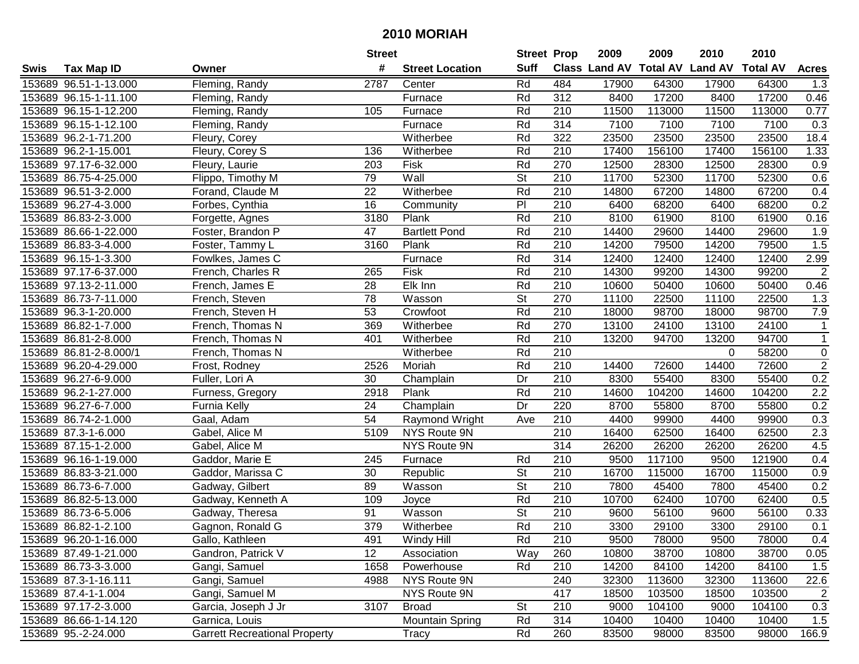|      |                        |                                      | <b>Street</b>   |                        | <b>Street Prop</b>       |                  | 2009  | 2009   | 2010                                    | 2010   |                  |
|------|------------------------|--------------------------------------|-----------------|------------------------|--------------------------|------------------|-------|--------|-----------------------------------------|--------|------------------|
| Swis | <b>Tax Map ID</b>      | Owner                                | #               | <b>Street Location</b> | <b>Suff</b>              |                  |       |        | Class Land AV Total AV Land AV Total AV |        | <b>Acres</b>     |
|      | 153689 96.51-1-13.000  | Fleming, Randy                       | 2787            | Center                 | Rd                       | 484              | 17900 | 64300  | 17900                                   | 64300  | 1.3              |
|      | 153689 96.15-1-11.100  | Fleming, Randy                       |                 | Furnace                | Rd                       | 312              | 8400  | 17200  | 8400                                    | 17200  | 0.46             |
|      | 153689 96.15-1-12.200  | Fleming, Randy                       | 105             | Furnace                | Rd                       | 210              | 11500 | 113000 | 11500                                   | 113000 | 0.77             |
|      | 153689 96.15-1-12.100  | Fleming, Randy                       |                 | Furnace                | Rd                       | 314              | 7100  | 7100   | 7100                                    | 7100   | 0.3              |
|      | 153689 96.2-1-71.200   | Fleury, Corey                        |                 | Witherbee              | Rd                       | 322              | 23500 | 23500  | 23500                                   | 23500  | 18.4             |
|      | 153689 96.2-1-15.001   | Fleury, Corey S                      | 136             | Witherbee              | Rd                       | 210              | 17400 | 156100 | 17400                                   | 156100 | 1.33             |
|      | 153689 97.17-6-32.000  | Fleury, Laurie                       | 203             | Fisk                   | Rd                       | 270              | 12500 | 28300  | 12500                                   | 28300  | 0.9              |
|      | 153689 86.75-4-25.000  | Flippo, Timothy M                    | 79              | Wall                   | $\overline{\mathsf{St}}$ | 210              | 11700 | 52300  | 11700                                   | 52300  | 0.6              |
|      | 153689 96.51-3-2.000   | Forand, Claude M                     | $\overline{22}$ | Witherbee              | Rd                       | 210              | 14800 | 67200  | 14800                                   | 67200  | 0.4              |
|      | 153689 96.27-4-3.000   | Forbes, Cynthia                      | 16              | Community              | $\overline{P}$           | 210              | 6400  | 68200  | 6400                                    | 68200  | 0.2              |
|      | 153689 86.83-2-3.000   | Forgette, Agnes                      | 3180            | Plank                  | Rd                       | 210              | 8100  | 61900  | 8100                                    | 61900  | 0.16             |
|      | 153689 86.66-1-22.000  | Foster, Brandon P                    | 47              | <b>Bartlett Pond</b>   | Rd                       | 210              | 14400 | 29600  | 14400                                   | 29600  | 1.9              |
|      | 153689 86.83-3-4.000   | Foster, Tammy L                      | 3160            | Plank                  | Rd                       | 210              | 14200 | 79500  | 14200                                   | 79500  | 1.5              |
|      | 153689 96.15-1-3.300   | Fowlkes, James C                     |                 | Furnace                | Rd                       | 314              | 12400 | 12400  | 12400                                   | 12400  | 2.99             |
|      | 153689 97.17-6-37.000  | French, Charles R                    | 265             | Fisk                   | Rd                       | 210              | 14300 | 99200  | 14300                                   | 99200  | $\overline{2}$   |
|      | 153689 97.13-2-11.000  | French, James E                      | 28              | Elk Inn                | Rd                       | 210              | 10600 | 50400  | 10600                                   | 50400  | 0.46             |
|      | 153689 86.73-7-11.000  | French, Steven                       | 78              | Wasson                 | <b>St</b>                | 270              | 11100 | 22500  | 11100                                   | 22500  | 1.3              |
|      | 153689 96.3-1-20.000   | French, Steven H                     | 53              | Crowfoot               | Rd                       | 210              | 18000 | 98700  | 18000                                   | 98700  | 7.9              |
|      | 153689 86.82-1-7.000   | French, Thomas N                     | 369             | Witherbee              | Rd                       | 270              | 13100 | 24100  | 13100                                   | 24100  | $\mathbf{1}$     |
|      | 153689 86.81-2-8.000   | French, Thomas N                     | 401             | Witherbee              | Rd                       | 210              | 13200 | 94700  | 13200                                   | 94700  | $\mathbf{1}$     |
|      | 153689 86.81-2-8.000/1 | French, Thomas N                     |                 | Witherbee              | Rd                       | 210              |       |        | $\Omega$                                | 58200  | $\pmb{0}$        |
|      | 153689 96.20-4-29.000  | Frost, Rodney                        | 2526            | Moriah                 | Rd                       | 210              | 14400 | 72600  | 14400                                   | 72600  | $\overline{2}$   |
|      | 153689 96.27-6-9.000   | Fuller, Lori A                       | 30              | Champlain              | Dr                       | 210              | 8300  | 55400  | 8300                                    | 55400  | 0.2              |
|      | 153689 96.2-1-27.000   | Furness, Gregory                     | 2918            | Plank                  | Rd                       | 210              | 14600 | 104200 | 14600                                   | 104200 | 2.2              |
|      | 153689 96.27-6-7.000   | Furnia Kelly                         | 24              | Champlain              | Dr                       | 220              | 8700  | 55800  | 8700                                    | 55800  | 0.2              |
|      | 153689 86.74-2-1.000   | Gaal, Adam                           | 54              | Raymond Wright         | Ave                      | 210              | 4400  | 99900  | 4400                                    | 99900  | 0.3              |
|      | 153689 87.3-1-6.000    | Gabel, Alice M                       | 5109            | NYS Route 9N           |                          | 210              | 16400 | 62500  | 16400                                   | 62500  | 2.3              |
|      | 153689 87.15-1-2.000   | Gabel, Alice M                       |                 | NYS Route 9N           |                          | 314              | 26200 | 26200  | 26200                                   | 26200  | 4.5              |
|      | 153689 96.16-1-19.000  | Gaddor, Marie E                      | 245             | Furnace                | Rd                       | 210              | 9500  | 117100 | 9500                                    | 121900 | 0.4              |
|      | 153689 86.83-3-21.000  | Gaddor, Marissa C                    | 30              | Republic               | $\overline{\mathsf{St}}$ | $\overline{210}$ | 16700 | 115000 | 16700                                   | 115000 | $\overline{0.9}$ |
|      | 153689 86.73-6-7.000   | Gadway, Gilbert                      | 89              | Wasson                 | <b>St</b>                | 210              | 7800  | 45400  | 7800                                    | 45400  | 0.2              |
|      | 153689 86.82-5-13.000  | Gadway, Kenneth A                    | 109             | Joyce                  | Rd                       | 210              | 10700 | 62400  | 10700                                   | 62400  | 0.5              |
|      | 153689 86.73-6-5.006   | Gadway, Theresa                      | 91              | Wasson                 | <b>St</b>                | 210              | 9600  | 56100  | 9600                                    | 56100  | 0.33             |
|      | 153689 86.82-1-2.100   | Gagnon, Ronald G                     | 379             | Witherbee              | Rd                       | $\overline{210}$ | 3300  | 29100  | 3300                                    | 29100  | 0.1              |
|      | 153689 96.20-1-16.000  | Gallo, Kathleen                      | 491             | Windy Hill             | Rd                       | 210              | 9500  | 78000  | 9500                                    | 78000  | 0.4              |
|      | 153689 87.49-1-21.000  | Gandron, Patrick V                   | 12              | Association            | Way                      | 260              | 10800 | 38700  | 10800                                   | 38700  | 0.05             |
|      | 153689 86.73-3-3.000   | Gangi, Samuel                        | 1658            | Powerhouse             | Rd                       | 210              | 14200 | 84100  | 14200                                   | 84100  | 1.5              |
|      | 153689 87.3-1-16.111   | Gangi, Samuel                        | 4988            | NYS Route 9N           |                          | 240              | 32300 | 113600 | 32300                                   | 113600 | 22.6             |
|      | 153689 87.4-1-1.004    | Gangi, Samuel M                      |                 | NYS Route 9N           |                          | 417              | 18500 | 103500 | 18500                                   | 103500 | $\overline{2}$   |
|      | 153689 97.17-2-3.000   | Garcia, Joseph J Jr                  | 3107            | <b>Broad</b>           | <b>St</b>                | 210              | 9000  | 104100 | 9000                                    | 104100 | 0.3              |
|      | 153689 86.66-1-14.120  | Garnica, Louis                       |                 | <b>Mountain Spring</b> | Rd                       | 314              | 10400 | 10400  | 10400                                   | 10400  | 1.5              |
|      | 153689 95.-2-24.000    | <b>Garrett Recreational Property</b> |                 | Tracy                  | Rd                       | 260              | 83500 | 98000  | 83500                                   | 98000  | 166.9            |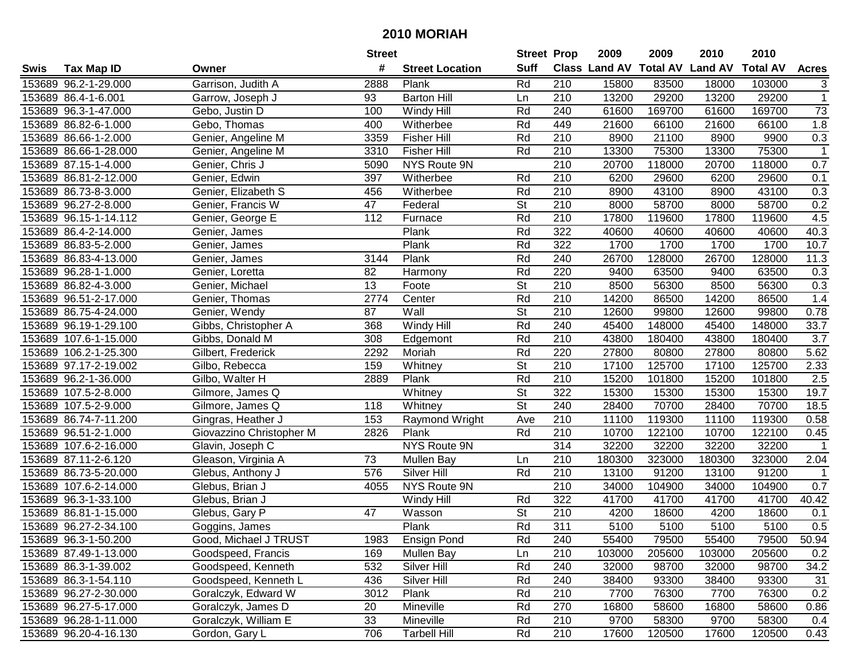|      |                       |                          | <b>Street</b> |                        | <b>Street Prop</b>       |                  | 2009                          | 2009   | 2010           | 2010            |              |
|------|-----------------------|--------------------------|---------------|------------------------|--------------------------|------------------|-------------------------------|--------|----------------|-----------------|--------------|
| Swis | <b>Tax Map ID</b>     | Owner                    | #             | <b>Street Location</b> | <b>Suff</b>              |                  | <b>Class Land AV Total AV</b> |        | <b>Land AV</b> | <b>Total AV</b> | <b>Acres</b> |
|      | 153689 96.2-1-29.000  | Garrison, Judith A       | 2888          | Plank                  | Rd                       | 210              | 15800                         | 83500  | 18000          | 103000          | 3            |
|      | 153689 86.4-1-6.001   | Garrow, Joseph J         | 93            | <b>Barton Hill</b>     | Ln                       | 210              | 13200                         | 29200  | 13200          | 29200           | $\mathbf{1}$ |
|      | 153689 96.3-1-47.000  | Gebo, Justin D           | 100           | Windy Hill             | Rd                       | 240              | 61600                         | 169700 | 61600          | 169700          | 73           |
|      | 153689 86.82-6-1.000  | Gebo, Thomas             | 400           | Witherbee              | Rd                       | 449              | 21600                         | 66100  | 21600          | 66100           | 1.8          |
|      | 153689 86.66-1-2.000  | Genier, Angeline M       | 3359          | <b>Fisher Hill</b>     | Rd                       | 210              | 8900                          | 21100  | 8900           | 9900            | 0.3          |
|      | 153689 86.66-1-28.000 | Genier, Angeline M       | 3310          | <b>Fisher Hill</b>     | Rd                       | 210              | 13300                         | 75300  | 13300          | 75300           | $\mathbf{1}$ |
|      | 153689 87.15-1-4.000  | Genier, Chris J          | 5090          | NYS Route 9N           |                          | 210              | 20700                         | 118000 | 20700          | 118000          | 0.7          |
|      | 153689 86.81-2-12.000 | Genier, Edwin            | 397           | Witherbee              | Rd                       | 210              | 6200                          | 29600  | 6200           | 29600           | 0.1          |
|      | 153689 86.73-8-3.000  | Genier, Elizabeth S      | 456           | Witherbee              | Rd                       | $\overline{210}$ | 8900                          | 43100  | 8900           | 43100           | 0.3          |
|      | 153689 96.27-2-8.000  | Genier, Francis W        | 47            | Federal                | <b>St</b>                | 210              | 8000                          | 58700  | 8000           | 58700           | 0.2          |
|      | 153689 96.15-1-14.112 | Genier, George E         | 112           | Furnace                | Rd                       | 210              | 17800                         | 119600 | 17800          | 119600          | 4.5          |
|      | 153689 86.4-2-14.000  | Genier, James            |               | Plank                  | Rd                       | 322              | 40600                         | 40600  | 40600          | 40600           | 40.3         |
|      | 153689 86.83-5-2.000  | Genier, James            |               | Plank                  | Rd                       | 322              | 1700                          | 1700   | 1700           | 1700            | 10.7         |
|      | 153689 86.83-4-13.000 | Genier, James            | 3144          | Plank                  | Rd                       | 240              | 26700                         | 128000 | 26700          | 128000          | 11.3         |
|      | 153689 96.28-1-1.000  | Genier, Loretta          | 82            | Harmony                | Rd                       | 220              | 9400                          | 63500  | 9400           | 63500           | 0.3          |
|      | 153689 86.82-4-3.000  | Genier, Michael          | 13            | Foote                  | <b>St</b>                | 210              | 8500                          | 56300  | 8500           | 56300           | 0.3          |
|      | 153689 96.51-2-17.000 | Genier, Thomas           | 2774          | Center                 | Rd                       | 210              | 14200                         | 86500  | 14200          | 86500           | 1.4          |
|      | 153689 86.75-4-24.000 | Genier, Wendy            | 87            | Wall                   | $\overline{\mathsf{St}}$ | 210              | 12600                         | 99800  | 12600          | 99800           | 0.78         |
|      | 153689 96.19-1-29.100 | Gibbs, Christopher A     | 368           | Windy Hill             | Rd                       | 240              | 45400                         | 148000 | 45400          | 148000          | 33.7         |
|      | 153689 107.6-1-15.000 | Gibbs, Donald M          | 308           | Edgemont               | Rd                       | 210              | 43800                         | 180400 | 43800          | 180400          | 3.7          |
|      | 153689 106.2-1-25.300 | Gilbert, Frederick       | 2292          | Moriah                 | Rd                       | 220              | 27800                         | 80800  | 27800          | 80800           | 5.62         |
|      | 153689 97.17-2-19.002 | Gilbo, Rebecca           | 159           | Whitney                | <b>St</b>                | 210              | 17100                         | 125700 | 17100          | 125700          | 2.33         |
|      | 153689 96.2-1-36.000  | Gilbo, Walter H          | 2889          | Plank                  | Rd                       | 210              | 15200                         | 101800 | 15200          | 101800          | 2.5          |
|      | 153689 107.5-2-8.000  | Gilmore, James Q         |               | Whitney                | <b>St</b>                | 322              | 15300                         | 15300  | 15300          | 15300           | 19.7         |
|      | 153689 107.5-2-9.000  | Gilmore, James Q         | 118           | Whitney                | $\overline{\mathsf{St}}$ | 240              | 28400                         | 70700  | 28400          | 70700           | 18.5         |
|      | 153689 86.74-7-11.200 | Gingras, Heather J       | 153           | Raymond Wright         | Ave                      | 210              | 11100                         | 119300 | 11100          | 119300          | 0.58         |
|      | 153689 96.51-2-1.000  | Giovazzino Christopher M | 2826          | Plank                  | Rd                       | 210              | 10700                         | 122100 | 10700          | 122100          | 0.45         |
|      | 153689 107.6-2-16.000 | Glavin, Joseph C         |               | NYS Route 9N           |                          | 314              | 32200                         | 32200  | 32200          | 32200           |              |
|      | 153689 87.11-2-6.120  | Gleason, Virginia A      | 73            | <b>Mullen Bay</b>      | Ln                       | 210              | 180300                        | 323000 | 180300         | 323000          | 2.04         |
|      | 153689 86.73-5-20.000 | Glebus, Anthony J        | 576           | Silver Hill            | Rd                       | 210              | 13100                         | 91200  | 13100          | 91200           |              |
|      | 153689 107.6-2-14.000 | Glebus, Brian J          | 4055          | <b>NYS Route 9N</b>    |                          | 210              | 34000                         | 104900 | 34000          | 104900          | 0.7          |
|      | 153689 96.3-1-33.100  | Glebus, Brian J          |               | Windy Hill             | Rd                       | 322              | 41700                         | 41700  | 41700          | 41700           | 40.42        |
|      | 153689 86.81-1-15.000 | Glebus, Gary P           | 47            | Wasson                 | $\overline{\mathsf{St}}$ | $\overline{210}$ | 4200                          | 18600  | 4200           | 18600           | 0.1          |
|      | 153689 96.27-2-34.100 | Goggins, James           |               | Plank                  | Rd                       | 311              | 5100                          | 5100   | 5100           | 5100            | 0.5          |
|      | 153689 96.3-1-50.200  | Good, Michael J TRUST    | 1983          | <b>Ensign Pond</b>     | Rd                       | 240              | 55400                         | 79500  | 55400          | 79500           | 50.94        |
|      | 153689 87.49-1-13.000 | Goodspeed, Francis       | 169           | <b>Mullen Bay</b>      | Ln                       | 210              | 103000                        | 205600 | 103000         | 205600          | 0.2          |
|      | 153689 86.3-1-39.002  | Goodspeed, Kenneth       | 532           | Silver Hill            | Rd                       | 240              | 32000                         | 98700  | 32000          | 98700           | 34.2         |
|      | 153689 86.3-1-54.110  | Goodspeed, Kenneth L     | 436           | Silver Hill            | Rd                       | 240              | 38400                         | 93300  | 38400          | 93300           | 31           |
|      | 153689 96.27-2-30.000 | Goralczyk, Edward W      | 3012          | Plank                  | Rd                       | 210              | 7700                          | 76300  | 7700           | 76300           | 0.2          |
|      | 153689 96.27-5-17.000 | Goralczyk, James D       | 20            | Mineville              | Rd                       | 270              | 16800                         | 58600  | 16800          | 58600           | 0.86         |
|      | 153689 96.28-1-11.000 | Goralczyk, William E     | 33            | Mineville              | Rd                       | 210              | 9700                          | 58300  | 9700           | 58300           | 0.4          |
|      | 153689 96.20-4-16.130 | Gordon, Gary L           | 706           | <b>Tarbell Hill</b>    | Rd                       | 210              | 17600                         | 120500 | 17600          | 120500          | 0.43         |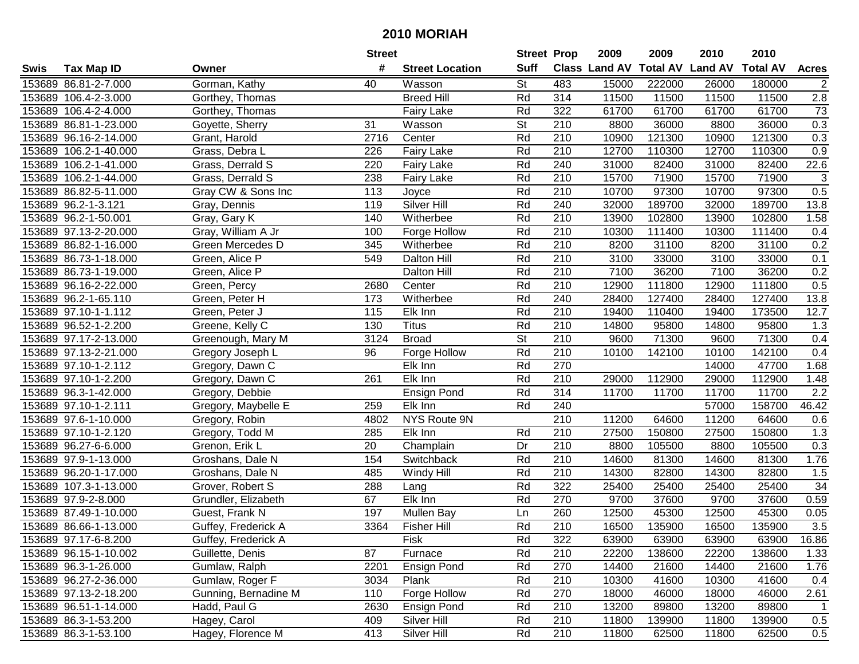|      |                       |                      | <b>Street</b> |                        | <b>Street Prop</b> |                  | 2009                          | 2009   | 2010           | 2010            |                  |
|------|-----------------------|----------------------|---------------|------------------------|--------------------|------------------|-------------------------------|--------|----------------|-----------------|------------------|
| Swis | <b>Tax Map ID</b>     | Owner                | #             | <b>Street Location</b> | <b>Suff</b>        |                  | <b>Class Land AV Total AV</b> |        | <b>Land AV</b> | <b>Total AV</b> | <b>Acres</b>     |
|      | 153689 86.81-2-7.000  | Gorman, Kathy        | 40            | Wasson                 | <b>St</b>          | 483              | 15000                         | 222000 | 26000          | 180000          | $\overline{c}$   |
|      | 153689 106.4-2-3.000  | Gorthey, Thomas      |               | <b>Breed Hill</b>      | Rd                 | 314              | 11500                         | 11500  | 11500          | 11500           | 2.8              |
|      | 153689 106.4-2-4.000  | Gorthey, Thomas      |               | Fairy Lake             | Rd                 | 322              | 61700                         | 61700  | 61700          | 61700           | 73               |
|      | 153689 86.81-1-23.000 | Goyette, Sherry      | 31            | Wasson                 | <b>St</b>          | 210              | 8800                          | 36000  | 8800           | 36000           | 0.3              |
|      | 153689 96.16-2-14.000 | Grant, Harold        | 2716          | Center                 | Rd                 | 210              | 10900                         | 121300 | 10900          | 121300          | 0.3              |
|      | 153689 106.2-1-40.000 | Grass, Debra L       | 226           | <b>Fairy Lake</b>      | Rd                 | 210              | 12700                         | 110300 | 12700          | 110300          | $\overline{0.9}$ |
|      | 153689 106.2-1-41.000 | Grass, Derrald S     | 220           | <b>Fairy Lake</b>      | Rd                 | 240              | 31000                         | 82400  | 31000          | 82400           | 22.6             |
|      | 153689 106.2-1-44.000 | Grass, Derrald S     | 238           | <b>Fairy Lake</b>      | Rd                 | 210              | 15700                         | 71900  | 15700          | 71900           | $\overline{3}$   |
|      | 153689 86.82-5-11.000 | Gray CW & Sons Inc   | 113           | Joyce                  | Rd                 | $\overline{210}$ | 10700                         | 97300  | 10700          | 97300           | 0.5              |
|      | 153689 96.2-1-3.121   | Gray, Dennis         | 119           | <b>Silver Hill</b>     | Rd                 | 240              | 32000                         | 189700 | 32000          | 189700          | 13.8             |
|      | 153689 96.2-1-50.001  | Gray, Gary K         | 140           | Witherbee              | Rd                 | 210              | 13900                         | 102800 | 13900          | 102800          | 1.58             |
|      | 153689 97.13-2-20.000 | Gray, William A Jr   | 100           | Forge Hollow           | Rd                 | 210              | 10300                         | 111400 | 10300          | 111400          | 0.4              |
|      | 153689 86.82-1-16.000 | Green Mercedes D     | 345           | Witherbee              | Rd                 | 210              | 8200                          | 31100  | 8200           | 31100           | 0.2              |
|      | 153689 86.73-1-18.000 | Green, Alice P       | 549           | Dalton Hill            | Rd                 | 210              | 3100                          | 33000  | 3100           | 33000           | 0.1              |
|      | 153689 86.73-1-19.000 | Green, Alice P       |               | Dalton Hill            | Rd                 | 210              | 7100                          | 36200  | 7100           | 36200           | 0.2              |
|      | 153689 96.16-2-22.000 | Green, Percy         | 2680          | Center                 | Rd                 | 210              | 12900                         | 111800 | 12900          | 111800          | 0.5              |
|      | 153689 96.2-1-65.110  | Green, Peter H       | 173           | Witherbee              | Rd                 | 240              | 28400                         | 127400 | 28400          | 127400          | 13.8             |
|      | 153689 97.10-1-1.112  | Green, Peter J       | 115           | Elk Inn                | Rd                 | 210              | 19400                         | 110400 | 19400          | 173500          | 12.7             |
|      | 153689 96.52-1-2.200  | Greene, Kelly C      | 130           | <b>Titus</b>           | Rd                 | 210              | 14800                         | 95800  | 14800          | 95800           | 1.3              |
|      | 153689 97.17-2-13.000 | Greenough, Mary M    | 3124          | <b>Broad</b>           | <b>St</b>          | 210              | 9600                          | 71300  | 9600           | 71300           | 0.4              |
|      | 153689 97.13-2-21.000 | Gregory Joseph L     | 96            | Forge Hollow           | Rd                 | 210              | 10100                         | 142100 | 10100          | 142100          | 0.4              |
|      | 153689 97.10-1-2.112  | Gregory, Dawn C      |               | Elk Inn                | Rd                 | 270              |                               |        | 14000          | 47700           | 1.68             |
|      | 153689 97.10-1-2.200  | Gregory, Dawn C      | 261           | Elk Inn                | Rd                 | 210              | 29000                         | 112900 | 29000          | 112900          | 1.48             |
|      | 153689 96.3-1-42.000  | Gregory, Debbie      |               | <b>Ensign Pond</b>     | Rd                 | 314              | 11700                         | 11700  | 11700          | 11700           | 2.2              |
|      | 153689 97.10-1-2.111  | Gregory, Maybelle E  | 259           | Elk Inn                | Rd                 | 240              |                               |        | 57000          | 158700          | 46.42            |
|      | 153689 97.6-1-10.000  | Gregory, Robin       | 4802          | NYS Route 9N           |                    | 210              | 11200                         | 64600  | 11200          | 64600           | 0.6              |
|      | 153689 97.10-1-2.120  | Gregory, Todd M      | 285           | Elk Inn                | Rd                 | 210              | 27500                         | 150800 | 27500          | 150800          | 1.3              |
|      | 153689 96.27-6-6.000  | Grenon, Erik L       | 20            | Champlain              | Dr                 | 210              | 8800                          | 105500 | 8800           | 105500          | 0.3              |
|      | 153689 97.9-1-13.000  | Groshans, Dale N     | 154           | Switchback             | Rd                 | 210              | 14600                         | 81300  | 14600          | 81300           | 1.76             |
|      | 153689 96.20-1-17.000 | Groshans, Dale N     | 485           | Windy Hill             | Rd                 | 210              | 14300                         | 82800  | 14300          | 82800           | 1.5              |
|      | 153689 107.3-1-13.000 | Grover, Robert S     | 288           | Lang                   | Rd                 | 322              | 25400                         | 25400  | 25400          | 25400           | 34               |
|      | 153689 97.9-2-8.000   | Grundler, Elizabeth  | 67            | Elk Inn                | Rd                 | 270              | 9700                          | 37600  | 9700           | 37600           | 0.59             |
|      | 153689 87.49-1-10.000 | Guest, Frank N       | 197           | Mullen Bay             | Ln                 | 260              | 12500                         | 45300  | 12500          | 45300           | 0.05             |
|      | 153689 86.66-1-13.000 | Guffey, Frederick A  | 3364          | <b>Fisher Hill</b>     | Rd                 | $\overline{210}$ | 16500                         | 135900 | 16500          | 135900          | 3.5              |
|      | 153689 97.17-6-8.200  | Guffey, Frederick A  |               | Fisk                   | Rd                 | 322              | 63900                         | 63900  | 63900          | 63900           | 16.86            |
|      | 153689 96.15-1-10.002 | Guillette, Denis     | 87            | Furnace                | Rd                 | 210              | 22200                         | 138600 | 22200          | 138600          | 1.33             |
|      | 153689 96.3-1-26.000  | Gumlaw, Ralph        | 2201          | <b>Ensign Pond</b>     | Rd                 | 270              | 14400                         | 21600  | 14400          | 21600           | 1.76             |
|      | 153689 96.27-2-36.000 | Gumlaw, Roger F      | 3034          | Plank                  | Rd                 | 210              | 10300                         | 41600  | 10300          | 41600           | 0.4              |
|      | 153689 97.13-2-18.200 | Gunning, Bernadine M | 110           | Forge Hollow           | Rd                 | 270              | 18000                         | 46000  | 18000          | 46000           | 2.61             |
|      | 153689 96.51-1-14.000 | Hadd, Paul G         | 2630          | <b>Ensign Pond</b>     | Rd                 | 210              | 13200                         | 89800  | 13200          | 89800           | $\mathbf 1$      |
|      | 153689 86.3-1-53.200  | Hagey, Carol         | 409           | Silver Hill            | Rd                 | 210              | 11800                         | 139900 | 11800          | 139900          | 0.5              |
|      | 153689 86.3-1-53.100  | Hagey, Florence M    | 413           | Silver Hill            | Rd                 | 210              | 11800                         | 62500  | 11800          | 62500           | 0.5              |
|      |                       |                      |               |                        |                    |                  |                               |        |                |                 |                  |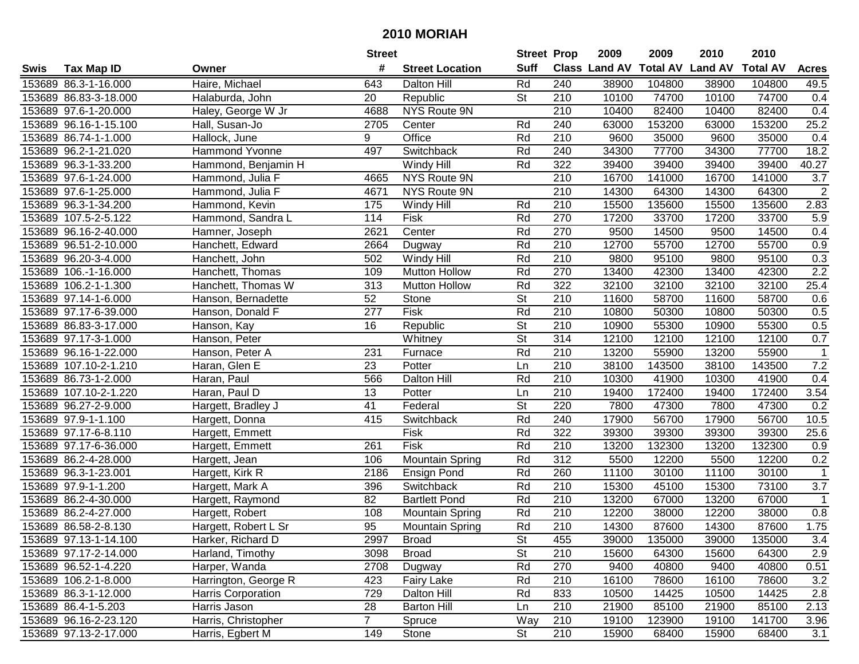|        |                       |                       | <b>Street</b>  |                        | <b>Street Prop</b>       |                  | 2009                           | 2009   | 2010  | 2010            |                |
|--------|-----------------------|-----------------------|----------------|------------------------|--------------------------|------------------|--------------------------------|--------|-------|-----------------|----------------|
| Swis   | <b>Tax Map ID</b>     | Owner                 | #              | <b>Street Location</b> | <b>Suff</b>              |                  | Class Land AV Total AV Land AV |        |       | <b>Total AV</b> | <b>Acres</b>   |
|        | 153689 86.3-1-16.000  | Haire, Michael        | 643            | <b>Dalton Hill</b>     | Rd                       | 240              | 38900                          | 104800 | 38900 | 104800          | 49.5           |
|        | 153689 86.83-3-18.000 | Halaburda, John       | 20             | Republic               | <b>St</b>                | 210              | 10100                          | 74700  | 10100 | 74700           | 0.4            |
|        | 153689 97.6-1-20.000  | Haley, George W Jr    | 4688           | NYS Route 9N           |                          | 210              | 10400                          | 82400  | 10400 | 82400           | 0.4            |
|        | 153689 96.16-1-15.100 | Hall, Susan-Jo        | 2705           | Center                 | Rd                       | 240              | 63000                          | 153200 | 63000 | 153200          | 25.2           |
|        | 153689 86.74-1-1.000  | Hallock, June         | 9              | Office                 | Rd                       | $\overline{210}$ | 9600                           | 35000  | 9600  | 35000           | 0.4            |
|        | 153689 96.2-1-21.020  | <b>Hammond Yvonne</b> | 497            | Switchback             | Rd                       | 240              | 34300                          | 77700  | 34300 | 77700           | 18.2           |
|        | 153689 96.3-1-33.200  | Hammond, Benjamin H   |                | Windy Hill             | Rd                       | 322              | 39400                          | 39400  | 39400 | 39400           | 40.27          |
|        | 153689 97.6-1-24.000  | Hammond, Julia F      | 4665           | NYS Route 9N           |                          | 210              | 16700                          | 141000 | 16700 | 141000          | 3.7            |
|        | 153689 97.6-1-25.000  | Hammond, Julia F      | 4671           | NYS Route 9N           |                          | 210              | 14300                          | 64300  | 14300 | 64300           | $\overline{2}$ |
|        | 153689 96.3-1-34.200  | Hammond, Kevin        | 175            | Windy Hill             | Rd                       | 210              | 15500                          | 135600 | 15500 | 135600          | 2.83           |
|        | 153689 107.5-2-5.122  | Hammond, Sandra L     | 114            | Fisk                   | Rd                       | 270              | 17200                          | 33700  | 17200 | 33700           | 5.9            |
|        | 153689 96.16-2-40.000 | Hamner, Joseph        | 2621           | Center                 | Rd                       | 270              | 9500                           | 14500  | 9500  | 14500           | 0.4            |
|        | 153689 96.51-2-10.000 | Hanchett, Edward      | 2664           | Dugway                 | Rd                       | 210              | 12700                          | 55700  | 12700 | 55700           | 0.9            |
|        | 153689 96.20-3-4.000  | Hanchett, John        | 502            | Windy Hill             | Rd                       | 210              | 9800                           | 95100  | 9800  | 95100           | 0.3            |
|        | 153689 106.-1-16.000  | Hanchett, Thomas      | 109            | <b>Mutton Hollow</b>   | Rd                       | 270              | 13400                          | 42300  | 13400 | 42300           | 2.2            |
| 153689 | 106.2-1-1.300         | Hanchett, Thomas W    | 313            | <b>Mutton Hollow</b>   | Rd                       | 322              | 32100                          | 32100  | 32100 | 32100           | 25.4           |
|        | 153689 97.14-1-6.000  | Hanson, Bernadette    | 52             | Stone                  | <b>St</b>                | 210              | 11600                          | 58700  | 11600 | 58700           | 0.6            |
|        | 153689 97.17-6-39.000 | Hanson, Donald F      | 277            | Fisk                   | Rd                       | 210              | 10800                          | 50300  | 10800 | 50300           | 0.5            |
|        | 153689 86.83-3-17.000 | Hanson, Kay           | 16             | Republic               | $\overline{\mathsf{St}}$ | 210              | 10900                          | 55300  | 10900 | 55300           | 0.5            |
|        | 153689 97.17-3-1.000  | Hanson, Peter         |                | Whitney                | $\overline{\mathsf{St}}$ | 314              | 12100                          | 12100  | 12100 | 12100           | 0.7            |
|        | 153689 96.16-1-22.000 | Hanson, Peter A       | 231            | Furnace                | Rd                       | 210              | 13200                          | 55900  | 13200 | 55900           | 1              |
|        | 153689 107.10-2-1.210 | Haran, Glen E         | 23             | Potter                 | Ln                       | 210              | 38100                          | 143500 | 38100 | 143500          | 7.2            |
|        | 153689 86.73-1-2.000  | Haran, Paul           | 566            | Dalton Hill            | Rd                       | 210              | 10300                          | 41900  | 10300 | 41900           | 0.4            |
|        | 153689 107.10-2-1.220 | Haran, Paul D         | 13             | Potter                 | Ln                       | 210              | 19400                          | 172400 | 19400 | 172400          | 3.54           |
|        | 153689 96.27-2-9.000  | Hargett, Bradley J    | 41             | Federal                | <b>St</b>                | 220              | 7800                           | 47300  | 7800  | 47300           | 0.2            |
|        | 153689 97.9-1-1.100   | Hargett, Donna        | 415            | Switchback             | Rd                       | 240              | 17900                          | 56700  | 17900 | 56700           | 10.5           |
|        | 153689 97.17-6-8.110  | Hargett, Emmett       |                | Fisk                   | Rd                       | 322              | 39300                          | 39300  | 39300 | 39300           | 25.6           |
|        | 153689 97.17-6-36.000 | Hargett, Emmett       | 261            | Fisk                   | Rd                       | 210              | 13200                          | 132300 | 13200 | 132300          | 0.9            |
|        | 153689 86.2-4-28.000  | Hargett, Jean         | 106            | Mountain Spring        | Rd                       | 312              | 5500                           | 12200  | 5500  | 12200           | 0.2            |
|        | 153689 96.3-1-23.001  | Hargett, Kirk R       | 2186           | <b>Ensign Pond</b>     | Rd                       | 260              | 11100                          | 30100  | 11100 | 30100           | $\mathbf{1}$   |
|        | 153689 97.9-1-1.200   | Hargett, Mark A       | 396            | Switchback             | Rd                       | 210              | 15300                          | 45100  | 15300 | 73100           | 3.7            |
|        | 153689 86.2-4-30.000  | Hargett, Raymond      | 82             | <b>Bartlett Pond</b>   | Rd                       | 210              | 13200                          | 67000  | 13200 | 67000           | $\mathbf{1}$   |
|        | 153689 86.2-4-27.000  | Hargett, Robert       | 108            | <b>Mountain Spring</b> | Rd                       | 210              | 12200                          | 38000  | 12200 | 38000           | 0.8            |
|        | 153689 86.58-2-8.130  | Hargett, Robert L Sr  | 95             | <b>Mountain Spring</b> | Rd                       | $\overline{210}$ | 14300                          | 87600  | 14300 | 87600           | 1.75           |
|        | 153689 97.13-1-14.100 | Harker, Richard D     | 2997           | <b>Broad</b>           | <b>St</b>                | 455              | 39000                          | 135000 | 39000 | 135000          | 3.4            |
|        | 153689 97.17-2-14.000 | Harland, Timothy      | 3098           | <b>Broad</b>           | <b>St</b>                | 210              | 15600                          | 64300  | 15600 | 64300           | 2.9            |
|        | 153689 96.52-1-4.220  | Harper, Wanda         | 2708           | Dugway                 | Rd                       | 270              | 9400                           | 40800  | 9400  | 40800           | 0.51           |
|        | 153689 106.2-1-8.000  | Harrington, George R  | 423            | <b>Fairy Lake</b>      | Rd                       | 210              | 16100                          | 78600  | 16100 | 78600           | 3.2            |
|        | 153689 86.3-1-12.000  | Harris Corporation    | 729            | Dalton Hill            | Rd                       | 833              | 10500                          | 14425  | 10500 | 14425           | 2.8            |
|        | 153689 86.4-1-5.203   | Harris Jason          | 28             | <b>Barton Hill</b>     | Ln                       | 210              | 21900                          | 85100  | 21900 | 85100           | 2.13           |
|        | 153689 96.16-2-23.120 | Harris, Christopher   | $\overline{7}$ | Spruce                 | Way                      | 210              | 19100                          | 123900 | 19100 | 141700          | 3.96           |
|        | 153689 97.13-2-17.000 | Harris, Egbert M      | 149            | Stone                  | <b>St</b>                | 210              | 15900                          | 68400  | 15900 | 68400           | 3.1            |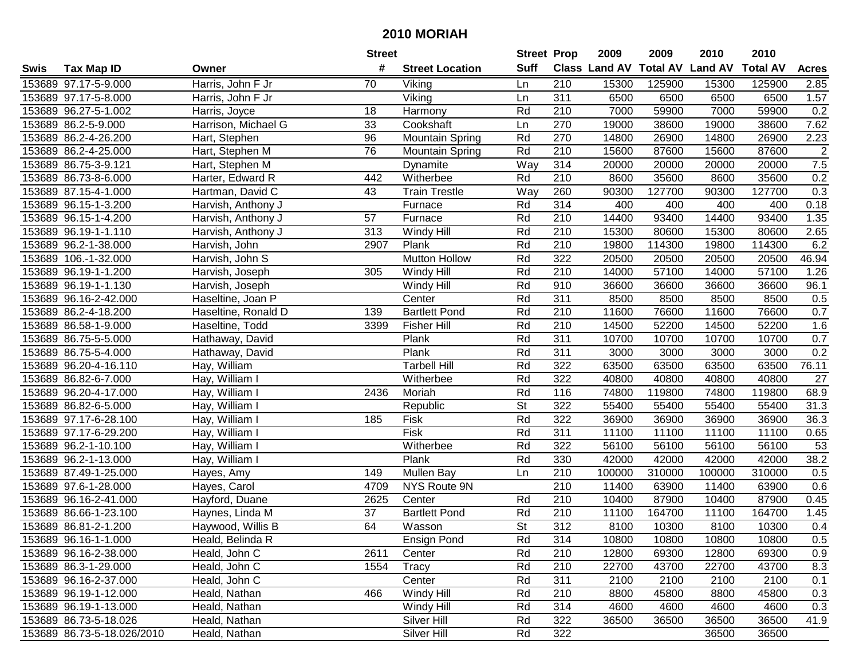|      |                            |                     | <b>Street</b> |                        | <b>Street Prop</b>       |                  | 2009   | 2009   | 2010                           | 2010            |                |
|------|----------------------------|---------------------|---------------|------------------------|--------------------------|------------------|--------|--------|--------------------------------|-----------------|----------------|
| Swis | <b>Tax Map ID</b>          | Owner               | #             | <b>Street Location</b> | <b>Suff</b>              |                  |        |        | Class Land AV Total AV Land AV | <b>Total AV</b> | <b>Acres</b>   |
|      | 153689 97.17-5-9.000       | Harris, John F Jr   | 70            | Viking                 | Ln                       | 210              | 15300  | 125900 | 15300                          | 125900          | 2.85           |
|      | 153689 97.17-5-8.000       | Harris, John F Jr   |               | Viking                 | Ln                       | 311              | 6500   | 6500   | 6500                           | 6500            | 1.57           |
|      | 153689 96.27-5-1.002       | Harris, Joyce       | 18            | Harmony                | Rd                       | 210              | 7000   | 59900  | 7000                           | 59900           | 0.2            |
|      | 153689 86.2-5-9.000        | Harrison, Michael G | 33            | Cookshaft              | Ln                       | 270              | 19000  | 38600  | 19000                          | 38600           | 7.62           |
|      | 153689 86.2-4-26.200       | Hart, Stephen       | 96            | <b>Mountain Spring</b> | Rd                       | 270              | 14800  | 26900  | 14800                          | 26900           | 2.23           |
|      | 153689 86.2-4-25.000       | Hart, Stephen M     | 76            | <b>Mountain Spring</b> | Rd                       | 210              | 15600  | 87600  | 15600                          | 87600           | $\overline{2}$ |
|      | 153689 86.75-3-9.121       | Hart, Stephen M     |               | Dynamite               | Way                      | 314              | 20000  | 20000  | 20000                          | 20000           | 7.5            |
|      | 153689 86.73-8-6.000       | Harter, Edward R    | 442           | Witherbee              | Rd                       | 210              | 8600   | 35600  | 8600                           | 35600           | 0.2            |
|      | 153689 87.15-4-1.000       | Hartman, David C    | 43            | <b>Train Trestle</b>   | Way                      | 260              | 90300  | 127700 | 90300                          | 127700          | 0.3            |
|      | 153689 96.15-1-3.200       | Harvish, Anthony J  |               | Furnace                | Rd                       | 314              | 400    | 400    | 400                            | 400             | 0.18           |
|      | 153689 96.15-1-4.200       | Harvish, Anthony J  | 57            | Furnace                | Rd                       | 210              | 14400  | 93400  | 14400                          | 93400           | 1.35           |
|      | 153689 96.19-1-1.110       | Harvish, Anthony J  | 313           | Windy Hill             | Rd                       | 210              | 15300  | 80600  | 15300                          | 80600           | 2.65           |
|      | 153689 96.2-1-38.000       | Harvish, John       | 2907          | Plank                  | Rd                       | 210              | 19800  | 114300 | 19800                          | 114300          | 6.2            |
|      | 153689 106.-1-32.000       | Harvish, John S     |               | <b>Mutton Hollow</b>   | Rd                       | 322              | 20500  | 20500  | 20500                          | 20500           | 46.94          |
|      | 153689 96.19-1-1.200       | Harvish, Joseph     | 305           | Windy Hill             | Rd                       | 210              | 14000  | 57100  | 14000                          | 57100           | 1.26           |
|      | 153689 96.19-1-1.130       | Harvish, Joseph     |               | Windy Hill             | Rd                       | 910              | 36600  | 36600  | 36600                          | 36600           | 96.1           |
|      | 153689 96.16-2-42.000      | Haseltine, Joan P   |               | Center                 | Rd                       | 311              | 8500   | 8500   | 8500                           | 8500            | 0.5            |
|      | 153689 86.2-4-18.200       | Haseltine, Ronald D | 139           | <b>Bartlett Pond</b>   | Rd                       | 210              | 11600  | 76600  | 11600                          | 76600           | 0.7            |
|      | 153689 86.58-1-9.000       | Haseltine, Todd     | 3399          | <b>Fisher Hill</b>     | Rd                       | 210              | 14500  | 52200  | 14500                          | 52200           | 1.6            |
|      | 153689 86.75-5-5.000       | Hathaway, David     |               | Plank                  | Rd                       | 311              | 10700  | 10700  | 10700                          | 10700           | 0.7            |
|      | 153689 86.75-5-4.000       | Hathaway, David     |               | Plank                  | Rd                       | 311              | 3000   | 3000   | 3000                           | 3000            | 0.2            |
|      | 153689 96.20-4-16.110      | Hay, William        |               | <b>Tarbell Hill</b>    | Rd                       | 322              | 63500  | 63500  | 63500                          | 63500           | 76.11          |
|      | 153689 86.82-6-7.000       | Hay, William I      |               | Witherbee              | Rd                       | 322              | 40800  | 40800  | 40800                          | 40800           | 27             |
|      | 153689 96.20-4-17.000      | Hay, William I      | 2436          | Moriah                 | Rd                       | 116              | 74800  | 119800 | 74800                          | 119800          | 68.9           |
|      | 153689 86.82-6-5.000       | Hay, William I      |               | Republic               | $\overline{\mathsf{St}}$ | 322              | 55400  | 55400  | 55400                          | 55400           | 31.3           |
|      | 153689 97.17-6-28.100      | Hay, William I      | 185           | Fisk                   | Rd                       | 322              | 36900  | 36900  | 36900                          | 36900           | 36.3           |
|      | 153689 97.17-6-29.200      | Hay, William I      |               | Fisk                   | Rd                       | 311              | 11100  | 11100  | 11100                          | 11100           | 0.65           |
|      | 153689 96.2-1-10.100       | Hay, William I      |               | Witherbee              | Rd                       | 322              | 56100  | 56100  | 56100                          | 56100           | 53             |
|      | 153689 96.2-1-13.000       | Hay, William I      |               | Plank                  | Rd                       | 330              | 42000  | 42000  | 42000                          | 42000           | 38.2           |
|      | 153689 87.49-1-25.000      | Hayes, Amy          | 149           | Mullen Bay             | Ln                       | $\overline{210}$ | 100000 | 310000 | 100000                         | 310000          | 0.5            |
|      | 153689 97.6-1-28.000       | Hayes, Carol        | 4709          | NYS Route 9N           |                          | 210              | 11400  | 63900  | 11400                          | 63900           | 0.6            |
|      | 153689 96.16-2-41.000      | Hayford, Duane      | 2625          | Center                 | Rd                       | 210              | 10400  | 87900  | 10400                          | 87900           | 0.45           |
|      | 153689 86.66-1-23.100      | Haynes, Linda M     | 37            | <b>Bartlett Pond</b>   | Rd                       | $\overline{210}$ | 11100  | 164700 | 11100                          | 164700          | 1.45           |
|      | 153689 86.81-2-1.200       | Haywood, Willis B   | 64            | Wasson                 | $\overline{\mathsf{St}}$ | $\overline{312}$ | 8100   | 10300  | 8100                           | 10300           | 0.4            |
|      | 153689 96.16-1-1.000       | Heald, Belinda R    |               | <b>Ensign Pond</b>     | Rd                       | 314              | 10800  | 10800  | 10800                          | 10800           | 0.5            |
|      | 153689 96.16-2-38.000      | Heald, John C       | 2611          | Center                 | Rd                       | 210              | 12800  | 69300  | 12800                          | 69300           | 0.9            |
|      | 153689 86.3-1-29.000       | Heald, John C       | 1554          | Tracy                  | Rd                       | 210              | 22700  | 43700  | 22700                          | 43700           | 8.3            |
|      | 153689 96.16-2-37.000      | Heald, John C       |               | Center                 | Rd                       | 311              | 2100   | 2100   | 2100                           | 2100            | 0.1            |
|      | 153689 96.19-1-12.000      | Heald, Nathan       | 466           | Windy Hill             | Rd                       | 210              | 8800   | 45800  | 8800                           | 45800           | 0.3            |
|      | 153689 96.19-1-13.000      | Heald, Nathan       |               | Windy Hill             | Rd                       | 314              | 4600   | 4600   | 4600                           | 4600            | 0.3            |
|      | 153689 86.73-5-18.026      | Heald, Nathan       |               | Silver Hill            | Rd                       | 322              | 36500  | 36500  | 36500                          | 36500           | 41.9           |
|      | 153689 86.73-5-18.026/2010 | Heald, Nathan       |               | Silver Hill            | Rd                       | 322              |        |        | 36500                          | 36500           |                |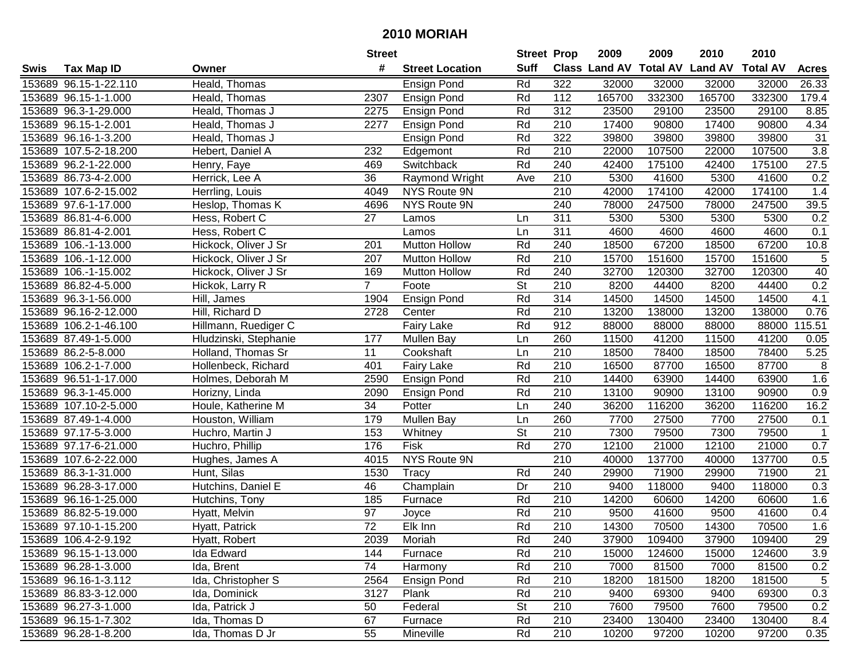|      |                       |                       | <b>Street</b>   |                        | <b>Street Prop</b>       |                  | 2009   | 2009   | 2010                           | 2010            |                  |
|------|-----------------------|-----------------------|-----------------|------------------------|--------------------------|------------------|--------|--------|--------------------------------|-----------------|------------------|
| Swis | <b>Tax Map ID</b>     | Owner                 | #               | <b>Street Location</b> | <b>Suff</b>              |                  |        |        | Class Land AV Total AV Land AV | <b>Total AV</b> | <b>Acres</b>     |
|      | 153689 96.15-1-22.110 | Heald, Thomas         |                 | <b>Ensign Pond</b>     | Rd                       | 322              | 32000  | 32000  | 32000                          | 32000           | 26.33            |
|      | 153689 96.15-1-1.000  | Heald, Thomas         | 2307            | Ensign Pond            | Rd                       | 112              | 165700 | 332300 | 165700                         | 332300          | 179.4            |
|      | 153689 96.3-1-29.000  | Heald, Thomas J       | 2275            | Ensign Pond            | Rd                       | 312              | 23500  | 29100  | 23500                          | 29100           | 8.85             |
|      | 153689 96.15-1-2.001  | Heald, Thomas J       | 2277            | Ensign Pond            | Rd                       | 210              | 17400  | 90800  | 17400                          | 90800           | 4.34             |
|      | 153689 96.16-1-3.200  | Heald, Thomas J       |                 | Ensign Pond            | Rd                       | 322              | 39800  | 39800  | 39800                          | 39800           | 31               |
|      | 153689 107.5-2-18.200 | Hebert, Daniel A      | 232             | Edgemont               | Rd                       | 210              | 22000  | 107500 | 22000                          | 107500          | $\overline{3.8}$ |
|      | 153689 96.2-1-22.000  | Henry, Faye           | 469             | Switchback             | Rd                       | 240              | 42400  | 175100 | 42400                          | 175100          | 27.5             |
|      | 153689 86.73-4-2.000  | Herrick, Lee A        | 36              | Raymond Wright         | Ave                      | 210              | 5300   | 41600  | 5300                           | 41600           | 0.2              |
|      | 153689 107.6-2-15.002 | Herrling, Louis       | 4049            | NYS Route 9N           |                          | $\overline{210}$ | 42000  | 174100 | 42000                          | 174100          | 1.4              |
|      | 153689 97.6-1-17.000  | Heslop, Thomas K      | 4696            | NYS Route 9N           |                          | 240              | 78000  | 247500 | 78000                          | 247500          | 39.5             |
|      | 153689 86.81-4-6.000  | Hess, Robert C        | 27              | Lamos                  | Ln                       | 311              | 5300   | 5300   | 5300                           | 5300            | 0.2              |
|      | 153689 86.81-4-2.001  | Hess, Robert C        |                 | Lamos                  | Ln                       | 311              | 4600   | 4600   | 4600                           | 4600            | 0.1              |
|      | 153689 106.-1-13.000  | Hickock, Oliver J Sr  | 201             | <b>Mutton Hollow</b>   | Rd                       | 240              | 18500  | 67200  | 18500                          | 67200           | 10.8             |
|      | 153689 106.-1-12.000  | Hickock, Oliver J Sr  | 207             | <b>Mutton Hollow</b>   | Rd                       | 210              | 15700  | 151600 | 15700                          | 151600          | $\sqrt{5}$       |
|      | 153689 106.-1-15.002  | Hickock, Oliver J Sr  | 169             | <b>Mutton Hollow</b>   | Rd                       | 240              | 32700  | 120300 | 32700                          | 120300          | 40               |
|      | 153689 86.82-4-5.000  | Hickok, Larry R       | $\overline{7}$  | Foote                  | <b>St</b>                | 210              | 8200   | 44400  | 8200                           | 44400           | 0.2              |
|      | 153689 96.3-1-56.000  | Hill, James           | 1904            | Ensign Pond            | Rd                       | 314              | 14500  | 14500  | 14500                          | 14500           | 4.1              |
|      | 153689 96.16-2-12.000 | Hill, Richard D       | 2728            | Center                 | Rd                       | 210              | 13200  | 138000 | 13200                          | 138000          | 0.76             |
|      | 153689 106.2-1-46.100 | Hillmann, Ruediger C  |                 | <b>Fairy Lake</b>      | Rd                       | 912              | 88000  | 88000  | 88000                          | 88000           | 15.51            |
|      | 153689 87.49-1-5.000  | Hludzinski, Stephanie | 177             | <b>Mullen Bay</b>      | Ln                       | 260              | 11500  | 41200  | 11500                          | 41200           | 0.05             |
|      | 153689 86.2-5-8.000   | Holland, Thomas Sr    | 11              | Cookshaft              | Ln                       | 210              | 18500  | 78400  | 18500                          | 78400           | 5.25             |
|      | 153689 106.2-1-7.000  | Hollenbeck, Richard   | 401             | <b>Fairy Lake</b>      | Rd                       | 210              | 16500  | 87700  | 16500                          | 87700           | 8                |
|      | 153689 96.51-1-17.000 | Holmes, Deborah M     | 2590            | Ensign Pond            | Rd                       | 210              | 14400  | 63900  | 14400                          | 63900           | 1.6              |
|      | 153689 96.3-1-45.000  | Horizny, Linda        | 2090            | <b>Ensign Pond</b>     | Rd                       | 210              | 13100  | 90900  | 13100                          | 90900           | 0.9              |
|      | 153689 107.10-2-5.000 | Houle, Katherine M    | 34              | Potter                 | Ln                       | 240              | 36200  | 116200 | 36200                          | 116200          | 16.2             |
|      | 153689 87.49-1-4.000  | Houston, William      | 179             | <b>Mullen Bay</b>      | Ln                       | 260              | 7700   | 27500  | 7700                           | 27500           | 0.1              |
|      | 153689 97.17-5-3.000  | Huchro, Martin J      | 153             | Whitney                | $\overline{\mathsf{St}}$ | 210              | 7300   | 79500  | 7300                           | 79500           | $\mathbf 1$      |
|      | 153689 97.17-6-21.000 | Huchro, Phillip       | 176             | Fisk                   | Rd                       | 270              | 12100  | 21000  | 12100                          | 21000           | 0.7              |
|      | 153689 107.6-2-22.000 | Hughes, James A       | 4015            | NYS Route 9N           |                          | $\overline{210}$ | 40000  | 137700 | 40000                          | 137700          | 0.5              |
|      | 153689 86.3-1-31.000  | Hunt, Silas           | 1530            | Tracy                  | Rd                       | 240              | 29900  | 71900  | 29900                          | 71900           | $\overline{21}$  |
|      | 153689 96.28-3-17.000 | Hutchins, Daniel E    | 46              | Champlain              | Dr                       | $\overline{210}$ | 9400   | 118000 | 9400                           | 118000          | 0.3              |
|      | 153689 96.16-1-25.000 | Hutchins, Tony        | 185             | Furnace                | Rd                       | 210              | 14200  | 60600  | 14200                          | 60600           | 1.6              |
|      | 153689 86.82-5-19.000 | Hyatt, Melvin         | $\overline{97}$ | Joyce                  | Rd                       | $\overline{210}$ | 9500   | 41600  | 9500                           | 41600           | 0.4              |
|      | 153689 97.10-1-15.200 | Hyatt, Patrick        | $\overline{72}$ | Elk Inn                | Rd                       | $\overline{210}$ | 14300  | 70500  | 14300                          | 70500           | 1.6              |
|      | 153689 106.4-2-9.192  | Hyatt, Robert         | 2039            | Moriah                 | Rd                       | 240              | 37900  | 109400 | 37900                          | 109400          | 29               |
|      | 153689 96.15-1-13.000 | Ida Edward            | 144             | Furnace                | Rd                       | 210              | 15000  | 124600 | 15000                          | 124600          | 3.9              |
|      | 153689 96.28-1-3.000  | Ida, Brent            | 74              | Harmony                | Rd                       | 210              | 7000   | 81500  | 7000                           | 81500           | 0.2              |
|      | 153689 96.16-1-3.112  | Ida, Christopher S    | 2564            | Ensign Pond            | Rd                       | 210              | 18200  | 181500 | 18200                          | 181500          | 5                |
|      | 153689 86.83-3-12.000 | Ida, Dominick         | 3127            | Plank                  | Rd                       | 210              | 9400   | 69300  | 9400                           | 69300           | 0.3              |
|      | 153689 96.27-3-1.000  | Ida, Patrick J        | 50              | Federal                | <b>St</b>                | 210              | 7600   | 79500  | 7600                           | 79500           | 0.2              |
|      | 153689 96.15-1-7.302  | Ida, Thomas D         | 67              | Furnace                | Rd                       | 210              | 23400  | 130400 | 23400                          | 130400          | 8.4              |
|      | 153689 96.28-1-8.200  | Ida, Thomas D Jr      | 55              | Mineville              | Rd                       | 210              | 10200  | 97200  | 10200                          | 97200           | 0.35             |
|      |                       |                       |                 |                        |                          |                  |        |        |                                |                 |                  |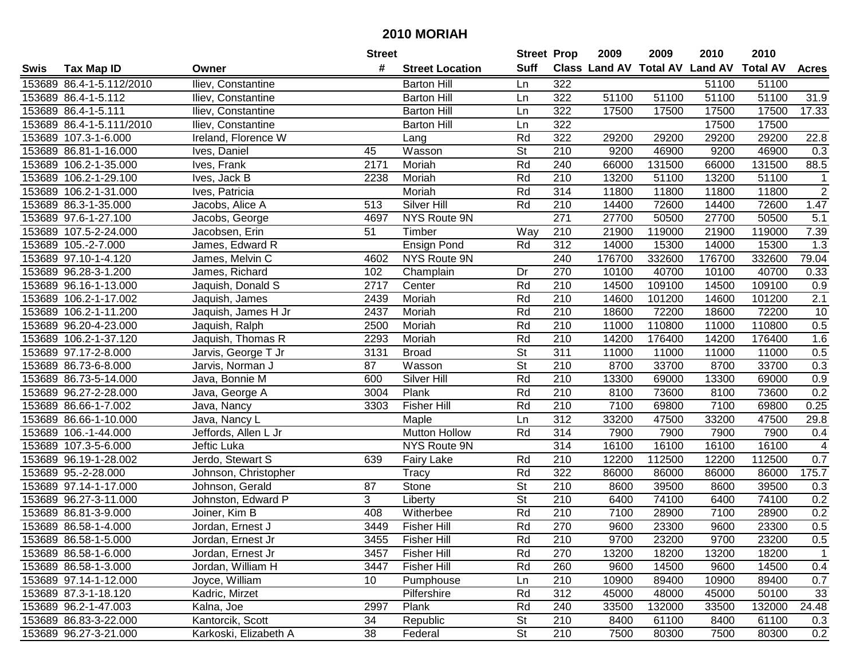| #<br><b>Suff</b><br>Class Land AV Total AV Land AV<br><b>Total AV</b><br><b>Tax Map ID</b><br><b>Street Location</b><br><b>Acres</b><br>Swis<br>Owner<br>153689 86.4-1-5.112/2010<br>Iliev, Constantine<br><b>Barton Hill</b><br>322<br>51100<br>51100<br>Ln<br>51100<br>31.9<br>153689 86.4-1-5.112<br>322<br>51100<br>51100<br>51100<br>Iliev, Constantine<br><b>Barton Hill</b><br>Ln<br>17500<br>153689 86.4-1-5.111<br>322<br>17500<br>17500<br>17500<br>17.33<br>Iliev, Constantine<br><b>Barton Hill</b><br>Ln<br>153689 86.4-1-5.111/2010<br>322<br>17500<br>17500<br>Iliev, Constantine<br>Ln<br><b>Barton Hill</b><br>322<br>22.8<br>153689 107.3-1-6.000<br>Ireland, Florence W<br>Rd<br>29200<br>29200<br>29200<br>29200<br>Lang<br>9200<br>46900<br>$\overline{0.3}$<br>153689 86.81-1-16.000<br>Wasson<br><b>St</b><br>210<br>9200<br>46900<br>Ives, Daniel<br>45<br>Moriah<br>Rd<br>240<br>66000<br>131500<br>88.5<br>153689 106.2-1-35.000<br>Ives, Frank<br>2171<br>66000<br>131500<br>210<br>Rd<br>13200<br>51100<br>13200<br>51100<br>153689 106.2-1-29.100<br>Ives, Jack B<br>2238<br>Moriah<br>$\mathbf{1}$<br>$\overline{2}$<br>314<br>153689 106.2-1-31.000<br>Moriah<br>Rd<br>11800<br>11800<br>11800<br>11800<br>Ives, Patricia<br>Silver Hill<br>72600<br>1.47<br>153689 86.3-1-35.000<br>Jacobs, Alice A<br>513<br>Rd<br>210<br>14400<br>14400<br>72600<br>NYS Route 9N<br>271<br>27700<br>50500<br>5.1<br>153689 97.6-1-27.100<br>50500<br>27700<br>Jacobs, George<br>4697<br>153689 107.5-2-24.000<br>Jacobsen, Erin<br>51<br>Timber<br>210<br>21900<br>119000<br>21900<br>119000<br>7.39<br>Way<br>$\overline{312}$<br>153689 105.-2-7.000<br>Ensign Pond<br>Rd<br>14000<br>15300<br>14000<br>15300<br>1.3<br>James, Edward R<br>NYS Route 9N<br>240<br>176700<br>153689 97.10-1-4.120<br>176700<br>332600<br>332600<br>79.04<br>James, Melvin C<br>4602<br>270<br>153689 96.28-3-1.200<br>10100<br>40700<br>10100<br>40700<br>0.33<br>James, Richard<br>102<br>Champlain<br>Dr<br>Center<br>Rd<br>210<br>14500<br>109100<br>14500<br>109100<br>0.9<br>153689 96.16-1-13.000<br>Jaquish, Donald S<br>2717<br>2.1<br>Rd<br>210<br>14600<br>153689 106.2-1-17.002<br>2439<br>Moriah<br>101200<br>14600<br>101200<br>Jaquish, James<br>Rd<br>210<br>10<br>153689 106.2-1-11.200<br>2437<br>Moriah<br>18600<br>72200<br>18600<br>72200<br>Jaquish, James H Jr<br>0.5<br>153689 96.20-4-23.000<br>2500<br>Moriah<br>Rd<br>210<br>11000<br>110800<br>11000<br>110800<br>Jaquish, Ralph<br>1.6<br>153689 106.2-1-37.120<br>Rd<br>210<br>14200<br>176400<br>14200<br>176400<br>Jaquish, Thomas R<br>2293<br>Moriah<br>0.5<br>153689 97.17-2-8.000<br><b>St</b><br>311<br>11000<br>11000<br>Jarvis, George T Jr<br>3131<br><b>Broad</b><br>11000<br>11000<br><b>St</b><br>0.3<br>153689 86.73-6-8.000<br>Jarvis, Norman J<br>87<br>Wasson<br>210<br>8700<br>33700<br>8700<br>33700<br>Rd<br>210<br>0.9<br>153689 86.73-5-14.000<br>600<br><b>Silver Hill</b><br>13300<br>69000<br>13300<br>69000<br>Java, Bonnie M<br>153689 96.27-2-28.000<br>3004<br>Plank<br>Rd<br>210<br>8100<br>73600<br>73600<br>0.2<br>8100<br>Java, George A<br>153689 86.66-1-7.002<br><b>Fisher Hill</b><br>Rd<br>210<br>7100<br>7100<br>0.25<br>3303<br>69800<br>69800<br>Java, Nancy<br>312<br>33200<br>153689 86.66-1-10.000<br>Maple<br>Ln<br>47500<br>33200<br>47500<br>29.8<br>Java, Nancy L<br>314<br>153689 106.-1-44.000<br>Jeffords, Allen L Jr<br><b>Mutton Hollow</b><br>Rd<br>7900<br>7900<br>7900<br>7900<br>0.4<br>314<br>16100<br>16100<br>153689 107.3-5-6.000<br>Jeftic Luka<br>NYS Route 9N<br>16100<br>16100<br>$\overline{4}$<br>210<br>153689 96.19-1-28.002<br>Jerdo, Stewart S<br>Rd<br>12200<br>112500<br>12200<br>112500<br>0.7<br>639<br><b>Fairy Lake</b><br>Rd<br>322<br>175.7<br>153689 95.-2-28.000<br>Tracy<br>86000<br>86000<br>86000<br>86000<br>Johnson, Christopher<br>$\overline{\mathsf{St}}$<br>210<br>$\overline{87}$<br>8600<br>39500<br>153689 97.14-1-17.000<br>Johnson, Gerald<br>Stone<br>39500<br>8600<br>0.3<br>$\overline{\mathsf{St}}$<br>3<br>$\overline{210}$<br>74100<br>74100<br>153689 96.27-3-11.000<br>Johnston, Edward P<br>0.2<br>6400<br>6400<br>Liberty<br>Rd<br>$\overline{210}$<br>7100<br>7100<br>0.2<br>153689 86.81-3-9.000<br>Joiner, Kim B<br>408<br>28900<br>28900<br>Witherbee<br>Rd<br>270<br>0.5<br>153689 86.58-1-4.000<br>3449<br>Fisher Hill<br>9600<br>23300<br>9600<br>23300<br>Jordan, Ernest J<br>153689 86.58-1-5.000<br>Jordan, Ernest Jr<br>3455<br><b>Fisher Hill</b><br>Rd<br>210<br>9700<br>23200<br>9700<br>23200<br>0.5<br>153689 86.58-1-6.000<br>Jordan, Ernest Jr<br><b>Fisher Hill</b><br>Rd<br>270<br>13200<br>13200<br>18200<br>3457<br>18200<br>$\mathbf 1$<br>Rd<br>14500<br>153689 86.58-1-3.000<br>Jordan, William H<br>3447<br><b>Fisher Hill</b><br>260<br>9600<br>14500<br>9600<br>0.4<br>153689 97.14-1-12.000<br>Joyce, William<br>210<br>10900<br>89400<br>0.7<br>10<br>Pumphouse<br>Ln<br>89400<br>10900<br>312<br>33<br>153689 87.3-1-18.120<br>Kadric, Mirzet<br>Pilfershire<br>Rd<br>45000<br>48000<br>45000<br>50100<br>24.48<br>153689 96.2-1-47.003<br>Kalna, Joe<br>2997<br>Plank<br>Rd<br>240<br>33500<br>132000<br>33500<br>132000<br>153689 86.83-3-22.000<br>Kantorcik, Scott<br>34<br>St<br>210<br>8400<br>61100<br>61100<br>Republic<br>8400<br>0.3 |                       |                       | <b>Street</b> |         | <b>Street Prop</b>       |     | 2009 | 2009  | 2010 | 2010  |     |
|------------------------------------------------------------------------------------------------------------------------------------------------------------------------------------------------------------------------------------------------------------------------------------------------------------------------------------------------------------------------------------------------------------------------------------------------------------------------------------------------------------------------------------------------------------------------------------------------------------------------------------------------------------------------------------------------------------------------------------------------------------------------------------------------------------------------------------------------------------------------------------------------------------------------------------------------------------------------------------------------------------------------------------------------------------------------------------------------------------------------------------------------------------------------------------------------------------------------------------------------------------------------------------------------------------------------------------------------------------------------------------------------------------------------------------------------------------------------------------------------------------------------------------------------------------------------------------------------------------------------------------------------------------------------------------------------------------------------------------------------------------------------------------------------------------------------------------------------------------------------------------------------------------------------------------------------------------------------------------------------------------------------------------------------------------------------------------------------------------------------------------------------------------------------------------------------------------------------------------------------------------------------------------------------------------------------------------------------------------------------------------------------------------------------------------------------------------------------------------------------------------------------------------------------------------------------------------------------------------------------------------------------------------------------------------------------------------------------------------------------------------------------------------------------------------------------------------------------------------------------------------------------------------------------------------------------------------------------------------------------------------------------------------------------------------------------------------------------------------------------------------------------------------------------------------------------------------------------------------------------------------------------------------------------------------------------------------------------------------------------------------------------------------------------------------------------------------------------------------------------------------------------------------------------------------------------------------------------------------------------------------------------------------------------------------------------------------------------------------------------------------------------------------------------------------------------------------------------------------------------------------------------------------------------------------------------------------------------------------------------------------------------------------------------------------------------------------------------------------------------------------------------------------------------------------------------------------------------------------------------------------------------------------------------------------------------------------------------------------------------------------------------------------------------------------------------------------------------------------------------------------------------------------------------------------------------------------------------------------------------------------------------------------------------------------------------------------------------------------------------------------------------------------------------------------------------------------------------------------------------------------------------------------------------------------------------------------------------------------------------------------------------------------------------------------------------------------------------------------------------------------------------------------------------------------------------------------------------------------------------------------------------------------------------------------------------------------------------------------------------|-----------------------|-----------------------|---------------|---------|--------------------------|-----|------|-------|------|-------|-----|
|                                                                                                                                                                                                                                                                                                                                                                                                                                                                                                                                                                                                                                                                                                                                                                                                                                                                                                                                                                                                                                                                                                                                                                                                                                                                                                                                                                                                                                                                                                                                                                                                                                                                                                                                                                                                                                                                                                                                                                                                                                                                                                                                                                                                                                                                                                                                                                                                                                                                                                                                                                                                                                                                                                                                                                                                                                                                                                                                                                                                                                                                                                                                                                                                                                                                                                                                                                                                                                                                                                                                                                                                                                                                                                                                                                                                                                                                                                                                                                                                                                                                                                                                                                                                                                                                                                                                                                                                                                                                                                                                                                                                                                                                                                                                                                                                                                                                                                                                                                                                                                                                                                                                                                                                                                                                                                                                                                        |                       |                       |               |         |                          |     |      |       |      |       |     |
|                                                                                                                                                                                                                                                                                                                                                                                                                                                                                                                                                                                                                                                                                                                                                                                                                                                                                                                                                                                                                                                                                                                                                                                                                                                                                                                                                                                                                                                                                                                                                                                                                                                                                                                                                                                                                                                                                                                                                                                                                                                                                                                                                                                                                                                                                                                                                                                                                                                                                                                                                                                                                                                                                                                                                                                                                                                                                                                                                                                                                                                                                                                                                                                                                                                                                                                                                                                                                                                                                                                                                                                                                                                                                                                                                                                                                                                                                                                                                                                                                                                                                                                                                                                                                                                                                                                                                                                                                                                                                                                                                                                                                                                                                                                                                                                                                                                                                                                                                                                                                                                                                                                                                                                                                                                                                                                                                                        |                       |                       |               |         |                          |     |      |       |      |       |     |
|                                                                                                                                                                                                                                                                                                                                                                                                                                                                                                                                                                                                                                                                                                                                                                                                                                                                                                                                                                                                                                                                                                                                                                                                                                                                                                                                                                                                                                                                                                                                                                                                                                                                                                                                                                                                                                                                                                                                                                                                                                                                                                                                                                                                                                                                                                                                                                                                                                                                                                                                                                                                                                                                                                                                                                                                                                                                                                                                                                                                                                                                                                                                                                                                                                                                                                                                                                                                                                                                                                                                                                                                                                                                                                                                                                                                                                                                                                                                                                                                                                                                                                                                                                                                                                                                                                                                                                                                                                                                                                                                                                                                                                                                                                                                                                                                                                                                                                                                                                                                                                                                                                                                                                                                                                                                                                                                                                        |                       |                       |               |         |                          |     |      |       |      |       |     |
|                                                                                                                                                                                                                                                                                                                                                                                                                                                                                                                                                                                                                                                                                                                                                                                                                                                                                                                                                                                                                                                                                                                                                                                                                                                                                                                                                                                                                                                                                                                                                                                                                                                                                                                                                                                                                                                                                                                                                                                                                                                                                                                                                                                                                                                                                                                                                                                                                                                                                                                                                                                                                                                                                                                                                                                                                                                                                                                                                                                                                                                                                                                                                                                                                                                                                                                                                                                                                                                                                                                                                                                                                                                                                                                                                                                                                                                                                                                                                                                                                                                                                                                                                                                                                                                                                                                                                                                                                                                                                                                                                                                                                                                                                                                                                                                                                                                                                                                                                                                                                                                                                                                                                                                                                                                                                                                                                                        |                       |                       |               |         |                          |     |      |       |      |       |     |
|                                                                                                                                                                                                                                                                                                                                                                                                                                                                                                                                                                                                                                                                                                                                                                                                                                                                                                                                                                                                                                                                                                                                                                                                                                                                                                                                                                                                                                                                                                                                                                                                                                                                                                                                                                                                                                                                                                                                                                                                                                                                                                                                                                                                                                                                                                                                                                                                                                                                                                                                                                                                                                                                                                                                                                                                                                                                                                                                                                                                                                                                                                                                                                                                                                                                                                                                                                                                                                                                                                                                                                                                                                                                                                                                                                                                                                                                                                                                                                                                                                                                                                                                                                                                                                                                                                                                                                                                                                                                                                                                                                                                                                                                                                                                                                                                                                                                                                                                                                                                                                                                                                                                                                                                                                                                                                                                                                        |                       |                       |               |         |                          |     |      |       |      |       |     |
|                                                                                                                                                                                                                                                                                                                                                                                                                                                                                                                                                                                                                                                                                                                                                                                                                                                                                                                                                                                                                                                                                                                                                                                                                                                                                                                                                                                                                                                                                                                                                                                                                                                                                                                                                                                                                                                                                                                                                                                                                                                                                                                                                                                                                                                                                                                                                                                                                                                                                                                                                                                                                                                                                                                                                                                                                                                                                                                                                                                                                                                                                                                                                                                                                                                                                                                                                                                                                                                                                                                                                                                                                                                                                                                                                                                                                                                                                                                                                                                                                                                                                                                                                                                                                                                                                                                                                                                                                                                                                                                                                                                                                                                                                                                                                                                                                                                                                                                                                                                                                                                                                                                                                                                                                                                                                                                                                                        |                       |                       |               |         |                          |     |      |       |      |       |     |
|                                                                                                                                                                                                                                                                                                                                                                                                                                                                                                                                                                                                                                                                                                                                                                                                                                                                                                                                                                                                                                                                                                                                                                                                                                                                                                                                                                                                                                                                                                                                                                                                                                                                                                                                                                                                                                                                                                                                                                                                                                                                                                                                                                                                                                                                                                                                                                                                                                                                                                                                                                                                                                                                                                                                                                                                                                                                                                                                                                                                                                                                                                                                                                                                                                                                                                                                                                                                                                                                                                                                                                                                                                                                                                                                                                                                                                                                                                                                                                                                                                                                                                                                                                                                                                                                                                                                                                                                                                                                                                                                                                                                                                                                                                                                                                                                                                                                                                                                                                                                                                                                                                                                                                                                                                                                                                                                                                        |                       |                       |               |         |                          |     |      |       |      |       |     |
|                                                                                                                                                                                                                                                                                                                                                                                                                                                                                                                                                                                                                                                                                                                                                                                                                                                                                                                                                                                                                                                                                                                                                                                                                                                                                                                                                                                                                                                                                                                                                                                                                                                                                                                                                                                                                                                                                                                                                                                                                                                                                                                                                                                                                                                                                                                                                                                                                                                                                                                                                                                                                                                                                                                                                                                                                                                                                                                                                                                                                                                                                                                                                                                                                                                                                                                                                                                                                                                                                                                                                                                                                                                                                                                                                                                                                                                                                                                                                                                                                                                                                                                                                                                                                                                                                                                                                                                                                                                                                                                                                                                                                                                                                                                                                                                                                                                                                                                                                                                                                                                                                                                                                                                                                                                                                                                                                                        |                       |                       |               |         |                          |     |      |       |      |       |     |
|                                                                                                                                                                                                                                                                                                                                                                                                                                                                                                                                                                                                                                                                                                                                                                                                                                                                                                                                                                                                                                                                                                                                                                                                                                                                                                                                                                                                                                                                                                                                                                                                                                                                                                                                                                                                                                                                                                                                                                                                                                                                                                                                                                                                                                                                                                                                                                                                                                                                                                                                                                                                                                                                                                                                                                                                                                                                                                                                                                                                                                                                                                                                                                                                                                                                                                                                                                                                                                                                                                                                                                                                                                                                                                                                                                                                                                                                                                                                                                                                                                                                                                                                                                                                                                                                                                                                                                                                                                                                                                                                                                                                                                                                                                                                                                                                                                                                                                                                                                                                                                                                                                                                                                                                                                                                                                                                                                        |                       |                       |               |         |                          |     |      |       |      |       |     |
|                                                                                                                                                                                                                                                                                                                                                                                                                                                                                                                                                                                                                                                                                                                                                                                                                                                                                                                                                                                                                                                                                                                                                                                                                                                                                                                                                                                                                                                                                                                                                                                                                                                                                                                                                                                                                                                                                                                                                                                                                                                                                                                                                                                                                                                                                                                                                                                                                                                                                                                                                                                                                                                                                                                                                                                                                                                                                                                                                                                                                                                                                                                                                                                                                                                                                                                                                                                                                                                                                                                                                                                                                                                                                                                                                                                                                                                                                                                                                                                                                                                                                                                                                                                                                                                                                                                                                                                                                                                                                                                                                                                                                                                                                                                                                                                                                                                                                                                                                                                                                                                                                                                                                                                                                                                                                                                                                                        |                       |                       |               |         |                          |     |      |       |      |       |     |
|                                                                                                                                                                                                                                                                                                                                                                                                                                                                                                                                                                                                                                                                                                                                                                                                                                                                                                                                                                                                                                                                                                                                                                                                                                                                                                                                                                                                                                                                                                                                                                                                                                                                                                                                                                                                                                                                                                                                                                                                                                                                                                                                                                                                                                                                                                                                                                                                                                                                                                                                                                                                                                                                                                                                                                                                                                                                                                                                                                                                                                                                                                                                                                                                                                                                                                                                                                                                                                                                                                                                                                                                                                                                                                                                                                                                                                                                                                                                                                                                                                                                                                                                                                                                                                                                                                                                                                                                                                                                                                                                                                                                                                                                                                                                                                                                                                                                                                                                                                                                                                                                                                                                                                                                                                                                                                                                                                        |                       |                       |               |         |                          |     |      |       |      |       |     |
|                                                                                                                                                                                                                                                                                                                                                                                                                                                                                                                                                                                                                                                                                                                                                                                                                                                                                                                                                                                                                                                                                                                                                                                                                                                                                                                                                                                                                                                                                                                                                                                                                                                                                                                                                                                                                                                                                                                                                                                                                                                                                                                                                                                                                                                                                                                                                                                                                                                                                                                                                                                                                                                                                                                                                                                                                                                                                                                                                                                                                                                                                                                                                                                                                                                                                                                                                                                                                                                                                                                                                                                                                                                                                                                                                                                                                                                                                                                                                                                                                                                                                                                                                                                                                                                                                                                                                                                                                                                                                                                                                                                                                                                                                                                                                                                                                                                                                                                                                                                                                                                                                                                                                                                                                                                                                                                                                                        |                       |                       |               |         |                          |     |      |       |      |       |     |
|                                                                                                                                                                                                                                                                                                                                                                                                                                                                                                                                                                                                                                                                                                                                                                                                                                                                                                                                                                                                                                                                                                                                                                                                                                                                                                                                                                                                                                                                                                                                                                                                                                                                                                                                                                                                                                                                                                                                                                                                                                                                                                                                                                                                                                                                                                                                                                                                                                                                                                                                                                                                                                                                                                                                                                                                                                                                                                                                                                                                                                                                                                                                                                                                                                                                                                                                                                                                                                                                                                                                                                                                                                                                                                                                                                                                                                                                                                                                                                                                                                                                                                                                                                                                                                                                                                                                                                                                                                                                                                                                                                                                                                                                                                                                                                                                                                                                                                                                                                                                                                                                                                                                                                                                                                                                                                                                                                        |                       |                       |               |         |                          |     |      |       |      |       |     |
|                                                                                                                                                                                                                                                                                                                                                                                                                                                                                                                                                                                                                                                                                                                                                                                                                                                                                                                                                                                                                                                                                                                                                                                                                                                                                                                                                                                                                                                                                                                                                                                                                                                                                                                                                                                                                                                                                                                                                                                                                                                                                                                                                                                                                                                                                                                                                                                                                                                                                                                                                                                                                                                                                                                                                                                                                                                                                                                                                                                                                                                                                                                                                                                                                                                                                                                                                                                                                                                                                                                                                                                                                                                                                                                                                                                                                                                                                                                                                                                                                                                                                                                                                                                                                                                                                                                                                                                                                                                                                                                                                                                                                                                                                                                                                                                                                                                                                                                                                                                                                                                                                                                                                                                                                                                                                                                                                                        |                       |                       |               |         |                          |     |      |       |      |       |     |
|                                                                                                                                                                                                                                                                                                                                                                                                                                                                                                                                                                                                                                                                                                                                                                                                                                                                                                                                                                                                                                                                                                                                                                                                                                                                                                                                                                                                                                                                                                                                                                                                                                                                                                                                                                                                                                                                                                                                                                                                                                                                                                                                                                                                                                                                                                                                                                                                                                                                                                                                                                                                                                                                                                                                                                                                                                                                                                                                                                                                                                                                                                                                                                                                                                                                                                                                                                                                                                                                                                                                                                                                                                                                                                                                                                                                                                                                                                                                                                                                                                                                                                                                                                                                                                                                                                                                                                                                                                                                                                                                                                                                                                                                                                                                                                                                                                                                                                                                                                                                                                                                                                                                                                                                                                                                                                                                                                        |                       |                       |               |         |                          |     |      |       |      |       |     |
|                                                                                                                                                                                                                                                                                                                                                                                                                                                                                                                                                                                                                                                                                                                                                                                                                                                                                                                                                                                                                                                                                                                                                                                                                                                                                                                                                                                                                                                                                                                                                                                                                                                                                                                                                                                                                                                                                                                                                                                                                                                                                                                                                                                                                                                                                                                                                                                                                                                                                                                                                                                                                                                                                                                                                                                                                                                                                                                                                                                                                                                                                                                                                                                                                                                                                                                                                                                                                                                                                                                                                                                                                                                                                                                                                                                                                                                                                                                                                                                                                                                                                                                                                                                                                                                                                                                                                                                                                                                                                                                                                                                                                                                                                                                                                                                                                                                                                                                                                                                                                                                                                                                                                                                                                                                                                                                                                                        |                       |                       |               |         |                          |     |      |       |      |       |     |
|                                                                                                                                                                                                                                                                                                                                                                                                                                                                                                                                                                                                                                                                                                                                                                                                                                                                                                                                                                                                                                                                                                                                                                                                                                                                                                                                                                                                                                                                                                                                                                                                                                                                                                                                                                                                                                                                                                                                                                                                                                                                                                                                                                                                                                                                                                                                                                                                                                                                                                                                                                                                                                                                                                                                                                                                                                                                                                                                                                                                                                                                                                                                                                                                                                                                                                                                                                                                                                                                                                                                                                                                                                                                                                                                                                                                                                                                                                                                                                                                                                                                                                                                                                                                                                                                                                                                                                                                                                                                                                                                                                                                                                                                                                                                                                                                                                                                                                                                                                                                                                                                                                                                                                                                                                                                                                                                                                        |                       |                       |               |         |                          |     |      |       |      |       |     |
|                                                                                                                                                                                                                                                                                                                                                                                                                                                                                                                                                                                                                                                                                                                                                                                                                                                                                                                                                                                                                                                                                                                                                                                                                                                                                                                                                                                                                                                                                                                                                                                                                                                                                                                                                                                                                                                                                                                                                                                                                                                                                                                                                                                                                                                                                                                                                                                                                                                                                                                                                                                                                                                                                                                                                                                                                                                                                                                                                                                                                                                                                                                                                                                                                                                                                                                                                                                                                                                                                                                                                                                                                                                                                                                                                                                                                                                                                                                                                                                                                                                                                                                                                                                                                                                                                                                                                                                                                                                                                                                                                                                                                                                                                                                                                                                                                                                                                                                                                                                                                                                                                                                                                                                                                                                                                                                                                                        |                       |                       |               |         |                          |     |      |       |      |       |     |
|                                                                                                                                                                                                                                                                                                                                                                                                                                                                                                                                                                                                                                                                                                                                                                                                                                                                                                                                                                                                                                                                                                                                                                                                                                                                                                                                                                                                                                                                                                                                                                                                                                                                                                                                                                                                                                                                                                                                                                                                                                                                                                                                                                                                                                                                                                                                                                                                                                                                                                                                                                                                                                                                                                                                                                                                                                                                                                                                                                                                                                                                                                                                                                                                                                                                                                                                                                                                                                                                                                                                                                                                                                                                                                                                                                                                                                                                                                                                                                                                                                                                                                                                                                                                                                                                                                                                                                                                                                                                                                                                                                                                                                                                                                                                                                                                                                                                                                                                                                                                                                                                                                                                                                                                                                                                                                                                                                        |                       |                       |               |         |                          |     |      |       |      |       |     |
|                                                                                                                                                                                                                                                                                                                                                                                                                                                                                                                                                                                                                                                                                                                                                                                                                                                                                                                                                                                                                                                                                                                                                                                                                                                                                                                                                                                                                                                                                                                                                                                                                                                                                                                                                                                                                                                                                                                                                                                                                                                                                                                                                                                                                                                                                                                                                                                                                                                                                                                                                                                                                                                                                                                                                                                                                                                                                                                                                                                                                                                                                                                                                                                                                                                                                                                                                                                                                                                                                                                                                                                                                                                                                                                                                                                                                                                                                                                                                                                                                                                                                                                                                                                                                                                                                                                                                                                                                                                                                                                                                                                                                                                                                                                                                                                                                                                                                                                                                                                                                                                                                                                                                                                                                                                                                                                                                                        |                       |                       |               |         |                          |     |      |       |      |       |     |
|                                                                                                                                                                                                                                                                                                                                                                                                                                                                                                                                                                                                                                                                                                                                                                                                                                                                                                                                                                                                                                                                                                                                                                                                                                                                                                                                                                                                                                                                                                                                                                                                                                                                                                                                                                                                                                                                                                                                                                                                                                                                                                                                                                                                                                                                                                                                                                                                                                                                                                                                                                                                                                                                                                                                                                                                                                                                                                                                                                                                                                                                                                                                                                                                                                                                                                                                                                                                                                                                                                                                                                                                                                                                                                                                                                                                                                                                                                                                                                                                                                                                                                                                                                                                                                                                                                                                                                                                                                                                                                                                                                                                                                                                                                                                                                                                                                                                                                                                                                                                                                                                                                                                                                                                                                                                                                                                                                        |                       |                       |               |         |                          |     |      |       |      |       |     |
|                                                                                                                                                                                                                                                                                                                                                                                                                                                                                                                                                                                                                                                                                                                                                                                                                                                                                                                                                                                                                                                                                                                                                                                                                                                                                                                                                                                                                                                                                                                                                                                                                                                                                                                                                                                                                                                                                                                                                                                                                                                                                                                                                                                                                                                                                                                                                                                                                                                                                                                                                                                                                                                                                                                                                                                                                                                                                                                                                                                                                                                                                                                                                                                                                                                                                                                                                                                                                                                                                                                                                                                                                                                                                                                                                                                                                                                                                                                                                                                                                                                                                                                                                                                                                                                                                                                                                                                                                                                                                                                                                                                                                                                                                                                                                                                                                                                                                                                                                                                                                                                                                                                                                                                                                                                                                                                                                                        |                       |                       |               |         |                          |     |      |       |      |       |     |
|                                                                                                                                                                                                                                                                                                                                                                                                                                                                                                                                                                                                                                                                                                                                                                                                                                                                                                                                                                                                                                                                                                                                                                                                                                                                                                                                                                                                                                                                                                                                                                                                                                                                                                                                                                                                                                                                                                                                                                                                                                                                                                                                                                                                                                                                                                                                                                                                                                                                                                                                                                                                                                                                                                                                                                                                                                                                                                                                                                                                                                                                                                                                                                                                                                                                                                                                                                                                                                                                                                                                                                                                                                                                                                                                                                                                                                                                                                                                                                                                                                                                                                                                                                                                                                                                                                                                                                                                                                                                                                                                                                                                                                                                                                                                                                                                                                                                                                                                                                                                                                                                                                                                                                                                                                                                                                                                                                        |                       |                       |               |         |                          |     |      |       |      |       |     |
|                                                                                                                                                                                                                                                                                                                                                                                                                                                                                                                                                                                                                                                                                                                                                                                                                                                                                                                                                                                                                                                                                                                                                                                                                                                                                                                                                                                                                                                                                                                                                                                                                                                                                                                                                                                                                                                                                                                                                                                                                                                                                                                                                                                                                                                                                                                                                                                                                                                                                                                                                                                                                                                                                                                                                                                                                                                                                                                                                                                                                                                                                                                                                                                                                                                                                                                                                                                                                                                                                                                                                                                                                                                                                                                                                                                                                                                                                                                                                                                                                                                                                                                                                                                                                                                                                                                                                                                                                                                                                                                                                                                                                                                                                                                                                                                                                                                                                                                                                                                                                                                                                                                                                                                                                                                                                                                                                                        |                       |                       |               |         |                          |     |      |       |      |       |     |
|                                                                                                                                                                                                                                                                                                                                                                                                                                                                                                                                                                                                                                                                                                                                                                                                                                                                                                                                                                                                                                                                                                                                                                                                                                                                                                                                                                                                                                                                                                                                                                                                                                                                                                                                                                                                                                                                                                                                                                                                                                                                                                                                                                                                                                                                                                                                                                                                                                                                                                                                                                                                                                                                                                                                                                                                                                                                                                                                                                                                                                                                                                                                                                                                                                                                                                                                                                                                                                                                                                                                                                                                                                                                                                                                                                                                                                                                                                                                                                                                                                                                                                                                                                                                                                                                                                                                                                                                                                                                                                                                                                                                                                                                                                                                                                                                                                                                                                                                                                                                                                                                                                                                                                                                                                                                                                                                                                        |                       |                       |               |         |                          |     |      |       |      |       |     |
|                                                                                                                                                                                                                                                                                                                                                                                                                                                                                                                                                                                                                                                                                                                                                                                                                                                                                                                                                                                                                                                                                                                                                                                                                                                                                                                                                                                                                                                                                                                                                                                                                                                                                                                                                                                                                                                                                                                                                                                                                                                                                                                                                                                                                                                                                                                                                                                                                                                                                                                                                                                                                                                                                                                                                                                                                                                                                                                                                                                                                                                                                                                                                                                                                                                                                                                                                                                                                                                                                                                                                                                                                                                                                                                                                                                                                                                                                                                                                                                                                                                                                                                                                                                                                                                                                                                                                                                                                                                                                                                                                                                                                                                                                                                                                                                                                                                                                                                                                                                                                                                                                                                                                                                                                                                                                                                                                                        |                       |                       |               |         |                          |     |      |       |      |       |     |
|                                                                                                                                                                                                                                                                                                                                                                                                                                                                                                                                                                                                                                                                                                                                                                                                                                                                                                                                                                                                                                                                                                                                                                                                                                                                                                                                                                                                                                                                                                                                                                                                                                                                                                                                                                                                                                                                                                                                                                                                                                                                                                                                                                                                                                                                                                                                                                                                                                                                                                                                                                                                                                                                                                                                                                                                                                                                                                                                                                                                                                                                                                                                                                                                                                                                                                                                                                                                                                                                                                                                                                                                                                                                                                                                                                                                                                                                                                                                                                                                                                                                                                                                                                                                                                                                                                                                                                                                                                                                                                                                                                                                                                                                                                                                                                                                                                                                                                                                                                                                                                                                                                                                                                                                                                                                                                                                                                        |                       |                       |               |         |                          |     |      |       |      |       |     |
|                                                                                                                                                                                                                                                                                                                                                                                                                                                                                                                                                                                                                                                                                                                                                                                                                                                                                                                                                                                                                                                                                                                                                                                                                                                                                                                                                                                                                                                                                                                                                                                                                                                                                                                                                                                                                                                                                                                                                                                                                                                                                                                                                                                                                                                                                                                                                                                                                                                                                                                                                                                                                                                                                                                                                                                                                                                                                                                                                                                                                                                                                                                                                                                                                                                                                                                                                                                                                                                                                                                                                                                                                                                                                                                                                                                                                                                                                                                                                                                                                                                                                                                                                                                                                                                                                                                                                                                                                                                                                                                                                                                                                                                                                                                                                                                                                                                                                                                                                                                                                                                                                                                                                                                                                                                                                                                                                                        |                       |                       |               |         |                          |     |      |       |      |       |     |
|                                                                                                                                                                                                                                                                                                                                                                                                                                                                                                                                                                                                                                                                                                                                                                                                                                                                                                                                                                                                                                                                                                                                                                                                                                                                                                                                                                                                                                                                                                                                                                                                                                                                                                                                                                                                                                                                                                                                                                                                                                                                                                                                                                                                                                                                                                                                                                                                                                                                                                                                                                                                                                                                                                                                                                                                                                                                                                                                                                                                                                                                                                                                                                                                                                                                                                                                                                                                                                                                                                                                                                                                                                                                                                                                                                                                                                                                                                                                                                                                                                                                                                                                                                                                                                                                                                                                                                                                                                                                                                                                                                                                                                                                                                                                                                                                                                                                                                                                                                                                                                                                                                                                                                                                                                                                                                                                                                        |                       |                       |               |         |                          |     |      |       |      |       |     |
|                                                                                                                                                                                                                                                                                                                                                                                                                                                                                                                                                                                                                                                                                                                                                                                                                                                                                                                                                                                                                                                                                                                                                                                                                                                                                                                                                                                                                                                                                                                                                                                                                                                                                                                                                                                                                                                                                                                                                                                                                                                                                                                                                                                                                                                                                                                                                                                                                                                                                                                                                                                                                                                                                                                                                                                                                                                                                                                                                                                                                                                                                                                                                                                                                                                                                                                                                                                                                                                                                                                                                                                                                                                                                                                                                                                                                                                                                                                                                                                                                                                                                                                                                                                                                                                                                                                                                                                                                                                                                                                                                                                                                                                                                                                                                                                                                                                                                                                                                                                                                                                                                                                                                                                                                                                                                                                                                                        |                       |                       |               |         |                          |     |      |       |      |       |     |
|                                                                                                                                                                                                                                                                                                                                                                                                                                                                                                                                                                                                                                                                                                                                                                                                                                                                                                                                                                                                                                                                                                                                                                                                                                                                                                                                                                                                                                                                                                                                                                                                                                                                                                                                                                                                                                                                                                                                                                                                                                                                                                                                                                                                                                                                                                                                                                                                                                                                                                                                                                                                                                                                                                                                                                                                                                                                                                                                                                                                                                                                                                                                                                                                                                                                                                                                                                                                                                                                                                                                                                                                                                                                                                                                                                                                                                                                                                                                                                                                                                                                                                                                                                                                                                                                                                                                                                                                                                                                                                                                                                                                                                                                                                                                                                                                                                                                                                                                                                                                                                                                                                                                                                                                                                                                                                                                                                        |                       |                       |               |         |                          |     |      |       |      |       |     |
|                                                                                                                                                                                                                                                                                                                                                                                                                                                                                                                                                                                                                                                                                                                                                                                                                                                                                                                                                                                                                                                                                                                                                                                                                                                                                                                                                                                                                                                                                                                                                                                                                                                                                                                                                                                                                                                                                                                                                                                                                                                                                                                                                                                                                                                                                                                                                                                                                                                                                                                                                                                                                                                                                                                                                                                                                                                                                                                                                                                                                                                                                                                                                                                                                                                                                                                                                                                                                                                                                                                                                                                                                                                                                                                                                                                                                                                                                                                                                                                                                                                                                                                                                                                                                                                                                                                                                                                                                                                                                                                                                                                                                                                                                                                                                                                                                                                                                                                                                                                                                                                                                                                                                                                                                                                                                                                                                                        |                       |                       |               |         |                          |     |      |       |      |       |     |
|                                                                                                                                                                                                                                                                                                                                                                                                                                                                                                                                                                                                                                                                                                                                                                                                                                                                                                                                                                                                                                                                                                                                                                                                                                                                                                                                                                                                                                                                                                                                                                                                                                                                                                                                                                                                                                                                                                                                                                                                                                                                                                                                                                                                                                                                                                                                                                                                                                                                                                                                                                                                                                                                                                                                                                                                                                                                                                                                                                                                                                                                                                                                                                                                                                                                                                                                                                                                                                                                                                                                                                                                                                                                                                                                                                                                                                                                                                                                                                                                                                                                                                                                                                                                                                                                                                                                                                                                                                                                                                                                                                                                                                                                                                                                                                                                                                                                                                                                                                                                                                                                                                                                                                                                                                                                                                                                                                        |                       |                       |               |         |                          |     |      |       |      |       |     |
|                                                                                                                                                                                                                                                                                                                                                                                                                                                                                                                                                                                                                                                                                                                                                                                                                                                                                                                                                                                                                                                                                                                                                                                                                                                                                                                                                                                                                                                                                                                                                                                                                                                                                                                                                                                                                                                                                                                                                                                                                                                                                                                                                                                                                                                                                                                                                                                                                                                                                                                                                                                                                                                                                                                                                                                                                                                                                                                                                                                                                                                                                                                                                                                                                                                                                                                                                                                                                                                                                                                                                                                                                                                                                                                                                                                                                                                                                                                                                                                                                                                                                                                                                                                                                                                                                                                                                                                                                                                                                                                                                                                                                                                                                                                                                                                                                                                                                                                                                                                                                                                                                                                                                                                                                                                                                                                                                                        |                       |                       |               |         |                          |     |      |       |      |       |     |
|                                                                                                                                                                                                                                                                                                                                                                                                                                                                                                                                                                                                                                                                                                                                                                                                                                                                                                                                                                                                                                                                                                                                                                                                                                                                                                                                                                                                                                                                                                                                                                                                                                                                                                                                                                                                                                                                                                                                                                                                                                                                                                                                                                                                                                                                                                                                                                                                                                                                                                                                                                                                                                                                                                                                                                                                                                                                                                                                                                                                                                                                                                                                                                                                                                                                                                                                                                                                                                                                                                                                                                                                                                                                                                                                                                                                                                                                                                                                                                                                                                                                                                                                                                                                                                                                                                                                                                                                                                                                                                                                                                                                                                                                                                                                                                                                                                                                                                                                                                                                                                                                                                                                                                                                                                                                                                                                                                        |                       |                       |               |         |                          |     |      |       |      |       |     |
|                                                                                                                                                                                                                                                                                                                                                                                                                                                                                                                                                                                                                                                                                                                                                                                                                                                                                                                                                                                                                                                                                                                                                                                                                                                                                                                                                                                                                                                                                                                                                                                                                                                                                                                                                                                                                                                                                                                                                                                                                                                                                                                                                                                                                                                                                                                                                                                                                                                                                                                                                                                                                                                                                                                                                                                                                                                                                                                                                                                                                                                                                                                                                                                                                                                                                                                                                                                                                                                                                                                                                                                                                                                                                                                                                                                                                                                                                                                                                                                                                                                                                                                                                                                                                                                                                                                                                                                                                                                                                                                                                                                                                                                                                                                                                                                                                                                                                                                                                                                                                                                                                                                                                                                                                                                                                                                                                                        |                       |                       |               |         |                          |     |      |       |      |       |     |
|                                                                                                                                                                                                                                                                                                                                                                                                                                                                                                                                                                                                                                                                                                                                                                                                                                                                                                                                                                                                                                                                                                                                                                                                                                                                                                                                                                                                                                                                                                                                                                                                                                                                                                                                                                                                                                                                                                                                                                                                                                                                                                                                                                                                                                                                                                                                                                                                                                                                                                                                                                                                                                                                                                                                                                                                                                                                                                                                                                                                                                                                                                                                                                                                                                                                                                                                                                                                                                                                                                                                                                                                                                                                                                                                                                                                                                                                                                                                                                                                                                                                                                                                                                                                                                                                                                                                                                                                                                                                                                                                                                                                                                                                                                                                                                                                                                                                                                                                                                                                                                                                                                                                                                                                                                                                                                                                                                        |                       |                       |               |         |                          |     |      |       |      |       |     |
|                                                                                                                                                                                                                                                                                                                                                                                                                                                                                                                                                                                                                                                                                                                                                                                                                                                                                                                                                                                                                                                                                                                                                                                                                                                                                                                                                                                                                                                                                                                                                                                                                                                                                                                                                                                                                                                                                                                                                                                                                                                                                                                                                                                                                                                                                                                                                                                                                                                                                                                                                                                                                                                                                                                                                                                                                                                                                                                                                                                                                                                                                                                                                                                                                                                                                                                                                                                                                                                                                                                                                                                                                                                                                                                                                                                                                                                                                                                                                                                                                                                                                                                                                                                                                                                                                                                                                                                                                                                                                                                                                                                                                                                                                                                                                                                                                                                                                                                                                                                                                                                                                                                                                                                                                                                                                                                                                                        |                       |                       |               |         |                          |     |      |       |      |       |     |
|                                                                                                                                                                                                                                                                                                                                                                                                                                                                                                                                                                                                                                                                                                                                                                                                                                                                                                                                                                                                                                                                                                                                                                                                                                                                                                                                                                                                                                                                                                                                                                                                                                                                                                                                                                                                                                                                                                                                                                                                                                                                                                                                                                                                                                                                                                                                                                                                                                                                                                                                                                                                                                                                                                                                                                                                                                                                                                                                                                                                                                                                                                                                                                                                                                                                                                                                                                                                                                                                                                                                                                                                                                                                                                                                                                                                                                                                                                                                                                                                                                                                                                                                                                                                                                                                                                                                                                                                                                                                                                                                                                                                                                                                                                                                                                                                                                                                                                                                                                                                                                                                                                                                                                                                                                                                                                                                                                        |                       |                       |               |         |                          |     |      |       |      |       |     |
|                                                                                                                                                                                                                                                                                                                                                                                                                                                                                                                                                                                                                                                                                                                                                                                                                                                                                                                                                                                                                                                                                                                                                                                                                                                                                                                                                                                                                                                                                                                                                                                                                                                                                                                                                                                                                                                                                                                                                                                                                                                                                                                                                                                                                                                                                                                                                                                                                                                                                                                                                                                                                                                                                                                                                                                                                                                                                                                                                                                                                                                                                                                                                                                                                                                                                                                                                                                                                                                                                                                                                                                                                                                                                                                                                                                                                                                                                                                                                                                                                                                                                                                                                                                                                                                                                                                                                                                                                                                                                                                                                                                                                                                                                                                                                                                                                                                                                                                                                                                                                                                                                                                                                                                                                                                                                                                                                                        |                       |                       |               |         |                          |     |      |       |      |       |     |
|                                                                                                                                                                                                                                                                                                                                                                                                                                                                                                                                                                                                                                                                                                                                                                                                                                                                                                                                                                                                                                                                                                                                                                                                                                                                                                                                                                                                                                                                                                                                                                                                                                                                                                                                                                                                                                                                                                                                                                                                                                                                                                                                                                                                                                                                                                                                                                                                                                                                                                                                                                                                                                                                                                                                                                                                                                                                                                                                                                                                                                                                                                                                                                                                                                                                                                                                                                                                                                                                                                                                                                                                                                                                                                                                                                                                                                                                                                                                                                                                                                                                                                                                                                                                                                                                                                                                                                                                                                                                                                                                                                                                                                                                                                                                                                                                                                                                                                                                                                                                                                                                                                                                                                                                                                                                                                                                                                        |                       |                       |               |         |                          |     |      |       |      |       |     |
|                                                                                                                                                                                                                                                                                                                                                                                                                                                                                                                                                                                                                                                                                                                                                                                                                                                                                                                                                                                                                                                                                                                                                                                                                                                                                                                                                                                                                                                                                                                                                                                                                                                                                                                                                                                                                                                                                                                                                                                                                                                                                                                                                                                                                                                                                                                                                                                                                                                                                                                                                                                                                                                                                                                                                                                                                                                                                                                                                                                                                                                                                                                                                                                                                                                                                                                                                                                                                                                                                                                                                                                                                                                                                                                                                                                                                                                                                                                                                                                                                                                                                                                                                                                                                                                                                                                                                                                                                                                                                                                                                                                                                                                                                                                                                                                                                                                                                                                                                                                                                                                                                                                                                                                                                                                                                                                                                                        |                       |                       |               |         |                          |     |      |       |      |       |     |
|                                                                                                                                                                                                                                                                                                                                                                                                                                                                                                                                                                                                                                                                                                                                                                                                                                                                                                                                                                                                                                                                                                                                                                                                                                                                                                                                                                                                                                                                                                                                                                                                                                                                                                                                                                                                                                                                                                                                                                                                                                                                                                                                                                                                                                                                                                                                                                                                                                                                                                                                                                                                                                                                                                                                                                                                                                                                                                                                                                                                                                                                                                                                                                                                                                                                                                                                                                                                                                                                                                                                                                                                                                                                                                                                                                                                                                                                                                                                                                                                                                                                                                                                                                                                                                                                                                                                                                                                                                                                                                                                                                                                                                                                                                                                                                                                                                                                                                                                                                                                                                                                                                                                                                                                                                                                                                                                                                        | 153689 96.27-3-21.000 | Karkoski, Elizabeth A | 38            | Federal | $\overline{\mathsf{St}}$ | 210 | 7500 | 80300 | 7500 | 80300 | 0.2 |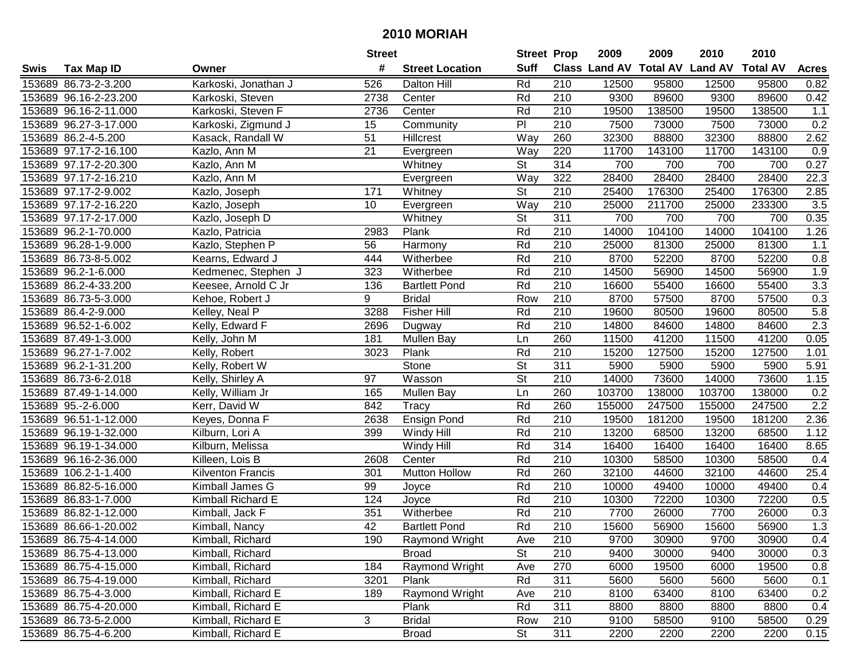|      |                       |                          | <b>Street</b>   |                        | <b>Street Prop</b>       |                  | 2009                          | 2009   | 2010           | 2010            |                  |
|------|-----------------------|--------------------------|-----------------|------------------------|--------------------------|------------------|-------------------------------|--------|----------------|-----------------|------------------|
| Swis | <b>Tax Map ID</b>     | Owner                    | #               | <b>Street Location</b> | <b>Suff</b>              |                  | <b>Class Land AV Total AV</b> |        | <b>Land AV</b> | <b>Total AV</b> | <b>Acres</b>     |
|      | 153689 86.73-2-3.200  | Karkoski, Jonathan J     | 526             | <b>Dalton Hill</b>     | Rd                       | 210              | 12500                         | 95800  | 12500          | 95800           | 0.82             |
|      | 153689 96.16-2-23.200 | Karkoski, Steven         | 2738            | Center                 | Rd                       | 210              | 9300                          | 89600  | 9300           | 89600           | 0.42             |
|      | 153689 96.16-2-11.000 | Karkoski, Steven F       | 2736            | Center                 | Rd                       | 210              | 19500                         | 138500 | 19500          | 138500          | 1.1              |
|      | 153689 96.27-3-17.000 | Karkoski, Zigmund J      | 15              | Community              | $\overline{P}$           | 210              | 7500                          | 73000  | 7500           | 73000           | 0.2              |
|      | 153689 86.2-4-5.200   | Kasack, Randall W        | 51              | Hillcrest              | Way                      | 260              | 32300                         | 88800  | 32300          | 88800           | 2.62             |
|      | 153689 97.17-2-16.100 | Kazlo, Ann M             | 21              | Evergreen              | Way                      | 220              | 11700                         | 143100 | 11700          | 143100          | $\overline{0.9}$ |
|      | 153689 97.17-2-20.300 | Kazlo, Ann M             |                 | Whitney                | <b>St</b>                | 314              | 700                           | 700    | 700            | 700             | 0.27             |
|      | 153689 97.17-2-16.210 | Kazlo, Ann M             |                 | Evergreen              | Way                      | 322              | 28400                         | 28400  | 28400          | 28400           | 22.3             |
|      | 153689 97.17-2-9.002  | Kazlo, Joseph            | 171             | Whitney                | $\overline{\mathsf{St}}$ | $\overline{210}$ | 25400                         | 176300 | 25400          | 176300          | 2.85             |
|      | 153689 97.17-2-16.220 | Kazlo, Joseph            | 10              | Evergreen              | Way                      | 210              | 25000                         | 211700 | 25000          | 233300          | 3.5              |
|      | 153689 97.17-2-17.000 | Kazlo, Joseph D          |                 | Whitney                | $\overline{\mathsf{St}}$ | 311              | 700                           | 700    | 700            | 700             | 0.35             |
|      | 153689 96.2-1-70.000  | Kazlo, Patricia          | 2983            | Plank                  | Rd                       | 210              | 14000                         | 104100 | 14000          | 104100          | 1.26             |
|      | 153689 96.28-1-9.000  | Kazlo, Stephen P         | 56              | Harmony                | Rd                       | 210              | 25000                         | 81300  | 25000          | 81300           | 1.1              |
|      | 153689 86.73-8-5.002  | Kearns, Edward J         | 444             | Witherbee              | Rd                       | 210              | 8700                          | 52200  | 8700           | 52200           | 0.8              |
|      | 153689 96.2-1-6.000   | Kedmenec, Stephen J      | 323             | Witherbee              | Rd                       | 210              | 14500                         | 56900  | 14500          | 56900           | 1.9              |
|      | 153689 86.2-4-33.200  | Keesee, Arnold C Jr      | 136             | <b>Bartlett Pond</b>   | Rd                       | 210              | 16600                         | 55400  | 16600          | 55400           | 3.3              |
|      | 153689 86.73-5-3.000  | Kehoe, Robert J          | 9               | <b>Bridal</b>          | Row                      | 210              | 8700                          | 57500  | 8700           | 57500           | 0.3              |
|      | 153689 86.4-2-9.000   | Kelley, Neal P           | 3288            | <b>Fisher Hill</b>     | Rd                       | 210              | 19600                         | 80500  | 19600          | 80500           | 5.8              |
|      | 153689 96.52-1-6.002  | Kelly, Edward F          | 2696            | Dugway                 | Rd                       | 210              | 14800                         | 84600  | 14800          | 84600           | 2.3              |
|      | 153689 87.49-1-3.000  | Kelly, John M            | 181             | Mullen Bay             | Ln                       | 260              | 11500                         | 41200  | 11500          | 41200           | 0.05             |
|      | 153689 96.27-1-7.002  | Kelly, Robert            | 3023            | Plank                  | Rd                       | 210              | 15200                         | 127500 | 15200          | 127500          | 1.01             |
|      | 153689 96.2-1-31.200  | Kelly, Robert W          |                 | Stone                  | <b>St</b>                | 311              | 5900                          | 5900   | 5900           | 5900            | 5.91             |
|      | 153689 86.73-6-2.018  | Kelly, Shirley A         | 97              | Wasson                 | St                       | 210              | 14000                         | 73600  | 14000          | 73600           | 1.15             |
|      | 153689 87.49-1-14.000 | Kelly, William Jr        | 165             | <b>Mullen Bay</b>      | Ln                       | 260              | 103700                        | 138000 | 103700         | 138000          | 0.2              |
|      | 153689 95.-2-6.000    | Kerr, David W            | 842             | Tracy                  | Rd                       | 260              | 155000                        | 247500 | 155000         | 247500          | $\overline{2.2}$ |
|      | 153689 96.51-1-12.000 | Keyes, Donna F           | 2638            | Ensign Pond            | Rd                       | 210              | 19500                         | 181200 | 19500          | 181200          | 2.36             |
|      | 153689 96.19-1-32.000 | Kilburn, Lori A          | 399             | Windy Hill             | Rd                       | 210              | 13200                         | 68500  | 13200          | 68500           | 1.12             |
|      | 153689 96.19-1-34.000 | Kilburn, Melissa         |                 | Windy Hill             | Rd                       | 314              | 16400                         | 16400  | 16400          | 16400           | 8.65             |
|      | 153689 96.16-2-36.000 | Killeen, Lois B          | 2608            | Center                 | Rd                       | 210              | 10300                         | 58500  | 10300          | 58500           | 0.4              |
|      | 153689 106.2-1-1.400  | <b>Kilventon Francis</b> | 301             | <b>Mutton Hollow</b>   | Rd                       | 260              | 32100                         | 44600  | 32100          | 44600           | 25.4             |
|      | 153689 86.82-5-16.000 | Kimball James G          | 99              | Joyce                  | Rd                       | $\overline{210}$ | 10000                         | 49400  | 10000          | 49400           | 0.4              |
|      | 153689 86.83-1-7.000  | Kimball Richard E        | 124             | Joyce                  | Rd                       | 210              | 10300                         | 72200  | 10300          | 72200           | 0.5              |
|      | 153689 86.82-1-12.000 | Kimball, Jack F          | 351             | Witherbee              | Rd                       | $\overline{210}$ | 7700                          | 26000  | 7700           | 26000           | 0.3              |
|      | 153689 86.66-1-20.002 | Kimball, Nancy           | $\overline{42}$ | <b>Bartlett Pond</b>   | Rd                       | $\overline{210}$ | 15600                         | 56900  | 15600          | 56900           | 1.3              |
|      | 153689 86.75-4-14.000 | Kimball, Richard         | 190             | Raymond Wright         | Ave                      | 210              | 9700                          | 30900  | 9700           | 30900           | 0.4              |
|      | 153689 86.75-4-13.000 | Kimball, Richard         |                 | <b>Broad</b>           | <b>St</b>                | 210              | 9400                          | 30000  | 9400           | 30000           | 0.3              |
|      | 153689 86.75-4-15.000 | Kimball, Richard         | 184             | Raymond Wright         | Ave                      | 270              | 6000                          | 19500  | 6000           | 19500           | 0.8              |
|      | 153689 86.75-4-19.000 | Kimball, Richard         | 3201            | Plank                  | Rd                       | 311              | 5600                          | 5600   | 5600           | 5600            | 0.1              |
|      | 153689 86.75-4-3.000  | Kimball, Richard E       | 189             | Raymond Wright         | Ave                      | 210              | 8100                          | 63400  | 8100           | 63400           | 0.2              |
|      | 153689 86.75-4-20.000 | Kimball, Richard E       |                 | Plank                  | Rd                       | 311              | 8800                          | 8800   | 8800           | 8800            | 0.4              |
|      | 153689 86.73-5-2.000  | Kimball, Richard E       | 3               | <b>Bridal</b>          | Row                      | 210              | 9100                          | 58500  | 9100           | 58500           | 0.29             |
|      | 153689 86.75-4-6.200  | Kimball, Richard E       |                 | <b>Broad</b>           | <b>St</b>                | 311              | 2200                          | 2200   | 2200           | 2200            | 0.15             |
|      |                       |                          |                 |                        |                          |                  |                               |        |                |                 |                  |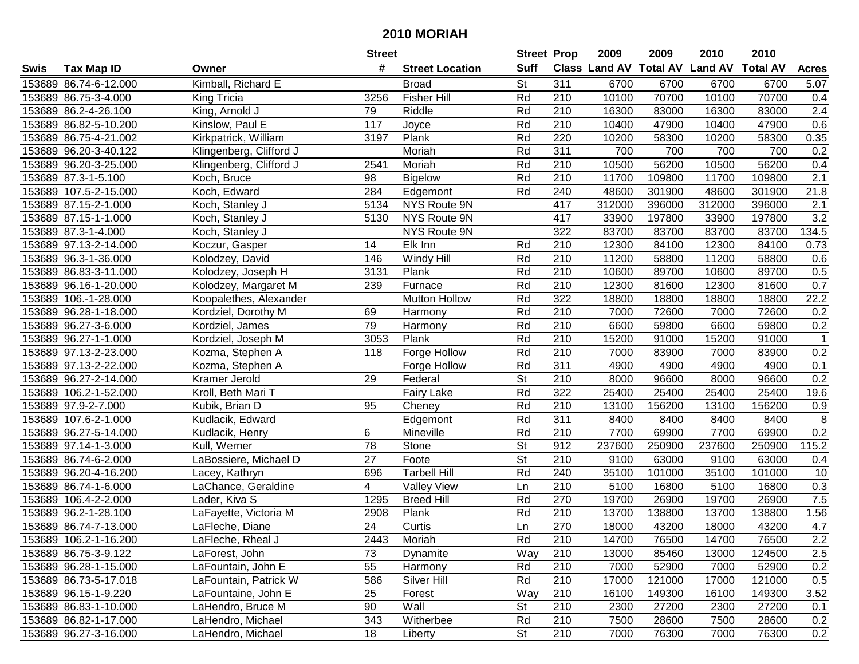|      |                       |                         | <b>Street</b>   |                        | <b>Street Prop</b>       |                  | 2009                          | 2009   | 2010           | 2010            |              |
|------|-----------------------|-------------------------|-----------------|------------------------|--------------------------|------------------|-------------------------------|--------|----------------|-----------------|--------------|
| Swis | <b>Tax Map ID</b>     | Owner                   | #               | <b>Street Location</b> | <b>Suff</b>              |                  | <b>Class Land AV Total AV</b> |        | <b>Land AV</b> | <b>Total AV</b> | <b>Acres</b> |
|      | 153689 86.74-6-12.000 | Kimball, Richard E      |                 | <b>Broad</b>           | <b>St</b>                | 311              | 6700                          | 6700   | 6700           | 6700            | 5.07         |
|      | 153689 86.75-3-4.000  | King Tricia             | 3256            | Fisher Hill            | Rd                       | 210              | 10100                         | 70700  | 10100          | 70700           | 0.4          |
|      | 153689 86.2-4-26.100  | King, Arnold J          | 79              | Riddle                 | Rd                       | 210              | 16300                         | 83000  | 16300          | 83000           | 2.4          |
|      | 153689 86.82-5-10.200 | Kinslow, Paul E         | 117             | Joyce                  | Rd                       | 210              | 10400                         | 47900  | 10400          | 47900           | 0.6          |
|      | 153689 86.75-4-21.002 | Kirkpatrick, William    | 3197            | Plank                  | Rd                       | 220              | 10200                         | 58300  | 10200          | 58300           | 0.35         |
|      | 153689 96.20-3-40.122 | Klingenberg, Clifford J |                 | Moriah                 | Rd                       | 311              | 700                           | 700    | 700            | 700             | 0.2          |
|      | 153689 96.20-3-25.000 | Klingenberg, Clifford J | 2541            | Moriah                 | Rd                       | 210              | 10500                         | 56200  | 10500          | 56200           | 0.4          |
|      | 153689 87.3-1-5.100   | Koch, Bruce             | $\overline{98}$ | <b>Bigelow</b>         | Rd                       | 210              | 11700                         | 109800 | 11700          | 109800          | 2.1          |
|      | 153689 107.5-2-15.000 | Koch, Edward            | 284             | Edgemont               | Rd                       | 240              | 48600                         | 301900 | 48600          | 301900          | 21.8         |
|      | 153689 87.15-2-1.000  | Koch, Stanley J         | 5134            | NYS Route 9N           |                          | 417              | 312000                        | 396000 | 312000         | 396000          | 2.1          |
|      | 153689 87.15-1-1.000  | Koch, Stanley J         | 5130            | NYS Route 9N           |                          | 417              | 33900                         | 197800 | 33900          | 197800          | 3.2          |
|      | 153689 87.3-1-4.000   | Koch, Stanley J         |                 | NYS Route 9N           |                          | 322              | 83700                         | 83700  | 83700          | 83700           | 134.5        |
|      | 153689 97.13-2-14.000 | Koczur, Gasper          | 14              | Elk Inn                | Rd                       | 210              | 12300                         | 84100  | 12300          | 84100           | 0.73         |
|      | 153689 96.3-1-36.000  | Kolodzey, David         | 146             | Windy Hill             | Rd                       | 210              | 11200                         | 58800  | 11200          | 58800           | 0.6          |
|      | 153689 86.83-3-11.000 | Kolodzey, Joseph H      | 3131            | Plank                  | Rd                       | 210              | 10600                         | 89700  | 10600          | 89700           | 0.5          |
|      | 153689 96.16-1-20.000 | Kolodzey, Margaret M    | 239             | Furnace                | Rd                       | 210              | 12300                         | 81600  | 12300          | 81600           | 0.7          |
|      | 153689 106.-1-28.000  | Koopalethes, Alexander  |                 | <b>Mutton Hollow</b>   | Rd                       | 322              | 18800                         | 18800  | 18800          | 18800           | 22.2         |
|      | 153689 96.28-1-18.000 | Kordziel, Dorothy M     | 69              | Harmony                | Rd                       | 210              | 7000                          | 72600  | 7000           | 72600           | 0.2          |
|      | 153689 96.27-3-6.000  | Kordziel, James         | 79              | Harmony                | Rd                       | 210              | 6600                          | 59800  | 6600           | 59800           | 0.2          |
|      | 153689 96.27-1-1.000  | Kordziel, Joseph M      | 3053            | Plank                  | Rd                       | 210              | 15200                         | 91000  | 15200          | 91000           | $\mathbf{1}$ |
|      | 153689 97.13-2-23.000 | Kozma, Stephen A        | 118             | Forge Hollow           | Rd                       | 210              | 7000                          | 83900  | 7000           | 83900           | 0.2          |
|      | 153689 97.13-2-22.000 | Kozma, Stephen A        |                 | Forge Hollow           | Rd                       | 311              | 4900                          | 4900   | 4900           | 4900            | 0.1          |
|      | 153689 96.27-2-14.000 | Kramer Jerold           | 29              | Federal                | St                       | 210              | 8000                          | 96600  | 8000           | 96600           | 0.2          |
|      | 153689 106.2-1-52.000 | Kroll, Beth Mari T      |                 | <b>Fairy Lake</b>      | Rd                       | 322              | 25400                         | 25400  | 25400          | 25400           | 19.6         |
|      | 153689 97.9-2-7.000   | Kubik, Brian D          | 95              | Cheney                 | Rd                       | $\overline{210}$ | 13100                         | 156200 | 13100          | 156200          | 0.9          |
|      | 153689 107.6-2-1.000  | Kudlacik, Edward        |                 | Edgemont               | Rd                       | 311              | 8400                          | 8400   | 8400           | 8400            | 8            |
|      | 153689 96.27-5-14.000 | Kudlacik, Henry         | 6               | Mineville              | Rd                       | 210              | 7700                          | 69900  | 7700           | 69900           | 0.2          |
|      | 153689 97.14-1-3.000  | Kull, Werner            | 78              | Stone                  | St                       | 912              | 237600                        | 250900 | 237600         | 250900          | 115.2        |
|      | 153689 86.74-6-2.000  | LaBossiere, Michael D   | $\overline{27}$ | Foote                  | $\overline{\mathsf{St}}$ | $\overline{210}$ | 9100                          | 63000  | 9100           | 63000           | 0.4          |
|      | 153689 96.20-4-16.200 | Lacey, Kathryn          | 696             | <b>Tarbell Hill</b>    | Rd                       | 240              | 35100                         | 101000 | 35100          | 101000          | 10           |
|      | 153689 86.74-1-6.000  | LaChance, Geraldine     | 4               | <b>Valley View</b>     | Ln                       | $\overline{210}$ | 5100                          | 16800  | 5100           | 16800           | 0.3          |
|      | 153689 106.4-2-2.000  | Lader, Kiva S           | 1295            | <b>Breed Hill</b>      | Rd                       | 270              | 19700                         | 26900  | 19700          | 26900           | 7.5          |
|      | 153689 96.2-1-28.100  | LaFayette, Victoria M   | 2908            | Plank                  | Rd                       | $\overline{210}$ | 13700                         | 138800 | 13700          | 138800          | 1.56         |
|      | 153689 86.74-7-13.000 | LaFleche, Diane         | $\overline{24}$ | Curtis                 | Ln                       | 270              | 18000                         | 43200  | 18000          | 43200           | 4.7          |
|      | 153689 106.2-1-16.200 | LaFleche, Rheal J       | 2443            | Moriah                 | Rd                       | 210              | 14700                         | 76500  | 14700          | 76500           | 2.2          |
|      | 153689 86.75-3-9.122  | LaForest, John          | 73              | Dynamite               | Way                      | 210              | 13000                         | 85460  | 13000          | 124500          | 2.5          |
|      | 153689 96.28-1-15.000 | LaFountain, John E      | 55              | Harmony                | Rd                       | 210              | 7000                          | 52900  | 7000           | 52900           | 0.2          |
|      | 153689 86.73-5-17.018 | LaFountain, Patrick W   | 586             | Silver Hill            | Rd                       | 210              | 17000                         | 121000 | 17000          | 121000          | 0.5          |
|      | 153689 96.15-1-9.220  | LaFountaine, John E     | 25              | Forest                 | Way                      | 210              | 16100                         | 149300 | 16100          | 149300          | 3.52         |
|      | 153689 86.83-1-10.000 | LaHendro, Bruce M       | 90              | Wall                   | <b>St</b>                | 210              | 2300                          | 27200  | 2300           | 27200           | 0.1          |
|      | 153689 86.82-1-17.000 | LaHendro, Michael       | 343             | Witherbee              | Rd                       | 210              | 7500                          | 28600  | 7500           | 28600           | 0.2          |
|      | 153689 96.27-3-16.000 | LaHendro, Michael       | 18              | Liberty                | St                       | 210              | 7000                          | 76300  | 7000           | 76300           | 0.2          |
|      |                       |                         |                 |                        |                          |                  |                               |        |                |                 |              |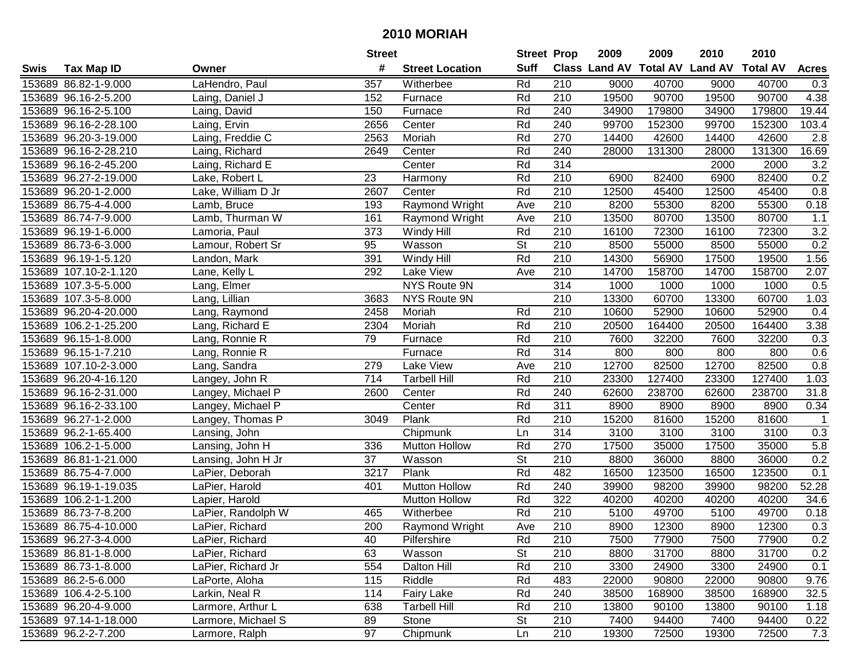|      |                       |                    | <b>Street</b>   |                        | <b>Street Prop</b>       |                  | 2009  | 2009   | 2010                           | 2010            |                |
|------|-----------------------|--------------------|-----------------|------------------------|--------------------------|------------------|-------|--------|--------------------------------|-----------------|----------------|
| Swis | <b>Tax Map ID</b>     | Owner              | #               | <b>Street Location</b> | <b>Suff</b>              |                  |       |        | Class Land AV Total AV Land AV | <b>Total AV</b> | <b>Acres</b>   |
|      | 153689 86.82-1-9.000  | LaHendro, Paul     | 357             | Witherbee              | Rd                       | 210              | 9000  | 40700  | 9000                           | 40700           | 0.3            |
|      | 153689 96.16-2-5.200  | Laing, Daniel J    | 152             | Furnace                | Rd                       | 210              | 19500 | 90700  | 19500                          | 90700           | 4.38           |
|      | 153689 96.16-2-5.100  | Laing, David       | 150             | Furnace                | Rd                       | 240              | 34900 | 179800 | 34900                          | 179800          | 19.44          |
|      | 153689 96.16-2-28.100 | Laing, Ervin       | 2656            | Center                 | Rd                       | 240              | 99700 | 152300 | 99700                          | 152300          | 103.4          |
|      | 153689 96.20-3-19.000 | Laing, Freddie C   | 2563            | Moriah                 | Rd                       | 270              | 14400 | 42600  | 14400                          | 42600           | 2.8            |
|      | 153689 96.16-2-28.210 | Laing, Richard     | 2649            | Center                 | Rd                       | 240              | 28000 | 131300 | 28000                          | 131300          | 16.69          |
|      | 153689 96.16-2-45.200 | Laing, Richard E   |                 | Center                 | Rd                       | 314              |       |        | 2000                           | 2000            | 3.2            |
|      | 153689 96.27-2-19.000 | Lake, Robert L     | $\overline{23}$ | Harmony                | Rd                       | $\overline{210}$ | 6900  | 82400  | 6900                           | 82400           | 0.2            |
|      | 153689 96.20-1-2.000  | Lake, William D Jr | 2607            | Center                 | Rd                       | $\overline{210}$ | 12500 | 45400  | 12500                          | 45400           | 0.8            |
|      | 153689 86.75-4-4.000  | Lamb, Bruce        | 193             | Raymond Wright         | Ave                      | 210              | 8200  | 55300  | 8200                           | 55300           | 0.18           |
|      | 153689 86.74-7-9.000  | Lamb, Thurman W    | 161             | Raymond Wright         | Ave                      | 210              | 13500 | 80700  | 13500                          | 80700           | 1.1            |
|      | 153689 96.19-1-6.000  | Lamoria, Paul      | 373             | Windy Hill             | Rd                       | 210              | 16100 | 72300  | 16100                          | 72300           | 3.2            |
|      | 153689 86.73-6-3.000  | Lamour, Robert Sr  | 95              | Wasson                 | $\overline{\mathsf{St}}$ | 210              | 8500  | 55000  | 8500                           | 55000           | 0.2            |
|      | 153689 96.19-1-5.120  | Landon, Mark       | 391             | Windy Hill             | Rd                       | 210              | 14300 | 56900  | 17500                          | 19500           | 1.56           |
|      | 153689 107.10-2-1.120 | Lane, Kelly L      | 292             | Lake View              | Ave                      | 210              | 14700 | 158700 | 14700                          | 158700          | 2.07           |
|      | 153689 107.3-5-5.000  | Lang, Elmer        |                 | NYS Route 9N           |                          | 314              | 1000  | 1000   | 1000                           | 1000            | 0.5            |
|      | 153689 107.3-5-8.000  | Lang, Lillian      | 3683            | NYS Route 9N           |                          | 210              | 13300 | 60700  | 13300                          | 60700           | 1.03           |
|      | 153689 96.20-4-20.000 | Lang, Raymond      | 2458            | Moriah                 | Rd                       | 210              | 10600 | 52900  | 10600                          | 52900           | 0.4            |
|      | 153689 106.2-1-25.200 | Lang, Richard E    | 2304            | Moriah                 | Rd                       | 210              | 20500 | 164400 | 20500                          | 164400          | 3.38           |
|      | 153689 96.15-1-8.000  | Lang, Ronnie R     | 79              | Furnace                | Rd                       | 210              | 7600  | 32200  | 7600                           | 32200           | 0.3            |
|      | 153689 96.15-1-7.210  | Lang, Ronnie R     |                 | Furnace                | Rd                       | 314              | 800   | 800    | 800                            | 800             | 0.6            |
|      | 153689 107.10-2-3.000 | Lang, Sandra       | 279             | Lake View              | Ave                      | 210              | 12700 | 82500  | 12700                          | 82500           | 0.8            |
|      | 153689 96.20-4-16.120 | Langey, John R     | 714             | <b>Tarbell Hill</b>    | Rd                       | 210              | 23300 | 127400 | 23300                          | 127400          | 1.03           |
|      | 153689 96.16-2-31.000 | Langey, Michael P  | 2600            | Center                 | Rd                       | 240              | 62600 | 238700 | 62600                          | 238700          | 31.8           |
|      | 153689 96.16-2-33.100 | Langey, Michael P  |                 | Center                 | Rd                       | 311              | 8900  | 8900   | 8900                           | 8900            | 0.34           |
|      | 153689 96.27-1-2.000  | Langey, Thomas P   | 3049            | Plank                  | Rd                       | 210              | 15200 | 81600  | 15200                          | 81600           | $\overline{1}$ |
|      | 153689 96.2-1-65.400  | Lansing, John      |                 | Chipmunk               | Ln                       | 314              | 3100  | 3100   | 3100                           | 3100            | 0.3            |
|      | 153689 106.2-1-5.000  | Lansing, John H    | 336             | <b>Mutton Hollow</b>   | Rd                       | 270              | 17500 | 35000  | 17500                          | 35000           | 5.8            |
|      | 153689 86.81-1-21.000 | Lansing, John H Jr | 37              | Wasson                 | $\overline{\mathsf{St}}$ | $\overline{210}$ | 8800  | 36000  | 8800                           | 36000           | 0.2            |
|      | 153689 86.75-4-7.000  | LaPier, Deborah    | 3217            | Plank                  | Rd                       | 482              | 16500 | 123500 | 16500                          | 123500          | 0.1            |
|      | 153689 96.19-1-19.035 | LaPier, Harold     | 401             | <b>Mutton Hollow</b>   | Rd                       | 240              | 39900 | 98200  | 39900                          | 98200           | 52.28          |
|      | 153689 106.2-1-1.200  | Lapier, Harold     |                 | <b>Mutton Hollow</b>   | Rd                       | 322              | 40200 | 40200  | 40200                          | 40200           | 34.6           |
|      | 153689 86.73-7-8.200  | LaPier, Randolph W | 465             | Witherbee              | Rd                       | $\overline{210}$ | 5100  | 49700  | 5100                           | 49700           | 0.18           |
|      | 153689 86.75-4-10.000 | LaPier, Richard    | 200             | Raymond Wright         | Ave                      | $\overline{210}$ | 8900  | 12300  | 8900                           | 12300           | 0.3            |
|      | 153689 96.27-3-4.000  | LaPier, Richard    | 40              | Pilfershire            | Rd                       | 210              | 7500  | 77900  | 7500                           | 77900           | 0.2            |
|      | 153689 86.81-1-8.000  | LaPier, Richard    | 63              | Wasson                 | <b>St</b>                | 210              | 8800  | 31700  | 8800                           | 31700           | 0.2            |
|      | 153689 86.73-1-8.000  | LaPier, Richard Jr | 554             | Dalton Hill            | Rd                       | 210              | 3300  | 24900  | 3300                           | 24900           | 0.1            |
|      | 153689 86.2-5-6.000   | LaPorte, Aloha     | 115             | Riddle                 | Rd                       | 483              | 22000 | 90800  | 22000                          | 90800           | 9.76           |
|      | 153689 106.4-2-5.100  | Larkin, Neal R     | 114             | <b>Fairy Lake</b>      | Rd                       | 240              | 38500 | 168900 | 38500                          | 168900          | 32.5           |
|      | 153689 96.20-4-9.000  | Larmore, Arthur L  | 638             | <b>Tarbell Hill</b>    | Rd                       | 210              | 13800 | 90100  | 13800                          | 90100           | 1.18           |
|      | 153689 97.14-1-18.000 | Larmore, Michael S | 89              | Stone                  | <b>St</b>                | 210              | 7400  | 94400  | 7400                           | 94400           | 0.22           |
|      | 153689 96.2-2-7.200   | Larmore, Ralph     | 97              | Chipmunk               | Ln                       | 210              | 19300 | 72500  | 19300                          | 72500           | 7.3            |
|      |                       |                    |                 |                        |                          |                  |       |        |                                |                 |                |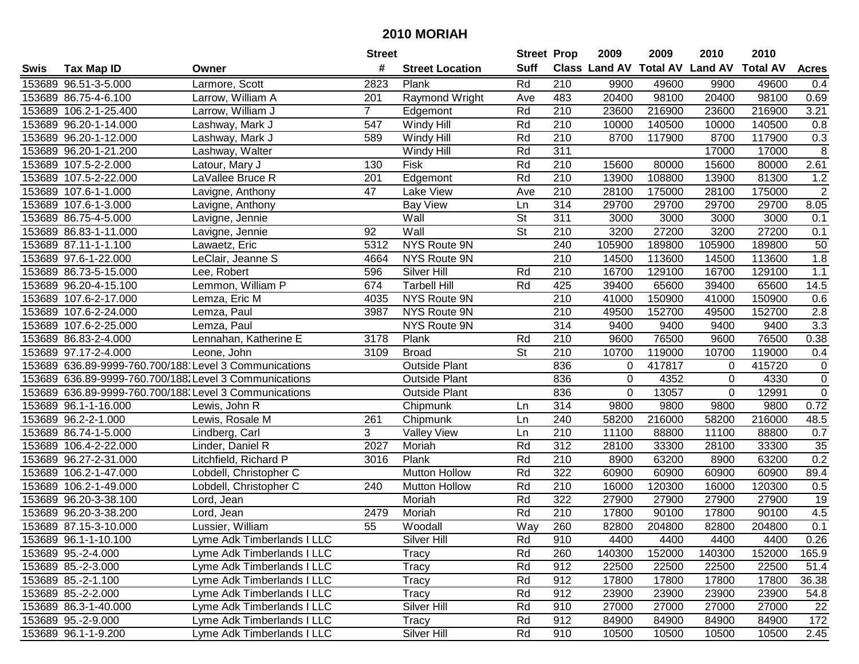|      |                       |                                                        | <b>Street</b>    |                        | <b>Street Prop</b> |                  | 2009                          | 2009   | 2010           | 2010            |                  |
|------|-----------------------|--------------------------------------------------------|------------------|------------------------|--------------------|------------------|-------------------------------|--------|----------------|-----------------|------------------|
| Swis | <b>Tax Map ID</b>     | Owner                                                  | #                | <b>Street Location</b> | <b>Suff</b>        |                  | <b>Class Land AV Total AV</b> |        | <b>Land AV</b> | <b>Total AV</b> | <b>Acres</b>     |
|      | 153689 96.51-3-5.000  | Larmore, Scott                                         | 2823             | Plank                  | Rd                 | 210              | 9900                          | 49600  | 9900           | 49600           | 0.4              |
|      | 153689 86.75-4-6.100  | Larrow, William A                                      | 201              | Raymond Wright         | Ave                | 483              | 20400                         | 98100  | 20400          | 98100           | 0.69             |
|      | 153689 106.2-1-25.400 | Larrow, William J                                      | $\overline{7}$   | Edgemont               | Rd                 | 210              | 23600                         | 216900 | 23600          | 216900          | 3.21             |
|      | 153689 96.20-1-14.000 | Lashway, Mark J                                        | 547              | Windy Hill             | Rd                 | 210              | 10000                         | 140500 | 10000          | 140500          | 0.8              |
|      | 153689 96.20-1-12.000 | Lashway, Mark J                                        | 589              | Windy Hill             | Rd                 | 210              | 8700                          | 117900 | 8700           | 117900          | 0.3              |
|      | 153689 96.20-1-21.200 | Lashway, Walter                                        |                  | Windy Hill             | Rd                 | 311              |                               |        | 17000          | 17000           | $\overline{8}$   |
|      | 153689 107.5-2-2.000  | Latour, Mary J                                         | 130              | Fisk                   | Rd                 | 210              | 15600                         | 80000  | 15600          | 80000           | 2.61             |
|      | 153689 107.5-2-22.000 | LaVallee Bruce R                                       | $\overline{201}$ | Edgemont               | Rd                 | 210              | 13900                         | 108800 | 13900          | 81300           | 1.2              |
|      | 153689 107.6-1-1.000  | Lavigne, Anthony                                       | $\overline{47}$  | Lake View              | Ave                | $\overline{210}$ | 28100                         | 175000 | 28100          | 175000          | $\overline{2}$   |
|      | 153689 107.6-1-3.000  | Lavigne, Anthony                                       |                  | <b>Bay View</b>        | Ln                 | 314              | 29700                         | 29700  | 29700          | 29700           | 8.05             |
|      | 153689 86.75-4-5.000  | Lavigne, Jennie                                        |                  | Wall                   | St                 | 311              | 3000                          | 3000   | 3000           | 3000            | 0.1              |
|      | 153689 86.83-1-11.000 | Lavigne, Jennie                                        | 92               | Wall                   | St                 | 210              | 3200                          | 27200  | 3200           | 27200           | 0.1              |
|      | 153689 87.11-1-1.100  | Lawaetz, Eric                                          | 5312             | NYS Route 9N           |                    | 240              | 105900                        | 189800 | 105900         | 189800          | 50               |
|      | 153689 97.6-1-22.000  | LeClair, Jeanne S                                      | 4664             | NYS Route 9N           |                    | 210              | 14500                         | 113600 | 14500          | 113600          | 1.8              |
|      | 153689 86.73-5-15.000 | Lee, Robert                                            | 596              | Silver Hill            | Rd                 | 210              | 16700                         | 129100 | 16700          | 129100          | 1.1              |
|      | 153689 96.20-4-15.100 | Lemmon, William P                                      | 674              | <b>Tarbell Hill</b>    | Rd                 | 425              | 39400                         | 65600  | 39400          | 65600           | 14.5             |
|      | 153689 107.6-2-17.000 | Lemza, Eric M                                          | 4035             | NYS Route 9N           |                    | 210              | 41000                         | 150900 | 41000          | 150900          | 0.6              |
|      | 153689 107.6-2-24.000 | Lemza, Paul                                            | 3987             | NYS Route 9N           |                    | 210              | 49500                         | 152700 | 49500          | 152700          | 2.8              |
|      | 153689 107.6-2-25.000 | Lemza, Paul                                            |                  | NYS Route 9N           |                    | 314              | 9400                          | 9400   | 9400           | 9400            | $\overline{3.3}$ |
|      | 153689 86.83-2-4.000  | Lennahan, Katherine E                                  | 3178             | Plank                  | Rd                 | 210              | 9600                          | 76500  | 9600           | 76500           | 0.38             |
|      | 153689 97.17-2-4.000  | Leone, John                                            | 3109             | <b>Broad</b>           | <b>St</b>          | 210              | 10700                         | 119000 | 10700          | 119000          | 0.4              |
|      |                       | 153689 636.89-9999-760.700/188 Level 3 Communications  |                  | <b>Outside Plant</b>   |                    | 836              | 0                             | 417817 | 0              | 415720          | $\pmb{0}$        |
|      |                       | 153689 636.89-9999-760.700/188. Level 3 Communications |                  | <b>Outside Plant</b>   |                    | 836              | 0                             | 4352   | 0              | 4330            | $\overline{0}$   |
|      |                       | 153689 636.89-9999-760.700/188. Level 3 Communications |                  | <b>Outside Plant</b>   |                    | 836              | 0                             | 13057  | 0              | 12991           | $\pmb{0}$        |
|      | 153689 96.1-1-16.000  | Lewis, John R                                          |                  | Chipmunk               | Ln                 | 314              | 9800                          | 9800   | 9800           | 9800            | 0.72             |
|      | 153689 96.2-2-1.000   | Lewis, Rosale M                                        | 261              | Chipmunk               | Ln                 | 240              | 58200                         | 216000 | 58200          | 216000          | 48.5             |
|      | 153689 86.74-1-5.000  | Lindberg, Carl                                         | 3                | <b>Valley View</b>     | Ln                 | 210              | 11100                         | 88800  | 11100          | 88800           | 0.7              |
|      | 153689 106.4-2-22.000 | Linder, Daniel R                                       | 2027             | Moriah                 | Rd                 | 312              | 28100                         | 33300  | 28100          | 33300           | 35               |
|      | 153689 96.27-2-31.000 | Litchfield, Richard P                                  | 3016             | Plank                  | Rd                 | 210              | 8900                          | 63200  | 8900           | 63200           | 0.2              |
|      | 153689 106.2-1-47.000 | Lobdell, Christopher C                                 |                  | <b>Mutton Hollow</b>   | Rd                 | $\overline{322}$ | 60900                         | 60900  | 60900          | 60900           | 89.4             |
|      | 153689 106.2-1-49.000 | Lobdell, Christopher C                                 | 240              | <b>Mutton Hollow</b>   | Rd                 | $\overline{210}$ | 16000                         | 120300 | 16000          | 120300          | 0.5              |
|      | 153689 96.20-3-38.100 | Lord, Jean                                             |                  | Moriah                 | Rd                 | 322              | 27900                         | 27900  | 27900          | 27900           | 19               |
|      | 153689 96.20-3-38.200 | Lord, Jean                                             | 2479             | Moriah                 | Rd                 | $\overline{210}$ | 17800                         | 90100  | 17800          | 90100           | 4.5              |
|      | 153689 87.15-3-10.000 | Lussier, William                                       | 55               | Woodall                | Way                | 260              | 82800                         | 204800 | 82800          | 204800          | 0.1              |
|      | 153689 96.1-1-10.100  | Lyme Adk Timberlands I LLC                             |                  | Silver Hill            | Rd                 | 910              | 4400                          | 4400   | 4400           | 4400            | 0.26             |
|      | 153689 95.-2-4.000    | Lyme Adk Timberlands I LLC                             |                  | <b>Tracy</b>           | Rd                 | 260              | 140300                        | 152000 | 140300         | 152000          | 165.9            |
|      | 153689 85.-2-3.000    | Lyme Adk Timberlands I LLC                             |                  | Tracy                  | Rd                 | 912              | 22500                         | 22500  | 22500          | 22500           | 51.4             |
|      | 153689 85.-2-1.100    | Lyme Adk Timberlands I LLC                             |                  | Tracy                  | Rd                 | 912              | 17800                         | 17800  | 17800          | 17800           | 36.38            |
|      | 153689 85.-2-2.000    | Lyme Adk Timberlands I LLC                             |                  | Tracy                  | Rd                 | 912              | 23900                         | 23900  | 23900          | 23900           | 54.8             |
|      | 153689 86.3-1-40.000  | Lyme Adk Timberlands I LLC                             |                  | Silver Hill            | Rd                 | 910              | 27000                         | 27000  | 27000          | 27000           | 22               |
|      | 153689 95.-2-9.000    | Lyme Adk Timberlands I LLC                             |                  | Tracy                  | Rd                 | 912              | 84900                         | 84900  | 84900          | 84900           | 172              |
|      | 153689 96.1-1-9.200   | Lyme Adk Timberlands I LLC                             |                  | Silver Hill            | Rd                 | 910              | 10500                         | 10500  | 10500          | 10500           | 2.45             |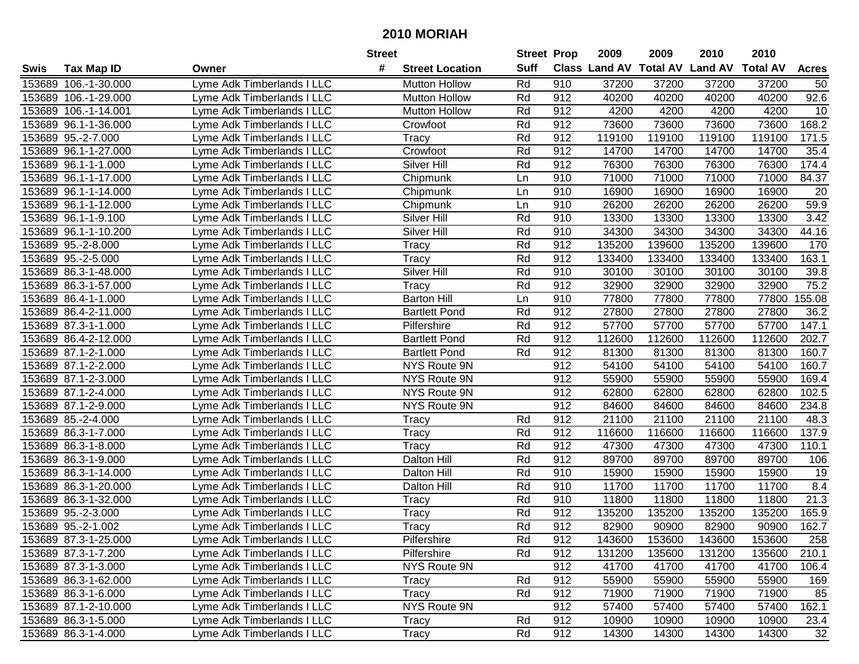| #<br><b>Suff</b><br><b>Class Land AV Total AV</b><br><b>Land AV</b><br><b>Total AV</b><br><b>Tax Map ID</b><br><b>Street Location</b><br><b>Acres</b><br>Swis<br>Owner<br>153689 106.-1-30.000<br>Lyme Adk Timberlands I LLC<br><b>Mutton Hollow</b><br>Rd<br>910<br>37200<br>37200<br>37200<br>37200<br>50<br>92.6<br>153689 106.-1-29.000<br>Rd<br>912<br>40200<br>40200<br>40200<br>Lyme Adk Timberlands I LLC<br><b>Mutton Hollow</b><br>40200<br>153689 106.-1-14.001<br>Rd<br>912<br>4200<br>4200<br>4200<br>10<br>Lyme Adk Timberlands I LLC<br><b>Mutton Hollow</b><br>4200<br>Rd<br>912<br>73600<br>73600<br>73600<br>168.2<br>153689 96.1-1-36.000<br>Lyme Adk Timberlands I LLC<br>73600<br>Crowfoot<br>153689 95.-2-7.000<br>Rd<br>912<br>119100<br>119100<br>119100<br>119100<br>171.5<br>Lyme Adk Timberlands I LLC<br>Tracy<br>35.4<br>153689 96.1-1-27.000<br>Crowfoot<br>Rd<br>912<br>14700<br>14700<br>14700<br>14700<br>Lyme Adk Timberlands I LLC<br>174.4<br><b>Silver Hill</b><br>76300<br>76300<br>76300<br>76300<br>153689 96.1-1-1.000<br>Lyme Adk Timberlands I LLC<br>Rd<br>912<br>84.37<br>153689 96.1-1-17.000<br>910<br>71000<br>71000<br>71000<br>71000<br>Lyme Adk Timberlands I LLC<br>Chipmunk<br>Ln<br>153689 96.1-1-14.000<br>Chipmunk<br>910<br>16900<br>16900<br>16900<br>16900<br>Lyme Adk Timberlands I LLC<br>20<br>Ln<br>26200<br>59.9<br>153689 96.1-1-12.000<br>Chipmunk<br>910<br>26200<br>26200<br>26200<br>Lyme Adk Timberlands I LLC<br>Ln<br>Silver Hill<br>13300<br>153689 96.1-1-9.100<br>Rd<br>910<br>13300<br>13300<br>13300<br>3.42<br>Lyme Adk Timberlands I LLC<br>44.16<br>153689 96.1-1-10.200<br>Silver Hill<br>Rd<br>910<br>34300<br>34300<br>34300<br>34300<br>Lyme Adk Timberlands I LLC<br>Rd<br>912<br>135200<br>139600<br>135200<br>139600<br>153689 95.-2-8.000<br>Lyme Adk Timberlands I LLC<br>Tracy<br>170<br>Rd<br>153689 95.-2-5.000<br><b>Tracy</b><br>912<br>133400<br>133400<br>133400<br>133400<br>163.1<br>Lyme Adk Timberlands I LLC<br><b>Silver Hill</b><br>Rd<br>910<br>30100<br>30100<br>30100<br>30100<br>39.8<br>153689 86.3-1-48.000<br>Lyme Adk Timberlands I LLC<br>75.2<br><b>Tracy</b><br>Rd<br>912<br>32900<br>32900<br>32900<br>32900<br>153689 86.3-1-57.000<br>Lyme Adk Timberlands I LLC<br>910<br>153689 86.4-1-1.000<br><b>Barton Hill</b><br>77800<br>77800<br>77800<br>77800<br>155.08<br>Lyme Adk Timberlands I LLC<br>Ln<br>Rd<br>912<br>27800<br>27800<br>27800<br>27800<br>36.2<br>153689 86.4-2-11.000<br>Lyme Adk Timberlands I LLC<br><b>Bartlett Pond</b><br>Rd<br>912<br>57700<br>57700<br>57700<br>57700<br>147.1<br>153689 87.3-1-1.000<br>Lyme Adk Timberlands I LLC<br>Pilfershire<br>153689 86.4-2-12.000<br>Rd<br>912<br>112600<br>112600<br>112600<br>112600<br>202.7<br>Lyme Adk Timberlands I LLC<br><b>Bartlett Pond</b><br>Rd<br>81300<br>160.7<br>153689 87.1-2-1.000<br><b>Bartlett Pond</b><br>912<br>81300<br>81300<br>81300<br>Lyme Adk Timberlands I LLC<br>153689 87.1-2-2.000<br>NYS Route 9N<br>912<br>54100<br>54100<br>54100<br>54100<br>160.7<br>Lyme Adk Timberlands I LLC<br>169.4<br>153689 87.1-2-3.000<br>NYS Route 9N<br>912<br>55900<br>55900<br>55900<br>55900<br>Lyme Adk Timberlands I LLC<br>102.5<br>153689 87.1-2-4.000<br>NYS Route 9N<br>912<br>62800<br>62800<br>62800<br>62800<br>Lyme Adk Timberlands I LLC<br>234.8<br>NYS Route 9N<br>912<br>84600<br>84600<br>153689 87.1-2-9.000<br>Lyme Adk Timberlands I LLC<br>84600<br>84600<br>912<br>21100<br>153689 85.-2-4.000<br>Tracy<br>Rd<br>21100<br>21100<br>21100<br>48.3<br>Lyme Adk Timberlands I LLC<br>Rd<br>912<br>153689 86.3-1-7.000<br>Tracy<br>116600<br>116600<br>116600<br>116600<br>137.9<br>Lyme Adk Timberlands I LLC<br>Rd<br>912<br>110.1<br>153689 86.3-1-8.000<br>47300<br>47300<br>47300<br>47300<br>Lyme Adk Timberlands I LLC<br>Tracy<br>Rd<br>153689 86.3-1-9.000<br>912<br>89700<br>89700<br>89700<br>Lyme Adk Timberlands I LLC<br>Dalton Hill<br>89700<br>106<br>Rd<br>19<br>153689 86.3-1-14.000<br>910<br>15900<br>15900<br>15900<br>15900<br>Lyme Adk Timberlands I LLC<br><b>Dalton Hill</b><br>8.4<br>Rd<br>11700<br>11700<br>11700<br>11700<br>153689 86.3-1-20.000<br>Dalton Hill<br>910<br>Lyme Adk Timberlands I LLC<br>21.3<br>153689 86.3-1-32.000<br>Rd<br>910<br>11800<br>11800<br>11800<br>Lyme Adk Timberlands I LLC<br><b>Tracy</b><br>11800<br>Rd<br>912<br>165.9<br>153689 95.-2-3.000<br>135200<br>135200<br>135200<br>135200<br>Lyme Adk Timberlands I LLC<br>Tracy<br>Rd<br>162.7<br>153689 95.-2-1.002<br>912<br>82900<br>Lyme Adk Timberlands I LLC<br>Tracy<br>82900<br>90900<br>90900<br>153689 87.3-1-25.000<br>Lyme Adk Timberlands I LLC<br>Pilfershire<br>Rd<br>912<br>143600<br>153600<br>143600<br>153600<br>258<br>Rd<br>912<br>131200<br>135600<br>131200<br>135600<br>210.1<br>153689 87.3-1-7.200<br>Lyme Adk Timberlands I LLC<br>Pilfershire<br>912<br>153689 87.3-1-3.000<br>Lyme Adk Timberlands I LLC<br>NYS Route 9N<br>41700<br>41700<br>41700<br>41700<br>106.4<br>912<br>55900<br>153689 86.3-1-62.000<br>Lyme Adk Timberlands I LLC<br>Rd<br>55900<br>55900<br>55900<br>169<br>Tracy<br>912<br>85<br>153689 86.3-1-6.000<br>Lyme Adk Timberlands I LLC<br>Tracy<br>Rd<br>71900<br>71900<br>71900<br>71900<br>NYS Route 9N<br>912<br>162.1<br>153689 87.1-2-10.000<br>Lyme Adk Timberlands I LLC<br>57400<br>57400<br>57400<br>57400<br>153689 86.3-1-5.000<br>Lyme Adk Timberlands I LLC<br>Rd<br>912<br>10900<br>23.4<br>Tracy<br>10900<br>10900<br>10900<br>912<br>153689 86.3-1-4.000<br>Lyme Adk Timberlands I LLC<br>Rd<br>14300<br>32<br>14300<br>14300<br>14300<br>Tracy |  | <b>Street</b> | <b>Street Prop</b> | 2009 | 2009 | 2010 | 2010 |  |
|--------------------------------------------------------------------------------------------------------------------------------------------------------------------------------------------------------------------------------------------------------------------------------------------------------------------------------------------------------------------------------------------------------------------------------------------------------------------------------------------------------------------------------------------------------------------------------------------------------------------------------------------------------------------------------------------------------------------------------------------------------------------------------------------------------------------------------------------------------------------------------------------------------------------------------------------------------------------------------------------------------------------------------------------------------------------------------------------------------------------------------------------------------------------------------------------------------------------------------------------------------------------------------------------------------------------------------------------------------------------------------------------------------------------------------------------------------------------------------------------------------------------------------------------------------------------------------------------------------------------------------------------------------------------------------------------------------------------------------------------------------------------------------------------------------------------------------------------------------------------------------------------------------------------------------------------------------------------------------------------------------------------------------------------------------------------------------------------------------------------------------------------------------------------------------------------------------------------------------------------------------------------------------------------------------------------------------------------------------------------------------------------------------------------------------------------------------------------------------------------------------------------------------------------------------------------------------------------------------------------------------------------------------------------------------------------------------------------------------------------------------------------------------------------------------------------------------------------------------------------------------------------------------------------------------------------------------------------------------------------------------------------------------------------------------------------------------------------------------------------------------------------------------------------------------------------------------------------------------------------------------------------------------------------------------------------------------------------------------------------------------------------------------------------------------------------------------------------------------------------------------------------------------------------------------------------------------------------------------------------------------------------------------------------------------------------------------------------------------------------------------------------------------------------------------------------------------------------------------------------------------------------------------------------------------------------------------------------------------------------------------------------------------------------------------------------------------------------------------------------------------------------------------------------------------------------------------------------------------------------------------------------------------------------------------------------------------------------------------------------------------------------------------------------------------------------------------------------------------------------------------------------------------------------------------------------------------------------------------------------------------------------------------------------------------------------------------------------------------------------------------------------------------------------------------------------------------------------------------------------------------------------------------------------------------------------------------------------------------------------------------------------------------------------------------------------------------------------------------------------------------------------------------------------------------------------------------------------------------------------------------------------------------------------------------------------------------------------------------------------------------------------------------------------------------------------------------------------------------------------------------------------------------------------------------------------------------------------------------------------------------------------------------------|--|---------------|--------------------|------|------|------|------|--|
|                                                                                                                                                                                                                                                                                                                                                                                                                                                                                                                                                                                                                                                                                                                                                                                                                                                                                                                                                                                                                                                                                                                                                                                                                                                                                                                                                                                                                                                                                                                                                                                                                                                                                                                                                                                                                                                                                                                                                                                                                                                                                                                                                                                                                                                                                                                                                                                                                                                                                                                                                                                                                                                                                                                                                                                                                                                                                                                                                                                                                                                                                                                                                                                                                                                                                                                                                                                                                                                                                                                                                                                                                                                                                                                                                                                                                                                                                                                                                                                                                                                                                                                                                                                                                                                                                                                                                                                                                                                                                                                                                                                                                                                                                                                                                                                                                                                                                                                                                                                                                                                                                                                                                                                                                                                                                                                                                                                                                                                                                                                                                                                                                                                              |  |               |                    |      |      |      |      |  |
|                                                                                                                                                                                                                                                                                                                                                                                                                                                                                                                                                                                                                                                                                                                                                                                                                                                                                                                                                                                                                                                                                                                                                                                                                                                                                                                                                                                                                                                                                                                                                                                                                                                                                                                                                                                                                                                                                                                                                                                                                                                                                                                                                                                                                                                                                                                                                                                                                                                                                                                                                                                                                                                                                                                                                                                                                                                                                                                                                                                                                                                                                                                                                                                                                                                                                                                                                                                                                                                                                                                                                                                                                                                                                                                                                                                                                                                                                                                                                                                                                                                                                                                                                                                                                                                                                                                                                                                                                                                                                                                                                                                                                                                                                                                                                                                                                                                                                                                                                                                                                                                                                                                                                                                                                                                                                                                                                                                                                                                                                                                                                                                                                                                              |  |               |                    |      |      |      |      |  |
|                                                                                                                                                                                                                                                                                                                                                                                                                                                                                                                                                                                                                                                                                                                                                                                                                                                                                                                                                                                                                                                                                                                                                                                                                                                                                                                                                                                                                                                                                                                                                                                                                                                                                                                                                                                                                                                                                                                                                                                                                                                                                                                                                                                                                                                                                                                                                                                                                                                                                                                                                                                                                                                                                                                                                                                                                                                                                                                                                                                                                                                                                                                                                                                                                                                                                                                                                                                                                                                                                                                                                                                                                                                                                                                                                                                                                                                                                                                                                                                                                                                                                                                                                                                                                                                                                                                                                                                                                                                                                                                                                                                                                                                                                                                                                                                                                                                                                                                                                                                                                                                                                                                                                                                                                                                                                                                                                                                                                                                                                                                                                                                                                                                              |  |               |                    |      |      |      |      |  |
|                                                                                                                                                                                                                                                                                                                                                                                                                                                                                                                                                                                                                                                                                                                                                                                                                                                                                                                                                                                                                                                                                                                                                                                                                                                                                                                                                                                                                                                                                                                                                                                                                                                                                                                                                                                                                                                                                                                                                                                                                                                                                                                                                                                                                                                                                                                                                                                                                                                                                                                                                                                                                                                                                                                                                                                                                                                                                                                                                                                                                                                                                                                                                                                                                                                                                                                                                                                                                                                                                                                                                                                                                                                                                                                                                                                                                                                                                                                                                                                                                                                                                                                                                                                                                                                                                                                                                                                                                                                                                                                                                                                                                                                                                                                                                                                                                                                                                                                                                                                                                                                                                                                                                                                                                                                                                                                                                                                                                                                                                                                                                                                                                                                              |  |               |                    |      |      |      |      |  |
|                                                                                                                                                                                                                                                                                                                                                                                                                                                                                                                                                                                                                                                                                                                                                                                                                                                                                                                                                                                                                                                                                                                                                                                                                                                                                                                                                                                                                                                                                                                                                                                                                                                                                                                                                                                                                                                                                                                                                                                                                                                                                                                                                                                                                                                                                                                                                                                                                                                                                                                                                                                                                                                                                                                                                                                                                                                                                                                                                                                                                                                                                                                                                                                                                                                                                                                                                                                                                                                                                                                                                                                                                                                                                                                                                                                                                                                                                                                                                                                                                                                                                                                                                                                                                                                                                                                                                                                                                                                                                                                                                                                                                                                                                                                                                                                                                                                                                                                                                                                                                                                                                                                                                                                                                                                                                                                                                                                                                                                                                                                                                                                                                                                              |  |               |                    |      |      |      |      |  |
|                                                                                                                                                                                                                                                                                                                                                                                                                                                                                                                                                                                                                                                                                                                                                                                                                                                                                                                                                                                                                                                                                                                                                                                                                                                                                                                                                                                                                                                                                                                                                                                                                                                                                                                                                                                                                                                                                                                                                                                                                                                                                                                                                                                                                                                                                                                                                                                                                                                                                                                                                                                                                                                                                                                                                                                                                                                                                                                                                                                                                                                                                                                                                                                                                                                                                                                                                                                                                                                                                                                                                                                                                                                                                                                                                                                                                                                                                                                                                                                                                                                                                                                                                                                                                                                                                                                                                                                                                                                                                                                                                                                                                                                                                                                                                                                                                                                                                                                                                                                                                                                                                                                                                                                                                                                                                                                                                                                                                                                                                                                                                                                                                                                              |  |               |                    |      |      |      |      |  |
|                                                                                                                                                                                                                                                                                                                                                                                                                                                                                                                                                                                                                                                                                                                                                                                                                                                                                                                                                                                                                                                                                                                                                                                                                                                                                                                                                                                                                                                                                                                                                                                                                                                                                                                                                                                                                                                                                                                                                                                                                                                                                                                                                                                                                                                                                                                                                                                                                                                                                                                                                                                                                                                                                                                                                                                                                                                                                                                                                                                                                                                                                                                                                                                                                                                                                                                                                                                                                                                                                                                                                                                                                                                                                                                                                                                                                                                                                                                                                                                                                                                                                                                                                                                                                                                                                                                                                                                                                                                                                                                                                                                                                                                                                                                                                                                                                                                                                                                                                                                                                                                                                                                                                                                                                                                                                                                                                                                                                                                                                                                                                                                                                                                              |  |               |                    |      |      |      |      |  |
|                                                                                                                                                                                                                                                                                                                                                                                                                                                                                                                                                                                                                                                                                                                                                                                                                                                                                                                                                                                                                                                                                                                                                                                                                                                                                                                                                                                                                                                                                                                                                                                                                                                                                                                                                                                                                                                                                                                                                                                                                                                                                                                                                                                                                                                                                                                                                                                                                                                                                                                                                                                                                                                                                                                                                                                                                                                                                                                                                                                                                                                                                                                                                                                                                                                                                                                                                                                                                                                                                                                                                                                                                                                                                                                                                                                                                                                                                                                                                                                                                                                                                                                                                                                                                                                                                                                                                                                                                                                                                                                                                                                                                                                                                                                                                                                                                                                                                                                                                                                                                                                                                                                                                                                                                                                                                                                                                                                                                                                                                                                                                                                                                                                              |  |               |                    |      |      |      |      |  |
|                                                                                                                                                                                                                                                                                                                                                                                                                                                                                                                                                                                                                                                                                                                                                                                                                                                                                                                                                                                                                                                                                                                                                                                                                                                                                                                                                                                                                                                                                                                                                                                                                                                                                                                                                                                                                                                                                                                                                                                                                                                                                                                                                                                                                                                                                                                                                                                                                                                                                                                                                                                                                                                                                                                                                                                                                                                                                                                                                                                                                                                                                                                                                                                                                                                                                                                                                                                                                                                                                                                                                                                                                                                                                                                                                                                                                                                                                                                                                                                                                                                                                                                                                                                                                                                                                                                                                                                                                                                                                                                                                                                                                                                                                                                                                                                                                                                                                                                                                                                                                                                                                                                                                                                                                                                                                                                                                                                                                                                                                                                                                                                                                                                              |  |               |                    |      |      |      |      |  |
|                                                                                                                                                                                                                                                                                                                                                                                                                                                                                                                                                                                                                                                                                                                                                                                                                                                                                                                                                                                                                                                                                                                                                                                                                                                                                                                                                                                                                                                                                                                                                                                                                                                                                                                                                                                                                                                                                                                                                                                                                                                                                                                                                                                                                                                                                                                                                                                                                                                                                                                                                                                                                                                                                                                                                                                                                                                                                                                                                                                                                                                                                                                                                                                                                                                                                                                                                                                                                                                                                                                                                                                                                                                                                                                                                                                                                                                                                                                                                                                                                                                                                                                                                                                                                                                                                                                                                                                                                                                                                                                                                                                                                                                                                                                                                                                                                                                                                                                                                                                                                                                                                                                                                                                                                                                                                                                                                                                                                                                                                                                                                                                                                                                              |  |               |                    |      |      |      |      |  |
|                                                                                                                                                                                                                                                                                                                                                                                                                                                                                                                                                                                                                                                                                                                                                                                                                                                                                                                                                                                                                                                                                                                                                                                                                                                                                                                                                                                                                                                                                                                                                                                                                                                                                                                                                                                                                                                                                                                                                                                                                                                                                                                                                                                                                                                                                                                                                                                                                                                                                                                                                                                                                                                                                                                                                                                                                                                                                                                                                                                                                                                                                                                                                                                                                                                                                                                                                                                                                                                                                                                                                                                                                                                                                                                                                                                                                                                                                                                                                                                                                                                                                                                                                                                                                                                                                                                                                                                                                                                                                                                                                                                                                                                                                                                                                                                                                                                                                                                                                                                                                                                                                                                                                                                                                                                                                                                                                                                                                                                                                                                                                                                                                                                              |  |               |                    |      |      |      |      |  |
|                                                                                                                                                                                                                                                                                                                                                                                                                                                                                                                                                                                                                                                                                                                                                                                                                                                                                                                                                                                                                                                                                                                                                                                                                                                                                                                                                                                                                                                                                                                                                                                                                                                                                                                                                                                                                                                                                                                                                                                                                                                                                                                                                                                                                                                                                                                                                                                                                                                                                                                                                                                                                                                                                                                                                                                                                                                                                                                                                                                                                                                                                                                                                                                                                                                                                                                                                                                                                                                                                                                                                                                                                                                                                                                                                                                                                                                                                                                                                                                                                                                                                                                                                                                                                                                                                                                                                                                                                                                                                                                                                                                                                                                                                                                                                                                                                                                                                                                                                                                                                                                                                                                                                                                                                                                                                                                                                                                                                                                                                                                                                                                                                                                              |  |               |                    |      |      |      |      |  |
|                                                                                                                                                                                                                                                                                                                                                                                                                                                                                                                                                                                                                                                                                                                                                                                                                                                                                                                                                                                                                                                                                                                                                                                                                                                                                                                                                                                                                                                                                                                                                                                                                                                                                                                                                                                                                                                                                                                                                                                                                                                                                                                                                                                                                                                                                                                                                                                                                                                                                                                                                                                                                                                                                                                                                                                                                                                                                                                                                                                                                                                                                                                                                                                                                                                                                                                                                                                                                                                                                                                                                                                                                                                                                                                                                                                                                                                                                                                                                                                                                                                                                                                                                                                                                                                                                                                                                                                                                                                                                                                                                                                                                                                                                                                                                                                                                                                                                                                                                                                                                                                                                                                                                                                                                                                                                                                                                                                                                                                                                                                                                                                                                                                              |  |               |                    |      |      |      |      |  |
|                                                                                                                                                                                                                                                                                                                                                                                                                                                                                                                                                                                                                                                                                                                                                                                                                                                                                                                                                                                                                                                                                                                                                                                                                                                                                                                                                                                                                                                                                                                                                                                                                                                                                                                                                                                                                                                                                                                                                                                                                                                                                                                                                                                                                                                                                                                                                                                                                                                                                                                                                                                                                                                                                                                                                                                                                                                                                                                                                                                                                                                                                                                                                                                                                                                                                                                                                                                                                                                                                                                                                                                                                                                                                                                                                                                                                                                                                                                                                                                                                                                                                                                                                                                                                                                                                                                                                                                                                                                                                                                                                                                                                                                                                                                                                                                                                                                                                                                                                                                                                                                                                                                                                                                                                                                                                                                                                                                                                                                                                                                                                                                                                                                              |  |               |                    |      |      |      |      |  |
|                                                                                                                                                                                                                                                                                                                                                                                                                                                                                                                                                                                                                                                                                                                                                                                                                                                                                                                                                                                                                                                                                                                                                                                                                                                                                                                                                                                                                                                                                                                                                                                                                                                                                                                                                                                                                                                                                                                                                                                                                                                                                                                                                                                                                                                                                                                                                                                                                                                                                                                                                                                                                                                                                                                                                                                                                                                                                                                                                                                                                                                                                                                                                                                                                                                                                                                                                                                                                                                                                                                                                                                                                                                                                                                                                                                                                                                                                                                                                                                                                                                                                                                                                                                                                                                                                                                                                                                                                                                                                                                                                                                                                                                                                                                                                                                                                                                                                                                                                                                                                                                                                                                                                                                                                                                                                                                                                                                                                                                                                                                                                                                                                                                              |  |               |                    |      |      |      |      |  |
|                                                                                                                                                                                                                                                                                                                                                                                                                                                                                                                                                                                                                                                                                                                                                                                                                                                                                                                                                                                                                                                                                                                                                                                                                                                                                                                                                                                                                                                                                                                                                                                                                                                                                                                                                                                                                                                                                                                                                                                                                                                                                                                                                                                                                                                                                                                                                                                                                                                                                                                                                                                                                                                                                                                                                                                                                                                                                                                                                                                                                                                                                                                                                                                                                                                                                                                                                                                                                                                                                                                                                                                                                                                                                                                                                                                                                                                                                                                                                                                                                                                                                                                                                                                                                                                                                                                                                                                                                                                                                                                                                                                                                                                                                                                                                                                                                                                                                                                                                                                                                                                                                                                                                                                                                                                                                                                                                                                                                                                                                                                                                                                                                                                              |  |               |                    |      |      |      |      |  |
|                                                                                                                                                                                                                                                                                                                                                                                                                                                                                                                                                                                                                                                                                                                                                                                                                                                                                                                                                                                                                                                                                                                                                                                                                                                                                                                                                                                                                                                                                                                                                                                                                                                                                                                                                                                                                                                                                                                                                                                                                                                                                                                                                                                                                                                                                                                                                                                                                                                                                                                                                                                                                                                                                                                                                                                                                                                                                                                                                                                                                                                                                                                                                                                                                                                                                                                                                                                                                                                                                                                                                                                                                                                                                                                                                                                                                                                                                                                                                                                                                                                                                                                                                                                                                                                                                                                                                                                                                                                                                                                                                                                                                                                                                                                                                                                                                                                                                                                                                                                                                                                                                                                                                                                                                                                                                                                                                                                                                                                                                                                                                                                                                                                              |  |               |                    |      |      |      |      |  |
|                                                                                                                                                                                                                                                                                                                                                                                                                                                                                                                                                                                                                                                                                                                                                                                                                                                                                                                                                                                                                                                                                                                                                                                                                                                                                                                                                                                                                                                                                                                                                                                                                                                                                                                                                                                                                                                                                                                                                                                                                                                                                                                                                                                                                                                                                                                                                                                                                                                                                                                                                                                                                                                                                                                                                                                                                                                                                                                                                                                                                                                                                                                                                                                                                                                                                                                                                                                                                                                                                                                                                                                                                                                                                                                                                                                                                                                                                                                                                                                                                                                                                                                                                                                                                                                                                                                                                                                                                                                                                                                                                                                                                                                                                                                                                                                                                                                                                                                                                                                                                                                                                                                                                                                                                                                                                                                                                                                                                                                                                                                                                                                                                                                              |  |               |                    |      |      |      |      |  |
|                                                                                                                                                                                                                                                                                                                                                                                                                                                                                                                                                                                                                                                                                                                                                                                                                                                                                                                                                                                                                                                                                                                                                                                                                                                                                                                                                                                                                                                                                                                                                                                                                                                                                                                                                                                                                                                                                                                                                                                                                                                                                                                                                                                                                                                                                                                                                                                                                                                                                                                                                                                                                                                                                                                                                                                                                                                                                                                                                                                                                                                                                                                                                                                                                                                                                                                                                                                                                                                                                                                                                                                                                                                                                                                                                                                                                                                                                                                                                                                                                                                                                                                                                                                                                                                                                                                                                                                                                                                                                                                                                                                                                                                                                                                                                                                                                                                                                                                                                                                                                                                                                                                                                                                                                                                                                                                                                                                                                                                                                                                                                                                                                                                              |  |               |                    |      |      |      |      |  |
|                                                                                                                                                                                                                                                                                                                                                                                                                                                                                                                                                                                                                                                                                                                                                                                                                                                                                                                                                                                                                                                                                                                                                                                                                                                                                                                                                                                                                                                                                                                                                                                                                                                                                                                                                                                                                                                                                                                                                                                                                                                                                                                                                                                                                                                                                                                                                                                                                                                                                                                                                                                                                                                                                                                                                                                                                                                                                                                                                                                                                                                                                                                                                                                                                                                                                                                                                                                                                                                                                                                                                                                                                                                                                                                                                                                                                                                                                                                                                                                                                                                                                                                                                                                                                                                                                                                                                                                                                                                                                                                                                                                                                                                                                                                                                                                                                                                                                                                                                                                                                                                                                                                                                                                                                                                                                                                                                                                                                                                                                                                                                                                                                                                              |  |               |                    |      |      |      |      |  |
|                                                                                                                                                                                                                                                                                                                                                                                                                                                                                                                                                                                                                                                                                                                                                                                                                                                                                                                                                                                                                                                                                                                                                                                                                                                                                                                                                                                                                                                                                                                                                                                                                                                                                                                                                                                                                                                                                                                                                                                                                                                                                                                                                                                                                                                                                                                                                                                                                                                                                                                                                                                                                                                                                                                                                                                                                                                                                                                                                                                                                                                                                                                                                                                                                                                                                                                                                                                                                                                                                                                                                                                                                                                                                                                                                                                                                                                                                                                                                                                                                                                                                                                                                                                                                                                                                                                                                                                                                                                                                                                                                                                                                                                                                                                                                                                                                                                                                                                                                                                                                                                                                                                                                                                                                                                                                                                                                                                                                                                                                                                                                                                                                                                              |  |               |                    |      |      |      |      |  |
|                                                                                                                                                                                                                                                                                                                                                                                                                                                                                                                                                                                                                                                                                                                                                                                                                                                                                                                                                                                                                                                                                                                                                                                                                                                                                                                                                                                                                                                                                                                                                                                                                                                                                                                                                                                                                                                                                                                                                                                                                                                                                                                                                                                                                                                                                                                                                                                                                                                                                                                                                                                                                                                                                                                                                                                                                                                                                                                                                                                                                                                                                                                                                                                                                                                                                                                                                                                                                                                                                                                                                                                                                                                                                                                                                                                                                                                                                                                                                                                                                                                                                                                                                                                                                                                                                                                                                                                                                                                                                                                                                                                                                                                                                                                                                                                                                                                                                                                                                                                                                                                                                                                                                                                                                                                                                                                                                                                                                                                                                                                                                                                                                                                              |  |               |                    |      |      |      |      |  |
|                                                                                                                                                                                                                                                                                                                                                                                                                                                                                                                                                                                                                                                                                                                                                                                                                                                                                                                                                                                                                                                                                                                                                                                                                                                                                                                                                                                                                                                                                                                                                                                                                                                                                                                                                                                                                                                                                                                                                                                                                                                                                                                                                                                                                                                                                                                                                                                                                                                                                                                                                                                                                                                                                                                                                                                                                                                                                                                                                                                                                                                                                                                                                                                                                                                                                                                                                                                                                                                                                                                                                                                                                                                                                                                                                                                                                                                                                                                                                                                                                                                                                                                                                                                                                                                                                                                                                                                                                                                                                                                                                                                                                                                                                                                                                                                                                                                                                                                                                                                                                                                                                                                                                                                                                                                                                                                                                                                                                                                                                                                                                                                                                                                              |  |               |                    |      |      |      |      |  |
|                                                                                                                                                                                                                                                                                                                                                                                                                                                                                                                                                                                                                                                                                                                                                                                                                                                                                                                                                                                                                                                                                                                                                                                                                                                                                                                                                                                                                                                                                                                                                                                                                                                                                                                                                                                                                                                                                                                                                                                                                                                                                                                                                                                                                                                                                                                                                                                                                                                                                                                                                                                                                                                                                                                                                                                                                                                                                                                                                                                                                                                                                                                                                                                                                                                                                                                                                                                                                                                                                                                                                                                                                                                                                                                                                                                                                                                                                                                                                                                                                                                                                                                                                                                                                                                                                                                                                                                                                                                                                                                                                                                                                                                                                                                                                                                                                                                                                                                                                                                                                                                                                                                                                                                                                                                                                                                                                                                                                                                                                                                                                                                                                                                              |  |               |                    |      |      |      |      |  |
|                                                                                                                                                                                                                                                                                                                                                                                                                                                                                                                                                                                                                                                                                                                                                                                                                                                                                                                                                                                                                                                                                                                                                                                                                                                                                                                                                                                                                                                                                                                                                                                                                                                                                                                                                                                                                                                                                                                                                                                                                                                                                                                                                                                                                                                                                                                                                                                                                                                                                                                                                                                                                                                                                                                                                                                                                                                                                                                                                                                                                                                                                                                                                                                                                                                                                                                                                                                                                                                                                                                                                                                                                                                                                                                                                                                                                                                                                                                                                                                                                                                                                                                                                                                                                                                                                                                                                                                                                                                                                                                                                                                                                                                                                                                                                                                                                                                                                                                                                                                                                                                                                                                                                                                                                                                                                                                                                                                                                                                                                                                                                                                                                                                              |  |               |                    |      |      |      |      |  |
|                                                                                                                                                                                                                                                                                                                                                                                                                                                                                                                                                                                                                                                                                                                                                                                                                                                                                                                                                                                                                                                                                                                                                                                                                                                                                                                                                                                                                                                                                                                                                                                                                                                                                                                                                                                                                                                                                                                                                                                                                                                                                                                                                                                                                                                                                                                                                                                                                                                                                                                                                                                                                                                                                                                                                                                                                                                                                                                                                                                                                                                                                                                                                                                                                                                                                                                                                                                                                                                                                                                                                                                                                                                                                                                                                                                                                                                                                                                                                                                                                                                                                                                                                                                                                                                                                                                                                                                                                                                                                                                                                                                                                                                                                                                                                                                                                                                                                                                                                                                                                                                                                                                                                                                                                                                                                                                                                                                                                                                                                                                                                                                                                                                              |  |               |                    |      |      |      |      |  |
|                                                                                                                                                                                                                                                                                                                                                                                                                                                                                                                                                                                                                                                                                                                                                                                                                                                                                                                                                                                                                                                                                                                                                                                                                                                                                                                                                                                                                                                                                                                                                                                                                                                                                                                                                                                                                                                                                                                                                                                                                                                                                                                                                                                                                                                                                                                                                                                                                                                                                                                                                                                                                                                                                                                                                                                                                                                                                                                                                                                                                                                                                                                                                                                                                                                                                                                                                                                                                                                                                                                                                                                                                                                                                                                                                                                                                                                                                                                                                                                                                                                                                                                                                                                                                                                                                                                                                                                                                                                                                                                                                                                                                                                                                                                                                                                                                                                                                                                                                                                                                                                                                                                                                                                                                                                                                                                                                                                                                                                                                                                                                                                                                                                              |  |               |                    |      |      |      |      |  |
|                                                                                                                                                                                                                                                                                                                                                                                                                                                                                                                                                                                                                                                                                                                                                                                                                                                                                                                                                                                                                                                                                                                                                                                                                                                                                                                                                                                                                                                                                                                                                                                                                                                                                                                                                                                                                                                                                                                                                                                                                                                                                                                                                                                                                                                                                                                                                                                                                                                                                                                                                                                                                                                                                                                                                                                                                                                                                                                                                                                                                                                                                                                                                                                                                                                                                                                                                                                                                                                                                                                                                                                                                                                                                                                                                                                                                                                                                                                                                                                                                                                                                                                                                                                                                                                                                                                                                                                                                                                                                                                                                                                                                                                                                                                                                                                                                                                                                                                                                                                                                                                                                                                                                                                                                                                                                                                                                                                                                                                                                                                                                                                                                                                              |  |               |                    |      |      |      |      |  |
|                                                                                                                                                                                                                                                                                                                                                                                                                                                                                                                                                                                                                                                                                                                                                                                                                                                                                                                                                                                                                                                                                                                                                                                                                                                                                                                                                                                                                                                                                                                                                                                                                                                                                                                                                                                                                                                                                                                                                                                                                                                                                                                                                                                                                                                                                                                                                                                                                                                                                                                                                                                                                                                                                                                                                                                                                                                                                                                                                                                                                                                                                                                                                                                                                                                                                                                                                                                                                                                                                                                                                                                                                                                                                                                                                                                                                                                                                                                                                                                                                                                                                                                                                                                                                                                                                                                                                                                                                                                                                                                                                                                                                                                                                                                                                                                                                                                                                                                                                                                                                                                                                                                                                                                                                                                                                                                                                                                                                                                                                                                                                                                                                                                              |  |               |                    |      |      |      |      |  |
|                                                                                                                                                                                                                                                                                                                                                                                                                                                                                                                                                                                                                                                                                                                                                                                                                                                                                                                                                                                                                                                                                                                                                                                                                                                                                                                                                                                                                                                                                                                                                                                                                                                                                                                                                                                                                                                                                                                                                                                                                                                                                                                                                                                                                                                                                                                                                                                                                                                                                                                                                                                                                                                                                                                                                                                                                                                                                                                                                                                                                                                                                                                                                                                                                                                                                                                                                                                                                                                                                                                                                                                                                                                                                                                                                                                                                                                                                                                                                                                                                                                                                                                                                                                                                                                                                                                                                                                                                                                                                                                                                                                                                                                                                                                                                                                                                                                                                                                                                                                                                                                                                                                                                                                                                                                                                                                                                                                                                                                                                                                                                                                                                                                              |  |               |                    |      |      |      |      |  |
|                                                                                                                                                                                                                                                                                                                                                                                                                                                                                                                                                                                                                                                                                                                                                                                                                                                                                                                                                                                                                                                                                                                                                                                                                                                                                                                                                                                                                                                                                                                                                                                                                                                                                                                                                                                                                                                                                                                                                                                                                                                                                                                                                                                                                                                                                                                                                                                                                                                                                                                                                                                                                                                                                                                                                                                                                                                                                                                                                                                                                                                                                                                                                                                                                                                                                                                                                                                                                                                                                                                                                                                                                                                                                                                                                                                                                                                                                                                                                                                                                                                                                                                                                                                                                                                                                                                                                                                                                                                                                                                                                                                                                                                                                                                                                                                                                                                                                                                                                                                                                                                                                                                                                                                                                                                                                                                                                                                                                                                                                                                                                                                                                                                              |  |               |                    |      |      |      |      |  |
|                                                                                                                                                                                                                                                                                                                                                                                                                                                                                                                                                                                                                                                                                                                                                                                                                                                                                                                                                                                                                                                                                                                                                                                                                                                                                                                                                                                                                                                                                                                                                                                                                                                                                                                                                                                                                                                                                                                                                                                                                                                                                                                                                                                                                                                                                                                                                                                                                                                                                                                                                                                                                                                                                                                                                                                                                                                                                                                                                                                                                                                                                                                                                                                                                                                                                                                                                                                                                                                                                                                                                                                                                                                                                                                                                                                                                                                                                                                                                                                                                                                                                                                                                                                                                                                                                                                                                                                                                                                                                                                                                                                                                                                                                                                                                                                                                                                                                                                                                                                                                                                                                                                                                                                                                                                                                                                                                                                                                                                                                                                                                                                                                                                              |  |               |                    |      |      |      |      |  |
|                                                                                                                                                                                                                                                                                                                                                                                                                                                                                                                                                                                                                                                                                                                                                                                                                                                                                                                                                                                                                                                                                                                                                                                                                                                                                                                                                                                                                                                                                                                                                                                                                                                                                                                                                                                                                                                                                                                                                                                                                                                                                                                                                                                                                                                                                                                                                                                                                                                                                                                                                                                                                                                                                                                                                                                                                                                                                                                                                                                                                                                                                                                                                                                                                                                                                                                                                                                                                                                                                                                                                                                                                                                                                                                                                                                                                                                                                                                                                                                                                                                                                                                                                                                                                                                                                                                                                                                                                                                                                                                                                                                                                                                                                                                                                                                                                                                                                                                                                                                                                                                                                                                                                                                                                                                                                                                                                                                                                                                                                                                                                                                                                                                              |  |               |                    |      |      |      |      |  |
|                                                                                                                                                                                                                                                                                                                                                                                                                                                                                                                                                                                                                                                                                                                                                                                                                                                                                                                                                                                                                                                                                                                                                                                                                                                                                                                                                                                                                                                                                                                                                                                                                                                                                                                                                                                                                                                                                                                                                                                                                                                                                                                                                                                                                                                                                                                                                                                                                                                                                                                                                                                                                                                                                                                                                                                                                                                                                                                                                                                                                                                                                                                                                                                                                                                                                                                                                                                                                                                                                                                                                                                                                                                                                                                                                                                                                                                                                                                                                                                                                                                                                                                                                                                                                                                                                                                                                                                                                                                                                                                                                                                                                                                                                                                                                                                                                                                                                                                                                                                                                                                                                                                                                                                                                                                                                                                                                                                                                                                                                                                                                                                                                                                              |  |               |                    |      |      |      |      |  |
|                                                                                                                                                                                                                                                                                                                                                                                                                                                                                                                                                                                                                                                                                                                                                                                                                                                                                                                                                                                                                                                                                                                                                                                                                                                                                                                                                                                                                                                                                                                                                                                                                                                                                                                                                                                                                                                                                                                                                                                                                                                                                                                                                                                                                                                                                                                                                                                                                                                                                                                                                                                                                                                                                                                                                                                                                                                                                                                                                                                                                                                                                                                                                                                                                                                                                                                                                                                                                                                                                                                                                                                                                                                                                                                                                                                                                                                                                                                                                                                                                                                                                                                                                                                                                                                                                                                                                                                                                                                                                                                                                                                                                                                                                                                                                                                                                                                                                                                                                                                                                                                                                                                                                                                                                                                                                                                                                                                                                                                                                                                                                                                                                                                              |  |               |                    |      |      |      |      |  |
|                                                                                                                                                                                                                                                                                                                                                                                                                                                                                                                                                                                                                                                                                                                                                                                                                                                                                                                                                                                                                                                                                                                                                                                                                                                                                                                                                                                                                                                                                                                                                                                                                                                                                                                                                                                                                                                                                                                                                                                                                                                                                                                                                                                                                                                                                                                                                                                                                                                                                                                                                                                                                                                                                                                                                                                                                                                                                                                                                                                                                                                                                                                                                                                                                                                                                                                                                                                                                                                                                                                                                                                                                                                                                                                                                                                                                                                                                                                                                                                                                                                                                                                                                                                                                                                                                                                                                                                                                                                                                                                                                                                                                                                                                                                                                                                                                                                                                                                                                                                                                                                                                                                                                                                                                                                                                                                                                                                                                                                                                                                                                                                                                                                              |  |               |                    |      |      |      |      |  |
|                                                                                                                                                                                                                                                                                                                                                                                                                                                                                                                                                                                                                                                                                                                                                                                                                                                                                                                                                                                                                                                                                                                                                                                                                                                                                                                                                                                                                                                                                                                                                                                                                                                                                                                                                                                                                                                                                                                                                                                                                                                                                                                                                                                                                                                                                                                                                                                                                                                                                                                                                                                                                                                                                                                                                                                                                                                                                                                                                                                                                                                                                                                                                                                                                                                                                                                                                                                                                                                                                                                                                                                                                                                                                                                                                                                                                                                                                                                                                                                                                                                                                                                                                                                                                                                                                                                                                                                                                                                                                                                                                                                                                                                                                                                                                                                                                                                                                                                                                                                                                                                                                                                                                                                                                                                                                                                                                                                                                                                                                                                                                                                                                                                              |  |               |                    |      |      |      |      |  |
|                                                                                                                                                                                                                                                                                                                                                                                                                                                                                                                                                                                                                                                                                                                                                                                                                                                                                                                                                                                                                                                                                                                                                                                                                                                                                                                                                                                                                                                                                                                                                                                                                                                                                                                                                                                                                                                                                                                                                                                                                                                                                                                                                                                                                                                                                                                                                                                                                                                                                                                                                                                                                                                                                                                                                                                                                                                                                                                                                                                                                                                                                                                                                                                                                                                                                                                                                                                                                                                                                                                                                                                                                                                                                                                                                                                                                                                                                                                                                                                                                                                                                                                                                                                                                                                                                                                                                                                                                                                                                                                                                                                                                                                                                                                                                                                                                                                                                                                                                                                                                                                                                                                                                                                                                                                                                                                                                                                                                                                                                                                                                                                                                                                              |  |               |                    |      |      |      |      |  |
|                                                                                                                                                                                                                                                                                                                                                                                                                                                                                                                                                                                                                                                                                                                                                                                                                                                                                                                                                                                                                                                                                                                                                                                                                                                                                                                                                                                                                                                                                                                                                                                                                                                                                                                                                                                                                                                                                                                                                                                                                                                                                                                                                                                                                                                                                                                                                                                                                                                                                                                                                                                                                                                                                                                                                                                                                                                                                                                                                                                                                                                                                                                                                                                                                                                                                                                                                                                                                                                                                                                                                                                                                                                                                                                                                                                                                                                                                                                                                                                                                                                                                                                                                                                                                                                                                                                                                                                                                                                                                                                                                                                                                                                                                                                                                                                                                                                                                                                                                                                                                                                                                                                                                                                                                                                                                                                                                                                                                                                                                                                                                                                                                                                              |  |               |                    |      |      |      |      |  |
|                                                                                                                                                                                                                                                                                                                                                                                                                                                                                                                                                                                                                                                                                                                                                                                                                                                                                                                                                                                                                                                                                                                                                                                                                                                                                                                                                                                                                                                                                                                                                                                                                                                                                                                                                                                                                                                                                                                                                                                                                                                                                                                                                                                                                                                                                                                                                                                                                                                                                                                                                                                                                                                                                                                                                                                                                                                                                                                                                                                                                                                                                                                                                                                                                                                                                                                                                                                                                                                                                                                                                                                                                                                                                                                                                                                                                                                                                                                                                                                                                                                                                                                                                                                                                                                                                                                                                                                                                                                                                                                                                                                                                                                                                                                                                                                                                                                                                                                                                                                                                                                                                                                                                                                                                                                                                                                                                                                                                                                                                                                                                                                                                                                              |  |               |                    |      |      |      |      |  |
|                                                                                                                                                                                                                                                                                                                                                                                                                                                                                                                                                                                                                                                                                                                                                                                                                                                                                                                                                                                                                                                                                                                                                                                                                                                                                                                                                                                                                                                                                                                                                                                                                                                                                                                                                                                                                                                                                                                                                                                                                                                                                                                                                                                                                                                                                                                                                                                                                                                                                                                                                                                                                                                                                                                                                                                                                                                                                                                                                                                                                                                                                                                                                                                                                                                                                                                                                                                                                                                                                                                                                                                                                                                                                                                                                                                                                                                                                                                                                                                                                                                                                                                                                                                                                                                                                                                                                                                                                                                                                                                                                                                                                                                                                                                                                                                                                                                                                                                                                                                                                                                                                                                                                                                                                                                                                                                                                                                                                                                                                                                                                                                                                                                              |  |               |                    |      |      |      |      |  |
|                                                                                                                                                                                                                                                                                                                                                                                                                                                                                                                                                                                                                                                                                                                                                                                                                                                                                                                                                                                                                                                                                                                                                                                                                                                                                                                                                                                                                                                                                                                                                                                                                                                                                                                                                                                                                                                                                                                                                                                                                                                                                                                                                                                                                                                                                                                                                                                                                                                                                                                                                                                                                                                                                                                                                                                                                                                                                                                                                                                                                                                                                                                                                                                                                                                                                                                                                                                                                                                                                                                                                                                                                                                                                                                                                                                                                                                                                                                                                                                                                                                                                                                                                                                                                                                                                                                                                                                                                                                                                                                                                                                                                                                                                                                                                                                                                                                                                                                                                                                                                                                                                                                                                                                                                                                                                                                                                                                                                                                                                                                                                                                                                                                              |  |               |                    |      |      |      |      |  |
|                                                                                                                                                                                                                                                                                                                                                                                                                                                                                                                                                                                                                                                                                                                                                                                                                                                                                                                                                                                                                                                                                                                                                                                                                                                                                                                                                                                                                                                                                                                                                                                                                                                                                                                                                                                                                                                                                                                                                                                                                                                                                                                                                                                                                                                                                                                                                                                                                                                                                                                                                                                                                                                                                                                                                                                                                                                                                                                                                                                                                                                                                                                                                                                                                                                                                                                                                                                                                                                                                                                                                                                                                                                                                                                                                                                                                                                                                                                                                                                                                                                                                                                                                                                                                                                                                                                                                                                                                                                                                                                                                                                                                                                                                                                                                                                                                                                                                                                                                                                                                                                                                                                                                                                                                                                                                                                                                                                                                                                                                                                                                                                                                                                              |  |               |                    |      |      |      |      |  |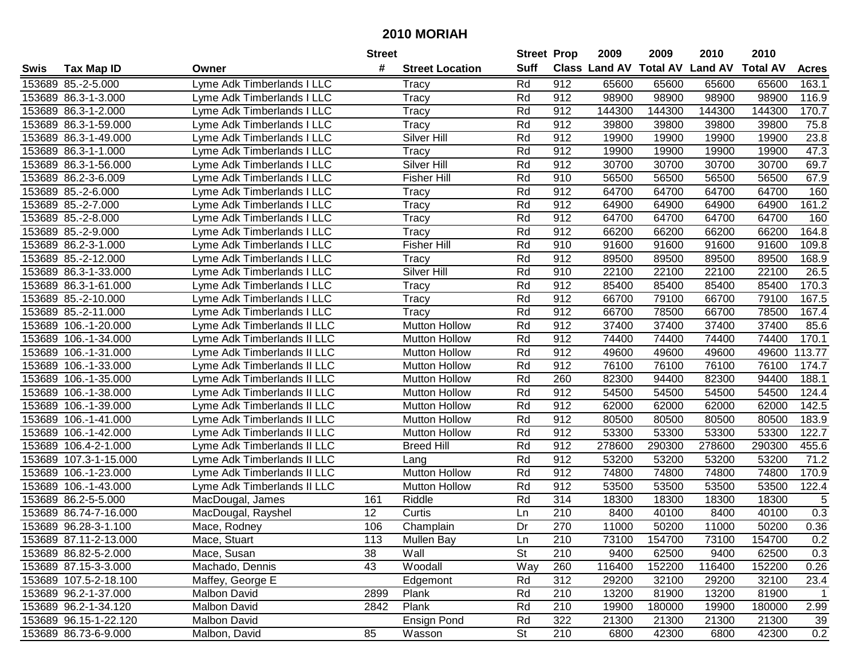|        |                       |                             | <b>Street</b>   |                        | <b>Street Prop</b> |                  | 2009          | 2009            | 2010           | 2010            |                |
|--------|-----------------------|-----------------------------|-----------------|------------------------|--------------------|------------------|---------------|-----------------|----------------|-----------------|----------------|
| Swis   | <b>Tax Map ID</b>     | Owner                       | #               | <b>Street Location</b> | <b>Suff</b>        |                  | Class Land AV | <b>Total AV</b> | <b>Land AV</b> | <b>Total AV</b> | <b>Acres</b>   |
|        | 153689 85.-2-5.000    | Lyme Adk Timberlands I LLC  |                 | Tracy                  | Rd                 | 912              | 65600         | 65600           | 65600          | 65600           | 163.1          |
|        | 153689 86.3-1-3.000   | Lyme Adk Timberlands I LLC  |                 | Tracy                  | Rd                 | 912              | 98900         | 98900           | 98900          | 98900           | 116.9          |
|        | 153689 86.3-1-2.000   | Lyme Adk Timberlands I LLC  |                 | Tracy                  | Rd                 | 912              | 144300        | 144300          | 144300         | 144300          | 170.7          |
|        | 153689 86.3-1-59.000  | Lyme Adk Timberlands I LLC  |                 | Tracy                  | Rd                 | 912              | 39800         | 39800           | 39800          | 39800           | 75.8           |
|        | 153689 86.3-1-49.000  | Lyme Adk Timberlands I LLC  |                 | Silver Hill            | Rd                 | 912              | 19900         | 19900           | 19900          | 19900           | 23.8           |
|        | 153689 86.3-1-1.000   | Lyme Adk Timberlands I LLC  |                 | Tracy                  | Rd                 | 912              | 19900         | 19900           | 19900          | 19900           | 47.3           |
|        | 153689 86.3-1-56.000  | Lyme Adk Timberlands I LLC  |                 | Silver Hill            | Rd                 | 912              | 30700         | 30700           | 30700          | 30700           | 69.7           |
|        | 153689 86.2-3-6.009   | Lyme Adk Timberlands I LLC  |                 | <b>Fisher Hill</b>     | Rd                 | 910              | 56500         | 56500           | 56500          | 56500           | 67.9           |
|        | 153689 85.-2-6.000    | Lyme Adk Timberlands I LLC  |                 | Tracy                  | Rd                 | 912              | 64700         | 64700           | 64700          | 64700           | 160            |
|        | 153689 85.-2-7.000    | Lyme Adk Timberlands I LLC  |                 | Tracy                  | Rd                 | 912              | 64900         | 64900           | 64900          | 64900           | 161.2          |
|        | 153689 85.-2-8.000    | Lyme Adk Timberlands I LLC  |                 | Tracy                  | Rd                 | 912              | 64700         | 64700           | 64700          | 64700           | 160            |
|        | 153689 85.-2-9.000    | Lyme Adk Timberlands I LLC  |                 | <b>Tracy</b>           | Rd                 | 912              | 66200         | 66200           | 66200          | 66200           | 164.8          |
|        | 153689 86.2-3-1.000   | yme Adk Timberlands I LLC   |                 | <b>Fisher Hill</b>     | Rd                 | 910              | 91600         | 91600           | 91600          | 91600           | 109.8          |
|        | 153689 85.-2-12.000   | yme Adk Timberlands I LLC   |                 | Tracy                  | Rd                 | 912              | 89500         | 89500           | 89500          | 89500           | 168.9          |
|        | 153689 86.3-1-33.000  | yme Adk Timberlands I LLC   |                 | Silver Hill            | Rd                 | 910              | 22100         | 22100           | 22100          | 22100           | 26.5           |
|        | 153689 86.3-1-61.000  | Lyme Adk Timberlands I LLC  |                 | Tracy                  | Rd                 | 912              | 85400         | 85400           | 85400          | 85400           | 170.3          |
|        | 153689 85.-2-10.000   | Lyme Adk Timberlands I LLC  |                 | Tracy                  | Rd                 | 912              | 66700         | 79100           | 66700          | 79100           | 167.5          |
|        | 153689 85.-2-11.000   | Lyme Adk Timberlands I LLC  |                 | Tracy                  | Rd                 | 912              | 66700         | 78500           | 66700          | 78500           | 167.4          |
| 153689 | 106.-1-20.000         | Lyme Adk Timberlands II LLC |                 | <b>Mutton Hollow</b>   | Rd                 | 912              | 37400         | 37400           | 37400          | 37400           | 85.6           |
| 153689 | 106.-1-34.000         | Lyme Adk Timberlands II LLC |                 | <b>Mutton Hollow</b>   | Rd                 | 912              | 74400         | 74400           | 74400          | 74400           | 170.1          |
| 153689 | 106.-1-31.000         | Lyme Adk Timberlands II LLC |                 | <b>Mutton Hollow</b>   | Rd                 | 912              | 49600         | 49600           | 49600          | 49600           | 113.77         |
| 153689 | 106.-1-33.000         | Lyme Adk Timberlands II LLC |                 | <b>Mutton Hollow</b>   | Rd                 | 912              | 76100         | 76100           | 76100          | 76100           | 174.7          |
| 153689 | 106.-1-35.000         | Lyme Adk Timberlands II LLC |                 | <b>Mutton Hollow</b>   | Rd                 | 260              | 82300         | 94400           | 82300          | 94400           | 188.1          |
| 153689 | 106.-1-38.000         | Lyme Adk Timberlands II LLC |                 | <b>Mutton Hollow</b>   | Rd                 | 912              | 54500         | 54500           | 54500          | 54500           | 124.4          |
| 153689 | 106.-1-39.000         | Lyme Adk Timberlands II LLC |                 | <b>Mutton Hollow</b>   | Rd                 | 912              | 62000         | 62000           | 62000          | 62000           | 142.5          |
| 153689 | 106.-1-41.000         | Lyme Adk Timberlands II LLC |                 | <b>Mutton Hollow</b>   | Rd                 | 912              | 80500         | 80500           | 80500          | 80500           | 183.9          |
|        | 153689 106.-1-42.000  | Lyme Adk Timberlands II LLC |                 | <b>Mutton Hollow</b>   | Rd                 | 912              | 53300         | 53300           | 53300          | 53300           | 122.7          |
|        | 153689 106.4-2-1.000  | Lyme Adk Timberlands II LLC |                 | <b>Breed Hill</b>      | Rd                 | 912              | 278600        | 290300          | 278600         | 290300          | 455.6          |
|        | 153689 107.3-1-15.000 | Lyme Adk Timberlands II LLC |                 | Lang                   | Rd                 | 912              | 53200         | 53200           | 53200          | 53200           | 71.2           |
|        | 153689 106.-1-23.000  | Lyme Adk Timberlands II LLC |                 | <b>Mutton Hollow</b>   | Rd                 | 912              | 74800         | 74800           | 74800          | 74800           | 170.9          |
|        | 153689 106.-1-43.000  | Lyme Adk Timberlands II LLC |                 | <b>Mutton Hollow</b>   | Rd                 | $\overline{912}$ | 53500         | 53500           | 53500          | 53500           | 122.4          |
|        | 153689 86.2-5-5.000   | MacDougal, James            | 161             | Riddle                 | Rd                 | 314              | 18300         | 18300           | 18300          | 18300           | 5              |
|        | 153689 86.74-7-16.000 | MacDougal, Rayshel          | $\overline{12}$ | Curtis                 | Ln                 | $\overline{210}$ | 8400          | 40100           | 8400           | 40100           | 0.3            |
|        | 153689 96.28-3-1.100  | Mace, Rodney                | 106             | Champlain              | Dr                 | 270              | 11000         | 50200           | 11000          | 50200           | 0.36           |
|        | 153689 87.11-2-13.000 | Mace, Stuart                | 113             | <b>Mullen Bay</b>      | Ln                 | 210              | 73100         | 154700          | 73100          | 154700          | 0.2            |
|        | 153689 86.82-5-2.000  | Mace, Susan                 | 38              | Wall                   | <b>St</b>          | 210              | 9400          | 62500           | 9400           | 62500           | 0.3            |
|        | 153689 87.15-3-3.000  | Machado, Dennis             | 43              | Woodall                | Way                | 260              | 116400        | 152200          | 116400         | 152200          | 0.26           |
|        | 153689 107.5-2-18.100 | Maffey, George E            |                 | Edgemont               | Rd                 | 312              | 29200         | 32100           | 29200          | 32100           | 23.4           |
|        | 153689 96.2-1-37.000  | <b>Malbon David</b>         | 2899            | Plank                  | Rd                 | 210              | 13200         | 81900           | 13200          | 81900           | $\overline{1}$ |
|        | 153689 96.2-1-34.120  | Malbon David                | 2842            | Plank                  | Rd                 | 210              | 19900         | 180000          | 19900          | 180000          | 2.99           |
|        | 153689 96.15-1-22.120 | Malbon David                |                 | <b>Ensign Pond</b>     | Rd                 | 322              | 21300         | 21300           | 21300          | 21300           | 39             |
|        | 153689 86.73-6-9.000  | Malbon, David               | 85              | Wasson                 | <b>St</b>          | 210              | 6800          | 42300           | 6800           | 42300           | 0.2            |
|        |                       |                             |                 |                        |                    |                  |               |                 |                |                 |                |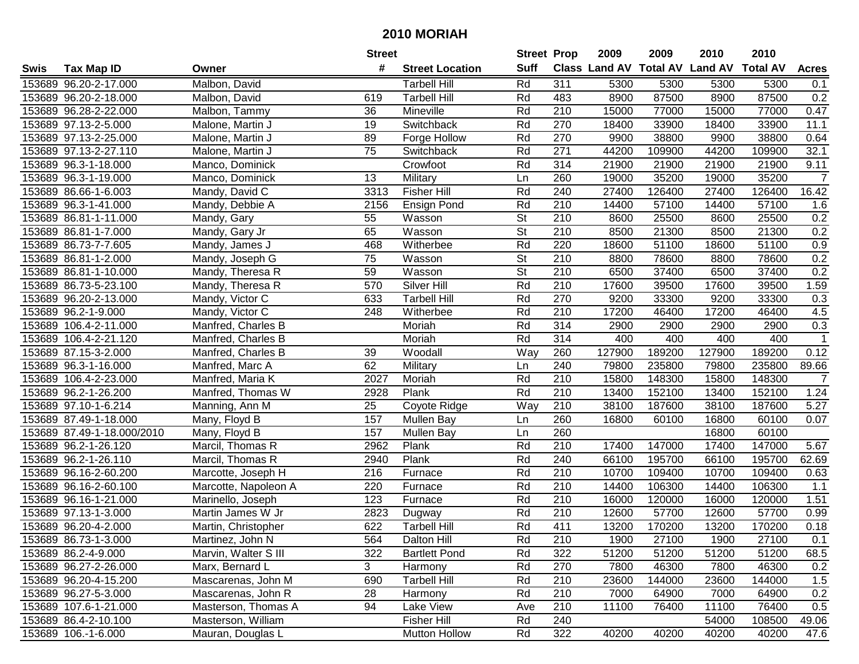|      |                            |                      | <b>Street</b> |                        | <b>Street Prop</b>       |                  | 2009   | 2009   | 2010                           | 2010            |                |
|------|----------------------------|----------------------|---------------|------------------------|--------------------------|------------------|--------|--------|--------------------------------|-----------------|----------------|
| Swis | <b>Tax Map ID</b>          | Owner                | #             | <b>Street Location</b> | <b>Suff</b>              |                  |        |        | Class Land AV Total AV Land AV | <b>Total AV</b> | <b>Acres</b>   |
|      | 153689 96.20-2-17.000      | Malbon, David        |               | <b>Tarbell Hill</b>    | Rd                       | 311              | 5300   | 5300   | 5300                           | 5300            | 0.1            |
|      | 153689 96.20-2-18.000      | Malbon, David        | 619           | <b>Tarbell Hill</b>    | Rd                       | 483              | 8900   | 87500  | 8900                           | 87500           | 0.2            |
|      | 153689 96.28-2-22.000      | Malbon, Tammy        | 36            | Mineville              | Rd                       | 210              | 15000  | 77000  | 15000                          | 77000           | 0.47           |
|      | 153689 97.13-2-5.000       | Malone, Martin J     | 19            | Switchback             | Rd                       | 270              | 18400  | 33900  | 18400                          | 33900           | 11.1           |
|      | 153689 97.13-2-25.000      | Malone, Martin J     | 89            | Forge Hollow           | Rd                       | 270              | 9900   | 38800  | 9900                           | 38800           | 0.64           |
|      | 153689 97.13-2-27.110      | Malone, Martin J     | 75            | Switchback             | Rd                       | 271              | 44200  | 109900 | 44200                          | 109900          | 32.1           |
|      | 153689 96.3-1-18.000       | Manco, Dominick      |               | Crowfoot               | Rd                       | 314              | 21900  | 21900  | 21900                          | 21900           | 9.11           |
|      | 153689 96.3-1-19.000       | Manco, Dominick      | 13            | Military               | Ln                       | 260              | 19000  | 35200  | 19000                          | 35200           | $\overline{7}$ |
|      | 153689 86.66-1-6.003       | Mandy, David C       | 3313          | <b>Fisher Hill</b>     | Rd                       | 240              | 27400  | 126400 | 27400                          | 126400          | 16.42          |
|      | 153689 96.3-1-41.000       | Mandy, Debbie A      | 2156          | <b>Ensign Pond</b>     | Rd                       | 210              | 14400  | 57100  | 14400                          | 57100           | 1.6            |
|      | 153689 86.81-1-11.000      | Mandy, Gary          | 55            | Wasson                 | <b>St</b>                | 210              | 8600   | 25500  | 8600                           | 25500           | 0.2            |
|      | 153689 86.81-1-7.000       | Mandy, Gary Jr       | 65            | Wasson                 | <b>St</b>                | 210              | 8500   | 21300  | 8500                           | 21300           | 0.2            |
|      | 153689 86.73-7-7.605       | Mandy, James J       | 468           | Witherbee              | Rd                       | 220              | 18600  | 51100  | 18600                          | 51100           | 0.9            |
|      | 153689 86.81-1-2.000       | Mandy, Joseph G      | 75            | Wasson                 | <b>St</b>                | 210              | 8800   | 78600  | 8800                           | 78600           | 0.2            |
|      | 153689 86.81-1-10.000      | Mandy, Theresa R     | 59            | Wasson                 | $\overline{\mathsf{St}}$ | 210              | 6500   | 37400  | 6500                           | 37400           | 0.2            |
|      | 153689 86.73-5-23.100      | Mandy, Theresa R     | 570           | Silver Hill            | Rd                       | 210              | 17600  | 39500  | 17600                          | 39500           | 1.59           |
|      | 153689 96.20-2-13.000      | Mandy, Victor C      | 633           | <b>Tarbell Hill</b>    | Rd                       | 270              | 9200   | 33300  | 9200                           | 33300           | 0.3            |
|      | 153689 96.2-1-9.000        | Mandy, Victor C      | 248           | Witherbee              | Rd                       | 210              | 17200  | 46400  | 17200                          | 46400           | 4.5            |
|      | 153689 106.4-2-11.000      | Manfred, Charles B   |               | Moriah                 | Rd                       | 314              | 2900   | 2900   | 2900                           | 2900            | 0.3            |
|      | 153689 106.4-2-21.120      | Manfred, Charles B   |               | Moriah                 | Rd                       | 314              | 400    | 400    | 400                            | 400             | $\mathbf{1}$   |
|      | 153689 87.15-3-2.000       | Manfred, Charles B   | 39            | Woodall                | Way                      | 260              | 127900 | 189200 | 127900                         | 189200          | 0.12           |
|      | 153689 96.3-1-16.000       | Manfred, Marc A      | 62            | Military               | Ln                       | 240              | 79800  | 235800 | 79800                          | 235800          | 89.66          |
|      | 153689 106.4-2-23.000      | Manfred, Maria K     | 2027          | Moriah                 | Rd                       | 210              | 15800  | 148300 | 15800                          | 148300          | $\overline{7}$ |
|      | 153689 96.2-1-26.200       | Manfred, Thomas W    | 2928          | Plank                  | Rd                       | 210              | 13400  | 152100 | 13400                          | 152100          | 1.24           |
|      | 153689 97.10-1-6.214       | Manning, Ann M       | 25            | Coyote Ridge           | Way                      | 210              | 38100  | 187600 | 38100                          | 187600          | 5.27           |
|      | 153689 87.49-1-18.000      | Many, Floyd B        | 157           | <b>Mullen Bay</b>      | Ln                       | 260              | 16800  | 60100  | 16800                          | 60100           | 0.07           |
|      | 153689 87.49-1-18.000/2010 | Many, Floyd B        | 157           | <b>Mullen Bay</b>      | Ln                       | 260              |        |        | 16800                          | 60100           |                |
|      | 153689 96.2-1-26.120       | Marcil, Thomas R     | 2962          | Plank                  | Rd                       | 210              | 17400  | 147000 | 17400                          | 147000          | 5.67           |
|      | 153689 96.2-1-26.110       | Marcil, Thomas R     | 2940          | Plank                  | Rd                       | 240              | 66100  | 195700 | 66100                          | 195700          | 62.69          |
|      | 153689 96.16-2-60.200      | Marcotte, Joseph H   | 216           | Furnace                | Rd                       | 210              | 10700  | 109400 | 10700                          | 109400          | 0.63           |
|      | 153689 96.16-2-60.100      | Marcotte, Napoleon A | 220           | Furnace                | Rd                       | $\overline{210}$ | 14400  | 106300 | 14400                          | 106300          | 1.1            |
|      | 153689 96.16-1-21.000      | Marinello, Joseph    | 123           | Furnace                | Rd                       | 210              | 16000  | 120000 | 16000                          | 120000          | 1.51           |
|      | 153689 97.13-1-3.000       | Martin James W Jr    | 2823          | Dugway                 | Rd                       | $\overline{210}$ | 12600  | 57700  | 12600                          | 57700           | 0.99           |
|      | 153689 96.20-4-2.000       | Martin, Christopher  | 622           | <b>Tarbell Hill</b>    | Rd                       | 411              | 13200  | 170200 | 13200                          | 170200          | 0.18           |
|      | 153689 86.73-1-3.000       | Martinez, John N     | 564           | Dalton Hill            | Rd                       | 210              | 1900   | 27100  | 1900                           | 27100           | 0.1            |
|      | 153689 86.2-4-9.000        | Marvin, Walter S III | 322           | <b>Bartlett Pond</b>   | Rd                       | 322              | 51200  | 51200  | 51200                          | 51200           | 68.5           |
|      | 153689 96.27-2-26.000      | Marx, Bernard L      | 3             | Harmony                | Rd                       | 270              | 7800   | 46300  | 7800                           | 46300           | 0.2            |
|      | 153689 96.20-4-15.200      | Mascarenas, John M   | 690           | <b>Tarbell Hill</b>    | Rd                       | 210              | 23600  | 144000 | 23600                          | 144000          | 1.5            |
|      | 153689 96.27-5-3.000       | Mascarenas, John R   | 28            | Harmony                | Rd                       | 210              | 7000   | 64900  | 7000                           | 64900           | 0.2            |
|      | 153689 107.6-1-21.000      | Masterson, Thomas A  | 94            | Lake View              | Ave                      | 210              | 11100  | 76400  | 11100                          | 76400           | 0.5            |
|      | 153689 86.4-2-10.100       | Masterson, William   |               | Fisher Hill            | Rd                       | 240              |        |        | 54000                          | 108500          | 49.06          |
|      | 153689 106.-1-6.000        | Mauran, Douglas L    |               | Mutton Hollow          | Rd                       | 322              | 40200  | 40200  | 40200                          | 40200           | 47.6           |
|      |                            |                      |               |                        |                          |                  |        |        |                                |                 |                |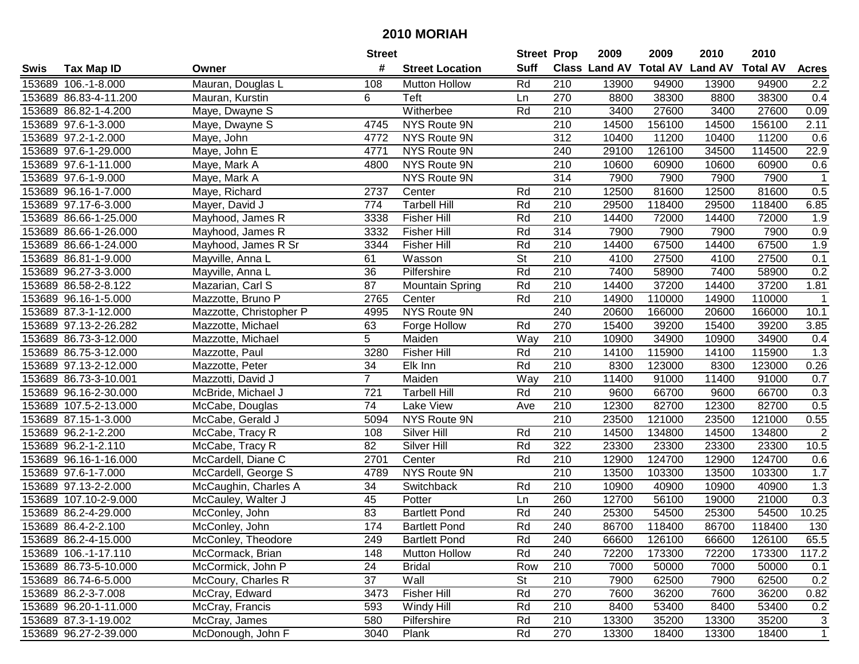| #<br><b>Suff</b><br>Class Land AV Total AV Land AV<br><b>Total AV</b><br><b>Tax Map ID</b><br><b>Street Location</b><br><b>Acres</b><br>Swis<br>Owner<br>153689 106.-1-8.000<br>Mauran, Douglas L<br>108<br>Rd<br>210<br>13900<br>94900<br>13900<br>94900<br><b>Mutton Hollow</b><br>2.2<br>153689 86.83-4-11.200<br>Teft<br>270<br>8800<br>38300<br>8800<br>38300<br>0.4<br>Mauran, Kurstin<br>6<br>Ln<br>153689 86.82-1-4.200<br>Witherbee<br>Rd<br>3400<br>27600<br>3400<br>27600<br>0.09<br>Maye, Dwayne S<br>210<br>NYS Route 9N<br>210<br>14500<br>2.11<br>153689 97.6-1-3.000<br>Maye, Dwayne S<br>4745<br>156100<br>14500<br>156100<br>153689 97.2-1-2.000<br>4772<br>NYS Route 9N<br>312<br>10400<br>11200<br>11200<br>0.6<br>Maye, John<br>10400<br>22.9<br>153689 97.6-1-29.000<br>4771<br>NYS Route 9N<br>240<br>29100<br>126100<br>34500<br>114500<br>Maye, John E<br>NYS Route 9N<br>210<br>10600<br>0.6<br>153689 97.6-1-11.000<br>Maye, Mark A<br>4800<br>60900<br>10600<br>60900<br>314<br><b>NYS Route 9N</b><br>7900<br>7900<br>7900<br>153689 97.6-1-9.000<br>7900<br>Maye, Mark A<br>$\mathbf{1}$<br>2737<br>12500<br>0.5<br>153689 96.16-1-7.000<br>Rd<br>210<br>81600<br>12500<br>81600<br>Maye, Richard<br>Center<br>Rd<br>29500<br>153689 97.17-6-3.000<br>774<br><b>Tarbell Hill</b><br>210<br>118400<br>29500<br>118400<br>6.85<br>Mayer, David J<br>Rd<br>153689 86.66-1-25.000<br>210<br>14400<br>14400<br>72000<br>1.9<br>Mayhood, James R<br>3338<br><b>Fisher Hill</b><br>72000<br>153689 86.66-1-26.000<br>3332<br>Rd<br>314<br>7900<br>7900<br>0.9<br>Mayhood, James R<br><b>Fisher Hill</b><br>7900<br>7900<br>210<br>1.9<br>Rd<br>14400<br>67500<br>67500<br>153689 86.66-1-24.000<br>Mayhood, James R Sr<br>3344<br><b>Fisher Hill</b><br>14400<br><b>St</b><br>61<br>210<br>4100<br>27500<br>27500<br>0.1<br>153689 86.81-1-9.000<br>Wasson<br>4100<br>Mayville, Anna L<br>36<br>Rd<br>210<br>7400<br>7400<br>0.2<br>Pilfershire<br>58900<br>153689 96.27-3-3.000<br>Mayville, Anna L<br>58900<br>Rd<br>87<br>210<br>14400<br>37200<br>37200<br>1.81<br>153689 86.58-2-8.122<br>Mazarian, Carl S<br>14400<br><b>Mountain Spring</b><br>Rd<br>210<br>2765<br>14900<br>110000<br>14900<br>110000<br>153689 96.16-1-5.000<br>Mazzotte, Bruno P<br>Center<br>-1<br>NYS Route 9N<br>240<br>20600<br>153689 87.3-1-12.000<br>Mazzotte, Christopher P<br>4995<br>166000<br>20600<br>166000<br>10.1<br>Forge Hollow<br>270<br>15400<br>15400<br>39200<br>3.85<br>153689 97.13-2-26.282<br>Mazzotte, Michael<br>63<br>Rd<br>39200<br>5<br>153689 86.73-3-12.000<br>Maiden<br>Way<br>210<br>10900<br>34900<br>10900<br>34900<br>Mazzotte, Michael<br>0.4<br>1.3<br>3280<br>Rd<br>210<br>14100<br>153689 86.75-3-12.000<br><b>Fisher Hill</b><br>115900<br>14100<br>115900<br>Mazzotte, Paul<br>153689 97.13-2-12.000<br>Mazzotte, Peter<br>34<br>Elk Inn<br>Rd<br>210<br>8300<br>123000<br>123000<br>0.26<br>8300<br>$\overline{7}$<br>153689 86.73-3-10.001<br>Maiden<br>Way<br>210<br>11400<br>91000<br>91000<br>0.7<br>Mazzotti, David J<br>11400<br>153689 96.16-2-30.000<br>721<br>Rd<br>210<br>9600<br>66700<br>0.3<br>McBride, Michael J<br><b>Tarbell Hill</b><br>66700<br>9600<br>$\overline{74}$<br>210<br>12300<br>82700<br>0.5<br>153689 107.5-2-13.000<br>Lake View<br>82700<br>12300<br>McCabe, Douglas<br>Ave<br>210<br>23500<br>153689 87.15-1-3.000<br>NYS Route 9N<br>121000<br>23500<br>121000<br>0.55<br>McCabe, Gerald J<br>5094<br>$\sqrt{2}$<br>210<br>153689 96.2-1-2.200<br>McCabe, Tracy R<br>108<br>Silver Hill<br>Rd<br>14500<br>134800<br>14500<br>134800<br>82<br>322<br>23300<br>153689 96.2-1-2.110<br>McCabe, Tracy R<br>Silver Hill<br>Rd<br>23300<br>23300<br>23300<br>10.5<br>Rd<br>210<br>12900<br>124700<br>124700<br>153689 96.16-1-16.000<br>McCardell, Diane C<br>2701<br>12900<br>0.6<br>Center<br>$\overline{210}$<br>153689 97.6-1-7.000<br>NYS Route 9N<br>13500<br>103300<br>13500<br>103300<br>1.7<br>McCardell, George S<br>4789<br>$\overline{34}$<br>Rd<br>$\overline{210}$<br>1.3<br>153689 97.13-2-2.000<br>Switchback<br>10900<br>40900<br>10900<br>40900<br>McCaughin, Charles A<br>45<br>260<br>12700<br>56100<br>21000<br>0.3<br>153689 107.10-2-9.000<br>McCauley, Walter J<br>Potter<br>19000<br>Ln<br>83<br>240<br>54500<br>10.25<br>153689 86.2-4-29.000<br><b>Bartlett Pond</b><br>Rd<br>25300<br>54500<br>25300<br>McConley, John<br>174<br>Rd<br>240<br>86700<br>118400<br>86700<br>118400<br>130<br>153689 86.4-2-2.100<br><b>Bartlett Pond</b><br>McConley, John<br>153689 86.2-4-15.000<br>McConley, Theodore<br>249<br><b>Bartlett Pond</b><br>Rd<br>240<br>66600<br>126100<br>66600<br>126100<br>65.5<br>Rd<br>153689 106.-1-17.110<br>148<br><b>Mutton Hollow</b><br>240<br>72200<br>173300<br>72200<br>173300<br>McCormack, Brian<br>24<br>153689 86.73-5-10.000<br>McCormick, John P<br><b>Bridal</b><br>Row<br>210<br>7000<br>50000<br>7000<br>50000<br>0.1<br>Wall<br>153689 86.74-6-5.000<br>McCoury, Charles R<br>37<br><b>St</b><br>210<br>7900<br>62500<br>0.2<br>62500<br>7900<br>McCray, Edward<br><b>Fisher Hill</b><br>Rd<br>270<br>153689 86.2-3-7.008<br>3473<br>7600<br>36200<br>7600<br>36200<br>0.82<br>210<br>8400<br>153689 96.20-1-11.000<br>McCray, Francis<br>593<br>Windy Hill<br>Rd<br>53400<br>8400<br>53400<br>0.2<br>153689 87.3-1-19.002<br>McCray, James<br>580<br>Rd<br>210<br>13300<br>35200<br>13300<br>35200<br>3<br>Pilfershire<br>$\overline{1}$<br>Rd<br>270<br>153689 96.27-2-39.000<br>McDonough, John F<br>3040<br>Plank<br>13300<br>18400<br>13300<br>18400 |  | <b>Street</b> | <b>Street Prop</b> | 2009 | 2009 | 2010 | 2010 |  |
|------------------------------------------------------------------------------------------------------------------------------------------------------------------------------------------------------------------------------------------------------------------------------------------------------------------------------------------------------------------------------------------------------------------------------------------------------------------------------------------------------------------------------------------------------------------------------------------------------------------------------------------------------------------------------------------------------------------------------------------------------------------------------------------------------------------------------------------------------------------------------------------------------------------------------------------------------------------------------------------------------------------------------------------------------------------------------------------------------------------------------------------------------------------------------------------------------------------------------------------------------------------------------------------------------------------------------------------------------------------------------------------------------------------------------------------------------------------------------------------------------------------------------------------------------------------------------------------------------------------------------------------------------------------------------------------------------------------------------------------------------------------------------------------------------------------------------------------------------------------------------------------------------------------------------------------------------------------------------------------------------------------------------------------------------------------------------------------------------------------------------------------------------------------------------------------------------------------------------------------------------------------------------------------------------------------------------------------------------------------------------------------------------------------------------------------------------------------------------------------------------------------------------------------------------------------------------------------------------------------------------------------------------------------------------------------------------------------------------------------------------------------------------------------------------------------------------------------------------------------------------------------------------------------------------------------------------------------------------------------------------------------------------------------------------------------------------------------------------------------------------------------------------------------------------------------------------------------------------------------------------------------------------------------------------------------------------------------------------------------------------------------------------------------------------------------------------------------------------------------------------------------------------------------------------------------------------------------------------------------------------------------------------------------------------------------------------------------------------------------------------------------------------------------------------------------------------------------------------------------------------------------------------------------------------------------------------------------------------------------------------------------------------------------------------------------------------------------------------------------------------------------------------------------------------------------------------------------------------------------------------------------------------------------------------------------------------------------------------------------------------------------------------------------------------------------------------------------------------------------------------------------------------------------------------------------------------------------------------------------------------------------------------------------------------------------------------------------------------------------------------------------------------------------------------------------------------------------------------------------------------------------------------------------------------------------------------------------------------------------------------------------------------------------------------------------------------------------------------------------------------------------------------------------------------------------------------------------------------------------------------------------------------------------------------------------------------------------------------------------------------------------------------------------------------------------------------------------------------------------------------------------------------------------------------------------------------------------------------|--|---------------|--------------------|------|------|------|------|--|
|                                                                                                                                                                                                                                                                                                                                                                                                                                                                                                                                                                                                                                                                                                                                                                                                                                                                                                                                                                                                                                                                                                                                                                                                                                                                                                                                                                                                                                                                                                                                                                                                                                                                                                                                                                                                                                                                                                                                                                                                                                                                                                                                                                                                                                                                                                                                                                                                                                                                                                                                                                                                                                                                                                                                                                                                                                                                                                                                                                                                                                                                                                                                                                                                                                                                                                                                                                                                                                                                                                                                                                                                                                                                                                                                                                                                                                                                                                                                                                                                                                                                                                                                                                                                                                                                                                                                                                                                                                                                                                                                                                                                                                                                                                                                                                                                                                                                                                                                                                                                                                                                                                                                                                                                                                                                                                                                                                                                                                                                                                                                                                                                      |  |               |                    |      |      |      |      |  |
|                                                                                                                                                                                                                                                                                                                                                                                                                                                                                                                                                                                                                                                                                                                                                                                                                                                                                                                                                                                                                                                                                                                                                                                                                                                                                                                                                                                                                                                                                                                                                                                                                                                                                                                                                                                                                                                                                                                                                                                                                                                                                                                                                                                                                                                                                                                                                                                                                                                                                                                                                                                                                                                                                                                                                                                                                                                                                                                                                                                                                                                                                                                                                                                                                                                                                                                                                                                                                                                                                                                                                                                                                                                                                                                                                                                                                                                                                                                                                                                                                                                                                                                                                                                                                                                                                                                                                                                                                                                                                                                                                                                                                                                                                                                                                                                                                                                                                                                                                                                                                                                                                                                                                                                                                                                                                                                                                                                                                                                                                                                                                                                                      |  |               |                    |      |      |      |      |  |
|                                                                                                                                                                                                                                                                                                                                                                                                                                                                                                                                                                                                                                                                                                                                                                                                                                                                                                                                                                                                                                                                                                                                                                                                                                                                                                                                                                                                                                                                                                                                                                                                                                                                                                                                                                                                                                                                                                                                                                                                                                                                                                                                                                                                                                                                                                                                                                                                                                                                                                                                                                                                                                                                                                                                                                                                                                                                                                                                                                                                                                                                                                                                                                                                                                                                                                                                                                                                                                                                                                                                                                                                                                                                                                                                                                                                                                                                                                                                                                                                                                                                                                                                                                                                                                                                                                                                                                                                                                                                                                                                                                                                                                                                                                                                                                                                                                                                                                                                                                                                                                                                                                                                                                                                                                                                                                                                                                                                                                                                                                                                                                                                      |  |               |                    |      |      |      |      |  |
|                                                                                                                                                                                                                                                                                                                                                                                                                                                                                                                                                                                                                                                                                                                                                                                                                                                                                                                                                                                                                                                                                                                                                                                                                                                                                                                                                                                                                                                                                                                                                                                                                                                                                                                                                                                                                                                                                                                                                                                                                                                                                                                                                                                                                                                                                                                                                                                                                                                                                                                                                                                                                                                                                                                                                                                                                                                                                                                                                                                                                                                                                                                                                                                                                                                                                                                                                                                                                                                                                                                                                                                                                                                                                                                                                                                                                                                                                                                                                                                                                                                                                                                                                                                                                                                                                                                                                                                                                                                                                                                                                                                                                                                                                                                                                                                                                                                                                                                                                                                                                                                                                                                                                                                                                                                                                                                                                                                                                                                                                                                                                                                                      |  |               |                    |      |      |      |      |  |
|                                                                                                                                                                                                                                                                                                                                                                                                                                                                                                                                                                                                                                                                                                                                                                                                                                                                                                                                                                                                                                                                                                                                                                                                                                                                                                                                                                                                                                                                                                                                                                                                                                                                                                                                                                                                                                                                                                                                                                                                                                                                                                                                                                                                                                                                                                                                                                                                                                                                                                                                                                                                                                                                                                                                                                                                                                                                                                                                                                                                                                                                                                                                                                                                                                                                                                                                                                                                                                                                                                                                                                                                                                                                                                                                                                                                                                                                                                                                                                                                                                                                                                                                                                                                                                                                                                                                                                                                                                                                                                                                                                                                                                                                                                                                                                                                                                                                                                                                                                                                                                                                                                                                                                                                                                                                                                                                                                                                                                                                                                                                                                                                      |  |               |                    |      |      |      |      |  |
|                                                                                                                                                                                                                                                                                                                                                                                                                                                                                                                                                                                                                                                                                                                                                                                                                                                                                                                                                                                                                                                                                                                                                                                                                                                                                                                                                                                                                                                                                                                                                                                                                                                                                                                                                                                                                                                                                                                                                                                                                                                                                                                                                                                                                                                                                                                                                                                                                                                                                                                                                                                                                                                                                                                                                                                                                                                                                                                                                                                                                                                                                                                                                                                                                                                                                                                                                                                                                                                                                                                                                                                                                                                                                                                                                                                                                                                                                                                                                                                                                                                                                                                                                                                                                                                                                                                                                                                                                                                                                                                                                                                                                                                                                                                                                                                                                                                                                                                                                                                                                                                                                                                                                                                                                                                                                                                                                                                                                                                                                                                                                                                                      |  |               |                    |      |      |      |      |  |
|                                                                                                                                                                                                                                                                                                                                                                                                                                                                                                                                                                                                                                                                                                                                                                                                                                                                                                                                                                                                                                                                                                                                                                                                                                                                                                                                                                                                                                                                                                                                                                                                                                                                                                                                                                                                                                                                                                                                                                                                                                                                                                                                                                                                                                                                                                                                                                                                                                                                                                                                                                                                                                                                                                                                                                                                                                                                                                                                                                                                                                                                                                                                                                                                                                                                                                                                                                                                                                                                                                                                                                                                                                                                                                                                                                                                                                                                                                                                                                                                                                                                                                                                                                                                                                                                                                                                                                                                                                                                                                                                                                                                                                                                                                                                                                                                                                                                                                                                                                                                                                                                                                                                                                                                                                                                                                                                                                                                                                                                                                                                                                                                      |  |               |                    |      |      |      |      |  |
|                                                                                                                                                                                                                                                                                                                                                                                                                                                                                                                                                                                                                                                                                                                                                                                                                                                                                                                                                                                                                                                                                                                                                                                                                                                                                                                                                                                                                                                                                                                                                                                                                                                                                                                                                                                                                                                                                                                                                                                                                                                                                                                                                                                                                                                                                                                                                                                                                                                                                                                                                                                                                                                                                                                                                                                                                                                                                                                                                                                                                                                                                                                                                                                                                                                                                                                                                                                                                                                                                                                                                                                                                                                                                                                                                                                                                                                                                                                                                                                                                                                                                                                                                                                                                                                                                                                                                                                                                                                                                                                                                                                                                                                                                                                                                                                                                                                                                                                                                                                                                                                                                                                                                                                                                                                                                                                                                                                                                                                                                                                                                                                                      |  |               |                    |      |      |      |      |  |
|                                                                                                                                                                                                                                                                                                                                                                                                                                                                                                                                                                                                                                                                                                                                                                                                                                                                                                                                                                                                                                                                                                                                                                                                                                                                                                                                                                                                                                                                                                                                                                                                                                                                                                                                                                                                                                                                                                                                                                                                                                                                                                                                                                                                                                                                                                                                                                                                                                                                                                                                                                                                                                                                                                                                                                                                                                                                                                                                                                                                                                                                                                                                                                                                                                                                                                                                                                                                                                                                                                                                                                                                                                                                                                                                                                                                                                                                                                                                                                                                                                                                                                                                                                                                                                                                                                                                                                                                                                                                                                                                                                                                                                                                                                                                                                                                                                                                                                                                                                                                                                                                                                                                                                                                                                                                                                                                                                                                                                                                                                                                                                                                      |  |               |                    |      |      |      |      |  |
|                                                                                                                                                                                                                                                                                                                                                                                                                                                                                                                                                                                                                                                                                                                                                                                                                                                                                                                                                                                                                                                                                                                                                                                                                                                                                                                                                                                                                                                                                                                                                                                                                                                                                                                                                                                                                                                                                                                                                                                                                                                                                                                                                                                                                                                                                                                                                                                                                                                                                                                                                                                                                                                                                                                                                                                                                                                                                                                                                                                                                                                                                                                                                                                                                                                                                                                                                                                                                                                                                                                                                                                                                                                                                                                                                                                                                                                                                                                                                                                                                                                                                                                                                                                                                                                                                                                                                                                                                                                                                                                                                                                                                                                                                                                                                                                                                                                                                                                                                                                                                                                                                                                                                                                                                                                                                                                                                                                                                                                                                                                                                                                                      |  |               |                    |      |      |      |      |  |
|                                                                                                                                                                                                                                                                                                                                                                                                                                                                                                                                                                                                                                                                                                                                                                                                                                                                                                                                                                                                                                                                                                                                                                                                                                                                                                                                                                                                                                                                                                                                                                                                                                                                                                                                                                                                                                                                                                                                                                                                                                                                                                                                                                                                                                                                                                                                                                                                                                                                                                                                                                                                                                                                                                                                                                                                                                                                                                                                                                                                                                                                                                                                                                                                                                                                                                                                                                                                                                                                                                                                                                                                                                                                                                                                                                                                                                                                                                                                                                                                                                                                                                                                                                                                                                                                                                                                                                                                                                                                                                                                                                                                                                                                                                                                                                                                                                                                                                                                                                                                                                                                                                                                                                                                                                                                                                                                                                                                                                                                                                                                                                                                      |  |               |                    |      |      |      |      |  |
|                                                                                                                                                                                                                                                                                                                                                                                                                                                                                                                                                                                                                                                                                                                                                                                                                                                                                                                                                                                                                                                                                                                                                                                                                                                                                                                                                                                                                                                                                                                                                                                                                                                                                                                                                                                                                                                                                                                                                                                                                                                                                                                                                                                                                                                                                                                                                                                                                                                                                                                                                                                                                                                                                                                                                                                                                                                                                                                                                                                                                                                                                                                                                                                                                                                                                                                                                                                                                                                                                                                                                                                                                                                                                                                                                                                                                                                                                                                                                                                                                                                                                                                                                                                                                                                                                                                                                                                                                                                                                                                                                                                                                                                                                                                                                                                                                                                                                                                                                                                                                                                                                                                                                                                                                                                                                                                                                                                                                                                                                                                                                                                                      |  |               |                    |      |      |      |      |  |
|                                                                                                                                                                                                                                                                                                                                                                                                                                                                                                                                                                                                                                                                                                                                                                                                                                                                                                                                                                                                                                                                                                                                                                                                                                                                                                                                                                                                                                                                                                                                                                                                                                                                                                                                                                                                                                                                                                                                                                                                                                                                                                                                                                                                                                                                                                                                                                                                                                                                                                                                                                                                                                                                                                                                                                                                                                                                                                                                                                                                                                                                                                                                                                                                                                                                                                                                                                                                                                                                                                                                                                                                                                                                                                                                                                                                                                                                                                                                                                                                                                                                                                                                                                                                                                                                                                                                                                                                                                                                                                                                                                                                                                                                                                                                                                                                                                                                                                                                                                                                                                                                                                                                                                                                                                                                                                                                                                                                                                                                                                                                                                                                      |  |               |                    |      |      |      |      |  |
|                                                                                                                                                                                                                                                                                                                                                                                                                                                                                                                                                                                                                                                                                                                                                                                                                                                                                                                                                                                                                                                                                                                                                                                                                                                                                                                                                                                                                                                                                                                                                                                                                                                                                                                                                                                                                                                                                                                                                                                                                                                                                                                                                                                                                                                                                                                                                                                                                                                                                                                                                                                                                                                                                                                                                                                                                                                                                                                                                                                                                                                                                                                                                                                                                                                                                                                                                                                                                                                                                                                                                                                                                                                                                                                                                                                                                                                                                                                                                                                                                                                                                                                                                                                                                                                                                                                                                                                                                                                                                                                                                                                                                                                                                                                                                                                                                                                                                                                                                                                                                                                                                                                                                                                                                                                                                                                                                                                                                                                                                                                                                                                                      |  |               |                    |      |      |      |      |  |
|                                                                                                                                                                                                                                                                                                                                                                                                                                                                                                                                                                                                                                                                                                                                                                                                                                                                                                                                                                                                                                                                                                                                                                                                                                                                                                                                                                                                                                                                                                                                                                                                                                                                                                                                                                                                                                                                                                                                                                                                                                                                                                                                                                                                                                                                                                                                                                                                                                                                                                                                                                                                                                                                                                                                                                                                                                                                                                                                                                                                                                                                                                                                                                                                                                                                                                                                                                                                                                                                                                                                                                                                                                                                                                                                                                                                                                                                                                                                                                                                                                                                                                                                                                                                                                                                                                                                                                                                                                                                                                                                                                                                                                                                                                                                                                                                                                                                                                                                                                                                                                                                                                                                                                                                                                                                                                                                                                                                                                                                                                                                                                                                      |  |               |                    |      |      |      |      |  |
|                                                                                                                                                                                                                                                                                                                                                                                                                                                                                                                                                                                                                                                                                                                                                                                                                                                                                                                                                                                                                                                                                                                                                                                                                                                                                                                                                                                                                                                                                                                                                                                                                                                                                                                                                                                                                                                                                                                                                                                                                                                                                                                                                                                                                                                                                                                                                                                                                                                                                                                                                                                                                                                                                                                                                                                                                                                                                                                                                                                                                                                                                                                                                                                                                                                                                                                                                                                                                                                                                                                                                                                                                                                                                                                                                                                                                                                                                                                                                                                                                                                                                                                                                                                                                                                                                                                                                                                                                                                                                                                                                                                                                                                                                                                                                                                                                                                                                                                                                                                                                                                                                                                                                                                                                                                                                                                                                                                                                                                                                                                                                                                                      |  |               |                    |      |      |      |      |  |
|                                                                                                                                                                                                                                                                                                                                                                                                                                                                                                                                                                                                                                                                                                                                                                                                                                                                                                                                                                                                                                                                                                                                                                                                                                                                                                                                                                                                                                                                                                                                                                                                                                                                                                                                                                                                                                                                                                                                                                                                                                                                                                                                                                                                                                                                                                                                                                                                                                                                                                                                                                                                                                                                                                                                                                                                                                                                                                                                                                                                                                                                                                                                                                                                                                                                                                                                                                                                                                                                                                                                                                                                                                                                                                                                                                                                                                                                                                                                                                                                                                                                                                                                                                                                                                                                                                                                                                                                                                                                                                                                                                                                                                                                                                                                                                                                                                                                                                                                                                                                                                                                                                                                                                                                                                                                                                                                                                                                                                                                                                                                                                                                      |  |               |                    |      |      |      |      |  |
|                                                                                                                                                                                                                                                                                                                                                                                                                                                                                                                                                                                                                                                                                                                                                                                                                                                                                                                                                                                                                                                                                                                                                                                                                                                                                                                                                                                                                                                                                                                                                                                                                                                                                                                                                                                                                                                                                                                                                                                                                                                                                                                                                                                                                                                                                                                                                                                                                                                                                                                                                                                                                                                                                                                                                                                                                                                                                                                                                                                                                                                                                                                                                                                                                                                                                                                                                                                                                                                                                                                                                                                                                                                                                                                                                                                                                                                                                                                                                                                                                                                                                                                                                                                                                                                                                                                                                                                                                                                                                                                                                                                                                                                                                                                                                                                                                                                                                                                                                                                                                                                                                                                                                                                                                                                                                                                                                                                                                                                                                                                                                                                                      |  |               |                    |      |      |      |      |  |
|                                                                                                                                                                                                                                                                                                                                                                                                                                                                                                                                                                                                                                                                                                                                                                                                                                                                                                                                                                                                                                                                                                                                                                                                                                                                                                                                                                                                                                                                                                                                                                                                                                                                                                                                                                                                                                                                                                                                                                                                                                                                                                                                                                                                                                                                                                                                                                                                                                                                                                                                                                                                                                                                                                                                                                                                                                                                                                                                                                                                                                                                                                                                                                                                                                                                                                                                                                                                                                                                                                                                                                                                                                                                                                                                                                                                                                                                                                                                                                                                                                                                                                                                                                                                                                                                                                                                                                                                                                                                                                                                                                                                                                                                                                                                                                                                                                                                                                                                                                                                                                                                                                                                                                                                                                                                                                                                                                                                                                                                                                                                                                                                      |  |               |                    |      |      |      |      |  |
|                                                                                                                                                                                                                                                                                                                                                                                                                                                                                                                                                                                                                                                                                                                                                                                                                                                                                                                                                                                                                                                                                                                                                                                                                                                                                                                                                                                                                                                                                                                                                                                                                                                                                                                                                                                                                                                                                                                                                                                                                                                                                                                                                                                                                                                                                                                                                                                                                                                                                                                                                                                                                                                                                                                                                                                                                                                                                                                                                                                                                                                                                                                                                                                                                                                                                                                                                                                                                                                                                                                                                                                                                                                                                                                                                                                                                                                                                                                                                                                                                                                                                                                                                                                                                                                                                                                                                                                                                                                                                                                                                                                                                                                                                                                                                                                                                                                                                                                                                                                                                                                                                                                                                                                                                                                                                                                                                                                                                                                                                                                                                                                                      |  |               |                    |      |      |      |      |  |
|                                                                                                                                                                                                                                                                                                                                                                                                                                                                                                                                                                                                                                                                                                                                                                                                                                                                                                                                                                                                                                                                                                                                                                                                                                                                                                                                                                                                                                                                                                                                                                                                                                                                                                                                                                                                                                                                                                                                                                                                                                                                                                                                                                                                                                                                                                                                                                                                                                                                                                                                                                                                                                                                                                                                                                                                                                                                                                                                                                                                                                                                                                                                                                                                                                                                                                                                                                                                                                                                                                                                                                                                                                                                                                                                                                                                                                                                                                                                                                                                                                                                                                                                                                                                                                                                                                                                                                                                                                                                                                                                                                                                                                                                                                                                                                                                                                                                                                                                                                                                                                                                                                                                                                                                                                                                                                                                                                                                                                                                                                                                                                                                      |  |               |                    |      |      |      |      |  |
| 117.2                                                                                                                                                                                                                                                                                                                                                                                                                                                                                                                                                                                                                                                                                                                                                                                                                                                                                                                                                                                                                                                                                                                                                                                                                                                                                                                                                                                                                                                                                                                                                                                                                                                                                                                                                                                                                                                                                                                                                                                                                                                                                                                                                                                                                                                                                                                                                                                                                                                                                                                                                                                                                                                                                                                                                                                                                                                                                                                                                                                                                                                                                                                                                                                                                                                                                                                                                                                                                                                                                                                                                                                                                                                                                                                                                                                                                                                                                                                                                                                                                                                                                                                                                                                                                                                                                                                                                                                                                                                                                                                                                                                                                                                                                                                                                                                                                                                                                                                                                                                                                                                                                                                                                                                                                                                                                                                                                                                                                                                                                                                                                                                                |  |               |                    |      |      |      |      |  |
|                                                                                                                                                                                                                                                                                                                                                                                                                                                                                                                                                                                                                                                                                                                                                                                                                                                                                                                                                                                                                                                                                                                                                                                                                                                                                                                                                                                                                                                                                                                                                                                                                                                                                                                                                                                                                                                                                                                                                                                                                                                                                                                                                                                                                                                                                                                                                                                                                                                                                                                                                                                                                                                                                                                                                                                                                                                                                                                                                                                                                                                                                                                                                                                                                                                                                                                                                                                                                                                                                                                                                                                                                                                                                                                                                                                                                                                                                                                                                                                                                                                                                                                                                                                                                                                                                                                                                                                                                                                                                                                                                                                                                                                                                                                                                                                                                                                                                                                                                                                                                                                                                                                                                                                                                                                                                                                                                                                                                                                                                                                                                                                                      |  |               |                    |      |      |      |      |  |
|                                                                                                                                                                                                                                                                                                                                                                                                                                                                                                                                                                                                                                                                                                                                                                                                                                                                                                                                                                                                                                                                                                                                                                                                                                                                                                                                                                                                                                                                                                                                                                                                                                                                                                                                                                                                                                                                                                                                                                                                                                                                                                                                                                                                                                                                                                                                                                                                                                                                                                                                                                                                                                                                                                                                                                                                                                                                                                                                                                                                                                                                                                                                                                                                                                                                                                                                                                                                                                                                                                                                                                                                                                                                                                                                                                                                                                                                                                                                                                                                                                                                                                                                                                                                                                                                                                                                                                                                                                                                                                                                                                                                                                                                                                                                                                                                                                                                                                                                                                                                                                                                                                                                                                                                                                                                                                                                                                                                                                                                                                                                                                                                      |  |               |                    |      |      |      |      |  |
|                                                                                                                                                                                                                                                                                                                                                                                                                                                                                                                                                                                                                                                                                                                                                                                                                                                                                                                                                                                                                                                                                                                                                                                                                                                                                                                                                                                                                                                                                                                                                                                                                                                                                                                                                                                                                                                                                                                                                                                                                                                                                                                                                                                                                                                                                                                                                                                                                                                                                                                                                                                                                                                                                                                                                                                                                                                                                                                                                                                                                                                                                                                                                                                                                                                                                                                                                                                                                                                                                                                                                                                                                                                                                                                                                                                                                                                                                                                                                                                                                                                                                                                                                                                                                                                                                                                                                                                                                                                                                                                                                                                                                                                                                                                                                                                                                                                                                                                                                                                                                                                                                                                                                                                                                                                                                                                                                                                                                                                                                                                                                                                                      |  |               |                    |      |      |      |      |  |
|                                                                                                                                                                                                                                                                                                                                                                                                                                                                                                                                                                                                                                                                                                                                                                                                                                                                                                                                                                                                                                                                                                                                                                                                                                                                                                                                                                                                                                                                                                                                                                                                                                                                                                                                                                                                                                                                                                                                                                                                                                                                                                                                                                                                                                                                                                                                                                                                                                                                                                                                                                                                                                                                                                                                                                                                                                                                                                                                                                                                                                                                                                                                                                                                                                                                                                                                                                                                                                                                                                                                                                                                                                                                                                                                                                                                                                                                                                                                                                                                                                                                                                                                                                                                                                                                                                                                                                                                                                                                                                                                                                                                                                                                                                                                                                                                                                                                                                                                                                                                                                                                                                                                                                                                                                                                                                                                                                                                                                                                                                                                                                                                      |  |               |                    |      |      |      |      |  |
|                                                                                                                                                                                                                                                                                                                                                                                                                                                                                                                                                                                                                                                                                                                                                                                                                                                                                                                                                                                                                                                                                                                                                                                                                                                                                                                                                                                                                                                                                                                                                                                                                                                                                                                                                                                                                                                                                                                                                                                                                                                                                                                                                                                                                                                                                                                                                                                                                                                                                                                                                                                                                                                                                                                                                                                                                                                                                                                                                                                                                                                                                                                                                                                                                                                                                                                                                                                                                                                                                                                                                                                                                                                                                                                                                                                                                                                                                                                                                                                                                                                                                                                                                                                                                                                                                                                                                                                                                                                                                                                                                                                                                                                                                                                                                                                                                                                                                                                                                                                                                                                                                                                                                                                                                                                                                                                                                                                                                                                                                                                                                                                                      |  |               |                    |      |      |      |      |  |
|                                                                                                                                                                                                                                                                                                                                                                                                                                                                                                                                                                                                                                                                                                                                                                                                                                                                                                                                                                                                                                                                                                                                                                                                                                                                                                                                                                                                                                                                                                                                                                                                                                                                                                                                                                                                                                                                                                                                                                                                                                                                                                                                                                                                                                                                                                                                                                                                                                                                                                                                                                                                                                                                                                                                                                                                                                                                                                                                                                                                                                                                                                                                                                                                                                                                                                                                                                                                                                                                                                                                                                                                                                                                                                                                                                                                                                                                                                                                                                                                                                                                                                                                                                                                                                                                                                                                                                                                                                                                                                                                                                                                                                                                                                                                                                                                                                                                                                                                                                                                                                                                                                                                                                                                                                                                                                                                                                                                                                                                                                                                                                                                      |  |               |                    |      |      |      |      |  |
|                                                                                                                                                                                                                                                                                                                                                                                                                                                                                                                                                                                                                                                                                                                                                                                                                                                                                                                                                                                                                                                                                                                                                                                                                                                                                                                                                                                                                                                                                                                                                                                                                                                                                                                                                                                                                                                                                                                                                                                                                                                                                                                                                                                                                                                                                                                                                                                                                                                                                                                                                                                                                                                                                                                                                                                                                                                                                                                                                                                                                                                                                                                                                                                                                                                                                                                                                                                                                                                                                                                                                                                                                                                                                                                                                                                                                                                                                                                                                                                                                                                                                                                                                                                                                                                                                                                                                                                                                                                                                                                                                                                                                                                                                                                                                                                                                                                                                                                                                                                                                                                                                                                                                                                                                                                                                                                                                                                                                                                                                                                                                                                                      |  |               |                    |      |      |      |      |  |
|                                                                                                                                                                                                                                                                                                                                                                                                                                                                                                                                                                                                                                                                                                                                                                                                                                                                                                                                                                                                                                                                                                                                                                                                                                                                                                                                                                                                                                                                                                                                                                                                                                                                                                                                                                                                                                                                                                                                                                                                                                                                                                                                                                                                                                                                                                                                                                                                                                                                                                                                                                                                                                                                                                                                                                                                                                                                                                                                                                                                                                                                                                                                                                                                                                                                                                                                                                                                                                                                                                                                                                                                                                                                                                                                                                                                                                                                                                                                                                                                                                                                                                                                                                                                                                                                                                                                                                                                                                                                                                                                                                                                                                                                                                                                                                                                                                                                                                                                                                                                                                                                                                                                                                                                                                                                                                                                                                                                                                                                                                                                                                                                      |  |               |                    |      |      |      |      |  |
|                                                                                                                                                                                                                                                                                                                                                                                                                                                                                                                                                                                                                                                                                                                                                                                                                                                                                                                                                                                                                                                                                                                                                                                                                                                                                                                                                                                                                                                                                                                                                                                                                                                                                                                                                                                                                                                                                                                                                                                                                                                                                                                                                                                                                                                                                                                                                                                                                                                                                                                                                                                                                                                                                                                                                                                                                                                                                                                                                                                                                                                                                                                                                                                                                                                                                                                                                                                                                                                                                                                                                                                                                                                                                                                                                                                                                                                                                                                                                                                                                                                                                                                                                                                                                                                                                                                                                                                                                                                                                                                                                                                                                                                                                                                                                                                                                                                                                                                                                                                                                                                                                                                                                                                                                                                                                                                                                                                                                                                                                                                                                                                                      |  |               |                    |      |      |      |      |  |
|                                                                                                                                                                                                                                                                                                                                                                                                                                                                                                                                                                                                                                                                                                                                                                                                                                                                                                                                                                                                                                                                                                                                                                                                                                                                                                                                                                                                                                                                                                                                                                                                                                                                                                                                                                                                                                                                                                                                                                                                                                                                                                                                                                                                                                                                                                                                                                                                                                                                                                                                                                                                                                                                                                                                                                                                                                                                                                                                                                                                                                                                                                                                                                                                                                                                                                                                                                                                                                                                                                                                                                                                                                                                                                                                                                                                                                                                                                                                                                                                                                                                                                                                                                                                                                                                                                                                                                                                                                                                                                                                                                                                                                                                                                                                                                                                                                                                                                                                                                                                                                                                                                                                                                                                                                                                                                                                                                                                                                                                                                                                                                                                      |  |               |                    |      |      |      |      |  |
|                                                                                                                                                                                                                                                                                                                                                                                                                                                                                                                                                                                                                                                                                                                                                                                                                                                                                                                                                                                                                                                                                                                                                                                                                                                                                                                                                                                                                                                                                                                                                                                                                                                                                                                                                                                                                                                                                                                                                                                                                                                                                                                                                                                                                                                                                                                                                                                                                                                                                                                                                                                                                                                                                                                                                                                                                                                                                                                                                                                                                                                                                                                                                                                                                                                                                                                                                                                                                                                                                                                                                                                                                                                                                                                                                                                                                                                                                                                                                                                                                                                                                                                                                                                                                                                                                                                                                                                                                                                                                                                                                                                                                                                                                                                                                                                                                                                                                                                                                                                                                                                                                                                                                                                                                                                                                                                                                                                                                                                                                                                                                                                                      |  |               |                    |      |      |      |      |  |
|                                                                                                                                                                                                                                                                                                                                                                                                                                                                                                                                                                                                                                                                                                                                                                                                                                                                                                                                                                                                                                                                                                                                                                                                                                                                                                                                                                                                                                                                                                                                                                                                                                                                                                                                                                                                                                                                                                                                                                                                                                                                                                                                                                                                                                                                                                                                                                                                                                                                                                                                                                                                                                                                                                                                                                                                                                                                                                                                                                                                                                                                                                                                                                                                                                                                                                                                                                                                                                                                                                                                                                                                                                                                                                                                                                                                                                                                                                                                                                                                                                                                                                                                                                                                                                                                                                                                                                                                                                                                                                                                                                                                                                                                                                                                                                                                                                                                                                                                                                                                                                                                                                                                                                                                                                                                                                                                                                                                                                                                                                                                                                                                      |  |               |                    |      |      |      |      |  |
|                                                                                                                                                                                                                                                                                                                                                                                                                                                                                                                                                                                                                                                                                                                                                                                                                                                                                                                                                                                                                                                                                                                                                                                                                                                                                                                                                                                                                                                                                                                                                                                                                                                                                                                                                                                                                                                                                                                                                                                                                                                                                                                                                                                                                                                                                                                                                                                                                                                                                                                                                                                                                                                                                                                                                                                                                                                                                                                                                                                                                                                                                                                                                                                                                                                                                                                                                                                                                                                                                                                                                                                                                                                                                                                                                                                                                                                                                                                                                                                                                                                                                                                                                                                                                                                                                                                                                                                                                                                                                                                                                                                                                                                                                                                                                                                                                                                                                                                                                                                                                                                                                                                                                                                                                                                                                                                                                                                                                                                                                                                                                                                                      |  |               |                    |      |      |      |      |  |
|                                                                                                                                                                                                                                                                                                                                                                                                                                                                                                                                                                                                                                                                                                                                                                                                                                                                                                                                                                                                                                                                                                                                                                                                                                                                                                                                                                                                                                                                                                                                                                                                                                                                                                                                                                                                                                                                                                                                                                                                                                                                                                                                                                                                                                                                                                                                                                                                                                                                                                                                                                                                                                                                                                                                                                                                                                                                                                                                                                                                                                                                                                                                                                                                                                                                                                                                                                                                                                                                                                                                                                                                                                                                                                                                                                                                                                                                                                                                                                                                                                                                                                                                                                                                                                                                                                                                                                                                                                                                                                                                                                                                                                                                                                                                                                                                                                                                                                                                                                                                                                                                                                                                                                                                                                                                                                                                                                                                                                                                                                                                                                                                      |  |               |                    |      |      |      |      |  |
|                                                                                                                                                                                                                                                                                                                                                                                                                                                                                                                                                                                                                                                                                                                                                                                                                                                                                                                                                                                                                                                                                                                                                                                                                                                                                                                                                                                                                                                                                                                                                                                                                                                                                                                                                                                                                                                                                                                                                                                                                                                                                                                                                                                                                                                                                                                                                                                                                                                                                                                                                                                                                                                                                                                                                                                                                                                                                                                                                                                                                                                                                                                                                                                                                                                                                                                                                                                                                                                                                                                                                                                                                                                                                                                                                                                                                                                                                                                                                                                                                                                                                                                                                                                                                                                                                                                                                                                                                                                                                                                                                                                                                                                                                                                                                                                                                                                                                                                                                                                                                                                                                                                                                                                                                                                                                                                                                                                                                                                                                                                                                                                                      |  |               |                    |      |      |      |      |  |
|                                                                                                                                                                                                                                                                                                                                                                                                                                                                                                                                                                                                                                                                                                                                                                                                                                                                                                                                                                                                                                                                                                                                                                                                                                                                                                                                                                                                                                                                                                                                                                                                                                                                                                                                                                                                                                                                                                                                                                                                                                                                                                                                                                                                                                                                                                                                                                                                                                                                                                                                                                                                                                                                                                                                                                                                                                                                                                                                                                                                                                                                                                                                                                                                                                                                                                                                                                                                                                                                                                                                                                                                                                                                                                                                                                                                                                                                                                                                                                                                                                                                                                                                                                                                                                                                                                                                                                                                                                                                                                                                                                                                                                                                                                                                                                                                                                                                                                                                                                                                                                                                                                                                                                                                                                                                                                                                                                                                                                                                                                                                                                                                      |  |               |                    |      |      |      |      |  |
|                                                                                                                                                                                                                                                                                                                                                                                                                                                                                                                                                                                                                                                                                                                                                                                                                                                                                                                                                                                                                                                                                                                                                                                                                                                                                                                                                                                                                                                                                                                                                                                                                                                                                                                                                                                                                                                                                                                                                                                                                                                                                                                                                                                                                                                                                                                                                                                                                                                                                                                                                                                                                                                                                                                                                                                                                                                                                                                                                                                                                                                                                                                                                                                                                                                                                                                                                                                                                                                                                                                                                                                                                                                                                                                                                                                                                                                                                                                                                                                                                                                                                                                                                                                                                                                                                                                                                                                                                                                                                                                                                                                                                                                                                                                                                                                                                                                                                                                                                                                                                                                                                                                                                                                                                                                                                                                                                                                                                                                                                                                                                                                                      |  |               |                    |      |      |      |      |  |
|                                                                                                                                                                                                                                                                                                                                                                                                                                                                                                                                                                                                                                                                                                                                                                                                                                                                                                                                                                                                                                                                                                                                                                                                                                                                                                                                                                                                                                                                                                                                                                                                                                                                                                                                                                                                                                                                                                                                                                                                                                                                                                                                                                                                                                                                                                                                                                                                                                                                                                                                                                                                                                                                                                                                                                                                                                                                                                                                                                                                                                                                                                                                                                                                                                                                                                                                                                                                                                                                                                                                                                                                                                                                                                                                                                                                                                                                                                                                                                                                                                                                                                                                                                                                                                                                                                                                                                                                                                                                                                                                                                                                                                                                                                                                                                                                                                                                                                                                                                                                                                                                                                                                                                                                                                                                                                                                                                                                                                                                                                                                                                                                      |  |               |                    |      |      |      |      |  |
|                                                                                                                                                                                                                                                                                                                                                                                                                                                                                                                                                                                                                                                                                                                                                                                                                                                                                                                                                                                                                                                                                                                                                                                                                                                                                                                                                                                                                                                                                                                                                                                                                                                                                                                                                                                                                                                                                                                                                                                                                                                                                                                                                                                                                                                                                                                                                                                                                                                                                                                                                                                                                                                                                                                                                                                                                                                                                                                                                                                                                                                                                                                                                                                                                                                                                                                                                                                                                                                                                                                                                                                                                                                                                                                                                                                                                                                                                                                                                                                                                                                                                                                                                                                                                                                                                                                                                                                                                                                                                                                                                                                                                                                                                                                                                                                                                                                                                                                                                                                                                                                                                                                                                                                                                                                                                                                                                                                                                                                                                                                                                                                                      |  |               |                    |      |      |      |      |  |
|                                                                                                                                                                                                                                                                                                                                                                                                                                                                                                                                                                                                                                                                                                                                                                                                                                                                                                                                                                                                                                                                                                                                                                                                                                                                                                                                                                                                                                                                                                                                                                                                                                                                                                                                                                                                                                                                                                                                                                                                                                                                                                                                                                                                                                                                                                                                                                                                                                                                                                                                                                                                                                                                                                                                                                                                                                                                                                                                                                                                                                                                                                                                                                                                                                                                                                                                                                                                                                                                                                                                                                                                                                                                                                                                                                                                                                                                                                                                                                                                                                                                                                                                                                                                                                                                                                                                                                                                                                                                                                                                                                                                                                                                                                                                                                                                                                                                                                                                                                                                                                                                                                                                                                                                                                                                                                                                                                                                                                                                                                                                                                                                      |  |               |                    |      |      |      |      |  |
|                                                                                                                                                                                                                                                                                                                                                                                                                                                                                                                                                                                                                                                                                                                                                                                                                                                                                                                                                                                                                                                                                                                                                                                                                                                                                                                                                                                                                                                                                                                                                                                                                                                                                                                                                                                                                                                                                                                                                                                                                                                                                                                                                                                                                                                                                                                                                                                                                                                                                                                                                                                                                                                                                                                                                                                                                                                                                                                                                                                                                                                                                                                                                                                                                                                                                                                                                                                                                                                                                                                                                                                                                                                                                                                                                                                                                                                                                                                                                                                                                                                                                                                                                                                                                                                                                                                                                                                                                                                                                                                                                                                                                                                                                                                                                                                                                                                                                                                                                                                                                                                                                                                                                                                                                                                                                                                                                                                                                                                                                                                                                                                                      |  |               |                    |      |      |      |      |  |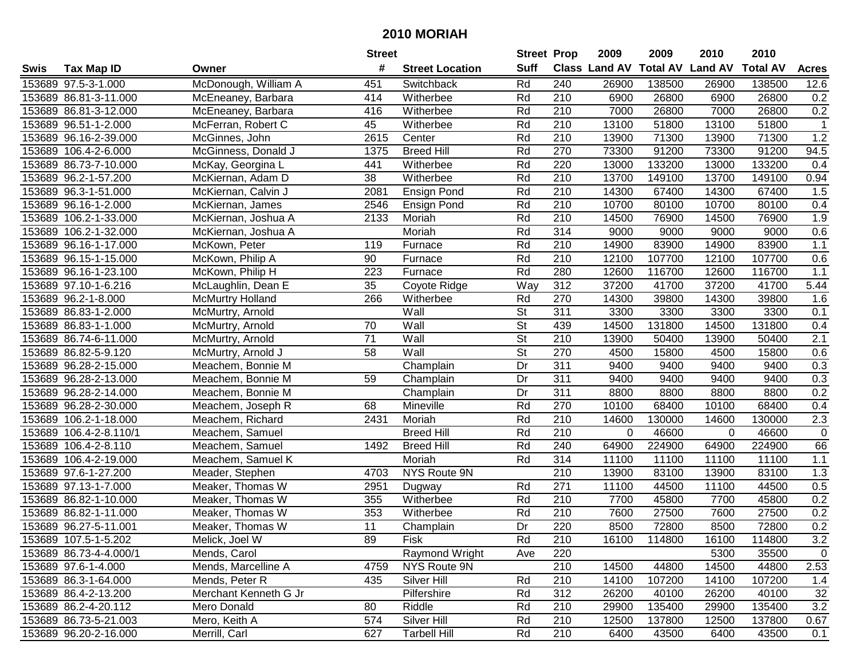|      |                        |                         | <b>Street</b>   |                        | <b>Street Prop</b>       |                  | 2009          | 2009            | 2010           | 2010            |              |
|------|------------------------|-------------------------|-----------------|------------------------|--------------------------|------------------|---------------|-----------------|----------------|-----------------|--------------|
| Swis | <b>Tax Map ID</b>      | Owner                   | #               | <b>Street Location</b> | <b>Suff</b>              |                  | Class Land AV | <b>Total AV</b> | <b>Land AV</b> | <b>Total AV</b> | <b>Acres</b> |
|      | 153689 97.5-3-1.000    | McDonough, William A    | 451             | Switchback             | Rd                       | 240              | 26900         | 138500          | 26900          | 138500          | 12.6         |
|      | 153689 86.81-3-11.000  | McEneaney, Barbara      | 414             | Witherbee              | Rd                       | 210              | 6900          | 26800           | 6900           | 26800           | 0.2          |
|      | 153689 86.81-3-12.000  | McEneaney, Barbara      | 416             | Witherbee              | Rd                       | 210              | 7000          | 26800           | 7000           | 26800           | 0.2          |
|      | 153689 96.51-1-2.000   | McFerran, Robert C      | 45              | Witherbee              | Rd                       | 210              | 13100         | 51800           | 13100          | 51800           | $\mathbf{1}$ |
|      | 153689 96.16-2-39.000  | McGinnes, John          | 2615            | Center                 | Rd                       | 210              | 13900         | 71300           | 13900          | 71300           | 1.2          |
|      | 153689 106.4-2-6.000   | McGinness, Donald J     | 1375            | <b>Breed Hill</b>      | Rd                       | 270              | 73300         | 91200           | 73300          | 91200           | 94.5         |
|      | 153689 86.73-7-10.000  | McKay, Georgina L       | 441             | Witherbee              | Rd                       | 220              | 13000         | 133200          | 13000          | 133200          | 0.4          |
|      | 153689 96.2-1-57.200   | McKiernan, Adam D       | $\overline{38}$ | Witherbee              | Rd                       | 210              | 13700         | 149100          | 13700          | 149100          | 0.94         |
|      | 153689 96.3-1-51.000   | McKiernan, Calvin J     | 2081            | <b>Ensign Pond</b>     | Rd                       | $\overline{210}$ | 14300         | 67400           | 14300          | 67400           | 1.5          |
|      | 153689 96.16-1-2.000   | McKiernan, James        | 2546            | <b>Ensign Pond</b>     | Rd                       | 210              | 10700         | 80100           | 10700          | 80100           | 0.4          |
|      | 153689 106.2-1-33.000  | McKiernan, Joshua A     | 2133            | Moriah                 | Rd                       | 210              | 14500         | 76900           | 14500          | 76900           | 1.9          |
|      | 153689 106.2-1-32.000  | McKiernan, Joshua A     |                 | Moriah                 | Rd                       | 314              | 9000          | 9000            | 9000           | 9000            | 0.6          |
|      | 153689 96.16-1-17.000  | McKown, Peter           | 119             | Furnace                | Rd                       | $\overline{210}$ | 14900         | 83900           | 14900          | 83900           | 1.1          |
|      | 153689 96.15-1-15.000  | McKown, Philip A        | 90              | Furnace                | Rd                       | 210              | 12100         | 107700          | 12100          | 107700          | 0.6          |
|      | 153689 96.16-1-23.100  | McKown, Philip H        | 223             | Furnace                | Rd                       | 280              | 12600         | 116700          | 12600          | 116700          | 1.1          |
|      | 153689 97.10-1-6.216   | McLaughlin, Dean E      | 35              | Coyote Ridge           | Way                      | 312              | 37200         | 41700           | 37200          | 41700           | 5.44         |
|      | 153689 96.2-1-8.000    | <b>McMurtry Holland</b> | 266             | Witherbee              | Rd                       | 270              | 14300         | 39800           | 14300          | 39800           | 1.6          |
|      | 153689 86.83-1-2.000   | McMurtry, Arnold        |                 | Wall                   | $\overline{\mathsf{St}}$ | 311              | 3300          | 3300            | 3300           | 3300            | 0.1          |
|      | 153689 86.83-1-1.000   | McMurtry, Arnold        | 70              | Wall                   | St                       | 439              | 14500         | 131800          | 14500          | 131800          | 0.4          |
|      | 153689 86.74-6-11.000  | McMurtry, Arnold        | 71              | Wall                   | <b>St</b>                | 210              | 13900         | 50400           | 13900          | 50400           | 2.1          |
|      | 153689 86.82-5-9.120   | McMurtry, Arnold J      | 58              | Wall                   | St                       | 270              | 4500          | 15800           | 4500           | 15800           | 0.6          |
|      | 153689 96.28-2-15.000  | Meachem, Bonnie M       |                 | Champlain              | Dr                       | 311              | 9400          | 9400            | 9400           | 9400            | 0.3          |
|      | 153689 96.28-2-13.000  | Meachem, Bonnie M       | 59              | Champlain              | Dr                       | 311              | 9400          | 9400            | 9400           | 9400            | 0.3          |
|      | 153689 96.28-2-14.000  | Meachem, Bonnie M       |                 | Champlain              | Dr                       | 311              | 8800          | 8800            | 8800           | 8800            | 0.2          |
|      | 153689 96.28-2-30.000  | Meachem, Joseph R       | 68              | Mineville              | Rd                       | 270              | 10100         | 68400           | 10100          | 68400           | 0.4          |
|      | 153689 106.2-1-18.000  | Meachem, Richard        | 2431            | Moriah                 | Rd                       | 210              | 14600         | 130000          | 14600          | 130000          | 2.3          |
|      | 153689 106.4-2-8.110/1 | Meachem, Samuel         |                 | <b>Breed Hill</b>      | Rd                       | 210              | $\Omega$      | 46600           | $\mathbf 0$    | 46600           | $\mathbf 0$  |
|      | 153689 106.4-2-8.110   | Meachem, Samuel         | 1492            | <b>Breed Hill</b>      | Rd                       | 240              | 64900         | 224900          | 64900          | 224900          | 66           |
|      | 153689 106.4-2-19.000  | Meachem, Samuel K       |                 | Moriah                 | Rd                       | 314              | 11100         | 11100           | 11100          | 11100           | 1.1          |
|      | 153689 97.6-1-27.200   | Meader, Stephen         | 4703            | NYS Route 9N           |                          | $\overline{210}$ | 13900         | 83100           | 13900          | 83100           | 1.3          |
|      | 153689 97.13-1-7.000   | Meaker, Thomas W        | 2951            | Dugway                 | Rd                       | 271              | 11100         | 44500           | 11100          | 44500           | 0.5          |
|      | 153689 86.82-1-10.000  | Meaker, Thomas W        | 355             | Witherbee              | Rd                       | 210              | 7700          | 45800           | 7700           | 45800           | 0.2          |
|      | 153689 86.82-1-11.000  | Meaker, Thomas W        | 353             | Witherbee              | Rd                       | $\overline{210}$ | 7600          | 27500           | 7600           | 27500           | 0.2          |
|      | 153689 96.27-5-11.001  | Meaker, Thomas W        | $\overline{11}$ | Champlain              | Dr                       | 220              | 8500          | 72800           | 8500           | 72800           | 0.2          |
|      | 153689 107.5-1-5.202   | Melick, Joel W          | 89              | <b>Fisk</b>            | Rd                       | 210              | 16100         | 114800          | 16100          | 114800          | 3.2          |
|      | 153689 86.73-4-4.000/1 | Mends, Carol            |                 | Raymond Wright         | Ave                      | 220              |               |                 | 5300           | 35500           | $\mathbf 0$  |
|      | 153689 97.6-1-4.000    | Mends, Marcelline A     | 4759            | NYS Route 9N           |                          | 210              | 14500         | 44800           | 14500          | 44800           | 2.53         |
|      | 153689 86.3-1-64.000   | Mends, Peter R          | 435             | Silver Hill            | Rd                       | 210              | 14100         | 107200          | 14100          | 107200          | 1.4          |
|      | 153689 86.4-2-13.200   | Merchant Kenneth G Jr   |                 | Pilfershire            | Rd                       | 312              | 26200         | 40100           | 26200          | 40100           | 32           |
|      | 153689 86.2-4-20.112   | Mero Donald             | 80              | Riddle                 | Rd                       | 210              | 29900         | 135400          | 29900          | 135400          | 3.2          |
|      | 153689 86.73-5-21.003  | Mero, Keith A           | 574             | Silver Hill            | Rd                       | 210              | 12500         | 137800          | 12500          | 137800          | 0.67         |
|      | 153689 96.20-2-16.000  | Merrill, Carl           | 627             | <b>Tarbell Hill</b>    | Rd                       | 210              | 6400          | 43500           | 6400           | 43500           | 0.1          |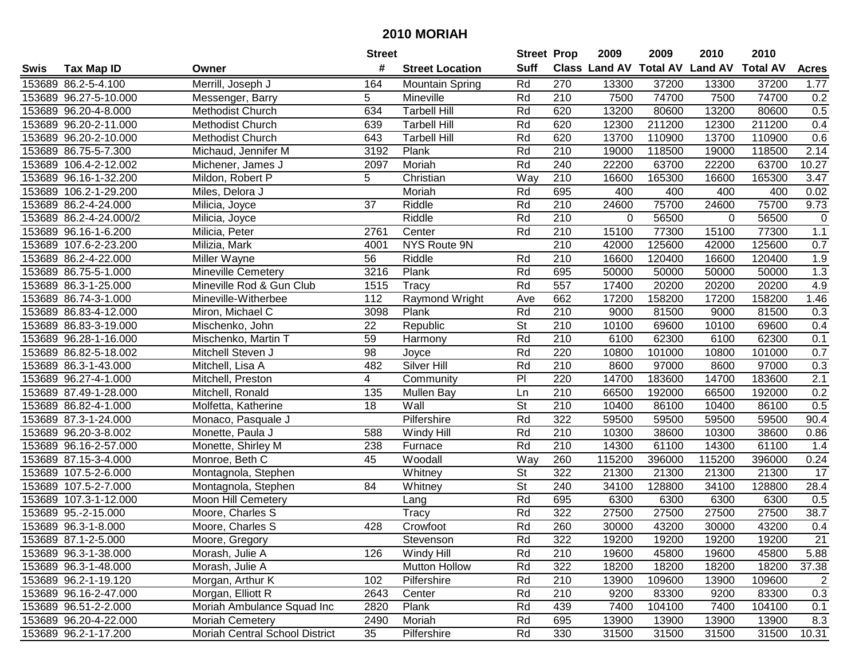| #<br><b>Suff</b><br><b>Class Land AV Total AV</b><br><b>Land AV</b><br><b>Total AV</b><br><b>Tax Map ID</b><br><b>Street Location</b><br><b>Acres</b><br>Swis<br>Owner<br>Rd<br>153689 86.2-5-4.100<br>Merrill, Joseph J<br>164<br>270<br>13300<br>37200<br>13300<br>37200<br><b>Mountain Spring</b><br>1.77<br>7500<br>153689 96.27-5-10.000<br>5<br>Mineville<br>Rd<br>210<br>74700<br>7500<br>74700<br>0.2<br>Messenger, Barry<br>153689 96.20-4-8.000<br>Methodist Church<br>634<br><b>Tarbell Hill</b><br>Rd<br>620<br>13200<br>80600<br>13200<br>80600<br>0.5<br>Rd<br>620<br>12300<br>211200<br>12300<br>211200<br>0.4<br>153689 96.20-2-11.000<br>Methodist Church<br>639<br><b>Tarbell Hill</b><br>153689 96.20-2-10.000<br>Rd<br>620<br>13700<br>110900<br>13700<br>110900<br>0.6<br>Methodist Church<br>643<br><b>Tarbell Hill</b><br>153689 86.75-5-7.300<br>Plank<br>Rd<br>210<br>19000<br>118500<br>19000<br>118500<br>2.14<br>Michaud, Jennifer M<br>3192<br>153689 106.4-2-12.002<br>Rd<br>240<br>22200<br>63700<br>22200<br>63700<br>10.27<br>2097<br>Moriah<br>Michener, James J<br>$\overline{5}$<br>210<br>Way<br>16600<br>165300<br>165300<br>3.47<br>153689 96.16-1-32.200<br>Mildon, Robert P<br>Christian<br>16600<br>695<br>153689 106.2-1-29.200<br>Rd<br>400<br>400<br>400<br>400<br>0.02<br>Miles, Delora J<br>Moriah<br>37<br>210<br>24600<br>75700<br>24600<br>75700<br>9.73<br>153689 86.2-4-24.000<br>Riddle<br>Rd<br>Milicia, Joyce<br>Riddle<br>Rd<br>210<br>153689 86.2-4-24.000/2<br>Milicia, Joyce<br>0<br>56500<br>0<br>56500<br>$\pmb{0}$<br>153689 96.16-1-6.200<br>Milicia, Peter<br>Center<br>Rd<br>210<br>15100<br>77300<br>15100<br>77300<br>1.1<br>2761<br>210<br>153689 107.6-2-23.200<br>NYS Route 9N<br>42000<br>125600<br>42000<br>125600<br>0.7<br>Milizia, Mark<br>4001<br>153689 86.2-4-22.000<br>Miller Wayne<br>56<br>Riddle<br>Rd<br>210<br>16600<br>120400<br>16600<br>120400<br>1.9<br>695<br>1.3<br>153689 86.75-5-1.000<br><b>Mineville Cemetery</b><br>3216<br>Plank<br>Rd<br>50000<br>50000<br>50000<br>50000<br>Rd<br>Mineville Rod & Gun Club<br>557<br>17400<br>20200<br>20200<br>20200<br>4.9<br>153689 86.3-1-25.000<br>1515<br>Tracy<br>662<br>1.46<br>153689 86.74-3-1.000<br>112<br>Raymond Wright<br>17200<br>158200<br>17200<br>158200<br>Mineville-Witherbee<br>Ave<br>Plank<br>Rd<br>210<br>153689 86.83-4-12.000<br>9000<br>81500<br>9000<br>81500<br>0.3<br>Miron, Michael C<br>3098<br>St<br>153689 86.83-3-19.000<br>22<br>210<br>10100<br>69600<br>69600<br>0.4<br>Mischenko, John<br>Republic<br>10100<br>153689 96.28-1-16.000<br>Mischenko, Martin T<br>59<br>Rd<br>210<br>6100<br>62300<br>6100<br>62300<br>0.1<br>Harmony<br>98<br>Rd<br>220<br>10800<br>101000<br>0.7<br>153689 86.82-5-18.002<br>Mitchell Steven J<br>101000<br>10800<br>Joyce<br>153689 86.3-1-43.000<br>Mitchell, Lisa A<br>482<br><b>Silver Hill</b><br>Rd<br>210<br>8600<br>97000<br>8600<br>97000<br>0.3<br>4<br>PI<br>2.1<br>153689 96.27-4-1.000<br>220<br>14700<br>183600<br>14700<br>183600<br>Mitchell, Preston<br>Community<br>153689 87.49-1-28.000<br>210<br>66500<br>192000<br>66500<br>192000<br>0.2<br>Mitchell, Ronald<br>135<br>Mullen Bay<br>Ln<br>Wall<br>$\overline{\mathsf{St}}$<br>153689 86.82-4-1.000<br>18<br>210<br>86100<br>0.5<br>10400<br>86100<br>10400<br>Molfetta, Katherine<br>Rd<br>322<br>153689 87.3-1-24.000<br>Pilfershire<br>59500<br>59500<br>59500<br>59500<br>90.4<br>Monaco, Pasquale J<br>Rd<br>210<br>153689 96.20-3-8.002<br>Monette, Paula J<br>588<br>Windy Hill<br>10300<br>38600<br>10300<br>38600<br>0.86<br>Rd<br>153689 96.16-2-57.000<br>238<br>210<br>14300<br>61100<br>14300<br>61100<br>Monette, Shirley M<br>Furnace<br>1.4<br>153689 87.15-3-4.000<br>45<br>Way<br>260<br>115200<br>396000<br>115200<br>396000<br>Monroe, Beth C<br>Woodall<br>0.24<br>$\overline{\mathsf{St}}$<br>$\overline{322}$<br>153689 107.5-2-6.000<br>Whitney<br>21300<br>21300<br>21300<br>21300<br>17<br>Montagnola, Stephen<br>$\overline{\mathsf{St}}$<br>84<br>240<br>128800<br>128800<br>153689 107.5-2-7.000<br>Whitney<br>34100<br>34100<br>28.4<br>Montagnola, Stephen<br>Rd<br>153689 107.3-1-12.000<br>Moon Hill Cemetery<br>695<br>6300<br>6300<br>6300<br>6300<br>0.5<br>Lang<br>Rd<br>$\overline{322}$<br>27500<br>27500<br>38.7<br>153689 95.-2-15.000<br>Moore, Charles S<br>Tracy<br>27500<br>27500<br>Rd<br>260<br>153689 96.3-1-8.000<br>Moore, Charles S<br>428<br>30000<br>43200<br>30000<br>43200<br>Crowfoot<br>0.4<br>153689 87.1-2-5.000<br>Moore, Gregory<br>Stevenson<br>Rd<br>322<br>19200<br>19200<br>19200<br>19200<br>21<br>5.88<br>153689 96.3-1-38.000<br>Morash, Julie A<br>126<br>Windy Hill<br>Rd<br>210<br>19600<br>45800<br>19600<br>45800<br>322<br>18200<br>18200<br>153689 96.3-1-48.000<br>Morash, Julie A<br><b>Mutton Hollow</b><br>Rd<br>18200<br>18200<br>37.38<br>153689 96.2-1-19.120<br>Pilfershire<br>Rd<br>210<br>13900<br>109600<br>$\overline{2}$<br>Morgan, Arthur K<br>102<br>109600<br>13900<br>Morgan, Elliott R<br>Rd<br>0.3<br>153689 96.16-2-47.000<br>2643<br>210<br>9200<br>83300<br>9200<br>83300<br>Center<br>Moriah Ambulance Squad Inc<br>Rd<br>439<br>7400<br>104100<br>7400<br>153689 96.51-2-2.000<br>2820<br>Plank<br>104100<br>0.1<br>153689 96.20-4-22.000<br>Moriah Cemetery<br>2490<br>Moriah<br>Rd<br>695<br>13900<br>13900<br>13900<br>13900<br>8.3<br>35<br>Rd<br>153689 96.2-1-17.200 |  |                                | <b>Street</b> |             | <b>Street Prop</b> |     | 2009  | 2009  | 2010  | 2010  |       |
|---------------------------------------------------------------------------------------------------------------------------------------------------------------------------------------------------------------------------------------------------------------------------------------------------------------------------------------------------------------------------------------------------------------------------------------------------------------------------------------------------------------------------------------------------------------------------------------------------------------------------------------------------------------------------------------------------------------------------------------------------------------------------------------------------------------------------------------------------------------------------------------------------------------------------------------------------------------------------------------------------------------------------------------------------------------------------------------------------------------------------------------------------------------------------------------------------------------------------------------------------------------------------------------------------------------------------------------------------------------------------------------------------------------------------------------------------------------------------------------------------------------------------------------------------------------------------------------------------------------------------------------------------------------------------------------------------------------------------------------------------------------------------------------------------------------------------------------------------------------------------------------------------------------------------------------------------------------------------------------------------------------------------------------------------------------------------------------------------------------------------------------------------------------------------------------------------------------------------------------------------------------------------------------------------------------------------------------------------------------------------------------------------------------------------------------------------------------------------------------------------------------------------------------------------------------------------------------------------------------------------------------------------------------------------------------------------------------------------------------------------------------------------------------------------------------------------------------------------------------------------------------------------------------------------------------------------------------------------------------------------------------------------------------------------------------------------------------------------------------------------------------------------------------------------------------------------------------------------------------------------------------------------------------------------------------------------------------------------------------------------------------------------------------------------------------------------------------------------------------------------------------------------------------------------------------------------------------------------------------------------------------------------------------------------------------------------------------------------------------------------------------------------------------------------------------------------------------------------------------------------------------------------------------------------------------------------------------------------------------------------------------------------------------------------------------------------------------------------------------------------------------------------------------------------------------------------------------------------------------------------------------------------------------------------------------------------------------------------------------------------------------------------------------------------------------------------------------------------------------------------------------------------------------------------------------------------------------------------------------------------------------------------------------------------------------------------------------------------------------------------------------------------------------------------------------------------------------------------------------------------------------------------------------------------------------------------------------------------------------------------------------------------------------------------------------------------------------------------------------------------------------------------------------------------------------------------------------------------------------------------------------------------------------------------------------------------------------------------------------------------------------------------------------------------------------------------------------|--|--------------------------------|---------------|-------------|--------------------|-----|-------|-------|-------|-------|-------|
|                                                                                                                                                                                                                                                                                                                                                                                                                                                                                                                                                                                                                                                                                                                                                                                                                                                                                                                                                                                                                                                                                                                                                                                                                                                                                                                                                                                                                                                                                                                                                                                                                                                                                                                                                                                                                                                                                                                                                                                                                                                                                                                                                                                                                                                                                                                                                                                                                                                                                                                                                                                                                                                                                                                                                                                                                                                                                                                                                                                                                                                                                                                                                                                                                                                                                                                                                                                                                                                                                                                                                                                                                                                                                                                                                                                                                                                                                                                                                                                                                                                                                                                                                                                                                                                                                                                                                                                                                                                                                                                                                                                                                                                                                                                                                                                                                                                                                                                                                                                                                                                                                                                                                                                                                                                                                                                                                                                                                                                               |  |                                |               |             |                    |     |       |       |       |       |       |
|                                                                                                                                                                                                                                                                                                                                                                                                                                                                                                                                                                                                                                                                                                                                                                                                                                                                                                                                                                                                                                                                                                                                                                                                                                                                                                                                                                                                                                                                                                                                                                                                                                                                                                                                                                                                                                                                                                                                                                                                                                                                                                                                                                                                                                                                                                                                                                                                                                                                                                                                                                                                                                                                                                                                                                                                                                                                                                                                                                                                                                                                                                                                                                                                                                                                                                                                                                                                                                                                                                                                                                                                                                                                                                                                                                                                                                                                                                                                                                                                                                                                                                                                                                                                                                                                                                                                                                                                                                                                                                                                                                                                                                                                                                                                                                                                                                                                                                                                                                                                                                                                                                                                                                                                                                                                                                                                                                                                                                                               |  |                                |               |             |                    |     |       |       |       |       |       |
|                                                                                                                                                                                                                                                                                                                                                                                                                                                                                                                                                                                                                                                                                                                                                                                                                                                                                                                                                                                                                                                                                                                                                                                                                                                                                                                                                                                                                                                                                                                                                                                                                                                                                                                                                                                                                                                                                                                                                                                                                                                                                                                                                                                                                                                                                                                                                                                                                                                                                                                                                                                                                                                                                                                                                                                                                                                                                                                                                                                                                                                                                                                                                                                                                                                                                                                                                                                                                                                                                                                                                                                                                                                                                                                                                                                                                                                                                                                                                                                                                                                                                                                                                                                                                                                                                                                                                                                                                                                                                                                                                                                                                                                                                                                                                                                                                                                                                                                                                                                                                                                                                                                                                                                                                                                                                                                                                                                                                                                               |  |                                |               |             |                    |     |       |       |       |       |       |
|                                                                                                                                                                                                                                                                                                                                                                                                                                                                                                                                                                                                                                                                                                                                                                                                                                                                                                                                                                                                                                                                                                                                                                                                                                                                                                                                                                                                                                                                                                                                                                                                                                                                                                                                                                                                                                                                                                                                                                                                                                                                                                                                                                                                                                                                                                                                                                                                                                                                                                                                                                                                                                                                                                                                                                                                                                                                                                                                                                                                                                                                                                                                                                                                                                                                                                                                                                                                                                                                                                                                                                                                                                                                                                                                                                                                                                                                                                                                                                                                                                                                                                                                                                                                                                                                                                                                                                                                                                                                                                                                                                                                                                                                                                                                                                                                                                                                                                                                                                                                                                                                                                                                                                                                                                                                                                                                                                                                                                                               |  |                                |               |             |                    |     |       |       |       |       |       |
|                                                                                                                                                                                                                                                                                                                                                                                                                                                                                                                                                                                                                                                                                                                                                                                                                                                                                                                                                                                                                                                                                                                                                                                                                                                                                                                                                                                                                                                                                                                                                                                                                                                                                                                                                                                                                                                                                                                                                                                                                                                                                                                                                                                                                                                                                                                                                                                                                                                                                                                                                                                                                                                                                                                                                                                                                                                                                                                                                                                                                                                                                                                                                                                                                                                                                                                                                                                                                                                                                                                                                                                                                                                                                                                                                                                                                                                                                                                                                                                                                                                                                                                                                                                                                                                                                                                                                                                                                                                                                                                                                                                                                                                                                                                                                                                                                                                                                                                                                                                                                                                                                                                                                                                                                                                                                                                                                                                                                                                               |  |                                |               |             |                    |     |       |       |       |       |       |
|                                                                                                                                                                                                                                                                                                                                                                                                                                                                                                                                                                                                                                                                                                                                                                                                                                                                                                                                                                                                                                                                                                                                                                                                                                                                                                                                                                                                                                                                                                                                                                                                                                                                                                                                                                                                                                                                                                                                                                                                                                                                                                                                                                                                                                                                                                                                                                                                                                                                                                                                                                                                                                                                                                                                                                                                                                                                                                                                                                                                                                                                                                                                                                                                                                                                                                                                                                                                                                                                                                                                                                                                                                                                                                                                                                                                                                                                                                                                                                                                                                                                                                                                                                                                                                                                                                                                                                                                                                                                                                                                                                                                                                                                                                                                                                                                                                                                                                                                                                                                                                                                                                                                                                                                                                                                                                                                                                                                                                                               |  |                                |               |             |                    |     |       |       |       |       |       |
|                                                                                                                                                                                                                                                                                                                                                                                                                                                                                                                                                                                                                                                                                                                                                                                                                                                                                                                                                                                                                                                                                                                                                                                                                                                                                                                                                                                                                                                                                                                                                                                                                                                                                                                                                                                                                                                                                                                                                                                                                                                                                                                                                                                                                                                                                                                                                                                                                                                                                                                                                                                                                                                                                                                                                                                                                                                                                                                                                                                                                                                                                                                                                                                                                                                                                                                                                                                                                                                                                                                                                                                                                                                                                                                                                                                                                                                                                                                                                                                                                                                                                                                                                                                                                                                                                                                                                                                                                                                                                                                                                                                                                                                                                                                                                                                                                                                                                                                                                                                                                                                                                                                                                                                                                                                                                                                                                                                                                                                               |  |                                |               |             |                    |     |       |       |       |       |       |
|                                                                                                                                                                                                                                                                                                                                                                                                                                                                                                                                                                                                                                                                                                                                                                                                                                                                                                                                                                                                                                                                                                                                                                                                                                                                                                                                                                                                                                                                                                                                                                                                                                                                                                                                                                                                                                                                                                                                                                                                                                                                                                                                                                                                                                                                                                                                                                                                                                                                                                                                                                                                                                                                                                                                                                                                                                                                                                                                                                                                                                                                                                                                                                                                                                                                                                                                                                                                                                                                                                                                                                                                                                                                                                                                                                                                                                                                                                                                                                                                                                                                                                                                                                                                                                                                                                                                                                                                                                                                                                                                                                                                                                                                                                                                                                                                                                                                                                                                                                                                                                                                                                                                                                                                                                                                                                                                                                                                                                                               |  |                                |               |             |                    |     |       |       |       |       |       |
|                                                                                                                                                                                                                                                                                                                                                                                                                                                                                                                                                                                                                                                                                                                                                                                                                                                                                                                                                                                                                                                                                                                                                                                                                                                                                                                                                                                                                                                                                                                                                                                                                                                                                                                                                                                                                                                                                                                                                                                                                                                                                                                                                                                                                                                                                                                                                                                                                                                                                                                                                                                                                                                                                                                                                                                                                                                                                                                                                                                                                                                                                                                                                                                                                                                                                                                                                                                                                                                                                                                                                                                                                                                                                                                                                                                                                                                                                                                                                                                                                                                                                                                                                                                                                                                                                                                                                                                                                                                                                                                                                                                                                                                                                                                                                                                                                                                                                                                                                                                                                                                                                                                                                                                                                                                                                                                                                                                                                                                               |  |                                |               |             |                    |     |       |       |       |       |       |
|                                                                                                                                                                                                                                                                                                                                                                                                                                                                                                                                                                                                                                                                                                                                                                                                                                                                                                                                                                                                                                                                                                                                                                                                                                                                                                                                                                                                                                                                                                                                                                                                                                                                                                                                                                                                                                                                                                                                                                                                                                                                                                                                                                                                                                                                                                                                                                                                                                                                                                                                                                                                                                                                                                                                                                                                                                                                                                                                                                                                                                                                                                                                                                                                                                                                                                                                                                                                                                                                                                                                                                                                                                                                                                                                                                                                                                                                                                                                                                                                                                                                                                                                                                                                                                                                                                                                                                                                                                                                                                                                                                                                                                                                                                                                                                                                                                                                                                                                                                                                                                                                                                                                                                                                                                                                                                                                                                                                                                                               |  |                                |               |             |                    |     |       |       |       |       |       |
|                                                                                                                                                                                                                                                                                                                                                                                                                                                                                                                                                                                                                                                                                                                                                                                                                                                                                                                                                                                                                                                                                                                                                                                                                                                                                                                                                                                                                                                                                                                                                                                                                                                                                                                                                                                                                                                                                                                                                                                                                                                                                                                                                                                                                                                                                                                                                                                                                                                                                                                                                                                                                                                                                                                                                                                                                                                                                                                                                                                                                                                                                                                                                                                                                                                                                                                                                                                                                                                                                                                                                                                                                                                                                                                                                                                                                                                                                                                                                                                                                                                                                                                                                                                                                                                                                                                                                                                                                                                                                                                                                                                                                                                                                                                                                                                                                                                                                                                                                                                                                                                                                                                                                                                                                                                                                                                                                                                                                                                               |  |                                |               |             |                    |     |       |       |       |       |       |
|                                                                                                                                                                                                                                                                                                                                                                                                                                                                                                                                                                                                                                                                                                                                                                                                                                                                                                                                                                                                                                                                                                                                                                                                                                                                                                                                                                                                                                                                                                                                                                                                                                                                                                                                                                                                                                                                                                                                                                                                                                                                                                                                                                                                                                                                                                                                                                                                                                                                                                                                                                                                                                                                                                                                                                                                                                                                                                                                                                                                                                                                                                                                                                                                                                                                                                                                                                                                                                                                                                                                                                                                                                                                                                                                                                                                                                                                                                                                                                                                                                                                                                                                                                                                                                                                                                                                                                                                                                                                                                                                                                                                                                                                                                                                                                                                                                                                                                                                                                                                                                                                                                                                                                                                                                                                                                                                                                                                                                                               |  |                                |               |             |                    |     |       |       |       |       |       |
|                                                                                                                                                                                                                                                                                                                                                                                                                                                                                                                                                                                                                                                                                                                                                                                                                                                                                                                                                                                                                                                                                                                                                                                                                                                                                                                                                                                                                                                                                                                                                                                                                                                                                                                                                                                                                                                                                                                                                                                                                                                                                                                                                                                                                                                                                                                                                                                                                                                                                                                                                                                                                                                                                                                                                                                                                                                                                                                                                                                                                                                                                                                                                                                                                                                                                                                                                                                                                                                                                                                                                                                                                                                                                                                                                                                                                                                                                                                                                                                                                                                                                                                                                                                                                                                                                                                                                                                                                                                                                                                                                                                                                                                                                                                                                                                                                                                                                                                                                                                                                                                                                                                                                                                                                                                                                                                                                                                                                                                               |  |                                |               |             |                    |     |       |       |       |       |       |
|                                                                                                                                                                                                                                                                                                                                                                                                                                                                                                                                                                                                                                                                                                                                                                                                                                                                                                                                                                                                                                                                                                                                                                                                                                                                                                                                                                                                                                                                                                                                                                                                                                                                                                                                                                                                                                                                                                                                                                                                                                                                                                                                                                                                                                                                                                                                                                                                                                                                                                                                                                                                                                                                                                                                                                                                                                                                                                                                                                                                                                                                                                                                                                                                                                                                                                                                                                                                                                                                                                                                                                                                                                                                                                                                                                                                                                                                                                                                                                                                                                                                                                                                                                                                                                                                                                                                                                                                                                                                                                                                                                                                                                                                                                                                                                                                                                                                                                                                                                                                                                                                                                                                                                                                                                                                                                                                                                                                                                                               |  |                                |               |             |                    |     |       |       |       |       |       |
|                                                                                                                                                                                                                                                                                                                                                                                                                                                                                                                                                                                                                                                                                                                                                                                                                                                                                                                                                                                                                                                                                                                                                                                                                                                                                                                                                                                                                                                                                                                                                                                                                                                                                                                                                                                                                                                                                                                                                                                                                                                                                                                                                                                                                                                                                                                                                                                                                                                                                                                                                                                                                                                                                                                                                                                                                                                                                                                                                                                                                                                                                                                                                                                                                                                                                                                                                                                                                                                                                                                                                                                                                                                                                                                                                                                                                                                                                                                                                                                                                                                                                                                                                                                                                                                                                                                                                                                                                                                                                                                                                                                                                                                                                                                                                                                                                                                                                                                                                                                                                                                                                                                                                                                                                                                                                                                                                                                                                                                               |  |                                |               |             |                    |     |       |       |       |       |       |
|                                                                                                                                                                                                                                                                                                                                                                                                                                                                                                                                                                                                                                                                                                                                                                                                                                                                                                                                                                                                                                                                                                                                                                                                                                                                                                                                                                                                                                                                                                                                                                                                                                                                                                                                                                                                                                                                                                                                                                                                                                                                                                                                                                                                                                                                                                                                                                                                                                                                                                                                                                                                                                                                                                                                                                                                                                                                                                                                                                                                                                                                                                                                                                                                                                                                                                                                                                                                                                                                                                                                                                                                                                                                                                                                                                                                                                                                                                                                                                                                                                                                                                                                                                                                                                                                                                                                                                                                                                                                                                                                                                                                                                                                                                                                                                                                                                                                                                                                                                                                                                                                                                                                                                                                                                                                                                                                                                                                                                                               |  |                                |               |             |                    |     |       |       |       |       |       |
|                                                                                                                                                                                                                                                                                                                                                                                                                                                                                                                                                                                                                                                                                                                                                                                                                                                                                                                                                                                                                                                                                                                                                                                                                                                                                                                                                                                                                                                                                                                                                                                                                                                                                                                                                                                                                                                                                                                                                                                                                                                                                                                                                                                                                                                                                                                                                                                                                                                                                                                                                                                                                                                                                                                                                                                                                                                                                                                                                                                                                                                                                                                                                                                                                                                                                                                                                                                                                                                                                                                                                                                                                                                                                                                                                                                                                                                                                                                                                                                                                                                                                                                                                                                                                                                                                                                                                                                                                                                                                                                                                                                                                                                                                                                                                                                                                                                                                                                                                                                                                                                                                                                                                                                                                                                                                                                                                                                                                                                               |  |                                |               |             |                    |     |       |       |       |       |       |
|                                                                                                                                                                                                                                                                                                                                                                                                                                                                                                                                                                                                                                                                                                                                                                                                                                                                                                                                                                                                                                                                                                                                                                                                                                                                                                                                                                                                                                                                                                                                                                                                                                                                                                                                                                                                                                                                                                                                                                                                                                                                                                                                                                                                                                                                                                                                                                                                                                                                                                                                                                                                                                                                                                                                                                                                                                                                                                                                                                                                                                                                                                                                                                                                                                                                                                                                                                                                                                                                                                                                                                                                                                                                                                                                                                                                                                                                                                                                                                                                                                                                                                                                                                                                                                                                                                                                                                                                                                                                                                                                                                                                                                                                                                                                                                                                                                                                                                                                                                                                                                                                                                                                                                                                                                                                                                                                                                                                                                                               |  |                                |               |             |                    |     |       |       |       |       |       |
|                                                                                                                                                                                                                                                                                                                                                                                                                                                                                                                                                                                                                                                                                                                                                                                                                                                                                                                                                                                                                                                                                                                                                                                                                                                                                                                                                                                                                                                                                                                                                                                                                                                                                                                                                                                                                                                                                                                                                                                                                                                                                                                                                                                                                                                                                                                                                                                                                                                                                                                                                                                                                                                                                                                                                                                                                                                                                                                                                                                                                                                                                                                                                                                                                                                                                                                                                                                                                                                                                                                                                                                                                                                                                                                                                                                                                                                                                                                                                                                                                                                                                                                                                                                                                                                                                                                                                                                                                                                                                                                                                                                                                                                                                                                                                                                                                                                                                                                                                                                                                                                                                                                                                                                                                                                                                                                                                                                                                                                               |  |                                |               |             |                    |     |       |       |       |       |       |
|                                                                                                                                                                                                                                                                                                                                                                                                                                                                                                                                                                                                                                                                                                                                                                                                                                                                                                                                                                                                                                                                                                                                                                                                                                                                                                                                                                                                                                                                                                                                                                                                                                                                                                                                                                                                                                                                                                                                                                                                                                                                                                                                                                                                                                                                                                                                                                                                                                                                                                                                                                                                                                                                                                                                                                                                                                                                                                                                                                                                                                                                                                                                                                                                                                                                                                                                                                                                                                                                                                                                                                                                                                                                                                                                                                                                                                                                                                                                                                                                                                                                                                                                                                                                                                                                                                                                                                                                                                                                                                                                                                                                                                                                                                                                                                                                                                                                                                                                                                                                                                                                                                                                                                                                                                                                                                                                                                                                                                                               |  |                                |               |             |                    |     |       |       |       |       |       |
|                                                                                                                                                                                                                                                                                                                                                                                                                                                                                                                                                                                                                                                                                                                                                                                                                                                                                                                                                                                                                                                                                                                                                                                                                                                                                                                                                                                                                                                                                                                                                                                                                                                                                                                                                                                                                                                                                                                                                                                                                                                                                                                                                                                                                                                                                                                                                                                                                                                                                                                                                                                                                                                                                                                                                                                                                                                                                                                                                                                                                                                                                                                                                                                                                                                                                                                                                                                                                                                                                                                                                                                                                                                                                                                                                                                                                                                                                                                                                                                                                                                                                                                                                                                                                                                                                                                                                                                                                                                                                                                                                                                                                                                                                                                                                                                                                                                                                                                                                                                                                                                                                                                                                                                                                                                                                                                                                                                                                                                               |  |                                |               |             |                    |     |       |       |       |       |       |
|                                                                                                                                                                                                                                                                                                                                                                                                                                                                                                                                                                                                                                                                                                                                                                                                                                                                                                                                                                                                                                                                                                                                                                                                                                                                                                                                                                                                                                                                                                                                                                                                                                                                                                                                                                                                                                                                                                                                                                                                                                                                                                                                                                                                                                                                                                                                                                                                                                                                                                                                                                                                                                                                                                                                                                                                                                                                                                                                                                                                                                                                                                                                                                                                                                                                                                                                                                                                                                                                                                                                                                                                                                                                                                                                                                                                                                                                                                                                                                                                                                                                                                                                                                                                                                                                                                                                                                                                                                                                                                                                                                                                                                                                                                                                                                                                                                                                                                                                                                                                                                                                                                                                                                                                                                                                                                                                                                                                                                                               |  |                                |               |             |                    |     |       |       |       |       |       |
|                                                                                                                                                                                                                                                                                                                                                                                                                                                                                                                                                                                                                                                                                                                                                                                                                                                                                                                                                                                                                                                                                                                                                                                                                                                                                                                                                                                                                                                                                                                                                                                                                                                                                                                                                                                                                                                                                                                                                                                                                                                                                                                                                                                                                                                                                                                                                                                                                                                                                                                                                                                                                                                                                                                                                                                                                                                                                                                                                                                                                                                                                                                                                                                                                                                                                                                                                                                                                                                                                                                                                                                                                                                                                                                                                                                                                                                                                                                                                                                                                                                                                                                                                                                                                                                                                                                                                                                                                                                                                                                                                                                                                                                                                                                                                                                                                                                                                                                                                                                                                                                                                                                                                                                                                                                                                                                                                                                                                                                               |  |                                |               |             |                    |     |       |       |       |       |       |
|                                                                                                                                                                                                                                                                                                                                                                                                                                                                                                                                                                                                                                                                                                                                                                                                                                                                                                                                                                                                                                                                                                                                                                                                                                                                                                                                                                                                                                                                                                                                                                                                                                                                                                                                                                                                                                                                                                                                                                                                                                                                                                                                                                                                                                                                                                                                                                                                                                                                                                                                                                                                                                                                                                                                                                                                                                                                                                                                                                                                                                                                                                                                                                                                                                                                                                                                                                                                                                                                                                                                                                                                                                                                                                                                                                                                                                                                                                                                                                                                                                                                                                                                                                                                                                                                                                                                                                                                                                                                                                                                                                                                                                                                                                                                                                                                                                                                                                                                                                                                                                                                                                                                                                                                                                                                                                                                                                                                                                                               |  |                                |               |             |                    |     |       |       |       |       |       |
|                                                                                                                                                                                                                                                                                                                                                                                                                                                                                                                                                                                                                                                                                                                                                                                                                                                                                                                                                                                                                                                                                                                                                                                                                                                                                                                                                                                                                                                                                                                                                                                                                                                                                                                                                                                                                                                                                                                                                                                                                                                                                                                                                                                                                                                                                                                                                                                                                                                                                                                                                                                                                                                                                                                                                                                                                                                                                                                                                                                                                                                                                                                                                                                                                                                                                                                                                                                                                                                                                                                                                                                                                                                                                                                                                                                                                                                                                                                                                                                                                                                                                                                                                                                                                                                                                                                                                                                                                                                                                                                                                                                                                                                                                                                                                                                                                                                                                                                                                                                                                                                                                                                                                                                                                                                                                                                                                                                                                                                               |  |                                |               |             |                    |     |       |       |       |       |       |
|                                                                                                                                                                                                                                                                                                                                                                                                                                                                                                                                                                                                                                                                                                                                                                                                                                                                                                                                                                                                                                                                                                                                                                                                                                                                                                                                                                                                                                                                                                                                                                                                                                                                                                                                                                                                                                                                                                                                                                                                                                                                                                                                                                                                                                                                                                                                                                                                                                                                                                                                                                                                                                                                                                                                                                                                                                                                                                                                                                                                                                                                                                                                                                                                                                                                                                                                                                                                                                                                                                                                                                                                                                                                                                                                                                                                                                                                                                                                                                                                                                                                                                                                                                                                                                                                                                                                                                                                                                                                                                                                                                                                                                                                                                                                                                                                                                                                                                                                                                                                                                                                                                                                                                                                                                                                                                                                                                                                                                                               |  |                                |               |             |                    |     |       |       |       |       |       |
|                                                                                                                                                                                                                                                                                                                                                                                                                                                                                                                                                                                                                                                                                                                                                                                                                                                                                                                                                                                                                                                                                                                                                                                                                                                                                                                                                                                                                                                                                                                                                                                                                                                                                                                                                                                                                                                                                                                                                                                                                                                                                                                                                                                                                                                                                                                                                                                                                                                                                                                                                                                                                                                                                                                                                                                                                                                                                                                                                                                                                                                                                                                                                                                                                                                                                                                                                                                                                                                                                                                                                                                                                                                                                                                                                                                                                                                                                                                                                                                                                                                                                                                                                                                                                                                                                                                                                                                                                                                                                                                                                                                                                                                                                                                                                                                                                                                                                                                                                                                                                                                                                                                                                                                                                                                                                                                                                                                                                                                               |  |                                |               |             |                    |     |       |       |       |       |       |
|                                                                                                                                                                                                                                                                                                                                                                                                                                                                                                                                                                                                                                                                                                                                                                                                                                                                                                                                                                                                                                                                                                                                                                                                                                                                                                                                                                                                                                                                                                                                                                                                                                                                                                                                                                                                                                                                                                                                                                                                                                                                                                                                                                                                                                                                                                                                                                                                                                                                                                                                                                                                                                                                                                                                                                                                                                                                                                                                                                                                                                                                                                                                                                                                                                                                                                                                                                                                                                                                                                                                                                                                                                                                                                                                                                                                                                                                                                                                                                                                                                                                                                                                                                                                                                                                                                                                                                                                                                                                                                                                                                                                                                                                                                                                                                                                                                                                                                                                                                                                                                                                                                                                                                                                                                                                                                                                                                                                                                                               |  |                                |               |             |                    |     |       |       |       |       |       |
|                                                                                                                                                                                                                                                                                                                                                                                                                                                                                                                                                                                                                                                                                                                                                                                                                                                                                                                                                                                                                                                                                                                                                                                                                                                                                                                                                                                                                                                                                                                                                                                                                                                                                                                                                                                                                                                                                                                                                                                                                                                                                                                                                                                                                                                                                                                                                                                                                                                                                                                                                                                                                                                                                                                                                                                                                                                                                                                                                                                                                                                                                                                                                                                                                                                                                                                                                                                                                                                                                                                                                                                                                                                                                                                                                                                                                                                                                                                                                                                                                                                                                                                                                                                                                                                                                                                                                                                                                                                                                                                                                                                                                                                                                                                                                                                                                                                                                                                                                                                                                                                                                                                                                                                                                                                                                                                                                                                                                                                               |  |                                |               |             |                    |     |       |       |       |       |       |
|                                                                                                                                                                                                                                                                                                                                                                                                                                                                                                                                                                                                                                                                                                                                                                                                                                                                                                                                                                                                                                                                                                                                                                                                                                                                                                                                                                                                                                                                                                                                                                                                                                                                                                                                                                                                                                                                                                                                                                                                                                                                                                                                                                                                                                                                                                                                                                                                                                                                                                                                                                                                                                                                                                                                                                                                                                                                                                                                                                                                                                                                                                                                                                                                                                                                                                                                                                                                                                                                                                                                                                                                                                                                                                                                                                                                                                                                                                                                                                                                                                                                                                                                                                                                                                                                                                                                                                                                                                                                                                                                                                                                                                                                                                                                                                                                                                                                                                                                                                                                                                                                                                                                                                                                                                                                                                                                                                                                                                                               |  |                                |               |             |                    |     |       |       |       |       |       |
|                                                                                                                                                                                                                                                                                                                                                                                                                                                                                                                                                                                                                                                                                                                                                                                                                                                                                                                                                                                                                                                                                                                                                                                                                                                                                                                                                                                                                                                                                                                                                                                                                                                                                                                                                                                                                                                                                                                                                                                                                                                                                                                                                                                                                                                                                                                                                                                                                                                                                                                                                                                                                                                                                                                                                                                                                                                                                                                                                                                                                                                                                                                                                                                                                                                                                                                                                                                                                                                                                                                                                                                                                                                                                                                                                                                                                                                                                                                                                                                                                                                                                                                                                                                                                                                                                                                                                                                                                                                                                                                                                                                                                                                                                                                                                                                                                                                                                                                                                                                                                                                                                                                                                                                                                                                                                                                                                                                                                                                               |  |                                |               |             |                    |     |       |       |       |       |       |
|                                                                                                                                                                                                                                                                                                                                                                                                                                                                                                                                                                                                                                                                                                                                                                                                                                                                                                                                                                                                                                                                                                                                                                                                                                                                                                                                                                                                                                                                                                                                                                                                                                                                                                                                                                                                                                                                                                                                                                                                                                                                                                                                                                                                                                                                                                                                                                                                                                                                                                                                                                                                                                                                                                                                                                                                                                                                                                                                                                                                                                                                                                                                                                                                                                                                                                                                                                                                                                                                                                                                                                                                                                                                                                                                                                                                                                                                                                                                                                                                                                                                                                                                                                                                                                                                                                                                                                                                                                                                                                                                                                                                                                                                                                                                                                                                                                                                                                                                                                                                                                                                                                                                                                                                                                                                                                                                                                                                                                                               |  |                                |               |             |                    |     |       |       |       |       |       |
|                                                                                                                                                                                                                                                                                                                                                                                                                                                                                                                                                                                                                                                                                                                                                                                                                                                                                                                                                                                                                                                                                                                                                                                                                                                                                                                                                                                                                                                                                                                                                                                                                                                                                                                                                                                                                                                                                                                                                                                                                                                                                                                                                                                                                                                                                                                                                                                                                                                                                                                                                                                                                                                                                                                                                                                                                                                                                                                                                                                                                                                                                                                                                                                                                                                                                                                                                                                                                                                                                                                                                                                                                                                                                                                                                                                                                                                                                                                                                                                                                                                                                                                                                                                                                                                                                                                                                                                                                                                                                                                                                                                                                                                                                                                                                                                                                                                                                                                                                                                                                                                                                                                                                                                                                                                                                                                                                                                                                                                               |  |                                |               |             |                    |     |       |       |       |       |       |
|                                                                                                                                                                                                                                                                                                                                                                                                                                                                                                                                                                                                                                                                                                                                                                                                                                                                                                                                                                                                                                                                                                                                                                                                                                                                                                                                                                                                                                                                                                                                                                                                                                                                                                                                                                                                                                                                                                                                                                                                                                                                                                                                                                                                                                                                                                                                                                                                                                                                                                                                                                                                                                                                                                                                                                                                                                                                                                                                                                                                                                                                                                                                                                                                                                                                                                                                                                                                                                                                                                                                                                                                                                                                                                                                                                                                                                                                                                                                                                                                                                                                                                                                                                                                                                                                                                                                                                                                                                                                                                                                                                                                                                                                                                                                                                                                                                                                                                                                                                                                                                                                                                                                                                                                                                                                                                                                                                                                                                                               |  |                                |               |             |                    |     |       |       |       |       |       |
|                                                                                                                                                                                                                                                                                                                                                                                                                                                                                                                                                                                                                                                                                                                                                                                                                                                                                                                                                                                                                                                                                                                                                                                                                                                                                                                                                                                                                                                                                                                                                                                                                                                                                                                                                                                                                                                                                                                                                                                                                                                                                                                                                                                                                                                                                                                                                                                                                                                                                                                                                                                                                                                                                                                                                                                                                                                                                                                                                                                                                                                                                                                                                                                                                                                                                                                                                                                                                                                                                                                                                                                                                                                                                                                                                                                                                                                                                                                                                                                                                                                                                                                                                                                                                                                                                                                                                                                                                                                                                                                                                                                                                                                                                                                                                                                                                                                                                                                                                                                                                                                                                                                                                                                                                                                                                                                                                                                                                                                               |  |                                |               |             |                    |     |       |       |       |       |       |
|                                                                                                                                                                                                                                                                                                                                                                                                                                                                                                                                                                                                                                                                                                                                                                                                                                                                                                                                                                                                                                                                                                                                                                                                                                                                                                                                                                                                                                                                                                                                                                                                                                                                                                                                                                                                                                                                                                                                                                                                                                                                                                                                                                                                                                                                                                                                                                                                                                                                                                                                                                                                                                                                                                                                                                                                                                                                                                                                                                                                                                                                                                                                                                                                                                                                                                                                                                                                                                                                                                                                                                                                                                                                                                                                                                                                                                                                                                                                                                                                                                                                                                                                                                                                                                                                                                                                                                                                                                                                                                                                                                                                                                                                                                                                                                                                                                                                                                                                                                                                                                                                                                                                                                                                                                                                                                                                                                                                                                                               |  |                                |               |             |                    |     |       |       |       |       |       |
|                                                                                                                                                                                                                                                                                                                                                                                                                                                                                                                                                                                                                                                                                                                                                                                                                                                                                                                                                                                                                                                                                                                                                                                                                                                                                                                                                                                                                                                                                                                                                                                                                                                                                                                                                                                                                                                                                                                                                                                                                                                                                                                                                                                                                                                                                                                                                                                                                                                                                                                                                                                                                                                                                                                                                                                                                                                                                                                                                                                                                                                                                                                                                                                                                                                                                                                                                                                                                                                                                                                                                                                                                                                                                                                                                                                                                                                                                                                                                                                                                                                                                                                                                                                                                                                                                                                                                                                                                                                                                                                                                                                                                                                                                                                                                                                                                                                                                                                                                                                                                                                                                                                                                                                                                                                                                                                                                                                                                                                               |  |                                |               |             |                    |     |       |       |       |       |       |
|                                                                                                                                                                                                                                                                                                                                                                                                                                                                                                                                                                                                                                                                                                                                                                                                                                                                                                                                                                                                                                                                                                                                                                                                                                                                                                                                                                                                                                                                                                                                                                                                                                                                                                                                                                                                                                                                                                                                                                                                                                                                                                                                                                                                                                                                                                                                                                                                                                                                                                                                                                                                                                                                                                                                                                                                                                                                                                                                                                                                                                                                                                                                                                                                                                                                                                                                                                                                                                                                                                                                                                                                                                                                                                                                                                                                                                                                                                                                                                                                                                                                                                                                                                                                                                                                                                                                                                                                                                                                                                                                                                                                                                                                                                                                                                                                                                                                                                                                                                                                                                                                                                                                                                                                                                                                                                                                                                                                                                                               |  |                                |               |             |                    |     |       |       |       |       |       |
|                                                                                                                                                                                                                                                                                                                                                                                                                                                                                                                                                                                                                                                                                                                                                                                                                                                                                                                                                                                                                                                                                                                                                                                                                                                                                                                                                                                                                                                                                                                                                                                                                                                                                                                                                                                                                                                                                                                                                                                                                                                                                                                                                                                                                                                                                                                                                                                                                                                                                                                                                                                                                                                                                                                                                                                                                                                                                                                                                                                                                                                                                                                                                                                                                                                                                                                                                                                                                                                                                                                                                                                                                                                                                                                                                                                                                                                                                                                                                                                                                                                                                                                                                                                                                                                                                                                                                                                                                                                                                                                                                                                                                                                                                                                                                                                                                                                                                                                                                                                                                                                                                                                                                                                                                                                                                                                                                                                                                                                               |  |                                |               |             |                    |     |       |       |       |       |       |
|                                                                                                                                                                                                                                                                                                                                                                                                                                                                                                                                                                                                                                                                                                                                                                                                                                                                                                                                                                                                                                                                                                                                                                                                                                                                                                                                                                                                                                                                                                                                                                                                                                                                                                                                                                                                                                                                                                                                                                                                                                                                                                                                                                                                                                                                                                                                                                                                                                                                                                                                                                                                                                                                                                                                                                                                                                                                                                                                                                                                                                                                                                                                                                                                                                                                                                                                                                                                                                                                                                                                                                                                                                                                                                                                                                                                                                                                                                                                                                                                                                                                                                                                                                                                                                                                                                                                                                                                                                                                                                                                                                                                                                                                                                                                                                                                                                                                                                                                                                                                                                                                                                                                                                                                                                                                                                                                                                                                                                                               |  |                                |               |             |                    |     |       |       |       |       |       |
|                                                                                                                                                                                                                                                                                                                                                                                                                                                                                                                                                                                                                                                                                                                                                                                                                                                                                                                                                                                                                                                                                                                                                                                                                                                                                                                                                                                                                                                                                                                                                                                                                                                                                                                                                                                                                                                                                                                                                                                                                                                                                                                                                                                                                                                                                                                                                                                                                                                                                                                                                                                                                                                                                                                                                                                                                                                                                                                                                                                                                                                                                                                                                                                                                                                                                                                                                                                                                                                                                                                                                                                                                                                                                                                                                                                                                                                                                                                                                                                                                                                                                                                                                                                                                                                                                                                                                                                                                                                                                                                                                                                                                                                                                                                                                                                                                                                                                                                                                                                                                                                                                                                                                                                                                                                                                                                                                                                                                                                               |  |                                |               |             |                    |     |       |       |       |       |       |
|                                                                                                                                                                                                                                                                                                                                                                                                                                                                                                                                                                                                                                                                                                                                                                                                                                                                                                                                                                                                                                                                                                                                                                                                                                                                                                                                                                                                                                                                                                                                                                                                                                                                                                                                                                                                                                                                                                                                                                                                                                                                                                                                                                                                                                                                                                                                                                                                                                                                                                                                                                                                                                                                                                                                                                                                                                                                                                                                                                                                                                                                                                                                                                                                                                                                                                                                                                                                                                                                                                                                                                                                                                                                                                                                                                                                                                                                                                                                                                                                                                                                                                                                                                                                                                                                                                                                                                                                                                                                                                                                                                                                                                                                                                                                                                                                                                                                                                                                                                                                                                                                                                                                                                                                                                                                                                                                                                                                                                                               |  |                                |               |             |                    |     |       |       |       |       |       |
|                                                                                                                                                                                                                                                                                                                                                                                                                                                                                                                                                                                                                                                                                                                                                                                                                                                                                                                                                                                                                                                                                                                                                                                                                                                                                                                                                                                                                                                                                                                                                                                                                                                                                                                                                                                                                                                                                                                                                                                                                                                                                                                                                                                                                                                                                                                                                                                                                                                                                                                                                                                                                                                                                                                                                                                                                                                                                                                                                                                                                                                                                                                                                                                                                                                                                                                                                                                                                                                                                                                                                                                                                                                                                                                                                                                                                                                                                                                                                                                                                                                                                                                                                                                                                                                                                                                                                                                                                                                                                                                                                                                                                                                                                                                                                                                                                                                                                                                                                                                                                                                                                                                                                                                                                                                                                                                                                                                                                                                               |  | Moriah Central School District |               | Pilfershire |                    | 330 | 31500 | 31500 | 31500 | 31500 | 10.31 |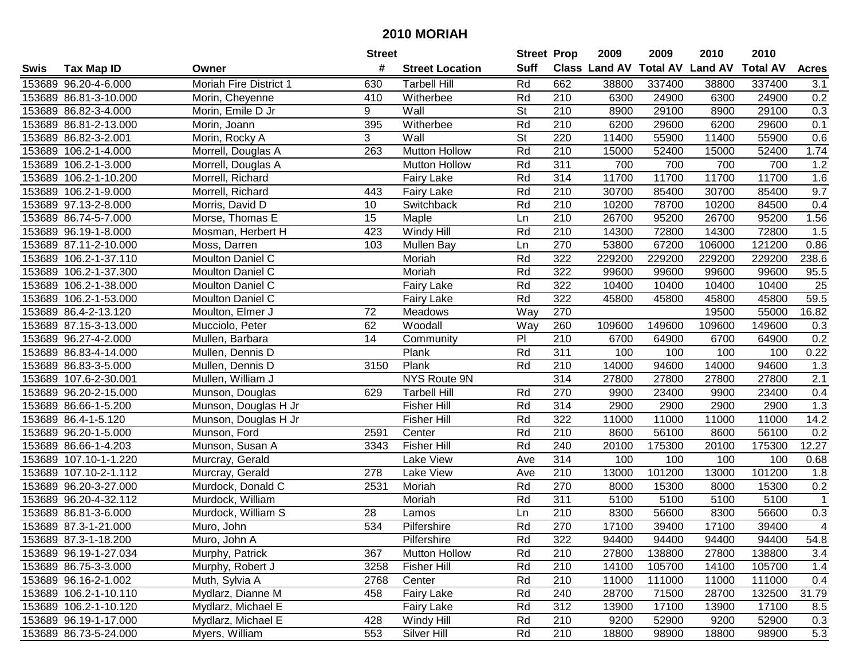|      |                       |                        | <b>Street</b>   |                        | <b>Street Prop</b> |                  | 2009                          | 2009   | 2010           | 2010            |                         |
|------|-----------------------|------------------------|-----------------|------------------------|--------------------|------------------|-------------------------------|--------|----------------|-----------------|-------------------------|
| Swis | <b>Tax Map ID</b>     | Owner                  | #               | <b>Street Location</b> | <b>Suff</b>        |                  | <b>Class Land AV Total AV</b> |        | <b>Land AV</b> | <b>Total AV</b> | <b>Acres</b>            |
|      | 153689 96.20-4-6.000  | Moriah Fire District 1 | 630             | <b>Tarbell Hill</b>    | Rd                 | 662              | 38800                         | 337400 | 38800          | 337400          | 3.1                     |
|      | 153689 86.81-3-10.000 | Morin, Cheyenne        | 410             | Witherbee              | Rd                 | 210              | 6300                          | 24900  | 6300           | 24900           | 0.2                     |
|      | 153689 86.82-3-4.000  | Morin, Emile D Jr      | 9               | Wall                   | St                 | 210              | 8900                          | 29100  | 8900           | 29100           | 0.3                     |
|      | 153689 86.81-2-13.000 | Morin, Joann           | 395             | Witherbee              | Rd                 | 210              | 6200                          | 29600  | 6200           | 29600           | 0.1                     |
|      | 153689 86.82-3-2.001  | Morin, Rocky A         | 3               | Wall                   | St                 | 220              | 11400                         | 55900  | 11400          | 55900           | 0.6                     |
|      | 153689 106.2-1-4.000  | Morrell, Douglas A     | 263             | <b>Mutton Hollow</b>   | Rd                 | $\overline{210}$ | 15000                         | 52400  | 15000          | 52400           | 1.74                    |
|      | 153689 106.2-1-3.000  | Morrell, Douglas A     |                 | <b>Mutton Hollow</b>   | Rd                 | 311              | 700                           | 700    | 700            | 700             | 1.2                     |
|      | 153689 106.2-1-10.200 | Morrell, Richard       |                 | <b>Fairy Lake</b>      | Rd                 | 314              | 11700                         | 11700  | 11700          | 11700           | 1.6                     |
|      | 153689 106.2-1-9.000  | Morrell, Richard       | 443             | Fairy Lake             | Rd                 | $\overline{210}$ | 30700                         | 85400  | 30700          | 85400           | 9.7                     |
|      | 153689 97.13-2-8.000  | Morris, David D        | 10              | Switchback             | Rd                 | 210              | 10200                         | 78700  | 10200          | 84500           | 0.4                     |
|      | 153689 86.74-5-7.000  | Morse, Thomas E        | 15              | Maple                  | Ln                 | 210              | 26700                         | 95200  | 26700          | 95200           | 1.56                    |
|      | 153689 96.19-1-8.000  | Mosman, Herbert H      | 423             | Windy Hill             | Rd                 | 210              | 14300                         | 72800  | 14300          | 72800           | 1.5                     |
|      | 153689 87.11-2-10.000 | Moss, Darren           | 103             | Mullen Bay             | Ln                 | 270              | 53800                         | 67200  | 106000         | 121200          | 0.86                    |
|      | 153689 106.2-1-37.110 | Moulton Daniel C       |                 | Moriah                 | Rd                 | 322              | 229200                        | 229200 | 229200         | 229200          | 238.6                   |
|      | 153689 106.2-1-37.300 | Moulton Daniel C       |                 | Moriah                 | Rd                 | 322              | 99600                         | 99600  | 99600          | 99600           | 95.5                    |
|      | 153689 106.2-1-38.000 | Moulton Daniel C       |                 | <b>Fairy Lake</b>      | Rd                 | 322              | 10400                         | 10400  | 10400          | 10400           | 25                      |
|      | 153689 106.2-1-53.000 | Moulton Daniel C       |                 | Fairy Lake             | Rd                 | 322              | 45800                         | 45800  | 45800          | 45800           | 59.5                    |
|      | 153689 86.4-2-13.120  | Moulton, Elmer J       | 72              | <b>Meadows</b>         | Way                | 270              |                               |        | 19500          | 55000           | 16.82                   |
|      | 153689 87.15-3-13.000 | Mucciolo, Peter        | 62              | Woodall                | Way                | 260              | 109600                        | 149600 | 109600         | 149600          | 0.3                     |
|      | 153689 96.27-4-2.000  | Mullen, Barbara        | 14              | Community              | P                  | 210              | 6700                          | 64900  | 6700           | 64900           | 0.2                     |
|      | 153689 86.83-4-14.000 | Mullen, Dennis D       |                 | Plank                  | Rd                 | 311              | 100                           | 100    | 100            | 100             | 0.22                    |
|      | 153689 86.83-3-5.000  | Mullen, Dennis D       | 3150            | Plank                  | Rd                 | 210              | 14000                         | 94600  | 14000          | 94600           | 1.3                     |
|      | 153689 107.6-2-30.001 | Mullen, William J      |                 | NYS Route 9N           |                    | 314              | 27800                         | 27800  | 27800          | 27800           | 2.1                     |
|      | 153689 96.20-2-15.000 | Munson, Douglas        | 629             | <b>Tarbell Hill</b>    | Rd                 | 270              | 9900                          | 23400  | 9900           | 23400           | 0.4                     |
|      | 153689 86.66-1-5.200  | Munson, Douglas H Jr   |                 | <b>Fisher Hill</b>     | Rd                 | 314              | 2900                          | 2900   | 2900           | 2900            | 1.3                     |
|      | 153689 86.4-1-5.120   | Munson, Douglas H Jr   |                 | <b>Fisher Hill</b>     | Rd                 | 322              | 11000                         | 11000  | 11000          | 11000           | 14.2                    |
|      | 153689 96.20-1-5.000  | Munson, Ford           | 2591            | Center                 | Rd                 | 210              | 8600                          | 56100  | 8600           | 56100           | 0.2                     |
|      | 153689 86.66-1-4.203  | Munson, Susan A        | 3343            | <b>Fisher Hill</b>     | Rd                 | 240              | 20100                         | 175300 | 20100          | 175300          | 12.27                   |
|      | 153689 107.10-1-1.220 | Murcray, Gerald        |                 | Lake View              | Ave                | 314              | 100                           | 100    | 100            | 100             | 0.68                    |
|      | 153689 107.10-2-1.112 | Murcray, Gerald        | 278             | Lake View              | Ave                | $\overline{210}$ | 13000                         | 101200 | 13000          | 101200          | 1.8                     |
|      | 153689 96.20-3-27.000 | Murdock, Donald C      | 2531            | Moriah                 | Rd                 | 270              | 8000                          | 15300  | 8000           | 15300           | 0.2                     |
|      | 153689 96.20-4-32.112 | Murdock, William       |                 | Moriah                 | Rd                 | 311              | 5100                          | 5100   | 5100           | 5100            | $\mathbf{1}$            |
|      | 153689 86.81-3-6.000  | Murdock, William S     | $\overline{28}$ | Lamos                  | Ln                 | $\overline{210}$ | 8300                          | 56600  | 8300           | 56600           | 0.3                     |
|      | 153689 87.3-1-21.000  | Muro, John             | 534             | Pilfershire            | Rd                 | 270              | 17100                         | 39400  | 17100          | 39400           | $\overline{\mathbf{4}}$ |
|      | 153689 87.3-1-18.200  | Muro, John A           |                 | Pilfershire            | Rd                 | 322              | 94400                         | 94400  | 94400          | 94400           | 54.8                    |
|      | 153689 96.19-1-27.034 | Murphy, Patrick        | 367             | <b>Mutton Hollow</b>   | Rd                 | 210              | 27800                         | 138800 | 27800          | 138800          | 3.4                     |
|      | 153689 86.75-3-3.000  | Murphy, Robert J       | 3258            | <b>Fisher Hill</b>     | Rd                 | 210              | 14100                         | 105700 | 14100          | 105700          | 1.4                     |
|      | 153689 96.16-2-1.002  | Muth, Sylvia A         | 2768            | Center                 | Rd                 | 210              | 11000                         | 111000 | 11000          | 111000          | 0.4                     |
|      | 153689 106.2-1-10.110 | Mydlarz, Dianne M      | 458             | <b>Fairy Lake</b>      | Rd                 | 240              | 28700                         | 71500  | 28700          | 132500          | 31.79                   |
|      | 153689 106.2-1-10.120 | Mydlarz, Michael E     |                 | <b>Fairy Lake</b>      | Rd                 | 312              | 13900                         | 17100  | 13900          | 17100           | 8.5                     |
|      | 153689 96.19-1-17.000 | Mydlarz, Michael E     | 428             | Windy Hill             | Rd                 | 210              | 9200                          | 52900  | 9200           | 52900           | 0.3                     |
|      | 153689 86.73-5-24.000 | Myers, William         | 553             | Silver Hill            | Rd                 | 210              | 18800                         | 98900  | 18800          | 98900           | 5.3                     |
|      |                       |                        |                 |                        |                    |                  |                               |        |                |                 |                         |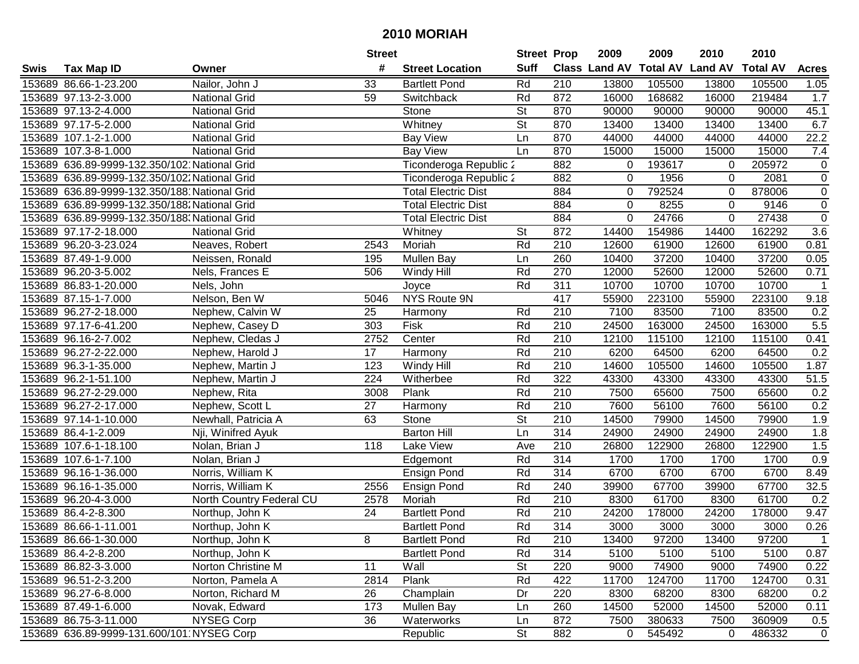|      |                                               |                          | <b>Street</b>   |                            | <b>Street Prop</b>       |                  | 2009                          | 2009   | 2010           | 2010            |                |
|------|-----------------------------------------------|--------------------------|-----------------|----------------------------|--------------------------|------------------|-------------------------------|--------|----------------|-----------------|----------------|
| Swis | <b>Tax Map ID</b>                             | Owner                    | #               | <b>Street Location</b>     | <b>Suff</b>              |                  | <b>Class Land AV Total AV</b> |        | <b>Land AV</b> | <b>Total AV</b> | <b>Acres</b>   |
|      | 153689 86.66-1-23.200                         | Nailor, John J           | 33              | <b>Bartlett Pond</b>       | Rd                       | 210              | 13800                         | 105500 | 13800          | 105500          | 1.05           |
|      | 153689 97.13-2-3.000                          | <b>National Grid</b>     | 59              | Switchback                 | Rd                       | 872              | 16000                         | 168682 | 16000          | 219484          | 1.7            |
|      | 153689 97.13-2-4.000                          | <b>National Grid</b>     |                 | Stone                      | St                       | 870              | 90000                         | 90000  | 90000          | 90000           | 45.1           |
|      | 153689 97.17-5-2.000                          | <b>National Grid</b>     |                 | Whitney                    | St                       | 870              | 13400                         | 13400  | 13400          | 13400           | 6.7            |
|      | 153689 107.1-2-1.000                          | <b>National Grid</b>     |                 | <b>Bay View</b>            | Ln                       | 870              | 44000                         | 44000  | 44000          | 44000           | 22.2           |
|      | 153689 107.3-8-1.000                          | <b>National Grid</b>     |                 | <b>Bay View</b>            | Ln                       | 870              | 15000                         | 15000  | 15000          | 15000           | 7.4            |
|      | 153689 636.89-9999-132.350/102 National Grid  |                          |                 | Ticonderoga Republic 2     |                          | 882              | 0                             | 193617 | 0              | 205972          | 0              |
|      | 153689 636.89-9999-132.350/102. National Grid |                          |                 | Ticonderoga Republic 2     |                          | 882              | $\mathbf 0$                   | 1956   | $\mathbf 0$    | 2081            | $\overline{0}$ |
|      | 153689 636.89-9999-132.350/188 National Grid  |                          |                 | <b>Total Electric Dist</b> |                          | 884              | 0                             | 792524 | $\mathbf 0$    | 878006          | $\pmb{0}$      |
|      | 153689 636.89-9999-132.350/188. National Grid |                          |                 | <b>Total Electric Dist</b> |                          | 884              | $\mathbf 0$                   | 8255   | $\mathbf 0$    | 9146            | $\pmb{0}$      |
|      | 153689 636.89-9999-132.350/188. National Grid |                          |                 | <b>Total Electric Dist</b> |                          | 884              | 0                             | 24766  | $\mathbf 0$    | 27438           | $\pmb{0}$      |
|      | 153689 97.17-2-18.000                         | <b>National Grid</b>     |                 | Whitney                    | St                       | 872              | 14400                         | 154986 | 14400          | 162292          | 3.6            |
|      | 153689 96.20-3-23.024                         | Neaves, Robert           | 2543            | Moriah                     | Rd                       | 210              | 12600                         | 61900  | 12600          | 61900           | 0.81           |
|      | 153689 87.49-1-9.000                          | Neissen, Ronald          | 195             | Mullen Bay                 | Ln                       | 260              | 10400                         | 37200  | 10400          | 37200           | 0.05           |
|      | 153689 96.20-3-5.002                          | Nels, Frances E          | 506             | Windy Hill                 | Rd                       | 270              | 12000                         | 52600  | 12000          | 52600           | 0.71           |
|      | 153689 86.83-1-20.000                         | Nels, John               |                 | Joyce                      | Rd                       | 311              | 10700                         | 10700  | 10700          | 10700           | 1              |
|      | 153689 87.15-1-7.000                          | Nelson, Ben W            | 5046            | NYS Route 9N               |                          | 417              | 55900                         | 223100 | 55900          | 223100          | 9.18           |
|      | 153689 96.27-2-18.000                         | Nephew, Calvin W         | 25              | Harmony                    | Rd                       | 210              | 7100                          | 83500  | 7100           | 83500           | 0.2            |
|      | 153689 97.17-6-41.200                         | Nephew, Casey D          | 303             | Fisk                       | Rd                       | 210              | 24500                         | 163000 | 24500          | 163000          | 5.5            |
|      | 153689 96.16-2-7.002                          | Nephew, Cledas J         | 2752            | Center                     | Rd                       | 210              | 12100                         | 115100 | 12100          | 115100          | 0.41           |
|      | 153689 96.27-2-22.000                         | Nephew, Harold J         | 17              | Harmony                    | Rd                       | 210              | 6200                          | 64500  | 6200           | 64500           | 0.2            |
|      | 153689 96.3-1-35.000                          | Nephew, Martin J         | 123             | Windy Hill                 | Rd                       | 210              | 14600                         | 105500 | 14600          | 105500          | 1.87           |
|      | 153689 96.2-1-51.100                          | Nephew, Martin J         | 224             | Witherbee                  | Rd                       | 322              | 43300                         | 43300  | 43300          | 43300           | 51.5           |
|      | 153689 96.27-2-29.000                         | Nephew, Rita             | 3008            | Plank                      | Rd                       | 210              | 7500                          | 65600  | 7500           | 65600           | 0.2            |
|      | 153689 96.27-2-17.000                         | Nephew, Scott L          | 27              | Harmony                    | Rd                       | 210              | 7600                          | 56100  | 7600           | 56100           | 0.2            |
|      | 153689 97.14-1-10.000                         | Newhall, Patricia A      | 63              | Stone                      | $\overline{\mathsf{St}}$ | 210              | 14500                         | 79900  | 14500          | 79900           | 1.9            |
|      | 153689 86.4-1-2.009                           | Nji, Winifred Ayuk       |                 | <b>Barton Hill</b>         | Ln                       | 314              | 24900                         | 24900  | 24900          | 24900           | 1.8            |
|      | 153689 107.6-1-18.100                         | Nolan, Brian J           | 118             | Lake View                  | Ave                      | 210              | 26800                         | 122900 | 26800          | 122900          | 1.5            |
|      | 153689 107.6-1-7.100                          | Nolan, Brian J           |                 | Edgemont                   | Rd                       | 314              | 1700                          | 1700   | 1700           | 1700            | 0.9            |
|      | 153689 96.16-1-36.000                         | Norris, William K        |                 | Ensign Pond                | Rd                       | 314              | 6700                          | 6700   | 6700           | 6700            | 8.49           |
|      | 153689 96.16-1-35.000                         | Norris, William K        | 2556            | <b>Ensign Pond</b>         | Rd                       | 240              | 39900                         | 67700  | 39900          | 67700           | 32.5           |
|      | 153689 96.20-4-3.000                          | North Country Federal CU | 2578            | Moriah                     | Rd                       | $\overline{210}$ | 8300                          | 61700  | 8300           | 61700           | 0.2            |
|      | 153689 86.4-2-8.300                           | Northup, John K          | $\overline{24}$ | <b>Bartlett Pond</b>       | Rd                       | $\overline{210}$ | 24200                         | 178000 | 24200          | 178000          | 9.47           |
|      | 153689 86.66-1-11.001                         | Northup, John K          |                 | <b>Bartlett Pond</b>       | Rd                       | 314              | 3000                          | 3000   | 3000           | 3000            | 0.26           |
|      | 153689 86.66-1-30.000                         | Northup, John K          | 8               | <b>Bartlett Pond</b>       | Rd                       | 210              | 13400                         | 97200  | 13400          | 97200           | $\mathbf{1}$   |
|      | 153689 86.4-2-8.200                           | Northup, John K          |                 | <b>Bartlett Pond</b>       | Rd                       | 314              | 5100                          | 5100   | 5100           | 5100            | 0.87           |
|      | 153689 86.82-3-3.000                          | Norton Christine M       | 11              | Wall                       | <b>St</b>                | 220              | 9000                          | 74900  | 9000           | 74900           | 0.22           |
|      | 153689 96.51-2-3.200                          | Norton, Pamela A         | 2814            | Plank                      | Rd                       | 422              | 11700                         | 124700 | 11700          | 124700          | 0.31           |
|      | 153689 96.27-6-8.000                          | Norton, Richard M        | 26              | Champlain                  | Dr                       | 220              | 8300                          | 68200  | 8300           | 68200           | 0.2            |
|      | 153689 87.49-1-6.000                          | Novak, Edward            | 173             | Mullen Bay                 | Ln                       | 260              | 14500                         | 52000  | 14500          | 52000           | 0.11           |
|      | 153689 86.75-3-11.000                         | <b>NYSEG Corp</b>        | 36              | Waterworks                 | Ln                       | 872              | 7500                          | 380633 | 7500           | 360909          | 0.5            |
|      | 153689 636.89-9999-131.600/101 NYSEG Corp     |                          |                 | Republic                   | <b>St</b>                | 882              | $\overline{0}$                | 545492 | 0              | 486332          | $\mathbf 0$    |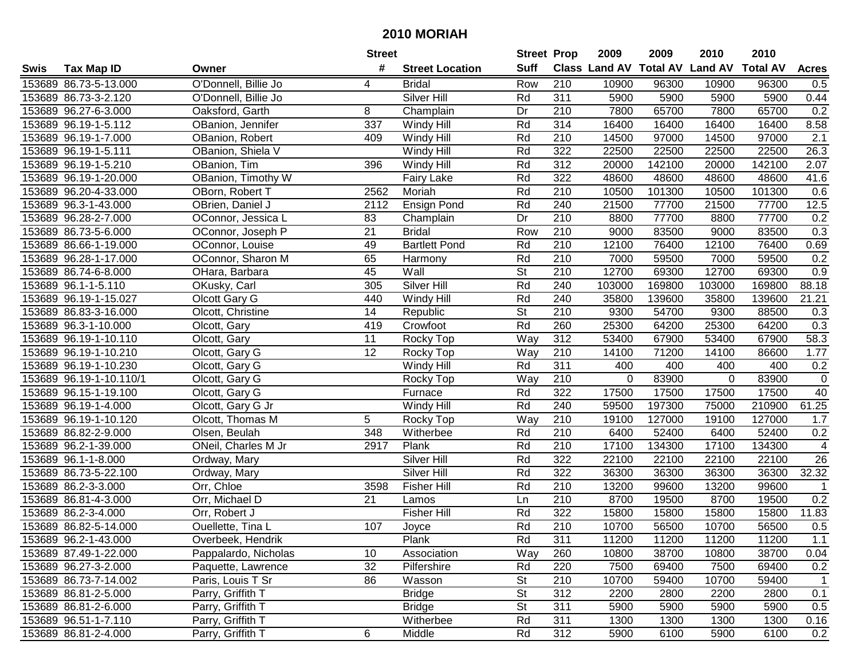| #<br><b>Suff</b><br><b>Class Land AV Total AV</b><br><b>Tax Map ID</b><br><b>Street Location</b><br>Swis<br>Owner |                 |                |                 |              |
|-------------------------------------------------------------------------------------------------------------------|-----------------|----------------|-----------------|--------------|
|                                                                                                                   |                 | <b>Land AV</b> | <b>Total AV</b> | <b>Acres</b> |
| 153689 86.73-5-13.000<br>O'Donnell, Billie Jo<br>Row<br>210<br><b>Bridal</b><br>4                                 | 10900<br>96300  | 10900          | 96300           | 0.5          |
| Silver Hill<br>311<br>153689 86.73-3-2.120<br>Rd<br>O'Donnell, Billie Jo                                          | 5900<br>5900    | 5900           | 5900            | 0.44         |
| 153689 96.27-6-3.000<br>Dr<br>210<br>Oaksford, Garth<br>8<br>Champlain                                            | 7800<br>65700   | 7800           | 65700           | 0.2          |
| 337<br>Rd<br>314<br>153689 96.19-1-5.112<br>OBanion, Jennifer<br>Windy Hill                                       | 16400<br>16400  | 16400          | 16400           | 8.58         |
| 153689 96.19-1-7.000<br>Rd<br>210<br>OBanion, Robert<br>409<br>Windy Hill                                         | 14500<br>97000  | 14500          | 97000           | 2.1          |
| 153689 96.19-1-5.111<br>OBanion, Shiela V<br>Rd<br>322<br>Windy Hill                                              | 22500<br>22500  | 22500          | 22500           | 26.3         |
| Rd<br>312<br>153689 96.19-1-5.210<br>OBanion, Tim<br>396<br>Windy Hill                                            | 20000<br>142100 | 20000          | 142100          | 2.07         |
| OBanion, Timothy W<br>Rd<br>322<br>153689 96.19-1-20.000<br>Fairy Lake                                            | 48600<br>48600  | 48600          | 48600           | 41.6         |
| 2562<br>Rd<br>$\overline{210}$<br>153689 96.20-4-33.000<br>OBorn, Robert T<br>Moriah                              | 10500<br>101300 | 10500          | 101300          | 0.6          |
| Rd<br>153689 96.3-1-43.000<br>OBrien, Daniel J<br>2112<br>240<br>Ensign Pond                                      | 21500<br>77700  | 21500          | 77700           | 12.5         |
| 210<br>153689 96.28-2-7.000<br>OConnor, Jessica L<br>83<br>Dr<br>Champlain                                        | 8800<br>77700   | 8800           | 77700           | 0.2          |
| 153689 86.73-5-6.000<br>21<br>Row<br>210<br>OConnor, Joseph P<br><b>Bridal</b>                                    | 9000<br>83500   | 9000           | 83500           | 0.3          |
| 49<br><b>Bartlett Pond</b><br>Rd<br>210<br>153689 86.66-1-19.000<br>OConnor, Louise                               | 12100<br>76400  | 12100          | 76400           | 0.69         |
| 65<br>Rd<br>210<br>153689 96.28-1-17.000<br>OConnor, Sharon M<br>Harmony                                          | 7000<br>59500   | 7000           | 59500           | 0.2          |
| $\overline{\mathsf{St}}$<br>45<br>210<br>153689 86.74-6-8.000<br>Wall<br>OHara, Barbara                           | 12700<br>69300  | 12700          | 69300           | 0.9          |
| Rd<br>240<br>153689 96.1-1-5.110<br>305<br>Silver Hill<br>103000<br>OKusky, Carl                                  | 169800          | 103000         | 169800          | 88.18        |
| Rd<br>240<br>153689 96.19-1-15.027<br>440<br>Olcott Gary G<br>Windy Hill                                          | 35800<br>139600 | 35800          | 139600          | 21.21        |
| $\overline{\mathsf{St}}$<br>14<br>210<br>153689 86.83-3-16.000<br>Olcott, Christine<br>Republic                   | 9300<br>54700   | 9300           | 88500           | 0.3          |
| Rd<br>153689 96.3-1-10.000<br>419<br>Crowfoot<br>260<br>Olcott, Gary                                              | 25300<br>64200  | 25300          | 64200           | 0.3          |
| 153689 96.19-1-10.110<br>11<br>Way<br>312<br>Olcott, Gary<br>Rocky Top                                            | 53400<br>67900  | 53400          | 67900           | 58.3         |
| 12<br>210<br>153689 96.19-1-10.210<br>Olcott, Gary G<br>Way<br>Rocky Top                                          | 14100<br>71200  | 14100          | 86600           | 1.77         |
| 153689 96.19-1-10.230<br>Rd<br>311<br>Olcott, Gary G<br>Windy Hill                                                | 400<br>400      | 400            | 400             | 0.2          |
| 153689 96.19-1-10.110/1<br>Way<br>210<br>Olcott, Gary G<br>Rocky Top                                              | 0<br>83900      | $\mathbf 0$    | 83900           | $\mathsf 0$  |
| 153689 96.15-1-19.100<br>Rd<br>322<br>Olcott, Gary G<br>Furnace                                                   | 17500<br>17500  | 17500          | 17500           | 40           |
| Rd<br>240<br>153689 96.19-1-4.000<br>Olcott, Gary G Jr<br>Windy Hill                                              | 59500<br>197300 | 75000          | 210900          | 61.25        |
| 5<br>Way<br>210<br>153689 96.19-1-10.120<br>Olcott, Thomas M<br>Rocky Top                                         | 127000<br>19100 | 19100          | 127000          | 1.7          |
| Rd<br>210<br>153689 86.82-2-9.000<br>Olsen, Beulah<br>348<br>Witherbee                                            | 6400<br>52400   | 6400           | 52400           | 0.2          |
| Rd<br>153689 96.2-1-39.000<br>ONeil, Charles M Jr<br>2917<br>Plank<br>210                                         | 134300<br>17100 | 17100          | 134300          | 4            |
| 322<br>Silver Hill<br>Rd<br>153689 96.1-1-8.000<br>Ordway, Mary                                                   | 22100<br>22100  | 22100          | 22100           | 26           |
| Rd<br>322<br>153689 86.73-5-22.100<br>Silver Hill<br>Ordway, Mary                                                 | 36300<br>36300  | 36300          | 36300           | 32.32        |
| 153689 86.2-3-3.000<br>Rd<br>$\overline{210}$<br>Orr, Chloe<br>3598<br><b>Fisher Hill</b>                         | 13200<br>99600  | 13200          | 99600           |              |
| 153689 86.81-4-3.000<br>210<br>Orr, Michael D<br>21<br>Ln<br>Lamos                                                | 8700<br>19500   | 8700           | 19500           | 0.2          |
| 153689 86.2-3-4.000<br>Rd<br>322<br><b>Fisher Hill</b><br>Orr, Robert J                                           | 15800<br>15800  | 15800          | 15800           | 11.83        |
| Rd<br>$\overline{210}$<br>153689 86.82-5-14.000<br>107<br>Ouellette, Tina L<br>Joyce                              | 10700<br>56500  | 10700          | 56500           | 0.5          |
| 153689 96.2-1-43.000<br>Overbeek, Hendrik<br>Plank<br>Rd<br>311                                                   | 11200<br>11200  | 11200          | 11200           | 1.1          |
| 10<br>Way<br>260<br>153689 87.49-1-22.000<br>Pappalardo, Nicholas<br>Association                                  | 38700<br>10800  | 10800          | 38700           | 0.04         |
| 32<br>153689 96.27-3-2.000<br>Paquette, Lawrence<br>Rd<br>220<br>Pilfershire                                      | 7500<br>69400   | 7500           | 69400           | 0.2          |
| <b>St</b><br>210<br>153689 86.73-7-14.002<br>Paris, Louis T Sr<br>86<br>Wasson                                    | 10700<br>59400  | 10700          | 59400           | 1            |
| Parry, Griffith T<br>312<br>153689 86.81-2-5.000<br><b>Bridge</b><br><b>St</b>                                    | 2200<br>2800    | 2200           | 2800            | 0.1          |
| <b>St</b><br>311<br>153689 86.81-2-6.000<br>Parry, Griffith T<br><b>Bridge</b>                                    | 5900<br>5900    | 5900           | 5900            | 0.5          |
| 153689 96.51-1-7.110<br>Parry, Griffith T<br>Rd<br>311<br>Witherbee                                               | 1300<br>1300    | 1300           | 1300            | 0.16         |
| 6<br>312<br>153689 86.81-2-4.000<br>Parry, Griffith T<br>Rd<br>Middle                                             | 5900<br>6100    | 5900           | 6100            | 0.2          |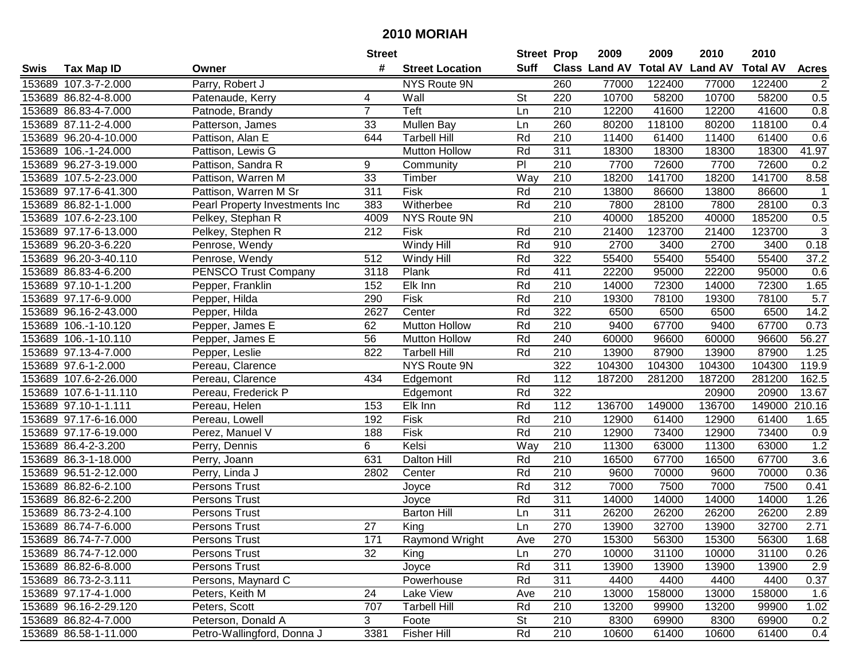|      |                       |                                | <b>Street</b>   |                        | <b>Street Prop</b> |                  | 2009                          | 2009   | 2010           | 2010            |                |
|------|-----------------------|--------------------------------|-----------------|------------------------|--------------------|------------------|-------------------------------|--------|----------------|-----------------|----------------|
| Swis | <b>Tax Map ID</b>     | Owner                          | #               | <b>Street Location</b> | <b>Suff</b>        |                  | <b>Class Land AV Total AV</b> |        | <b>Land AV</b> | <b>Total AV</b> | <b>Acres</b>   |
|      | 153689 107.3-7-2.000  | Parry, Robert J                |                 | NYS Route 9N           |                    | 260              | 77000                         | 122400 | 77000          | 122400          | $\overline{c}$ |
|      | 153689 86.82-4-8.000  | Patenaude, Kerry               | 4               | Wall                   | <b>St</b>          | 220              | 10700                         | 58200  | 10700          | 58200           | 0.5            |
|      | 153689 86.83-4-7.000  | Patnode, Brandy                | $\overline{7}$  | Teft                   | Ln                 | 210              | 12200                         | 41600  | 12200          | 41600           | 0.8            |
|      | 153689 87.11-2-4.000  | Patterson, James               | 33              | Mullen Bay             | Ln                 | 260              | 80200                         | 118100 | 80200          | 118100          | 0.4            |
|      | 153689 96.20-4-10.000 | Pattison, Alan E               | 644             | <b>Tarbell Hill</b>    | Rd                 | 210              | 11400                         | 61400  | 11400          | 61400           | 0.6            |
|      | 153689 106.-1-24.000  | Pattison, Lewis G              |                 | <b>Mutton Hollow</b>   | Rd                 | 311              | 18300                         | 18300  | 18300          | 18300           | 41.97          |
|      | 153689 96.27-3-19.000 | Pattison, Sandra R             | 9               | Community              | P                  | 210              | 7700                          | 72600  | 7700           | 72600           | 0.2            |
|      | 153689 107.5-2-23.000 | Pattison, Warren M             | $\overline{33}$ | Timber                 | Way                | 210              | 18200                         | 141700 | 18200          | 141700          | 8.58           |
|      | 153689 97.17-6-41.300 | Pattison, Warren M Sr          | 311             | Fisk                   | Rd                 | $\overline{210}$ | 13800                         | 86600  | 13800          | 86600           | $\overline{1}$ |
|      | 153689 86.82-1-1.000  | Pearl Property Investments Inc | 383             | Witherbee              | Rd                 | 210              | 7800                          | 28100  | 7800           | 28100           | 0.3            |
|      | 153689 107.6-2-23.100 | Pelkey, Stephan R              | 4009            | NYS Route 9N           |                    | 210              | 40000                         | 185200 | 40000          | 185200          | 0.5            |
|      | 153689 97.17-6-13.000 | Pelkey, Stephen R              | 212             | Fisk                   | Rd                 | 210              | 21400                         | 123700 | 21400          | 123700          | 3              |
|      | 153689 96.20-3-6.220  | Penrose, Wendy                 |                 | Windy Hill             | Rd                 | 910              | 2700                          | 3400   | 2700           | 3400            | 0.18           |
|      | 153689 96.20-3-40.110 | Penrose, Wendy                 | 512             | Windy Hill             | Rd                 | 322              | 55400                         | 55400  | 55400          | 55400           | 37.2           |
|      | 153689 86.83-4-6.200  | <b>PENSCO Trust Company</b>    | 3118            | Plank                  | Rd                 | 411              | 22200                         | 95000  | 22200          | 95000           | 0.6            |
|      | 153689 97.10-1-1.200  | Pepper, Franklin               | 152             | Elk Inn                | Rd                 | 210              | 14000                         | 72300  | 14000          | 72300           | 1.65           |
|      | 153689 97.17-6-9.000  | Pepper, Hilda                  | 290             | Fisk                   | Rd                 | 210              | 19300                         | 78100  | 19300          | 78100           | 5.7            |
|      | 153689 96.16-2-43.000 | Pepper, Hilda                  | 2627            | Center                 | Rd                 | 322              | 6500                          | 6500   | 6500           | 6500            | 14.2           |
|      | 153689 106.-1-10.120  | Pepper, James E                | 62              | <b>Mutton Hollow</b>   | Rd                 | 210              | 9400                          | 67700  | 9400           | 67700           | 0.73           |
|      | 153689 106.-1-10.110  | Pepper, James E                | 56              | <b>Mutton Hollow</b>   | Rd                 | 240              | 60000                         | 96600  | 60000          | 96600           | 56.27          |
|      | 153689 97.13-4-7.000  | Pepper, Leslie                 | 822             | <b>Tarbell Hill</b>    | Rd                 | 210              | 13900                         | 87900  | 13900          | 87900           | 1.25           |
|      | 153689 97.6-1-2.000   | Pereau, Clarence               |                 | NYS Route 9N           |                    | 322              | 104300                        | 104300 | 104300         | 104300          | 119.9          |
|      | 153689 107.6-2-26.000 | Pereau, Clarence               | 434             | Edgemont               | Rd                 | 112              | 187200                        | 281200 | 187200         | 281200          | 162.5          |
|      | 153689 107.6-1-11.110 | Pereau, Frederick P            |                 | Edgemont               | Rd                 | 322              |                               |        | 20900          | 20900           | 13.67          |
|      | 153689 97.10-1-1.111  | Pereau, Helen                  | 153             | Elk Inn                | Rd                 | $\frac{11}{2}$   | 136700                        | 149000 | 136700         | 149000          | 210.16         |
|      | 153689 97.17-6-16.000 | Pereau, Lowell                 | 192             | Fisk                   | Rd                 | 210              | 12900                         | 61400  | 12900          | 61400           | 1.65           |
|      | 153689 97.17-6-19.000 | Perez, Manuel V                | 188             | Fisk                   | Rd                 | 210              | 12900                         | 73400  | 12900          | 73400           | 0.9            |
|      | 153689 86.4-2-3.200   | Perry, Dennis                  | 6               | Kelsi                  | Way                | 210              | 11300                         | 63000  | 11300          | 63000           | 1.2            |
|      | 153689 86.3-1-18.000  | Perry, Joann                   | 631             | Dalton Hill            | Rd                 | 210              | 16500                         | 67700  | 16500          | 67700           | 3.6            |
|      | 153689 96.51-2-12.000 | Perry, Linda J                 | 2802            | Center                 | Rd                 | $\overline{210}$ | 9600                          | 70000  | 9600           | 70000           | 0.36           |
|      | 153689 86.82-6-2.100  | Persons Trust                  |                 | Joyce                  | Rd                 | $\overline{312}$ | 7000                          | 7500   | 7000           | 7500            | 0.41           |
|      | 153689 86.82-6-2.200  | Persons Trust                  |                 | Joyce                  | Rd                 | 311              | 14000                         | 14000  | 14000          | 14000           | 1.26           |
|      | 153689 86.73-2-4.100  | Persons Trust                  |                 | <b>Barton Hill</b>     | Ln                 | 311              | 26200                         | 26200  | 26200          | 26200           | 2.89           |
|      | 153689 86.74-7-6.000  | Persons Trust                  | 27              | King                   | Ln                 | 270              | 13900                         | 32700  | 13900          | 32700           | 2.71           |
|      | 153689 86.74-7-7.000  | Persons Trust                  | 171             | Raymond Wright         | Ave                | 270              | 15300                         | 56300  | 15300          | 56300           | 1.68           |
|      | 153689 86.74-7-12.000 | Persons Trust                  | 32              | King                   | Ln                 | 270              | 10000                         | 31100  | 10000          | 31100           | 0.26           |
|      | 153689 86.82-6-8.000  | Persons Trust                  |                 | Joyce                  | Rd                 | 311              | 13900                         | 13900  | 13900          | 13900           | 2.9            |
|      | 153689 86.73-2-3.111  | Persons, Maynard C             |                 | Powerhouse             | Rd                 | 311              | 4400                          | 4400   | 4400           | 4400            | 0.37           |
|      | 153689 97.17-4-1.000  | Peters, Keith M                | 24              | Lake View              | Ave                | 210              | 13000                         | 158000 | 13000          | 158000          | 1.6            |
|      | 153689 96.16-2-29.120 | Peters, Scott                  | 707             | <b>Tarbell Hill</b>    | Rd                 | 210              | 13200                         | 99900  | 13200          | 99900           | 1.02           |
|      | 153689 86.82-4-7.000  | Peterson, Donald A             | 3               | Foote                  | St                 | 210              | 8300                          | 69900  | 8300           | 69900           | 0.2            |
|      | 153689 86.58-1-11.000 | Petro-Wallingford, Donna J     | 3381            | <b>Fisher Hill</b>     | Rd                 | 210              | 10600                         | 61400  | 10600          | 61400           | 0.4            |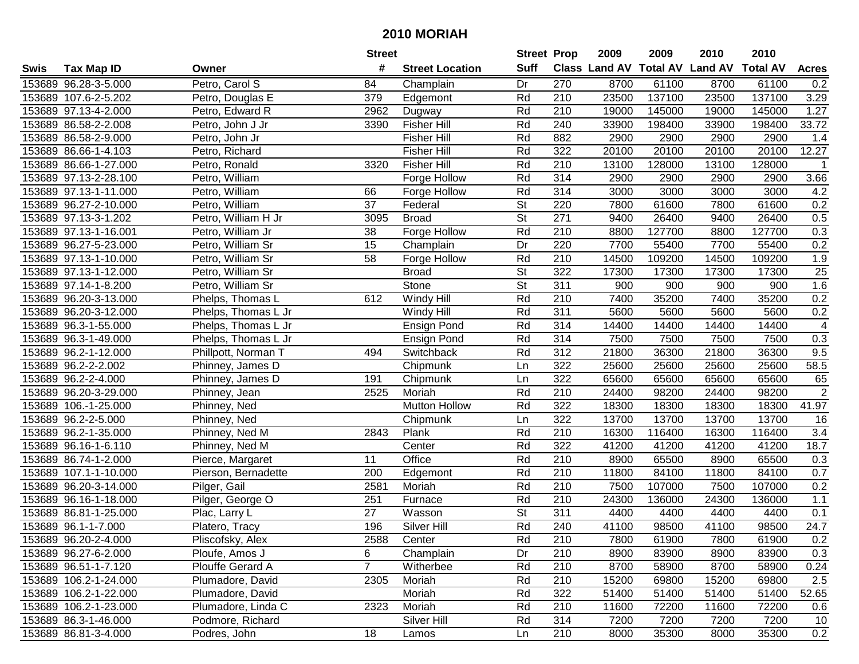|      |                       |                     | <b>Street</b>  |                        | <b>Street Prop</b>       |                  | 2009  | 2009   | 2010                                    | 2010   |                |
|------|-----------------------|---------------------|----------------|------------------------|--------------------------|------------------|-------|--------|-----------------------------------------|--------|----------------|
| Swis | <b>Tax Map ID</b>     | Owner               | #              | <b>Street Location</b> | <b>Suff</b>              |                  |       |        | Class Land AV Total AV Land AV Total AV |        | <b>Acres</b>   |
|      | 153689 96.28-3-5.000  | Petro, Carol S      | 84             | Champlain              | Dr                       | 270              | 8700  | 61100  | 8700                                    | 61100  | 0.2            |
|      | 153689 107.6-2-5.202  | Petro, Douglas E    | 379            | Edgemont               | Rd                       | 210              | 23500 | 137100 | 23500                                   | 137100 | 3.29           |
|      | 153689 97.13-4-2.000  | Petro, Edward R     | 2962           | Dugway                 | Rd                       | 210              | 19000 | 145000 | 19000                                   | 145000 | 1.27           |
|      | 153689 86.58-2-2.008  | Petro, John J Jr    | 3390           | <b>Fisher Hill</b>     | Rd                       | 240              | 33900 | 198400 | 33900                                   | 198400 | 33.72          |
|      | 153689 86.58-2-9.000  | Petro, John Jr      |                | <b>Fisher Hill</b>     | Rd                       | 882              | 2900  | 2900   | 2900                                    | 2900   | 1.4            |
|      | 153689 86.66-1-4.103  | Petro, Richard      |                | <b>Fisher Hill</b>     | Rd                       | 322              | 20100 | 20100  | 20100                                   | 20100  | 12.27          |
|      | 153689 86.66-1-27.000 | Petro, Ronald       | 3320           | <b>Fisher Hill</b>     | Rd                       | $\overline{210}$ | 13100 | 128000 | 13100                                   | 128000 | $\mathbf 1$    |
|      | 153689 97.13-2-28.100 | Petro, William      |                | Forge Hollow           | Rd                       | 314              | 2900  | 2900   | 2900                                    | 2900   | 3.66           |
|      | 153689 97.13-1-11.000 | Petro, William      | 66             | Forge Hollow           | Rd                       | 314              | 3000  | 3000   | 3000                                    | 3000   | 4.2            |
|      | 153689 96.27-2-10.000 | Petro, William      | 37             | Federal                | $\overline{\mathsf{St}}$ | 220              | 7800  | 61600  | 7800                                    | 61600  | 0.2            |
|      | 153689 97.13-3-1.202  | Petro, William H Jr | 3095           | <b>Broad</b>           | $\overline{\mathsf{St}}$ | 271              | 9400  | 26400  | 9400                                    | 26400  | 0.5            |
|      | 153689 97.13-1-16.001 | Petro, William Jr   | 38             | Forge Hollow           | Rd                       | 210              | 8800  | 127700 | 8800                                    | 127700 | 0.3            |
|      | 153689 96.27-5-23.000 | Petro, William Sr   | 15             | Champlain              | Dr                       | 220              | 7700  | 55400  | 7700                                    | 55400  | 0.2            |
|      | 153689 97.13-1-10.000 | Petro, William Sr   | 58             | Forge Hollow           | Rd                       | 210              | 14500 | 109200 | 14500                                   | 109200 | 1.9            |
|      | 153689 97.13-1-12.000 | Petro, William Sr   |                | <b>Broad</b>           | <b>St</b>                | 322              | 17300 | 17300  | 17300                                   | 17300  | 25             |
|      | 153689 97.14-1-8.200  | Petro, William Sr   |                | Stone                  | St                       | 311              | 900   | 900    | 900                                     | 900    | 1.6            |
|      | 153689 96.20-3-13.000 | Phelps, Thomas L    | 612            | Windy Hill             | Rd                       | 210              | 7400  | 35200  | 7400                                    | 35200  | 0.2            |
|      | 153689 96.20-3-12.000 | Phelps, Thomas L Jr |                | Windy Hill             | Rd                       | 311              | 5600  | 5600   | 5600                                    | 5600   | 0.2            |
|      | 153689 96.3-1-55.000  | Phelps, Thomas L Jr |                | <b>Ensign Pond</b>     | Rd                       | 314              | 14400 | 14400  | 14400                                   | 14400  | $\overline{4}$ |
|      | 153689 96.3-1-49.000  | Phelps, Thomas L Jr |                | <b>Ensign Pond</b>     | Rd                       | 314              | 7500  | 7500   | 7500                                    | 7500   | 0.3            |
|      | 153689 96.2-1-12.000  | Phillpott, Norman T | 494            | Switchback             | Rd                       | 312              | 21800 | 36300  | 21800                                   | 36300  | 9.5            |
|      | 153689 96.2-2-2.002   | Phinney, James D    |                | Chipmunk               | Ln                       | 322              | 25600 | 25600  | 25600                                   | 25600  | 58.5           |
|      | 153689 96.2-2-4.000   | Phinney, James D    | 191            | Chipmunk               | Ln                       | 322              | 65600 | 65600  | 65600                                   | 65600  | 65             |
|      | 153689 96.20-3-29.000 | Phinney, Jean       | 2525           | Moriah                 | Rd                       | 210              | 24400 | 98200  | 24400                                   | 98200  | $\sqrt{2}$     |
|      | 153689 106.-1-25.000  | Phinney, Ned        |                | <b>Mutton Hollow</b>   | Rd                       | 322              | 18300 | 18300  | 18300                                   | 18300  | 41.97          |
|      | 153689 96.2-2-5.000   | Phinney, Ned        |                | Chipmunk               | Ln                       | 322              | 13700 | 13700  | 13700                                   | 13700  | 16             |
|      | 153689 96.2-1-35.000  | Phinney, Ned M      | 2843           | Plank                  | Rd                       | 210              | 16300 | 116400 | 16300                                   | 116400 | 3.4            |
|      | 153689 96.16-1-6.110  | Phinney, Ned M      |                | Center                 | Rd                       | 322              | 41200 | 41200  | 41200                                   | 41200  | 18.7           |
|      | 153689 86.74-1-2.000  | Pierce, Margaret    | 11             | Office                 | Rd                       | 210              | 8900  | 65500  | 8900                                    | 65500  | 0.3            |
|      | 153689 107.1-1-10.000 | Pierson, Bernadette | 200            | Edgemont               | Rd                       | $\overline{210}$ | 11800 | 84100  | 11800                                   | 84100  | 0.7            |
|      | 153689 96.20-3-14.000 | Pilger, Gail        | 2581           | Moriah                 | Rd                       | 210              | 7500  | 107000 | 7500                                    | 107000 | 0.2            |
|      | 153689 96.16-1-18.000 | Pilger, George O    | 251            | Furnace                | Rd                       | 210              | 24300 | 136000 | 24300                                   | 136000 | 1.1            |
|      | 153689 86.81-1-25.000 | Plac, Larry L       | 27             | Wasson                 | <b>St</b>                | 311              | 4400  | 4400   | 4400                                    | 4400   | 0.1            |
|      | 153689 96.1-1-7.000   | Platero, Tracy      | 196            | Silver Hill            | Rd                       | $\overline{240}$ | 41100 | 98500  | 41100                                   | 98500  | 24.7           |
|      | 153689 96.20-2-4.000  | Pliscofsky, Alex    | 2588           | Center                 | Rd                       | 210              | 7800  | 61900  | 7800                                    | 61900  | 0.2            |
|      | 153689 96.27-6-2.000  | Ploufe, Amos J      | 6              | Champlain              | Dr                       | 210              | 8900  | 83900  | 8900                                    | 83900  | 0.3            |
|      | 153689 96.51-1-7.120  | Plouffe Gerard A    | $\overline{7}$ | Witherbee              | Rd                       | 210              | 8700  | 58900  | 8700                                    | 58900  | 0.24           |
|      | 153689 106.2-1-24.000 | Plumadore, David    | 2305           | Moriah                 | Rd                       | 210              | 15200 | 69800  | 15200                                   | 69800  | 2.5            |
|      | 153689 106.2-1-22.000 | Plumadore, David    |                | Moriah                 | Rd                       | 322              | 51400 | 51400  | 51400                                   | 51400  | 52.65          |
|      | 153689 106.2-1-23.000 | Plumadore, Linda C  | 2323           | Moriah                 | Rd                       | 210              | 11600 | 72200  | 11600                                   | 72200  | 0.6            |
|      | 153689 86.3-1-46.000  | Podmore, Richard    |                | Silver Hill            | Rd                       | 314              | 7200  | 7200   | 7200                                    | 7200   | 10             |
|      | 153689 86.81-3-4.000  | Podres, John        | 18             | Lamos                  | Ln                       | 210              | 8000  | 35300  | 8000                                    | 35300  | 0.2            |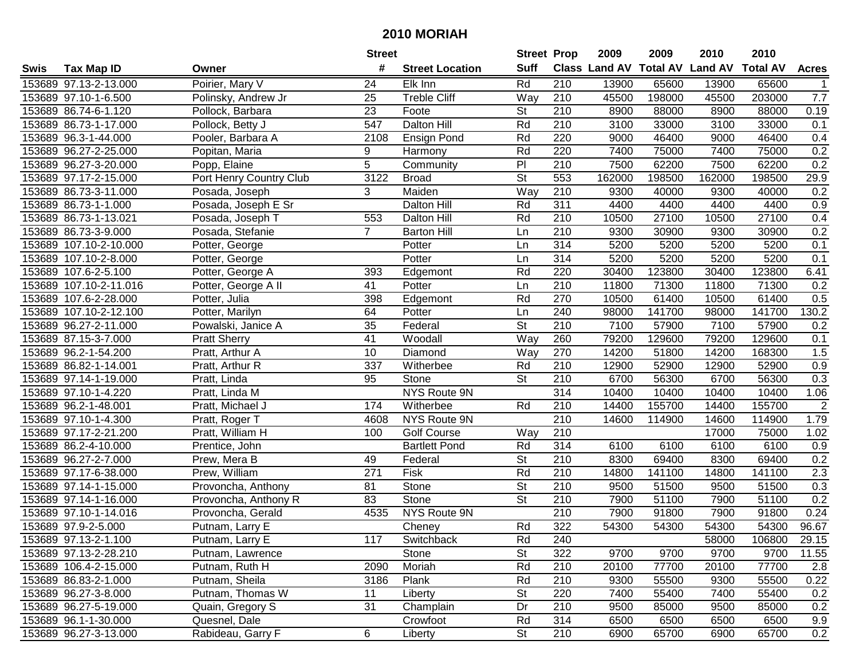|      |                        |                         | <b>Street</b>  |                        | <b>Street Prop</b>       |                  | 2009   | 2009   | 2010                           | 2010            |                |
|------|------------------------|-------------------------|----------------|------------------------|--------------------------|------------------|--------|--------|--------------------------------|-----------------|----------------|
| Swis | <b>Tax Map ID</b>      | Owner                   | #              | <b>Street Location</b> | <b>Suff</b>              |                  |        |        | Class Land AV Total AV Land AV | <b>Total AV</b> | <b>Acres</b>   |
|      | 153689 97.13-2-13.000  | Poirier, Mary V         | 24             | Elk Inn                | Rd                       | 210              | 13900  | 65600  | 13900                          | 65600           |                |
|      | 153689 97.10-1-6.500   | Polinsky, Andrew Jr     | 25             | <b>Treble Cliff</b>    | Way                      | 210              | 45500  | 198000 | 45500                          | 203000          | 7.7            |
|      | 153689 86.74-6-1.120   | Pollock, Barbara        | 23             | Foote                  | St                       | 210              | 8900   | 88000  | 8900                           | 88000           | 0.19           |
|      | 153689 86.73-1-17.000  | Pollock, Betty J        | 547            | Dalton Hill            | Rd                       | 210              | 3100   | 33000  | 3100                           | 33000           | 0.1            |
|      | 153689 96.3-1-44.000   | Pooler, Barbara A       | 2108           | Ensign Pond            | Rd                       | 220              | 9000   | 46400  | 9000                           | 46400           | 0.4            |
|      | 153689 96.27-2-25.000  | Popitan, Maria          | 9              | Harmony                | Rd                       | 220              | 7400   | 75000  | 7400                           | 75000           | 0.2            |
|      | 153689 96.27-3-20.000  | Popp, Elaine            | 5              | Community              | PI                       | $\overline{210}$ | 7500   | 62200  | 7500                           | 62200           | 0.2            |
|      | 153689 97.17-2-15.000  | Port Henry Country Club | 3122           | <b>Broad</b>           | $\overline{\mathsf{St}}$ | 553              | 162000 | 198500 | 162000                         | 198500          | 29.9           |
|      | 153689 86.73-3-11.000  | Posada, Joseph          | 3              | Maiden                 | Way                      | 210              | 9300   | 40000  | 9300                           | 40000           | 0.2            |
|      | 153689 86.73-1-1.000   | Posada, Joseph E Sr     |                | Dalton Hill            | Rd                       | 311              | 4400   | 4400   | 4400                           | 4400            | 0.9            |
|      | 153689 86.73-1-13.021  | Posada, Joseph T        | 553            | <b>Dalton Hill</b>     | Rd                       | 210              | 10500  | 27100  | 10500                          | 27100           | 0.4            |
|      | 153689 86.73-3-9.000   | Posada, Stefanie        | $\overline{7}$ | <b>Barton Hill</b>     | Ln                       | 210              | 9300   | 30900  | 9300                           | 30900           | 0.2            |
|      | 153689 107.10-2-10.000 | Potter, George          |                | Potter                 | Ln                       | 314              | 5200   | 5200   | 5200                           | 5200            | 0.1            |
|      | 153689 107.10-2-8.000  | Potter, George          |                | Potter                 | Ln                       | 314              | 5200   | 5200   | 5200                           | 5200            | 0.1            |
|      | 153689 107.6-2-5.100   | Potter, George A        | 393            | Edgemont               | Rd                       | 220              | 30400  | 123800 | 30400                          | 123800          | 6.41           |
|      | 153689 107.10-2-11.016 | Potter, George A II     | 41             | Potter                 | Ln                       | 210              | 11800  | 71300  | 11800                          | 71300           | 0.2            |
|      | 153689 107.6-2-28.000  | Potter, Julia           | 398            | Edgemont               | Rd                       | 270              | 10500  | 61400  | 10500                          | 61400           | 0.5            |
|      | 153689 107.10-2-12.100 | Potter, Marilyn         | 64             | Potter                 | Ln                       | 240              | 98000  | 141700 | 98000                          | 141700          | 130.2          |
|      | 153689 96.27-2-11.000  | Powalski, Janice A      | 35             | Federal                | $\overline{\mathsf{St}}$ | 210              | 7100   | 57900  | 7100                           | 57900           | 0.2            |
|      | 153689 87.15-3-7.000   | <b>Pratt Sherry</b>     | 41             | Woodall                | Way                      | 260              | 79200  | 129600 | 79200                          | 129600          | 0.1            |
|      | 153689 96.2-1-54.200   | Pratt, Arthur A         | 10             | Diamond                | Way                      | 270              | 14200  | 51800  | 14200                          | 168300          | 1.5            |
|      | 153689 86.82-1-14.001  | Pratt, Arthur R         | 337            | Witherbee              | Rd                       | 210              | 12900  | 52900  | 12900                          | 52900           | 0.9            |
|      | 153689 97.14-1-19.000  | Pratt, Linda            | 95             | Stone                  | St                       | 210              | 6700   | 56300  | 6700                           | 56300           | 0.3            |
|      | 153689 97.10-1-4.220   | Pratt, Linda M          |                | NYS Route 9N           |                          | 314              | 10400  | 10400  | 10400                          | 10400           | 1.06           |
|      | 153689 96.2-1-48.001   | Pratt, Michael J        | 174            | Witherbee              | Rd                       | 210              | 14400  | 155700 | 14400                          | 155700          | $\overline{2}$ |
|      | 153689 97.10-1-4.300   | Pratt, Roger T          | 4608           | NYS Route 9N           |                          | $\overline{210}$ | 14600  | 114900 | 14600                          | 114900          | 1.79           |
|      | 153689 97.17-2-21.200  | Pratt, William H        | 100            | <b>Golf Course</b>     | Way                      | 210              |        |        | 17000                          | 75000           | 1.02           |
|      | 153689 86.2-4-10.000   | Prentice, John          |                | <b>Bartlett Pond</b>   | Rd                       | 314              | 6100   | 6100   | 6100                           | 6100            | 0.9            |
|      | 153689 96.27-2-7.000   | Prew, Mera B            | 49             | Federal                | St                       | 210              | 8300   | 69400  | 8300                           | 69400           | 0.2            |
|      | 153689 97.17-6-38.000  | Prew, William           | 271            | Fisk                   | Rd                       | $\overline{210}$ | 14800  | 141100 | 14800                          | 141100          | 2.3            |
|      | 153689 97.14-1-15.000  | Provoncha, Anthony      | 81             | Stone                  | St                       | 210              | 9500   | 51500  | 9500                           | 51500           | 0.3            |
|      | 153689 97.14-1-16.000  | Provoncha, Anthony R    | 83             | Stone                  | $\overline{\mathsf{St}}$ | 210              | 7900   | 51100  | 7900                           | 51100           | 0.2            |
|      | 153689 97.10-1-14.016  | Provoncha, Gerald       | 4535           | NYS Route 9N           |                          | 210              | 7900   | 91800  | 7900                           | 91800           | 0.24           |
|      | 153689 97.9-2-5.000    | Putnam, Larry E         |                | Cheney                 | Rd                       | 322              | 54300  | 54300  | 54300                          | 54300           | 96.67          |
|      | 153689 97.13-2-1.100   | Putnam, Larry E         | 117            | Switchback             | Rd                       | 240              |        |        | 58000                          | 106800          | 29.15          |
|      | 153689 97.13-2-28.210  | Putnam, Lawrence        |                | Stone                  | St                       | 322              | 9700   | 9700   | 9700                           | 9700            | 11.55          |
|      | 153689 106.4-2-15.000  | Putnam, Ruth H          | 2090           | Moriah                 | Rd                       | 210              | 20100  | 77700  | 20100                          | 77700           | 2.8            |
|      | 153689 86.83-2-1.000   | Putnam, Sheila          | 3186           | Plank                  | Rd                       | 210              | 9300   | 55500  | 9300                           | 55500           | 0.22           |
|      | 153689 96.27-3-8.000   | Putnam, Thomas W        | 11             | Liberty                | <b>St</b>                | 220              | 7400   | 55400  | 7400                           | 55400           | 0.2            |
|      | 153689 96.27-5-19.000  | Quain, Gregory S        | 31             | Champlain              | Dr                       | 210              | 9500   | 85000  | 9500                           | 85000           | 0.2            |
|      | 153689 96.1-1-30.000   | Quesnel, Dale           |                | Crowfoot               | Rd                       | 314              | 6500   | 6500   | 6500                           | 6500            | 9.9            |
|      | 153689 96.27-3-13.000  | Rabideau, Garry F       | 6              | Liberty                | <b>St</b>                | 210              | 6900   | 65700  | 6900                           | 65700           | 0.2            |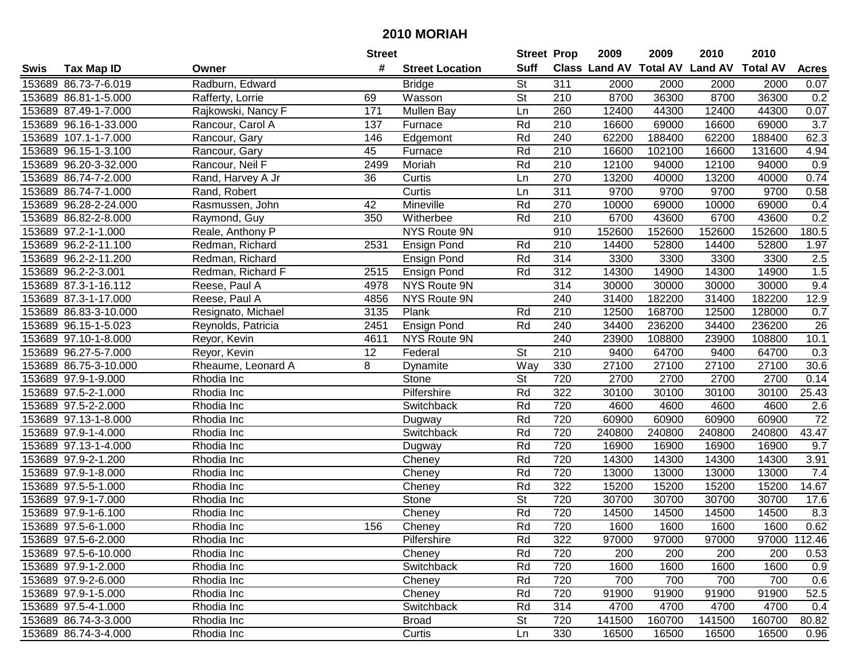|      |                       |                    | <b>Street</b> |                        | <b>Street Prop</b>       |                  | 2009   | 2009   | 2010                           | 2010            |              |
|------|-----------------------|--------------------|---------------|------------------------|--------------------------|------------------|--------|--------|--------------------------------|-----------------|--------------|
| Swis | <b>Tax Map ID</b>     | Owner              | #             | <b>Street Location</b> | <b>Suff</b>              |                  |        |        | Class Land AV Total AV Land AV | <b>Total AV</b> | <b>Acres</b> |
|      | 153689 86.73-7-6.019  | Radburn, Edward    |               | <b>Bridge</b>          | <b>St</b>                | 311              | 2000   | 2000   | 2000                           | 2000            | 0.07         |
|      | 153689 86.81-1-5.000  | Rafferty, Lorrie   | 69            | Wasson                 | <b>St</b>                | 210              | 8700   | 36300  | 8700                           | 36300           | 0.2          |
|      | 153689 87.49-1-7.000  | Rajkowski, Nancy F | 171           | Mullen Bay             | Ln                       | 260              | 12400  | 44300  | 12400                          | 44300           | 0.07         |
|      | 153689 96.16-1-33.000 | Rancour, Carol A   | 137           | Furnace                | Rd                       | $\overline{210}$ | 16600  | 69000  | 16600                          | 69000           | 3.7          |
|      | 153689 107.1-1-7.000  | Rancour, Gary      | 146           | Edgemont               | Rd                       | 240              | 62200  | 188400 | 62200                          | 188400          | 62.3         |
|      | 153689 96.15-1-3.100  | Rancour, Gary      | 45            | Furnace                | Rd                       | 210              | 16600  | 102100 | 16600                          | 131600          | 4.94         |
|      | 153689 96.20-3-32.000 | Rancour, Neil F    | 2499          | Moriah                 | Rd                       | 210              | 12100  | 94000  | 12100                          | 94000           | 0.9          |
|      | 153689 86.74-7-2.000  | Rand, Harvey A Jr  | 36            | Curtis                 | Ln                       | 270              | 13200  | 40000  | 13200                          | 40000           | 0.74         |
|      | 153689 86.74-7-1.000  | Rand, Robert       |               | Curtis                 | Ln                       | $\overline{311}$ | 9700   | 9700   | 9700                           | 9700            | 0.58         |
|      | 153689 96.28-2-24.000 | Rasmussen, John    | 42            | Mineville              | Rd                       | 270              | 10000  | 69000  | 10000                          | 69000           | 0.4          |
|      | 153689 86.82-2-8.000  | Raymond, Guy       | 350           | Witherbee              | Rd                       | 210              | 6700   | 43600  | 6700                           | 43600           | 0.2          |
|      | 153689 97.2-1-1.000   | Reale, Anthony P   |               | <b>NYS Route 9N</b>    |                          | 910              | 152600 | 152600 | 152600                         | 152600          | 180.5        |
|      | 153689 96.2-2-11.100  | Redman, Richard    | 2531          | Ensign Pond            | Rd                       | 210              | 14400  | 52800  | 14400                          | 52800           | 1.97         |
|      | 153689 96.2-2-11.200  | Redman, Richard    |               | <b>Ensign Pond</b>     | Rd                       | 314              | 3300   | 3300   | 3300                           | 3300            | 2.5          |
|      | 153689 96.2-2-3.001   | Redman, Richard F  | 2515          | <b>Ensign Pond</b>     | Rd                       | 312              | 14300  | 14900  | 14300                          | 14900           | 1.5          |
|      | 153689 87.3-1-16.112  | Reese, Paul A      | 4978          | NYS Route 9N           |                          | 314              | 30000  | 30000  | 30000                          | 30000           | 9.4          |
|      | 153689 87.3-1-17.000  | Reese, Paul A      | 4856          | <b>NYS Route 9N</b>    |                          | 240              | 31400  | 182200 | 31400                          | 182200          | 12.9         |
|      | 153689 86.83-3-10.000 | Resignato, Michael | 3135          | Plank                  | Rd                       | 210              | 12500  | 168700 | 12500                          | 128000          | 0.7          |
|      | 153689 96.15-1-5.023  | Reynolds, Patricia | 2451          | Ensign Pond            | Rd                       | 240              | 34400  | 236200 | 34400                          | 236200          | 26           |
|      | 153689 97.10-1-8.000  | Reyor, Kevin       | 4611          | <b>NYS Route 9N</b>    |                          | 240              | 23900  | 108800 | 23900                          | 108800          | 10.1         |
|      | 153689 96.27-5-7.000  | Reyor, Kevin       | 12            | Federal                | <b>St</b>                | 210              | 9400   | 64700  | 9400                           | 64700           | 0.3          |
|      | 153689 86.75-3-10.000 | Rheaume, Leonard A | 8             | Dynamite               | Way                      | 330              | 27100  | 27100  | 27100                          | 27100           | 30.6         |
|      | 153689 97.9-1-9.000   | Rhodia Inc         |               | Stone                  | <b>St</b>                | 720              | 2700   | 2700   | 2700                           | 2700            | 0.14         |
|      | 153689 97.5-2-1.000   | Rhodia Inc         |               | Pilfershire            | Rd                       | 322              | 30100  | 30100  | 30100                          | 30100           | 25.43        |
|      | 153689 97.5-2-2.000   | Rhodia Inc         |               | Switchback             | Rd                       | 720              | 4600   | 4600   | 4600                           | 4600            | 2.6          |
|      | 153689 97.13-1-8.000  | Rhodia Inc         |               | Dugway                 | Rd                       | 720              | 60900  | 60900  | 60900                          | 60900           | 72           |
|      | 153689 97.9-1-4.000   | Rhodia Inc         |               | Switchback             | Rd                       | 720              | 240800 | 240800 | 240800                         | 240800          | 43.47        |
|      | 153689 97.13-1-4.000  | Rhodia Inc         |               | Dugway                 | Rd                       | 720              | 16900  | 16900  | 16900                          | 16900           | 9.7          |
|      | 153689 97.9-2-1.200   | Rhodia Inc         |               | Cheney                 | Rd                       | 720              | 14300  | 14300  | 14300                          | 14300           | 3.91         |
|      | 153689 97.9-1-8.000   | Rhodia Inc         |               | Cheney                 | Rd                       | 720              | 13000  | 13000  | 13000                          | 13000           | 7.4          |
|      | 153689 97.5-5-1.000   | Rhodia Inc         |               | Cheney                 | Rd                       | 322              | 15200  | 15200  | 15200                          | 15200           | 14.67        |
|      | 153689 97.9-1-7.000   | Rhodia Inc         |               | Stone                  | $\overline{\mathsf{St}}$ | 720              | 30700  | 30700  | 30700                          | 30700           | 17.6         |
|      | 153689 97.9-1-6.100   | Rhodia Inc         |               | Cheney                 | Rd                       | 720              | 14500  | 14500  | 14500                          | 14500           | 8.3          |
|      | 153689 97.5-6-1.000   | Rhodia Inc         | 156           | Cheney                 | Rd                       | 720              | 1600   | 1600   | 1600                           | 1600            | 0.62         |
|      | 153689 97.5-6-2.000   | Rhodia Inc         |               | Pilfershire            | Rd                       | 322              | 97000  | 97000  | 97000                          |                 | 97000 112.46 |
|      | 153689 97.5-6-10.000  | Rhodia Inc         |               | Cheney                 | Rd                       | 720              | 200    | 200    | 200                            | 200             | 0.53         |
|      | 153689 97.9-1-2.000   | Rhodia Inc         |               | Switchback             | Rd                       | 720              | 1600   | 1600   | 1600                           | 1600            | 0.9          |
|      | 153689 97.9-2-6.000   | Rhodia Inc         |               | Cheney                 | Rd                       | 720              | 700    | 700    | 700                            | 700             | 0.6          |
|      | 153689 97.9-1-5.000   | Rhodia Inc         |               | Cheney                 | Rd                       | 720              | 91900  | 91900  | 91900                          | 91900           | 52.5         |
|      | 153689 97.5-4-1.000   | Rhodia Inc         |               | Switchback             | Rd                       | 314              | 4700   | 4700   | 4700                           | 4700            | 0.4          |
|      | 153689 86.74-3-3.000  | Rhodia Inc         |               | <b>Broad</b>           | <b>St</b>                | 720              | 141500 | 160700 | 141500                         | 160700          | 80.82        |
|      | 153689 86.74-3-4.000  | Rhodia Inc         |               | Curtis                 | Ln                       | 330              | 16500  | 16500  | 16500                          | 16500           | 0.96         |
|      |                       |                    |               |                        |                          |                  |        |        |                                |                 |              |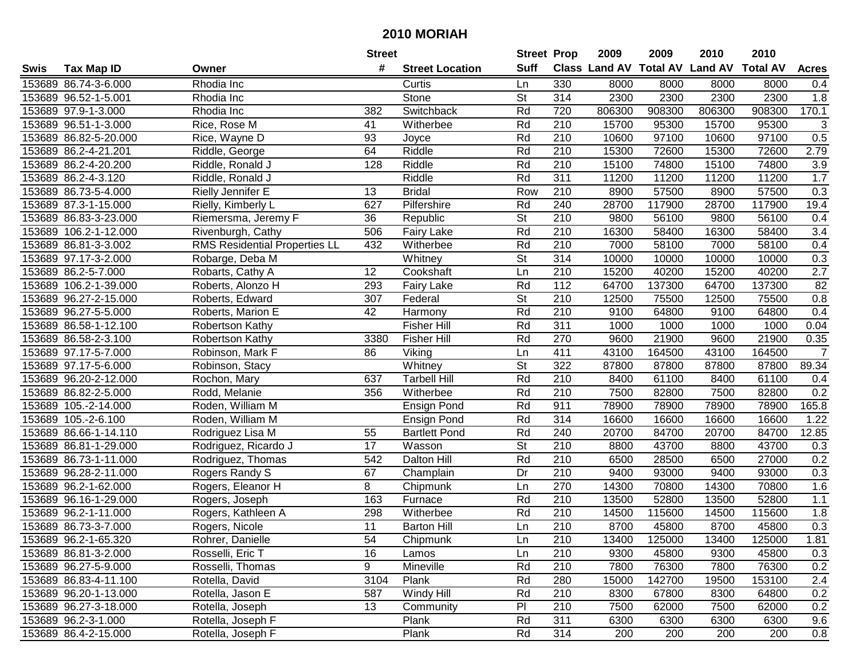|      |                       |                                      | <b>Street</b>   |                        | <b>Street Prop</b>       |                  | 2009                          | 2009   | 2010           | 2010            |                  |
|------|-----------------------|--------------------------------------|-----------------|------------------------|--------------------------|------------------|-------------------------------|--------|----------------|-----------------|------------------|
| Swis | <b>Tax Map ID</b>     | Owner                                | #               | <b>Street Location</b> | <b>Suff</b>              |                  | <b>Class Land AV Total AV</b> |        | <b>Land AV</b> | <b>Total AV</b> | <b>Acres</b>     |
|      | 153689 86.74-3-6.000  | Rhodia Inc                           |                 | Curtis                 | Ln                       | 330              | 8000                          | 8000   | 8000           | 8000            | 0.4              |
|      | 153689 96.52-1-5.001  | Rhodia Inc                           |                 | Stone                  | St                       | 314              | 2300                          | 2300   | 2300           | 2300            | 1.8              |
|      | 153689 97.9-1-3.000   | Rhodia Inc                           | 382             | Switchback             | Rd                       | 720              | 806300                        | 908300 | 806300         | 908300          | 170.1            |
|      | 153689 96.51-1-3.000  | Rice, Rose M                         | 41              | Witherbee              | Rd                       | 210              | 15700                         | 95300  | 15700          | 95300           | 3                |
|      | 153689 86.82-5-20.000 | Rice, Wayne D                        | 93              | Joyce                  | Rd                       | 210              | 10600                         | 97100  | 10600          | 97100           | 0.5              |
|      | 153689 86.2-4-21.201  | Riddle, George                       | 64              | Riddle                 | Rd                       | 210              | 15300                         | 72600  | 15300          | 72600           | 2.79             |
|      | 153689 86.2-4-20.200  | Riddle, Ronald J                     | 128             | Riddle                 | Rd                       | 210              | 15100                         | 74800  | 15100          | 74800           | 3.9              |
|      | 153689 86.2-4-3.120   | Riddle, Ronald J                     |                 | Riddle                 | Rd                       | 311              | 11200                         | 11200  | 11200          | 11200           | 1.7              |
|      | 153689 86.73-5-4.000  | Rielly Jennifer E                    | 13              | <b>Bridal</b>          | Row                      | $\overline{210}$ | 8900                          | 57500  | 8900           | 57500           | 0.3              |
|      | 153689 87.3-1-15.000  | Rielly, Kimberly L                   | 627             | Pilfershire            | Rd                       | 240              | 28700                         | 117900 | 28700          | 117900          | 19.4             |
|      | 153689 86.83-3-23.000 | Riemersma, Jeremy F                  | 36              | Republic               | $\overline{\mathsf{St}}$ | 210              | 9800                          | 56100  | 9800           | 56100           | 0.4              |
|      | 153689 106.2-1-12.000 | Rivenburgh, Cathy                    | 506             | <b>Fairy Lake</b>      | Rd                       | 210              | 16300                         | 58400  | 16300          | 58400           | 3.4              |
|      | 153689 86.81-3-3.002  | <b>RMS Residential Properties LL</b> | 432             | Witherbee              | Rd                       | 210              | 7000                          | 58100  | 7000           | 58100           | 0.4              |
|      | 153689 97.17-3-2.000  | Robarge, Deba M                      |                 | Whitney                | <b>St</b>                | 314              | 10000                         | 10000  | 10000          | 10000           | 0.3              |
|      | 153689 86.2-5-7.000   | Robarts, Cathy A                     | 12              | Cookshaft              | Ln                       | 210              | 15200                         | 40200  | 15200          | 40200           | $\overline{2.7}$ |
|      | 153689 106.2-1-39.000 | Roberts, Alonzo H                    | 293             | Fairy Lake             | Rd                       | 112              | 64700                         | 137300 | 64700          | 137300          | 82               |
|      | 153689 96.27-2-15.000 | Roberts, Edward                      | 307             | Federal                | $\overline{\mathsf{St}}$ | 210              | 12500                         | 75500  | 12500          | 75500           | 0.8              |
|      | 153689 96.27-5-5.000  | Roberts, Marion E                    | 42              | Harmony                | Rd                       | 210              | 9100                          | 64800  | 9100           | 64800           | 0.4              |
|      | 153689 86.58-1-12.100 | Robertson Kathy                      |                 | <b>Fisher Hill</b>     | Rd                       | 311              | 1000                          | 1000   | 1000           | 1000            | 0.04             |
|      | 153689 86.58-2-3.100  | Robertson Kathy                      | 3380            | <b>Fisher Hill</b>     | Rd                       | 270              | 9600                          | 21900  | 9600           | 21900           | 0.35             |
|      | 153689 97.17-5-7.000  | Robinson, Mark F                     | 86              | $\overline{V}$ iking   | Ln                       | 411              | 43100                         | 164500 | 43100          | 164500          | $\overline{7}$   |
|      | 153689 97.17-5-6.000  | Robinson, Stacy                      |                 | Whitney                | St                       | 322              | 87800                         | 87800  | 87800          | 87800           | 89.34            |
|      | 153689 96.20-2-12.000 | Rochon, Mary                         | 637             | <b>Tarbell Hill</b>    | Rd                       | 210              | 8400                          | 61100  | 8400           | 61100           | 0.4              |
|      | 153689 86.82-2-5.000  | Rodd, Melanie                        | 356             | Witherbee              | Rd                       | 210              | 7500                          | 82800  | 7500           | 82800           | 0.2              |
|      | 153689 105.-2-14.000  | Roden, William M                     |                 | Ensign Pond            | Rd                       | 911              | 78900                         | 78900  | 78900          | 78900           | 165.8            |
|      | 153689 105.-2-6.100   | Roden, William M                     |                 | Ensign Pond            | Rd                       | 314              | 16600                         | 16600  | 16600          | 16600           | 1.22             |
|      | 153689 86.66-1-14.110 | Rodriguez Lisa M                     | 55              | <b>Bartlett Pond</b>   | Rd                       | 240              | 20700                         | 84700  | 20700          | 84700           | 12.85            |
|      | 153689 86.81-1-29.000 | Rodriguez, Ricardo J                 | 17              | Wasson                 | St                       | 210              | 8800                          | 43700  | 8800           | 43700           | 0.3              |
|      | 153689 86.73-1-11.000 | Rodriguez, Thomas                    | 542             | Dalton Hill            | Rd                       | 210              | 6500                          | 28500  | 6500           | 27000           | 0.2              |
|      | 153689 96.28-2-11.000 | Rogers Randy S                       | 67              | Champlain              | Dr                       | $\overline{210}$ | 9400                          | 93000  | 9400           | 93000           | 0.3              |
|      | 153689 96.2-1-62.000  | Rogers, Eleanor H                    | 8               | Chipmunk               | Ln                       | 270              | 14300                         | 70800  | 14300          | 70800           | 1.6              |
|      | 153689 96.16-1-29.000 | Rogers, Joseph                       | 163             | Furnace                | Rd                       | $\overline{210}$ | 13500                         | 52800  | 13500          | 52800           | $1.1$            |
|      | 153689 96.2-1-11.000  | Rogers, Kathleen A                   | 298             | Witherbee              | Rd                       | $\overline{210}$ | 14500                         | 115600 | 14500          | 115600          | 1.8              |
|      | 153689 86.73-3-7.000  | Rogers, Nicole                       | $\overline{11}$ | <b>Barton Hill</b>     | Ln                       | $\overline{210}$ | 8700                          | 45800  | 8700           | 45800           | 0.3              |
|      | 153689 96.2-1-65.320  | Rohrer, Danielle                     | 54              | Chipmunk               | Ln                       | 210              | 13400                         | 125000 | 13400          | 125000          | 1.81             |
|      | 153689 86.81-3-2.000  | Rosselli, Eric T                     | 16              | Lamos                  | Ln                       | 210              | 9300                          | 45800  | 9300           | 45800           | 0.3              |
|      | 153689 96.27-5-9.000  | Rosselli, Thomas                     | 9               | Mineville              | Rd                       | 210              | 7800                          | 76300  | 7800           | 76300           | 0.2              |
|      | 153689 86.83-4-11.100 | Rotella, David                       | 3104            | Plank                  | Rd                       | 280              | 15000                         | 142700 | 19500          | 153100          | 2.4              |
|      | 153689 96.20-1-13.000 | Rotella, Jason E                     | 587             | Windy Hill             | Rd                       | 210              | 8300                          | 67800  | 8300           | 64800           | 0.2              |
|      | 153689 96.27-3-18.000 | Rotella, Joseph                      | 13              | Community              | PI                       | 210              | 7500                          | 62000  | 7500           | 62000           | 0.2              |
|      | 153689 96.2-3-1.000   | Rotella, Joseph F                    |                 | Plank                  | Rd                       | 311              | 6300                          | 6300   | 6300           | 6300            | 9.6              |
|      | 153689 86.4-2-15.000  | Rotella, Joseph F                    |                 | Plank                  | Rd                       | 314              | 200                           | 200    | 200            | 200             | 0.8              |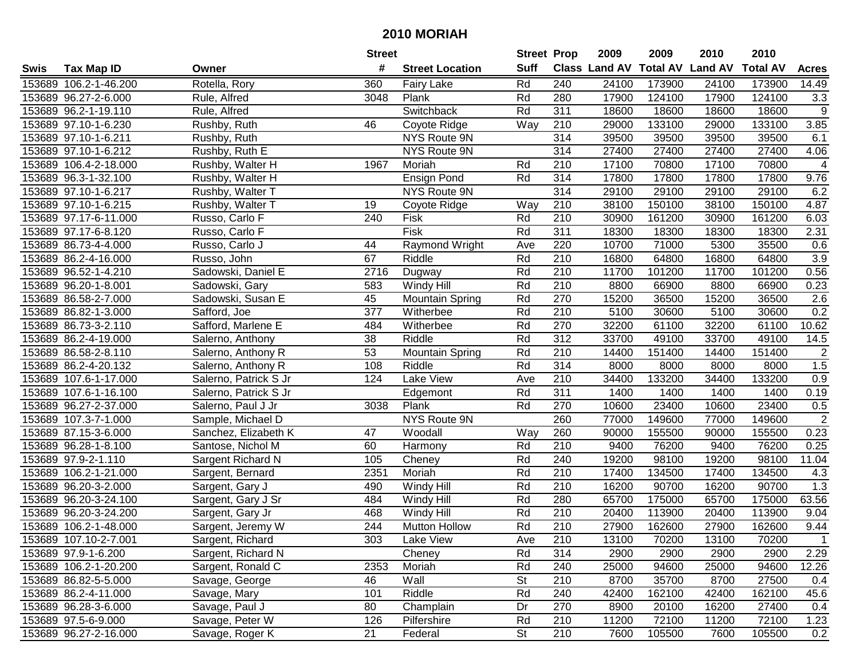|      |                       |                       | <b>Street</b> |                        | <b>Street Prop</b> |                  | 2009                 | 2009            | 2010           | 2010            |                |
|------|-----------------------|-----------------------|---------------|------------------------|--------------------|------------------|----------------------|-----------------|----------------|-----------------|----------------|
| Swis | <b>Tax Map ID</b>     | Owner                 | #             | <b>Street Location</b> | <b>Suff</b>        |                  | <b>Class Land AV</b> | <b>Total AV</b> | <b>Land AV</b> | <b>Total AV</b> | <b>Acres</b>   |
|      | 153689 106.2-1-46.200 | Rotella, Rory         | 360           | <b>Fairy Lake</b>      | Rd                 | 240              | 24100                | 173900          | 24100          | 173900          | 14.49          |
|      | 153689 96.27-2-6.000  | Rule, Alfred          | 3048          | Plank                  | Rd                 | 280              | 17900                | 124100          | 17900          | 124100          | 3.3            |
|      | 153689 96.2-1-19.110  | Rule, Alfred          |               | Switchback             | Rd                 | 311              | 18600                | 18600           | 18600          | 18600           | 9              |
|      | 153689 97.10-1-6.230  | Rushby, Ruth          | 46            | Coyote Ridge           | Way                | 210              | 29000                | 133100          | 29000          | 133100          | 3.85           |
|      | 153689 97.10-1-6.211  | Rushby, Ruth          |               | NYS Route 9N           |                    | 314              | 39500                | 39500           | 39500          | 39500           | 6.1            |
|      | 153689 97.10-1-6.212  | Rushby, Ruth E        |               | <b>NYS Route 9N</b>    |                    | 314              | 27400                | 27400           | 27400          | 27400           | 4.06           |
|      | 153689 106.4-2-18.000 | Rushby, Walter H      | 1967          | Moriah                 | Rd                 | 210              | 17100                | 70800           | 17100          | 70800           | 4              |
|      | 153689 96.3-1-32.100  | Rushby, Walter H      |               | <b>Ensign Pond</b>     | Rd                 | 314              | 17800                | 17800           | 17800          | 17800           | 9.76           |
|      | 153689 97.10-1-6.217  | Rushby, Walter T      |               | <b>NYS Route 9N</b>    |                    | 314              | 29100                | 29100           | 29100          | 29100           | 6.2            |
|      | 153689 97.10-1-6.215  | Rushby, Walter T      | 19            | Coyote Ridge           | Way                | 210              | 38100                | 150100          | 38100          | 150100          | 4.87           |
|      | 153689 97.17-6-11.000 | Russo, Carlo F        | 240           | Fisk                   | Rd                 | 210              | 30900                | 161200          | 30900          | 161200          | 6.03           |
|      | 153689 97.17-6-8.120  | Russo, Carlo F        |               | Fisk                   | Rd                 | 311              | 18300                | 18300           | 18300          | 18300           | 2.31           |
|      | 153689 86.73-4-4.000  | Russo, Carlo J        | 44            | Raymond Wright         | Ave                | 220              | 10700                | 71000           | 5300           | 35500           | 0.6            |
|      | 153689 86.2-4-16.000  | Russo, John           | 67            | Riddle                 | Rd                 | 210              | 16800                | 64800           | 16800          | 64800           | 3.9            |
|      | 153689 96.52-1-4.210  | Sadowski, Daniel E    | 2716          | Dugway                 | Rd                 | 210              | 11700                | 101200          | 11700          | 101200          | 0.56           |
|      | 153689 96.20-1-8.001  | Sadowski, Gary        | 583           | Windy Hill             | Rd                 | 210              | 8800                 | 66900           | 8800           | 66900           | 0.23           |
|      | 153689 86.58-2-7.000  | Sadowski, Susan E     | 45            | <b>Mountain Spring</b> | Rd                 | 270              | 15200                | 36500           | 15200          | 36500           | 2.6            |
|      | 153689 86.82-1-3.000  | Safford, Joe          | 377           | Witherbee              | Rd                 | 210              | 5100                 | 30600           | 5100           | 30600           | 0.2            |
|      | 153689 86.73-3-2.110  | Safford, Marlene E    | 484           | Witherbee              | Rd                 | 270              | 32200                | 61100           | 32200          | 61100           | 10.62          |
|      | 153689 86.2-4-19.000  | Salerno, Anthony      | 38            | Riddle                 | Rd                 | 312              | 33700                | 49100           | 33700          | 49100           | 14.5           |
|      | 153689 86.58-2-8.110  | Salerno, Anthony R    | 53            | <b>Mountain Spring</b> | Rd                 | 210              | 14400                | 151400          | 14400          | 151400          | $\sqrt{2}$     |
|      | 153689 86.2-4-20.132  | Salerno, Anthony R    | 108           | Riddle                 | Rd                 | 314              | 8000                 | 8000            | 8000           | 8000            | 1.5            |
|      | 153689 107.6-1-17.000 | Salerno, Patrick S Jr | 124           | Lake View              | Ave                | 210              | 34400                | 133200          | 34400          | 133200          | 0.9            |
|      | 153689 107.6-1-16.100 | Salerno, Patrick S Jr |               | Edgemont               | Rd                 | 311              | 1400                 | 1400            | 1400           | 1400            | 0.19           |
|      | 153689 96.27-2-37.000 | Salerno, Paul J Jr    | 3038          | Plank                  | Rd                 | 270              | 10600                | 23400           | 10600          | 23400           | 0.5            |
|      | 153689 107.3-7-1.000  | Sample, Michael D     |               | NYS Route 9N           |                    | 260              | 77000                | 149600          | 77000          | 149600          | $\overline{2}$ |
|      | 153689 87.15-3-6.000  | Sanchez, Elizabeth K  | 47            | Woodall                | Way                | 260              | 90000                | 155500          | 90000          | 155500          | 0.23           |
|      | 153689 96.28-1-8.100  | Santose, Nichol M     | 60            | Harmony                | Rd                 | 210              | 9400                 | 76200           | 9400           | 76200           | 0.25           |
|      | 153689 97.9-2-1.110   | Sargent Richard N     | 105           | Cheney                 | Rd                 | 240              | 19200                | 98100           | 19200          | 98100           | 11.04          |
|      | 153689 106.2-1-21.000 | Sargent, Bernard      | 2351          | Moriah                 | Rd                 | $\overline{210}$ | 17400                | 134500          | 17400          | 134500          | 4.3            |
|      | 153689 96.20-3-2.000  | Sargent, Gary J       | 490           | Windy Hill             | Rd                 | $\overline{210}$ | 16200                | 90700           | 16200          | 90700           | 1.3            |
|      | 153689 96.20-3-24.100 | Sargent, Gary J Sr    | 484           | Windy Hill             | Rd                 | 280              | 65700                | 175000          | 65700          | 175000          | 63.56          |
|      | 153689 96.20-3-24.200 | Sargent, Gary Jr      | 468           | Windy Hill             | Rd                 | $\overline{210}$ | 20400                | 113900          | 20400          | 113900          | 9.04           |
|      | 153689 106.2-1-48.000 | Sargent, Jeremy W     | 244           | <b>Mutton Hollow</b>   | Rd                 | $\overline{210}$ | 27900                | 162600          | 27900          | 162600          | 9.44           |
|      | 153689 107.10-2-7.001 | Sargent, Richard      | 303           | Lake View              | Ave                | 210              | 13100                | 70200           | 13100          | 70200           |                |
|      | 153689 97.9-1-6.200   | Sargent, Richard N    |               | Cheney                 | Rd                 | 314              | 2900                 | 2900            | 2900           | 2900            | 2.29           |
|      | 153689 106.2-1-20.200 | Sargent, Ronald C     | 2353          | Moriah                 | Rd                 | 240              | 25000                | 94600           | 25000          | 94600           | 12.26          |
|      | 153689 86.82-5-5.000  | Savage, George        | 46            | Wall                   | <b>St</b>          | 210              | 8700                 | 35700           | 8700           | 27500           | 0.4            |
|      | 153689 86.2-4-11.000  | Savage, Mary          | 101           | Riddle                 | Rd                 | 240              | 42400                | 162100          | 42400          | 162100          | 45.6           |
|      | 153689 96.28-3-6.000  | Savage, Paul J        | 80            | Champlain              | Dr                 | 270              | 8900                 | 20100           | 16200          | 27400           | 0.4            |
|      | 153689 97.5-6-9.000   | Savage, Peter W       | 126           | Pilfershire            | Rd                 | 210              | 11200                | 72100           | 11200          | 72100           | 1.23           |
|      | 153689 96.27-2-16.000 | Savage, Roger K       | 21            | Federal                | <b>St</b>          | 210              | 7600                 | 105500          | 7600           | 105500          | 0.2            |
|      |                       |                       |               |                        |                    |                  |                      |                 |                |                 |                |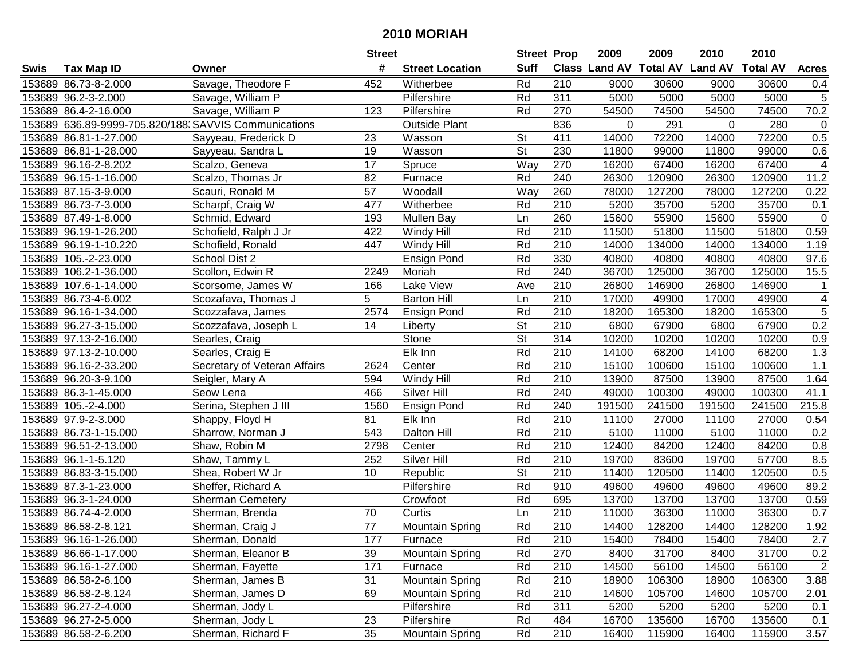|      |                       |                                                       | <b>Street</b>   |                        | <b>Street Prop</b>       |                  | 2009                          | 2009   | 2010           | 2010            |                |
|------|-----------------------|-------------------------------------------------------|-----------------|------------------------|--------------------------|------------------|-------------------------------|--------|----------------|-----------------|----------------|
| Swis | <b>Tax Map ID</b>     | Owner                                                 | #               | <b>Street Location</b> | <b>Suff</b>              |                  | <b>Class Land AV Total AV</b> |        | <b>Land AV</b> | <b>Total AV</b> | <b>Acres</b>   |
|      | 153689 86.73-8-2.000  | Savage, Theodore F                                    | 452             | Witherbee              | Rd                       | 210              | 9000                          | 30600  | 9000           | 30600           | 0.4            |
|      | 153689 96.2-3-2.000   | Savage, William P                                     |                 | Pilfershire            | Rd                       | 311              | 5000                          | 5000   | 5000           | 5000            | 5              |
|      | 153689 86.4-2-16.000  | Savage, William P                                     | 123             | Pilfershire            | Rd                       | 270              | 54500                         | 74500  | 54500          | 74500           | 70.2           |
|      |                       | 153689 636.89-9999-705.820/188. SAVVIS Communications |                 | <b>Outside Plant</b>   |                          | 836              | $\Omega$                      | 291    | $\Omega$       | 280             | $\mathbf 0$    |
|      | 153689 86.81-1-27.000 | Sayyeau, Frederick D                                  | 23              | Wasson                 | <b>St</b>                | 411              | 14000                         | 72200  | 14000          | 72200           | 0.5            |
|      | 153689 86.81-1-28.000 | Sayyeau, Sandra L                                     | 19              | Wasson                 | $\overline{\mathsf{St}}$ | 230              | 11800                         | 99000  | 11800          | 99000           | 0.6            |
|      | 153689 96.16-2-8.202  | Scalzo, Geneva                                        | 17              | Spruce                 | Way                      | 270              | 16200                         | 67400  | 16200          | 67400           | 4              |
|      | 153689 96.15-1-16.000 | Scalzo, Thomas Jr                                     | 82              | Furnace                | Rd                       | 240              | 26300                         | 120900 | 26300          | 120900          | 11.2           |
|      | 153689 87.15-3-9.000  | Scauri, Ronald M                                      | $\overline{57}$ | Woodall                | Way                      | 260              | 78000                         | 127200 | 78000          | 127200          | 0.22           |
|      | 153689 86.73-7-3.000  | Scharpf, Craig W                                      | 477             | Witherbee              | Rd                       | 210              | 5200                          | 35700  | 5200           | 35700           | 0.1            |
|      | 153689 87.49-1-8.000  | Schmid, Edward                                        | 193             | Mullen Bay             | Ln                       | 260              | 15600                         | 55900  | 15600          | 55900           | $\mathbf 0$    |
|      | 153689 96.19-1-26.200 | Schofield, Ralph J Jr                                 | 422             | Windy Hill             | Rd                       | 210              | 11500                         | 51800  | 11500          | 51800           | 0.59           |
|      | 153689 96.19-1-10.220 | Schofield, Ronald                                     | 447             | Windy Hill             | Rd                       | 210              | 14000                         | 134000 | 14000          | 134000          | 1.19           |
|      | 153689 105.-2-23.000  | School Dist 2                                         |                 | <b>Ensign Pond</b>     | Rd                       | 330              | 40800                         | 40800  | 40800          | 40800           | 97.6           |
|      | 153689 106.2-1-36.000 | Scollon, Edwin R                                      | 2249            | Moriah                 | Rd                       | 240              | 36700                         | 125000 | 36700          | 125000          | 15.5           |
|      | 153689 107.6-1-14.000 | Scorsome, James W                                     | 166             | Lake View              | Ave                      | 210              | 26800                         | 146900 | 26800          | 146900          |                |
|      | 153689 86.73-4-6.002  | Scozafava, Thomas J                                   | 5               | <b>Barton Hill</b>     | Ln                       | $\overline{210}$ | 17000                         | 49900  | 17000          | 49900           | 4              |
|      | 153689 96.16-1-34.000 | Scozzafava, James                                     | 2574            | Ensign Pond            | Rd                       | 210              | 18200                         | 165300 | 18200          | 165300          | 5              |
|      | 153689 96.27-3-15.000 | Scozzafava, Joseph L                                  | 14              | Liberty                | <b>St</b>                | 210              | 6800                          | 67900  | 6800           | 67900           | 0.2            |
|      | 153689 97.13-2-16.000 | Searles, Craig                                        |                 | Stone                  | <b>St</b>                | 314              | 10200                         | 10200  | 10200          | 10200           | 0.9            |
|      | 153689 97.13-2-10.000 | Searles, Craig E                                      |                 | Elk Inn                | Rd                       | 210              | 14100                         | 68200  | 14100          | 68200           | 1.3            |
|      | 153689 96.16-2-33.200 | Secretary of Veteran Affairs                          | 2624            | Center                 | Rd                       | 210              | 15100                         | 100600 | 15100          | 100600          | $1.1$          |
|      | 153689 96.20-3-9.100  | Seigler, Mary A                                       | 594             | Windy Hill             | Rd                       | 210              | 13900                         | 87500  | 13900          | 87500           | 1.64           |
|      | 153689 86.3-1-45.000  | Seow Lena                                             | 466             | Silver Hill            | Rd                       | 240              | 49000                         | 100300 | 49000          | 100300          | 41.1           |
|      | 153689 105.-2-4.000   | Serina, Stephen J III                                 | 1560            | <b>Ensign Pond</b>     | Rd                       | 240              | 191500                        | 241500 | 191500         | 241500          | 215.8          |
|      | 153689 97.9-2-3.000   | Shappy, Floyd H                                       | 81              | Elk Inn                | Rd                       | 210              | 11100                         | 27000  | 11100          | 27000           | 0.54           |
|      | 153689 86.73-1-15.000 | Sharrow, Norman J                                     | 543             | Dalton Hill            | Rd                       | 210              | 5100                          | 11000  | 5100           | 11000           | 0.2            |
|      | 153689 96.51-2-13.000 | Shaw, Robin M                                         | 2798            | Center                 | Rd                       | 210              | 12400                         | 84200  | 12400          | 84200           | 0.8            |
|      | 153689 96.1-1-5.120   | Shaw, Tammy L                                         | 252             | Silver Hill            | Rd                       | 210              | 19700                         | 83600  | 19700          | 57700           | 8.5            |
|      | 153689 86.83-3-15.000 | Shea, Robert W Jr                                     | 10              | Republic               | $\overline{\mathsf{St}}$ | 210              | 11400                         | 120500 | 11400          | 120500          | 0.5            |
|      | 153689 87.3-1-23.000  | Sheffer, Richard A                                    |                 | Pilfershire            | Rd                       | 910              | 49600                         | 49600  | 49600          | 49600           | 89.2           |
|      | 153689 96.3-1-24.000  | <b>Sherman Cemetery</b>                               |                 | Crowfoot               | Rd                       | 695              | 13700                         | 13700  | 13700          | 13700           | 0.59           |
|      | 153689 86.74-4-2.000  | Sherman, Brenda                                       | 70              | Curtis                 | Ln                       | $\overline{210}$ | 11000                         | 36300  | 11000          | 36300           | 0.7            |
|      | 153689 86.58-2-8.121  | Sherman, Craig J                                      | $\overline{77}$ | <b>Mountain Spring</b> | Rd                       | $\overline{210}$ | 14400                         | 128200 | 14400          | 128200          | 1.92           |
|      | 153689 96.16-1-26.000 | Sherman, Donald                                       | 177             | Furnace                | Rd                       | 210              | 15400                         | 78400  | 15400          | 78400           | 2.7            |
|      | 153689 86.66-1-17.000 | Sherman, Eleanor B                                    | 39              | <b>Mountain Spring</b> | Rd                       | 270              | 8400                          | 31700  | 8400           | 31700           | 0.2            |
|      | 153689 96.16-1-27.000 | Sherman, Fayette                                      | 171             | Furnace                | Rd                       | 210              | 14500                         | 56100  | 14500          | 56100           | $\overline{2}$ |
|      | 153689 86.58-2-6.100  | Sherman, James B                                      | 31              | <b>Mountain Spring</b> | Rd                       | 210              | 18900                         | 106300 | 18900          | 106300          | 3.88           |
|      | 153689 86.58-2-8.124  | Sherman, James D                                      | 69              | <b>Mountain Spring</b> | Rd                       | 210              | 14600                         | 105700 | 14600          | 105700          | 2.01           |
|      | 153689 96.27-2-4.000  | Sherman, Jody L                                       |                 | Pilfershire            | Rd                       | 311              | 5200                          | 5200   | 5200           | 5200            | 0.1            |
|      | 153689 96.27-2-5.000  | Sherman, Jody L                                       | 23              | Pilfershire            | Rd                       | 484              | 16700                         | 135600 | 16700          | 135600          | 0.1            |
|      | 153689 86.58-2-6.200  | Sherman, Richard F                                    | 35              | <b>Mountain Spring</b> | Rd                       | 210              | 16400                         | 115900 | 16400          | 115900          | 3.57           |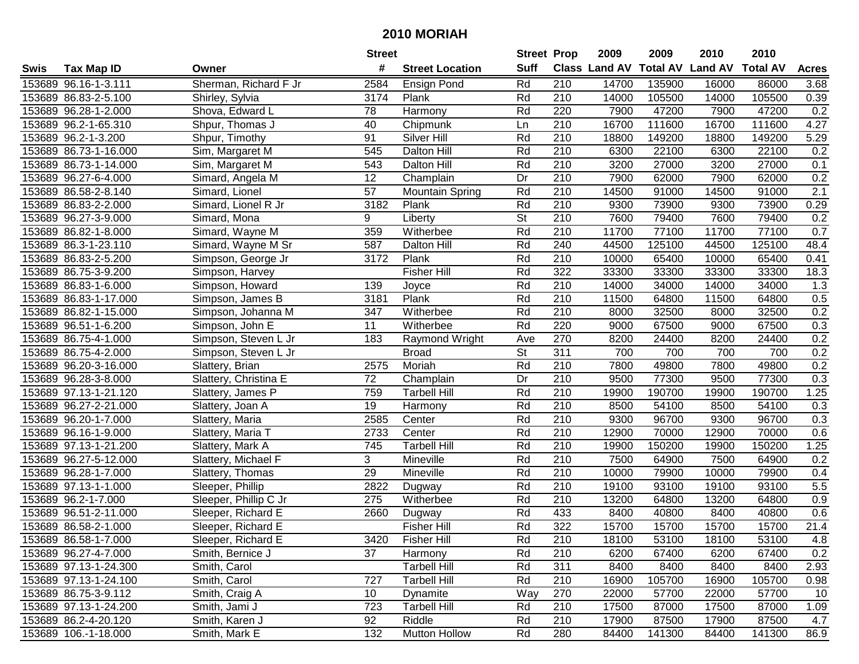|      |                       |                       | <b>Street</b>   |                        | <b>Street Prop</b>       |                  | 2009                          | 2009   | 2010           | 2010            |                  |
|------|-----------------------|-----------------------|-----------------|------------------------|--------------------------|------------------|-------------------------------|--------|----------------|-----------------|------------------|
| Swis | <b>Tax Map ID</b>     | Owner                 | #               | <b>Street Location</b> | <b>Suff</b>              |                  | <b>Class Land AV Total AV</b> |        | <b>Land AV</b> | <b>Total AV</b> | <b>Acres</b>     |
|      | 153689 96.16-1-3.111  | Sherman, Richard F Jr | 2584            | <b>Ensign Pond</b>     | Rd                       | 210              | 14700                         | 135900 | 16000          | 86000           | 3.68             |
|      | 153689 86.83-2-5.100  | Shirley, Sylvia       | 3174            | Plank                  | Rd                       | 210              | 14000                         | 105500 | 14000          | 105500          | 0.39             |
|      | 153689 96.28-1-2.000  | Shova, Edward L       | 78              | Harmony                | Rd                       | 220              | 7900                          | 47200  | 7900           | 47200           | 0.2              |
|      | 153689 96.2-1-65.310  | Shpur, Thomas J       | 40              | Chipmunk               | Ln                       | 210              | 16700                         | 111600 | 16700          | 111600          | 4.27             |
|      | 153689 96.2-1-3.200   | Shpur, Timothy        | 91              | Silver Hill            | Rd                       | 210              | 18800                         | 149200 | 18800          | 149200          | 5.29             |
|      | 153689 86.73-1-16.000 | Sim, Margaret M       | 545             | Dalton Hill            | Rd                       | 210              | 6300                          | 22100  | 6300           | 22100           | 0.2              |
|      | 153689 86.73-1-14.000 | Sim, Margaret M       | 543             | <b>Dalton Hill</b>     | Rd                       | 210              | 3200                          | 27000  | 3200           | 27000           | 0.1              |
|      | 153689 96.27-6-4.000  | Simard, Angela M      | $\overline{12}$ | Champlain              | Dr                       | 210              | 7900                          | 62000  | 7900           | 62000           | 0.2              |
|      | 153689 86.58-2-8.140  | Simard, Lionel        | $\overline{57}$ | <b>Mountain Spring</b> | Rd                       | $\overline{210}$ | 14500                         | 91000  | 14500          | 91000           | $\overline{2.1}$ |
|      | 153689 86.83-2-2.000  | Simard, Lionel R Jr   | 3182            | Plank                  | Rd                       | 210              | 9300                          | 73900  | 9300           | 73900           | 0.29             |
|      | 153689 96.27-3-9.000  | Simard, Mona          | 9               | Liberty                | $\overline{\mathsf{St}}$ | 210              | 7600                          | 79400  | 7600           | 79400           | 0.2              |
|      | 153689 86.82-1-8.000  | Simard, Wayne M       | 359             | Witherbee              | Rd                       | 210              | 11700                         | 77100  | 11700          | 77100           | 0.7              |
|      | 153689 86.3-1-23.110  | Simard, Wayne M Sr    | 587             | Dalton Hill            | Rd                       | 240              | 44500                         | 125100 | 44500          | 125100          | 48.4             |
|      | 153689 86.83-2-5.200  | Simpson, George Jr    | 3172            | Plank                  | Rd                       | 210              | 10000                         | 65400  | 10000          | 65400           | 0.41             |
|      | 153689 86.75-3-9.200  | Simpson, Harvey       |                 | <b>Fisher Hill</b>     | Rd                       | 322              | 33300                         | 33300  | 33300          | 33300           | 18.3             |
|      | 153689 86.83-1-6.000  | Simpson, Howard       | 139             | Joyce                  | Rd                       | 210              | 14000                         | 34000  | 14000          | 34000           | 1.3              |
|      | 153689 86.83-1-17.000 | Simpson, James B      | 3181            | Plank                  | Rd                       | 210              | 11500                         | 64800  | 11500          | 64800           | 0.5              |
|      | 153689 86.82-1-15.000 | Simpson, Johanna M    | 347             | Witherbee              | Rd                       | 210              | 8000                          | 32500  | 8000           | 32500           | 0.2              |
|      | 153689 96.51-1-6.200  | Simpson, John E       | 11              | Witherbee              | Rd                       | 220              | 9000                          | 67500  | 9000           | 67500           | 0.3              |
|      | 153689 86.75-4-1.000  | Simpson, Steven L Jr  | 183             | Raymond Wright         | Ave                      | 270              | 8200                          | 24400  | 8200           | 24400           | 0.2              |
|      | 153689 86.75-4-2.000  | Simpson, Steven L Jr  |                 | <b>Broad</b>           | <b>St</b>                | 311              | 700                           | 700    | 700            | 700             | 0.2              |
|      | 153689 96.20-3-16.000 | Slattery, Brian       | 2575            | Moriah                 | Rd                       | 210              | 7800                          | 49800  | 7800           | 49800           | 0.2              |
|      | 153689 96.28-3-8.000  | Slattery, Christina E | 72              | Champlain              | Dr                       | 210              | 9500                          | 77300  | 9500           | 77300           | 0.3              |
|      | 153689 97.13-1-21.120 | Slattery, James P     | 759             | <b>Tarbell Hill</b>    | Rd                       | 210              | 19900                         | 190700 | 19900          | 190700          | 1.25             |
|      | 153689 96.27-2-21.000 | Slattery, Joan A      | 19              | Harmony                | Rd                       | 210              | 8500                          | 54100  | 8500           | 54100           | 0.3              |
|      | 153689 96.20-1-7.000  | Slattery, Maria       | 2585            | Center                 | Rd                       | 210              | 9300                          | 96700  | 9300           | 96700           | 0.3              |
|      | 153689 96.16-1-9.000  | Slattery, Maria T     | 2733            | Center                 | Rd                       | 210              | 12900                         | 70000  | 12900          | 70000           | 0.6              |
|      | 153689 97.13-1-21.200 | Slattery, Mark A      | 745             | <b>Tarbell Hill</b>    | Rd                       | 210              | 19900                         | 150200 | 19900          | 150200          | 1.25             |
|      | 153689 96.27-5-12.000 | Slattery, Michael F   | 3               | Mineville              | Rd                       | $\overline{210}$ | 7500                          | 64900  | 7500           | 64900           | 0.2              |
|      | 153689 96.28-1-7.000  | Slattery, Thomas      | 29              | Mineville              | Rd                       | 210              | 10000                         | 79900  | 10000          | 79900           | 0.4              |
|      | 153689 97.13-1-1.000  | Sleeper, Phillip      | 2822            | Dugway                 | Rd                       | $\overline{210}$ | 19100                         | 93100  | 19100          | 93100           | 5.5              |
|      | 153689 96.2-1-7.000   | Sleeper, Phillip C Jr | 275             | Witherbee              | Rd                       | 210              | 13200                         | 64800  | 13200          | 64800           | 0.9              |
|      | 153689 96.51-2-11.000 | Sleeper, Richard E    | 2660            | Dugway                 | Rd                       | 433              | 8400                          | 40800  | 8400           | 40800           | 0.6              |
|      | 153689 86.58-2-1.000  | Sleeper, Richard E    |                 | <b>Fisher Hill</b>     | Rd                       | 322              | 15700                         | 15700  | 15700          | 15700           | 21.4             |
|      | 153689 86.58-1-7.000  | Sleeper, Richard E    | 3420            | <b>Fisher Hill</b>     | Rd                       | 210              | 18100                         | 53100  | 18100          | 53100           | 4.8              |
|      | 153689 96.27-4-7.000  | Smith, Bernice J      | 37              | Harmony                | Rd                       | 210              | 6200                          | 67400  | 6200           | 67400           | 0.2              |
|      | 153689 97.13-1-24.300 | Smith, Carol          |                 | <b>Tarbell Hill</b>    | Rd                       | 311              | 8400                          | 8400   | 8400           | 8400            | 2.93             |
|      | 153689 97.13-1-24.100 | Smith, Carol          | 727             | <b>Tarbell Hill</b>    | Rd                       | 210              | 16900                         | 105700 | 16900          | 105700          | 0.98             |
|      | 153689 86.75-3-9.112  | Smith, Craig A        | 10              | Dynamite               | Way                      | 270              | 22000                         | 57700  | 22000          | 57700           | 10               |
|      | 153689 97.13-1-24.200 | Smith, Jami J         | 723             | <b>Tarbell Hill</b>    | Rd                       | 210              | 17500                         | 87000  | 17500          | 87000           | 1.09             |
|      | 153689 86.2-4-20.120  | Smith, Karen J        | 92              | Riddle                 | Rd                       | 210              | 17900                         | 87500  | 17900          | 87500           | 4.7              |
|      | 153689 106.-1-18.000  | Smith, Mark E         | 132             | Mutton Hollow          | Rd                       | 280              | 84400                         | 141300 | 84400          | 141300          | 86.9             |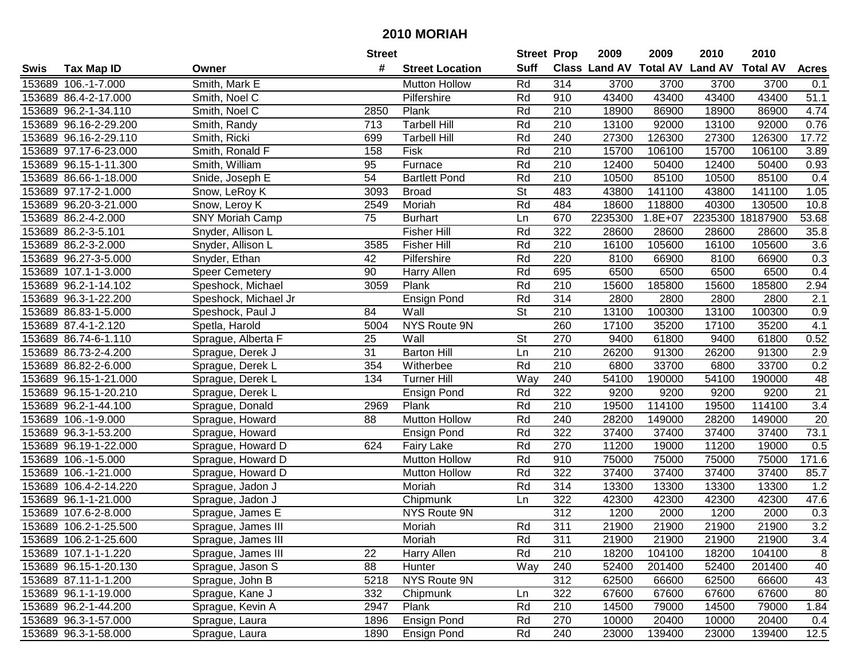|      |                       |                        | <b>Street</b>   |                        | <b>Street Prop</b>       |                  | 2009                          | 2009        | 2010           | 2010            |                  |
|------|-----------------------|------------------------|-----------------|------------------------|--------------------------|------------------|-------------------------------|-------------|----------------|-----------------|------------------|
| Swis | <b>Tax Map ID</b>     | Owner                  | #               | <b>Street Location</b> | <b>Suff</b>              |                  | <b>Class Land AV Total AV</b> |             | <b>Land AV</b> | <b>Total AV</b> | <b>Acres</b>     |
|      | 153689 106.-1-7.000   | Smith, Mark E          |                 | <b>Mutton Hollow</b>   | Rd                       | 314              | 3700                          | 3700        | 3700           | 3700            | 0.1              |
|      | 153689 86.4-2-17.000  | Smith, Noel C          |                 | Pilfershire            | Rd                       | 910              | 43400                         | 43400       | 43400          | 43400           | 51.1             |
|      | 153689 96.2-1-34.110  | Smith, Noel C          | 2850            | Plank                  | Rd                       | 210              | 18900                         | 86900       | 18900          | 86900           | 4.74             |
|      | 153689 96.16-2-29.200 | Smith, Randy           | 713             | <b>Tarbell Hill</b>    | Rd                       | 210              | 13100                         | 92000       | 13100          | 92000           | 0.76             |
|      | 153689 96.16-2-29.110 | Smith, Ricki           | 699             | <b>Tarbell Hill</b>    | Rd                       | 240              | 27300                         | 126300      | 27300          | 126300          | 17.72            |
|      | 153689 97.17-6-23.000 | Smith, Ronald F        | 158             | Fisk                   | Rd                       | 210              | 15700                         | 106100      | 15700          | 106100          | 3.89             |
|      | 153689 96.15-1-11.300 | Smith, William         | 95              | Furnace                | Rd                       | 210              | 12400                         | 50400       | 12400          | 50400           | 0.93             |
|      | 153689 86.66-1-18.000 | Snide, Joseph E        | 54              | <b>Bartlett Pond</b>   | Rd                       | 210              | 10500                         | 85100       | 10500          | 85100           | 0.4              |
|      | 153689 97.17-2-1.000  | Snow, LeRoy K          | 3093            | <b>Broad</b>           | $\overline{\mathsf{St}}$ | 483              | 43800                         | 141100      | 43800          | 141100          | 1.05             |
|      | 153689 96.20-3-21.000 | Snow, Leroy K          | 2549            | Moriah                 | Rd                       | 484              | 18600                         | 118800      | 40300          | 130500          | 10.8             |
|      | 153689 86.2-4-2.000   | <b>SNY Moriah Camp</b> | 75              | <b>Burhart</b>         | Ln                       | 670              | 2235300                       | $1.8E + 07$ | 2235300        | 18187900        | 53.68            |
|      | 153689 86.2-3-5.101   | Snyder, Allison L      |                 | <b>Fisher Hill</b>     | Rd                       | 322              | 28600                         | 28600       | 28600          | 28600           | 35.8             |
|      | 153689 86.2-3-2.000   | Snyder, Allison L      | 3585            | Fisher Hill            | Rd                       | $\overline{210}$ | 16100                         | 105600      | 16100          | 105600          | 3.6              |
|      | 153689 96.27-3-5.000  | Snyder, Ethan          | 42              | Pilfershire            | Rd                       | 220              | 8100                          | 66900       | 8100           | 66900           | 0.3              |
|      | 153689 107.1-1-3.000  | <b>Speer Cemetery</b>  | 90              | Harry Allen            | Rd                       | 695              | 6500                          | 6500        | 6500           | 6500            | 0.4              |
|      | 153689 96.2-1-14.102  | Speshock, Michael      | 3059            | Plank                  | Rd                       | 210              | 15600                         | 185800      | 15600          | 185800          | 2.94             |
|      | 153689 96.3-1-22.200  | Speshock, Michael Jr   |                 | <b>Ensign Pond</b>     | Rd                       | 314              | 2800                          | 2800        | 2800           | 2800            | $\overline{2.1}$ |
|      | 153689 86.83-1-5.000  | Speshock, Paul J       | 84              | Wall                   | $\overline{\mathsf{St}}$ | 210              | 13100                         | 100300      | 13100          | 100300          | 0.9              |
|      | 153689 87.4-1-2.120   | Spetla, Harold         | 5004            | NYS Route 9N           |                          | 260              | 17100                         | 35200       | 17100          | 35200           | 4.1              |
|      | 153689 86.74-6-1.110  | Sprague, Alberta F     | 25              | Wall                   | <b>St</b>                | 270              | 9400                          | 61800       | 9400           | 61800           | 0.52             |
|      | 153689 86.73-2-4.200  | Sprague, Derek J       | $\overline{31}$ | <b>Barton Hill</b>     | Ln                       | 210              | 26200                         | 91300       | 26200          | 91300           | $\overline{2.9}$ |
|      | 153689 86.82-2-6.000  | Sprague, Derek L       | 354             | Witherbee              | Rd                       | 210              | 6800                          | 33700       | 6800           | 33700           | 0.2              |
|      | 153689 96.15-1-21.000 | Sprague, Derek L       | 134             | <b>Turner Hill</b>     | Way                      | 240              | 54100                         | 190000      | 54100          | 190000          | 48               |
|      | 153689 96.15-1-20.210 | Sprague, Derek L       |                 | <b>Ensign Pond</b>     | Rd                       | 322              | 9200                          | 9200        | 9200           | 9200            | 21               |
|      | 153689 96.2-1-44.100  | Sprague, Donald        | 2969            | Plank                  | Rd                       | $\overline{210}$ | 19500                         | 114100      | 19500          | 114100          | $\overline{3.4}$ |
|      | 153689 106.-1-9.000   | Sprague, Howard        | 88              | <b>Mutton Hollow</b>   | Rd                       | 240              | 28200                         | 149000      | 28200          | 149000          | 20               |
|      | 153689 96.3-1-53.200  | Sprague, Howard        |                 | <b>Ensign Pond</b>     | Rd                       | 322              | 37400                         | 37400       | 37400          | 37400           | 73.1             |
|      | 153689 96.19-1-22.000 | Sprague, Howard D      | 624             | <b>Fairy Lake</b>      | Rd                       | 270              | 11200                         | 19000       | 11200          | 19000           | 0.5              |
|      | 153689 106.-1-5.000   | Sprague, Howard D      |                 | <b>Mutton Hollow</b>   | Rd                       | 910              | 75000                         | 75000       | 75000          | 75000           | 171.6            |
|      | 153689 106.-1-21.000  | Sprague, Howard D      |                 | <b>Mutton Hollow</b>   | Rd                       | 322              | 37400                         | 37400       | 37400          | 37400           | 85.7             |
|      | 153689 106.4-2-14.220 | Sprague, Jadon J       |                 | Moriah                 | Rd                       | 314              | 13300                         | 13300       | 13300          | 13300           | 1.2              |
|      | 153689 96.1-1-21.000  | Sprague, Jadon J       |                 | Chipmunk               | Ln                       | 322              | 42300                         | 42300       | 42300          | 42300           | 47.6             |
|      | 153689 107.6-2-8.000  | Sprague, James E       |                 | <b>NYS Route 9N</b>    |                          | 312              | 1200                          | 2000        | 1200           | 2000            | 0.3              |
|      | 153689 106.2-1-25.500 | Sprague, James III     |                 | Moriah                 | Rd                       | 311              | 21900                         | 21900       | 21900          | 21900           | 3.2              |
|      | 153689 106.2-1-25.600 | Sprague, James III     |                 | Moriah                 | Rd                       | 311              | 21900                         | 21900       | 21900          | 21900           | 3.4              |
|      | 153689 107.1-1-1.220  | Sprague, James III     | 22              | Harry Allen            | Rd                       | 210              | 18200                         | 104100      | 18200          | 104100          | 8                |
|      | 153689 96.15-1-20.130 | Sprague, Jason S       | 88              | Hunter                 | Way                      | 240              | 52400                         | 201400      | 52400          | 201400          | 40               |
|      | 153689 87.11-1-1.200  | Sprague, John B        | 5218            | NYS Route 9N           |                          | 312              | 62500                         | 66600       | 62500          | 66600           | 43               |
|      | 153689 96.1-1-19.000  | Sprague, Kane J        | 332             | Chipmunk               | Ln                       | 322              | 67600                         | 67600       | 67600          | 67600           | 80               |
|      | 153689 96.2-1-44.200  | Sprague, Kevin A       | 2947            | Plank                  | Rd                       | 210              | 14500                         | 79000       | 14500          | 79000           | 1.84             |
|      | 153689 96.3-1-57.000  | Sprague, Laura         | 1896            | Ensign Pond            | Rd                       | 270              | 10000                         | 20400       | 10000          | 20400           | 0.4              |
|      | 153689 96.3-1-58.000  | Sprague, Laura         | 1890            | Ensign Pond            | Rd                       | 240              | 23000                         | 139400      | 23000          | 139400          | 12.5             |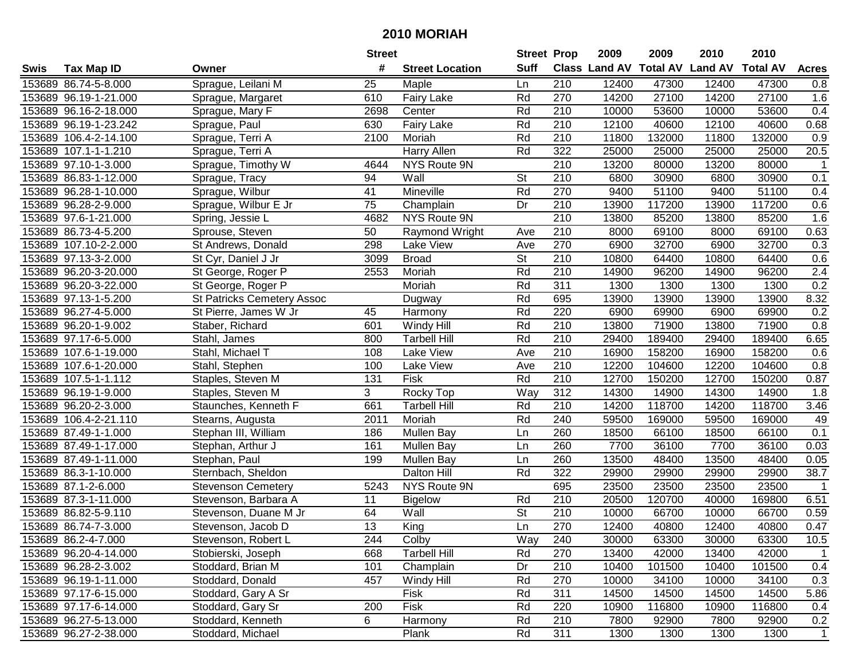|      |                       |                                   | <b>Street</b>   |                        | <b>Street Prop</b>       |                  | 2009                          | 2009   | 2010           | 2010            |                  |
|------|-----------------------|-----------------------------------|-----------------|------------------------|--------------------------|------------------|-------------------------------|--------|----------------|-----------------|------------------|
| Swis | <b>Tax Map ID</b>     | Owner                             | #               | <b>Street Location</b> | <b>Suff</b>              |                  | <b>Class Land AV Total AV</b> |        | <b>Land AV</b> | <b>Total AV</b> | <b>Acres</b>     |
|      | 153689 86.74-5-8.000  | Sprague, Leilani M                | 25              | Maple                  | Ln                       | 210              | 12400                         | 47300  | 12400          | 47300           | 0.8              |
|      | 153689 96.19-1-21.000 | Sprague, Margaret                 | 610             | <b>Fairy Lake</b>      | Rd                       | 270              | 14200                         | 27100  | 14200          | 27100           | 1.6              |
|      | 153689 96.16-2-18.000 | Sprague, Mary F                   | 2698            | Center                 | Rd                       | 210              | 10000                         | 53600  | 10000          | 53600           | 0.4              |
|      | 153689 96.19-1-23.242 | Sprague, Paul                     | 630             | Fairy Lake             | Rd                       | 210              | 12100                         | 40600  | 12100          | 40600           | 0.68             |
|      | 153689 106.4-2-14.100 | Sprague, Terri A                  | 2100            | Moriah                 | Rd                       | 210              | 11800                         | 132000 | 11800          | 132000          | 0.9              |
|      | 153689 107.1-1-1.210  | Sprague, Terri A                  |                 | <b>Harry Allen</b>     | Rd                       | 322              | 25000                         | 25000  | 25000          | 25000           | 20.5             |
|      | 153689 97.10-1-3.000  | Sprague, Timothy W                | 4644            | NYS Route 9N           |                          | $\overline{210}$ | 13200                         | 80000  | 13200          | 80000           | $\mathbf{1}$     |
|      | 153689 86.83-1-12.000 | Sprague, Tracy                    | 94              | Wall                   | $\overline{\mathsf{St}}$ | 210              | 6800                          | 30900  | 6800           | 30900           | 0.1              |
|      | 153689 96.28-1-10.000 | Sprague, Wilbur                   | 41              | Mineville              | Rd                       | 270              | 9400                          | 51100  | 9400           | 51100           | 0.4              |
|      | 153689 96.28-2-9.000  | Sprague, Wilbur E Jr              | 75              | Champlain              | Dr                       | 210              | 13900                         | 117200 | 13900          | 117200          | 0.6              |
|      | 153689 97.6-1-21.000  | Spring, Jessie L                  | 4682            | NYS Route 9N           |                          | 210              | 13800                         | 85200  | 13800          | 85200           | 1.6              |
|      | 153689 86.73-4-5.200  | Sprouse, Steven                   | 50              | Raymond Wright         | Ave                      | 210              | 8000                          | 69100  | 8000           | 69100           | 0.63             |
|      | 153689 107.10-2-2.000 | St Andrews, Donald                | 298             | Lake View              | Ave                      | 270              | 6900                          | 32700  | 6900           | 32700           | 0.3              |
|      | 153689 97.13-3-2.000  | St Cyr, Daniel J Jr               | 3099            | <b>Broad</b>           | <b>St</b>                | 210              | 10800                         | 64400  | 10800          | 64400           | 0.6              |
|      | 153689 96.20-3-20.000 | St George, Roger P                | 2553            | Moriah                 | Rd                       | 210              | 14900                         | 96200  | 14900          | 96200           | $\overline{2.4}$ |
|      | 153689 96.20-3-22.000 | St George, Roger P                |                 | Moriah                 | Rd                       | 311              | 1300                          | 1300   | 1300           | 1300            | 0.2              |
|      | 153689 97.13-1-5.200  | <b>St Patricks Cemetery Assoc</b> |                 | Dugway                 | Rd                       | 695              | 13900                         | 13900  | 13900          | 13900           | 8.32             |
|      | 153689 96.27-4-5.000  | St Pierre, James W Jr             | 45              | Harmony                | Rd                       | 220              | 6900                          | 69900  | 6900           | 69900           | 0.2              |
|      | 153689 96.20-1-9.002  | Staber, Richard                   | 601             | Windy Hill             | Rd                       | 210              | 13800                         | 71900  | 13800          | 71900           | 0.8              |
|      | 153689 97.17-6-5.000  | Stahl, James                      | 800             | Tarbell Hill           | Rd                       | 210              | 29400                         | 189400 | 29400          | 189400          | 6.65             |
|      | 153689 107.6-1-19.000 | Stahl, Michael T                  | 108             | Lake View              | Ave                      | 210              | 16900                         | 158200 | 16900          | 158200          | 0.6              |
|      | 153689 107.6-1-20.000 | Stahl, Stephen                    | 100             | Lake View              | Ave                      | 210              | 12200                         | 104600 | 12200          | 104600          | 0.8              |
|      | 153689 107.5-1-1.112  | Staples, Steven M                 | 131             | Fisk                   | Rd                       | 210              | 12700                         | 150200 | 12700          | 150200          | 0.87             |
|      | 153689 96.19-1-9.000  | Staples, Steven M                 | 3               | Rocky Top              | Way                      | 312              | 14300                         | 14900  | 14300          | 14900           | 1.8              |
|      | 153689 96.20-2-3.000  | Staunches, Kenneth F              | 661             | <b>Tarbell Hill</b>    | Rd                       | $\overline{210}$ | 14200                         | 118700 | 14200          | 118700          | 3.46             |
|      | 153689 106.4-2-21.110 | Stearns, Augusta                  | 2011            | Moriah                 | Rd                       | 240              | 59500                         | 169000 | 59500          | 169000          | 49               |
|      | 153689 87.49-1-1.000  | Stephan III, William              | 186             | <b>Mullen Bay</b>      | Ln                       | 260              | 18500                         | 66100  | 18500          | 66100           | 0.1              |
|      | 153689 87.49-1-17.000 | Stephan, Arthur J                 | 161             | <b>Mullen Bay</b>      | Ln                       | 260              | 7700                          | 36100  | 7700           | 36100           | 0.03             |
|      | 153689 87.49-1-11.000 | Stephan, Paul                     | 199             | Mullen Bay             | Ln                       | 260              | 13500                         | 48400  | 13500          | 48400           | 0.05             |
|      | 153689 86.3-1-10.000  | Sternbach, Sheldon                |                 | Dalton Hill            | Rd                       | $\overline{322}$ | 29900                         | 29900  | 29900          | 29900           | 38.7             |
|      | 153689 87.1-2-6.000   | <b>Stevenson Cemetery</b>         | 5243            | NYS Route 9N           |                          | 695              | 23500                         | 23500  | 23500          | 23500           | $\overline{1}$   |
|      | 153689 87.3-1-11.000  | Stevenson, Barbara A              | 11              | <b>Bigelow</b>         | Rd                       | 210              | 20500                         | 120700 | 40000          | 169800          | 6.51             |
|      | 153689 86.82-5-9.110  | Stevenson, Duane M Jr             | 64              | Wall                   | $\overline{\mathsf{St}}$ | $\overline{210}$ | 10000                         | 66700  | 10000          | 66700           | 0.59             |
|      | 153689 86.74-7-3.000  | Stevenson, Jacob D                | $\overline{13}$ | King                   | Ln                       | 270              | 12400                         | 40800  | 12400          | 40800           | 0.47             |
|      | 153689 86.2-4-7.000   | Stevenson, Robert L               | 244             | Colby                  | Way                      | 240              | 30000                         | 63300  | 30000          | 63300           | 10.5             |
|      | 153689 96.20-4-14.000 | Stobierski, Joseph                | 668             | <b>Tarbell Hill</b>    | Rd                       | 270              | 13400                         | 42000  | 13400          | 42000           | $\mathbf 1$      |
|      | 153689 96.28-2-3.002  | Stoddard, Brian M                 | 101             | Champlain              | Dr                       | 210              | 10400                         | 101500 | 10400          | 101500          | 0.4              |
|      | 153689 96.19-1-11.000 | Stoddard, Donald                  | 457             | Windy Hill             | Rd                       | 270              | 10000                         | 34100  | 10000          | 34100           | 0.3              |
|      | 153689 97.17-6-15.000 | Stoddard, Gary A Sr               |                 | Fisk                   | Rd                       | 311              | 14500                         | 14500  | 14500          | 14500           | 5.86             |
|      | 153689 97.17-6-14.000 | Stoddard, Gary Sr                 | 200             | Fisk                   | Rd                       | 220              | 10900                         | 116800 | 10900          | 116800          | 0.4              |
|      | 153689 96.27-5-13.000 | Stoddard, Kenneth                 | 6               | Harmony                | Rd                       | 210              | 7800                          | 92900  | 7800           | 92900           | 0.2              |
|      | 153689 96.27-2-38.000 | Stoddard, Michael                 |                 | Plank                  | Rd                       | 311              | 1300                          | 1300   | 1300           | 1300            | $\mathbf{1}$     |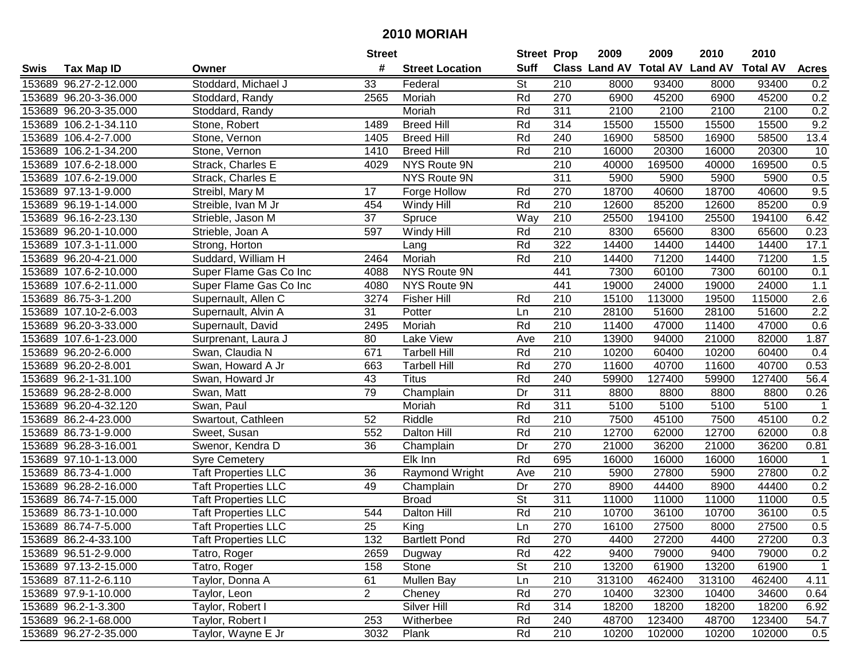|      |                       |                            | <b>Street</b>   |                        | <b>Street Prop</b>       |                  | 2009                          | 2009   | 2010           | 2010            |                         |
|------|-----------------------|----------------------------|-----------------|------------------------|--------------------------|------------------|-------------------------------|--------|----------------|-----------------|-------------------------|
| Swis | <b>Tax Map ID</b>     | Owner                      | #               | <b>Street Location</b> | <b>Suff</b>              |                  | <b>Class Land AV Total AV</b> |        | <b>Land AV</b> | <b>Total AV</b> | <b>Acres</b>            |
|      | 153689 96.27-2-12.000 | Stoddard, Michael J        | 33              | Federal                | <b>St</b>                | 210              | 8000                          | 93400  | 8000           | 93400           | 0.2                     |
|      | 153689 96.20-3-36.000 | Stoddard, Randy            | 2565            | Moriah                 | Rd                       | 270              | 6900                          | 45200  | 6900           | 45200           | 0.2                     |
|      | 153689 96.20-3-35.000 | Stoddard, Randy            |                 | Moriah                 | Rd                       | 311              | 2100                          | 2100   | 2100           | 2100            | 0.2                     |
|      | 153689 106.2-1-34.110 | Stone, Robert              | 1489            | <b>Breed Hill</b>      | Rd                       | 314              | 15500                         | 15500  | 15500          | 15500           | 9.2                     |
|      | 153689 106.4-2-7.000  | Stone, Vernon              | 1405            | <b>Breed Hill</b>      | Rd                       | 240              | 16900                         | 58500  | 16900          | 58500           | 13.4                    |
|      | 153689 106.2-1-34.200 | Stone, Vernon              | 1410            | <b>Breed Hill</b>      | Rd                       | 210              | 16000                         | 20300  | 16000          | 20300           | 10                      |
|      | 153689 107.6-2-18.000 | Strack, Charles E          | 4029            | NYS Route 9N           |                          | 210              | 40000                         | 169500 | 40000          | 169500          | 0.5                     |
|      | 153689 107.6-2-19.000 | Strack, Charles E          |                 | <b>NYS Route 9N</b>    |                          | 311              | 5900                          | 5900   | 5900           | 5900            | 0.5                     |
|      | 153689 97.13-1-9.000  | Streibl, Mary M            | 17              | Forge Hollow           | Rd                       | 270              | 18700                         | 40600  | 18700          | 40600           | 9.5                     |
|      | 153689 96.19-1-14.000 | Streible, Ivan M Jr        | 454             | Windy Hill             | Rd                       | 210              | 12600                         | 85200  | 12600          | 85200           | 0.9                     |
|      | 153689 96.16-2-23.130 | Strieble, Jason M          | 37              | Spruce                 | Way                      | 210              | 25500                         | 194100 | 25500          | 194100          | 6.42                    |
|      | 153689 96.20-1-10.000 | Strieble, Joan A           | 597             | Windy Hill             | Rd                       | 210              | 8300                          | 65600  | 8300           | 65600           | 0.23                    |
|      | 153689 107.3-1-11.000 | Strong, Horton             |                 | Lang                   | Rd                       | 322              | 14400                         | 14400  | 14400          | 14400           | 17.1                    |
|      | 153689 96.20-4-21.000 | Suddard, William H         | 2464            | Moriah                 | Rd                       | 210              | 14400                         | 71200  | 14400          | 71200           | 1.5                     |
|      | 153689 107.6-2-10.000 | Super Flame Gas Co Inc     | 4088            | NYS Route 9N           |                          | 441              | 7300                          | 60100  | 7300           | 60100           | 0.1                     |
|      | 153689 107.6-2-11.000 | Super Flame Gas Co Inc     | 4080            | NYS Route 9N           |                          | 441              | 19000                         | 24000  | 19000          | 24000           | 1.1                     |
|      | 153689 86.75-3-1.200  | Supernault, Allen C        | 3274            | <b>Fisher Hill</b>     | Rd                       | 210              | 15100                         | 113000 | 19500          | 115000          | 2.6                     |
|      | 153689 107.10-2-6.003 | Supernault, Alvin A        | 31              | Potter                 | Ln                       | 210              | 28100                         | 51600  | 28100          | 51600           | 2.2                     |
|      | 153689 96.20-3-33.000 | Supernault, David          | 2495            | Moriah                 | Rd                       | 210              | 11400                         | 47000  | 11400          | 47000           | 0.6                     |
|      | 153689 107.6-1-23.000 | Surprenant, Laura J        | 80              | Lake View              | Ave                      | 210              | 13900                         | 94000  | 21000          | 82000           | 1.87                    |
|      | 153689 96.20-2-6.000  | Swan, Claudia N            | 671             | <b>Tarbell Hill</b>    | Rd                       | 210              | 10200                         | 60400  | 10200          | 60400           | 0.4                     |
|      | 153689 96.20-2-8.001  | Swan, Howard A Jr          | 663             | <b>Tarbell Hill</b>    | Rd                       | 270              | 11600                         | 40700  | 11600          | 40700           | 0.53                    |
|      | 153689 96.2-1-31.100  | Swan, Howard Jr            | 43              | <b>Titus</b>           | Rd                       | 240              | 59900                         | 127400 | 59900          | 127400          | 56.4                    |
|      | 153689 96.28-2-8.000  | Swan, Matt                 | 79              | Champlain              | Dr                       | 311              | 8800                          | 8800   | 8800           | 8800            | 0.26                    |
|      | 153689 96.20-4-32.120 | Swan, Paul                 |                 | Moriah                 | Rd                       | 311              | 5100                          | 5100   | 5100           | 5100            | $\overline{\mathbf{1}}$ |
|      | 153689 86.2-4-23.000  | Swartout, Cathleen         | 52              | Riddle                 | Rd                       | 210              | 7500                          | 45100  | 7500           | 45100           | 0.2                     |
|      | 153689 86.73-1-9.000  | Sweet, Susan               | 552             | Dalton Hill            | Rd                       | 210              | 12700                         | 62000  | 12700          | 62000           | 0.8                     |
|      | 153689 96.28-3-16.001 | Swenor, Kendra D           | 36              | Champlain              | Dr                       | 270              | 21000                         | 36200  | 21000          | 36200           | 0.81                    |
|      | 153689 97.10-1-13.000 | <b>Syre Cemetery</b>       |                 | Elk Inn                | Rd                       | 695              | 16000                         | 16000  | 16000          | 16000           | $\overline{1}$          |
|      | 153689 86.73-4-1.000  | <b>Taft Properties LLC</b> | 36              | Raymond Wright         | Ave                      | $\overline{210}$ | 5900                          | 27800  | 5900           | 27800           | 0.2                     |
|      | 153689 96.28-2-16.000 | Taft Properties LLC        | 49              | Champlain              | Dr                       | 270              | 8900                          | 44400  | 8900           | 44400           | 0.2                     |
|      | 153689 86.74-7-15.000 | <b>Taft Properties LLC</b> |                 | <b>Broad</b>           | $\overline{\mathsf{St}}$ | 311              | 11000                         | 11000  | 11000          | 11000           | 0.5                     |
|      | 153689 86.73-1-10.000 | <b>Taft Properties LLC</b> | 544             | Dalton Hill            | Rd                       | $\overline{210}$ | 10700                         | 36100  | 10700          | 36100           | 0.5                     |
|      | 153689 86.74-7-5.000  | <b>Taft Properties LLC</b> | $\overline{25}$ | King                   | Ln                       | 270              | 16100                         | 27500  | 8000           | 27500           | 0.5                     |
|      | 153689 86.2-4-33.100  | <b>Taft Properties LLC</b> | 132             | <b>Bartlett Pond</b>   | Rd                       | 270              | 4400                          | 27200  | 4400           | 27200           | 0.3                     |
|      | 153689 96.51-2-9.000  | Tatro, Roger               | 2659            | Dugway                 | Rd                       | 422              | 9400                          | 79000  | 9400           | 79000           | 0.2                     |
|      | 153689 97.13-2-15.000 | Tatro, Roger               | 158             | Stone                  | <b>St</b>                | 210              | 13200                         | 61900  | 13200          | 61900           | $\mathbf 1$             |
|      | 153689 87.11-2-6.110  | Taylor, Donna A            | 61              | <b>Mullen Bay</b>      | Ln                       | 210              | 313100                        | 462400 | 313100         | 462400          | 4.11                    |
|      | 153689 97.9-1-10.000  | Taylor, Leon               | $\overline{2}$  | Cheney                 | Rd                       | 270              | 10400                         | 32300  | 10400          | 34600           | 0.64                    |
|      | 153689 96.2-1-3.300   | Taylor, Robert I           |                 | Silver Hill            | Rd                       | 314              | 18200                         | 18200  | 18200          | 18200           | 6.92                    |
|      | 153689 96.2-1-68.000  | Taylor, Robert I           | 253             | Witherbee              | Rd                       | 240              | 48700                         | 123400 | 48700          | 123400          | 54.7                    |
|      | 153689 96.27-2-35.000 | Taylor, Wayne E Jr         | 3032            | Plank                  | Rd                       | 210              | 10200                         | 102000 | 10200          | 102000          | 0.5                     |
|      |                       |                            |                 |                        |                          |                  |                               |        |                |                 |                         |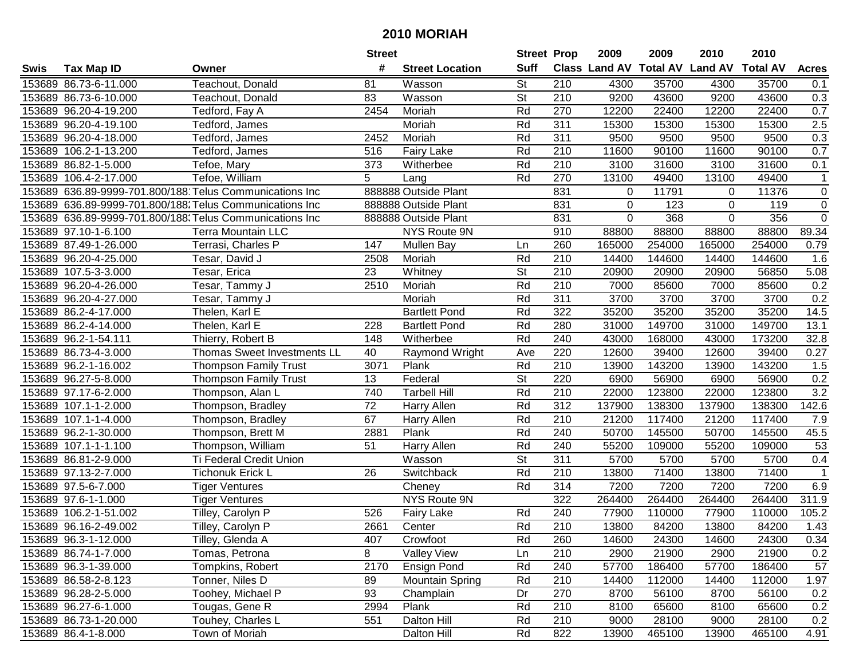| #<br><b>Suff</b><br><b>Class Land AV Total AV</b><br><b>Land AV</b><br><b>Total AV</b><br><b>Tax Map ID</b><br><b>Street Location</b><br><b>Acres</b><br>Swis<br>Owner<br>St<br>153689 86.73-6-11.000<br>Teachout, Donald<br>81<br>210<br>4300<br>35700<br>4300<br>35700<br>Wasson<br>0.1<br><b>St</b><br>153689 86.73-6-10.000<br>83<br>Wasson<br>210<br>9200<br>43600<br>9200<br>43600<br>0.3<br>Teachout, Donald<br>153689 96.20-4-19.200<br>2454<br>Moriah<br>Rd<br>270<br>12200<br>22400<br>12200<br>22400<br>0.7<br>Tedford, Fay A<br>2.5<br>Rd<br>311<br>15300<br>153689 96.20-4-19.100<br>Tedford, James<br>Moriah<br>15300<br>15300<br>15300<br>0.3<br>153689 96.20-4-18.000<br>2452<br>Rd<br>311<br>9500<br>9500<br>9500<br>9500<br>Tedford, James<br>Moriah<br>0.7<br>153689 106.2-1-13.200<br><b>Fairy Lake</b><br>Rd<br>210<br>11600<br>90100<br>11600<br>90100<br>Tedford, James<br>516<br>Rd<br>210<br>3100<br>153689 86.82-1-5.000<br>Tefoe, Mary<br>373<br>Witherbee<br>3100<br>31600<br>31600<br>0.1<br>$\overline{5}$<br>270<br>Rd<br>13100<br>49400<br>13100<br>49400<br>153689 106.4-2-17.000<br>Tefoe, William<br>$\mathbf{1}$<br>Lang<br>153689 636.89-9999-701.800/188 Telus Communications Inc<br>831<br>11791<br>$\pmb{0}$<br>888888 Outside Plant<br>11376<br>$\mathbf 0$<br>$\mathbf 0$<br>831<br>$\mathbf 0$<br>$\pmb{0}$<br>153689 636.89-9999-701.800/188. Telus Communications Inc<br>888888 Outside Plant<br>$\mathbf 0$<br>123<br>119<br>356<br>$\pmb{0}$<br>831<br>$\mathbf 0$<br>$\mathbf 0$<br>153689 636.89-9999-701.800/188. Telus Communications Inc<br>888888 Outside Plant<br>368<br>153689 97.10-1-6.100<br>NYS Route 9N<br>910<br>88800<br>88800<br>88800<br>88800<br>89.34<br><b>Terra Mountain LLC</b><br>153689 87.49-1-26.000<br>260<br>254000<br>254000<br>Terrasi, Charles P<br>147<br><b>Mullen Bay</b><br>165000<br>165000<br>0.79<br>Ln<br>210<br>153689 96.20-4-25.000<br>Moriah<br>Rd<br>14400<br>144600<br>14400<br>144600<br>1.6<br>Tesar, David J<br>2508<br><b>St</b><br>210<br>153689 107.5-3-3.000<br>23<br>Whitney<br>20900<br>56850<br>5.08<br>Tesar, Erica<br>20900<br>20900<br>Rd<br>210<br>2510<br>7000<br>85600<br>0.2<br>153689 96.20-4-26.000<br>Moriah<br>85600<br>7000<br>Tesar, Tammy J<br>$\overline{311}$<br>Rd<br>0.2<br>153689 96.20-4-27.000<br>3700<br>3700<br>3700<br>3700<br>Tesar, Tammy J<br>Moriah<br>Rd<br>322<br>14.5<br>153689 86.2-4-17.000<br>35200<br>35200<br>35200<br>35200<br>Thelen, Karl E<br><b>Bartlett Pond</b><br>153689 86.2-4-14.000<br>Rd<br>280<br>31000<br>149700<br>31000<br>149700<br>13.1<br>Thelen, Karl E<br>228<br><b>Bartlett Pond</b><br>153689 96.2-1-54.111<br>Thierry, Robert B<br>Rd<br>240<br>43000<br>168000<br>43000<br>173200<br>32.8<br>148<br>Witherbee<br>220<br>12600<br>0.27<br>153689 86.73-4-3.000<br>Thomas Sweet Investments LL<br>40<br>Raymond Wright<br>39400<br>12600<br>39400<br>Ave<br>Plank<br>1.5<br>153689 96.2-1-16.002<br><b>Thompson Family Trust</b><br>3071<br>Rd<br>210<br>13900<br>143200<br>143200<br>13900<br><b>St</b><br>0.2<br>153689 96.27-5-8.000<br>13<br>Federal<br>220<br>6900<br>56900<br><b>Thompson Family Trust</b><br>56900<br>6900<br>3.2<br>153689 97.17-6-2.000<br>740<br>Rd<br>210<br>22000<br>123800<br>22000<br>123800<br>Thompson, Alan L<br><b>Tarbell Hill</b><br>$\overline{72}$<br>312<br>Rd<br>137900<br>138300<br>138300<br>142.6<br>153689 107.1-1-2.000<br>137900<br>Thompson, Bradley<br>Harry Allen<br>67<br>Rd<br>210<br>153689 107.1-1-4.000<br>21200<br>117400<br>21200<br>117400<br>7.9<br>Thompson, Bradley<br>Harry Allen<br>Rd<br>145500<br>153689 96.2-1-30.000<br>2881<br>Plank<br>240<br>50700<br>50700<br>145500<br>45.5<br>Thompson, Brett M<br>Rd<br>153689 107.1-1-1.100<br>51<br>Harry Allen<br>240<br>55200<br>109000<br>55200<br>109000<br>53<br>Thompson, William<br>$\overline{\mathsf{St}}$<br>$\overline{311}$<br>5700<br>5700<br>5700<br>5700<br>0.4<br>153689 86.81-2-9.000<br>Ti Federal Credit Union<br>Wasson<br>Rd<br>$\overline{210}$<br>71400<br>13800<br>71400<br>153689 97.13-2-7.000<br>Tichonuk Erick L<br>26<br>13800<br>Switchback<br>$\mathbf 1$<br>Rd<br>314<br>7200<br>7200<br>7200<br>7200<br>6.9<br>153689 97.5-6-7.000<br><b>Tiger Ventures</b><br>Cheney<br>264400<br>311.9<br>153689 97.6-1-1.000<br>NYS Route 9N<br>322<br>264400<br>264400<br>264400<br><b>Tiger Ventures</b><br>240<br>153689 106.2-1-51.002<br>526<br>Rd<br>77900<br>110000<br>77900<br>110000<br>105.2<br>Tilley, Carolyn P<br>Fairy Lake<br>Rd<br>$\overline{210}$<br>153689 96.16-2-49.002<br>2661<br>13800<br>84200<br>13800<br>84200<br>1.43<br>Tilley, Carolyn P<br>Center<br>153689 96.3-1-12.000<br>Tilley, Glenda A<br>407<br>Crowfoot<br>Rd<br>260<br>14600<br>24300<br>14600<br>24300<br>0.34<br>8<br>153689 86.74-1-7.000<br>Tomas, Petrona<br><b>Valley View</b><br>210<br>2900<br>21900<br>2900<br>21900<br>0.2<br>Ln<br>Rd<br>57700<br>57<br>153689 96.3-1-39.000<br>Tompkins, Robert<br>2170<br><b>Ensign Pond</b><br>240<br>186400<br>57700<br>186400<br>Rd<br>1.97<br>153689 86.58-2-8.123<br>Tonner, Niles D<br>89<br><b>Mountain Spring</b><br>210<br>14400<br>112000<br>112000<br>14400<br>Toohey, Michael P<br>270<br>0.2<br>153689 96.28-2-5.000<br>93<br>Champlain<br>Dr<br>8700<br>56100<br>8700<br>56100<br>Tougas, Gene R<br>Rd<br>210<br>153689 96.27-6-1.000<br>2994<br>Plank<br>8100<br>65600<br>8100<br>65600<br>0.2<br>153689 86.73-1-20.000<br>Touhey, Charles L<br>551<br>Dalton Hill<br>Rd<br>210<br>9000<br>28100<br>28100<br>0.2<br>9000<br>822<br>153689 86.4-1-8.000<br>Town of Moriah<br>Rd<br>13900<br>465100<br>465100<br>Dalton Hill<br>13900<br>4.91 |  | <b>Street</b> | <b>Street Prop</b> | 2009 | 2009 | 2010 | 2010 |  |
|-------------------------------------------------------------------------------------------------------------------------------------------------------------------------------------------------------------------------------------------------------------------------------------------------------------------------------------------------------------------------------------------------------------------------------------------------------------------------------------------------------------------------------------------------------------------------------------------------------------------------------------------------------------------------------------------------------------------------------------------------------------------------------------------------------------------------------------------------------------------------------------------------------------------------------------------------------------------------------------------------------------------------------------------------------------------------------------------------------------------------------------------------------------------------------------------------------------------------------------------------------------------------------------------------------------------------------------------------------------------------------------------------------------------------------------------------------------------------------------------------------------------------------------------------------------------------------------------------------------------------------------------------------------------------------------------------------------------------------------------------------------------------------------------------------------------------------------------------------------------------------------------------------------------------------------------------------------------------------------------------------------------------------------------------------------------------------------------------------------------------------------------------------------------------------------------------------------------------------------------------------------------------------------------------------------------------------------------------------------------------------------------------------------------------------------------------------------------------------------------------------------------------------------------------------------------------------------------------------------------------------------------------------------------------------------------------------------------------------------------------------------------------------------------------------------------------------------------------------------------------------------------------------------------------------------------------------------------------------------------------------------------------------------------------------------------------------------------------------------------------------------------------------------------------------------------------------------------------------------------------------------------------------------------------------------------------------------------------------------------------------------------------------------------------------------------------------------------------------------------------------------------------------------------------------------------------------------------------------------------------------------------------------------------------------------------------------------------------------------------------------------------------------------------------------------------------------------------------------------------------------------------------------------------------------------------------------------------------------------------------------------------------------------------------------------------------------------------------------------------------------------------------------------------------------------------------------------------------------------------------------------------------------------------------------------------------------------------------------------------------------------------------------------------------------------------------------------------------------------------------------------------------------------------------------------------------------------------------------------------------------------------------------------------------------------------------------------------------------------------------------------------------------------------------------------------------------------------------------------------------------------------------------------------------------------------------------------------------------------------------------------------------------------------------------------------------------------------------------------------------------------------------------------------------------------------------------------------------------------------------------------------------------------------------------------------------------------------------------------------------------------------------------------------------------------------------------------------------------------------------------------------------------------------------------------------------------------------------------------------------------------------------------------------------------------------------|--|---------------|--------------------|------|------|------|------|--|
|                                                                                                                                                                                                                                                                                                                                                                                                                                                                                                                                                                                                                                                                                                                                                                                                                                                                                                                                                                                                                                                                                                                                                                                                                                                                                                                                                                                                                                                                                                                                                                                                                                                                                                                                                                                                                                                                                                                                                                                                                                                                                                                                                                                                                                                                                                                                                                                                                                                                                                                                                                                                                                                                                                                                                                                                                                                                                                                                                                                                                                                                                                                                                                                                                                                                                                                                                                                                                                                                                                                                                                                                                                                                                                                                                                                                                                                                                                                                                                                                                                                                                                                                                                                                                                                                                                                                                                                                                                                                                                                                                                                                                                                                                                                                                                                                                                                                                                                                                                                                                                                                                                                                                                                                                                                                                                                                                                                                                                                                                                                                                                                                                                                                                                 |  |               |                    |      |      |      |      |  |
|                                                                                                                                                                                                                                                                                                                                                                                                                                                                                                                                                                                                                                                                                                                                                                                                                                                                                                                                                                                                                                                                                                                                                                                                                                                                                                                                                                                                                                                                                                                                                                                                                                                                                                                                                                                                                                                                                                                                                                                                                                                                                                                                                                                                                                                                                                                                                                                                                                                                                                                                                                                                                                                                                                                                                                                                                                                                                                                                                                                                                                                                                                                                                                                                                                                                                                                                                                                                                                                                                                                                                                                                                                                                                                                                                                                                                                                                                                                                                                                                                                                                                                                                                                                                                                                                                                                                                                                                                                                                                                                                                                                                                                                                                                                                                                                                                                                                                                                                                                                                                                                                                                                                                                                                                                                                                                                                                                                                                                                                                                                                                                                                                                                                                                 |  |               |                    |      |      |      |      |  |
|                                                                                                                                                                                                                                                                                                                                                                                                                                                                                                                                                                                                                                                                                                                                                                                                                                                                                                                                                                                                                                                                                                                                                                                                                                                                                                                                                                                                                                                                                                                                                                                                                                                                                                                                                                                                                                                                                                                                                                                                                                                                                                                                                                                                                                                                                                                                                                                                                                                                                                                                                                                                                                                                                                                                                                                                                                                                                                                                                                                                                                                                                                                                                                                                                                                                                                                                                                                                                                                                                                                                                                                                                                                                                                                                                                                                                                                                                                                                                                                                                                                                                                                                                                                                                                                                                                                                                                                                                                                                                                                                                                                                                                                                                                                                                                                                                                                                                                                                                                                                                                                                                                                                                                                                                                                                                                                                                                                                                                                                                                                                                                                                                                                                                                 |  |               |                    |      |      |      |      |  |
|                                                                                                                                                                                                                                                                                                                                                                                                                                                                                                                                                                                                                                                                                                                                                                                                                                                                                                                                                                                                                                                                                                                                                                                                                                                                                                                                                                                                                                                                                                                                                                                                                                                                                                                                                                                                                                                                                                                                                                                                                                                                                                                                                                                                                                                                                                                                                                                                                                                                                                                                                                                                                                                                                                                                                                                                                                                                                                                                                                                                                                                                                                                                                                                                                                                                                                                                                                                                                                                                                                                                                                                                                                                                                                                                                                                                                                                                                                                                                                                                                                                                                                                                                                                                                                                                                                                                                                                                                                                                                                                                                                                                                                                                                                                                                                                                                                                                                                                                                                                                                                                                                                                                                                                                                                                                                                                                                                                                                                                                                                                                                                                                                                                                                                 |  |               |                    |      |      |      |      |  |
|                                                                                                                                                                                                                                                                                                                                                                                                                                                                                                                                                                                                                                                                                                                                                                                                                                                                                                                                                                                                                                                                                                                                                                                                                                                                                                                                                                                                                                                                                                                                                                                                                                                                                                                                                                                                                                                                                                                                                                                                                                                                                                                                                                                                                                                                                                                                                                                                                                                                                                                                                                                                                                                                                                                                                                                                                                                                                                                                                                                                                                                                                                                                                                                                                                                                                                                                                                                                                                                                                                                                                                                                                                                                                                                                                                                                                                                                                                                                                                                                                                                                                                                                                                                                                                                                                                                                                                                                                                                                                                                                                                                                                                                                                                                                                                                                                                                                                                                                                                                                                                                                                                                                                                                                                                                                                                                                                                                                                                                                                                                                                                                                                                                                                                 |  |               |                    |      |      |      |      |  |
|                                                                                                                                                                                                                                                                                                                                                                                                                                                                                                                                                                                                                                                                                                                                                                                                                                                                                                                                                                                                                                                                                                                                                                                                                                                                                                                                                                                                                                                                                                                                                                                                                                                                                                                                                                                                                                                                                                                                                                                                                                                                                                                                                                                                                                                                                                                                                                                                                                                                                                                                                                                                                                                                                                                                                                                                                                                                                                                                                                                                                                                                                                                                                                                                                                                                                                                                                                                                                                                                                                                                                                                                                                                                                                                                                                                                                                                                                                                                                                                                                                                                                                                                                                                                                                                                                                                                                                                                                                                                                                                                                                                                                                                                                                                                                                                                                                                                                                                                                                                                                                                                                                                                                                                                                                                                                                                                                                                                                                                                                                                                                                                                                                                                                                 |  |               |                    |      |      |      |      |  |
|                                                                                                                                                                                                                                                                                                                                                                                                                                                                                                                                                                                                                                                                                                                                                                                                                                                                                                                                                                                                                                                                                                                                                                                                                                                                                                                                                                                                                                                                                                                                                                                                                                                                                                                                                                                                                                                                                                                                                                                                                                                                                                                                                                                                                                                                                                                                                                                                                                                                                                                                                                                                                                                                                                                                                                                                                                                                                                                                                                                                                                                                                                                                                                                                                                                                                                                                                                                                                                                                                                                                                                                                                                                                                                                                                                                                                                                                                                                                                                                                                                                                                                                                                                                                                                                                                                                                                                                                                                                                                                                                                                                                                                                                                                                                                                                                                                                                                                                                                                                                                                                                                                                                                                                                                                                                                                                                                                                                                                                                                                                                                                                                                                                                                                 |  |               |                    |      |      |      |      |  |
|                                                                                                                                                                                                                                                                                                                                                                                                                                                                                                                                                                                                                                                                                                                                                                                                                                                                                                                                                                                                                                                                                                                                                                                                                                                                                                                                                                                                                                                                                                                                                                                                                                                                                                                                                                                                                                                                                                                                                                                                                                                                                                                                                                                                                                                                                                                                                                                                                                                                                                                                                                                                                                                                                                                                                                                                                                                                                                                                                                                                                                                                                                                                                                                                                                                                                                                                                                                                                                                                                                                                                                                                                                                                                                                                                                                                                                                                                                                                                                                                                                                                                                                                                                                                                                                                                                                                                                                                                                                                                                                                                                                                                                                                                                                                                                                                                                                                                                                                                                                                                                                                                                                                                                                                                                                                                                                                                                                                                                                                                                                                                                                                                                                                                                 |  |               |                    |      |      |      |      |  |
|                                                                                                                                                                                                                                                                                                                                                                                                                                                                                                                                                                                                                                                                                                                                                                                                                                                                                                                                                                                                                                                                                                                                                                                                                                                                                                                                                                                                                                                                                                                                                                                                                                                                                                                                                                                                                                                                                                                                                                                                                                                                                                                                                                                                                                                                                                                                                                                                                                                                                                                                                                                                                                                                                                                                                                                                                                                                                                                                                                                                                                                                                                                                                                                                                                                                                                                                                                                                                                                                                                                                                                                                                                                                                                                                                                                                                                                                                                                                                                                                                                                                                                                                                                                                                                                                                                                                                                                                                                                                                                                                                                                                                                                                                                                                                                                                                                                                                                                                                                                                                                                                                                                                                                                                                                                                                                                                                                                                                                                                                                                                                                                                                                                                                                 |  |               |                    |      |      |      |      |  |
|                                                                                                                                                                                                                                                                                                                                                                                                                                                                                                                                                                                                                                                                                                                                                                                                                                                                                                                                                                                                                                                                                                                                                                                                                                                                                                                                                                                                                                                                                                                                                                                                                                                                                                                                                                                                                                                                                                                                                                                                                                                                                                                                                                                                                                                                                                                                                                                                                                                                                                                                                                                                                                                                                                                                                                                                                                                                                                                                                                                                                                                                                                                                                                                                                                                                                                                                                                                                                                                                                                                                                                                                                                                                                                                                                                                                                                                                                                                                                                                                                                                                                                                                                                                                                                                                                                                                                                                                                                                                                                                                                                                                                                                                                                                                                                                                                                                                                                                                                                                                                                                                                                                                                                                                                                                                                                                                                                                                                                                                                                                                                                                                                                                                                                 |  |               |                    |      |      |      |      |  |
|                                                                                                                                                                                                                                                                                                                                                                                                                                                                                                                                                                                                                                                                                                                                                                                                                                                                                                                                                                                                                                                                                                                                                                                                                                                                                                                                                                                                                                                                                                                                                                                                                                                                                                                                                                                                                                                                                                                                                                                                                                                                                                                                                                                                                                                                                                                                                                                                                                                                                                                                                                                                                                                                                                                                                                                                                                                                                                                                                                                                                                                                                                                                                                                                                                                                                                                                                                                                                                                                                                                                                                                                                                                                                                                                                                                                                                                                                                                                                                                                                                                                                                                                                                                                                                                                                                                                                                                                                                                                                                                                                                                                                                                                                                                                                                                                                                                                                                                                                                                                                                                                                                                                                                                                                                                                                                                                                                                                                                                                                                                                                                                                                                                                                                 |  |               |                    |      |      |      |      |  |
|                                                                                                                                                                                                                                                                                                                                                                                                                                                                                                                                                                                                                                                                                                                                                                                                                                                                                                                                                                                                                                                                                                                                                                                                                                                                                                                                                                                                                                                                                                                                                                                                                                                                                                                                                                                                                                                                                                                                                                                                                                                                                                                                                                                                                                                                                                                                                                                                                                                                                                                                                                                                                                                                                                                                                                                                                                                                                                                                                                                                                                                                                                                                                                                                                                                                                                                                                                                                                                                                                                                                                                                                                                                                                                                                                                                                                                                                                                                                                                                                                                                                                                                                                                                                                                                                                                                                                                                                                                                                                                                                                                                                                                                                                                                                                                                                                                                                                                                                                                                                                                                                                                                                                                                                                                                                                                                                                                                                                                                                                                                                                                                                                                                                                                 |  |               |                    |      |      |      |      |  |
|                                                                                                                                                                                                                                                                                                                                                                                                                                                                                                                                                                                                                                                                                                                                                                                                                                                                                                                                                                                                                                                                                                                                                                                                                                                                                                                                                                                                                                                                                                                                                                                                                                                                                                                                                                                                                                                                                                                                                                                                                                                                                                                                                                                                                                                                                                                                                                                                                                                                                                                                                                                                                                                                                                                                                                                                                                                                                                                                                                                                                                                                                                                                                                                                                                                                                                                                                                                                                                                                                                                                                                                                                                                                                                                                                                                                                                                                                                                                                                                                                                                                                                                                                                                                                                                                                                                                                                                                                                                                                                                                                                                                                                                                                                                                                                                                                                                                                                                                                                                                                                                                                                                                                                                                                                                                                                                                                                                                                                                                                                                                                                                                                                                                                                 |  |               |                    |      |      |      |      |  |
|                                                                                                                                                                                                                                                                                                                                                                                                                                                                                                                                                                                                                                                                                                                                                                                                                                                                                                                                                                                                                                                                                                                                                                                                                                                                                                                                                                                                                                                                                                                                                                                                                                                                                                                                                                                                                                                                                                                                                                                                                                                                                                                                                                                                                                                                                                                                                                                                                                                                                                                                                                                                                                                                                                                                                                                                                                                                                                                                                                                                                                                                                                                                                                                                                                                                                                                                                                                                                                                                                                                                                                                                                                                                                                                                                                                                                                                                                                                                                                                                                                                                                                                                                                                                                                                                                                                                                                                                                                                                                                                                                                                                                                                                                                                                                                                                                                                                                                                                                                                                                                                                                                                                                                                                                                                                                                                                                                                                                                                                                                                                                                                                                                                                                                 |  |               |                    |      |      |      |      |  |
|                                                                                                                                                                                                                                                                                                                                                                                                                                                                                                                                                                                                                                                                                                                                                                                                                                                                                                                                                                                                                                                                                                                                                                                                                                                                                                                                                                                                                                                                                                                                                                                                                                                                                                                                                                                                                                                                                                                                                                                                                                                                                                                                                                                                                                                                                                                                                                                                                                                                                                                                                                                                                                                                                                                                                                                                                                                                                                                                                                                                                                                                                                                                                                                                                                                                                                                                                                                                                                                                                                                                                                                                                                                                                                                                                                                                                                                                                                                                                                                                                                                                                                                                                                                                                                                                                                                                                                                                                                                                                                                                                                                                                                                                                                                                                                                                                                                                                                                                                                                                                                                                                                                                                                                                                                                                                                                                                                                                                                                                                                                                                                                                                                                                                                 |  |               |                    |      |      |      |      |  |
|                                                                                                                                                                                                                                                                                                                                                                                                                                                                                                                                                                                                                                                                                                                                                                                                                                                                                                                                                                                                                                                                                                                                                                                                                                                                                                                                                                                                                                                                                                                                                                                                                                                                                                                                                                                                                                                                                                                                                                                                                                                                                                                                                                                                                                                                                                                                                                                                                                                                                                                                                                                                                                                                                                                                                                                                                                                                                                                                                                                                                                                                                                                                                                                                                                                                                                                                                                                                                                                                                                                                                                                                                                                                                                                                                                                                                                                                                                                                                                                                                                                                                                                                                                                                                                                                                                                                                                                                                                                                                                                                                                                                                                                                                                                                                                                                                                                                                                                                                                                                                                                                                                                                                                                                                                                                                                                                                                                                                                                                                                                                                                                                                                                                                                 |  |               |                    |      |      |      |      |  |
|                                                                                                                                                                                                                                                                                                                                                                                                                                                                                                                                                                                                                                                                                                                                                                                                                                                                                                                                                                                                                                                                                                                                                                                                                                                                                                                                                                                                                                                                                                                                                                                                                                                                                                                                                                                                                                                                                                                                                                                                                                                                                                                                                                                                                                                                                                                                                                                                                                                                                                                                                                                                                                                                                                                                                                                                                                                                                                                                                                                                                                                                                                                                                                                                                                                                                                                                                                                                                                                                                                                                                                                                                                                                                                                                                                                                                                                                                                                                                                                                                                                                                                                                                                                                                                                                                                                                                                                                                                                                                                                                                                                                                                                                                                                                                                                                                                                                                                                                                                                                                                                                                                                                                                                                                                                                                                                                                                                                                                                                                                                                                                                                                                                                                                 |  |               |                    |      |      |      |      |  |
|                                                                                                                                                                                                                                                                                                                                                                                                                                                                                                                                                                                                                                                                                                                                                                                                                                                                                                                                                                                                                                                                                                                                                                                                                                                                                                                                                                                                                                                                                                                                                                                                                                                                                                                                                                                                                                                                                                                                                                                                                                                                                                                                                                                                                                                                                                                                                                                                                                                                                                                                                                                                                                                                                                                                                                                                                                                                                                                                                                                                                                                                                                                                                                                                                                                                                                                                                                                                                                                                                                                                                                                                                                                                                                                                                                                                                                                                                                                                                                                                                                                                                                                                                                                                                                                                                                                                                                                                                                                                                                                                                                                                                                                                                                                                                                                                                                                                                                                                                                                                                                                                                                                                                                                                                                                                                                                                                                                                                                                                                                                                                                                                                                                                                                 |  |               |                    |      |      |      |      |  |
|                                                                                                                                                                                                                                                                                                                                                                                                                                                                                                                                                                                                                                                                                                                                                                                                                                                                                                                                                                                                                                                                                                                                                                                                                                                                                                                                                                                                                                                                                                                                                                                                                                                                                                                                                                                                                                                                                                                                                                                                                                                                                                                                                                                                                                                                                                                                                                                                                                                                                                                                                                                                                                                                                                                                                                                                                                                                                                                                                                                                                                                                                                                                                                                                                                                                                                                                                                                                                                                                                                                                                                                                                                                                                                                                                                                                                                                                                                                                                                                                                                                                                                                                                                                                                                                                                                                                                                                                                                                                                                                                                                                                                                                                                                                                                                                                                                                                                                                                                                                                                                                                                                                                                                                                                                                                                                                                                                                                                                                                                                                                                                                                                                                                                                 |  |               |                    |      |      |      |      |  |
|                                                                                                                                                                                                                                                                                                                                                                                                                                                                                                                                                                                                                                                                                                                                                                                                                                                                                                                                                                                                                                                                                                                                                                                                                                                                                                                                                                                                                                                                                                                                                                                                                                                                                                                                                                                                                                                                                                                                                                                                                                                                                                                                                                                                                                                                                                                                                                                                                                                                                                                                                                                                                                                                                                                                                                                                                                                                                                                                                                                                                                                                                                                                                                                                                                                                                                                                                                                                                                                                                                                                                                                                                                                                                                                                                                                                                                                                                                                                                                                                                                                                                                                                                                                                                                                                                                                                                                                                                                                                                                                                                                                                                                                                                                                                                                                                                                                                                                                                                                                                                                                                                                                                                                                                                                                                                                                                                                                                                                                                                                                                                                                                                                                                                                 |  |               |                    |      |      |      |      |  |
|                                                                                                                                                                                                                                                                                                                                                                                                                                                                                                                                                                                                                                                                                                                                                                                                                                                                                                                                                                                                                                                                                                                                                                                                                                                                                                                                                                                                                                                                                                                                                                                                                                                                                                                                                                                                                                                                                                                                                                                                                                                                                                                                                                                                                                                                                                                                                                                                                                                                                                                                                                                                                                                                                                                                                                                                                                                                                                                                                                                                                                                                                                                                                                                                                                                                                                                                                                                                                                                                                                                                                                                                                                                                                                                                                                                                                                                                                                                                                                                                                                                                                                                                                                                                                                                                                                                                                                                                                                                                                                                                                                                                                                                                                                                                                                                                                                                                                                                                                                                                                                                                                                                                                                                                                                                                                                                                                                                                                                                                                                                                                                                                                                                                                                 |  |               |                    |      |      |      |      |  |
|                                                                                                                                                                                                                                                                                                                                                                                                                                                                                                                                                                                                                                                                                                                                                                                                                                                                                                                                                                                                                                                                                                                                                                                                                                                                                                                                                                                                                                                                                                                                                                                                                                                                                                                                                                                                                                                                                                                                                                                                                                                                                                                                                                                                                                                                                                                                                                                                                                                                                                                                                                                                                                                                                                                                                                                                                                                                                                                                                                                                                                                                                                                                                                                                                                                                                                                                                                                                                                                                                                                                                                                                                                                                                                                                                                                                                                                                                                                                                                                                                                                                                                                                                                                                                                                                                                                                                                                                                                                                                                                                                                                                                                                                                                                                                                                                                                                                                                                                                                                                                                                                                                                                                                                                                                                                                                                                                                                                                                                                                                                                                                                                                                                                                                 |  |               |                    |      |      |      |      |  |
|                                                                                                                                                                                                                                                                                                                                                                                                                                                                                                                                                                                                                                                                                                                                                                                                                                                                                                                                                                                                                                                                                                                                                                                                                                                                                                                                                                                                                                                                                                                                                                                                                                                                                                                                                                                                                                                                                                                                                                                                                                                                                                                                                                                                                                                                                                                                                                                                                                                                                                                                                                                                                                                                                                                                                                                                                                                                                                                                                                                                                                                                                                                                                                                                                                                                                                                                                                                                                                                                                                                                                                                                                                                                                                                                                                                                                                                                                                                                                                                                                                                                                                                                                                                                                                                                                                                                                                                                                                                                                                                                                                                                                                                                                                                                                                                                                                                                                                                                                                                                                                                                                                                                                                                                                                                                                                                                                                                                                                                                                                                                                                                                                                                                                                 |  |               |                    |      |      |      |      |  |
|                                                                                                                                                                                                                                                                                                                                                                                                                                                                                                                                                                                                                                                                                                                                                                                                                                                                                                                                                                                                                                                                                                                                                                                                                                                                                                                                                                                                                                                                                                                                                                                                                                                                                                                                                                                                                                                                                                                                                                                                                                                                                                                                                                                                                                                                                                                                                                                                                                                                                                                                                                                                                                                                                                                                                                                                                                                                                                                                                                                                                                                                                                                                                                                                                                                                                                                                                                                                                                                                                                                                                                                                                                                                                                                                                                                                                                                                                                                                                                                                                                                                                                                                                                                                                                                                                                                                                                                                                                                                                                                                                                                                                                                                                                                                                                                                                                                                                                                                                                                                                                                                                                                                                                                                                                                                                                                                                                                                                                                                                                                                                                                                                                                                                                 |  |               |                    |      |      |      |      |  |
|                                                                                                                                                                                                                                                                                                                                                                                                                                                                                                                                                                                                                                                                                                                                                                                                                                                                                                                                                                                                                                                                                                                                                                                                                                                                                                                                                                                                                                                                                                                                                                                                                                                                                                                                                                                                                                                                                                                                                                                                                                                                                                                                                                                                                                                                                                                                                                                                                                                                                                                                                                                                                                                                                                                                                                                                                                                                                                                                                                                                                                                                                                                                                                                                                                                                                                                                                                                                                                                                                                                                                                                                                                                                                                                                                                                                                                                                                                                                                                                                                                                                                                                                                                                                                                                                                                                                                                                                                                                                                                                                                                                                                                                                                                                                                                                                                                                                                                                                                                                                                                                                                                                                                                                                                                                                                                                                                                                                                                                                                                                                                                                                                                                                                                 |  |               |                    |      |      |      |      |  |
|                                                                                                                                                                                                                                                                                                                                                                                                                                                                                                                                                                                                                                                                                                                                                                                                                                                                                                                                                                                                                                                                                                                                                                                                                                                                                                                                                                                                                                                                                                                                                                                                                                                                                                                                                                                                                                                                                                                                                                                                                                                                                                                                                                                                                                                                                                                                                                                                                                                                                                                                                                                                                                                                                                                                                                                                                                                                                                                                                                                                                                                                                                                                                                                                                                                                                                                                                                                                                                                                                                                                                                                                                                                                                                                                                                                                                                                                                                                                                                                                                                                                                                                                                                                                                                                                                                                                                                                                                                                                                                                                                                                                                                                                                                                                                                                                                                                                                                                                                                                                                                                                                                                                                                                                                                                                                                                                                                                                                                                                                                                                                                                                                                                                                                 |  |               |                    |      |      |      |      |  |
|                                                                                                                                                                                                                                                                                                                                                                                                                                                                                                                                                                                                                                                                                                                                                                                                                                                                                                                                                                                                                                                                                                                                                                                                                                                                                                                                                                                                                                                                                                                                                                                                                                                                                                                                                                                                                                                                                                                                                                                                                                                                                                                                                                                                                                                                                                                                                                                                                                                                                                                                                                                                                                                                                                                                                                                                                                                                                                                                                                                                                                                                                                                                                                                                                                                                                                                                                                                                                                                                                                                                                                                                                                                                                                                                                                                                                                                                                                                                                                                                                                                                                                                                                                                                                                                                                                                                                                                                                                                                                                                                                                                                                                                                                                                                                                                                                                                                                                                                                                                                                                                                                                                                                                                                                                                                                                                                                                                                                                                                                                                                                                                                                                                                                                 |  |               |                    |      |      |      |      |  |
|                                                                                                                                                                                                                                                                                                                                                                                                                                                                                                                                                                                                                                                                                                                                                                                                                                                                                                                                                                                                                                                                                                                                                                                                                                                                                                                                                                                                                                                                                                                                                                                                                                                                                                                                                                                                                                                                                                                                                                                                                                                                                                                                                                                                                                                                                                                                                                                                                                                                                                                                                                                                                                                                                                                                                                                                                                                                                                                                                                                                                                                                                                                                                                                                                                                                                                                                                                                                                                                                                                                                                                                                                                                                                                                                                                                                                                                                                                                                                                                                                                                                                                                                                                                                                                                                                                                                                                                                                                                                                                                                                                                                                                                                                                                                                                                                                                                                                                                                                                                                                                                                                                                                                                                                                                                                                                                                                                                                                                                                                                                                                                                                                                                                                                 |  |               |                    |      |      |      |      |  |
|                                                                                                                                                                                                                                                                                                                                                                                                                                                                                                                                                                                                                                                                                                                                                                                                                                                                                                                                                                                                                                                                                                                                                                                                                                                                                                                                                                                                                                                                                                                                                                                                                                                                                                                                                                                                                                                                                                                                                                                                                                                                                                                                                                                                                                                                                                                                                                                                                                                                                                                                                                                                                                                                                                                                                                                                                                                                                                                                                                                                                                                                                                                                                                                                                                                                                                                                                                                                                                                                                                                                                                                                                                                                                                                                                                                                                                                                                                                                                                                                                                                                                                                                                                                                                                                                                                                                                                                                                                                                                                                                                                                                                                                                                                                                                                                                                                                                                                                                                                                                                                                                                                                                                                                                                                                                                                                                                                                                                                                                                                                                                                                                                                                                                                 |  |               |                    |      |      |      |      |  |
|                                                                                                                                                                                                                                                                                                                                                                                                                                                                                                                                                                                                                                                                                                                                                                                                                                                                                                                                                                                                                                                                                                                                                                                                                                                                                                                                                                                                                                                                                                                                                                                                                                                                                                                                                                                                                                                                                                                                                                                                                                                                                                                                                                                                                                                                                                                                                                                                                                                                                                                                                                                                                                                                                                                                                                                                                                                                                                                                                                                                                                                                                                                                                                                                                                                                                                                                                                                                                                                                                                                                                                                                                                                                                                                                                                                                                                                                                                                                                                                                                                                                                                                                                                                                                                                                                                                                                                                                                                                                                                                                                                                                                                                                                                                                                                                                                                                                                                                                                                                                                                                                                                                                                                                                                                                                                                                                                                                                                                                                                                                                                                                                                                                                                                 |  |               |                    |      |      |      |      |  |
|                                                                                                                                                                                                                                                                                                                                                                                                                                                                                                                                                                                                                                                                                                                                                                                                                                                                                                                                                                                                                                                                                                                                                                                                                                                                                                                                                                                                                                                                                                                                                                                                                                                                                                                                                                                                                                                                                                                                                                                                                                                                                                                                                                                                                                                                                                                                                                                                                                                                                                                                                                                                                                                                                                                                                                                                                                                                                                                                                                                                                                                                                                                                                                                                                                                                                                                                                                                                                                                                                                                                                                                                                                                                                                                                                                                                                                                                                                                                                                                                                                                                                                                                                                                                                                                                                                                                                                                                                                                                                                                                                                                                                                                                                                                                                                                                                                                                                                                                                                                                                                                                                                                                                                                                                                                                                                                                                                                                                                                                                                                                                                                                                                                                                                 |  |               |                    |      |      |      |      |  |
|                                                                                                                                                                                                                                                                                                                                                                                                                                                                                                                                                                                                                                                                                                                                                                                                                                                                                                                                                                                                                                                                                                                                                                                                                                                                                                                                                                                                                                                                                                                                                                                                                                                                                                                                                                                                                                                                                                                                                                                                                                                                                                                                                                                                                                                                                                                                                                                                                                                                                                                                                                                                                                                                                                                                                                                                                                                                                                                                                                                                                                                                                                                                                                                                                                                                                                                                                                                                                                                                                                                                                                                                                                                                                                                                                                                                                                                                                                                                                                                                                                                                                                                                                                                                                                                                                                                                                                                                                                                                                                                                                                                                                                                                                                                                                                                                                                                                                                                                                                                                                                                                                                                                                                                                                                                                                                                                                                                                                                                                                                                                                                                                                                                                                                 |  |               |                    |      |      |      |      |  |
|                                                                                                                                                                                                                                                                                                                                                                                                                                                                                                                                                                                                                                                                                                                                                                                                                                                                                                                                                                                                                                                                                                                                                                                                                                                                                                                                                                                                                                                                                                                                                                                                                                                                                                                                                                                                                                                                                                                                                                                                                                                                                                                                                                                                                                                                                                                                                                                                                                                                                                                                                                                                                                                                                                                                                                                                                                                                                                                                                                                                                                                                                                                                                                                                                                                                                                                                                                                                                                                                                                                                                                                                                                                                                                                                                                                                                                                                                                                                                                                                                                                                                                                                                                                                                                                                                                                                                                                                                                                                                                                                                                                                                                                                                                                                                                                                                                                                                                                                                                                                                                                                                                                                                                                                                                                                                                                                                                                                                                                                                                                                                                                                                                                                                                 |  |               |                    |      |      |      |      |  |
|                                                                                                                                                                                                                                                                                                                                                                                                                                                                                                                                                                                                                                                                                                                                                                                                                                                                                                                                                                                                                                                                                                                                                                                                                                                                                                                                                                                                                                                                                                                                                                                                                                                                                                                                                                                                                                                                                                                                                                                                                                                                                                                                                                                                                                                                                                                                                                                                                                                                                                                                                                                                                                                                                                                                                                                                                                                                                                                                                                                                                                                                                                                                                                                                                                                                                                                                                                                                                                                                                                                                                                                                                                                                                                                                                                                                                                                                                                                                                                                                                                                                                                                                                                                                                                                                                                                                                                                                                                                                                                                                                                                                                                                                                                                                                                                                                                                                                                                                                                                                                                                                                                                                                                                                                                                                                                                                                                                                                                                                                                                                                                                                                                                                                                 |  |               |                    |      |      |      |      |  |
|                                                                                                                                                                                                                                                                                                                                                                                                                                                                                                                                                                                                                                                                                                                                                                                                                                                                                                                                                                                                                                                                                                                                                                                                                                                                                                                                                                                                                                                                                                                                                                                                                                                                                                                                                                                                                                                                                                                                                                                                                                                                                                                                                                                                                                                                                                                                                                                                                                                                                                                                                                                                                                                                                                                                                                                                                                                                                                                                                                                                                                                                                                                                                                                                                                                                                                                                                                                                                                                                                                                                                                                                                                                                                                                                                                                                                                                                                                                                                                                                                                                                                                                                                                                                                                                                                                                                                                                                                                                                                                                                                                                                                                                                                                                                                                                                                                                                                                                                                                                                                                                                                                                                                                                                                                                                                                                                                                                                                                                                                                                                                                                                                                                                                                 |  |               |                    |      |      |      |      |  |
|                                                                                                                                                                                                                                                                                                                                                                                                                                                                                                                                                                                                                                                                                                                                                                                                                                                                                                                                                                                                                                                                                                                                                                                                                                                                                                                                                                                                                                                                                                                                                                                                                                                                                                                                                                                                                                                                                                                                                                                                                                                                                                                                                                                                                                                                                                                                                                                                                                                                                                                                                                                                                                                                                                                                                                                                                                                                                                                                                                                                                                                                                                                                                                                                                                                                                                                                                                                                                                                                                                                                                                                                                                                                                                                                                                                                                                                                                                                                                                                                                                                                                                                                                                                                                                                                                                                                                                                                                                                                                                                                                                                                                                                                                                                                                                                                                                                                                                                                                                                                                                                                                                                                                                                                                                                                                                                                                                                                                                                                                                                                                                                                                                                                                                 |  |               |                    |      |      |      |      |  |
|                                                                                                                                                                                                                                                                                                                                                                                                                                                                                                                                                                                                                                                                                                                                                                                                                                                                                                                                                                                                                                                                                                                                                                                                                                                                                                                                                                                                                                                                                                                                                                                                                                                                                                                                                                                                                                                                                                                                                                                                                                                                                                                                                                                                                                                                                                                                                                                                                                                                                                                                                                                                                                                                                                                                                                                                                                                                                                                                                                                                                                                                                                                                                                                                                                                                                                                                                                                                                                                                                                                                                                                                                                                                                                                                                                                                                                                                                                                                                                                                                                                                                                                                                                                                                                                                                                                                                                                                                                                                                                                                                                                                                                                                                                                                                                                                                                                                                                                                                                                                                                                                                                                                                                                                                                                                                                                                                                                                                                                                                                                                                                                                                                                                                                 |  |               |                    |      |      |      |      |  |
|                                                                                                                                                                                                                                                                                                                                                                                                                                                                                                                                                                                                                                                                                                                                                                                                                                                                                                                                                                                                                                                                                                                                                                                                                                                                                                                                                                                                                                                                                                                                                                                                                                                                                                                                                                                                                                                                                                                                                                                                                                                                                                                                                                                                                                                                                                                                                                                                                                                                                                                                                                                                                                                                                                                                                                                                                                                                                                                                                                                                                                                                                                                                                                                                                                                                                                                                                                                                                                                                                                                                                                                                                                                                                                                                                                                                                                                                                                                                                                                                                                                                                                                                                                                                                                                                                                                                                                                                                                                                                                                                                                                                                                                                                                                                                                                                                                                                                                                                                                                                                                                                                                                                                                                                                                                                                                                                                                                                                                                                                                                                                                                                                                                                                                 |  |               |                    |      |      |      |      |  |
|                                                                                                                                                                                                                                                                                                                                                                                                                                                                                                                                                                                                                                                                                                                                                                                                                                                                                                                                                                                                                                                                                                                                                                                                                                                                                                                                                                                                                                                                                                                                                                                                                                                                                                                                                                                                                                                                                                                                                                                                                                                                                                                                                                                                                                                                                                                                                                                                                                                                                                                                                                                                                                                                                                                                                                                                                                                                                                                                                                                                                                                                                                                                                                                                                                                                                                                                                                                                                                                                                                                                                                                                                                                                                                                                                                                                                                                                                                                                                                                                                                                                                                                                                                                                                                                                                                                                                                                                                                                                                                                                                                                                                                                                                                                                                                                                                                                                                                                                                                                                                                                                                                                                                                                                                                                                                                                                                                                                                                                                                                                                                                                                                                                                                                 |  |               |                    |      |      |      |      |  |
|                                                                                                                                                                                                                                                                                                                                                                                                                                                                                                                                                                                                                                                                                                                                                                                                                                                                                                                                                                                                                                                                                                                                                                                                                                                                                                                                                                                                                                                                                                                                                                                                                                                                                                                                                                                                                                                                                                                                                                                                                                                                                                                                                                                                                                                                                                                                                                                                                                                                                                                                                                                                                                                                                                                                                                                                                                                                                                                                                                                                                                                                                                                                                                                                                                                                                                                                                                                                                                                                                                                                                                                                                                                                                                                                                                                                                                                                                                                                                                                                                                                                                                                                                                                                                                                                                                                                                                                                                                                                                                                                                                                                                                                                                                                                                                                                                                                                                                                                                                                                                                                                                                                                                                                                                                                                                                                                                                                                                                                                                                                                                                                                                                                                                                 |  |               |                    |      |      |      |      |  |
|                                                                                                                                                                                                                                                                                                                                                                                                                                                                                                                                                                                                                                                                                                                                                                                                                                                                                                                                                                                                                                                                                                                                                                                                                                                                                                                                                                                                                                                                                                                                                                                                                                                                                                                                                                                                                                                                                                                                                                                                                                                                                                                                                                                                                                                                                                                                                                                                                                                                                                                                                                                                                                                                                                                                                                                                                                                                                                                                                                                                                                                                                                                                                                                                                                                                                                                                                                                                                                                                                                                                                                                                                                                                                                                                                                                                                                                                                                                                                                                                                                                                                                                                                                                                                                                                                                                                                                                                                                                                                                                                                                                                                                                                                                                                                                                                                                                                                                                                                                                                                                                                                                                                                                                                                                                                                                                                                                                                                                                                                                                                                                                                                                                                                                 |  |               |                    |      |      |      |      |  |
|                                                                                                                                                                                                                                                                                                                                                                                                                                                                                                                                                                                                                                                                                                                                                                                                                                                                                                                                                                                                                                                                                                                                                                                                                                                                                                                                                                                                                                                                                                                                                                                                                                                                                                                                                                                                                                                                                                                                                                                                                                                                                                                                                                                                                                                                                                                                                                                                                                                                                                                                                                                                                                                                                                                                                                                                                                                                                                                                                                                                                                                                                                                                                                                                                                                                                                                                                                                                                                                                                                                                                                                                                                                                                                                                                                                                                                                                                                                                                                                                                                                                                                                                                                                                                                                                                                                                                                                                                                                                                                                                                                                                                                                                                                                                                                                                                                                                                                                                                                                                                                                                                                                                                                                                                                                                                                                                                                                                                                                                                                                                                                                                                                                                                                 |  |               |                    |      |      |      |      |  |
|                                                                                                                                                                                                                                                                                                                                                                                                                                                                                                                                                                                                                                                                                                                                                                                                                                                                                                                                                                                                                                                                                                                                                                                                                                                                                                                                                                                                                                                                                                                                                                                                                                                                                                                                                                                                                                                                                                                                                                                                                                                                                                                                                                                                                                                                                                                                                                                                                                                                                                                                                                                                                                                                                                                                                                                                                                                                                                                                                                                                                                                                                                                                                                                                                                                                                                                                                                                                                                                                                                                                                                                                                                                                                                                                                                                                                                                                                                                                                                                                                                                                                                                                                                                                                                                                                                                                                                                                                                                                                                                                                                                                                                                                                                                                                                                                                                                                                                                                                                                                                                                                                                                                                                                                                                                                                                                                                                                                                                                                                                                                                                                                                                                                                                 |  |               |                    |      |      |      |      |  |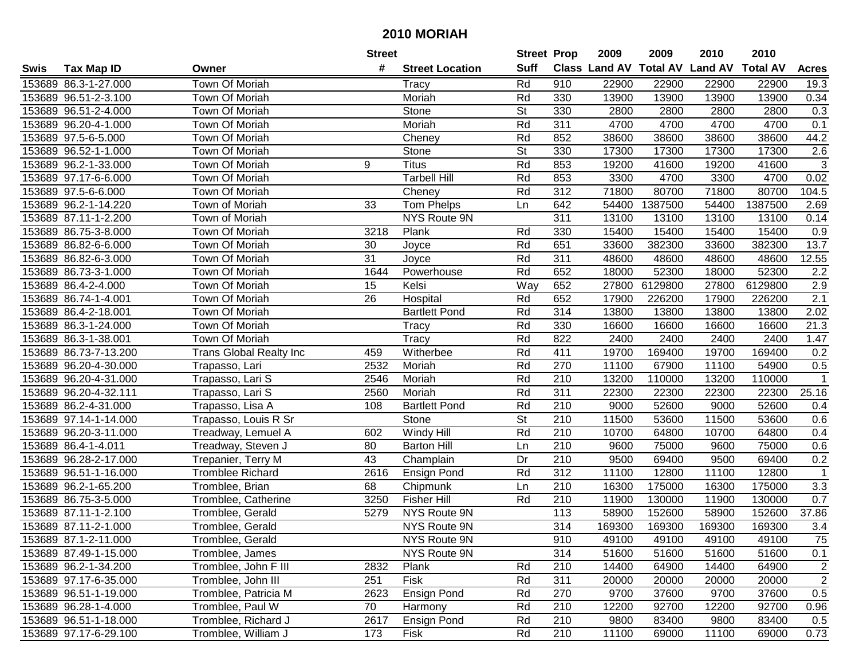| #<br><b>Suff</b><br><b>Class Land AV Total AV</b><br><b>Land AV</b><br><b>Total AV</b><br><b>Tax Map ID</b><br><b>Street Location</b><br><b>Acres</b><br>Swis<br>Owner<br>153689 86.3-1-27.000<br>Town Of Moriah<br>Rd<br>910<br>22900<br>22900<br>22900<br>22900<br>19.3<br>Tracy<br>153689 96.51-2-3.100<br>Town Of Moriah<br>Moriah<br>Rd<br>330<br>13900<br>13900<br>13900<br>0.34<br>13900<br><b>St</b><br>153689 96.51-2-4.000<br>Town Of Moriah<br>Stone<br>330<br>2800<br>2800<br>2800<br>2800<br>0.3<br>Rd<br>311<br>4700<br>153689 96.20-4-1.000<br>Town Of Moriah<br>Moriah<br>4700<br>4700<br>4700<br>0.1<br>153689 97.5-6-5.000<br>Town Of Moriah<br>Rd<br>852<br>38600<br>38600<br>38600<br>44.2<br>Cheney<br>38600<br>153689 96.52-1-1.000<br>Town Of Moriah<br>Stone<br><b>St</b><br>330<br>17300<br>17300<br>17300<br>2.6<br>17300<br>3<br>Town Of Moriah<br>9<br><b>Titus</b><br>853<br>153689 96.2-1-33.000<br>Rd<br>19200<br>41600<br>19200<br>41600<br>153689 97.17-6-6.000<br><b>Town Of Moriah</b><br><b>Tarbell Hill</b><br>Rd<br>853<br>3300<br>4700<br>3300<br>4700<br>0.02<br>312<br>71800<br>71800<br>80700<br>104.5<br>153689 97.5-6-6.000<br>Town Of Moriah<br>Rd<br>80700<br>Cheney<br>642<br>153689 96.2-1-14.220<br>Town of Moriah<br>33<br>Tom Phelps<br>54400<br>1387500<br>54400<br>1387500<br>2.69<br>Ln<br>NYS Route 9N<br>311<br>13100<br>13100<br>153689 87.11-1-2.200<br>Town of Moriah<br>13100<br>13100<br>0.14<br>153689 86.75-3-8.000<br>Plank<br>Rd<br>330<br>15400<br>15400<br>15400<br>15400<br>Town Of Moriah<br>3218<br>0.9<br>153689 86.82-6-6.000<br>30<br>Rd<br>651<br>33600<br>382300<br>33600<br>382300<br>13.7<br>Town Of Moriah<br>Joyce<br>31<br>Rd<br>153689 86.82-6-3.000<br>Town Of Moriah<br>311<br>48600<br>48600<br>48600<br>48600<br>12.55<br>Joyce<br>Rd<br>153689 86.73-3-1.000<br>Town Of Moriah<br>652<br>18000<br>52300<br>18000<br>52300<br>2.2<br>1644<br>Powerhouse<br>2.9<br>153689 86.4-2-4.000<br>Town Of Moriah<br>15<br>Way<br>652<br>27800<br>6129800<br>27800<br>6129800<br>Kelsi<br>2.1<br>$\overline{26}$<br>Rd<br>652<br>153689 86.74-1-4.001<br>Town Of Moriah<br>17900<br>226200<br>17900<br>226200<br>Hospital<br>314<br>153689 86.4-2-18.001<br>Rd<br>13800<br>13800<br>13800<br>2.02<br>Town Of Moriah<br><b>Bartlett Pond</b><br>13800<br>21.3<br>153689 86.3-1-24.000<br>Rd<br>330<br>16600<br>16600<br>16600<br>Town Of Moriah<br>Tracy<br>16600<br>153689 86.3-1-38.001<br>Town Of Moriah<br>Rd<br>822<br>2400<br>2400<br>2400<br>2400<br>1.47<br>Tracy<br>Rd<br>411<br>19700<br>0.2<br>153689 86.73-7-13.200<br>459<br>Witherbee<br>169400<br>19700<br>169400<br><b>Trans Global Realty Inc</b><br>153689 96.20-4-30.000<br>2532<br>Moriah<br>Rd<br>270<br>11100<br>67900<br>11100<br>54900<br>0.5<br>Trapasso, Lari<br>$\mathbf 1$<br>153689 96.20-4-31.000<br>2546<br>Rd<br>210<br>13200<br>110000<br>13200<br>110000<br>Trapasso, Lari S<br>Moriah<br>25.16<br>153689 96.20-4-32.111<br>2560<br>Rd<br>311<br>22300<br>22300<br>22300<br>22300<br>Trapasso, Lari S<br>Moriah<br>Rd<br>210<br>9000<br>52600<br>52600<br>153689 86.2-4-31.000<br>108<br><b>Bartlett Pond</b><br>9000<br>0.4<br>Trapasso, Lisa A<br>$\overline{\mathsf{St}}$<br>Stone<br>210<br>11500<br>153689 97.14-1-14.000<br>Trapasso, Louis R Sr<br>53600<br>11500<br>53600<br>0.6<br>Rd<br>210<br>153689 96.20-3-11.000<br>Treadway, Lemuel A<br>602<br>Windy Hill<br>10700<br>64800<br>10700<br>64800<br>0.4<br>153689 86.4-1-4.011<br>80<br>210<br>9600<br>75000<br>9600<br>75000<br>0.6<br>Treadway, Steven J<br><b>Barton Hill</b><br>Ln<br>210<br>153689 96.28-2-17.000<br>43<br>Dr<br>9500<br>9500<br>69400<br>0.2<br>Champlain<br>69400<br>Trepanier, Terry M<br>Rd<br>312<br>12800<br>153689 96.51-1-16.000<br>2616<br>11100<br>12800<br>11100<br>$\mathbf{1}$<br><b>Tromblee Richard</b><br><b>Ensign Pond</b><br>68<br>$\overline{210}$<br>175000<br>175000<br>$\overline{3.3}$<br>153689 96.2-1-65.200<br>Tromblee, Brian<br>16300<br>16300<br>Chipmunk<br>Ln<br>0.7<br>153689 86.75-3-5.000<br>3250<br><b>Fisher Hill</b><br>Rd<br>210<br>11900<br>Tromblee, Catherine<br>130000<br>11900<br>130000<br>113<br>37.86<br>153689 87.11-1-2.100<br>Tromblee, Gerald<br>5279<br><b>NYS Route 9N</b><br>58900<br>152600<br>58900<br>152600<br>314<br>153689 87.11-2-1.000<br>NYS Route 9N<br>169300<br>169300<br>3.4<br>Tromblee, Gerald<br>169300<br>169300<br>153689 87.1-2-11.000<br>Tromblee, Gerald<br>NYS Route 9N<br>910<br>49100<br>49100<br>49100<br>49100<br>75<br>NYS Route 9N<br>314<br>51600<br>51600<br>51600<br>51600<br>0.1<br>153689 87.49-1-15.000<br>Tromblee, James<br>64900<br>153689 96.2-1-34.200<br>Tromblee, John F III<br>2832<br>Plank<br>Rd<br>210<br>14400<br>64900<br>14400<br>2<br>$\overline{2}$<br>Rd<br>311<br>20000<br>20000<br>153689 97.17-6-35.000<br>Tromblee, John III<br>251<br><b>Fisk</b><br>20000<br>20000<br>Tromblee, Patricia M<br>Ensign Pond<br>0.5<br>153689 96.51-1-19.000<br>2623<br>Rd<br>270<br>9700<br>9700<br>37600<br>37600<br>70<br>210<br>92700<br>153689 96.28-1-4.000<br>Tromblee, Paul W<br>Rd<br>12200<br>92700<br>12200<br>0.96<br>Harmony<br>153689 96.51-1-18.000<br>Tromblee, Richard J<br>2617<br>Ensign Pond<br>Rd<br>210<br>9800<br>83400<br>9800<br>83400<br>0.5<br>Fisk<br>210<br>153689 97.17-6-29.100<br>Tromblee, William J<br>173<br>Rd<br>11100<br>11100<br>0.73<br>69000<br>69000 |  | <b>Street</b> | <b>Street Prop</b> | 2009 | 2009 | 2010 | 2010 |  |
|------------------------------------------------------------------------------------------------------------------------------------------------------------------------------------------------------------------------------------------------------------------------------------------------------------------------------------------------------------------------------------------------------------------------------------------------------------------------------------------------------------------------------------------------------------------------------------------------------------------------------------------------------------------------------------------------------------------------------------------------------------------------------------------------------------------------------------------------------------------------------------------------------------------------------------------------------------------------------------------------------------------------------------------------------------------------------------------------------------------------------------------------------------------------------------------------------------------------------------------------------------------------------------------------------------------------------------------------------------------------------------------------------------------------------------------------------------------------------------------------------------------------------------------------------------------------------------------------------------------------------------------------------------------------------------------------------------------------------------------------------------------------------------------------------------------------------------------------------------------------------------------------------------------------------------------------------------------------------------------------------------------------------------------------------------------------------------------------------------------------------------------------------------------------------------------------------------------------------------------------------------------------------------------------------------------------------------------------------------------------------------------------------------------------------------------------------------------------------------------------------------------------------------------------------------------------------------------------------------------------------------------------------------------------------------------------------------------------------------------------------------------------------------------------------------------------------------------------------------------------------------------------------------------------------------------------------------------------------------------------------------------------------------------------------------------------------------------------------------------------------------------------------------------------------------------------------------------------------------------------------------------------------------------------------------------------------------------------------------------------------------------------------------------------------------------------------------------------------------------------------------------------------------------------------------------------------------------------------------------------------------------------------------------------------------------------------------------------------------------------------------------------------------------------------------------------------------------------------------------------------------------------------------------------------------------------------------------------------------------------------------------------------------------------------------------------------------------------------------------------------------------------------------------------------------------------------------------------------------------------------------------------------------------------------------------------------------------------------------------------------------------------------------------------------------------------------------------------------------------------------------------------------------------------------------------------------------------------------------------------------------------------------------------------------------------------------------------------------------------------------------------------------------------------------------------------------------------------------------------------------------------------------------------------------------------------------------------------------------------------------------------------------------------------------------------------------------------------------------------------------------------------------------------------------------------------------------------------------------------------------------------------------------------------------------------------------------------------------------------------------------------------------------------------------------------|--|---------------|--------------------|------|------|------|------|--|
|                                                                                                                                                                                                                                                                                                                                                                                                                                                                                                                                                                                                                                                                                                                                                                                                                                                                                                                                                                                                                                                                                                                                                                                                                                                                                                                                                                                                                                                                                                                                                                                                                                                                                                                                                                                                                                                                                                                                                                                                                                                                                                                                                                                                                                                                                                                                                                                                                                                                                                                                                                                                                                                                                                                                                                                                                                                                                                                                                                                                                                                                                                                                                                                                                                                                                                                                                                                                                                                                                                                                                                                                                                                                                                                                                                                                                                                                                                                                                                                                                                                                                                                                                                                                                                                                                                                                                                                                                                                                                                                                                                                                                                                                                                                                                                                                                                                                                                                                                                                                                                                                                                                                                                                                                                                                                                                                                                                                                                          |  |               |                    |      |      |      |      |  |
|                                                                                                                                                                                                                                                                                                                                                                                                                                                                                                                                                                                                                                                                                                                                                                                                                                                                                                                                                                                                                                                                                                                                                                                                                                                                                                                                                                                                                                                                                                                                                                                                                                                                                                                                                                                                                                                                                                                                                                                                                                                                                                                                                                                                                                                                                                                                                                                                                                                                                                                                                                                                                                                                                                                                                                                                                                                                                                                                                                                                                                                                                                                                                                                                                                                                                                                                                                                                                                                                                                                                                                                                                                                                                                                                                                                                                                                                                                                                                                                                                                                                                                                                                                                                                                                                                                                                                                                                                                                                                                                                                                                                                                                                                                                                                                                                                                                                                                                                                                                                                                                                                                                                                                                                                                                                                                                                                                                                                                          |  |               |                    |      |      |      |      |  |
|                                                                                                                                                                                                                                                                                                                                                                                                                                                                                                                                                                                                                                                                                                                                                                                                                                                                                                                                                                                                                                                                                                                                                                                                                                                                                                                                                                                                                                                                                                                                                                                                                                                                                                                                                                                                                                                                                                                                                                                                                                                                                                                                                                                                                                                                                                                                                                                                                                                                                                                                                                                                                                                                                                                                                                                                                                                                                                                                                                                                                                                                                                                                                                                                                                                                                                                                                                                                                                                                                                                                                                                                                                                                                                                                                                                                                                                                                                                                                                                                                                                                                                                                                                                                                                                                                                                                                                                                                                                                                                                                                                                                                                                                                                                                                                                                                                                                                                                                                                                                                                                                                                                                                                                                                                                                                                                                                                                                                                          |  |               |                    |      |      |      |      |  |
|                                                                                                                                                                                                                                                                                                                                                                                                                                                                                                                                                                                                                                                                                                                                                                                                                                                                                                                                                                                                                                                                                                                                                                                                                                                                                                                                                                                                                                                                                                                                                                                                                                                                                                                                                                                                                                                                                                                                                                                                                                                                                                                                                                                                                                                                                                                                                                                                                                                                                                                                                                                                                                                                                                                                                                                                                                                                                                                                                                                                                                                                                                                                                                                                                                                                                                                                                                                                                                                                                                                                                                                                                                                                                                                                                                                                                                                                                                                                                                                                                                                                                                                                                                                                                                                                                                                                                                                                                                                                                                                                                                                                                                                                                                                                                                                                                                                                                                                                                                                                                                                                                                                                                                                                                                                                                                                                                                                                                                          |  |               |                    |      |      |      |      |  |
|                                                                                                                                                                                                                                                                                                                                                                                                                                                                                                                                                                                                                                                                                                                                                                                                                                                                                                                                                                                                                                                                                                                                                                                                                                                                                                                                                                                                                                                                                                                                                                                                                                                                                                                                                                                                                                                                                                                                                                                                                                                                                                                                                                                                                                                                                                                                                                                                                                                                                                                                                                                                                                                                                                                                                                                                                                                                                                                                                                                                                                                                                                                                                                                                                                                                                                                                                                                                                                                                                                                                                                                                                                                                                                                                                                                                                                                                                                                                                                                                                                                                                                                                                                                                                                                                                                                                                                                                                                                                                                                                                                                                                                                                                                                                                                                                                                                                                                                                                                                                                                                                                                                                                                                                                                                                                                                                                                                                                                          |  |               |                    |      |      |      |      |  |
|                                                                                                                                                                                                                                                                                                                                                                                                                                                                                                                                                                                                                                                                                                                                                                                                                                                                                                                                                                                                                                                                                                                                                                                                                                                                                                                                                                                                                                                                                                                                                                                                                                                                                                                                                                                                                                                                                                                                                                                                                                                                                                                                                                                                                                                                                                                                                                                                                                                                                                                                                                                                                                                                                                                                                                                                                                                                                                                                                                                                                                                                                                                                                                                                                                                                                                                                                                                                                                                                                                                                                                                                                                                                                                                                                                                                                                                                                                                                                                                                                                                                                                                                                                                                                                                                                                                                                                                                                                                                                                                                                                                                                                                                                                                                                                                                                                                                                                                                                                                                                                                                                                                                                                                                                                                                                                                                                                                                                                          |  |               |                    |      |      |      |      |  |
|                                                                                                                                                                                                                                                                                                                                                                                                                                                                                                                                                                                                                                                                                                                                                                                                                                                                                                                                                                                                                                                                                                                                                                                                                                                                                                                                                                                                                                                                                                                                                                                                                                                                                                                                                                                                                                                                                                                                                                                                                                                                                                                                                                                                                                                                                                                                                                                                                                                                                                                                                                                                                                                                                                                                                                                                                                                                                                                                                                                                                                                                                                                                                                                                                                                                                                                                                                                                                                                                                                                                                                                                                                                                                                                                                                                                                                                                                                                                                                                                                                                                                                                                                                                                                                                                                                                                                                                                                                                                                                                                                                                                                                                                                                                                                                                                                                                                                                                                                                                                                                                                                                                                                                                                                                                                                                                                                                                                                                          |  |               |                    |      |      |      |      |  |
|                                                                                                                                                                                                                                                                                                                                                                                                                                                                                                                                                                                                                                                                                                                                                                                                                                                                                                                                                                                                                                                                                                                                                                                                                                                                                                                                                                                                                                                                                                                                                                                                                                                                                                                                                                                                                                                                                                                                                                                                                                                                                                                                                                                                                                                                                                                                                                                                                                                                                                                                                                                                                                                                                                                                                                                                                                                                                                                                                                                                                                                                                                                                                                                                                                                                                                                                                                                                                                                                                                                                                                                                                                                                                                                                                                                                                                                                                                                                                                                                                                                                                                                                                                                                                                                                                                                                                                                                                                                                                                                                                                                                                                                                                                                                                                                                                                                                                                                                                                                                                                                                                                                                                                                                                                                                                                                                                                                                                                          |  |               |                    |      |      |      |      |  |
|                                                                                                                                                                                                                                                                                                                                                                                                                                                                                                                                                                                                                                                                                                                                                                                                                                                                                                                                                                                                                                                                                                                                                                                                                                                                                                                                                                                                                                                                                                                                                                                                                                                                                                                                                                                                                                                                                                                                                                                                                                                                                                                                                                                                                                                                                                                                                                                                                                                                                                                                                                                                                                                                                                                                                                                                                                                                                                                                                                                                                                                                                                                                                                                                                                                                                                                                                                                                                                                                                                                                                                                                                                                                                                                                                                                                                                                                                                                                                                                                                                                                                                                                                                                                                                                                                                                                                                                                                                                                                                                                                                                                                                                                                                                                                                                                                                                                                                                                                                                                                                                                                                                                                                                                                                                                                                                                                                                                                                          |  |               |                    |      |      |      |      |  |
|                                                                                                                                                                                                                                                                                                                                                                                                                                                                                                                                                                                                                                                                                                                                                                                                                                                                                                                                                                                                                                                                                                                                                                                                                                                                                                                                                                                                                                                                                                                                                                                                                                                                                                                                                                                                                                                                                                                                                                                                                                                                                                                                                                                                                                                                                                                                                                                                                                                                                                                                                                                                                                                                                                                                                                                                                                                                                                                                                                                                                                                                                                                                                                                                                                                                                                                                                                                                                                                                                                                                                                                                                                                                                                                                                                                                                                                                                                                                                                                                                                                                                                                                                                                                                                                                                                                                                                                                                                                                                                                                                                                                                                                                                                                                                                                                                                                                                                                                                                                                                                                                                                                                                                                                                                                                                                                                                                                                                                          |  |               |                    |      |      |      |      |  |
|                                                                                                                                                                                                                                                                                                                                                                                                                                                                                                                                                                                                                                                                                                                                                                                                                                                                                                                                                                                                                                                                                                                                                                                                                                                                                                                                                                                                                                                                                                                                                                                                                                                                                                                                                                                                                                                                                                                                                                                                                                                                                                                                                                                                                                                                                                                                                                                                                                                                                                                                                                                                                                                                                                                                                                                                                                                                                                                                                                                                                                                                                                                                                                                                                                                                                                                                                                                                                                                                                                                                                                                                                                                                                                                                                                                                                                                                                                                                                                                                                                                                                                                                                                                                                                                                                                                                                                                                                                                                                                                                                                                                                                                                                                                                                                                                                                                                                                                                                                                                                                                                                                                                                                                                                                                                                                                                                                                                                                          |  |               |                    |      |      |      |      |  |
|                                                                                                                                                                                                                                                                                                                                                                                                                                                                                                                                                                                                                                                                                                                                                                                                                                                                                                                                                                                                                                                                                                                                                                                                                                                                                                                                                                                                                                                                                                                                                                                                                                                                                                                                                                                                                                                                                                                                                                                                                                                                                                                                                                                                                                                                                                                                                                                                                                                                                                                                                                                                                                                                                                                                                                                                                                                                                                                                                                                                                                                                                                                                                                                                                                                                                                                                                                                                                                                                                                                                                                                                                                                                                                                                                                                                                                                                                                                                                                                                                                                                                                                                                                                                                                                                                                                                                                                                                                                                                                                                                                                                                                                                                                                                                                                                                                                                                                                                                                                                                                                                                                                                                                                                                                                                                                                                                                                                                                          |  |               |                    |      |      |      |      |  |
|                                                                                                                                                                                                                                                                                                                                                                                                                                                                                                                                                                                                                                                                                                                                                                                                                                                                                                                                                                                                                                                                                                                                                                                                                                                                                                                                                                                                                                                                                                                                                                                                                                                                                                                                                                                                                                                                                                                                                                                                                                                                                                                                                                                                                                                                                                                                                                                                                                                                                                                                                                                                                                                                                                                                                                                                                                                                                                                                                                                                                                                                                                                                                                                                                                                                                                                                                                                                                                                                                                                                                                                                                                                                                                                                                                                                                                                                                                                                                                                                                                                                                                                                                                                                                                                                                                                                                                                                                                                                                                                                                                                                                                                                                                                                                                                                                                                                                                                                                                                                                                                                                                                                                                                                                                                                                                                                                                                                                                          |  |               |                    |      |      |      |      |  |
|                                                                                                                                                                                                                                                                                                                                                                                                                                                                                                                                                                                                                                                                                                                                                                                                                                                                                                                                                                                                                                                                                                                                                                                                                                                                                                                                                                                                                                                                                                                                                                                                                                                                                                                                                                                                                                                                                                                                                                                                                                                                                                                                                                                                                                                                                                                                                                                                                                                                                                                                                                                                                                                                                                                                                                                                                                                                                                                                                                                                                                                                                                                                                                                                                                                                                                                                                                                                                                                                                                                                                                                                                                                                                                                                                                                                                                                                                                                                                                                                                                                                                                                                                                                                                                                                                                                                                                                                                                                                                                                                                                                                                                                                                                                                                                                                                                                                                                                                                                                                                                                                                                                                                                                                                                                                                                                                                                                                                                          |  |               |                    |      |      |      |      |  |
|                                                                                                                                                                                                                                                                                                                                                                                                                                                                                                                                                                                                                                                                                                                                                                                                                                                                                                                                                                                                                                                                                                                                                                                                                                                                                                                                                                                                                                                                                                                                                                                                                                                                                                                                                                                                                                                                                                                                                                                                                                                                                                                                                                                                                                                                                                                                                                                                                                                                                                                                                                                                                                                                                                                                                                                                                                                                                                                                                                                                                                                                                                                                                                                                                                                                                                                                                                                                                                                                                                                                                                                                                                                                                                                                                                                                                                                                                                                                                                                                                                                                                                                                                                                                                                                                                                                                                                                                                                                                                                                                                                                                                                                                                                                                                                                                                                                                                                                                                                                                                                                                                                                                                                                                                                                                                                                                                                                                                                          |  |               |                    |      |      |      |      |  |
|                                                                                                                                                                                                                                                                                                                                                                                                                                                                                                                                                                                                                                                                                                                                                                                                                                                                                                                                                                                                                                                                                                                                                                                                                                                                                                                                                                                                                                                                                                                                                                                                                                                                                                                                                                                                                                                                                                                                                                                                                                                                                                                                                                                                                                                                                                                                                                                                                                                                                                                                                                                                                                                                                                                                                                                                                                                                                                                                                                                                                                                                                                                                                                                                                                                                                                                                                                                                                                                                                                                                                                                                                                                                                                                                                                                                                                                                                                                                                                                                                                                                                                                                                                                                                                                                                                                                                                                                                                                                                                                                                                                                                                                                                                                                                                                                                                                                                                                                                                                                                                                                                                                                                                                                                                                                                                                                                                                                                                          |  |               |                    |      |      |      |      |  |
|                                                                                                                                                                                                                                                                                                                                                                                                                                                                                                                                                                                                                                                                                                                                                                                                                                                                                                                                                                                                                                                                                                                                                                                                                                                                                                                                                                                                                                                                                                                                                                                                                                                                                                                                                                                                                                                                                                                                                                                                                                                                                                                                                                                                                                                                                                                                                                                                                                                                                                                                                                                                                                                                                                                                                                                                                                                                                                                                                                                                                                                                                                                                                                                                                                                                                                                                                                                                                                                                                                                                                                                                                                                                                                                                                                                                                                                                                                                                                                                                                                                                                                                                                                                                                                                                                                                                                                                                                                                                                                                                                                                                                                                                                                                                                                                                                                                                                                                                                                                                                                                                                                                                                                                                                                                                                                                                                                                                                                          |  |               |                    |      |      |      |      |  |
|                                                                                                                                                                                                                                                                                                                                                                                                                                                                                                                                                                                                                                                                                                                                                                                                                                                                                                                                                                                                                                                                                                                                                                                                                                                                                                                                                                                                                                                                                                                                                                                                                                                                                                                                                                                                                                                                                                                                                                                                                                                                                                                                                                                                                                                                                                                                                                                                                                                                                                                                                                                                                                                                                                                                                                                                                                                                                                                                                                                                                                                                                                                                                                                                                                                                                                                                                                                                                                                                                                                                                                                                                                                                                                                                                                                                                                                                                                                                                                                                                                                                                                                                                                                                                                                                                                                                                                                                                                                                                                                                                                                                                                                                                                                                                                                                                                                                                                                                                                                                                                                                                                                                                                                                                                                                                                                                                                                                                                          |  |               |                    |      |      |      |      |  |
|                                                                                                                                                                                                                                                                                                                                                                                                                                                                                                                                                                                                                                                                                                                                                                                                                                                                                                                                                                                                                                                                                                                                                                                                                                                                                                                                                                                                                                                                                                                                                                                                                                                                                                                                                                                                                                                                                                                                                                                                                                                                                                                                                                                                                                                                                                                                                                                                                                                                                                                                                                                                                                                                                                                                                                                                                                                                                                                                                                                                                                                                                                                                                                                                                                                                                                                                                                                                                                                                                                                                                                                                                                                                                                                                                                                                                                                                                                                                                                                                                                                                                                                                                                                                                                                                                                                                                                                                                                                                                                                                                                                                                                                                                                                                                                                                                                                                                                                                                                                                                                                                                                                                                                                                                                                                                                                                                                                                                                          |  |               |                    |      |      |      |      |  |
|                                                                                                                                                                                                                                                                                                                                                                                                                                                                                                                                                                                                                                                                                                                                                                                                                                                                                                                                                                                                                                                                                                                                                                                                                                                                                                                                                                                                                                                                                                                                                                                                                                                                                                                                                                                                                                                                                                                                                                                                                                                                                                                                                                                                                                                                                                                                                                                                                                                                                                                                                                                                                                                                                                                                                                                                                                                                                                                                                                                                                                                                                                                                                                                                                                                                                                                                                                                                                                                                                                                                                                                                                                                                                                                                                                                                                                                                                                                                                                                                                                                                                                                                                                                                                                                                                                                                                                                                                                                                                                                                                                                                                                                                                                                                                                                                                                                                                                                                                                                                                                                                                                                                                                                                                                                                                                                                                                                                                                          |  |               |                    |      |      |      |      |  |
|                                                                                                                                                                                                                                                                                                                                                                                                                                                                                                                                                                                                                                                                                                                                                                                                                                                                                                                                                                                                                                                                                                                                                                                                                                                                                                                                                                                                                                                                                                                                                                                                                                                                                                                                                                                                                                                                                                                                                                                                                                                                                                                                                                                                                                                                                                                                                                                                                                                                                                                                                                                                                                                                                                                                                                                                                                                                                                                                                                                                                                                                                                                                                                                                                                                                                                                                                                                                                                                                                                                                                                                                                                                                                                                                                                                                                                                                                                                                                                                                                                                                                                                                                                                                                                                                                                                                                                                                                                                                                                                                                                                                                                                                                                                                                                                                                                                                                                                                                                                                                                                                                                                                                                                                                                                                                                                                                                                                                                          |  |               |                    |      |      |      |      |  |
|                                                                                                                                                                                                                                                                                                                                                                                                                                                                                                                                                                                                                                                                                                                                                                                                                                                                                                                                                                                                                                                                                                                                                                                                                                                                                                                                                                                                                                                                                                                                                                                                                                                                                                                                                                                                                                                                                                                                                                                                                                                                                                                                                                                                                                                                                                                                                                                                                                                                                                                                                                                                                                                                                                                                                                                                                                                                                                                                                                                                                                                                                                                                                                                                                                                                                                                                                                                                                                                                                                                                                                                                                                                                                                                                                                                                                                                                                                                                                                                                                                                                                                                                                                                                                                                                                                                                                                                                                                                                                                                                                                                                                                                                                                                                                                                                                                                                                                                                                                                                                                                                                                                                                                                                                                                                                                                                                                                                                                          |  |               |                    |      |      |      |      |  |
|                                                                                                                                                                                                                                                                                                                                                                                                                                                                                                                                                                                                                                                                                                                                                                                                                                                                                                                                                                                                                                                                                                                                                                                                                                                                                                                                                                                                                                                                                                                                                                                                                                                                                                                                                                                                                                                                                                                                                                                                                                                                                                                                                                                                                                                                                                                                                                                                                                                                                                                                                                                                                                                                                                                                                                                                                                                                                                                                                                                                                                                                                                                                                                                                                                                                                                                                                                                                                                                                                                                                                                                                                                                                                                                                                                                                                                                                                                                                                                                                                                                                                                                                                                                                                                                                                                                                                                                                                                                                                                                                                                                                                                                                                                                                                                                                                                                                                                                                                                                                                                                                                                                                                                                                                                                                                                                                                                                                                                          |  |               |                    |      |      |      |      |  |
|                                                                                                                                                                                                                                                                                                                                                                                                                                                                                                                                                                                                                                                                                                                                                                                                                                                                                                                                                                                                                                                                                                                                                                                                                                                                                                                                                                                                                                                                                                                                                                                                                                                                                                                                                                                                                                                                                                                                                                                                                                                                                                                                                                                                                                                                                                                                                                                                                                                                                                                                                                                                                                                                                                                                                                                                                                                                                                                                                                                                                                                                                                                                                                                                                                                                                                                                                                                                                                                                                                                                                                                                                                                                                                                                                                                                                                                                                                                                                                                                                                                                                                                                                                                                                                                                                                                                                                                                                                                                                                                                                                                                                                                                                                                                                                                                                                                                                                                                                                                                                                                                                                                                                                                                                                                                                                                                                                                                                                          |  |               |                    |      |      |      |      |  |
|                                                                                                                                                                                                                                                                                                                                                                                                                                                                                                                                                                                                                                                                                                                                                                                                                                                                                                                                                                                                                                                                                                                                                                                                                                                                                                                                                                                                                                                                                                                                                                                                                                                                                                                                                                                                                                                                                                                                                                                                                                                                                                                                                                                                                                                                                                                                                                                                                                                                                                                                                                                                                                                                                                                                                                                                                                                                                                                                                                                                                                                                                                                                                                                                                                                                                                                                                                                                                                                                                                                                                                                                                                                                                                                                                                                                                                                                                                                                                                                                                                                                                                                                                                                                                                                                                                                                                                                                                                                                                                                                                                                                                                                                                                                                                                                                                                                                                                                                                                                                                                                                                                                                                                                                                                                                                                                                                                                                                                          |  |               |                    |      |      |      |      |  |
|                                                                                                                                                                                                                                                                                                                                                                                                                                                                                                                                                                                                                                                                                                                                                                                                                                                                                                                                                                                                                                                                                                                                                                                                                                                                                                                                                                                                                                                                                                                                                                                                                                                                                                                                                                                                                                                                                                                                                                                                                                                                                                                                                                                                                                                                                                                                                                                                                                                                                                                                                                                                                                                                                                                                                                                                                                                                                                                                                                                                                                                                                                                                                                                                                                                                                                                                                                                                                                                                                                                                                                                                                                                                                                                                                                                                                                                                                                                                                                                                                                                                                                                                                                                                                                                                                                                                                                                                                                                                                                                                                                                                                                                                                                                                                                                                                                                                                                                                                                                                                                                                                                                                                                                                                                                                                                                                                                                                                                          |  |               |                    |      |      |      |      |  |
|                                                                                                                                                                                                                                                                                                                                                                                                                                                                                                                                                                                                                                                                                                                                                                                                                                                                                                                                                                                                                                                                                                                                                                                                                                                                                                                                                                                                                                                                                                                                                                                                                                                                                                                                                                                                                                                                                                                                                                                                                                                                                                                                                                                                                                                                                                                                                                                                                                                                                                                                                                                                                                                                                                                                                                                                                                                                                                                                                                                                                                                                                                                                                                                                                                                                                                                                                                                                                                                                                                                                                                                                                                                                                                                                                                                                                                                                                                                                                                                                                                                                                                                                                                                                                                                                                                                                                                                                                                                                                                                                                                                                                                                                                                                                                                                                                                                                                                                                                                                                                                                                                                                                                                                                                                                                                                                                                                                                                                          |  |               |                    |      |      |      |      |  |
|                                                                                                                                                                                                                                                                                                                                                                                                                                                                                                                                                                                                                                                                                                                                                                                                                                                                                                                                                                                                                                                                                                                                                                                                                                                                                                                                                                                                                                                                                                                                                                                                                                                                                                                                                                                                                                                                                                                                                                                                                                                                                                                                                                                                                                                                                                                                                                                                                                                                                                                                                                                                                                                                                                                                                                                                                                                                                                                                                                                                                                                                                                                                                                                                                                                                                                                                                                                                                                                                                                                                                                                                                                                                                                                                                                                                                                                                                                                                                                                                                                                                                                                                                                                                                                                                                                                                                                                                                                                                                                                                                                                                                                                                                                                                                                                                                                                                                                                                                                                                                                                                                                                                                                                                                                                                                                                                                                                                                                          |  |               |                    |      |      |      |      |  |
|                                                                                                                                                                                                                                                                                                                                                                                                                                                                                                                                                                                                                                                                                                                                                                                                                                                                                                                                                                                                                                                                                                                                                                                                                                                                                                                                                                                                                                                                                                                                                                                                                                                                                                                                                                                                                                                                                                                                                                                                                                                                                                                                                                                                                                                                                                                                                                                                                                                                                                                                                                                                                                                                                                                                                                                                                                                                                                                                                                                                                                                                                                                                                                                                                                                                                                                                                                                                                                                                                                                                                                                                                                                                                                                                                                                                                                                                                                                                                                                                                                                                                                                                                                                                                                                                                                                                                                                                                                                                                                                                                                                                                                                                                                                                                                                                                                                                                                                                                                                                                                                                                                                                                                                                                                                                                                                                                                                                                                          |  |               |                    |      |      |      |      |  |
|                                                                                                                                                                                                                                                                                                                                                                                                                                                                                                                                                                                                                                                                                                                                                                                                                                                                                                                                                                                                                                                                                                                                                                                                                                                                                                                                                                                                                                                                                                                                                                                                                                                                                                                                                                                                                                                                                                                                                                                                                                                                                                                                                                                                                                                                                                                                                                                                                                                                                                                                                                                                                                                                                                                                                                                                                                                                                                                                                                                                                                                                                                                                                                                                                                                                                                                                                                                                                                                                                                                                                                                                                                                                                                                                                                                                                                                                                                                                                                                                                                                                                                                                                                                                                                                                                                                                                                                                                                                                                                                                                                                                                                                                                                                                                                                                                                                                                                                                                                                                                                                                                                                                                                                                                                                                                                                                                                                                                                          |  |               |                    |      |      |      |      |  |
|                                                                                                                                                                                                                                                                                                                                                                                                                                                                                                                                                                                                                                                                                                                                                                                                                                                                                                                                                                                                                                                                                                                                                                                                                                                                                                                                                                                                                                                                                                                                                                                                                                                                                                                                                                                                                                                                                                                                                                                                                                                                                                                                                                                                                                                                                                                                                                                                                                                                                                                                                                                                                                                                                                                                                                                                                                                                                                                                                                                                                                                                                                                                                                                                                                                                                                                                                                                                                                                                                                                                                                                                                                                                                                                                                                                                                                                                                                                                                                                                                                                                                                                                                                                                                                                                                                                                                                                                                                                                                                                                                                                                                                                                                                                                                                                                                                                                                                                                                                                                                                                                                                                                                                                                                                                                                                                                                                                                                                          |  |               |                    |      |      |      |      |  |
|                                                                                                                                                                                                                                                                                                                                                                                                                                                                                                                                                                                                                                                                                                                                                                                                                                                                                                                                                                                                                                                                                                                                                                                                                                                                                                                                                                                                                                                                                                                                                                                                                                                                                                                                                                                                                                                                                                                                                                                                                                                                                                                                                                                                                                                                                                                                                                                                                                                                                                                                                                                                                                                                                                                                                                                                                                                                                                                                                                                                                                                                                                                                                                                                                                                                                                                                                                                                                                                                                                                                                                                                                                                                                                                                                                                                                                                                                                                                                                                                                                                                                                                                                                                                                                                                                                                                                                                                                                                                                                                                                                                                                                                                                                                                                                                                                                                                                                                                                                                                                                                                                                                                                                                                                                                                                                                                                                                                                                          |  |               |                    |      |      |      |      |  |
|                                                                                                                                                                                                                                                                                                                                                                                                                                                                                                                                                                                                                                                                                                                                                                                                                                                                                                                                                                                                                                                                                                                                                                                                                                                                                                                                                                                                                                                                                                                                                                                                                                                                                                                                                                                                                                                                                                                                                                                                                                                                                                                                                                                                                                                                                                                                                                                                                                                                                                                                                                                                                                                                                                                                                                                                                                                                                                                                                                                                                                                                                                                                                                                                                                                                                                                                                                                                                                                                                                                                                                                                                                                                                                                                                                                                                                                                                                                                                                                                                                                                                                                                                                                                                                                                                                                                                                                                                                                                                                                                                                                                                                                                                                                                                                                                                                                                                                                                                                                                                                                                                                                                                                                                                                                                                                                                                                                                                                          |  |               |                    |      |      |      |      |  |
|                                                                                                                                                                                                                                                                                                                                                                                                                                                                                                                                                                                                                                                                                                                                                                                                                                                                                                                                                                                                                                                                                                                                                                                                                                                                                                                                                                                                                                                                                                                                                                                                                                                                                                                                                                                                                                                                                                                                                                                                                                                                                                                                                                                                                                                                                                                                                                                                                                                                                                                                                                                                                                                                                                                                                                                                                                                                                                                                                                                                                                                                                                                                                                                                                                                                                                                                                                                                                                                                                                                                                                                                                                                                                                                                                                                                                                                                                                                                                                                                                                                                                                                                                                                                                                                                                                                                                                                                                                                                                                                                                                                                                                                                                                                                                                                                                                                                                                                                                                                                                                                                                                                                                                                                                                                                                                                                                                                                                                          |  |               |                    |      |      |      |      |  |
|                                                                                                                                                                                                                                                                                                                                                                                                                                                                                                                                                                                                                                                                                                                                                                                                                                                                                                                                                                                                                                                                                                                                                                                                                                                                                                                                                                                                                                                                                                                                                                                                                                                                                                                                                                                                                                                                                                                                                                                                                                                                                                                                                                                                                                                                                                                                                                                                                                                                                                                                                                                                                                                                                                                                                                                                                                                                                                                                                                                                                                                                                                                                                                                                                                                                                                                                                                                                                                                                                                                                                                                                                                                                                                                                                                                                                                                                                                                                                                                                                                                                                                                                                                                                                                                                                                                                                                                                                                                                                                                                                                                                                                                                                                                                                                                                                                                                                                                                                                                                                                                                                                                                                                                                                                                                                                                                                                                                                                          |  |               |                    |      |      |      |      |  |
|                                                                                                                                                                                                                                                                                                                                                                                                                                                                                                                                                                                                                                                                                                                                                                                                                                                                                                                                                                                                                                                                                                                                                                                                                                                                                                                                                                                                                                                                                                                                                                                                                                                                                                                                                                                                                                                                                                                                                                                                                                                                                                                                                                                                                                                                                                                                                                                                                                                                                                                                                                                                                                                                                                                                                                                                                                                                                                                                                                                                                                                                                                                                                                                                                                                                                                                                                                                                                                                                                                                                                                                                                                                                                                                                                                                                                                                                                                                                                                                                                                                                                                                                                                                                                                                                                                                                                                                                                                                                                                                                                                                                                                                                                                                                                                                                                                                                                                                                                                                                                                                                                                                                                                                                                                                                                                                                                                                                                                          |  |               |                    |      |      |      |      |  |
|                                                                                                                                                                                                                                                                                                                                                                                                                                                                                                                                                                                                                                                                                                                                                                                                                                                                                                                                                                                                                                                                                                                                                                                                                                                                                                                                                                                                                                                                                                                                                                                                                                                                                                                                                                                                                                                                                                                                                                                                                                                                                                                                                                                                                                                                                                                                                                                                                                                                                                                                                                                                                                                                                                                                                                                                                                                                                                                                                                                                                                                                                                                                                                                                                                                                                                                                                                                                                                                                                                                                                                                                                                                                                                                                                                                                                                                                                                                                                                                                                                                                                                                                                                                                                                                                                                                                                                                                                                                                                                                                                                                                                                                                                                                                                                                                                                                                                                                                                                                                                                                                                                                                                                                                                                                                                                                                                                                                                                          |  |               |                    |      |      |      |      |  |
|                                                                                                                                                                                                                                                                                                                                                                                                                                                                                                                                                                                                                                                                                                                                                                                                                                                                                                                                                                                                                                                                                                                                                                                                                                                                                                                                                                                                                                                                                                                                                                                                                                                                                                                                                                                                                                                                                                                                                                                                                                                                                                                                                                                                                                                                                                                                                                                                                                                                                                                                                                                                                                                                                                                                                                                                                                                                                                                                                                                                                                                                                                                                                                                                                                                                                                                                                                                                                                                                                                                                                                                                                                                                                                                                                                                                                                                                                                                                                                                                                                                                                                                                                                                                                                                                                                                                                                                                                                                                                                                                                                                                                                                                                                                                                                                                                                                                                                                                                                                                                                                                                                                                                                                                                                                                                                                                                                                                                                          |  |               |                    |      |      |      |      |  |
|                                                                                                                                                                                                                                                                                                                                                                                                                                                                                                                                                                                                                                                                                                                                                                                                                                                                                                                                                                                                                                                                                                                                                                                                                                                                                                                                                                                                                                                                                                                                                                                                                                                                                                                                                                                                                                                                                                                                                                                                                                                                                                                                                                                                                                                                                                                                                                                                                                                                                                                                                                                                                                                                                                                                                                                                                                                                                                                                                                                                                                                                                                                                                                                                                                                                                                                                                                                                                                                                                                                                                                                                                                                                                                                                                                                                                                                                                                                                                                                                                                                                                                                                                                                                                                                                                                                                                                                                                                                                                                                                                                                                                                                                                                                                                                                                                                                                                                                                                                                                                                                                                                                                                                                                                                                                                                                                                                                                                                          |  |               |                    |      |      |      |      |  |
|                                                                                                                                                                                                                                                                                                                                                                                                                                                                                                                                                                                                                                                                                                                                                                                                                                                                                                                                                                                                                                                                                                                                                                                                                                                                                                                                                                                                                                                                                                                                                                                                                                                                                                                                                                                                                                                                                                                                                                                                                                                                                                                                                                                                                                                                                                                                                                                                                                                                                                                                                                                                                                                                                                                                                                                                                                                                                                                                                                                                                                                                                                                                                                                                                                                                                                                                                                                                                                                                                                                                                                                                                                                                                                                                                                                                                                                                                                                                                                                                                                                                                                                                                                                                                                                                                                                                                                                                                                                                                                                                                                                                                                                                                                                                                                                                                                                                                                                                                                                                                                                                                                                                                                                                                                                                                                                                                                                                                                          |  |               |                    |      |      |      |      |  |
|                                                                                                                                                                                                                                                                                                                                                                                                                                                                                                                                                                                                                                                                                                                                                                                                                                                                                                                                                                                                                                                                                                                                                                                                                                                                                                                                                                                                                                                                                                                                                                                                                                                                                                                                                                                                                                                                                                                                                                                                                                                                                                                                                                                                                                                                                                                                                                                                                                                                                                                                                                                                                                                                                                                                                                                                                                                                                                                                                                                                                                                                                                                                                                                                                                                                                                                                                                                                                                                                                                                                                                                                                                                                                                                                                                                                                                                                                                                                                                                                                                                                                                                                                                                                                                                                                                                                                                                                                                                                                                                                                                                                                                                                                                                                                                                                                                                                                                                                                                                                                                                                                                                                                                                                                                                                                                                                                                                                                                          |  |               |                    |      |      |      |      |  |
|                                                                                                                                                                                                                                                                                                                                                                                                                                                                                                                                                                                                                                                                                                                                                                                                                                                                                                                                                                                                                                                                                                                                                                                                                                                                                                                                                                                                                                                                                                                                                                                                                                                                                                                                                                                                                                                                                                                                                                                                                                                                                                                                                                                                                                                                                                                                                                                                                                                                                                                                                                                                                                                                                                                                                                                                                                                                                                                                                                                                                                                                                                                                                                                                                                                                                                                                                                                                                                                                                                                                                                                                                                                                                                                                                                                                                                                                                                                                                                                                                                                                                                                                                                                                                                                                                                                                                                                                                                                                                                                                                                                                                                                                                                                                                                                                                                                                                                                                                                                                                                                                                                                                                                                                                                                                                                                                                                                                                                          |  |               |                    |      |      |      |      |  |
|                                                                                                                                                                                                                                                                                                                                                                                                                                                                                                                                                                                                                                                                                                                                                                                                                                                                                                                                                                                                                                                                                                                                                                                                                                                                                                                                                                                                                                                                                                                                                                                                                                                                                                                                                                                                                                                                                                                                                                                                                                                                                                                                                                                                                                                                                                                                                                                                                                                                                                                                                                                                                                                                                                                                                                                                                                                                                                                                                                                                                                                                                                                                                                                                                                                                                                                                                                                                                                                                                                                                                                                                                                                                                                                                                                                                                                                                                                                                                                                                                                                                                                                                                                                                                                                                                                                                                                                                                                                                                                                                                                                                                                                                                                                                                                                                                                                                                                                                                                                                                                                                                                                                                                                                                                                                                                                                                                                                                                          |  |               |                    |      |      |      |      |  |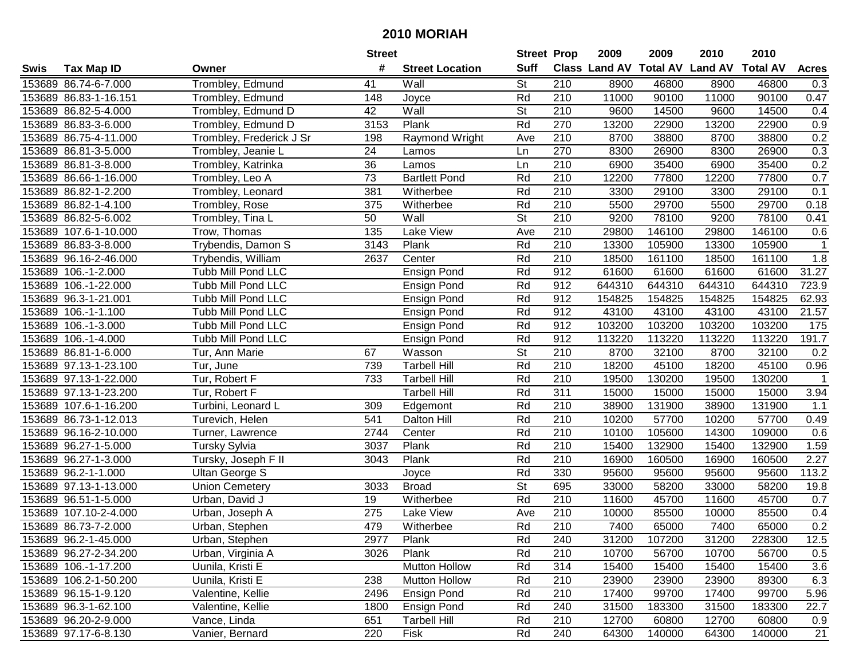| #<br><b>Suff</b><br><b>Class Land AV Total AV</b><br><b>Land AV</b><br><b>Total AV</b><br><b>Tax Map ID</b><br><b>Street Location</b><br><b>Acres</b><br>Owner<br><b>St</b><br>153689 86.74-6-7.000<br>Trombley, Edmund<br>41<br>Wall<br>210<br>8900<br>46800<br>8900<br>46800<br>0.3<br>153689 86.83-1-16.151<br>148<br>Rd<br>210<br>11000<br>90100<br>90100<br>0.47<br>Trombley, Edmund<br>Joyce<br>11000<br>153689 86.82-5-4.000<br>Trombley, Edmund D<br>42<br>St<br>9600<br>14500<br>14500<br>Wall<br>210<br>9600<br>0.4<br>Rd<br>Trombley, Edmund D<br>3153<br>Plank<br>13200<br>22900<br>0.9<br>153689 86.83-3-6.000<br>270<br>22900<br>13200<br>153689 86.75-4-11.000<br>Raymond Wright<br>210<br>8700<br>38800<br>38800<br>0.2<br>Trombley, Frederick J Sr<br>198<br>Ave<br>8700<br>270<br>24<br>8300<br>26900<br>26900<br>0.3<br>153689 86.81-3-5.000<br>Trombley, Jeanie L<br>Ln<br>8300<br>Lamos<br>210<br>35400<br>0.2<br>153689 86.81-3-8.000<br>Trombley, Katrinka<br>36<br>Ln<br>6900<br>35400<br>6900<br>Lamos<br>73<br>Rd<br>$\overline{210}$<br>12200<br>77800<br>12200<br>77800<br>0.7<br>153689 86.66-1-16.000<br><b>Bartlett Pond</b><br>Trombley, Leo A<br>$\overline{210}$<br>153689 86.82-1-2.200<br>381<br>Rd<br>3300<br>29100<br>3300<br>29100<br>0.1<br>Trombley, Leonard<br>Witherbee<br>210<br>5500<br>153689 86.82-1-4.100<br>375<br>Rd<br>29700<br>29700<br>0.18<br>Trombley, Rose<br>Witherbee<br>5500<br>St<br>210<br>153689 86.82-5-6.002<br>Trombley, Tina L<br>50<br>Wall<br>9200<br>78100<br>9200<br>78100<br>0.41<br>135<br>210<br>29800<br>146100<br>29800<br>146100<br>153689 107.6-1-10.000<br>Trow, Thomas<br>Lake View<br>Ave<br>0.6<br>3143<br>Plank<br>Rd<br>210<br>13300<br>13300<br>105900<br>153689 86.83-3-8.000<br>Trybendis, Damon S<br>105900<br>Rd<br>2637<br>210<br>18500<br>161100<br>18500<br>1.8<br>153689 96.16-2-46.000<br>Trybendis, William<br>Center<br>161100<br>Rd<br>912<br>31.27<br>Tubb Mill Pond LLC<br>61600<br>61600<br>61600<br>61600<br>153689 106.-1-2.000<br>Ensign Pond<br>Rd<br>912<br>644310<br>644310<br>644310<br>644310<br>723.9<br>153689 106.-1-22.000<br>Tubb Mill Pond LLC<br>Ensign Pond<br>Rd<br>912<br>62.93<br>153689 96.3-1-21.001<br>154825<br>154825<br>154825<br>154825<br><b>Tubb Mill Pond LLC</b><br><b>Ensign Pond</b><br>Rd<br>912<br>21.57<br>43100<br>43100<br>43100<br>43100<br>153689 106.-1-1.100<br><b>Tubb Mill Pond LLC</b><br>Ensign Pond<br>153689 106.-1-3.000<br>Rd<br>912<br>103200<br>103200<br>103200<br>103200<br>175<br>Tubb Mill Pond LLC<br>Ensign Pond<br>153689 106.-1-4.000<br><b>Tubb Mill Pond LLC</b><br>Rd<br>912<br>113220<br>113220<br>113220<br>113220<br>191.7<br><b>Ensign Pond</b><br>St<br>210<br>8700<br>0.2<br>153689 86.81-1-6.000<br>67<br>Wasson<br>32100<br>8700<br>32100<br>Tur, Ann Marie<br>Rd<br>153689 97.13-1-23.100<br>739<br>210<br>18200<br>45100<br>18200<br>45100<br>0.96<br>Tur, June<br><b>Tarbell Hill</b><br>Rd<br>153689 97.13-1-22.000<br>733<br>210<br>19500<br>130200<br>130200<br>$\mathbf 1$<br>Tur, Robert F<br><b>Tarbell Hill</b><br>19500<br>153689 97.13-1-23.200<br>Rd<br>311<br>15000<br>15000<br>15000<br>15000<br>3.94<br>Tur, Robert F<br><b>Tarbell Hill</b><br>Rd<br>210<br>153689 107.6-1-16.200<br>Turbini, Leonard L<br>309<br>38900<br>131900<br>38900<br>131900<br>1.1<br>Edgemont<br>Rd<br>210<br>153689 86.73-1-12.013<br>Turevich, Helen<br>541<br>10200<br>57700<br>10200<br>57700<br><b>Dalton Hill</b><br>0.49<br>Rd<br>210<br>105600<br>153689 96.16-2-10.000<br>2744<br>Center<br>10100<br>14300<br>109000<br>0.6<br>Turner, Lawrence<br>Rd<br>153689 96.27-1-5.000<br>3037<br>Plank<br>210<br>15400<br>132900<br>15400<br>132900<br>1.59<br><b>Tursky Sylvia</b><br>Plank<br>Rd<br>210<br>16900<br>16900<br>160500<br>2.27<br>153689 96.27-1-3.000<br>3043<br>160500<br>Tursky, Joseph F II<br>Rd<br>330<br>153689 96.2-1-1.000<br>95600<br>95600<br>95600<br>95600<br>113.2<br><b>Ultan George S</b><br>Joyce<br>$\overline{\mathsf{St}}$<br>58200<br>153689 97.13-1-13.000<br>3033<br>695<br>33000<br>58200<br>33000<br><b>Union Cemetery</b><br><b>Broad</b><br>19.8<br>Rd<br>210<br>11600<br>45700<br>45700<br>0.7<br>153689 96.51-1-5.000<br>Urban, David J<br>19<br>Witherbee<br>11600<br>$\overline{210}$<br>153689 107.10-2-4.000<br>275<br>10000<br>85500<br>10000<br>85500<br>0.4<br>Urban, Joseph A<br>Lake View<br>Ave<br>Rd<br>$\overline{210}$<br>0.2<br>153689 86.73-7-2.000<br>479<br>7400<br>65000<br>7400<br>65000<br>Urban, Stephen<br>Witherbee<br>153689 96.2-1-45.000<br>Urban, Stephen<br>2977<br>Plank<br>Rd<br>240<br>31200<br>107200<br>31200<br>228300<br>12.5<br>153689 96.27-2-34.200<br>Urban, Virginia A<br>Plank<br>Rd<br>210<br>10700<br>56700<br>56700<br>0.5<br>3026<br>10700<br><b>Mutton Hollow</b><br>153689 106.-1-17.200<br>Uunila, Kristi E<br>Rd<br>314<br>15400<br>15400<br>15400<br>15400<br>3.6<br>6.3<br>153689 106.2-1-50.200<br>238<br>Mutton Hollow<br>Rd<br>210<br>23900<br>23900<br>89300<br>Uunila, Kristi E<br>23900<br>153689 96.15-1-9.120 |      |                   | <b>Street</b> |                    | <b>Street Prop</b> |     | 2009  | 2009  | 2010  | 2010  |      |
|-------------------------------------------------------------------------------------------------------------------------------------------------------------------------------------------------------------------------------------------------------------------------------------------------------------------------------------------------------------------------------------------------------------------------------------------------------------------------------------------------------------------------------------------------------------------------------------------------------------------------------------------------------------------------------------------------------------------------------------------------------------------------------------------------------------------------------------------------------------------------------------------------------------------------------------------------------------------------------------------------------------------------------------------------------------------------------------------------------------------------------------------------------------------------------------------------------------------------------------------------------------------------------------------------------------------------------------------------------------------------------------------------------------------------------------------------------------------------------------------------------------------------------------------------------------------------------------------------------------------------------------------------------------------------------------------------------------------------------------------------------------------------------------------------------------------------------------------------------------------------------------------------------------------------------------------------------------------------------------------------------------------------------------------------------------------------------------------------------------------------------------------------------------------------------------------------------------------------------------------------------------------------------------------------------------------------------------------------------------------------------------------------------------------------------------------------------------------------------------------------------------------------------------------------------------------------------------------------------------------------------------------------------------------------------------------------------------------------------------------------------------------------------------------------------------------------------------------------------------------------------------------------------------------------------------------------------------------------------------------------------------------------------------------------------------------------------------------------------------------------------------------------------------------------------------------------------------------------------------------------------------------------------------------------------------------------------------------------------------------------------------------------------------------------------------------------------------------------------------------------------------------------------------------------------------------------------------------------------------------------------------------------------------------------------------------------------------------------------------------------------------------------------------------------------------------------------------------------------------------------------------------------------------------------------------------------------------------------------------------------------------------------------------------------------------------------------------------------------------------------------------------------------------------------------------------------------------------------------------------------------------------------------------------------------------------------------------------------------------------------------------------------------------------------------------------------------------------------------------------------------------------------------------------------------------------------------------------------------------------------------------------------------------------------------------------------------------------------------------------------------------------------------------------------------------------------------------------------------------------------------------------------------------------------------------------------------------------------------------------------------------------------------------------------------------------------------------------|------|-------------------|---------------|--------------------|--------------------|-----|-------|-------|-------|-------|------|
|                                                                                                                                                                                                                                                                                                                                                                                                                                                                                                                                                                                                                                                                                                                                                                                                                                                                                                                                                                                                                                                                                                                                                                                                                                                                                                                                                                                                                                                                                                                                                                                                                                                                                                                                                                                                                                                                                                                                                                                                                                                                                                                                                                                                                                                                                                                                                                                                                                                                                                                                                                                                                                                                                                                                                                                                                                                                                                                                                                                                                                                                                                                                                                                                                                                                                                                                                                                                                                                                                                                                                                                                                                                                                                                                                                                                                                                                                                                                                                                                                                                                                                                                                                                                                                                                                                                                                                                                                                                                                                                                                                                                                                                                                                                                                                                                                                                                                                                                                                                                                                                                                           | Swis |                   |               |                    |                    |     |       |       |       |       |      |
|                                                                                                                                                                                                                                                                                                                                                                                                                                                                                                                                                                                                                                                                                                                                                                                                                                                                                                                                                                                                                                                                                                                                                                                                                                                                                                                                                                                                                                                                                                                                                                                                                                                                                                                                                                                                                                                                                                                                                                                                                                                                                                                                                                                                                                                                                                                                                                                                                                                                                                                                                                                                                                                                                                                                                                                                                                                                                                                                                                                                                                                                                                                                                                                                                                                                                                                                                                                                                                                                                                                                                                                                                                                                                                                                                                                                                                                                                                                                                                                                                                                                                                                                                                                                                                                                                                                                                                                                                                                                                                                                                                                                                                                                                                                                                                                                                                                                                                                                                                                                                                                                                           |      |                   |               |                    |                    |     |       |       |       |       |      |
|                                                                                                                                                                                                                                                                                                                                                                                                                                                                                                                                                                                                                                                                                                                                                                                                                                                                                                                                                                                                                                                                                                                                                                                                                                                                                                                                                                                                                                                                                                                                                                                                                                                                                                                                                                                                                                                                                                                                                                                                                                                                                                                                                                                                                                                                                                                                                                                                                                                                                                                                                                                                                                                                                                                                                                                                                                                                                                                                                                                                                                                                                                                                                                                                                                                                                                                                                                                                                                                                                                                                                                                                                                                                                                                                                                                                                                                                                                                                                                                                                                                                                                                                                                                                                                                                                                                                                                                                                                                                                                                                                                                                                                                                                                                                                                                                                                                                                                                                                                                                                                                                                           |      |                   |               |                    |                    |     |       |       |       |       |      |
|                                                                                                                                                                                                                                                                                                                                                                                                                                                                                                                                                                                                                                                                                                                                                                                                                                                                                                                                                                                                                                                                                                                                                                                                                                                                                                                                                                                                                                                                                                                                                                                                                                                                                                                                                                                                                                                                                                                                                                                                                                                                                                                                                                                                                                                                                                                                                                                                                                                                                                                                                                                                                                                                                                                                                                                                                                                                                                                                                                                                                                                                                                                                                                                                                                                                                                                                                                                                                                                                                                                                                                                                                                                                                                                                                                                                                                                                                                                                                                                                                                                                                                                                                                                                                                                                                                                                                                                                                                                                                                                                                                                                                                                                                                                                                                                                                                                                                                                                                                                                                                                                                           |      |                   |               |                    |                    |     |       |       |       |       |      |
|                                                                                                                                                                                                                                                                                                                                                                                                                                                                                                                                                                                                                                                                                                                                                                                                                                                                                                                                                                                                                                                                                                                                                                                                                                                                                                                                                                                                                                                                                                                                                                                                                                                                                                                                                                                                                                                                                                                                                                                                                                                                                                                                                                                                                                                                                                                                                                                                                                                                                                                                                                                                                                                                                                                                                                                                                                                                                                                                                                                                                                                                                                                                                                                                                                                                                                                                                                                                                                                                                                                                                                                                                                                                                                                                                                                                                                                                                                                                                                                                                                                                                                                                                                                                                                                                                                                                                                                                                                                                                                                                                                                                                                                                                                                                                                                                                                                                                                                                                                                                                                                                                           |      |                   |               |                    |                    |     |       |       |       |       |      |
|                                                                                                                                                                                                                                                                                                                                                                                                                                                                                                                                                                                                                                                                                                                                                                                                                                                                                                                                                                                                                                                                                                                                                                                                                                                                                                                                                                                                                                                                                                                                                                                                                                                                                                                                                                                                                                                                                                                                                                                                                                                                                                                                                                                                                                                                                                                                                                                                                                                                                                                                                                                                                                                                                                                                                                                                                                                                                                                                                                                                                                                                                                                                                                                                                                                                                                                                                                                                                                                                                                                                                                                                                                                                                                                                                                                                                                                                                                                                                                                                                                                                                                                                                                                                                                                                                                                                                                                                                                                                                                                                                                                                                                                                                                                                                                                                                                                                                                                                                                                                                                                                                           |      |                   |               |                    |                    |     |       |       |       |       |      |
|                                                                                                                                                                                                                                                                                                                                                                                                                                                                                                                                                                                                                                                                                                                                                                                                                                                                                                                                                                                                                                                                                                                                                                                                                                                                                                                                                                                                                                                                                                                                                                                                                                                                                                                                                                                                                                                                                                                                                                                                                                                                                                                                                                                                                                                                                                                                                                                                                                                                                                                                                                                                                                                                                                                                                                                                                                                                                                                                                                                                                                                                                                                                                                                                                                                                                                                                                                                                                                                                                                                                                                                                                                                                                                                                                                                                                                                                                                                                                                                                                                                                                                                                                                                                                                                                                                                                                                                                                                                                                                                                                                                                                                                                                                                                                                                                                                                                                                                                                                                                                                                                                           |      |                   |               |                    |                    |     |       |       |       |       |      |
|                                                                                                                                                                                                                                                                                                                                                                                                                                                                                                                                                                                                                                                                                                                                                                                                                                                                                                                                                                                                                                                                                                                                                                                                                                                                                                                                                                                                                                                                                                                                                                                                                                                                                                                                                                                                                                                                                                                                                                                                                                                                                                                                                                                                                                                                                                                                                                                                                                                                                                                                                                                                                                                                                                                                                                                                                                                                                                                                                                                                                                                                                                                                                                                                                                                                                                                                                                                                                                                                                                                                                                                                                                                                                                                                                                                                                                                                                                                                                                                                                                                                                                                                                                                                                                                                                                                                                                                                                                                                                                                                                                                                                                                                                                                                                                                                                                                                                                                                                                                                                                                                                           |      |                   |               |                    |                    |     |       |       |       |       |      |
|                                                                                                                                                                                                                                                                                                                                                                                                                                                                                                                                                                                                                                                                                                                                                                                                                                                                                                                                                                                                                                                                                                                                                                                                                                                                                                                                                                                                                                                                                                                                                                                                                                                                                                                                                                                                                                                                                                                                                                                                                                                                                                                                                                                                                                                                                                                                                                                                                                                                                                                                                                                                                                                                                                                                                                                                                                                                                                                                                                                                                                                                                                                                                                                                                                                                                                                                                                                                                                                                                                                                                                                                                                                                                                                                                                                                                                                                                                                                                                                                                                                                                                                                                                                                                                                                                                                                                                                                                                                                                                                                                                                                                                                                                                                                                                                                                                                                                                                                                                                                                                                                                           |      |                   |               |                    |                    |     |       |       |       |       |      |
|                                                                                                                                                                                                                                                                                                                                                                                                                                                                                                                                                                                                                                                                                                                                                                                                                                                                                                                                                                                                                                                                                                                                                                                                                                                                                                                                                                                                                                                                                                                                                                                                                                                                                                                                                                                                                                                                                                                                                                                                                                                                                                                                                                                                                                                                                                                                                                                                                                                                                                                                                                                                                                                                                                                                                                                                                                                                                                                                                                                                                                                                                                                                                                                                                                                                                                                                                                                                                                                                                                                                                                                                                                                                                                                                                                                                                                                                                                                                                                                                                                                                                                                                                                                                                                                                                                                                                                                                                                                                                                                                                                                                                                                                                                                                                                                                                                                                                                                                                                                                                                                                                           |      |                   |               |                    |                    |     |       |       |       |       |      |
|                                                                                                                                                                                                                                                                                                                                                                                                                                                                                                                                                                                                                                                                                                                                                                                                                                                                                                                                                                                                                                                                                                                                                                                                                                                                                                                                                                                                                                                                                                                                                                                                                                                                                                                                                                                                                                                                                                                                                                                                                                                                                                                                                                                                                                                                                                                                                                                                                                                                                                                                                                                                                                                                                                                                                                                                                                                                                                                                                                                                                                                                                                                                                                                                                                                                                                                                                                                                                                                                                                                                                                                                                                                                                                                                                                                                                                                                                                                                                                                                                                                                                                                                                                                                                                                                                                                                                                                                                                                                                                                                                                                                                                                                                                                                                                                                                                                                                                                                                                                                                                                                                           |      |                   |               |                    |                    |     |       |       |       |       |      |
|                                                                                                                                                                                                                                                                                                                                                                                                                                                                                                                                                                                                                                                                                                                                                                                                                                                                                                                                                                                                                                                                                                                                                                                                                                                                                                                                                                                                                                                                                                                                                                                                                                                                                                                                                                                                                                                                                                                                                                                                                                                                                                                                                                                                                                                                                                                                                                                                                                                                                                                                                                                                                                                                                                                                                                                                                                                                                                                                                                                                                                                                                                                                                                                                                                                                                                                                                                                                                                                                                                                                                                                                                                                                                                                                                                                                                                                                                                                                                                                                                                                                                                                                                                                                                                                                                                                                                                                                                                                                                                                                                                                                                                                                                                                                                                                                                                                                                                                                                                                                                                                                                           |      |                   |               |                    |                    |     |       |       |       |       |      |
|                                                                                                                                                                                                                                                                                                                                                                                                                                                                                                                                                                                                                                                                                                                                                                                                                                                                                                                                                                                                                                                                                                                                                                                                                                                                                                                                                                                                                                                                                                                                                                                                                                                                                                                                                                                                                                                                                                                                                                                                                                                                                                                                                                                                                                                                                                                                                                                                                                                                                                                                                                                                                                                                                                                                                                                                                                                                                                                                                                                                                                                                                                                                                                                                                                                                                                                                                                                                                                                                                                                                                                                                                                                                                                                                                                                                                                                                                                                                                                                                                                                                                                                                                                                                                                                                                                                                                                                                                                                                                                                                                                                                                                                                                                                                                                                                                                                                                                                                                                                                                                                                                           |      |                   |               |                    |                    |     |       |       |       |       |      |
|                                                                                                                                                                                                                                                                                                                                                                                                                                                                                                                                                                                                                                                                                                                                                                                                                                                                                                                                                                                                                                                                                                                                                                                                                                                                                                                                                                                                                                                                                                                                                                                                                                                                                                                                                                                                                                                                                                                                                                                                                                                                                                                                                                                                                                                                                                                                                                                                                                                                                                                                                                                                                                                                                                                                                                                                                                                                                                                                                                                                                                                                                                                                                                                                                                                                                                                                                                                                                                                                                                                                                                                                                                                                                                                                                                                                                                                                                                                                                                                                                                                                                                                                                                                                                                                                                                                                                                                                                                                                                                                                                                                                                                                                                                                                                                                                                                                                                                                                                                                                                                                                                           |      |                   |               |                    |                    |     |       |       |       |       |      |
|                                                                                                                                                                                                                                                                                                                                                                                                                                                                                                                                                                                                                                                                                                                                                                                                                                                                                                                                                                                                                                                                                                                                                                                                                                                                                                                                                                                                                                                                                                                                                                                                                                                                                                                                                                                                                                                                                                                                                                                                                                                                                                                                                                                                                                                                                                                                                                                                                                                                                                                                                                                                                                                                                                                                                                                                                                                                                                                                                                                                                                                                                                                                                                                                                                                                                                                                                                                                                                                                                                                                                                                                                                                                                                                                                                                                                                                                                                                                                                                                                                                                                                                                                                                                                                                                                                                                                                                                                                                                                                                                                                                                                                                                                                                                                                                                                                                                                                                                                                                                                                                                                           |      |                   |               |                    |                    |     |       |       |       |       |      |
|                                                                                                                                                                                                                                                                                                                                                                                                                                                                                                                                                                                                                                                                                                                                                                                                                                                                                                                                                                                                                                                                                                                                                                                                                                                                                                                                                                                                                                                                                                                                                                                                                                                                                                                                                                                                                                                                                                                                                                                                                                                                                                                                                                                                                                                                                                                                                                                                                                                                                                                                                                                                                                                                                                                                                                                                                                                                                                                                                                                                                                                                                                                                                                                                                                                                                                                                                                                                                                                                                                                                                                                                                                                                                                                                                                                                                                                                                                                                                                                                                                                                                                                                                                                                                                                                                                                                                                                                                                                                                                                                                                                                                                                                                                                                                                                                                                                                                                                                                                                                                                                                                           |      |                   |               |                    |                    |     |       |       |       |       |      |
|                                                                                                                                                                                                                                                                                                                                                                                                                                                                                                                                                                                                                                                                                                                                                                                                                                                                                                                                                                                                                                                                                                                                                                                                                                                                                                                                                                                                                                                                                                                                                                                                                                                                                                                                                                                                                                                                                                                                                                                                                                                                                                                                                                                                                                                                                                                                                                                                                                                                                                                                                                                                                                                                                                                                                                                                                                                                                                                                                                                                                                                                                                                                                                                                                                                                                                                                                                                                                                                                                                                                                                                                                                                                                                                                                                                                                                                                                                                                                                                                                                                                                                                                                                                                                                                                                                                                                                                                                                                                                                                                                                                                                                                                                                                                                                                                                                                                                                                                                                                                                                                                                           |      |                   |               |                    |                    |     |       |       |       |       |      |
|                                                                                                                                                                                                                                                                                                                                                                                                                                                                                                                                                                                                                                                                                                                                                                                                                                                                                                                                                                                                                                                                                                                                                                                                                                                                                                                                                                                                                                                                                                                                                                                                                                                                                                                                                                                                                                                                                                                                                                                                                                                                                                                                                                                                                                                                                                                                                                                                                                                                                                                                                                                                                                                                                                                                                                                                                                                                                                                                                                                                                                                                                                                                                                                                                                                                                                                                                                                                                                                                                                                                                                                                                                                                                                                                                                                                                                                                                                                                                                                                                                                                                                                                                                                                                                                                                                                                                                                                                                                                                                                                                                                                                                                                                                                                                                                                                                                                                                                                                                                                                                                                                           |      |                   |               |                    |                    |     |       |       |       |       |      |
|                                                                                                                                                                                                                                                                                                                                                                                                                                                                                                                                                                                                                                                                                                                                                                                                                                                                                                                                                                                                                                                                                                                                                                                                                                                                                                                                                                                                                                                                                                                                                                                                                                                                                                                                                                                                                                                                                                                                                                                                                                                                                                                                                                                                                                                                                                                                                                                                                                                                                                                                                                                                                                                                                                                                                                                                                                                                                                                                                                                                                                                                                                                                                                                                                                                                                                                                                                                                                                                                                                                                                                                                                                                                                                                                                                                                                                                                                                                                                                                                                                                                                                                                                                                                                                                                                                                                                                                                                                                                                                                                                                                                                                                                                                                                                                                                                                                                                                                                                                                                                                                                                           |      |                   |               |                    |                    |     |       |       |       |       |      |
|                                                                                                                                                                                                                                                                                                                                                                                                                                                                                                                                                                                                                                                                                                                                                                                                                                                                                                                                                                                                                                                                                                                                                                                                                                                                                                                                                                                                                                                                                                                                                                                                                                                                                                                                                                                                                                                                                                                                                                                                                                                                                                                                                                                                                                                                                                                                                                                                                                                                                                                                                                                                                                                                                                                                                                                                                                                                                                                                                                                                                                                                                                                                                                                                                                                                                                                                                                                                                                                                                                                                                                                                                                                                                                                                                                                                                                                                                                                                                                                                                                                                                                                                                                                                                                                                                                                                                                                                                                                                                                                                                                                                                                                                                                                                                                                                                                                                                                                                                                                                                                                                                           |      |                   |               |                    |                    |     |       |       |       |       |      |
|                                                                                                                                                                                                                                                                                                                                                                                                                                                                                                                                                                                                                                                                                                                                                                                                                                                                                                                                                                                                                                                                                                                                                                                                                                                                                                                                                                                                                                                                                                                                                                                                                                                                                                                                                                                                                                                                                                                                                                                                                                                                                                                                                                                                                                                                                                                                                                                                                                                                                                                                                                                                                                                                                                                                                                                                                                                                                                                                                                                                                                                                                                                                                                                                                                                                                                                                                                                                                                                                                                                                                                                                                                                                                                                                                                                                                                                                                                                                                                                                                                                                                                                                                                                                                                                                                                                                                                                                                                                                                                                                                                                                                                                                                                                                                                                                                                                                                                                                                                                                                                                                                           |      |                   |               |                    |                    |     |       |       |       |       |      |
|                                                                                                                                                                                                                                                                                                                                                                                                                                                                                                                                                                                                                                                                                                                                                                                                                                                                                                                                                                                                                                                                                                                                                                                                                                                                                                                                                                                                                                                                                                                                                                                                                                                                                                                                                                                                                                                                                                                                                                                                                                                                                                                                                                                                                                                                                                                                                                                                                                                                                                                                                                                                                                                                                                                                                                                                                                                                                                                                                                                                                                                                                                                                                                                                                                                                                                                                                                                                                                                                                                                                                                                                                                                                                                                                                                                                                                                                                                                                                                                                                                                                                                                                                                                                                                                                                                                                                                                                                                                                                                                                                                                                                                                                                                                                                                                                                                                                                                                                                                                                                                                                                           |      |                   |               |                    |                    |     |       |       |       |       |      |
|                                                                                                                                                                                                                                                                                                                                                                                                                                                                                                                                                                                                                                                                                                                                                                                                                                                                                                                                                                                                                                                                                                                                                                                                                                                                                                                                                                                                                                                                                                                                                                                                                                                                                                                                                                                                                                                                                                                                                                                                                                                                                                                                                                                                                                                                                                                                                                                                                                                                                                                                                                                                                                                                                                                                                                                                                                                                                                                                                                                                                                                                                                                                                                                                                                                                                                                                                                                                                                                                                                                                                                                                                                                                                                                                                                                                                                                                                                                                                                                                                                                                                                                                                                                                                                                                                                                                                                                                                                                                                                                                                                                                                                                                                                                                                                                                                                                                                                                                                                                                                                                                                           |      |                   |               |                    |                    |     |       |       |       |       |      |
|                                                                                                                                                                                                                                                                                                                                                                                                                                                                                                                                                                                                                                                                                                                                                                                                                                                                                                                                                                                                                                                                                                                                                                                                                                                                                                                                                                                                                                                                                                                                                                                                                                                                                                                                                                                                                                                                                                                                                                                                                                                                                                                                                                                                                                                                                                                                                                                                                                                                                                                                                                                                                                                                                                                                                                                                                                                                                                                                                                                                                                                                                                                                                                                                                                                                                                                                                                                                                                                                                                                                                                                                                                                                                                                                                                                                                                                                                                                                                                                                                                                                                                                                                                                                                                                                                                                                                                                                                                                                                                                                                                                                                                                                                                                                                                                                                                                                                                                                                                                                                                                                                           |      |                   |               |                    |                    |     |       |       |       |       |      |
|                                                                                                                                                                                                                                                                                                                                                                                                                                                                                                                                                                                                                                                                                                                                                                                                                                                                                                                                                                                                                                                                                                                                                                                                                                                                                                                                                                                                                                                                                                                                                                                                                                                                                                                                                                                                                                                                                                                                                                                                                                                                                                                                                                                                                                                                                                                                                                                                                                                                                                                                                                                                                                                                                                                                                                                                                                                                                                                                                                                                                                                                                                                                                                                                                                                                                                                                                                                                                                                                                                                                                                                                                                                                                                                                                                                                                                                                                                                                                                                                                                                                                                                                                                                                                                                                                                                                                                                                                                                                                                                                                                                                                                                                                                                                                                                                                                                                                                                                                                                                                                                                                           |      |                   |               |                    |                    |     |       |       |       |       |      |
|                                                                                                                                                                                                                                                                                                                                                                                                                                                                                                                                                                                                                                                                                                                                                                                                                                                                                                                                                                                                                                                                                                                                                                                                                                                                                                                                                                                                                                                                                                                                                                                                                                                                                                                                                                                                                                                                                                                                                                                                                                                                                                                                                                                                                                                                                                                                                                                                                                                                                                                                                                                                                                                                                                                                                                                                                                                                                                                                                                                                                                                                                                                                                                                                                                                                                                                                                                                                                                                                                                                                                                                                                                                                                                                                                                                                                                                                                                                                                                                                                                                                                                                                                                                                                                                                                                                                                                                                                                                                                                                                                                                                                                                                                                                                                                                                                                                                                                                                                                                                                                                                                           |      |                   |               |                    |                    |     |       |       |       |       |      |
|                                                                                                                                                                                                                                                                                                                                                                                                                                                                                                                                                                                                                                                                                                                                                                                                                                                                                                                                                                                                                                                                                                                                                                                                                                                                                                                                                                                                                                                                                                                                                                                                                                                                                                                                                                                                                                                                                                                                                                                                                                                                                                                                                                                                                                                                                                                                                                                                                                                                                                                                                                                                                                                                                                                                                                                                                                                                                                                                                                                                                                                                                                                                                                                                                                                                                                                                                                                                                                                                                                                                                                                                                                                                                                                                                                                                                                                                                                                                                                                                                                                                                                                                                                                                                                                                                                                                                                                                                                                                                                                                                                                                                                                                                                                                                                                                                                                                                                                                                                                                                                                                                           |      |                   |               |                    |                    |     |       |       |       |       |      |
|                                                                                                                                                                                                                                                                                                                                                                                                                                                                                                                                                                                                                                                                                                                                                                                                                                                                                                                                                                                                                                                                                                                                                                                                                                                                                                                                                                                                                                                                                                                                                                                                                                                                                                                                                                                                                                                                                                                                                                                                                                                                                                                                                                                                                                                                                                                                                                                                                                                                                                                                                                                                                                                                                                                                                                                                                                                                                                                                                                                                                                                                                                                                                                                                                                                                                                                                                                                                                                                                                                                                                                                                                                                                                                                                                                                                                                                                                                                                                                                                                                                                                                                                                                                                                                                                                                                                                                                                                                                                                                                                                                                                                                                                                                                                                                                                                                                                                                                                                                                                                                                                                           |      |                   |               |                    |                    |     |       |       |       |       |      |
|                                                                                                                                                                                                                                                                                                                                                                                                                                                                                                                                                                                                                                                                                                                                                                                                                                                                                                                                                                                                                                                                                                                                                                                                                                                                                                                                                                                                                                                                                                                                                                                                                                                                                                                                                                                                                                                                                                                                                                                                                                                                                                                                                                                                                                                                                                                                                                                                                                                                                                                                                                                                                                                                                                                                                                                                                                                                                                                                                                                                                                                                                                                                                                                                                                                                                                                                                                                                                                                                                                                                                                                                                                                                                                                                                                                                                                                                                                                                                                                                                                                                                                                                                                                                                                                                                                                                                                                                                                                                                                                                                                                                                                                                                                                                                                                                                                                                                                                                                                                                                                                                                           |      |                   |               |                    |                    |     |       |       |       |       |      |
|                                                                                                                                                                                                                                                                                                                                                                                                                                                                                                                                                                                                                                                                                                                                                                                                                                                                                                                                                                                                                                                                                                                                                                                                                                                                                                                                                                                                                                                                                                                                                                                                                                                                                                                                                                                                                                                                                                                                                                                                                                                                                                                                                                                                                                                                                                                                                                                                                                                                                                                                                                                                                                                                                                                                                                                                                                                                                                                                                                                                                                                                                                                                                                                                                                                                                                                                                                                                                                                                                                                                                                                                                                                                                                                                                                                                                                                                                                                                                                                                                                                                                                                                                                                                                                                                                                                                                                                                                                                                                                                                                                                                                                                                                                                                                                                                                                                                                                                                                                                                                                                                                           |      |                   |               |                    |                    |     |       |       |       |       |      |
|                                                                                                                                                                                                                                                                                                                                                                                                                                                                                                                                                                                                                                                                                                                                                                                                                                                                                                                                                                                                                                                                                                                                                                                                                                                                                                                                                                                                                                                                                                                                                                                                                                                                                                                                                                                                                                                                                                                                                                                                                                                                                                                                                                                                                                                                                                                                                                                                                                                                                                                                                                                                                                                                                                                                                                                                                                                                                                                                                                                                                                                                                                                                                                                                                                                                                                                                                                                                                                                                                                                                                                                                                                                                                                                                                                                                                                                                                                                                                                                                                                                                                                                                                                                                                                                                                                                                                                                                                                                                                                                                                                                                                                                                                                                                                                                                                                                                                                                                                                                                                                                                                           |      |                   |               |                    |                    |     |       |       |       |       |      |
|                                                                                                                                                                                                                                                                                                                                                                                                                                                                                                                                                                                                                                                                                                                                                                                                                                                                                                                                                                                                                                                                                                                                                                                                                                                                                                                                                                                                                                                                                                                                                                                                                                                                                                                                                                                                                                                                                                                                                                                                                                                                                                                                                                                                                                                                                                                                                                                                                                                                                                                                                                                                                                                                                                                                                                                                                                                                                                                                                                                                                                                                                                                                                                                                                                                                                                                                                                                                                                                                                                                                                                                                                                                                                                                                                                                                                                                                                                                                                                                                                                                                                                                                                                                                                                                                                                                                                                                                                                                                                                                                                                                                                                                                                                                                                                                                                                                                                                                                                                                                                                                                                           |      |                   |               |                    |                    |     |       |       |       |       |      |
|                                                                                                                                                                                                                                                                                                                                                                                                                                                                                                                                                                                                                                                                                                                                                                                                                                                                                                                                                                                                                                                                                                                                                                                                                                                                                                                                                                                                                                                                                                                                                                                                                                                                                                                                                                                                                                                                                                                                                                                                                                                                                                                                                                                                                                                                                                                                                                                                                                                                                                                                                                                                                                                                                                                                                                                                                                                                                                                                                                                                                                                                                                                                                                                                                                                                                                                                                                                                                                                                                                                                                                                                                                                                                                                                                                                                                                                                                                                                                                                                                                                                                                                                                                                                                                                                                                                                                                                                                                                                                                                                                                                                                                                                                                                                                                                                                                                                                                                                                                                                                                                                                           |      |                   |               |                    |                    |     |       |       |       |       |      |
|                                                                                                                                                                                                                                                                                                                                                                                                                                                                                                                                                                                                                                                                                                                                                                                                                                                                                                                                                                                                                                                                                                                                                                                                                                                                                                                                                                                                                                                                                                                                                                                                                                                                                                                                                                                                                                                                                                                                                                                                                                                                                                                                                                                                                                                                                                                                                                                                                                                                                                                                                                                                                                                                                                                                                                                                                                                                                                                                                                                                                                                                                                                                                                                                                                                                                                                                                                                                                                                                                                                                                                                                                                                                                                                                                                                                                                                                                                                                                                                                                                                                                                                                                                                                                                                                                                                                                                                                                                                                                                                                                                                                                                                                                                                                                                                                                                                                                                                                                                                                                                                                                           |      |                   |               |                    |                    |     |       |       |       |       |      |
|                                                                                                                                                                                                                                                                                                                                                                                                                                                                                                                                                                                                                                                                                                                                                                                                                                                                                                                                                                                                                                                                                                                                                                                                                                                                                                                                                                                                                                                                                                                                                                                                                                                                                                                                                                                                                                                                                                                                                                                                                                                                                                                                                                                                                                                                                                                                                                                                                                                                                                                                                                                                                                                                                                                                                                                                                                                                                                                                                                                                                                                                                                                                                                                                                                                                                                                                                                                                                                                                                                                                                                                                                                                                                                                                                                                                                                                                                                                                                                                                                                                                                                                                                                                                                                                                                                                                                                                                                                                                                                                                                                                                                                                                                                                                                                                                                                                                                                                                                                                                                                                                                           |      |                   |               |                    |                    |     |       |       |       |       |      |
|                                                                                                                                                                                                                                                                                                                                                                                                                                                                                                                                                                                                                                                                                                                                                                                                                                                                                                                                                                                                                                                                                                                                                                                                                                                                                                                                                                                                                                                                                                                                                                                                                                                                                                                                                                                                                                                                                                                                                                                                                                                                                                                                                                                                                                                                                                                                                                                                                                                                                                                                                                                                                                                                                                                                                                                                                                                                                                                                                                                                                                                                                                                                                                                                                                                                                                                                                                                                                                                                                                                                                                                                                                                                                                                                                                                                                                                                                                                                                                                                                                                                                                                                                                                                                                                                                                                                                                                                                                                                                                                                                                                                                                                                                                                                                                                                                                                                                                                                                                                                                                                                                           |      |                   |               |                    |                    |     |       |       |       |       |      |
|                                                                                                                                                                                                                                                                                                                                                                                                                                                                                                                                                                                                                                                                                                                                                                                                                                                                                                                                                                                                                                                                                                                                                                                                                                                                                                                                                                                                                                                                                                                                                                                                                                                                                                                                                                                                                                                                                                                                                                                                                                                                                                                                                                                                                                                                                                                                                                                                                                                                                                                                                                                                                                                                                                                                                                                                                                                                                                                                                                                                                                                                                                                                                                                                                                                                                                                                                                                                                                                                                                                                                                                                                                                                                                                                                                                                                                                                                                                                                                                                                                                                                                                                                                                                                                                                                                                                                                                                                                                                                                                                                                                                                                                                                                                                                                                                                                                                                                                                                                                                                                                                                           |      |                   |               |                    |                    |     |       |       |       |       |      |
|                                                                                                                                                                                                                                                                                                                                                                                                                                                                                                                                                                                                                                                                                                                                                                                                                                                                                                                                                                                                                                                                                                                                                                                                                                                                                                                                                                                                                                                                                                                                                                                                                                                                                                                                                                                                                                                                                                                                                                                                                                                                                                                                                                                                                                                                                                                                                                                                                                                                                                                                                                                                                                                                                                                                                                                                                                                                                                                                                                                                                                                                                                                                                                                                                                                                                                                                                                                                                                                                                                                                                                                                                                                                                                                                                                                                                                                                                                                                                                                                                                                                                                                                                                                                                                                                                                                                                                                                                                                                                                                                                                                                                                                                                                                                                                                                                                                                                                                                                                                                                                                                                           |      |                   |               |                    |                    |     |       |       |       |       |      |
|                                                                                                                                                                                                                                                                                                                                                                                                                                                                                                                                                                                                                                                                                                                                                                                                                                                                                                                                                                                                                                                                                                                                                                                                                                                                                                                                                                                                                                                                                                                                                                                                                                                                                                                                                                                                                                                                                                                                                                                                                                                                                                                                                                                                                                                                                                                                                                                                                                                                                                                                                                                                                                                                                                                                                                                                                                                                                                                                                                                                                                                                                                                                                                                                                                                                                                                                                                                                                                                                                                                                                                                                                                                                                                                                                                                                                                                                                                                                                                                                                                                                                                                                                                                                                                                                                                                                                                                                                                                                                                                                                                                                                                                                                                                                                                                                                                                                                                                                                                                                                                                                                           |      |                   |               |                    |                    |     |       |       |       |       |      |
|                                                                                                                                                                                                                                                                                                                                                                                                                                                                                                                                                                                                                                                                                                                                                                                                                                                                                                                                                                                                                                                                                                                                                                                                                                                                                                                                                                                                                                                                                                                                                                                                                                                                                                                                                                                                                                                                                                                                                                                                                                                                                                                                                                                                                                                                                                                                                                                                                                                                                                                                                                                                                                                                                                                                                                                                                                                                                                                                                                                                                                                                                                                                                                                                                                                                                                                                                                                                                                                                                                                                                                                                                                                                                                                                                                                                                                                                                                                                                                                                                                                                                                                                                                                                                                                                                                                                                                                                                                                                                                                                                                                                                                                                                                                                                                                                                                                                                                                                                                                                                                                                                           |      | Valentine, Kellie | 2496          | <b>Ensign Pond</b> | Rd                 | 210 | 17400 | 99700 | 17400 | 99700 | 5.96 |
| Rd<br>153689 96.3-1-62.100<br>Valentine, Kellie<br>240<br>31500<br>183300<br>31500<br>183300<br>22.7<br>1800<br><b>Ensign Pond</b>                                                                                                                                                                                                                                                                                                                                                                                                                                                                                                                                                                                                                                                                                                                                                                                                                                                                                                                                                                                                                                                                                                                                                                                                                                                                                                                                                                                                                                                                                                                                                                                                                                                                                                                                                                                                                                                                                                                                                                                                                                                                                                                                                                                                                                                                                                                                                                                                                                                                                                                                                                                                                                                                                                                                                                                                                                                                                                                                                                                                                                                                                                                                                                                                                                                                                                                                                                                                                                                                                                                                                                                                                                                                                                                                                                                                                                                                                                                                                                                                                                                                                                                                                                                                                                                                                                                                                                                                                                                                                                                                                                                                                                                                                                                                                                                                                                                                                                                                                        |      |                   |               |                    |                    |     |       |       |       |       |      |
| 153689 96.20-2-9.000<br>651<br><b>Tarbell Hill</b><br>Rd<br>210<br>12700<br>12700<br>60800<br>Vance, Linda<br>60800<br>0.9                                                                                                                                                                                                                                                                                                                                                                                                                                                                                                                                                                                                                                                                                                                                                                                                                                                                                                                                                                                                                                                                                                                                                                                                                                                                                                                                                                                                                                                                                                                                                                                                                                                                                                                                                                                                                                                                                                                                                                                                                                                                                                                                                                                                                                                                                                                                                                                                                                                                                                                                                                                                                                                                                                                                                                                                                                                                                                                                                                                                                                                                                                                                                                                                                                                                                                                                                                                                                                                                                                                                                                                                                                                                                                                                                                                                                                                                                                                                                                                                                                                                                                                                                                                                                                                                                                                                                                                                                                                                                                                                                                                                                                                                                                                                                                                                                                                                                                                                                                |      |                   |               |                    |                    |     |       |       |       |       |      |
| 153689 97.17-6-8.130<br>220<br>Fisk<br>Rd<br>240<br>140000<br>64300<br>140000<br>21<br>Vanier, Bernard<br>64300                                                                                                                                                                                                                                                                                                                                                                                                                                                                                                                                                                                                                                                                                                                                                                                                                                                                                                                                                                                                                                                                                                                                                                                                                                                                                                                                                                                                                                                                                                                                                                                                                                                                                                                                                                                                                                                                                                                                                                                                                                                                                                                                                                                                                                                                                                                                                                                                                                                                                                                                                                                                                                                                                                                                                                                                                                                                                                                                                                                                                                                                                                                                                                                                                                                                                                                                                                                                                                                                                                                                                                                                                                                                                                                                                                                                                                                                                                                                                                                                                                                                                                                                                                                                                                                                                                                                                                                                                                                                                                                                                                                                                                                                                                                                                                                                                                                                                                                                                                           |      |                   |               |                    |                    |     |       |       |       |       |      |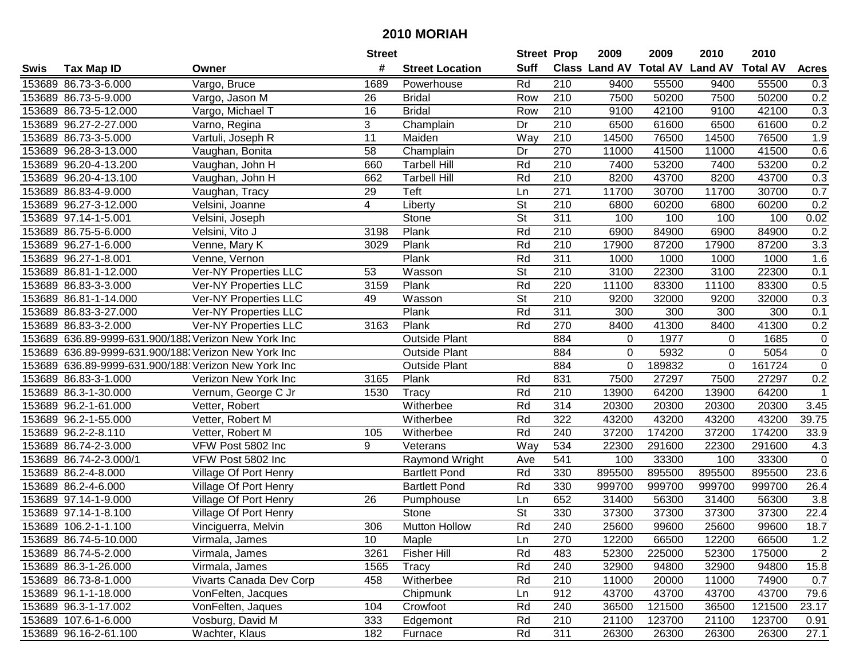|      |                        |                                                      | <b>Street</b>           |                        | <b>Street Prop</b>       |                  | 2009                          | 2009   | 2010           | 2010            |                   |
|------|------------------------|------------------------------------------------------|-------------------------|------------------------|--------------------------|------------------|-------------------------------|--------|----------------|-----------------|-------------------|
| Swis | <b>Tax Map ID</b>      | Owner                                                | #                       | <b>Street Location</b> | <b>Suff</b>              |                  | <b>Class Land AV Total AV</b> |        | <b>Land AV</b> | <b>Total AV</b> | <b>Acres</b>      |
|      | 153689 86.73-3-6.000   | Vargo, Bruce                                         | 1689                    | Powerhouse             | Rd                       | 210              | 9400                          | 55500  | 9400           | 55500           | 0.3               |
|      | 153689 86.73-5-9.000   | Vargo, Jason M                                       | 26                      | <b>Bridal</b>          | Row                      | 210              | 7500                          | 50200  | 7500           | 50200           | 0.2               |
|      | 153689 86.73-5-12.000  | Vargo, Michael T                                     | 16                      | <b>Bridal</b>          | Row                      | 210              | 9100                          | 42100  | 9100           | 42100           | 0.3               |
|      | 153689 96.27-2-27.000  | Varno, Regina                                        | 3                       | Champlain              | Dr                       | 210              | 6500                          | 61600  | 6500           | 61600           | 0.2               |
|      | 153689 86.73-3-5.000   | Vartuli, Joseph R                                    | 11                      | Maiden                 | Way                      | 210              | 14500                         | 76500  | 14500          | 76500           | 1.9               |
|      | 153689 96.28-3-13.000  | Vaughan, Bonita                                      | 58                      | Champlain              | Dr                       | 270              | 11000                         | 41500  | 11000          | 41500           | 0.6               |
|      | 153689 96.20-4-13.200  | Vaughan, John H                                      | 660                     | <b>Tarbell Hill</b>    | Rd                       | 210              | 7400                          | 53200  | 7400           | 53200           | 0.2               |
|      | 153689 96.20-4-13.100  | Vaughan, John H                                      | 662                     | <b>Tarbell Hill</b>    | Rd                       | $\overline{210}$ | 8200                          | 43700  | 8200           | 43700           | 0.3               |
|      | 153689 86.83-4-9.000   | Vaughan, Tracy                                       | 29                      | Teft                   | Ln                       | $\overline{271}$ | 11700                         | 30700  | 11700          | 30700           | 0.7               |
|      | 153689 96.27-3-12.000  | Velsini, Joanne                                      | $\overline{\mathbf{4}}$ | Liberty                | St                       | 210              | 6800                          | 60200  | 6800           | 60200           | 0.2               |
|      | 153689 97.14-1-5.001   | Velsini, Joseph                                      |                         | Stone                  | $\overline{\mathsf{St}}$ | 311              | 100                           | 100    | 100            | 100             | 0.02              |
|      | 153689 86.75-5-6.000   | Velsini, Vito J                                      | 3198                    | Plank                  | Rd                       | 210              | 6900                          | 84900  | 6900           | 84900           | 0.2               |
|      | 153689 96.27-1-6.000   | Venne, Mary K                                        | 3029                    | Plank                  | Rd                       | $\overline{210}$ | 17900                         | 87200  | 17900          | 87200           | 3.3               |
|      | 153689 96.27-1-8.001   | Venne, Vernon                                        |                         | Plank                  | Rd                       | 311              | 1000                          | 1000   | 1000           | 1000            | 1.6               |
|      | 153689 86.81-1-12.000  | <b>Ver-NY Properties LLC</b>                         | 53                      | Wasson                 | St                       | 210              | 3100                          | 22300  | 3100           | 22300           | 0.1               |
|      | 153689 86.83-3-3.000   | Ver-NY Properties LLC                                | 3159                    | Plank                  | Rd                       | 220              | 11100                         | 83300  | 11100          | 83300           | 0.5               |
|      | 153689 86.81-1-14.000  | Ver-NY Properties LLC                                | 49                      | Wasson                 | $\overline{\mathsf{St}}$ | 210              | 9200                          | 32000  | 9200           | 32000           | 0.3               |
|      | 153689 86.83-3-27.000  | <b>Ver-NY Properties LLC</b>                         |                         | Plank                  | Rd                       | 311              | 300                           | 300    | 300            | 300             | 0.1               |
|      | 153689 86.83-3-2.000   | Ver-NY Properties LLC                                | 3163                    | Plank                  | Rd                       | 270              | 8400                          | 41300  | 8400           | 41300           | 0.2               |
|      |                        | 153689 636.89-9999-631.900/188: Verizon New York Inc |                         | <b>Outside Plant</b>   |                          | 884              | $\mathbf 0$                   | 1977   | 0              | 1685            | 0                 |
|      |                        | 153689 636.89-9999-631.900/188. Verizon New York Inc |                         | <b>Outside Plant</b>   |                          | 884              | 0                             | 5932   | $\Omega$       | 5054            | $\overline{0}$    |
|      |                        | 153689 636.89-9999-631.900/188 Verizon New York Inc  |                         | <b>Outside Plant</b>   |                          | 884              | 0                             | 189832 | 0              | 161724          | $\pmb{0}$         |
|      | 153689 86.83-3-1.000   | Verizon New York Inc                                 | 3165                    | Plank                  | Rd                       | 831              | 7500                          | 27297  | 7500           | 27297           | 0.2               |
|      | 153689 86.3-1-30.000   | Vernum, George C Jr                                  | 1530                    | Tracy                  | Rd                       | 210              | 13900                         | 64200  | 13900          | 64200           | 1                 |
|      | 153689 96.2-1-61.000   | Vetter, Robert                                       |                         | Witherbee              | Rd                       | 314              | 20300                         | 20300  | 20300          | 20300           | 3.45              |
|      | 153689 96.2-1-55.000   | Vetter, Robert M                                     |                         | Witherbee              | Rd                       | 322              | 43200                         | 43200  | 43200          | 43200           | 39.75             |
|      | 153689 96.2-2-8.110    | Vetter, Robert M                                     | 105                     | Witherbee              | Rd                       | 240              | 37200                         | 174200 | 37200          | 174200          | 33.9              |
|      | 153689 86.74-2-3.000   | VFW Post 5802 Inc                                    | 9                       | Veterans               | Way                      | 534              | 22300                         | 291600 | 22300          | 291600          | 4.3               |
|      | 153689 86.74-2-3.000/1 | VFW Post 5802 Inc                                    |                         | Raymond Wright         | Ave                      | $\overline{541}$ | 100                           | 33300  | 100            | 33300           | $\mathbf 0$       |
|      | 153689 86.2-4-8.000    | Village Of Port Henry                                |                         | <b>Bartlett Pond</b>   | Rd                       | 330              | 895500                        | 895500 | 895500         | 895500          | 23.6              |
|      | 153689 86.2-4-6.000    | Village Of Port Henry                                |                         | <b>Bartlett Pond</b>   | Rd                       | 330              | 999700                        | 999700 | 999700         | 999700          | 26.4              |
|      | 153689 97.14-1-9.000   | Village Of Port Henry                                | 26                      | Pumphouse              | Ln                       | 652              | 31400                         | 56300  | 31400          | 56300           | 3.8               |
|      | 153689 97.14-1-8.100   | Village Of Port Henry                                |                         | Stone                  | $\overline{\mathsf{St}}$ | 330              | 37300                         | 37300  | 37300          | 37300           | $\overline{22.4}$ |
|      | 153689 106.2-1-1.100   | Vinciguerra, Melvin                                  | 306                     | Mutton Hollow          | Rd                       | 240              | 25600                         | 99600  | 25600          | 99600           | 18.7              |
|      | 153689 86.74-5-10.000  | Virmala, James                                       | 10                      | Maple                  | Ln                       | 270              | 12200                         | 66500  | 12200          | 66500           | 1.2               |
|      | 153689 86.74-5-2.000   | Virmala, James                                       | 3261                    | <b>Fisher Hill</b>     | Rd                       | 483              | 52300                         | 225000 | 52300          | 175000          | $\overline{2}$    |
|      | 153689 86.3-1-26.000   | Virmala, James                                       | 1565                    | Tracy                  | Rd                       | 240              | 32900                         | 94800  | 32900          | 94800           | 15.8              |
|      | 153689 86.73-8-1.000   | Vivarts Canada Dev Corp                              | 458                     | Witherbee              | Rd                       | 210              | 11000                         | 20000  | 11000          | 74900           | 0.7               |
|      | 153689 96.1-1-18.000   | VonFelten, Jacques                                   |                         | Chipmunk               | Ln                       | 912              | 43700                         | 43700  | 43700          | 43700           | 79.6              |
|      | 153689 96.3-1-17.002   | VonFelten, Jaques                                    | 104                     | Crowfoot               | Rd                       | 240              | 36500                         | 121500 | 36500          | 121500          | 23.17             |
|      | 153689 107.6-1-6.000   | Vosburg, David M                                     | 333                     | Edgemont               | Rd                       | 210              | 21100                         | 123700 | 21100          | 123700          | 0.91              |
|      | 153689 96.16-2-61.100  | Wachter, Klaus                                       | 182                     | Furnace                | Rd                       | 311              | 26300                         | 26300  | 26300          | 26300           | 27.1              |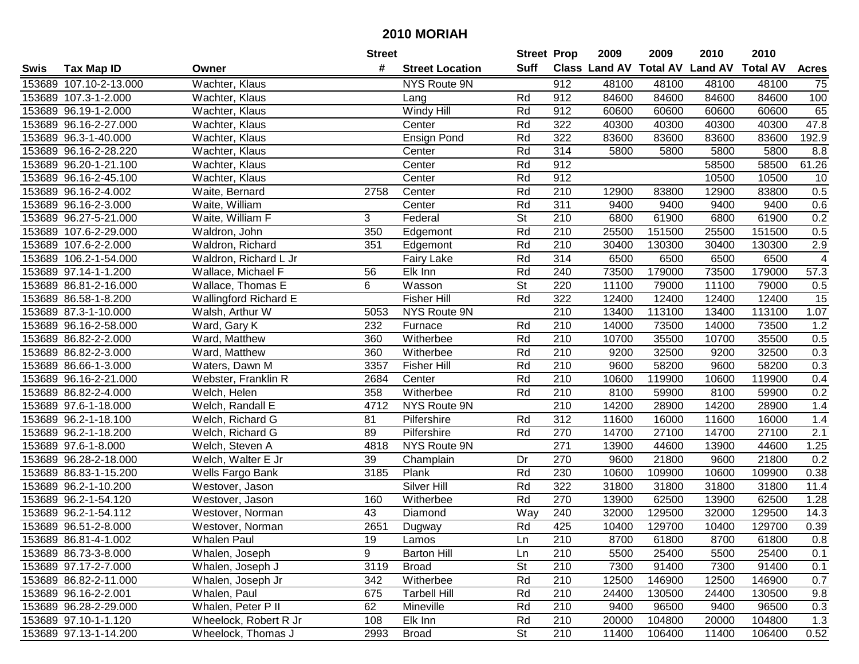|      |                        |                       | <b>Street</b> |                        | <b>Street Prop</b> |                  | 2009                          | 2009   | 2010           | 2010            |                 |
|------|------------------------|-----------------------|---------------|------------------------|--------------------|------------------|-------------------------------|--------|----------------|-----------------|-----------------|
| Swis | <b>Tax Map ID</b>      | Owner                 | #             | <b>Street Location</b> | <b>Suff</b>        |                  | <b>Class Land AV Total AV</b> |        | <b>Land AV</b> | <b>Total AV</b> | <b>Acres</b>    |
|      | 153689 107.10-2-13.000 | Wachter, Klaus        |               | <b>NYS Route 9N</b>    |                    | 912              | 48100                         | 48100  | 48100          | 48100           | 75              |
|      | 153689 107.3-1-2.000   | Wachter, Klaus        |               | Lang                   | Rd                 | 912              | 84600                         | 84600  | 84600          | 84600           | 100             |
|      | 153689 96.19-1-2.000   | Wachter, Klaus        |               | Windy Hill             | Rd                 | 912              | 60600                         | 60600  | 60600          | 60600           | 65              |
|      | 153689 96.16-2-27.000  | Wachter, Klaus        |               | Center                 | Rd                 | 322              | 40300                         | 40300  | 40300          | 40300           | 47.8            |
|      | 153689 96.3-1-40.000   | Wachter, Klaus        |               | Ensign Pond            | Rd                 | 322              | 83600                         | 83600  | 83600          | 83600           | 192.9           |
|      | 153689 96.16-2-28.220  | Wachter, Klaus        |               | Center                 | Rd                 | 314              | 5800                          | 5800   | 5800           | 5800            | 8.8             |
|      | 153689 96.20-1-21.100  | Wachter, Klaus        |               | Center                 | Rd                 | 912              |                               |        | 58500          | 58500           | 61.26           |
|      | 153689 96.16-2-45.100  | Wachter, Klaus        |               | Center                 | Rd                 | 912              |                               |        | 10500          | 10500           | 10              |
|      | 153689 96.16-2-4.002   | Waite, Bernard        | 2758          | Center                 | Rd                 | $\overline{210}$ | 12900                         | 83800  | 12900          | 83800           | 0.5             |
|      | 153689 96.16-2-3.000   | Waite, William        |               | Center                 | Rd                 | 311              | 9400                          | 9400   | 9400           | 9400            | 0.6             |
|      | 153689 96.27-5-21.000  | Waite, William F      | 3             | Federal                | St                 | 210              | 6800                          | 61900  | 6800           | 61900           | 0.2             |
|      | 153689 107.6-2-29.000  | Waldron, John         | 350           | Edgemont               | Rd                 | 210              | 25500                         | 151500 | 25500          | 151500          | 0.5             |
|      | 153689 107.6-2-2.000   | Waldron, Richard      | 351           | Edgemont               | Rd                 | 210              | 30400                         | 130300 | 30400          | 130300          | 2.9             |
|      | 153689 106.2-1-54.000  | Waldron, Richard L Jr |               | <b>Fairy Lake</b>      | Rd                 | 314              | 6500                          | 6500   | 6500           | 6500            | 4               |
|      | 153689 97.14-1-1.200   | Wallace, Michael F    | 56            | Elk Inn                | Rd                 | 240              | 73500                         | 179000 | 73500          | 179000          | 57.3            |
|      | 153689 86.81-2-16.000  | Wallace, Thomas E     | 6             | Wasson                 | <b>St</b>          | 220              | 11100                         | 79000  | 11100          | 79000           | 0.5             |
|      | 153689 86.58-1-8.200   | Wallingford Richard E |               | Fisher Hill            | Rd                 | 322              | 12400                         | 12400  | 12400          | 12400           | $\overline{15}$ |
|      | 153689 87.3-1-10.000   | Walsh, Arthur W       | 5053          | NYS Route 9N           |                    | 210              | 13400                         | 113100 | 13400          | 113100          | 1.07            |
|      | 153689 96.16-2-58.000  | Ward, Gary K          | 232           | Furnace                | Rd                 | 210              | 14000                         | 73500  | 14000          | 73500           | 1.2             |
|      | 153689 86.82-2-2.000   | Ward, Matthew         | 360           | Witherbee              | Rd                 | 210              | 10700                         | 35500  | 10700          | 35500           | 0.5             |
|      | 153689 86.82-2-3.000   | Ward, Matthew         | 360           | Witherbee              | Rd                 | 210              | 9200                          | 32500  | 9200           | 32500           | 0.3             |
|      | 153689 86.66-1-3.000   | Waters, Dawn M        | 3357          | <b>Fisher Hill</b>     | Rd                 | 210              | 9600                          | 58200  | 9600           | 58200           | 0.3             |
|      | 153689 96.16-2-21.000  | Webster, Franklin R   | 2684          | Center                 | Rd                 | 210              | 10600                         | 119900 | 10600          | 119900          | 0.4             |
|      | 153689 86.82-2-4.000   | Welch, Helen          | 358           | Witherbee              | Rd                 | 210              | 8100                          | 59900  | 8100           | 59900           | 0.2             |
|      | 153689 97.6-1-18.000   | Welch, Randall E      | 4712          | NYS Route 9N           |                    | $\overline{210}$ | 14200                         | 28900  | 14200          | 28900           | 1.4             |
|      | 153689 96.2-1-18.100   | Welch, Richard G      | 81            | Pilfershire            | Rd                 | $\overline{312}$ | 11600                         | 16000  | 11600          | 16000           | 1.4             |
|      | 153689 96.2-1-18.200   | Welch, Richard G      | 89            | Pilfershire            | Rd                 | 270              | 14700                         | 27100  | 14700          | 27100           | 2.1             |
|      | 153689 97.6-1-8.000    | Welch, Steven A       | 4818          | NYS Route 9N           |                    | 271              | 13900                         | 44600  | 13900          | 44600           | 1.25            |
|      | 153689 96.28-2-18.000  | Welch, Walter E Jr    | 39            | Champlain              | Dr                 | 270              | 9600                          | 21800  | 9600           | 21800           | 0.2             |
|      | 153689 86.83-1-15.200  | Wells Fargo Bank      | 3185          | Plank                  | Rd                 | 230              | 10600                         | 109900 | 10600          | 109900          | 0.38            |
|      | 153689 96.2-1-10.200   | Westover, Jason       |               | <b>Silver Hill</b>     | Rd                 | 322              | 31800                         | 31800  | 31800          | 31800           | 11.4            |
|      | 153689 96.2-1-54.120   | Westover, Jason       | 160           | Witherbee              | Rd                 | 270              | 13900                         | 62500  | 13900          | 62500           | 1.28            |
|      | 153689 96.2-1-54.112   | Westover, Norman      | 43            | Diamond                | Way                | 240              | 32000                         | 129500 | 32000          | 129500          | 14.3            |
|      | 153689 96.51-2-8.000   | Westover, Norman      | 2651          | Dugway                 | Rd                 | 425              | 10400                         | 129700 | 10400          | 129700          | 0.39            |
|      | 153689 86.81-4-1.002   | Whalen Paul           | 19            | Lamos                  | Ln                 | 210              | 8700                          | 61800  | 8700           | 61800           | 0.8             |
|      | 153689 86.73-3-8.000   | Whalen, Joseph        | 9             | <b>Barton Hill</b>     | Ln                 | 210              | 5500                          | 25400  | 5500           | 25400           | 0.1             |
|      | 153689 97.17-2-7.000   | Whalen, Joseph J      | 3119          | <b>Broad</b>           | <b>St</b>          | 210              | 7300                          | 91400  | 7300           | 91400           | 0.1             |
|      | 153689 86.82-2-11.000  | Whalen, Joseph Jr     | 342           | Witherbee              | Rd                 | 210              | 12500                         | 146900 | 12500          | 146900          | 0.7             |
|      | 153689 96.16-2-2.001   | Whalen, Paul          | 675           | <b>Tarbell Hill</b>    | Rd                 | 210              | 24400                         | 130500 | 24400          | 130500          | 9.8             |
|      | 153689 96.28-2-29.000  | Whalen, Peter P II    | 62            | Mineville              | Rd                 | 210              | 9400                          | 96500  | 9400           | 96500           | 0.3             |
|      | 153689 97.10-1-1.120   | Wheelock, Robert R Jr | 108           | Elk Inn                | Rd                 | 210              | 20000                         | 104800 | 20000          | 104800          | 1.3             |
|      | 153689 97.13-1-14.200  | Wheelock, Thomas J    | 2993          | <b>Broad</b>           | <b>St</b>          | 210              | 11400                         | 106400 | 11400          | 106400          | 0.52            |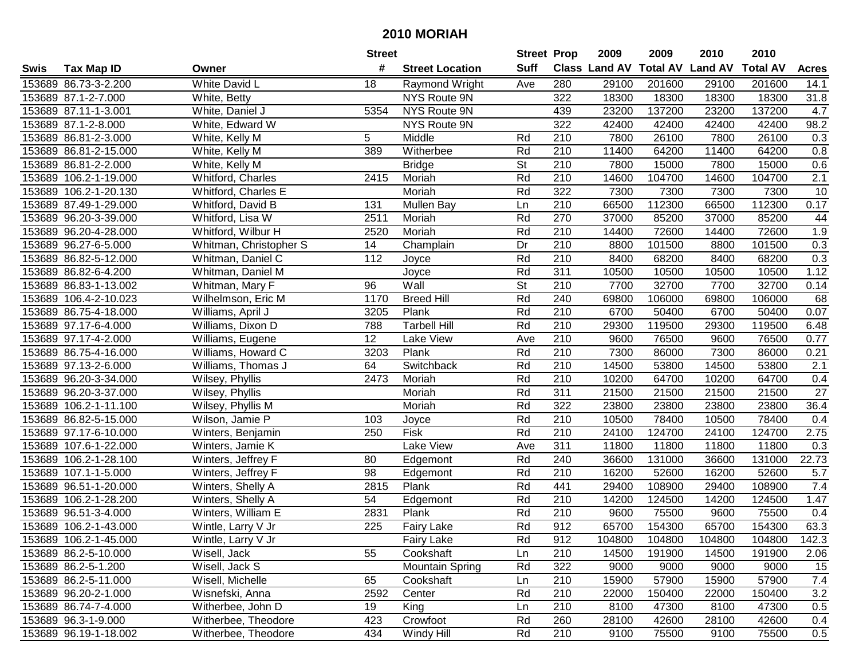|      |                       |                        | <b>Street</b>    |                        | <b>Street Prop</b> |                  | 2009                          | 2009   | 2010           | 2010            |                  |
|------|-----------------------|------------------------|------------------|------------------------|--------------------|------------------|-------------------------------|--------|----------------|-----------------|------------------|
| Swis | <b>Tax Map ID</b>     | Owner                  | #                | <b>Street Location</b> | <b>Suff</b>        |                  | <b>Class Land AV Total AV</b> |        | <b>Land AV</b> | <b>Total AV</b> | <b>Acres</b>     |
|      | 153689 86.73-3-2.200  | White David L          | 18               | Raymond Wright         | Ave                | 280              | 29100                         | 201600 | 29100          | 201600          | 14.1             |
|      | 153689 87.1-2-7.000   | White, Betty           |                  | NYS Route 9N           |                    | 322              | 18300                         | 18300  | 18300          | 18300           | 31.8             |
|      | 153689 87.11-1-3.001  | White, Daniel J        | 5354             | NYS Route 9N           |                    | 439              | 23200                         | 137200 | 23200          | 137200          | 4.7              |
|      | 153689 87.1-2-8.000   | White, Edward W        |                  | NYS Route 9N           |                    | 322              | 42400                         | 42400  | 42400          | 42400           | 98.2             |
|      | 153689 86.81-2-3.000  | White, Kelly M         | 5                | Middle                 | Rd                 | 210              | 7800                          | 26100  | 7800           | 26100           | 0.3              |
|      | 153689 86.81-2-15.000 | White, Kelly M         | 389              | Witherbee              | Rd                 | 210              | 11400                         | 64200  | 11400          | 64200           | 0.8              |
|      | 153689 86.81-2-2.000  | White, Kelly M         |                  | <b>Bridge</b>          | <b>St</b>          | 210              | 7800                          | 15000  | 7800           | 15000           | 0.6              |
|      | 153689 106.2-1-19.000 | Whitford, Charles      | 2415             | Moriah                 | Rd                 | $\overline{210}$ | 14600                         | 104700 | 14600          | 104700          | $\overline{2.1}$ |
|      | 153689 106.2-1-20.130 | Whitford, Charles E    |                  | Moriah                 | Rd                 | 322              | 7300                          | 7300   | 7300           | 7300            | 10               |
|      | 153689 87.49-1-29.000 | Whitford, David B      | 131              | Mullen Bay             | Ln                 | 210              | 66500                         | 112300 | 66500          | 112300          | 0.17             |
|      | 153689 96.20-3-39.000 | Whitford, Lisa W       | 2511             | Moriah                 | Rd                 | 270              | 37000                         | 85200  | 37000          | 85200           | 44               |
|      | 153689 96.20-4-28.000 | Whitford, Wilbur H     | 2520             | Moriah                 | Rd                 | 210              | 14400                         | 72600  | 14400          | 72600           | 1.9              |
|      | 153689 96.27-6-5.000  | Whitman, Christopher S | 14               | Champlain              | Dr                 | 210              | 8800                          | 101500 | 8800           | 101500          | 0.3              |
|      | 153689 86.82-5-12.000 | Whitman, Daniel C      | 112              | Joyce                  | Rd                 | 210              | 8400                          | 68200  | 8400           | 68200           | 0.3              |
|      | 153689 86.82-6-4.200  | Whitman, Daniel M      |                  | Joyce                  | Rd                 | 311              | 10500                         | 10500  | 10500          | 10500           | 1.12             |
|      | 153689 86.83-1-13.002 | Whitman, Mary F        | 96               | Wall                   | <b>St</b>          | 210              | 7700                          | 32700  | 7700           | 32700           | 0.14             |
|      | 153689 106.4-2-10.023 | Wilhelmson, Eric M     | 1170             | <b>Breed Hill</b>      | Rd                 | 240              | 69800                         | 106000 | 69800          | 106000          | 68               |
|      | 153689 86.75-4-18.000 | Williams, April J      | 3205             | Plank                  | Rd                 | 210              | 6700                          | 50400  | 6700           | 50400           | 0.07             |
|      | 153689 97.17-6-4.000  | Williams, Dixon D      | 788              | <b>Tarbell Hill</b>    | Rd                 | 210              | 29300                         | 119500 | 29300          | 119500          | 6.48             |
|      | 153689 97.17-4-2.000  | Williams, Eugene       | 12               | Lake View              | Ave                | 210              | 9600                          | 76500  | 9600           | 76500           | 0.77             |
|      | 153689 86.75-4-16.000 | Williams, Howard C     | 3203             | Plank                  | Rd                 | 210              | 7300                          | 86000  | 7300           | 86000           | 0.21             |
|      | 153689 97.13-2-6.000  | Williams, Thomas J     | 64               | Switchback             | Rd                 | 210              | 14500                         | 53800  | 14500          | 53800           | 2.1              |
|      | 153689 96.20-3-34.000 | Wilsey, Phyllis        | 2473             | Moriah                 | Rd                 | 210              | 10200                         | 64700  | 10200          | 64700           | 0.4              |
|      | 153689 96.20-3-37.000 | Wilsey, Phyllis        |                  | Moriah                 | Rd                 | 311              | 21500                         | 21500  | 21500          | 21500           | 27               |
|      | 153689 106.2-1-11.100 | Wilsey, Phyllis M      |                  | Moriah                 | Rd                 | 322              | 23800                         | 23800  | 23800          | 23800           | 36.4             |
|      | 153689 86.82-5-15.000 | Wilson, Jamie P        | 103              | Joyce                  | Rd                 | 210              | 10500                         | 78400  | 10500          | 78400           | 0.4              |
|      | 153689 97.17-6-10.000 | Winters, Benjamin      | 250              | Fisk                   | Rd                 | 210              | 24100                         | 124700 | 24100          | 124700          | 2.75             |
|      | 153689 107.6-1-22.000 | Winters, Jamie K       |                  | Lake View              | Ave                | 311              | 11800                         | 11800  | 11800          | 11800           | 0.3              |
|      | 153689 106.2-1-28.100 | Winters, Jeffrey F     | 80               | Edgemont               | Rd                 | 240              | 36600                         | 131000 | 36600          | 131000          | 22.73            |
|      | 153689 107.1-1-5.000  | Winters, Jeffrey F     | 98               | Edgemont               | Rd                 | $\overline{210}$ | 16200                         | 52600  | 16200          | 52600           | 5.7              |
|      | 153689 96.51-1-20.000 | Winters, Shelly A      | 2815             | Plank                  | Rd                 | 441              | 29400                         | 108900 | 29400          | 108900          | 7.4              |
|      | 153689 106.2-1-28.200 | Winters, Shelly A      | 54               | Edgemont               | Rd                 | 210              | 14200                         | 124500 | 14200          | 124500          | 1.47             |
|      | 153689 96.51-3-4.000  | Winters, William E     | 2831             | Plank                  | Rd                 | $\overline{210}$ | 9600                          | 75500  | 9600           | 75500           | 0.4              |
|      | 153689 106.2-1-43.000 | Wintle, Larry V Jr     | $\overline{225}$ | <b>Fairy Lake</b>      | Rd                 | 912              | 65700                         | 154300 | 65700          | 154300          | 63.3             |
|      | 153689 106.2-1-45.000 | Wintle, Larry V Jr     |                  | <b>Fairy Lake</b>      | Rd                 | 912              | 104800                        | 104800 | 104800         | 104800          | 142.3            |
|      | 153689 86.2-5-10.000  | Wisell, Jack           | 55               | Cookshaft              | Ln                 | 210              | 14500                         | 191900 | 14500          | 191900          | 2.06             |
|      | 153689 86.2-5-1.200   | Wisell, Jack S         |                  | <b>Mountain Spring</b> | Rd                 | 322              | 9000                          | 9000   | 9000           | 9000            | 15               |
|      | 153689 86.2-5-11.000  | Wisell, Michelle       | 65               | Cookshaft              | Ln                 | 210              | 15900                         | 57900  | 15900          | 57900           | 7.4              |
|      | 153689 96.20-2-1.000  | Wisnefski, Anna        | 2592             | Center                 | Rd                 | 210              | 22000                         | 150400 | 22000          | 150400          | 3.2              |
|      | 153689 86.74-7-4.000  | Witherbee, John D      | 19               | King                   | Ln                 | 210              | 8100                          | 47300  | 8100           | 47300           | 0.5              |
|      | 153689 96.3-1-9.000   | Witherbee, Theodore    | 423              | Crowfoot               | Rd                 | 260              | 28100                         | 42600  | 28100          | 42600           | 0.4              |
|      | 153689 96.19-1-18.002 | Witherbee, Theodore    | 434              | Windy Hill             | Rd                 | 210              | 9100                          | 75500  | 9100           | 75500           | 0.5              |
|      |                       |                        |                  |                        |                    |                  |                               |        |                |                 |                  |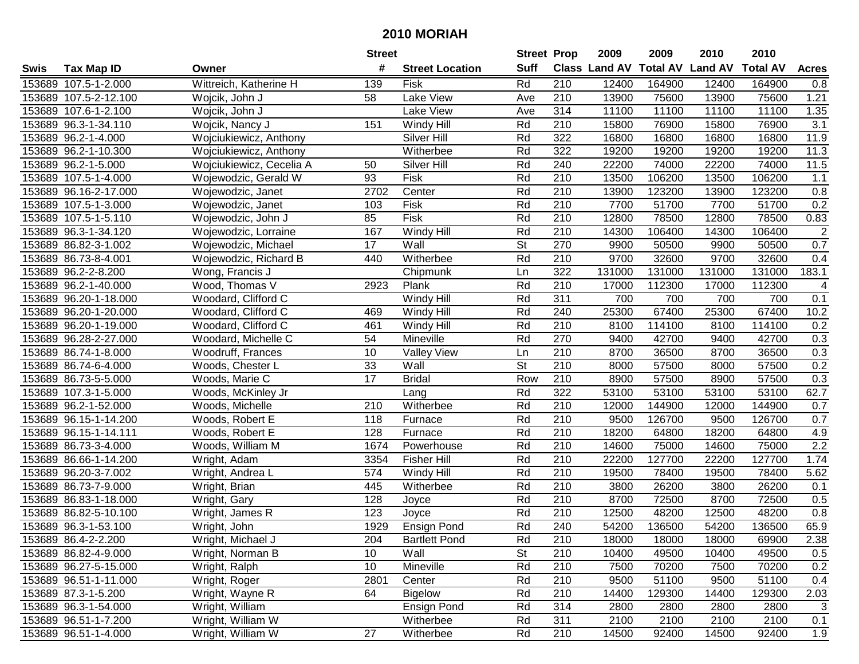| #<br><b>Suff</b><br><b>Total AV</b><br>Class Land AV<br><b>Land AV</b><br><b>Total AV</b><br><b>Tax Map ID</b><br><b>Street Location</b><br><b>Acres</b><br>Swis<br>Owner<br>Wittreich, Katherine H<br>153689 107.5-1-2.000<br>139<br>Fisk<br>Rd<br>210<br>12400<br>164900<br>12400<br>164900<br>0.8<br>Lake View<br>153689 107.5-2-12.100<br>58<br>210<br>13900<br>75600<br>13900<br>75600<br>1.21<br>Wojcik, John J<br>Ave<br>153689 107.6-1-2.100<br>Lake View<br>314<br>11100<br>11100<br>11100<br>11100<br>1.35<br>Wojcik, John J<br>Ave<br>$\overline{3.1}$<br>Rd<br>210<br>15800<br>76900<br>153689 96.3-1-34.110<br>Wojcik, Nancy J<br>151<br>Windy Hill<br>76900<br>15800<br>153689 96.2-1-4.000<br>Silver Hill<br>Rd<br>322<br>16800<br>16800<br>16800<br>16800<br>11.9<br>Wojciukiewicz, Anthony<br>322<br>153689 96.2-1-10.300<br>Wojciukiewicz, Anthony<br>Rd<br>19200<br>19200<br>19200<br>19200<br>11.3<br>Witherbee<br>Silver Hill<br>Rd<br>240<br>22200<br>74000<br>11.5<br>153689 96.2-1-5.000<br>Wojciukiewicz, Cecelia A<br>50<br>22200<br>74000<br>Fisk<br>210<br>153689 107.5-1-4.000<br>Wojewodzic, Gerald W<br>93<br>Rd<br>13500<br>106200<br>13500<br>106200<br>1.1<br>$\overline{210}$<br>123200<br>123200<br>153689 96.16-2-17.000<br>2702<br>Center<br>Rd<br>13900<br>13900<br>0.8<br>Wojewodzic, Janet<br>Fisk<br>Rd<br>210<br>7700<br>51700<br>0.2<br>153689 107.5-1-3.000<br>Wojewodzic, Janet<br>103<br>51700<br>7700<br>Fisk<br>85<br>Rd<br>210<br>153689 107.5-1-5.110<br>Wojewodzic, John J<br>12800<br>78500<br>12800<br>78500<br>0.83<br>$\overline{c}$<br>153689 96.3-1-34.120<br>167<br>Rd<br>210<br>14300<br>106400<br>14300<br>106400<br>Wojewodzic, Lorraine<br>Windy Hill<br>$\overline{\mathsf{St}}$<br>270<br>0.7<br>17<br>Wall<br>9900<br>50500<br>153689 86.82-3-1.002<br>Wojewodzic, Michael<br>50500<br>9900<br>Rd<br>210<br>9700<br>9700<br>32600<br>153689 86.73-8-4.001<br>Witherbee<br>32600<br>0.4<br>Wojewodzic, Richard B<br>440<br>322<br>153689 96.2-2-8.200<br>131000<br>131000<br>131000<br>131000<br>183.1<br>Wong, Francis J<br>Chipmunk<br>Ln<br>210<br>Wood, Thomas V<br>Plank<br>Rd<br>17000<br>112300<br>112300<br>153689 96.2-1-40.000<br>2923<br>17000<br>4<br>$\overline{311}$<br>Rd<br>700<br>153689 96.20-1-18.000<br>Woodard, Clifford C<br>700<br>700<br>700<br>0.1<br>Windy Hill<br>Rd<br>153689 96.20-1-20.000<br>Woodard, Clifford C<br>240<br>25300<br>67400<br>25300<br>67400<br>10.2<br>469<br>Windy Hill<br>153689 96.20-1-19.000<br>Woodard, Clifford C<br>Rd<br>210<br>8100<br>114100<br>8100<br>114100<br>0.2<br>461<br>Windy Hill<br>153689 96.28-2-27.000<br>Woodard, Michelle C<br>54<br>Rd<br>270<br>9400<br>42700<br>42700<br>0.3<br>Mineville<br>9400<br>0.3<br>210<br>8700<br>36500<br>153689 86.74-1-8.000<br>Woodruff, Frances<br>10<br><b>Valley View</b><br>Ln<br>36500<br>8700<br>St<br>0.2<br>153689 86.74-6-4.000<br>33<br>Wall<br>210<br>8000<br>8000<br>57500<br>Woods, Chester L<br>57500<br>17<br>210<br>0.3<br>153689 86.73-5-5.000<br><b>Bridal</b><br>Row<br>8900<br>8900<br>57500<br>Woods, Marie C<br>57500<br>322<br>62.7<br>153689 107.3-1-5.000<br>Rd<br>53100<br>53100<br>53100<br>53100<br>Woods, McKinley Jr<br>Lang<br>$\overline{210}$<br>Rd<br>12000<br>144900<br>144900<br>153689 96.2-1-52.000<br>210<br>Witherbee<br>12000<br>0.7<br>Woods, Michelle<br>Rd<br>210<br>126700<br>153689 96.15-1-14.200<br>118<br>Furnace<br>9500<br>126700<br>0.7<br>Woods, Robert E<br>9500<br>Rd<br>210<br>18200<br>4.9<br>153689 96.15-1-14.111<br>Woods, Robert E<br>128<br>Furnace<br>64800<br>18200<br>64800<br>Rd<br>2.2<br>153689 86.73-3-4.000<br>Woods, William M<br>1674<br>210<br>14600<br>75000<br>14600<br>75000<br>Powerhouse<br>Rd<br>210<br>22200<br>127700<br>22200<br>127700<br>1.74<br>153689 86.66-1-14.200<br>Wright, Adam<br>3354<br><b>Fisher Hill</b><br>Rd<br>$\overline{210}$<br>153689 96.20-3-7.002<br>574<br>19500<br>78400<br>19500<br>78400<br>5.62<br>Wright, Andrea L<br>Windy Hill<br>153689 86.73-7-9.000<br>Rd<br>$\overline{210}$<br>26200<br>26200<br>Wright, Brian<br>445<br>3800<br>3800<br>0.1<br>Witherbee<br>Rd<br>128<br>210<br>8700<br>72500<br>8700<br>72500<br>0.5<br>153689 86.83-1-18.000<br>Wright, Gary<br>Joyce<br>Rd<br>$\overline{210}$<br>48200<br>153689 86.82-5-10.100<br>123<br>12500<br>48200<br>12500<br>0.8<br>Wright, James R<br>Joyce<br>Rd<br>65.9<br>1929<br>240<br>54200<br>136500<br>54200<br>136500<br>153689 96.3-1-53.100<br><b>Ensign Pond</b><br>Wright, John<br>153689 86.4-2-2.200<br>Wright, Michael J<br>204<br><b>Bartlett Pond</b><br>Rd<br>210<br>18000<br>18000<br>18000<br>69900<br>2.38<br><b>St</b><br>153689 86.82-4-9.000<br>Wright, Norman B<br>10<br>Wall<br>210<br>10400<br>49500<br>10400<br>49500<br>0.5<br>Rd<br>210<br>7500<br>70200<br>0.2<br>153689 96.27-5-15.000<br>Wright, Ralph<br>10<br>Mineville<br>70200<br>7500<br>Rd<br>153689 96.51-1-11.000<br>2801<br>210<br>9500<br>51100<br>51100<br>Wright, Roger<br>Center<br>9500<br>0.4<br>Wright, Wayne R<br>Rd<br>210<br>14400<br>153689 87.3-1-5.200<br>64<br><b>Bigelow</b><br>129300<br>14400<br>129300<br>2.03<br>Rd<br>314<br>3<br>153689 96.3-1-54.000<br>Wright, William<br>Ensign Pond<br>2800<br>2800<br>2800<br>2800<br>153689 96.51-1-7.200<br>Wright, William W<br>Witherbee<br>Rd<br>311<br>2100<br>2100<br>2100<br>2100<br>0.1<br>153689 96.51-1-4.000 |  |                   | <b>Street</b>   |           | <b>Street Prop</b> |     | 2009  | 2009  | 2010  | 2010  |     |
|-----------------------------------------------------------------------------------------------------------------------------------------------------------------------------------------------------------------------------------------------------------------------------------------------------------------------------------------------------------------------------------------------------------------------------------------------------------------------------------------------------------------------------------------------------------------------------------------------------------------------------------------------------------------------------------------------------------------------------------------------------------------------------------------------------------------------------------------------------------------------------------------------------------------------------------------------------------------------------------------------------------------------------------------------------------------------------------------------------------------------------------------------------------------------------------------------------------------------------------------------------------------------------------------------------------------------------------------------------------------------------------------------------------------------------------------------------------------------------------------------------------------------------------------------------------------------------------------------------------------------------------------------------------------------------------------------------------------------------------------------------------------------------------------------------------------------------------------------------------------------------------------------------------------------------------------------------------------------------------------------------------------------------------------------------------------------------------------------------------------------------------------------------------------------------------------------------------------------------------------------------------------------------------------------------------------------------------------------------------------------------------------------------------------------------------------------------------------------------------------------------------------------------------------------------------------------------------------------------------------------------------------------------------------------------------------------------------------------------------------------------------------------------------------------------------------------------------------------------------------------------------------------------------------------------------------------------------------------------------------------------------------------------------------------------------------------------------------------------------------------------------------------------------------------------------------------------------------------------------------------------------------------------------------------------------------------------------------------------------------------------------------------------------------------------------------------------------------------------------------------------------------------------------------------------------------------------------------------------------------------------------------------------------------------------------------------------------------------------------------------------------------------------------------------------------------------------------------------------------------------------------------------------------------------------------------------------------------------------------------------------------------------------------------------------------------------------------------------------------------------------------------------------------------------------------------------------------------------------------------------------------------------------------------------------------------------------------------------------------------------------------------------------------------------------------------------------------------------------------------------------------------------------------------------------------------------------------------------------------------------------------------------------------------------------------------------------------------------------------------------------------------------------------------------------------------------------------------------------------------------------------------------------------------------------------------------------------------------------------------------------------------------------------------------------------------------------------------------------------------------------------------------------------------------------------------------------------------------------------------------------------------------------------------------------------------------------------------------------------------------------------------------------------------------------|--|-------------------|-----------------|-----------|--------------------|-----|-------|-------|-------|-------|-----|
|                                                                                                                                                                                                                                                                                                                                                                                                                                                                                                                                                                                                                                                                                                                                                                                                                                                                                                                                                                                                                                                                                                                                                                                                                                                                                                                                                                                                                                                                                                                                                                                                                                                                                                                                                                                                                                                                                                                                                                                                                                                                                                                                                                                                                                                                                                                                                                                                                                                                                                                                                                                                                                                                                                                                                                                                                                                                                                                                                                                                                                                                                                                                                                                                                                                                                                                                                                                                                                                                                                                                                                                                                                                                                                                                                                                                                                                                                                                                                                                                                                                                                                                                                                                                                                                                                                                                                                                                                                                                                                                                                                                                                                                                                                                                                                                                                                                                                                                                                                                                                                                                                                                                                                                                                                                                                                                                                                                                                             |  |                   |                 |           |                    |     |       |       |       |       |     |
|                                                                                                                                                                                                                                                                                                                                                                                                                                                                                                                                                                                                                                                                                                                                                                                                                                                                                                                                                                                                                                                                                                                                                                                                                                                                                                                                                                                                                                                                                                                                                                                                                                                                                                                                                                                                                                                                                                                                                                                                                                                                                                                                                                                                                                                                                                                                                                                                                                                                                                                                                                                                                                                                                                                                                                                                                                                                                                                                                                                                                                                                                                                                                                                                                                                                                                                                                                                                                                                                                                                                                                                                                                                                                                                                                                                                                                                                                                                                                                                                                                                                                                                                                                                                                                                                                                                                                                                                                                                                                                                                                                                                                                                                                                                                                                                                                                                                                                                                                                                                                                                                                                                                                                                                                                                                                                                                                                                                                             |  |                   |                 |           |                    |     |       |       |       |       |     |
|                                                                                                                                                                                                                                                                                                                                                                                                                                                                                                                                                                                                                                                                                                                                                                                                                                                                                                                                                                                                                                                                                                                                                                                                                                                                                                                                                                                                                                                                                                                                                                                                                                                                                                                                                                                                                                                                                                                                                                                                                                                                                                                                                                                                                                                                                                                                                                                                                                                                                                                                                                                                                                                                                                                                                                                                                                                                                                                                                                                                                                                                                                                                                                                                                                                                                                                                                                                                                                                                                                                                                                                                                                                                                                                                                                                                                                                                                                                                                                                                                                                                                                                                                                                                                                                                                                                                                                                                                                                                                                                                                                                                                                                                                                                                                                                                                                                                                                                                                                                                                                                                                                                                                                                                                                                                                                                                                                                                                             |  |                   |                 |           |                    |     |       |       |       |       |     |
|                                                                                                                                                                                                                                                                                                                                                                                                                                                                                                                                                                                                                                                                                                                                                                                                                                                                                                                                                                                                                                                                                                                                                                                                                                                                                                                                                                                                                                                                                                                                                                                                                                                                                                                                                                                                                                                                                                                                                                                                                                                                                                                                                                                                                                                                                                                                                                                                                                                                                                                                                                                                                                                                                                                                                                                                                                                                                                                                                                                                                                                                                                                                                                                                                                                                                                                                                                                                                                                                                                                                                                                                                                                                                                                                                                                                                                                                                                                                                                                                                                                                                                                                                                                                                                                                                                                                                                                                                                                                                                                                                                                                                                                                                                                                                                                                                                                                                                                                                                                                                                                                                                                                                                                                                                                                                                                                                                                                                             |  |                   |                 |           |                    |     |       |       |       |       |     |
|                                                                                                                                                                                                                                                                                                                                                                                                                                                                                                                                                                                                                                                                                                                                                                                                                                                                                                                                                                                                                                                                                                                                                                                                                                                                                                                                                                                                                                                                                                                                                                                                                                                                                                                                                                                                                                                                                                                                                                                                                                                                                                                                                                                                                                                                                                                                                                                                                                                                                                                                                                                                                                                                                                                                                                                                                                                                                                                                                                                                                                                                                                                                                                                                                                                                                                                                                                                                                                                                                                                                                                                                                                                                                                                                                                                                                                                                                                                                                                                                                                                                                                                                                                                                                                                                                                                                                                                                                                                                                                                                                                                                                                                                                                                                                                                                                                                                                                                                                                                                                                                                                                                                                                                                                                                                                                                                                                                                                             |  |                   |                 |           |                    |     |       |       |       |       |     |
|                                                                                                                                                                                                                                                                                                                                                                                                                                                                                                                                                                                                                                                                                                                                                                                                                                                                                                                                                                                                                                                                                                                                                                                                                                                                                                                                                                                                                                                                                                                                                                                                                                                                                                                                                                                                                                                                                                                                                                                                                                                                                                                                                                                                                                                                                                                                                                                                                                                                                                                                                                                                                                                                                                                                                                                                                                                                                                                                                                                                                                                                                                                                                                                                                                                                                                                                                                                                                                                                                                                                                                                                                                                                                                                                                                                                                                                                                                                                                                                                                                                                                                                                                                                                                                                                                                                                                                                                                                                                                                                                                                                                                                                                                                                                                                                                                                                                                                                                                                                                                                                                                                                                                                                                                                                                                                                                                                                                                             |  |                   |                 |           |                    |     |       |       |       |       |     |
|                                                                                                                                                                                                                                                                                                                                                                                                                                                                                                                                                                                                                                                                                                                                                                                                                                                                                                                                                                                                                                                                                                                                                                                                                                                                                                                                                                                                                                                                                                                                                                                                                                                                                                                                                                                                                                                                                                                                                                                                                                                                                                                                                                                                                                                                                                                                                                                                                                                                                                                                                                                                                                                                                                                                                                                                                                                                                                                                                                                                                                                                                                                                                                                                                                                                                                                                                                                                                                                                                                                                                                                                                                                                                                                                                                                                                                                                                                                                                                                                                                                                                                                                                                                                                                                                                                                                                                                                                                                                                                                                                                                                                                                                                                                                                                                                                                                                                                                                                                                                                                                                                                                                                                                                                                                                                                                                                                                                                             |  |                   |                 |           |                    |     |       |       |       |       |     |
|                                                                                                                                                                                                                                                                                                                                                                                                                                                                                                                                                                                                                                                                                                                                                                                                                                                                                                                                                                                                                                                                                                                                                                                                                                                                                                                                                                                                                                                                                                                                                                                                                                                                                                                                                                                                                                                                                                                                                                                                                                                                                                                                                                                                                                                                                                                                                                                                                                                                                                                                                                                                                                                                                                                                                                                                                                                                                                                                                                                                                                                                                                                                                                                                                                                                                                                                                                                                                                                                                                                                                                                                                                                                                                                                                                                                                                                                                                                                                                                                                                                                                                                                                                                                                                                                                                                                                                                                                                                                                                                                                                                                                                                                                                                                                                                                                                                                                                                                                                                                                                                                                                                                                                                                                                                                                                                                                                                                                             |  |                   |                 |           |                    |     |       |       |       |       |     |
|                                                                                                                                                                                                                                                                                                                                                                                                                                                                                                                                                                                                                                                                                                                                                                                                                                                                                                                                                                                                                                                                                                                                                                                                                                                                                                                                                                                                                                                                                                                                                                                                                                                                                                                                                                                                                                                                                                                                                                                                                                                                                                                                                                                                                                                                                                                                                                                                                                                                                                                                                                                                                                                                                                                                                                                                                                                                                                                                                                                                                                                                                                                                                                                                                                                                                                                                                                                                                                                                                                                                                                                                                                                                                                                                                                                                                                                                                                                                                                                                                                                                                                                                                                                                                                                                                                                                                                                                                                                                                                                                                                                                                                                                                                                                                                                                                                                                                                                                                                                                                                                                                                                                                                                                                                                                                                                                                                                                                             |  |                   |                 |           |                    |     |       |       |       |       |     |
|                                                                                                                                                                                                                                                                                                                                                                                                                                                                                                                                                                                                                                                                                                                                                                                                                                                                                                                                                                                                                                                                                                                                                                                                                                                                                                                                                                                                                                                                                                                                                                                                                                                                                                                                                                                                                                                                                                                                                                                                                                                                                                                                                                                                                                                                                                                                                                                                                                                                                                                                                                                                                                                                                                                                                                                                                                                                                                                                                                                                                                                                                                                                                                                                                                                                                                                                                                                                                                                                                                                                                                                                                                                                                                                                                                                                                                                                                                                                                                                                                                                                                                                                                                                                                                                                                                                                                                                                                                                                                                                                                                                                                                                                                                                                                                                                                                                                                                                                                                                                                                                                                                                                                                                                                                                                                                                                                                                                                             |  |                   |                 |           |                    |     |       |       |       |       |     |
|                                                                                                                                                                                                                                                                                                                                                                                                                                                                                                                                                                                                                                                                                                                                                                                                                                                                                                                                                                                                                                                                                                                                                                                                                                                                                                                                                                                                                                                                                                                                                                                                                                                                                                                                                                                                                                                                                                                                                                                                                                                                                                                                                                                                                                                                                                                                                                                                                                                                                                                                                                                                                                                                                                                                                                                                                                                                                                                                                                                                                                                                                                                                                                                                                                                                                                                                                                                                                                                                                                                                                                                                                                                                                                                                                                                                                                                                                                                                                                                                                                                                                                                                                                                                                                                                                                                                                                                                                                                                                                                                                                                                                                                                                                                                                                                                                                                                                                                                                                                                                                                                                                                                                                                                                                                                                                                                                                                                                             |  |                   |                 |           |                    |     |       |       |       |       |     |
|                                                                                                                                                                                                                                                                                                                                                                                                                                                                                                                                                                                                                                                                                                                                                                                                                                                                                                                                                                                                                                                                                                                                                                                                                                                                                                                                                                                                                                                                                                                                                                                                                                                                                                                                                                                                                                                                                                                                                                                                                                                                                                                                                                                                                                                                                                                                                                                                                                                                                                                                                                                                                                                                                                                                                                                                                                                                                                                                                                                                                                                                                                                                                                                                                                                                                                                                                                                                                                                                                                                                                                                                                                                                                                                                                                                                                                                                                                                                                                                                                                                                                                                                                                                                                                                                                                                                                                                                                                                                                                                                                                                                                                                                                                                                                                                                                                                                                                                                                                                                                                                                                                                                                                                                                                                                                                                                                                                                                             |  |                   |                 |           |                    |     |       |       |       |       |     |
|                                                                                                                                                                                                                                                                                                                                                                                                                                                                                                                                                                                                                                                                                                                                                                                                                                                                                                                                                                                                                                                                                                                                                                                                                                                                                                                                                                                                                                                                                                                                                                                                                                                                                                                                                                                                                                                                                                                                                                                                                                                                                                                                                                                                                                                                                                                                                                                                                                                                                                                                                                                                                                                                                                                                                                                                                                                                                                                                                                                                                                                                                                                                                                                                                                                                                                                                                                                                                                                                                                                                                                                                                                                                                                                                                                                                                                                                                                                                                                                                                                                                                                                                                                                                                                                                                                                                                                                                                                                                                                                                                                                                                                                                                                                                                                                                                                                                                                                                                                                                                                                                                                                                                                                                                                                                                                                                                                                                                             |  |                   |                 |           |                    |     |       |       |       |       |     |
|                                                                                                                                                                                                                                                                                                                                                                                                                                                                                                                                                                                                                                                                                                                                                                                                                                                                                                                                                                                                                                                                                                                                                                                                                                                                                                                                                                                                                                                                                                                                                                                                                                                                                                                                                                                                                                                                                                                                                                                                                                                                                                                                                                                                                                                                                                                                                                                                                                                                                                                                                                                                                                                                                                                                                                                                                                                                                                                                                                                                                                                                                                                                                                                                                                                                                                                                                                                                                                                                                                                                                                                                                                                                                                                                                                                                                                                                                                                                                                                                                                                                                                                                                                                                                                                                                                                                                                                                                                                                                                                                                                                                                                                                                                                                                                                                                                                                                                                                                                                                                                                                                                                                                                                                                                                                                                                                                                                                                             |  |                   |                 |           |                    |     |       |       |       |       |     |
|                                                                                                                                                                                                                                                                                                                                                                                                                                                                                                                                                                                                                                                                                                                                                                                                                                                                                                                                                                                                                                                                                                                                                                                                                                                                                                                                                                                                                                                                                                                                                                                                                                                                                                                                                                                                                                                                                                                                                                                                                                                                                                                                                                                                                                                                                                                                                                                                                                                                                                                                                                                                                                                                                                                                                                                                                                                                                                                                                                                                                                                                                                                                                                                                                                                                                                                                                                                                                                                                                                                                                                                                                                                                                                                                                                                                                                                                                                                                                                                                                                                                                                                                                                                                                                                                                                                                                                                                                                                                                                                                                                                                                                                                                                                                                                                                                                                                                                                                                                                                                                                                                                                                                                                                                                                                                                                                                                                                                             |  |                   |                 |           |                    |     |       |       |       |       |     |
|                                                                                                                                                                                                                                                                                                                                                                                                                                                                                                                                                                                                                                                                                                                                                                                                                                                                                                                                                                                                                                                                                                                                                                                                                                                                                                                                                                                                                                                                                                                                                                                                                                                                                                                                                                                                                                                                                                                                                                                                                                                                                                                                                                                                                                                                                                                                                                                                                                                                                                                                                                                                                                                                                                                                                                                                                                                                                                                                                                                                                                                                                                                                                                                                                                                                                                                                                                                                                                                                                                                                                                                                                                                                                                                                                                                                                                                                                                                                                                                                                                                                                                                                                                                                                                                                                                                                                                                                                                                                                                                                                                                                                                                                                                                                                                                                                                                                                                                                                                                                                                                                                                                                                                                                                                                                                                                                                                                                                             |  |                   |                 |           |                    |     |       |       |       |       |     |
|                                                                                                                                                                                                                                                                                                                                                                                                                                                                                                                                                                                                                                                                                                                                                                                                                                                                                                                                                                                                                                                                                                                                                                                                                                                                                                                                                                                                                                                                                                                                                                                                                                                                                                                                                                                                                                                                                                                                                                                                                                                                                                                                                                                                                                                                                                                                                                                                                                                                                                                                                                                                                                                                                                                                                                                                                                                                                                                                                                                                                                                                                                                                                                                                                                                                                                                                                                                                                                                                                                                                                                                                                                                                                                                                                                                                                                                                                                                                                                                                                                                                                                                                                                                                                                                                                                                                                                                                                                                                                                                                                                                                                                                                                                                                                                                                                                                                                                                                                                                                                                                                                                                                                                                                                                                                                                                                                                                                                             |  |                   |                 |           |                    |     |       |       |       |       |     |
|                                                                                                                                                                                                                                                                                                                                                                                                                                                                                                                                                                                                                                                                                                                                                                                                                                                                                                                                                                                                                                                                                                                                                                                                                                                                                                                                                                                                                                                                                                                                                                                                                                                                                                                                                                                                                                                                                                                                                                                                                                                                                                                                                                                                                                                                                                                                                                                                                                                                                                                                                                                                                                                                                                                                                                                                                                                                                                                                                                                                                                                                                                                                                                                                                                                                                                                                                                                                                                                                                                                                                                                                                                                                                                                                                                                                                                                                                                                                                                                                                                                                                                                                                                                                                                                                                                                                                                                                                                                                                                                                                                                                                                                                                                                                                                                                                                                                                                                                                                                                                                                                                                                                                                                                                                                                                                                                                                                                                             |  |                   |                 |           |                    |     |       |       |       |       |     |
|                                                                                                                                                                                                                                                                                                                                                                                                                                                                                                                                                                                                                                                                                                                                                                                                                                                                                                                                                                                                                                                                                                                                                                                                                                                                                                                                                                                                                                                                                                                                                                                                                                                                                                                                                                                                                                                                                                                                                                                                                                                                                                                                                                                                                                                                                                                                                                                                                                                                                                                                                                                                                                                                                                                                                                                                                                                                                                                                                                                                                                                                                                                                                                                                                                                                                                                                                                                                                                                                                                                                                                                                                                                                                                                                                                                                                                                                                                                                                                                                                                                                                                                                                                                                                                                                                                                                                                                                                                                                                                                                                                                                                                                                                                                                                                                                                                                                                                                                                                                                                                                                                                                                                                                                                                                                                                                                                                                                                             |  |                   |                 |           |                    |     |       |       |       |       |     |
|                                                                                                                                                                                                                                                                                                                                                                                                                                                                                                                                                                                                                                                                                                                                                                                                                                                                                                                                                                                                                                                                                                                                                                                                                                                                                                                                                                                                                                                                                                                                                                                                                                                                                                                                                                                                                                                                                                                                                                                                                                                                                                                                                                                                                                                                                                                                                                                                                                                                                                                                                                                                                                                                                                                                                                                                                                                                                                                                                                                                                                                                                                                                                                                                                                                                                                                                                                                                                                                                                                                                                                                                                                                                                                                                                                                                                                                                                                                                                                                                                                                                                                                                                                                                                                                                                                                                                                                                                                                                                                                                                                                                                                                                                                                                                                                                                                                                                                                                                                                                                                                                                                                                                                                                                                                                                                                                                                                                                             |  |                   |                 |           |                    |     |       |       |       |       |     |
|                                                                                                                                                                                                                                                                                                                                                                                                                                                                                                                                                                                                                                                                                                                                                                                                                                                                                                                                                                                                                                                                                                                                                                                                                                                                                                                                                                                                                                                                                                                                                                                                                                                                                                                                                                                                                                                                                                                                                                                                                                                                                                                                                                                                                                                                                                                                                                                                                                                                                                                                                                                                                                                                                                                                                                                                                                                                                                                                                                                                                                                                                                                                                                                                                                                                                                                                                                                                                                                                                                                                                                                                                                                                                                                                                                                                                                                                                                                                                                                                                                                                                                                                                                                                                                                                                                                                                                                                                                                                                                                                                                                                                                                                                                                                                                                                                                                                                                                                                                                                                                                                                                                                                                                                                                                                                                                                                                                                                             |  |                   |                 |           |                    |     |       |       |       |       |     |
|                                                                                                                                                                                                                                                                                                                                                                                                                                                                                                                                                                                                                                                                                                                                                                                                                                                                                                                                                                                                                                                                                                                                                                                                                                                                                                                                                                                                                                                                                                                                                                                                                                                                                                                                                                                                                                                                                                                                                                                                                                                                                                                                                                                                                                                                                                                                                                                                                                                                                                                                                                                                                                                                                                                                                                                                                                                                                                                                                                                                                                                                                                                                                                                                                                                                                                                                                                                                                                                                                                                                                                                                                                                                                                                                                                                                                                                                                                                                                                                                                                                                                                                                                                                                                                                                                                                                                                                                                                                                                                                                                                                                                                                                                                                                                                                                                                                                                                                                                                                                                                                                                                                                                                                                                                                                                                                                                                                                                             |  |                   |                 |           |                    |     |       |       |       |       |     |
|                                                                                                                                                                                                                                                                                                                                                                                                                                                                                                                                                                                                                                                                                                                                                                                                                                                                                                                                                                                                                                                                                                                                                                                                                                                                                                                                                                                                                                                                                                                                                                                                                                                                                                                                                                                                                                                                                                                                                                                                                                                                                                                                                                                                                                                                                                                                                                                                                                                                                                                                                                                                                                                                                                                                                                                                                                                                                                                                                                                                                                                                                                                                                                                                                                                                                                                                                                                                                                                                                                                                                                                                                                                                                                                                                                                                                                                                                                                                                                                                                                                                                                                                                                                                                                                                                                                                                                                                                                                                                                                                                                                                                                                                                                                                                                                                                                                                                                                                                                                                                                                                                                                                                                                                                                                                                                                                                                                                                             |  |                   |                 |           |                    |     |       |       |       |       |     |
|                                                                                                                                                                                                                                                                                                                                                                                                                                                                                                                                                                                                                                                                                                                                                                                                                                                                                                                                                                                                                                                                                                                                                                                                                                                                                                                                                                                                                                                                                                                                                                                                                                                                                                                                                                                                                                                                                                                                                                                                                                                                                                                                                                                                                                                                                                                                                                                                                                                                                                                                                                                                                                                                                                                                                                                                                                                                                                                                                                                                                                                                                                                                                                                                                                                                                                                                                                                                                                                                                                                                                                                                                                                                                                                                                                                                                                                                                                                                                                                                                                                                                                                                                                                                                                                                                                                                                                                                                                                                                                                                                                                                                                                                                                                                                                                                                                                                                                                                                                                                                                                                                                                                                                                                                                                                                                                                                                                                                             |  |                   |                 |           |                    |     |       |       |       |       |     |
|                                                                                                                                                                                                                                                                                                                                                                                                                                                                                                                                                                                                                                                                                                                                                                                                                                                                                                                                                                                                                                                                                                                                                                                                                                                                                                                                                                                                                                                                                                                                                                                                                                                                                                                                                                                                                                                                                                                                                                                                                                                                                                                                                                                                                                                                                                                                                                                                                                                                                                                                                                                                                                                                                                                                                                                                                                                                                                                                                                                                                                                                                                                                                                                                                                                                                                                                                                                                                                                                                                                                                                                                                                                                                                                                                                                                                                                                                                                                                                                                                                                                                                                                                                                                                                                                                                                                                                                                                                                                                                                                                                                                                                                                                                                                                                                                                                                                                                                                                                                                                                                                                                                                                                                                                                                                                                                                                                                                                             |  |                   |                 |           |                    |     |       |       |       |       |     |
|                                                                                                                                                                                                                                                                                                                                                                                                                                                                                                                                                                                                                                                                                                                                                                                                                                                                                                                                                                                                                                                                                                                                                                                                                                                                                                                                                                                                                                                                                                                                                                                                                                                                                                                                                                                                                                                                                                                                                                                                                                                                                                                                                                                                                                                                                                                                                                                                                                                                                                                                                                                                                                                                                                                                                                                                                                                                                                                                                                                                                                                                                                                                                                                                                                                                                                                                                                                                                                                                                                                                                                                                                                                                                                                                                                                                                                                                                                                                                                                                                                                                                                                                                                                                                                                                                                                                                                                                                                                                                                                                                                                                                                                                                                                                                                                                                                                                                                                                                                                                                                                                                                                                                                                                                                                                                                                                                                                                                             |  |                   |                 |           |                    |     |       |       |       |       |     |
|                                                                                                                                                                                                                                                                                                                                                                                                                                                                                                                                                                                                                                                                                                                                                                                                                                                                                                                                                                                                                                                                                                                                                                                                                                                                                                                                                                                                                                                                                                                                                                                                                                                                                                                                                                                                                                                                                                                                                                                                                                                                                                                                                                                                                                                                                                                                                                                                                                                                                                                                                                                                                                                                                                                                                                                                                                                                                                                                                                                                                                                                                                                                                                                                                                                                                                                                                                                                                                                                                                                                                                                                                                                                                                                                                                                                                                                                                                                                                                                                                                                                                                                                                                                                                                                                                                                                                                                                                                                                                                                                                                                                                                                                                                                                                                                                                                                                                                                                                                                                                                                                                                                                                                                                                                                                                                                                                                                                                             |  |                   |                 |           |                    |     |       |       |       |       |     |
|                                                                                                                                                                                                                                                                                                                                                                                                                                                                                                                                                                                                                                                                                                                                                                                                                                                                                                                                                                                                                                                                                                                                                                                                                                                                                                                                                                                                                                                                                                                                                                                                                                                                                                                                                                                                                                                                                                                                                                                                                                                                                                                                                                                                                                                                                                                                                                                                                                                                                                                                                                                                                                                                                                                                                                                                                                                                                                                                                                                                                                                                                                                                                                                                                                                                                                                                                                                                                                                                                                                                                                                                                                                                                                                                                                                                                                                                                                                                                                                                                                                                                                                                                                                                                                                                                                                                                                                                                                                                                                                                                                                                                                                                                                                                                                                                                                                                                                                                                                                                                                                                                                                                                                                                                                                                                                                                                                                                                             |  |                   |                 |           |                    |     |       |       |       |       |     |
|                                                                                                                                                                                                                                                                                                                                                                                                                                                                                                                                                                                                                                                                                                                                                                                                                                                                                                                                                                                                                                                                                                                                                                                                                                                                                                                                                                                                                                                                                                                                                                                                                                                                                                                                                                                                                                                                                                                                                                                                                                                                                                                                                                                                                                                                                                                                                                                                                                                                                                                                                                                                                                                                                                                                                                                                                                                                                                                                                                                                                                                                                                                                                                                                                                                                                                                                                                                                                                                                                                                                                                                                                                                                                                                                                                                                                                                                                                                                                                                                                                                                                                                                                                                                                                                                                                                                                                                                                                                                                                                                                                                                                                                                                                                                                                                                                                                                                                                                                                                                                                                                                                                                                                                                                                                                                                                                                                                                                             |  |                   |                 |           |                    |     |       |       |       |       |     |
|                                                                                                                                                                                                                                                                                                                                                                                                                                                                                                                                                                                                                                                                                                                                                                                                                                                                                                                                                                                                                                                                                                                                                                                                                                                                                                                                                                                                                                                                                                                                                                                                                                                                                                                                                                                                                                                                                                                                                                                                                                                                                                                                                                                                                                                                                                                                                                                                                                                                                                                                                                                                                                                                                                                                                                                                                                                                                                                                                                                                                                                                                                                                                                                                                                                                                                                                                                                                                                                                                                                                                                                                                                                                                                                                                                                                                                                                                                                                                                                                                                                                                                                                                                                                                                                                                                                                                                                                                                                                                                                                                                                                                                                                                                                                                                                                                                                                                                                                                                                                                                                                                                                                                                                                                                                                                                                                                                                                                             |  |                   |                 |           |                    |     |       |       |       |       |     |
|                                                                                                                                                                                                                                                                                                                                                                                                                                                                                                                                                                                                                                                                                                                                                                                                                                                                                                                                                                                                                                                                                                                                                                                                                                                                                                                                                                                                                                                                                                                                                                                                                                                                                                                                                                                                                                                                                                                                                                                                                                                                                                                                                                                                                                                                                                                                                                                                                                                                                                                                                                                                                                                                                                                                                                                                                                                                                                                                                                                                                                                                                                                                                                                                                                                                                                                                                                                                                                                                                                                                                                                                                                                                                                                                                                                                                                                                                                                                                                                                                                                                                                                                                                                                                                                                                                                                                                                                                                                                                                                                                                                                                                                                                                                                                                                                                                                                                                                                                                                                                                                                                                                                                                                                                                                                                                                                                                                                                             |  |                   |                 |           |                    |     |       |       |       |       |     |
|                                                                                                                                                                                                                                                                                                                                                                                                                                                                                                                                                                                                                                                                                                                                                                                                                                                                                                                                                                                                                                                                                                                                                                                                                                                                                                                                                                                                                                                                                                                                                                                                                                                                                                                                                                                                                                                                                                                                                                                                                                                                                                                                                                                                                                                                                                                                                                                                                                                                                                                                                                                                                                                                                                                                                                                                                                                                                                                                                                                                                                                                                                                                                                                                                                                                                                                                                                                                                                                                                                                                                                                                                                                                                                                                                                                                                                                                                                                                                                                                                                                                                                                                                                                                                                                                                                                                                                                                                                                                                                                                                                                                                                                                                                                                                                                                                                                                                                                                                                                                                                                                                                                                                                                                                                                                                                                                                                                                                             |  |                   |                 |           |                    |     |       |       |       |       |     |
|                                                                                                                                                                                                                                                                                                                                                                                                                                                                                                                                                                                                                                                                                                                                                                                                                                                                                                                                                                                                                                                                                                                                                                                                                                                                                                                                                                                                                                                                                                                                                                                                                                                                                                                                                                                                                                                                                                                                                                                                                                                                                                                                                                                                                                                                                                                                                                                                                                                                                                                                                                                                                                                                                                                                                                                                                                                                                                                                                                                                                                                                                                                                                                                                                                                                                                                                                                                                                                                                                                                                                                                                                                                                                                                                                                                                                                                                                                                                                                                                                                                                                                                                                                                                                                                                                                                                                                                                                                                                                                                                                                                                                                                                                                                                                                                                                                                                                                                                                                                                                                                                                                                                                                                                                                                                                                                                                                                                                             |  |                   |                 |           |                    |     |       |       |       |       |     |
|                                                                                                                                                                                                                                                                                                                                                                                                                                                                                                                                                                                                                                                                                                                                                                                                                                                                                                                                                                                                                                                                                                                                                                                                                                                                                                                                                                                                                                                                                                                                                                                                                                                                                                                                                                                                                                                                                                                                                                                                                                                                                                                                                                                                                                                                                                                                                                                                                                                                                                                                                                                                                                                                                                                                                                                                                                                                                                                                                                                                                                                                                                                                                                                                                                                                                                                                                                                                                                                                                                                                                                                                                                                                                                                                                                                                                                                                                                                                                                                                                                                                                                                                                                                                                                                                                                                                                                                                                                                                                                                                                                                                                                                                                                                                                                                                                                                                                                                                                                                                                                                                                                                                                                                                                                                                                                                                                                                                                             |  |                   |                 |           |                    |     |       |       |       |       |     |
|                                                                                                                                                                                                                                                                                                                                                                                                                                                                                                                                                                                                                                                                                                                                                                                                                                                                                                                                                                                                                                                                                                                                                                                                                                                                                                                                                                                                                                                                                                                                                                                                                                                                                                                                                                                                                                                                                                                                                                                                                                                                                                                                                                                                                                                                                                                                                                                                                                                                                                                                                                                                                                                                                                                                                                                                                                                                                                                                                                                                                                                                                                                                                                                                                                                                                                                                                                                                                                                                                                                                                                                                                                                                                                                                                                                                                                                                                                                                                                                                                                                                                                                                                                                                                                                                                                                                                                                                                                                                                                                                                                                                                                                                                                                                                                                                                                                                                                                                                                                                                                                                                                                                                                                                                                                                                                                                                                                                                             |  |                   |                 |           |                    |     |       |       |       |       |     |
|                                                                                                                                                                                                                                                                                                                                                                                                                                                                                                                                                                                                                                                                                                                                                                                                                                                                                                                                                                                                                                                                                                                                                                                                                                                                                                                                                                                                                                                                                                                                                                                                                                                                                                                                                                                                                                                                                                                                                                                                                                                                                                                                                                                                                                                                                                                                                                                                                                                                                                                                                                                                                                                                                                                                                                                                                                                                                                                                                                                                                                                                                                                                                                                                                                                                                                                                                                                                                                                                                                                                                                                                                                                                                                                                                                                                                                                                                                                                                                                                                                                                                                                                                                                                                                                                                                                                                                                                                                                                                                                                                                                                                                                                                                                                                                                                                                                                                                                                                                                                                                                                                                                                                                                                                                                                                                                                                                                                                             |  |                   |                 |           |                    |     |       |       |       |       |     |
|                                                                                                                                                                                                                                                                                                                                                                                                                                                                                                                                                                                                                                                                                                                                                                                                                                                                                                                                                                                                                                                                                                                                                                                                                                                                                                                                                                                                                                                                                                                                                                                                                                                                                                                                                                                                                                                                                                                                                                                                                                                                                                                                                                                                                                                                                                                                                                                                                                                                                                                                                                                                                                                                                                                                                                                                                                                                                                                                                                                                                                                                                                                                                                                                                                                                                                                                                                                                                                                                                                                                                                                                                                                                                                                                                                                                                                                                                                                                                                                                                                                                                                                                                                                                                                                                                                                                                                                                                                                                                                                                                                                                                                                                                                                                                                                                                                                                                                                                                                                                                                                                                                                                                                                                                                                                                                                                                                                                                             |  |                   |                 |           |                    |     |       |       |       |       |     |
|                                                                                                                                                                                                                                                                                                                                                                                                                                                                                                                                                                                                                                                                                                                                                                                                                                                                                                                                                                                                                                                                                                                                                                                                                                                                                                                                                                                                                                                                                                                                                                                                                                                                                                                                                                                                                                                                                                                                                                                                                                                                                                                                                                                                                                                                                                                                                                                                                                                                                                                                                                                                                                                                                                                                                                                                                                                                                                                                                                                                                                                                                                                                                                                                                                                                                                                                                                                                                                                                                                                                                                                                                                                                                                                                                                                                                                                                                                                                                                                                                                                                                                                                                                                                                                                                                                                                                                                                                                                                                                                                                                                                                                                                                                                                                                                                                                                                                                                                                                                                                                                                                                                                                                                                                                                                                                                                                                                                                             |  |                   |                 |           |                    |     |       |       |       |       |     |
|                                                                                                                                                                                                                                                                                                                                                                                                                                                                                                                                                                                                                                                                                                                                                                                                                                                                                                                                                                                                                                                                                                                                                                                                                                                                                                                                                                                                                                                                                                                                                                                                                                                                                                                                                                                                                                                                                                                                                                                                                                                                                                                                                                                                                                                                                                                                                                                                                                                                                                                                                                                                                                                                                                                                                                                                                                                                                                                                                                                                                                                                                                                                                                                                                                                                                                                                                                                                                                                                                                                                                                                                                                                                                                                                                                                                                                                                                                                                                                                                                                                                                                                                                                                                                                                                                                                                                                                                                                                                                                                                                                                                                                                                                                                                                                                                                                                                                                                                                                                                                                                                                                                                                                                                                                                                                                                                                                                                                             |  |                   |                 |           |                    |     |       |       |       |       |     |
|                                                                                                                                                                                                                                                                                                                                                                                                                                                                                                                                                                                                                                                                                                                                                                                                                                                                                                                                                                                                                                                                                                                                                                                                                                                                                                                                                                                                                                                                                                                                                                                                                                                                                                                                                                                                                                                                                                                                                                                                                                                                                                                                                                                                                                                                                                                                                                                                                                                                                                                                                                                                                                                                                                                                                                                                                                                                                                                                                                                                                                                                                                                                                                                                                                                                                                                                                                                                                                                                                                                                                                                                                                                                                                                                                                                                                                                                                                                                                                                                                                                                                                                                                                                                                                                                                                                                                                                                                                                                                                                                                                                                                                                                                                                                                                                                                                                                                                                                                                                                                                                                                                                                                                                                                                                                                                                                                                                                                             |  |                   |                 |           |                    |     |       |       |       |       |     |
|                                                                                                                                                                                                                                                                                                                                                                                                                                                                                                                                                                                                                                                                                                                                                                                                                                                                                                                                                                                                                                                                                                                                                                                                                                                                                                                                                                                                                                                                                                                                                                                                                                                                                                                                                                                                                                                                                                                                                                                                                                                                                                                                                                                                                                                                                                                                                                                                                                                                                                                                                                                                                                                                                                                                                                                                                                                                                                                                                                                                                                                                                                                                                                                                                                                                                                                                                                                                                                                                                                                                                                                                                                                                                                                                                                                                                                                                                                                                                                                                                                                                                                                                                                                                                                                                                                                                                                                                                                                                                                                                                                                                                                                                                                                                                                                                                                                                                                                                                                                                                                                                                                                                                                                                                                                                                                                                                                                                                             |  |                   |                 |           |                    |     |       |       |       |       |     |
|                                                                                                                                                                                                                                                                                                                                                                                                                                                                                                                                                                                                                                                                                                                                                                                                                                                                                                                                                                                                                                                                                                                                                                                                                                                                                                                                                                                                                                                                                                                                                                                                                                                                                                                                                                                                                                                                                                                                                                                                                                                                                                                                                                                                                                                                                                                                                                                                                                                                                                                                                                                                                                                                                                                                                                                                                                                                                                                                                                                                                                                                                                                                                                                                                                                                                                                                                                                                                                                                                                                                                                                                                                                                                                                                                                                                                                                                                                                                                                                                                                                                                                                                                                                                                                                                                                                                                                                                                                                                                                                                                                                                                                                                                                                                                                                                                                                                                                                                                                                                                                                                                                                                                                                                                                                                                                                                                                                                                             |  |                   |                 |           |                    |     |       |       |       |       |     |
|                                                                                                                                                                                                                                                                                                                                                                                                                                                                                                                                                                                                                                                                                                                                                                                                                                                                                                                                                                                                                                                                                                                                                                                                                                                                                                                                                                                                                                                                                                                                                                                                                                                                                                                                                                                                                                                                                                                                                                                                                                                                                                                                                                                                                                                                                                                                                                                                                                                                                                                                                                                                                                                                                                                                                                                                                                                                                                                                                                                                                                                                                                                                                                                                                                                                                                                                                                                                                                                                                                                                                                                                                                                                                                                                                                                                                                                                                                                                                                                                                                                                                                                                                                                                                                                                                                                                                                                                                                                                                                                                                                                                                                                                                                                                                                                                                                                                                                                                                                                                                                                                                                                                                                                                                                                                                                                                                                                                                             |  | Wright, William W | $\overline{27}$ | Witherbee | Rd                 | 210 | 14500 | 92400 | 14500 | 92400 | 1.9 |